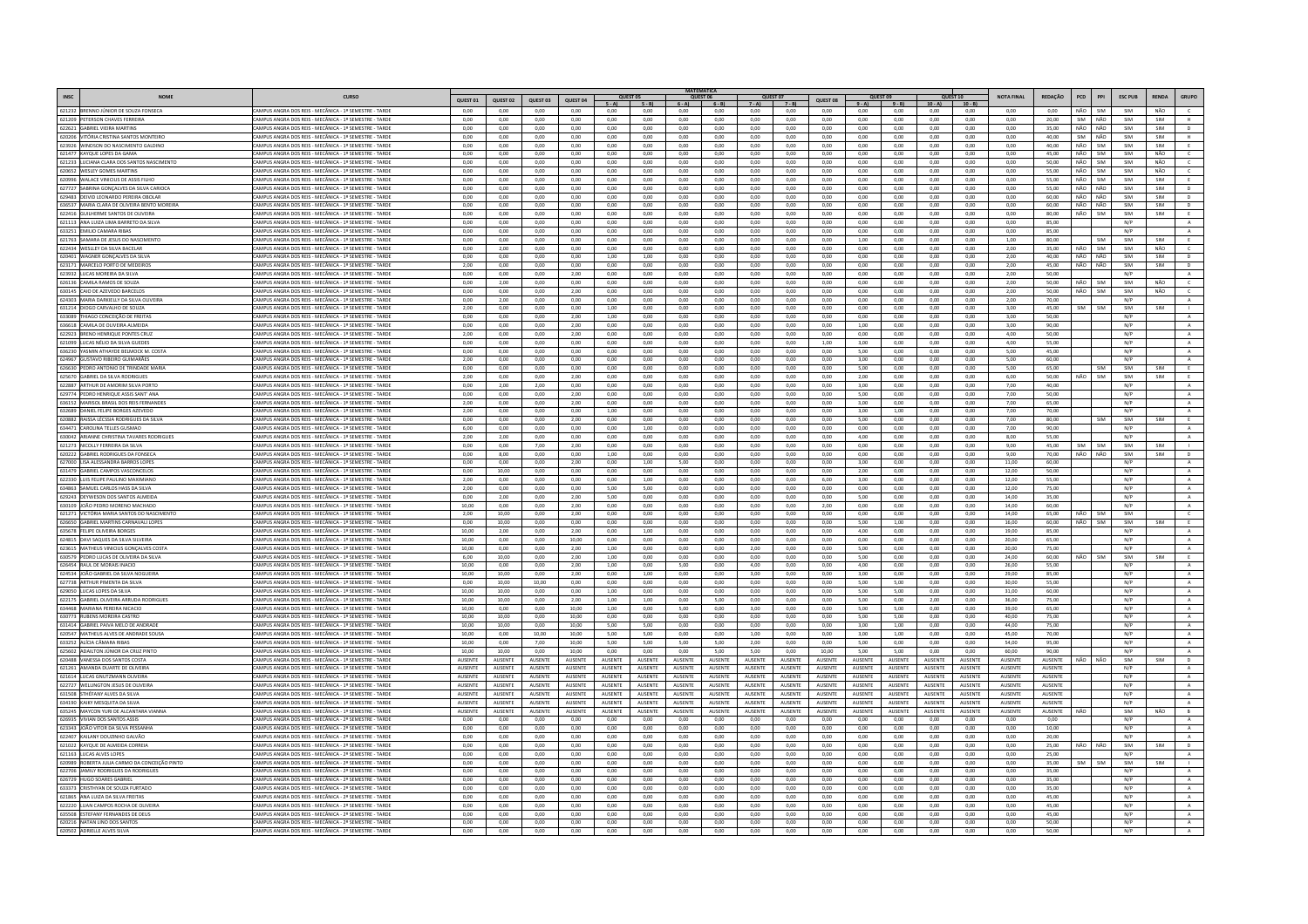|                                                                              |                                                                                                                  |                           |                           |                           |                           |                                 |                           |                                  | ΜΑΤΕΜΑΤΙΣΑ          |                    |                                  |                                  |                    |                           |                             |                          |                                  |                    |             |                   |                |              |                          |
|------------------------------------------------------------------------------|------------------------------------------------------------------------------------------------------------------|---------------------------|---------------------------|---------------------------|---------------------------|---------------------------------|---------------------------|----------------------------------|---------------------|--------------------|----------------------------------|----------------------------------|--------------------|---------------------------|-----------------------------|--------------------------|----------------------------------|--------------------|-------------|-------------------|----------------|--------------|--------------------------|
|                                                                              | <b>CURSO</b>                                                                                                     | QUEST 01                  | QUEST 02                  | QUEST 03                  | QUEST 04                  | QUEST 05<br>$5 - A$             | $5 - B$ $6 - A$           |                                  | QUEST 06<br>$6 - B$ | $7 - A$            | $7 - B$                          | QUEST 08                         | $9 - A$            | $9 - B$                   | <b>QUEST 10</b><br>$10 - A$ | $10 - B$                 | <b>NOTA FINAL</b>                | REDAÇÃO            | PCD         | PPI               | <b>ESC PUE</b> | <b>RENDA</b> | GRUPO                    |
| 621232 BRENNO JÚNIOR DE SOUZA FONSECA                                        | CAMPUS ANGRA DOS REIS - MECÂNICA - 1º SEMESTRE - TARDE                                                           | 0.00                      | 0.00                      | 0.00                      | 0.00                      | 0.00                            | 0.00                      | 0,00                             | 0.00                | 0.00               | 0.00                             | 0.00                             | 0,00               | 0,00                      | 0.00                        | 0.00                     | 0.00                             | 0.00               | NÃO         | SIM               | SIM            | NÃO          | $\epsilon$               |
| 621209 PETERSON CHAVES FERREIR/                                              | CAMPUS ANGRA DOS REIS - MECÂNICA - 1º SEMESTRE - TARDE                                                           | 0,00                      | 0.00                      | 0,00                      | 0,00                      | 0.00                            | 0,00                      | 0.00                             | 0.00                | 0,00               | 0,00                             | 0.00                             | 0,00               | 0,00                      | 0.00                        | 0.00                     | 0,00                             | 20,00              | SIM         | NÃO               | SIM            | SIM          | H                        |
| 622621 GABRIEL VIEIRA MARTINS                                                | CAMPUS ANGRA DOS REIS - MECÂNICA - 12 SEMESTRE - TARDE                                                           | 0.00                      | 0.00                      | 0.00                      | 0.00                      | 0.00                            | 0.00                      | 0.00                             | 0.00                | 0.00               | 0.00                             | 0.00                             | $0.00 -$           | 0.00                      | 0.00                        | 0.00                     | 0.00                             | 35.00              | NÃO NÃO     |                   | SIM            | <b>SIM</b>   | D                        |
| 620206 VITÓRIA CRISTINA SANTOS MONTEIRO                                      | CAMPUS ANGRA DOS REIS - MECÂNICA - 1º SEMESTRE - TARDE                                                           | 0,00                      | 0.00                      | 0,00                      | 0,00                      | 0.00                            | 0,00                      | 0,00                             | 0.00                | 0,00               | 0,00                             | 0.00                             | 0,00               | 0,00                      | 0,00                        | 0,00                     | 0,00                             | 40,00              | SIM         | NÃO               | SIM            | SIM          | H                        |
| 623926 WINDSON DO NASCIMENTO GALDINO                                         | CAMPUS ANGRA DOS REIS - MECÂNICA - 1º SEMESTRE - TARDE                                                           | 0.00                      | 0.00                      | 0.00                      | 0.00                      | 0.00                            | 0.00                      | 0.00                             | 0.00                | 0.00               | 0.00                             | 0.00                             | 0.00               | 0.00                      | 0.00                        | 0.00                     | 0.00                             | 40.00              | NÃO         | SIM               | SIM            | SIM          | <b>F</b>                 |
| 621477 KAYQUE LOPES DA GAMA                                                  | CAMPUS ANGRA DOS REIS - MECÂNICA - 1º SEMESTRE - TARD                                                            | 0,00                      | 0,00                      | 0,00                      | 0,00                      | 0,00                            | 0,00                      | 0,00                             | 0,00                | 0,00               | 0,00                             | 0,00                             | 0,00               | 0,00                      | 0,00                        | 0,00                     | 0,00                             | 45,00              | NÃO         | SIM               | SIM            | NÃO          |                          |
| 621233 LUCIANA CLARA DOS SANTOS NASCIMENTO<br>620652 WESLEY GOMES MARTINS    | CAMPUS ANGRA DOS REIS - MECÂNICA - 1º SEMESTRE - TARDE<br>CAMPUS ANGRA DOS REIS - MECÂNICA - 12 SEMESTRE - TARDE | 0.00<br>0.00              | 0.00<br>0.00              | 0.00<br>0.00              | 0.00<br>0.00              | 0.00<br>0.00                    | 0.00<br>0.00              | 0.00<br>0.00                     | 0.00<br>0.00        | 0.00<br>$0.00 -$   | 0.00<br>$0.00 -$                 | 0.00<br>0.00                     | 0.00<br>0.00       | 0.00<br>0.00              | 0.00<br>0.00                | 0.00<br>0.00             | 0.00<br>0.00                     | 50.00<br>55.00     | NÃO<br>NÃO. | SIM<br><b>SIM</b> | SIM<br>SIM     | NÃO<br>NÃO   | $\epsilon$<br>$\epsilon$ |
| 620996 WALACE VINICIUS DE ASSIS FILHO                                        | AMPUS ANGRA DOS REIS - MECÂNICA - 1º SEMESTRE - TARDE                                                            | 0.00                      | 0.00                      | 0.00                      | 0.00                      | 0.00                            | 0.00                      | 0.00                             | 0.00                | 0.00               | 0.00                             | 0.00                             | 0.00               | 0.00                      | 0.00                        | 0.00                     | 0.00                             | 55.00              | NÃO         | SIM               | SIM            | SIM          |                          |
| 627727 SARRINA GONCALVES DA SILVA CARIOCA                                    | CAMPUS ANGRA DOS REIS - MECÂNICA - 12 SEMESTRE - TARDE                                                           | 0.00                      | 0.00                      | 0.00                      | 0.00                      | 0.00                            | 0.00                      | 0.00                             | 0.00                | 0.00               | 0.00                             | 0.00                             | 0.00               | 0.00                      | 0.00                        | 0.00                     | 0.00                             | 55.00              | NÃO         | NÃO               | SIM            | <b>SIM</b>   | $\mathbf{D}$             |
| 629483 DEIVID LEONARDO PEREIRA OBOLAR                                        | CAMPUS ANGRA DOS REIS - MECÂNICA - 1º SEMESTRE - TARDE                                                           | 0,00                      | 0,00                      | 0,00                      | 0,00                      | 0,00                            | 0,00                      | 0,00                             | 0,00                | 0,00               | 0,00                             | 0,00                             | 0,00               | 0,00                      | 0,00                        | 0,00                     | 0,00                             | 60,00              | NÃO         | NÃO               | SIM            | SIM          | $\mathsf D$              |
| 636537 MARIA CLARA DE OLIVEIRA BENTO MOREIRA                                 | CAMPUS ANGRA DOS REIS - MECÂNICA - 1º SEMESTRE - TARDE                                                           | 0,00                      | 0,00                      | 0,00                      | 0,00                      | 0,00                            | 0,00                      | 0,00                             | 0,00                | 0,00               | 0,00                             | 0,00                             | 0,00               | 0,00                      | 0,00                        | 0,00                     | 0,00                             | 60,00              | NÃO         | NÃO               | SIM            | SIM          | D                        |
| 622416 GUILHERME SANTOS DE OLIVEIRA                                          | CAMPUS ANGRA DOS REIS - MECÂNICA - 1º SEMESTRE - TARD                                                            | 0,00                      | 0,00                      | 0,00                      | 0,00                      | 0,00                            | 0,00                      | 0,00                             | 0,00                | 0,00               | 0,00                             | 0,00                             | 0,00               | 0,00                      | 0,00                        | 0,00                     | 0.00                             | 80,00              | NÃO         | SIM               | SIM            | SIM          |                          |
| 621113 ANA LUIZA LIMA BARRETO DA SILVA                                       | CAMPUS ANGRA DOS REIS - MECÂNICA - 1º SEMESTRE - TARDE                                                           | 0,00                      | 0.00                      | 0,00                      | 0,00                      | 0,00                            | 0,00                      | 0,00                             | 0,00                | 0,00               | 0,00                             | 0,00                             | 0,00               | 0,00                      | 0,00                        | 0.00                     | 0,00                             | 85,00              |             |                   | N/P            |              | $\mathbf{A}$             |
| 633251 EMILIO CAMARA RIBAS                                                   | CAMPUS ANGRA DOS REIS - MECÂNICA - 1º SEMESTRE - TARDE                                                           | 0.00                      | 0.00                      | 0.00                      | 0.00                      | 0.00                            | 0.00                      | 0.00                             | 0.00                | 0.00               | 0.00                             | 0.00                             | 0.00               | 0.00                      | 0.00                        | 0.00                     | 0.00                             | 85.00              |             |                   | N/P            |              | $\mathbf{A}$             |
| 621763 SAMARA DE JESUS DO NASCIMENTO                                         | CAMPUS ANGRA DOS REIS - MECÂNICA - 1º SEMESTRE - TARDE                                                           | 0,00                      | 0,00                      | 0,00                      | 0,00                      | 0,00                            | 0,00                      | 0,00                             | 0,00                | 0,00               | 0,00                             | 0,00                             | 1,00               | 0,00                      | 0,00                        | 0,00                     | 1,00                             | 80,00              |             | SIM               | SIM            | SIM          |                          |
| 622434 WESLLEY DA SILVA BACELAR                                              | CAMPUS ANGRA DOS REIS - MECÂNICA - 1º SEMESTRE - TARDE                                                           | 0.00                      | 2.00                      | 0.00                      | 0.00                      | 0.00                            | 0.00                      | 0.00                             | 0.00                | 0.00               | 0.00                             | 0.00                             | 0.00               | 0.00                      | 0.00                        | 0.00                     | 2.00                             | 35.00              | NÃO         | SIM               | SIM            | NÃO          | $\epsilon$               |
| 620401 WAGNER GONÇALVES DA SILVA                                             | CAMPUS ANGRA DOS REIS - MECÂNICA - 1º SEMESTRE - TARD                                                            | 0,00                      | 0,00                      | 0,00                      | 0,00                      | 1,00                            | 1,00                      | 0,00                             | 0,00                | 0,00               | 0,00                             | 0,00                             | 0,00               | 0,00                      | 0,00                        | 0,00                     | 2,00                             | 40,00              | NÃO         | NÃO               | SIM            | SIM          | $\mathsf D$              |
| 623171 MARCELO PORTO DE MEDEIROS<br>623932 LUCAS MOREIRA DA SILVA            | CAMPUS ANGRA DOS REIS - MECÂNICA - 1º SEMESTRE - TARDE<br>CAMPUS ANGRA DOS REIS - MECÂNICA - 12 SEMESTRE - TARDE | 2,00<br>0.00              | 0,00<br>0.00              | 0,00<br>0.00              | 0,00<br>2.00              | 0,00<br>0.00                    | 0,00<br>0.00              | 0,00<br>0.00                     | 0,00<br>0.00        | 0,00<br>0.00       | 0,00<br>0.00                     | 0,00<br>0.00                     | 0,00<br>0.00       | 0,00<br>0.00              | 0,00<br>0.00                | 0,00<br>0.00             | 2,00<br>200                      | 45,00<br>50.00     | NÃO         | NÃO               | SIM<br>N/P     | SIM          | $\mathsf{D}$             |
| 626136 CAMILA RAMOS DE SOUZA                                                 | CAMPUS ANGRA DOS REIS - MECÂNICA - 1º SEMESTRE - TARDE                                                           | 0.00                      | 2.00                      | 0.00                      | 0.00                      | 0.00                            | 0.00                      | 0.00                             | 0.00                | 0.00               | 0.00                             | 0.00                             | 0.00               | 0.00                      | 0.00                        | 0.00                     | 2.00                             | 50.00              | NÃO         | SIM               | SIM            | NÃO          | $\epsilon$               |
| 630145 CAIO DE AZEVEDO BARCELOS                                              | CAMPUS ANGRA DOS REIS - MECÂNICA - 1º SEMESTRE - TARDE                                                           | 0.00                      | 0.00                      | 0.00                      | 2.00                      | 0.00                            | 0.00                      | 0.00                             | 0.00                | 0.00               | 0.00                             | 0.00                             | 0.00               | 0.00                      | 0.00                        | 0.00                     | 2.00                             | 50.00              | NÃO         | SIM               | SIM            | NÃO          | c                        |
| 624303 MARIA DARKIELLY DA SILVA OLIVEIRA                                     | CAMPUS ANGRA DOS REIS - MECÂNICA - 1º SEMESTRE - TARDE                                                           | 0,00                      | 2,00                      | 0,00                      | 0,00                      | 0,00                            | 0,00                      | 0,00                             | 0,00                | 0,00               | 0,00                             | 0,00                             | 0,00               | 0,00                      | 0,00                        | 0,00                     | 2,00                             | 70,00              |             |                   | N/P            |              |                          |
| 631214 DIOGO CARVALHO DE SOUZA                                               | CAMPUS ANGRA DOS REIS - MECÂNICA - 1º SEMESTRE - TARDE                                                           | 2.00                      | 0.00                      | 0.00                      | 0.00                      | 1.00                            | 0.00                      | 0.00                             | 0.00                | 0.00               | 0.00                             | 0.00                             | 0.00               | 0.00                      | 0.00                        | 0.00                     | 3.00                             | 45.00              | SIM         | SIM               | SIM            | SIM          | <b>ILL</b>               |
| 633089 THIAGO CONCEIÇÃO DE FREITAS                                           | CAMPUS ANGRA DOS REIS - MECÂNICA - 1º SEMESTRE - TARDE                                                           | 0,00                      | 0.00                      | 0.00                      | 2,00                      | 1,00                            | 0.00                      | 0,00                             | 0.00                | 0,00               | 0,00                             | 0,00                             | 0,00               | 0,00                      | 0,00                        | 0,00                     | 3,00                             | 50,00              |             |                   | N/P            |              | A                        |
| 636618 CAMILA DE OLIVEIRA ALMEIDA                                            | <b>CAMPUS ANGRA DOS REIS - MECÂNICA - 1º SEMESTRE - TARDE</b>                                                    | 0.00                      | 0.00                      | 0.00                      | 2.00                      | 0.00                            | 0.00                      | 0.00                             | 0.00                | 0.00               | 0.00                             | 0.00                             | 1.00               | 0.00                      | 0.00                        | 0.00                     | 3.00                             | 90.00              |             |                   | N/P            |              | $\mathbf{A}$             |
| 622923 RRENO HENRIQUE PONTES CRUZ                                            | CAMPUS ANGRA DOS REIS - MECÂNICA - 12 SEMESTRE - TARDE                                                           | 2.00                      | 0.00                      | 0.00                      | 200                       | 0.00                            | 0.00                      | 0.00                             | 0.00                | 0.00               | 0.00                             | 0.00                             | 0.00               | 0.00                      | 0.00                        | 0.00                     | 4.00                             | 50.00              |             |                   | N/P            |              | A                        |
| 621099 LUCAS NÉLIO DA SILVA GUEDES                                           | CAMPUS ANGRA DOS REIS - MECÂNICA - 1º SEMESTRE - TARDE                                                           | 0.00                      | 0.00                      | 0.00                      | 0.00                      | 0.00                            | 0.00                      | 0.00                             | 0.00                | 0.00               | 0.00                             | 1.00                             | 3.00               | 0.00                      | 0.00                        | 0.00                     | 4.00                             | 55.00              |             |                   | N/P            |              | $\mathbf{A}$             |
| 636230 VASMIN ATHAYDE BELMOCK M. COSTA                                       | CAMPUS ANGRA DOS REIS - MECÂNICA - 12 SEMESTRE - TARDE                                                           | 0.00                      | 0.00                      | 0.00                      | 0.00                      | 0.00                            | 0.00                      | 0.00                             | 0.00                | $0.00 -$           | $0.00 -$                         | 0.00                             | 5.00               | $0.00 -$                  | 0.00                        | 0.00                     | 500                              | 45.00              |             |                   | N/P            |              | $\Delta$                 |
| 624967 GUSTAVO RIBEIRO GUIMARÃES                                             | CAMPUS ANGRA DOS REIS - MECÂNICA - 1º SEMESTRE - TARD                                                            | 2,00                      | 0.00                      | 0.00                      | 0,00                      | 0,00                            | 0,00                      | 0,00                             | 0,00                | 0,00               | 0,00                             | 0,00                             | 3,00               | 0,00                      | 0,00                        | 0.00                     | 5.00                             | 60.00              |             |                   | N/P            |              |                          |
| 626630 PEDRO ANTONIO DE TRINDADE MARIA                                       | CAMPUS ANGRA DOS REIS - MECÂNICA - 1º SEMESTRE - TARDE                                                           | 0,00                      | 0.00                      | 0,00                      | 0,00                      | 0.00                            | 0,00                      | 0,00                             | 0,00                | 0,00               | 0,00                             | 0,00                             | 5,00               | 0,00                      | 0,00                        | 0.00                     | 5,00                             | 65,00              |             | <b>SIM</b>        | SIM            | <b>SIM</b>   | F                        |
| 625670 GABRIEL DA SILVA RODRIGUES                                            | CAMPUS ANGRA DOS REIS - MECÂNICA - 1º SEMESTRE - TARDE                                                           | 2,00                      | 0.00                      | 0.00                      | 2,00                      | 0.00                            | 0.00                      | 0.00                             | 0.00                | 0.00               | 0.00                             | 0.00                             | 2,00               | 0.00                      | 0.00                        | 0.00                     | 6,00                             | 50.00              | NÃO         | SIM               | SIM            | SIM          | E                        |
| 622887 ARTHUR DE AMORIM SILVA PORTO<br>629774 PEDRO HENRIQUE ASSIS SANT' ANA | CAMPUS ANGRA DOS REIS - MECÂNICA - 1º SEMESTRE - TARDE<br>CAMPUS ANGRA DOS REIS - MECÂNICA - 1º SEMESTRE - TARDE | 0,00<br>0.00              | 2,00<br>0.00              | 2,00<br>0.00              | 0,00<br>2.00              | 0,00<br>0.00                    | 0,00<br>0.00              | 0,00<br>0.00                     | 0,00<br>0.00        | 0,00<br>0.00       | 0,00<br>0.00                     | 0,00<br>0.00                     | 3,00<br>5.00       | 0,00<br>0.00              | 0,00<br>0.00                | 0,00<br>0.00             | 7,00<br>7.00                     | 40,00<br>50.00     |             |                   | N/P<br>N/P     |              | $\,$ A<br>A              |
| 636152 MARISOL BRASIL DOS REIS FERNANDES                                     | CAMPUS ANGRA DOS REIS - MECÂNICA - 1º SEMESTRE - TARD                                                            | 2,00                      | 0,00                      | 0,00                      | 2,00                      | 0,00                            | 0,00                      | 0,00                             | 0,00                | 0,00               | 0,00                             | 0,00                             | 3,00               | 0,00                      | 0,00                        | 0,00                     | 7,00                             | 65,00              |             |                   | N/P            |              | $\mathbf{A}$             |
| 632689 DANIEL FELIPE BORGES AZEVEDO                                          | CAMPUS ANGRA DOS REIS - MECÂNICA - 1º SEMESTRE - TARDE                                                           | 2.00                      | 0.00                      | 0.00                      | 0.00                      | 1.00                            | 0.00                      | 0.00                             | 0.00                | 0.00               | 0.00                             | 0.00                             | 3.00               | 1.00                      | 0.00                        | 0.00                     | 7.00                             | 70.00              |             |                   | N/P            |              | $\mathbf{A}$             |
| 620882 RAISSA LÉCSSIA RODRIGUES DA SILV                                      | CAMPUS ANGRA DOS REIS - MECÂNICA - 1º SEMESTRE - TARDE                                                           | 0,00                      | 0.00                      | 0.00                      | 2,00                      | 0.00                            | 0.00                      | 0,00                             | 0.00                | 0.00               | 0,00                             | 0.00                             | 5.00               | 0,00                      | 0.00                        | 0.00                     | 7.00                             | 80.00              |             | SIM               | SIM            | SIM          | E                        |
| 634471 CAROLINA TELLES GUSMAO                                                | CAMPUS ANGRA DOS REIS - MECÂNICA - 1º SEMESTRE - TARDE                                                           | 6,00                      | 0.00                      | 0,00                      | 0,00                      | 0.00                            | 1,00                      | 0.00                             | 0.00                | 0,00               | 0,00                             | 0.00                             | 0,00               | 0,00                      | 0.00                        | 0.00                     | 7.00                             | 90.00              |             |                   | N/P            |              | $\mathbf{A}$             |
| 630042 ARIANNE CHRISTINA TAVARES RODRIGUES                                   | CAMPUS ANGRA DOS REIS - MECÂNICA - 1º SEMESTRE - TARDE                                                           | 2.00                      | 200                       | 0.00                      | 0.00                      | 0.00                            | 0.001                     | 0.00                             | 0.00                | 0.00               | 0.00                             | 0.00                             | 4.00               | 0.00                      | 0.00                        | 0.00                     | 8.00                             | 55.00              |             |                   | N/P            |              | A                        |
| 621273 NICOLLY FERREIRA DA SILVA                                             | CAMPUS ANGRA DOS REIS - MECÂNICA - 1º SEMESTRE - TARDE                                                           | 0,00                      | 0,00                      | 7,00                      | 2,00                      | 0,00                            | 0,00                      | 0,00                             | 0,00                | 0,00               | 0,00                             | 0,00                             | 0,00               | 0,00                      | 0,00                        | 0,00                     | 9,00                             | 45,00              |             | SIM               | SIM            |              |                          |
| 620222 GABRIEL RODRIGUES DA FONSEC/                                          | CAMPUS ANGRA DOS REIS - MECÂNICA - 1º SEMESTRE - TARDE                                                           | 0.00                      | 8.00                      | 0.00                      | 0.00                      | 1.00                            | 0.00                      | 0.00                             | 0.00                | 0.00               | 0.00                             | 0.00                             | 0.00               | 0.00                      | 0.00                        | 0.00                     | 9.00                             | 70.00              | NÃO         | NÃO               | SIM            | SIM          | D                        |
| 627000 LISA ALESSANDRA BARROS LOPES                                          | CAMPUS ANGRA DOS REIS - MECÂNICA - 1º SEMESTRE - TARDE                                                           | 0,00                      | 0,00                      | 0,00                      | 2,00                      | 0,00                            | 1,00                      | 5,00                             | 0,00                | 0,00               | 0,00                             | 0,00                             | 3,00               | 0,00                      | 0,00                        | 0,00                     | 11,00                            | 60,00              |             |                   | N/P            |              | $\mathbf{A}$             |
| 631479 GABRIEL CAMPOS VASCONCELOS                                            | CAMPUS ANGRA DOS REIS - MECÂNICA - 1º SEMESTRE - TARDE<br>CAMPUS ANGRA DOS REIS - MECÂNICA - 12 SEMESTRE - TARD  | 0.00                      | 10.00                     | 0.00<br>0.00              | 0.00                      | 0.00<br>0.00                    | 0.00<br>1.00              | 0.00                             | 0.00<br>0.00        | 0.00<br>0.00       | 0.00                             | 0.00<br>6.00                     | 2.00               | 0.00                      | 0.00<br>0.00                | 0.00<br>0.00             | 12.00                            | 50.00<br>55.00     |             |                   | N/P<br>N/P     |              | A                        |
| 622330 LUIS FELIPE PAULINO MAXIMIANO<br>634863 SAMUEL CARLOS HASS DA SILVA   | CAMPUS ANGRA DOS REIS - MECÂNICA - 1º SEMESTRE - TARDE                                                           | 2.00<br>2,00              | 0.00<br>0.00              | 0.00                      | 0.00<br>0.00              | 5.00                            | 5.00                      | 0.00<br>0.00                     | 0.00                | 0,00               | 0.00<br>0,00                     | 0.00                             | 3.00<br>0.00       | 0.00<br>0,00              | 0.00                        | 0.00                     | 12.00<br>12.00                   | 75.00              |             |                   | N/P            |              | A<br>A                   |
| 629243 DEYWESON DOS SANTOS ALMEIDA                                           | CAMPUS ANGRA DOS REIS - MECÂNICA - 12 SEMESTRE - TARDE                                                           | 0.00                      | 2.00                      | 0.00                      | 2.00                      | 500                             | 0.00                      | 0.00                             | 0.00                | $0.00 -$           | 0.00                             | 0.00                             | 5.00               | $0.00 -$                  | 0.00                        | 0.00                     | 14.00                            | 35.00              |             |                   | N/P            |              | $\Lambda$                |
| 630109 JOÃO PEDRO MORENO MACHAD                                              | CAMPUS ANGRA DOS REIS - MECÂNICA - 1º SEMESTRE - TARDE                                                           | 10.00                     | 0.00                      | 0.00                      | 2.00                      | 0.00                            | 0.00                      | 0.00                             | 0.00                | 0.00               | 0.00                             | 2.00                             | 0.00               | 0.00                      | 0.00                        | 0.00                     | 14.00                            | 60.00              |             |                   | N/P            |              | $\overline{A}$           |
| 621271 VICTÓRIA MARIA SANTOS DO NASCIMENTO                                   | CAMPUS ANGRA DOS REIS - MECÂNICA - 1º SEMESTRE - TARDE                                                           | 2.00                      | 10.00                     | 0.00                      | 2.00                      | 0.00                            | 0.00                      | 0.00                             | 0.00                | 0.00               | 0.00                             | 0.00                             | 0.00               | 0.00                      | 0.00                        | 0.00                     | 14.00                            | 65.00              |             | NÃO SIM           | SIM            |              | $\epsilon$               |
| 626650 GABRIEL MARTINS CARNAVALI LOPES                                       | CAMPUS ANGRA DOS REIS - MECÂNICA - 1º SEMESTRE - TARDE                                                           | 0.00                      | 10.00                     | 0.00                      | 0,00                      | 0.00                            | 0.00                      | 0.00                             | 0.00                | 0.00               | 0.00                             | 0.00                             | 5.00               | 1.00                      | 0.00                        | 0.00                     | 16.00                            | 60.00              | NÃO         | SIM               | SIM            | SIM          | E                        |
| 635678 FELIPE OLIVEIRA BORGES                                                | CAMPUS ANGRA DOS REIS - MECÂNICA - 1º SEMESTRE - TARDE                                                           | 10.00                     | 2.00                      | 0.00                      | 2.00                      | 0.00                            | 1.00                      | 0.00                             | 0.00                | 0.00               | 0.00                             | 0.00                             | 4.00               | 0.00                      | 0.00                        | 0.00                     | 19.00                            | 85.00              |             |                   | N/P            |              | $\Delta$                 |
| 624815 DAVI SAQUES DA SILVA SILVEIRA                                         | CAMPUS ANGRA DOS REIS - MECÂNICA - 12 SEMESTRE - TARDE                                                           | 10.00                     | 0.00                      | 0.00                      | 10.00                     | 0.00                            | 0.00                      | 0.00                             | 0.00                | 0.00               | 0.00                             | 0.00                             | 0.00               | 0.00                      | 0.00                        | 0.00                     | 20.00                            | 65.00              |             |                   | N/P            |              | $\Delta$                 |
| 623615 MATHEUS VINICIUS GONÇALVES COSTA                                      | CAMPUS ANGRA DOS REIS - MECÂNICA - 1º SEMESTRE - TARD                                                            | 10,00                     | 0,00                      | 0,00                      | 2,00                      | 1,00                            | 0,00                      | 0,00                             | 0,00                | 2,00               | 0,00                             | 0,00                             | 5,00               | 0,00                      | 0,00                        | 0,00                     | 20,00                            | 75,00              |             |                   | N/P            |              | $\,$ A                   |
| 630579 PEDRO LUCAS DE OLIVEIRA DA SILVA                                      | CAMPUS ANGRA DOS REIS - MECÂNICA - 1º SEMESTRE - TARDE                                                           | 6.00                      | 10.00                     | 0.00                      | 2.00                      | 1.00                            | 0.00                      | 0.00                             | 0.00                | 0.00               | 0.00                             | 0.00                             | 5.00               | 0.00                      | 0.00                        | 0.00                     | 24.00                            | 60.00              | NÃO         | SIM               | SIM            | SIM          | E                        |
| 626454 RAUL DE MORAIS INACIO                                                 | CAMPUS ANGRA DOS REIS - MECÂNICA - 1º SEMESTRE - TARD                                                            | 10,00                     | 0,00                      | 0,00                      | 2,00                      | 1,00                            | 0,00                      | 5,00                             | 0,00                | 4,00               | 0,00                             | 0,00                             | 4,00               | 0,00                      | 0,00                        | 0,00                     | 26,00                            | 55,00              |             |                   | N/P            |              | $\,$ A                   |
| 624534 JOÃO GABRIEL DA SILVA NOGUEIRA                                        | CAMPUS ANGRA DOS REIS - MECÂNICA - 1º SEMESTRE - TARDE<br>CAMPUS ANGRA DOS REIS - MECÂNICA - 1º SEMESTRE - TARDE | 10,00<br>0.00             | 10,00<br>10.00            | 0,00<br>10.00             | 2,00                      | 0,00<br>0.00                    | 1,00                      | 0,00<br>0.00                     | 0,00<br>0.00        | 3,00<br>0.00       | 0,00<br>0.00                     | 0,00<br>0.00                     | 3,00               | 0,00                      | 0,00<br>0.00                | 0.00<br>0.00             | 29,00<br>30.00                   | 85.00              |             |                   | N/P<br>N/P     |              | A                        |
| 627738 ARTHUR PIMENTA DA SILVA<br>629050 LUCAS LOPES DA SILVA                | CAMPUS ANGRA DOS REIS - MECÂNICA - 1º SEMESTRE - TARDE                                                           | 10,00                     |                           |                           | 0,00<br>0,00              |                                 | 0.00<br>0,00              | 0,00                             | 0,00                |                    | 0,00                             | 0,00                             | 5,00               | 5,00                      | 0,00                        |                          | 31,00                            | 55.00<br>60,00     |             |                   | N/P            |              | A<br>$\mathbf{A}$        |
| 622175 GABRIEL OLIVEIRA ARRUDA RODRIGUES                                     | CAMPUS ANGRA DOS REIS - MECÂNICA - 1º SEMESTRE - TARDE                                                           | 10.00                     | 10,00<br>10.00            | 0,00<br>0.00              | 2.00                      | 1,00<br>1.00                    | 1.00                      | 0.00                             | 5.00                | 0,00<br>0.00       | 0.00                             | 0.00                             | 5,00<br>5.00       | 5,00<br>0.00              | 2.00                        | 0,00<br>0.00             | 36.00                            | 75.00              |             |                   | N/P            |              | $\mathbf{A}$             |
| 634468 MARIANA PEREIRA NICACIO                                               | CAMPUS ANGRA DOS REIS - MECÂNICA - 1º SEMESTRE - TARDE                                                           | 10,00                     | 0,00                      | 0,00                      | 10,00                     | 1,00                            | 0,00                      | 5,00                             | 0,00                | 3,00               | 0,00                             | 0,00                             | 5,00               | 5,00                      | 0,00                        | 0,00                     | 39,00                            | 65,00              |             |                   | N/P            |              | $\,$ A                   |
| 630773 RUBENS MOREIRA CASTRO                                                 | CAMPUS ANGRA DOS REIS - MECÂNICA - 1º SEMESTRE - TARDE                                                           | 10.00                     | 10.00                     | 0.00                      | 10.00                     | 0.00                            | 0.00                      | 0.00                             | 0.00                | 0.00               | 0.00                             | 0.00                             | 5.00               | 5.00                      | 0.00                        | 0.00                     | 40.00                            | 75.00              |             |                   | N/P            |              | A                        |
| 631414 GABRIEL PAIVA MELO DE ANDRAE                                          | CAMPUS ANGRA DOS REIS - MECÂNICA - 1º SEMESTRE - TARD                                                            | 10,00                     | 10,00                     | 0,00                      | 10,00                     | 5,00                            | 5,00                      | 0,00                             | 0,00                | 0,00               | 0,00                             | 0,00                             | 3,00               | 1,00                      | 0,00                        | 0,00                     | 44,00                            | 75,00              |             |                   | N/P            |              | $\,$ A                   |
| 620547 MATHEUS ALVES DE ANDRADE SOUSA                                        | CAMPUS ANGRA DOS REIS - MECÂNICA - 1º SEMESTRE - TARDE                                                           | 10,00                     | 0.00                      | 10,00                     | 10,00                     | 5.00                            | 5,00                      | 0,00                             | 0.00                | 1,00               | 0,00                             | 0.00                             | 3,00               | 1,00                      | 0,00                        | 0.00                     | 45,00                            | 70,00              |             |                   | N/P            |              | A                        |
| 633252 ALÍCIA CÂMARA RIBAS                                                   | CAMPUS ANGRA DOS REIS - MECÂNICA - 1º SEMESTRE - TARDE                                                           | 10.00                     | 0.00                      | 7.00                      | 10.00                     | 5.00                            | 5.00                      | 5.00                             | 5.00                | 2.00               | 0.00                             | 0.00                             | 5.00               | 0.00                      | 0.00                        | 0.00                     | 54.00                            | 95.00              |             |                   | N/P            |              | A                        |
| 625602 ADAILTON JÚNIOR DA CRUZ PINTO                                         | CAMPUS ANGRA DOS REIS - MECÂNICA - 1º SEMESTRE - TARDE                                                           | 10,00                     | 10,00                     | 0,00                      | 10,00                     | 0,00                            | 0,00                      | 0,00                             | 5,00                | 5,00               | 0,00                             | 10,00                            | 5,00               | 5,00                      | 0,00                        | 0,00                     | 60,00                            | 90,00              |             |                   | N/P            |              | $\mathbf{A}$             |
| 620488 VANESSA DOS SANTOS COSTA                                              | CAMPUS ANGRA DOS REIS - MECÂNICA - 12 SEMESTRE - TARDE                                                           | <b>AUSENTE</b>            | <b>AUSENTE</b>            | <b>AUSENTE</b>            | <b>AUSENTE</b>            | <b>ALISENTE</b>                 | <b>ALISENTE</b>           | <b>ALISENTE</b>                  | <b>AUSENTE</b>      | <b>ALISENTE</b>    | <b>AUSENTE</b>                   | <b>ALISENTE</b>                  | <b>ALISENTE</b>    | <b>AUSENTE</b>            | <b>AUSENTE</b>              | <b>AUSENTE</b>           | <b>ALISENTE</b>                  | <b>AUSENTE</b>     | NÃO         | NÃO               | SIM            | <b>SIM</b>   | D                        |
| 621261 AMANDA DUARTE DE OLIVEIRA                                             | CAMPUS ANGRA DOS REIS - MECÂNICA - 1º SEMESTRE - TARDE                                                           | AUSENTE                   | <b>AUSENTE</b>            | AUSENTE                   | AUSENTE                   | AUSENTE                         | AUSENTE                   | AUSENTE                          | AUSENTE             | AUSENTE            | AUSENTE                          | AUSENTE                          | AUSENTE            | AUSENTE                   | AUSENTE                     | <b>AUSENTE</b>           | <b>AUSENTE</b>                   | AUSENTE            |             |                   | N/P            |              | $\mathsf{A}$             |
| 621614 LUCAS GNUTZMANN OLIVEIRA                                              | CAMPUS ANGRA DOS REIS - MECÂNICA - 1º SEMESTRE - TARDE<br>CAMPUS ANGRA DOS REIS - MECÂNICA - 1º SEMESTRE - TARD  | <b>AUSENTE</b><br>AUSENTE | AUSENTE<br><b>AUSENTE</b> | AUSENTE<br><b>AUSENTE</b> | AUSENTE                   | <b>AUSENTE</b><br><b>AUSENT</b> | AUSENTE<br><b>AUSENTE</b> | <b>AUSENTE</b><br><b>AUSENTE</b> | AUSENTE<br>AUSENTI  | AUSENTE<br>AUSENTE | <b>AUSENTE</b><br><b>AUSENTE</b> | <b>AUSENTE</b><br><b>AUSENTE</b> | AUSENTE<br>AUSENTE | <b>AUSENTE</b><br>AUSENTI | AUSENTE<br>AUSENTE          | <b>AUSENTE</b><br>AUSENT | <b>AUSENTE</b><br><b>AUSENTE</b> | AUSENTE<br>AUSENTE |             |                   | N/P<br>N/P     |              | $\Delta$                 |
| 622727 WELLINGTON JESUS DE OLIVEIRA<br>631508 STHÉFANY ALVES DA SILVA        | CAMPUS ANGRA DOS REIS - MECÂNICA - 1º SEMESTRE - TARDE                                                           | AUSENTE                   | <b>AUSENTE</b>            | <b>AUSENTE</b>            | AUSENTE<br><b>AUSENTE</b> | <b>AUSENTE</b>                  | AUSENTE                   | <b>AUSENTE</b>                   | AUSENTE             | <b>AUSENTE</b>     | <b>AUSENTE</b>                   | AUSENTE                          | <b>AUSENTE</b>     | <b>AUSENTE</b>            | <b>AUSENTE</b>              | <b>AUSENTE</b>           | <b>AUSENTE</b>                   | AUSENTE            |             |                   | N/P            |              | $\mathbb{A}$             |
| 634190 KAIKY MESOUITA DA SILVA                                               | CAMPUS ANGRA DOS REIS - MECÂNICA - 12 SEMESTRE - TARDE                                                           | <b>AUSENTE</b>            | <b>ALISENTE</b>           | <b>AUSENTE</b>            | <b>AUSENTE</b>            | <b>ALISENTE</b>                 | <b>ALISENTE</b>           | <b>ALISENTE</b>                  | <b>AUSENTE</b>      | <b>ALISENTE</b>    | <b>AUSENTE</b>                   | <b>ALISENTE</b>                  | <b>ALISENTE</b>    | <b>AUSENTE</b>            | <b>AUSENTE</b>              | <b>AUSENTE</b>           | <b>ALISENTE</b>                  | <b>AUSENTE</b>     |             |                   | N/P            |              | $\Lambda$                |
| 635245 MAYCON YURI DE ALCANTARA VIANNA                                       | CAMPUS ANGRA DOS REIS - MECÂNICA - 1º SEMESTRE - TARDE                                                           | AUSENTE                   | <b>NUSENTI</b>            | AUSENTE                   | AUSENTE                   | AUSENTE                         | NUSENTE                   | AUSENTE                          | AUSENTI             | AUSENTE            | AUSENTE                          | AUSENTE                          | AUSENTE            | <b>AUSENTE</b>            | AUSENTE                     | <b>AUSENTE</b>           | AUSENTE                          | <b>AUSENTE</b>     |             |                   | SIM            |              | $\mathbf{B}$             |
| 626935 VIVIAN DOS SANTOS ASSIS                                               | CAMPUS ANGRA DOS REIS - MECÂNICA - 22 SEMESTRE - TARDE                                                           | 0.00                      | 0.00                      | 0.00                      | 0.00                      | 0.00                            | 0.00                      | 0.00                             | 0.00                | $0.00 -$           | 0.00                             | 0.00                             | $0.00 -$           | 0.00                      | 0.00                        | 0.00                     | 0.00                             | $0.00 -$           |             |                   | N/P            |              | $\Delta$                 |
| 623343 JOÃO VITOR DA SILVA PESSANHA                                          | CAMPUS ANGRA DOS REIS - MECÂNICA - 2º SEMESTRE - TARDE                                                           | 0,00                      | 0.00                      | 0,00                      | 0,00                      | 0,00                            | 0,00                      | 0,00                             | 0.00                | 0,00               | 0,00                             | 0,00                             | 0,00               | 0,00                      | 0,00                        | 0,00                     | 0,00                             | 10.00              |             |                   | M/D            |              | A                        |
| 622407 KAILANY DOUZINHO GALVÃO                                               | CAMPUS ANGRA DOS REIS - MECÂNICA - 2º SEMESTRE - TARDE                                                           | 0,00                      | 0,00                      | 0,00                      | 0,00                      | 0,00                            | 0,00                      | 0,00                             | 0,00                | 0,00               | 0,00                             | 0,00                             | 0,00               | 0,00                      | 0,00                        | 0,00                     | 0,00                             | 20,00              |             |                   | N/P            |              | A                        |
| 621022 KAYQUE DE ALMEIDA CORREIA                                             | CAMPUS ANGRA DOS REIS - MECÂNICA - 2º SEMESTRE - TARD                                                            | $_{0,00}$                 | 0.00                      | 0,00                      | 0,00                      | 0,00                            | 0,00                      | 0,00                             | 0.00                | 0,00               | 0,00                             | 0.00                             | 0,00               | 0,00                      | 0.00                        | 0,00                     | 0,00                             | 25,00              | NÃO         | NÃO               | SIM            | SIM          | $\mathsf{D}$             |
| 621163 LUCAS ALVES LOPES                                                     | CAMPUS ANGRA DOS REIS - MECÂNICA - 2º SEMESTRE - TARDE                                                           | 0,00                      | 0.00                      | 0,00                      | 0,00                      | 0.00                            | 0,00                      | 0,00                             | 0.00                | 0,00               | 0,00                             | 0.00                             | 0,00               | 0,00                      | 0.00                        | 0.00                     | 0.00                             | 25,00              |             |                   | N/P            |              | $\mathbf{A}$             |
| 620989 ROBERTA JULIA CARMO DA CONCEIÇÃO PINTO                                | CAMPUS ANGRA DOS REIS - MECÂNICA - 2º SEMESTRE - TARDE                                                           | 0.00                      | 0.00                      | 0.00                      | 0.00                      | 0.00                            | 0.00                      | 0.00                             | 0.00                | 0.00               | 0.00                             | 0.00                             | 0.00               | 0.00                      | 0.00                        | 0.00                     | 0.00                             | 35.00              | SIM         | SIM               | SIM            | SIM          | $\mathbf{L}$             |
| 622706 JAMILY RODRIGUES DA RODRIGUES                                         | CAMPUS ANGRA DOS REIS - MECÂNICA - 2º SEMESTRE - TARDE                                                           | 0,00                      | 0,00                      | 0,00                      | 0,00                      | 0,00                            | 0,00                      | 0,00                             | 0,00                | 0,00               | 0,00                             | 0,00                             | 0,00               | 0,00                      | 0,00                        | 0,00                     | 0,00                             | 35,00              |             |                   | N/P            |              | $\,$ A                   |
| 626729 HUGO SOARES GABRIEL<br>633373 CRISTHYAN DE SOUZA FURTADO              | CAMPUS ANGRA DOS REIS - MECÂNICA - 2º SEMESTRE - TARDE<br>CAMPUS ANGRA DOS REIS - MECÂNICA - 2º SEMESTRE - TARDE | 0.00<br>0,00              | 0.00<br>0.00              | 0.00<br>0.00              | 0.00<br>0,00              | 0.00<br>0.00                    | 0.00<br>0.00              | 0.00<br>0,00                     | 0.00<br>0.00        | 0.00<br>0,00       | 0.00<br>0,00                     | 0.00<br>0.00                     | 0.00<br>0,00       | 0.00<br>0,00              | 0.00<br>0.00                | 0.00                     | 0.00<br>0,00                     | 35.00              |             |                   | N/P<br>N/P     |              | A                        |
| 621865 ANA LUIZA DA SILVA FREITAS                                            | CAMPUS ANGRA DOS REIS - MECÂNICA - 2º SEMESTRE - TARDE                                                           | 0,00                      | 0,00                      | 0,00                      | 0,00                      | 0,00                            | 0,00                      | 0,00                             | 0,00                | 0,00               | 0,00                             | 0,00                             | 0,00               | 0,00                      | 0,00                        | 0,00<br>0,00             | 0,00                             | 35,00<br>45,00     |             |                   | N/P            |              | A<br>$\,$ A              |
| 622220 LUAN CAMPOS ROCHA DE OLIVEIRA                                         | CAMPUS ANGRA DOS REIS - MECÂNICA - 22 SEMESTRE - TARDE                                                           | 0.00                      | 0.00                      | 0.00                      | 0.00                      | 0.00                            | 0.00                      | 0.00                             | 0.00                | 0.00               | 0.00                             | 0.00                             | 0.00               | 0.00                      | 0.00                        | 0.00                     | 0.00                             | 45.00              |             |                   | N/P            |              | A                        |
| 635508 ESTEFANY FERNANDES DE DEUS                                            | CAMPUS ANGRA DOS REIS - MECÂNICA - 2º SEMESTRE - TARDE                                                           | 0.00                      | 0.00                      | 0.00                      | 0.00                      | 0.00                            | 0.00                      | 0.00                             | 0.00                | 0.00               | 0.00                             | 0.00                             | 0.00               | 0.00                      | 0.00                        | 0.00                     | 0.00                             | 45.00              |             |                   | N/P            |              | $\Lambda$                |
| 620216 NATAN LINO DOS SANTOS                                                 | CAMPUS ANGRA DOS REIS - MECÂNICA - 2º SEMESTRE - TARDE                                                           | 0.00                      | 0.00                      | 0.00                      | 0.00                      | 0.00                            | 0.00                      | 0.00                             | 0.00                | 0.00               | 0.00                             | 0.00                             | 0.00               | 0.00                      | 0.00                        | 0.00                     | 0.00                             | 50.00              |             |                   | N/P            |              | A                        |
| 620502 ADRIELLE ALVES SILVA                                                  | CAMPUS ANGRA DOS REIS - MECÂNICA - 2º SEMESTRE - TARDE                                                           | 0,00                      | 0.00                      | 0.00                      | 0,00                      | 0.00                            | 0,00                      | 0.00                             | 0.00                | 0.00               | 0,00                             | 0.00                             | 0.00               | 0,00                      | 0.00                        | 0.00                     | 0.00                             | 50.00              |             |                   | N/P            |              |                          |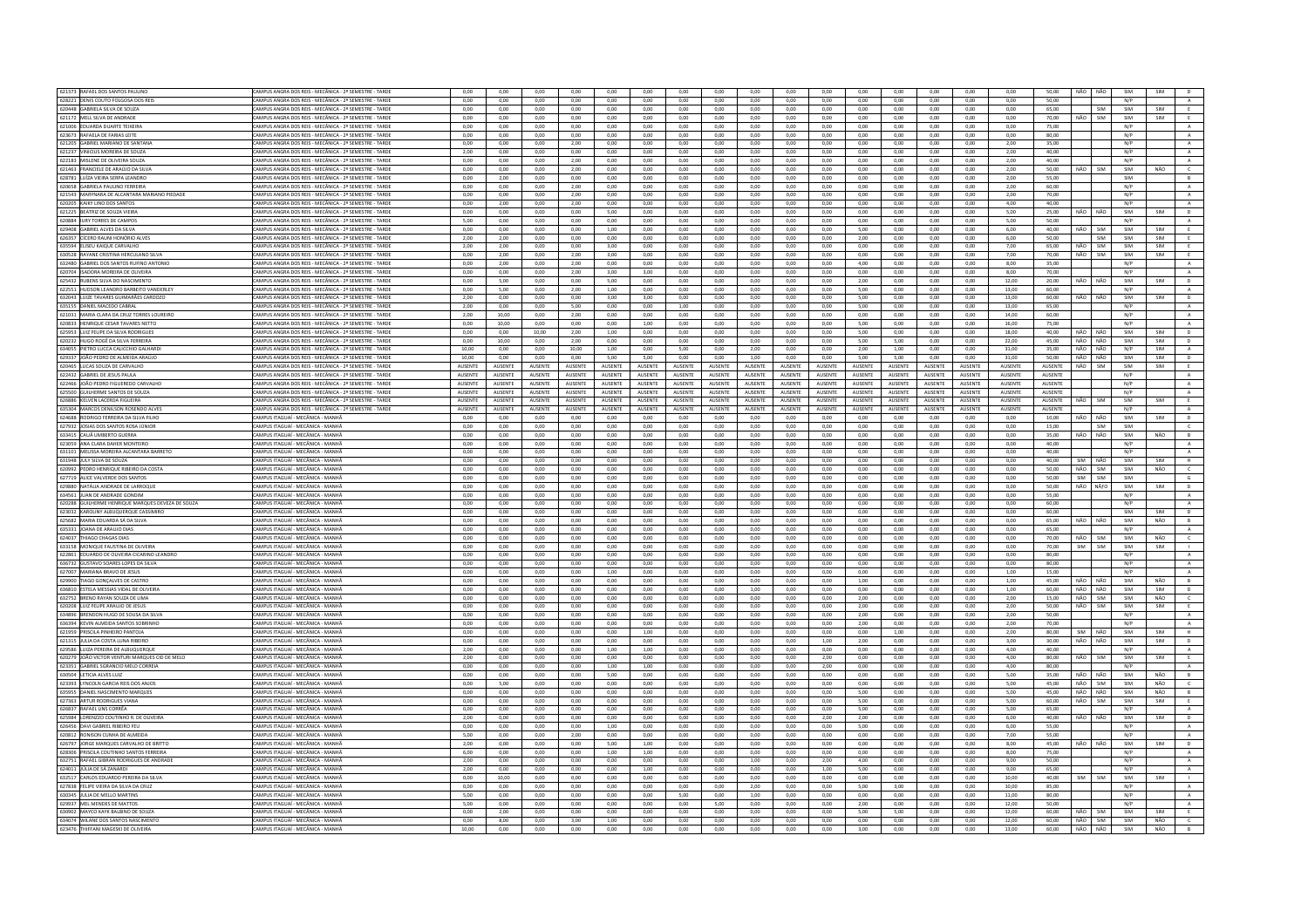| 621373 RAFAEL DOS SANTOS PAULINO                                                           | CAMPUS ANGRA DOS REIS - MECÂNICA - 2º SEMESTRE - TARDE                 | 0,00              | 0,00           | 0,00           | 0,00              | 0,00           | 0,00           | 0,00              | 0,00           | 0,00           | 0,00           | 0,00              | 0,00           | 0,00           | 0,00              | 0,00           | 0,00           | 50,00          | NÃO NÃO    |                   | SIM        | SIM        | <b>D</b>                    |
|--------------------------------------------------------------------------------------------|------------------------------------------------------------------------|-------------------|----------------|----------------|-------------------|----------------|----------------|-------------------|----------------|----------------|----------------|-------------------|----------------|----------------|-------------------|----------------|----------------|----------------|------------|-------------------|------------|------------|-----------------------------|
| 628221 DENIS COUTO FOLGOSA DOS REIS                                                        | CAMPUS ANGRA DOS REIS - MECÂNICA - 2º SEMESTRE - TARDE                 | 0.00              | 0.00           | 0.00           | 0.00              | 0.00           | 0.00           | 0.00              | 0.00           | 0.00           | 0.00           | 0.00              | 0.00           | 0.00           | 0.00              | 0.00           | 0.00           | 50.00          |            |                   | N/P        |            | A                           |
| 620448 GABRIELA SILVA DE SOUZA                                                             | CAMPUS ANGRA DOS REIS - MECÂNICA - 2º SEMESTRE - TARDE                 | 0,00              | 0,00           | 0,00           | 0,00              | 0,00           | 0,00           | 0,00              | 0,00           | 0,00           | 0,00           | 0,00              | 0,00           | 0,00           | 0,00              | 0,00           | 0,00           | 65,00          |            | SIM               | SIM        | SIM        |                             |
| 621172 MELL SILVA DE ANDRADE                                                               | :AMPUS ANGRA DOS REIS - MECÂNICA - 2º SEMESTRE - TARDE                 | 0.00              | 0.00           | 0.00           | 0.00              | 0.00           | 0.00           | 0.00              | 0.00           | 0.00           | 0.00           | 0.00              | 0.00           | 0.00           | 0.00              | 0.00           | 0.00           | 70.00          | NÃO        | SIM               | SIM        | SIM        | E                           |
| 621006 EDUARDA DUARTE TEIXEIR/                                                             | CAMPUS ANGRA DOS REIS - MECÂNICA - 2º SEMESTRE - TARDI                 | 0.00              | 0.00           | 0.00           | 0.00              | 0.00           | 0.00           | 0.00              | 0.00           | 0.00           | 0.00           | 0,00              | 0.00           | 0.00           | 0,00              | 0.00           | 0.00           | 75.00          |            |                   | N/P        |            | A                           |
| 623673 RAFAELA DE FARIAS LEITE                                                             | CAMPUS ANGRA DOS REIS - MECÂNICA - 2º SEMESTRE - TARDE                 | 0.00              | 0.00           | 0.00           | 0.00              | 0.00           | 0.00           | 0.00              | 0.00           | 0.00           | 0.00           | 0.00              | 0.00           | 0.00           | 0.00              | 0.00           | 0.00           | 80.00          |            |                   | N/P        |            | $\mathbf{A}$                |
| 621205 GARRIEL MARIANO DE SANTANA                                                          | CAMPUS ANGRA DOS REIS - MECÂNICA - 22 SEMESTRE - TARDE                 | 0.00              | 0.00           | 0.00           | 2.00              | 0.00           | 0.00           | 0.00              | 0.00           | 0.00           | 0.00           | 0.00              | 0.00           | 0.00           | 0.00              | 0.00           | 2.00           | 35.00          |            |                   | N/P        |            | A                           |
| 621237 VINICIUS MOREIRA DE SOUZA                                                           | <b>CAMPUS ANGRA DOS REIS - MECÂNICA - 2º SEMESTRE - TARDE</b>          | 2.00              | 0.00           | 0.00           | 0.00              | 0.00           | 0.00           | 0.00              | 0.00           | 0.00           | 0.00           |                   | 0.00           | 0.00           | 0.00              | 0.00           | 2.00           | 40.00          |            |                   | N/P        |            |                             |
|                                                                                            |                                                                        |                   |                |                |                   |                |                |                   |                |                |                | $_{0,00}$         |                |                |                   |                |                |                |            |                   |            |            | $\mathbf{A}$                |
| 622183 MISLENE DE OLIVEIRA SOUZA                                                           | CAMPUS ANGRA DOS REIS - MECÂNICA - 2º SEMESTRE - TARDE                 | 0.00              | 0.00           | 0.00           | 2.00              | 0.00           | 0.00           | 0.00              | 0.00           | 0.00           | 0.00           | 0.00              | 0.00           | 0.00           | 0.00              | 0.00           | 2.00           | 40.00          |            |                   | N/P        |            | A                           |
| 621463 FRANCIELE DE ARAÚJO DA SILVA                                                        | CAMPUS ANGRA DOS REIS - MECÂNICA - 2º SEMESTRE - TARDE                 | 0.00              | 0.00           | 0.00           | 2.00              | 0.00           | 0.00           | 0.00              | 0.00           | 0.00           | 0.00           | 0.00              | 0.00           | 0.00           | 0.00              | 0.00           | 2,00           | 50.00          | NÃO        | SIM               | SIM        | NÃO        | $\epsilon$                  |
| 628781 LUÍZA VIEIRA SERPA LEANDRO                                                          | CAMPUS ANGRA DOS REIS - MECÂNICA - 2º SEMESTRE - TARDE                 | 0,00              | 2,00           | 0,00           | 0,00              | 0,00           | 0,00           | 0,00              | 0,00           | 0,00           | 0,00           | 0,00              | 0,00           | 0,00           | 0,00              | 0,00           | 2,00           | 55,00          |            |                   | SIM        |            | B                           |
| 620658 GABRIELA PAULINO FERREIRA                                                           | CAMPUS ANGRA DOS REIS - MECÂNICA - 2º SEMESTRE - TARDI                 | 0,00              | 0,00           | 0,00           | 2,00              | 0,00           | 0,00           | 0,00              | 0,00           | 0,00           | 0,00           | 0,00              | 0,00           | 0,00           | 0,00              | 0,00           | 2,00           | 60,00          |            |                   | N/P        |            | $\mathbf{A}$                |
| 621543 MARYNARA DE ALCANTARA MARIANO PIEDADE                                               | CAMPUS ANGRA DOS REIS - MECÂNICA - 2º SEMESTRE - TARDE                 | 0,00              | 0,00           | 0,00           | 2,00              | 0,00           | 0,00           | 0,00              | 0,00           | 0,00           | 0,00           | 0,00              | 0,00           | 0,00           | 0,00              | 0,00           | 2,00           | 70,00          |            |                   | N/P        |            | A                           |
| 620205 KAIKY LINO DOS SANTOS                                                               | CAMPUS ANGRA DOS REIS - MECÂNICA - 2º SEMESTRE - TARDE                 | 0.00              | 2.00           | 0.00           | 2.00              | 0.00           | 0.00           | 0.00              | 0.00           | 0.00           | 0.00           | 0.00              | 0.00           | 0.00           | 0.00              | 0.00           | 4.00           | 40.00          |            |                   | N/P        |            | A                           |
| 621225 BEATRIZ DE SOUZA VIEIR                                                              | CAMPUS ANGRA DOS REIS - MECÂNICA - 2º SEMESTRE - TARDI                 | 0,00              | 0,00           | 0,00           | 0,00              | 5,00           | 0,00           | 0,00              | 0,00           | 0,00           | 0,00           | 0,00              | 0,00           | 0,00           | 0,00              | 0,00           | 5,00           | 25,00          |            | NÃO               | SIM        |            | D                           |
| 620884 IURY TORRES DE CAMPOS                                                               | CAMPUS ANGRA DOS REIS - MECÂNICA - 2º SEMESTRE - TARDE                 | 5,00              | 0,00           | 0,00           | 0,00              | 0,00           | 0,00           | 0,00              | 0,00           | 0,00           | 0,00           | 0,00              | 0,00           | 0,00           | 0,00              | 0,00           | 5,00           | 50,00          |            |                   | N/P        |            | A                           |
|                                                                                            |                                                                        |                   |                |                |                   |                |                |                   |                |                |                |                   |                |                |                   |                |                |                |            |                   |            |            |                             |
| 629408 GABRIEL ALVES DA SILVA                                                              | CAMPUS ANGRA DOS REIS - MECÂNICA - 2º SEMESTRE - TARDE                 | 0.00              | 0,00           | 0,00           | 0,00              | 1,00           | 0,00           | 0.00              | 0,00           | 0,00           | 0,00           | 0,00              | 5,00           | 0,00           | 0,00              | 0,00           | 6,00           | 40.00          | NÃO        | SIM               | SIM        | SIM        | E                           |
| 626357 CÍCERO RAUNI HONÓRIO ALVES                                                          | AMPUS ANGRA DOS REIS - MECÂNICA - 2º SEMESTRE - TARDE                  | 2,00              | 2,00           | 0,00           | 0,00              | 0,00           | 0,00           | 0,00              | 0,00           | 0,00           | 0,00           | 0,00              | 2,00           | 0,00           | 0,00              | 0,00           | 6,00           | 50.00          |            | <b>SIM</b>        | SIM        | SIM        | E                           |
| 635594 ELISEU KAIQUE CARVALHO                                                              | CAMPUS ANGRA DOS REIS - MECÂNICA - 2º SEMESTRE - TARDE                 | 2.00              | 2.00           | 0.00           | 0.00              | 3.00           | 0.00           | 0.00              | 0.00           | 0.00           | 0.00           | 0.00              | 0.00           | 0.00           | 0.00              | 0.00           | 7.00           | 65.00          | NÃO        | SIM               | SIM        | SIM        | E                           |
| 630528 RAYANE CRISTINA HERCULANO SILVA                                                     | CAMPUS ANGRA DOS REIS - MECÂNICA - 2º SEMESTRE - TARDE                 | 0,00              | 2,00           | 0,00           | 2,00              | 3,00           | 0,00           | 0,00              | 0,00           | 0,00           | 0,00           | 0,00              | 0,00           | 0,00           | 0,00              | 0,00           | 7,00           | 70,00          | NÃO        | SIM               | SIM        | SIM        |                             |
| 632480 GABRIEL DOS SANTOS RUFINO ANTONIO                                                   | CAMPUS ANGRA DOS REIS - MECÂNICA - 2º SEMESTRE - TARDE                 | 0.00              | 2.00           | 0.00           | 2.00              | 0.00           | 0.00           | 0.00              | 0.00           | 0.00           | 0.00           | 0.00              | 4.00           | 0.00           | 0.00              | 0.00           | 8.00           | 35.00          |            |                   | N/P        |            | A                           |
| 620704 ISADORA MOREIRA DE OLIVEIRA                                                         | AMPUS ANGRA DOS REIS - MECÂNICA - 2º SEMESTRE - TARDI                  | 0,00              | 0,00           | 0,00           | 2,00              | 3,00           | 3,00           | 0,00              | 0,00           | 0,00           | 0,00           | 0,00              | 0,00           | 0,00           | 0,00              | 0,00           | 8,00           | 70,00          |            |                   | N/P        |            | $\mathbf{A}$                |
| 625432 RUBENS SILVA DO NASCIMENTO                                                          | CAMPUS ANGRA DOS REIS - MECÂNICA - 2º SEMESTRE - TARDE                 | 0.00              | 5.00           | 0.00           | 0.00              | 5.00           | 0.00           | 0.00              | 0.00           | 0.00           | 0.00           | 0.00              | 2.00           | 0.00           | 0.00              | 0.00           | 12.00          | 20.00          | NÃO        | NÃO               | SIM        | SIM        | D                           |
| 622551 HUDSON LEANDRO BARREITO VANDERLEY                                                   | CAMPUS ANGRA DOS REIS - MECÂNICA - 22 SEMESTRE - TARDE                 | 0.00              | 5.00           | 0.00           | 2.00              | 1.00           | 0.00           | 0.00              | 0.00           | 0.00           | 0.00           | 0.00              | 5.00           | 0.00           | 0.00              | 0.00           | 13.00          | 60.00          |            |                   | N/P        |            | A                           |
| 632043 LUIZE TAVARES GUIMARÃES CARDOZO                                                     | MPUS ANGRA DOS REIS - MECÂNICA - 2º SEMESTRE - TARDE                   | 2,00              | 0.00           | 0.00           | 0,00              | 3.00           | 3.00           | 0.00              | 0.00           | 0.00           | 0,00           | 0,00              | 5.00           | 0.00           | 0,00              |                |                | 60.00          | NÃO        | NÃO               | SIM        | SIM        | $\overline{D}$              |
|                                                                                            |                                                                        |                   |                |                |                   |                |                |                   |                |                |                |                   |                |                |                   | 0,00           | 13,00          |                |            |                   |            |            |                             |
| 635155 DANIEL MACEDO CABRAL                                                                | CAMPUS ANGRA DOS REIS - MECÂNICA - 22 SEMESTRE - TARDE                 | 2.00              | 0.00           | 0.00           | 5.00              | 0.00           | 0.00           | 1.00              | 0.00           | 0.00           | 0.00           | 0.00              | 5.00           | 0.00           | 0.00              | 0.00           | 13.00          | 65.00          |            |                   | N/P        |            | A                           |
| 621031 MARIA CLARA DA CRUZ TORRES LOUREIRO                                                 | CAMPUS ANGRA DOS REIS - MECÂNICA - 2º SEMESTRE - TARDE                 | 2,00              | 10,00          | 0,00           | 2,00              | 0,00           | 0,00           | 0.00              | 0,00           | 0,00           | 0.00           | 0,00              | 0,00           | 0,00           | 0,00              | 0,00           | 14,00          | 60.00          |            |                   | N/P        |            | $\mathbf{A}$                |
| 620833 HENRIQUE CESAR TAVARES NETTO                                                        | CAMPUS ANGRA DOS REIS - MECÂNICA - 2º SEMESTRE - TARDE                 | 0.00              | 10.00          | 0.00           | 0.00              | 0.00           | 1.00           | 0.00              | 0.00           | 0.00           | 0.00           | 0.00              | 5.00           | 0.00           | 0.00              | 0.00           | 16.00          | 75.00          |            |                   | N/P        |            | A                           |
| 625953 LUIZ FELIPE DA SILVA RODRIGUES                                                      | CAMPUS ANGRA DOS REIS - MECÂNICA - 2º SEMESTRE - TARDI                 | 0.00              | 0.00           | 10.00          | 2,00              | 1,00           | 0,00           | 0.00              | 0.00           | 0.00           | 0.00           | 0,00              | 5.00           | 0.00           | $_{0,00}$         | 0,00           | 18,00          | 40,00          | NÃO        | NÃO               | SIM        | SIM        | D                           |
| 620232 HUGO ROGÊ DA SILVA FERREIRA                                                         | CAMPUS ANGRA DOS REIS - MECÂNICA - 2º SEMESTRE - TARDE                 | 0.00              | 10.00          | 0.00           | 2.00              | 0.00           | 0.00           | 0.00              | 0.00           | 0.00           | 0.00           | 0.00              | 5.00           | 5.00           | 0.00              | 0.00           | 22.00          | 45.00          | NÃO NÃO    |                   | SIM        | SIM        | D                           |
| 634055 PIFTRO LUCCA CALICCHIO GALHARD                                                      | CAMPUS ANGRA DOS REIS - MECÂNICA - 22 SEMESTRE - TARDE                 | 10.00             | 0.00           | $0.00 -$       | 10.00             | 1.00           | 0.00           | 5.00              | 0.00           | 2.00           | 0.00           | 0.00              | 2.00           | 1.00           | 0.00              | 0.00           | 31.00          | 35.00          | NÃO NÃO    |                   | N/P        | SIM        | $\Lambda$                   |
| 629337 JOÃO PEDRO DE ALMEIDA ARAÚJO                                                        | AMPUS ANGRA DOS REIS - MECÂNICA - 2º SEMESTRE - TARDE                  | 10,00             | 0,00           | 0,00           | 0,00              | 5,00           | 5,00           | 0,00              | 0,00           | 1,00           | 0,00           | 0,00              | 5,00           | 5,00           | 0,00              | 0,00           | 31,00          | 50,00          | NÃO        | NÃO               | SIM        | SIM        | $\mathsf D$                 |
| 620465 LUCAS SOUZA DE CARVALHO                                                             | CAMPUS ANGRA DOS REIS - MECÂNICA - 2º SEMESTRE - TARDE                 | AUSENTE           | AUSENTE        | <b>AUSENTE</b> | AUSENTE           | <b>AUSENTE</b> | <b>AUSENTE</b> | AUSENTE           | AUSENTE        | <b>AUSENTE</b> | AUSENTE        | AUSENTE           | AUSENTE        | AUSENTE        | AUSENTE           | <b>AUSENTE</b> | AUSENTE        | AUSENTE        | NÃO        | SIM               | SIM        | SIM        | E                           |
| 622432 GABRIEL DE JESUS PAULA                                                              | CAMPUS ANGRA DOS REIS - MECÂNICA - 2º SEMESTRE - TARDE                 | AUSENTE           | AUSENTE        | <b>AUSENTE</b> | <b>AUSENTE</b>    | AUSENTE        | AUSENTE        | AUSENTE           | AUSENTE        | AUSENTE        | AUSENTE        | AUSENTE           | AUSENTE        | <b>AUSENTE</b> | AUSENTE           | <b>AUSENTE</b> | AUSENTE        | AUSENTE        |            |                   | N/P        |            | $\,$ A $\,$                 |
|                                                                                            |                                                                        |                   |                |                |                   |                |                |                   |                |                |                |                   |                |                |                   |                |                |                |            |                   |            |            |                             |
| 622466 JOÃO PEDRO FIGUEREDO CARVALHO                                                       | AMPUS ANGRA DOS REIS - MECÂNICA - 2º SEMESTRE - TARDE                  | AUSENTE           | AUSENTE        | AUSENTE        | <b>AUSENTE</b>    | <b>AUSENTE</b> | AUSENTE        | AUSENTE           | AUSENTE        | AUSENTE        | <b>AUSENTE</b> | AUSENTE           | AUSENTE        | AUSENTE        | AUSENTE           | <b>AUSENTE</b> | AUSENTE        | AUSENTE        |            |                   | N/P        |            | A                           |
| 625500 GUILHERME SANTOS DE SOUZA                                                           | CAMPUS ANGRA DOS REIS - MECÂNICA - 2º SEMESTRE - TARDE                 | AUSENTE           | AUSENTE        | <b>AUSENTE</b> | <b>AUSENTE</b>    | <b>AUSENTE</b> | AUSENTE        | <b>ALISENTE</b>   | <b>AUSENTE</b> | AUSENTE        | <b>AUSENTE</b> | <b>AUSENTE</b>    | AUSENTE        | <b>AUSENTE</b> | AUSENTE           | <b>AUSENTE</b> | AUSENTE        | AUSENTE        |            |                   | N/P        |            | A                           |
| 626886 KELVEN LACERDA FIGUEIRA                                                             | CAMPUS ANGRA DOS REIS - MECÂNICA - 2º SEMESTRE - TARDE                 | AUSENTE           | <b>AUSENTE</b> | AUSENTE        | <b>AUSENTE</b>    | <b>AUSENTE</b> | AUSENTE        | <b>AUSENTE</b>    | <b>AUSENTE</b> | <b>AUSENTE</b> | AUSENTE        | <b>AUSENTE</b>    | <b>AUSENTE</b> | AUSENTE        | AUSENTE           | <b>AUSENTE</b> | <b>AUSENTE</b> | AUSENTE        | NÃO        | SIM               | SIM        | SIM        | E                           |
| 635304 MARCOS DENILSON ROSENDO ALVES                                                       | CAMPUS ANGRA DOS REIS - MECÂNICA - 2º SEMESTRE - TARDE                 | AUSENTE           | AUSENTE        | AUSENTE        | AUSENTE           | <b>AUSENTE</b> | AUSENTE        | <b>AUSENTE</b>    | AUSENTE        | AUSENTE        | AUSENTE        | AUSENTE           | AUSENTE        | AUSENTE        | AUSENTE           | <b>AUSENTE</b> | AUSENTE        | AUSENTE        |            |                   | N/P        |            | A                           |
| 624688 RODRIGO FERREIRA DA SILVA FILHO                                                     | CAMPUS ITAGUAÍ - MECÂNICA - MANH.                                      | 0,00              | 0,00           | 0,00           | 0,00              | 0,00           | 0,00           | 0,00              | 0,00           | 0,00           | 0,00           | 0,00              | 0,00           | 0,00           | 0,00              | 0,00           | 0,00           | 10,00          | NÃO        | NÃO               | SIM        | SIM        | $\mathsf D$                 |
| 627932 UOSIAS DOS SANTOS ROSA JÚNIOR                                                       | CAMPUS ITAGUAÍ - MECÂNICA - MANHÀ                                      | 0.00              | 0.00           | 0.00           | 0.00              | 0.00           | 0.00           | 0.00              | 0.00           | 0.00           | 0.00           | 0.00              | 0.00           | 0.00           | 0.00              | 0.00           | 0.00           | 15.00          |            | SIM               | SIM        |            | $\epsilon$                  |
| 633415 CAUÃ UMBERTO GUERRA                                                                 | CAMPUS ITAGUAÍ - MECÂNICA - MANHÀ                                      | 0,00              | 0,00           | 0,00           | 0,00              | 0,00           | 0,00           | 0,00              | 0,00           | 0,00           | 0,00           | 0,00              | 0,00           | 0,00           | 0,00              | 0,00           | 0,00           | 35,00          | NÃO        | NÃO               | SIM        | NÃO        | $\,$ B                      |
| 623059 ANA CLARA DAHER MONTEIRO                                                            | AMPUS ITAGUAÍ - MECÂNICA - MANHÀ                                       | 0,00              | 0,00           | 0,00           | 0,00              | 0,00           | 0,00           | 0,00              | 0,00           | 0,00           | 0,00           | 0,00              | 0,00           | 0,00           | 0,00              | 0,00           | 0,00           | 40.00          |            |                   | N/P        |            | A                           |
| 631101 MELISSA MOREIRA ALCANTARA BARRETO                                                   | CAMPUS ITAGUAÍ - MECÂNICA - MANHÀ                                      | 0.00              | 0.00           | 0.00           | 0.00              | 0.00           | 0.00           | 0.00              | 0.00           | 0.00           | 0.00           | 0.00              | 0.00           | 0.00           | 0.00              | 0.00           | 0.00           | 40.00          |            |                   | N/P        |            | A                           |
|                                                                                            |                                                                        |                   | 0.00           |                | 0,00              |                | 0.00           |                   | 0.00           |                |                |                   |                |                |                   |                |                |                |            |                   |            |            |                             |
| 631948 JULY SILVA DE SOUZA                                                                 | CAMPUS ITAGUAÍ - MECÂNICA - MANH.                                      | 0.00              |                | 0.00           |                   | 0.00           |                | 0.00              |                | 0.00           | 0.00           | 0.00              | 0.00           | 0.00           | 0,00              | 0,00           | 0.00           | 40.00          | SIM        | NÃO               | SIM        | SIM        | $\overline{H}$              |
|                                                                                            |                                                                        |                   |                |                |                   |                |                |                   |                |                |                |                   |                |                |                   |                |                |                |            |                   |            |            |                             |
| 620992 PEDRO HENRIQUE RIBEIRO DA COSTA                                                     | CAMPUS ITAGUAÍ - MECÂNICA - MANHÃ                                      | 0.00              | 0.00           | 0.00           | 0.00              | 0.00           | 0.00           | 0.00              | 0.00           | 0.00           | 0.00           | 0.00              | 0.00           | 0.00           | 0.00              | 0.00           | 0.00           | 50.00          | NÃO        | SIM               | SIM        | NÃO        | $\epsilon$                  |
| 627719 ALICE VALVERDE DOS SANTOS                                                           | CAMPUS ITAGUAÍ - MECÂNICA - MANHÀ                                      | 0,00              | 0,00           | 0,00           | 0,00              | 0,00           | 0,00           | 0,00              | 0,00           | 0,00           | 0,00           | 0,00              | 0,00           | 0,00           | 0,00              | 0,00           | 0,00           | 50.00          | SIM        | SIM               | SIM        |            | G                           |
| 629880 NATÁLIA ANDRADE DE LARROQUE                                                         | CAMPUS ITAGUAÍ - MECÂNICA - MANHÀ                                      | 0.00              | 0.00           | 0.00           | 0.00              | 0.00           | 0.00           | 0.00              | 0.00           | 0.00           | 0.00           | 0.00              | 0.00           | 0.00           | 0.00              | 0.00           | 0.00           | 50.00          | NÃO        | NÃfO              | SIM        | SIM        | D                           |
|                                                                                            | CAMPUS ITAGUAÍ - MECÂNICA - MANHÃ                                      | 0.00              | 0.00           | 0.00           | 0.00              | 0.00           | 0.00           | 0.00              | 0.00           | 0.00           | 0.00           | 0.00              | 0.00           | 0.00           | 0.00              | 0.00           | 0.00           | 55.00          |            |                   | N/P        |            |                             |
| 634561 JUAN DE ANDRADE GONDIM                                                              | AMPUS ITAGUAÍ - MECÂNICA - MANHÀ                                       | 0,00              | 0,00           | 0,00           | 0,00              | 0,00           | 0,00           |                   | 0,00           | 0,00           | 0,00           | 0,00              | 0,00           | 0,00           | 0,00              | 0,00           |                | 60.00          |            |                   | N/P        |            | $\mathbf{A}$<br>$\mathbb A$ |
| 620288 GUILHERME HENRIQUE MARQUES DEVEZA DE SOUZA<br>623032 KAROLINY ALBUQUEROUE CASSIMIRO | CAMPUS ITAGUAÍ - MECÂNICA - MANHÀ                                      | 0.00              | 0.00           | 0.00           | 0.00              | 0.00           | 0.00           | $_{0,00}$<br>0.00 | 0.00           | 0.00           | 0.00           | 0.00              | 0.00           | 0.00           | 0.00              | 0.00           | 0,00<br>0.00   | 60.00          |            |                   | SIM        | SIM        |                             |
|                                                                                            |                                                                        |                   |                |                |                   |                |                |                   |                |                |                |                   |                |                |                   |                |                |                |            |                   |            |            | D                           |
| 625682 MARIA EDUARDA SÁ DA SILVA                                                           | CAMPUS ITAGUAÍ - MECÂNICA - MANH.                                      | 0.00              | 0.00           | 0.00           | 0.00              | 0.00           | 0.00           | 0.00              | 0.00           | 0.00           | 0.00           | 0.00              | 0.00           | 0.00           | 0.00              | 0.00           | 0.00           | 65.00          | NÃO        | NÃO               | SIM        | NÃO        | B                           |
| 635331 JOANA DE ARAUJO DIAS                                                                | CAMPUS ITAGUAÍ - MECÂNICA - MANHÀ                                      | 0.00              | 0.00           | 0.00           | 0.00              | 0.00           | 0.00           | 0.00              | 0.00           | 0.00           | 0.00           | 0.00              | 0.00           | 0.00           | 0.00              | 0.00           | 0.00           | 65.00          |            |                   | N/P        |            | $\Lambda$                   |
| 624037 THIAGO CHAGAS DIAS                                                                  | CAMPLIS ITAGUAÍ - MECÂNICA - MANHŽ                                     | 0,00              | 0,00           | 0,00           | 0,00              | 0,00           | 0,00           | 0,00              | 0,00           | 0,00           | 0,00           | 0,00              | 0,00           | 0,00           | 0,00              | 0,00           | 0,00           | 70,00          | NÃO        | <b>SIM</b>        | SIM        | NÃO        | $\epsilon$                  |
| 633158 MONIQUE FAUSTINA DE OLIVEIRA                                                        | CAMPUS ITAGUAÍ - MECÂNICA - MANHÀ                                      | 0,00              | 0,00           | 0,00           | 0,00              | 0,00           | 0,00           | 0,00              | 0,00           | 0,00           | 0,00           | 0,00              | 0,00           | 0,00           | 0,00              | 0,00           | 0,00           | 70,00          | SIM        | SIM               | SIM        | SIM        | $\mathbf{L}$                |
| 622861 EDUARDO DE OLIVEIRA CICARINO LEANDRO                                                | CAMPUS ITAGUAÍ - MECÂNICA - MANHÃ                                      | 0.00              | 0.00           | 0.00           | 0.00              | 0.00           | 0.00           | 0.00              | 0.00           | 0.00           | 0.00           | 0.00              | 0.00           | 0.00           | 0.00              | 0.00           | 0.00           | 80.00          |            |                   | N/P        |            | $\,$ A $\,$                 |
| 636732 GUSTAVO SOARES LOPES DA SILVA                                                       | CAMPUS ITAGUAÍ - MECÂNICA - MANH.                                      | 0,00              | 0,00           | 0,00           | 0,00              | 0,00           | 0,00           | 0,00              | 0,00           | 0,00           | 0,00           | 0,00              | 0,00           | 0,00           | 0,00              | 0,00           | 0,00           | 80,00          |            |                   | N/P        |            | $\mathbf{A}$                |
| 627007 MARIANA BRAVO DE JESUS                                                              | CAMPUS ITAGUAÍ - MECÂNICA - MANHÀ                                      | 0.00              | 0.00           | 0.00           | 0.00              | 1.00           | 0.00           | 0.00              | 0.00           | 0.00           | 0.00           | 0.00              | 0.00           | 0.00           | 0.00              | 0.00           | 1.00           | 15.00          |            |                   | N/P        |            | $\mathbf{A}$                |
| 629900 TIAGO GONÇALVES DE CASTRO                                                           | CAMPUS ITAGUAÍ - MECÂNICA - MANHÀ                                      | 0,00              | 0,00           | 0,00           | 0,00              | 0,00           | 0,00           | 0,00              | 0,00           | 0,00           | 0,00           | 0,00              | 1,00           | 0,00           | 0,00              | 0,00           | 1,00           | 45,00          | NÃO        | NÃO               | SIM        | NÃO        | B                           |
| 636810 ESTELA MESSIAS VIDAL DE OLIVEIRA                                                    | CAMPUS ITAGUAÍ - MECÂNICA - MANHÀ                                      | 0.00              | 0.00           | 0.00           | 0.00              | 0.00           | 0.00           | 0.00              | 0.00           | 1.00           | 0.00           | 0.00              | 0.00           | 0.00           | 0.00              | 0.00           | 1.00           | 60.00          | NÃO        | NÃO               | SIM        | SIM        | D                           |
| 632752 BRENO RAYAN SOUZA DE LIMA                                                           | CAMPUS ITAGUAÍ - MECÂNICA - MANHÀ                                      | 0.00              | 0.00           | 0.00           | 0,00              | 0,00           | 0.00           | 0.00              | 0.00           | 0.00           | 0.00           | 0,00              | 2.00           | 0.00           | 0.00              | 0.00           | 2.00           | 15.00          | NÃO        | SIM               | SIM        | NÃO        |                             |
|                                                                                            |                                                                        |                   |                |                |                   |                |                |                   |                |                |                |                   |                |                |                   |                |                |                | NÃO        | SIM               | SIM        | SIM        | $\mathsf{C}$<br>E           |
| 620208 LUIZ FELIPE ARAUJO DE JESUS                                                         | CAMPUS ITAGUAÍ - MECÂNICA - MANHÀ<br>CAMPUS ITAGUAÍ - MECÂNICA - MANHÃ | 0,00<br>0.00      | 0,00<br>0.00   | 0,00<br>0.00   | 0,00<br>0.00      | 0,00<br>0.00   | 0,00<br>0.00   | 0,00<br>0.00      | 0,00<br>0.00   | 0,00<br>0.00   | 0,00<br>0.00   | 0,00<br>$0.00 -$  | 2,00<br>200    | 0,00<br>0.00   | 0,00<br>0.00      | 0,00<br>0.00   | 2,00<br>2.00   | 50,00<br>50.00 |            |                   | N/P        |            |                             |
| 634896 BRENDON HUGO DE SOUSA DA SILVA                                                      |                                                                        |                   |                |                |                   |                |                |                   |                |                |                |                   |                |                |                   |                |                |                |            |                   |            |            | A                           |
| 636394 KEVIN ALMEIDA SANTOS SOBRINHO                                                       | CAMPUS ITAGUAÍ - MECÂNICA - MANHÀ                                      | 0,00              | 0,00           | 0,00           | 0,00              | 0,00           | 0,00           | 0,00              | 0,00           | 0,00           | 0,00           | 0,00              | 2,00           | 0,00           | 0,00              | 0,00           | 2,00           | 70,00          |            |                   | N/P        |            | $\mathbf{A}$                |
| 621959 PRISCILA PINHEIRO PANTOJA                                                           | CAMPUS ITAGUAÍ - MECÂNICA - MANHÀ                                      | 0.00              | 0.00           | 0.00           | 0.00              | 0.00           | 1.00           | 0.00              | 0.00           | 0.00           | 0.00           | 0.00              | 0.00           | 1.00           | 0.00              | 0.00           | 2.00           | 80.00          | SIM        | NÃO               | SIM        | SIM        | H                           |
| 621315 JULIA DA COSTA LUNA RIBEIRO                                                         | CAMPUS ITAGUAÍ - MECÂNICA - MANHÀ                                      | 0,00              | 0,00           | 0,00           | 0,00              | 0,00           | 0,00           | 0,00              | 0,00           | 0,00           | 0,00           | 1,00              | 2,00           | 0,00           | 0,00              | 0,00           | 3,00           | 30,00          | NÃO        | NÃO               | SIM        | SIM        | $\overline{\mathbf{D}}$     |
| 629586 LUIZA PEREIRA DE ALBUQUERQU                                                         | CAMPUS ITAGUAÍ - MECÂNICA - MANHÀ                                      | 2.00              | 0.00           | 0.00           | 0.00              | 1.00           | 1.00           | 0.00              | 0.00           | 0.00           | 0.00           | 0.00              | 0.00           | 0.00           | 0.00              | 0.00           | 4.00           | 40.00          |            |                   | N/P        |            | $\mathbf{A}$                |
| 620279 JOÃO VICTOR VENTURI MARQUES CID DE MELO                                             | CAMPUS ITAGUAÍ - MECÂNICA - MANHÀ                                      | 2.00              | 0.00           | 0.00           | 0.00              | 0.00           | 0.00           | 0.00              | 0.00           | 0.00           | 0.00           | 2.00              | 0.00           | 0.00           | 0.00              | 0.00           | 4.00           | 80.00          | NÃO        | <b>SIM</b>        | SIM        | SIM        | E                           |
| 623351 GABRIEL SGRANCIO MELO CORREIA                                                       | CAMPUS ITAGUAÍ - MECÂNICA - MANHÀ                                      | 0.00              | 0.00           | 0.00           | 0.00              | 1.00           | 1.00           | 0.00              | 0.00           | 0.00           | 0.00           | 2.00              | 0.00           | 0.00           | 0.00              | 0.00           | 4.00           | 80.00          |            |                   | N/P        |            | A                           |
| 630504 ETICIA ALVES LUIZ                                                                   | CAMPUS ITAGUAÍ - MECÂNICA - MANHÃ                                      | 0.00              | 0.00           | 0.00           | 0.00              | 500            | 0.00           | 0.00              | 0.00           | 0.00           | 0.00           | 0.00              | 0.00           | 0.00           | 0.00              | 0.00           | 5.00           | 35.00          | NÃO        | NÃO               | SIM        | NÃO        | R                           |
|                                                                                            | AMPUS ITAGUAÍ - MECÂNICA - MANH.                                       |                   | 5.00           |                |                   |                |                | 0.00              |                | 0.00           | 0.00           |                   | 0.00           | 0.00           |                   | 0.00           | 5.00           | 45.00          | NÃO        | SIM               | SIM        | NÃO        |                             |
| 623393 LYNCOLN GARCIA REIS DOS ANJOS<br>635955 DANIEL NASCIMENTO MARQUES                   | CAMPUS ITAGUAÍ - MECÂNICA - MANHÃ                                      | $_{0,00}$<br>0.00 | 0.00           | 0,00<br>0.00   | $_{0,00}$<br>0.00 | 0,00<br>0.00   | 0,00<br>0.00   | 0.00              | 0,00<br>0.00   | 0.00           | 0.00           | $_{0,00}$<br>0.00 | 5.00           | 0.00           | $_{0,00}$<br>0.00 | 0.00           | 5.00           | 45.00          | NÃO        | NÃO               | SIM        | NÃO        | $\mathsf{C}$<br>B           |
|                                                                                            |                                                                        |                   |                |                |                   |                |                |                   |                |                |                |                   |                |                |                   |                |                |                |            |                   | SIM        |            |                             |
| 627363 ARTUR RODRIGUES VIANA                                                               | CAMPUS ITAGUAÍ - MECÂNICA - MANHÃ                                      | 0.00              | 0.00           | 0.00           | 0.00              | 0.00           | 0.00           | 0.00              | 0.00           | 0.00           | 0.00           | 0.00              | 5.00           | 0.00           | 0.00              | 0.00           | 5,00           | 60.00          | NÃO        | SIM               |            | SIM        |                             |
| 626837 RAFAEL LINS CORRÊA                                                                  | CAMPUS ITAGUAÍ - MECÂNICA - MANHÀ                                      | 0,00              | 0,00           | 0,00           | 0,00              | 0,00           | 0,00           | 0,00              | 0,00           | 0,00           | 0,00           | 0,00              | 5,00           | 0,00           | 0,00              | 0,00           | 5,00           | 65,00          |            |                   | N/P        |            | A                           |
| 625984 LORENZZO COLITINHO R. DE OLIVEIRA                                                   | CAMPUS ITAGUAÍ - MECÂNICA - MANHÀ                                      | 2.00              | 0.00           | 0.00           | 0.00              | 0.00           | 0.00           | 0.00              | 0.00           | 0.00           | 0.00           | 2.00              | 2.00           | 0.00           | 0.00              | 0.00           | 6.00           | 40.00          | NÃO        | NÃO               | SIM        | SIM        | D                           |
| 626456 DAVI GABRIEL RIBEIRO FEU                                                            | CAMPUS ITAGUAÍ - MECÂNICA - MANHÀ                                      | 0,00              | 0,00           | 0,00           | 0,00              | 1,00           | 0,00           | 0,00              | 0,00           | 0,00           | 0,00           | 0,00              | 5,00           | 0,00           | 0,00              | 0,00           | 6,00           | 55,00          |            |                   | N/P        |            | $\mathbf{A}$                |
| 620812 RONISON CUNHA DE ALMEIDA                                                            | CAMPUS ITAGUAÍ - MECÂNICA - MANHÃ                                      | 5.00              | 0.00           | 0.00           | 2.00              | 0.00           | 0.00           | 0.00              | 0.00           | 0.00           | 0.00           | 0.00              | 0.00           | 0.00           | 0.00              | 0.00           | 7.00           | 55.00          |            |                   | N/P        |            | A                           |
| 626797 JORGE MARQUES CARVALHO DE BRITTO                                                    | CAMPUS ITAGUAÍ - MECÂNICA - MANH.                                      | 2,00              | 0,00           | 0,00           | 0,00              | 5,00           | 1,00           | 0,00              | 0,00           | 0,00           | 0,00           | 0,00              | 0,00           | 0,00           | 0,00              | 0,00           | 8,00           | 45,00          | NÃO        | NÃO               | SIM        | SIM        | $\mathsf D$                 |
| 628306 PRISCILA COUTINHO SANTOS FERREIRA                                                   | CAMPUS ITAGUAÍ - MECÂNICA - MANHÀ                                      | 6,00              | 0,00           | 0,00           | 0,00              | 1,00           | 1,00           | 0,00              | 0,00           | 0,00           | 0,00           | 0,00              | 0,00           | 0,00           | 0,00              | 0,00           | 8,00           | 75,00          |            |                   | N/P        |            | A                           |
|                                                                                            | CAMPUS ITAGUAÍ - MECÂNICA - MANHÃ                                      |                   |                |                |                   |                |                | 0.00              |                |                |                |                   |                |                |                   |                |                | 50.00          |            |                   | N/P        |            |                             |
| 632751 RAFAEL GIBRAN RODRIGUES DE ANDRADE                                                  |                                                                        | 2,00              | 0,00           | 0,00           | 0,00              | 0,00           | 0,00           |                   | 0,00           | 1,00           | 0,00           | 2,00              | 4,00           | 0,00           | 0,00              | 0,00           | 9,00           |                |            |                   |            |            | A                           |
| 624011 JÚLIA DE SÁ ZANARDI                                                                 | CAMPUS ITAGUAÍ - MECÂNICA - MANHÀ                                      | 2,00              | 0,00           | 0,00           | 0,00              | 0,00           | 1,00           | 0,00              | 0,00           | 0,00           | 0,00           | 1,00              | 5,00           | 0,00           | 0,00              | 0,00           | 9,00           | 65,00          |            |                   | N/P        |            | A                           |
| 632517 CARLOS EDUARDO PEREIRA DA SILVA                                                     | CAMPUS ITAGUAÍ - MECÂNICA - MANHÀ                                      | 0.00              | 10.00          | 0.00           | 0.00              | 0.00           | 0.00           | 0.00              | 0.00           | 0.00           | 0.00           | 0.00              | 0.00           | 0.00           | 0.00              | 0.00           | 10.00          | 40.00          | SIM        | SIM               | SIM        | SIM        | $\mathbf{L}$                |
| 627838 FELIPE VIEIRA DA SILVA DA CRUZ                                                      | CAMPUS ITAGUAÍ - MECÂNICA - MANHÀ                                      | 0,00              | 0,00           | 0,00           | 0,00              | 0,00           | 0,00           | 0,00              | 0,00           | 2,00           | 0,00           | 0,00              | 5,00           | 3,00           | 0,00              | 0,00           | 10,00          | 85,00          |            |                   | N/P        |            | $\mathbf{A}$                |
| 630345 JULIA DE MELLO MARTINS                                                              | CAMPUS ITAGUAÍ - MECÂNICA - MANHÃ                                      | 5.00              | 0.00           | 0.00           | 0.00              | 0.00           | 0.00           | 5.00              | 0.00           | 1.00           | 0.00           | 0.00              | 0.00           | 0.00           | 0.00              | 0.00           | 11.00          | 80.00          |            |                   | N/P        |            | A                           |
| 629937 MEL MENDES DE MATTO                                                                 | AMPUS ITAGUAÍ - MECÂNICA - MANH.                                       | 5,00              | 0,00           | 0,00           | 0,00              | 0,00           | 0,00           | 0,00              | 5,00           | 0,00           | 0,00           | 0,00              | 2,00           | 0,00           | 0,00              | 0,00           | 12,00          | 50,00          |            |                   | N/P        |            | $\mathbb A$                 |
| 630902 MAYCO KAYK BALBINO DE SOUZA                                                         | CAMPUS ITAGUAÍ - MECÂNICA - MANHÀ                                      | 0,00              | 2,00           | 0.00           | 0,00              | 0.00           | 0.00           | 0.00              | 0.00           | 0.00           | 0.00           | 0,00              | 5.00           | 5,00           | 0,00              | 0.00           | 12.00          | 60.00          | NÃO        | SIM               | SIM        | SIM        | E                           |
| 634074 WILANE DOS SANTOS NASCIMENTO<br>623476 THIFFANI MAGESKI DE OLIVEIRA                 | CAMPUS ITAGUAÍ - MECÂNICA - MANHÃ<br>CAMPUS ITAGUAÍ - MECÂNICA - MANH. | $0.00 -$<br>10.00 | 8.00<br>0.00   | 0.00<br>0.00   | 3.00<br>0.00      | 1.00<br>0.00   | 0.00<br>0.00   | 0.00<br>0.00      | 0.00<br>0.00   | 0.00<br>0.00   | 0.00<br>0.00   | 0.00<br>0.00      | 0.00<br>3.00   | 0.00<br>0.00   | 0.00<br>0.00      | 0.00<br>0.00   | 12.00<br>13.00 | 60.00<br>60.00 | NÃO<br>NÃO | <b>SIM</b><br>NÃO | SIM<br>SIM | NÃO<br>NÃO | $\epsilon$                  |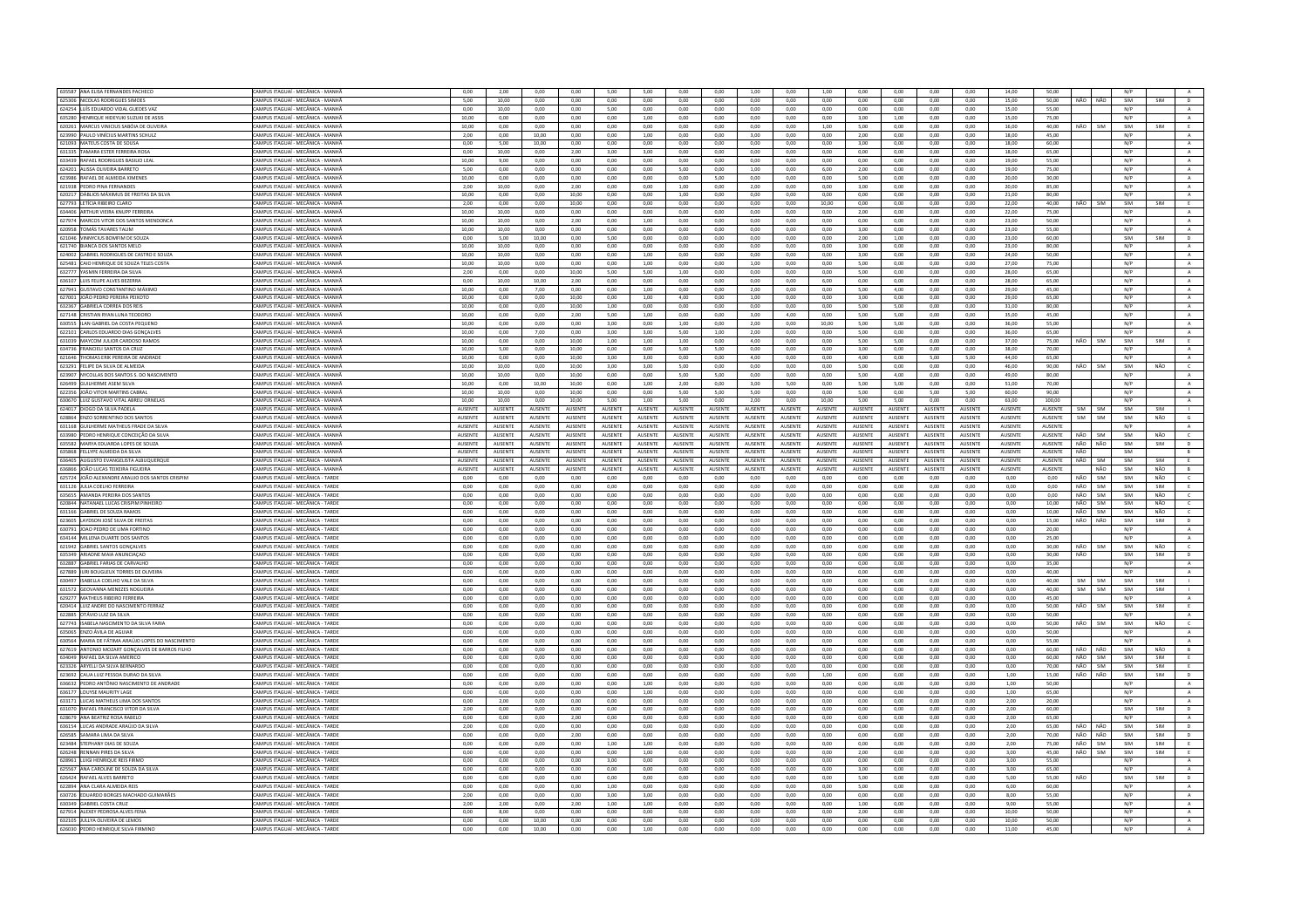| 635587 ANA ELISA FERNANDES PACHECO                                     | CAMPUS ITAGUAÍ - MECÂNICA - MANHÃ                                      | 0,00<br>5.00   | 2,00            | 0,00           | 0,00<br>0.00   | 5,00            | 5,00           | 0,00<br>0.00    | 0,00           | 1,00            | 0,00           | 1,00           | 0,00            | 0,00<br>0.00   | 0,00<br>0.00   | 0,00           | 14,00           | 50,00          | NÃO                | NÃO  | N/P<br>SIM |            |                     |
|------------------------------------------------------------------------|------------------------------------------------------------------------|----------------|-----------------|----------------|----------------|-----------------|----------------|-----------------|----------------|-----------------|----------------|----------------|-----------------|----------------|----------------|----------------|-----------------|----------------|--------------------|------|------------|------------|---------------------|
| 625306 NICOLAS RODRIGUES SIMOES                                        | CAMPUS ITAGUAÍ - MECÂNICA - MANHÃ                                      |                | 10.00           | 0.00           |                | 0.00            | 0.00           |                 | 0.00           | 0.00            | 0.00           | 0.00           | 0.00            |                |                | 0.00           | 15.00           | 50.00          |                    |      |            | SIM        | D                   |
| 624254 LUÍS EDUARDO VIDAL GUEDES VAZ                                   | CAMPUS ITAGUAÍ - MECÂNICA - MANHÀ                                      | 0,00           | 10,00           | 0,00           | 0,00           | 5,00            | 0,00           | 0,00            | 0,00           | 0,00            | 0,00           | 0,00           | 0,00            | 0,00           | 0,00           | 0,00           | 15,00           | 55,00          |                    |      | N/P        |            | A                   |
| 635280 HENRIQUE HIDEYUKI SUZUKI DE ASSIS                               | CAMPUS ITAGUAÍ - MECÂNICA - MANHÀ                                      | 10.00          | 0.00            | 0.00           | 0.00           | 0.00            | 1.00           | 0.00            | 0.00           | 0.00            | 0.00           | 0.00           | 3.00            | 1.00           | 0.00           | 0.00           | 15.00           | 75.00          |                    |      | N/P        |            | A                   |
| 620261 MARCUS VINICIUS SABÓIA DE OLIVEIRA                              | CAMPUS ITAGUAÍ - MECÂNICA - MANHÀ                                      | 10.00          | 0.00            | 0.00           | 0.00           | 0.00            | 0.00           | 0.00            | 0.00           | 0.00            | 0.00           | 1,00           | 5.00            | 0.00           | 0.00           | 0.00           | 16,00           | 40,00          | NÃO                | SIM  | SIM        | SIM        | E                   |
| 623990 PAULO VINÍCIUS MARTINS SCHULZ                                   | CAMPUS ITAGUAÍ - MECÂNICA - MANHÀ                                      | 2.00           | 0.00            | 10.00          | 0.00           | 0.00            | 1.00           | 0.00            | 0.00           | 3.00            | 0.00           | 0.00           | 2.00            | 0.00           | 0.00           | 0.00           | 18.00           | 45.00          |                    |      | N/P        |            | A                   |
| 621093 MATEUS COSTA DE SOUSA                                           | CAMPUS ITAGUAÍ - MECÂNICA - MANHÃ                                      | 0.00           | 500             | 10.00          | 0.00           | 0.00            | 0.00           | 0.00            | 0.00           | 0.00            | 0.00           | 0.00           | 3.00            | 0.00           | 0.00           | 0.00           | 18.00           | 60.00          |                    |      | N/P        |            | A                   |
| 631335 TAMARA ESTER FERREIRA ROSA                                      | CAMPUS ITAGUAÍ - MECÂNICA - MANHA                                      | 0.00           | 10.00           | 0.00           | 2.00           | 3.00            | 3.00           | 0.00            | 0.00           | 0.00            | 0.00           | 0.00           | 0.00            | 0.00           | 0.00           | 0.00           | 18.00           | 65.00          |                    |      | N/P        |            | $\mathbf{A}$        |
| 633439 RAFAEL RODRIGUES BASILIO LEAL                                   | CAMPUS ITAGUAÍ - MECÂNICA - MANHÃ                                      | 10.00          | 9.00            | 0.00           | 0.00           | 0.00            | 0.00           | 0.00            | 0.00           | 0.00            | 0.00           | 0.00           | 0.00            | 0.00           | 0.00           | 0.00           | 19.00           | 55.00          |                    |      | N/P        |            | A                   |
| 624201 ALISSA OLIVEIRA BARRETO                                         | CAMPUS ITAGUAÍ - MECÂNICA - MANHÃ                                      | 5,00           | 0,00            | 0,00           | 0,00           | 0,00            | 0,00           | 5,00            | 0,00           | 1,00            | 0,00           | 6,00           | 2,00            | 0,00           | 0,00           | 0,00           | 19,00           | 75,00          |                    |      | N/P        |            | $\mathbf{A}$        |
| 623986 RAFAEL DE ALMEIDA XIMENES                                       | CAMPUS ITAGUAÍ - MECÂNICA - MANHÃ                                      | 10,00          | 0,00            | 0,00           | 0,00           | 0,00            | 0,00           | 0,00            | 5,00           | 0,00            | 0,00           | 0,00           | 5,00            | 0,00           | 0,00           | 0,00           | 20,00           | 30,00          |                    |      | N/P        |            | A                   |
| 621938 PEDRO PINA FERNANDES                                            | CAMPUS ITAGUAÍ - MECÂNICA - MANHÃ                                      | 2,00           | 10,00           | 0,00           | 2,00           | 0,00            | 0,00           | 1,00            | 0,00           | 2,00            | 0,00           | 0,00           | 3,00            | 0,00           | 0,00           | 0.00           | 20,00           | 85,00          |                    |      | N/P        |            | $\mathbf{A}$        |
| 620217 DÁBLIOS MÁXIMUS DE FREITAS DA SILVA                             | CAMPUS ITAGUAÍ - MECÂNICA - MANHÀ                                      | 10,00          | 0,00            | 0,00           | 10,00          | 0,00            | 0,00           | 1,00            | 0,00           | 0,00            | 0,00           | 0,00           | 0,00            | 0,00           | 0,00           | 0,00           | 21,00           | 80,00          |                    |      | N/P        |            | $\,$ A $\,$         |
| 627793 LETÍCIA RIBEIRO CLARO                                           | CAMPUS ITAGUAÍ - MECÂNICA - MANHÃ                                      | 2.00           | 0.00            | 0.00           | 10.00          | 0.00            | 0.00           | 0.00            | 0.00           | 0.00            | 0.00           | 10.00          | 0.00            | 0.00           | 0.00           | 0.00           | 22.00           | 40.00          | NÃO                | SIM  | SIM        | SIM        | E                   |
| 634406<br>RTHUR VIEIRA KNUPP FERREIR                                   | CAMPUS ITAGUAÍ - MECÂNICA - MANHA                                      | 10,00          | 10,00           | 0,00           | 0,00           | 0,00            | 0,00           | 0,00            | 0,00           | 0,00            | 0,00           | 0,00           | 2,00            | 0,00           | 0,00           | 0,00           | 22,00           | 75,00          |                    |      | N/P        |            | $\mathbf{A}$        |
| 627974 MARCOS VITOR DOS SANTOS MENDONCA                                | CAMPUS ITAGUAÍ - MECÂNICA - MANHÀ                                      | 10,00          | 10,00           | 0,00           | 2,00           | 0,00            | 1,00           | 0,00            | 0,00           | 0,00            | 0,00           | 0,00           | 0,00            | 0,00           | 0,00           | 0,00           | 23,00           | 50.00          |                    |      | N/P        |            | A                   |
| 620958 TOMÁS TAVARES TALIM                                             | CAMPUS ITAGUAÍ - MECÂNICA - MANHÃ                                      | 10.00          | 10.00           | 0.00           | 0.00           | 0.00            | 0.00           | 0.00            | 0.00           | 0.00            | 0.00           | 0.00           | 3.00            | 0.00           | 0.00           | 0.00           | 23.00           | 55.00          |                    |      | N/P        |            | A                   |
| 621046 VINNYCIUS BOMFIM DE SOUZA                                       | CAMPUS ITAGUAÍ - MECÂNICA - MANHA                                      | 0,00           | 5,00            | 10,00          | 0,00           | 5,00            | 0,00           | 0,00            | 0,00           | 0,00            | 0,00           | 0,00           | 2,00            | 1,00           | 0,00           | 0,00           | 23,00           | 60.00          |                    |      | SIM        | SIM        | $\overline{D}$      |
| 621740 BIANCA DOS SANTOS MELO                                          | CAMPUS ITAGUAÍ - MECÂNICA - MANHÂ                                      | 10.00          | 10.00           | 0.00           | 0.00           | 0.00            | 0.00           | 0.00            | 0.00           | 0.00            | $0.00 -$       | 0.00           | 3.00            | 0.00           | 0.00           | 0.00           | 23.00           | 80.00          |                    |      | N/P        |            | $\mathbf{A}$        |
| 624002 GABRIEL RODRIGUES DE CASTRO E SOUZA                             | CAMPUS ITAGUAÍ - MECÂNICA - MANHÃ                                      | 10,00          | 10,00           | 0,00           | 0,00           | 0,00            | 1,00           | 0,00            | 0,00           | 0,00            | 0,00           | 0,00           | 3,00            | 0,00           | 0,00           | 0,00           | 24,00           | 50,00          |                    |      | N/P        |            | $\,$ A $\,$         |
| 625481 CAIO HENRIQUE DE SOUZA TELES COSTA                              | CAMPUS ITAGUAÍ - MECÂNICA - MANHÃ                                      | 10.00          | 10.00           | 0.00           | 0.00           | 0.00            | 1.00           | 0.00            | 0.00           | 1.00            | 0.00           | 0.00           | 5.00            | 0.00           | 0.00           | 0.00           | 27.00           | 75.00          |                    |      | N/P        |            | A                   |
| 632777 YASMIN FERREIRA DA SILVA                                        | CAMPUS ITAGUAÍ - MECÂNICA - MANHÃ                                      | 2,00           | 0,00            | 0,00           | 10,00          | 5,00            | 5,00           | 1,00            | 0,00           | 0,00            | 0,00           | 0,00           | 5,00            | 0,00           | 0,00           | 0,00           | 28,00           | 65,00          |                    |      | N/P        |            | $\mathbf{A}$        |
| 636107 LUIS FELIPE ALVES BEZERRA                                       | CAMPUS ITAGUAÍ - MECÂNICA - MANHÀ                                      | 0.00           | 10.00           | 10.00          | 2.00           | 0.00            | 0.00           | 0.00            | 0.00           | 0.00            | 0.00           | 6.00           | 0.00            | 0.00           | 0.00           | 0.00           | 28.00           | 65.00          |                    |      | N/P        |            | A                   |
| 627941 GUSTAVO CONSTANTINO MÁXIMO                                      | CAMPUS ITAGUAÍ - MECÂNICA - MANHÃ                                      | 10.00          | 0.00            | 7.00           | $0.00 -$       | 0.00            | 1.00           | 0.00            | 0.00           | 2.00            | $0.00 -$       | 0.00           | 500             | 4.00           | 0.00           | 0.00           | 29.00           | 45.00          |                    |      | N/P        |            | A                   |
| 627001 JOÃO PEDRO PEREIRA PEIXOTO                                      | CAMPUS ITAGUAÍ - MECÂNICA - MANHA                                      | 10,00          | 0.00            | 0.00           | 10,00          | 0.00            | 1.00           | 4.00            | 0.00           | 1,00            | $_{0,00}$      | 0.00           | 3,00            | $_{0,00}$      | $_{0,00}$      | $_{0,00}$      | 29.00           | 65.00          |                    |      | N/P        |            | $\mathbf{A}$        |
| 632367 GARRIFLA CORREA DOS REIS                                        | CAMPUS ITAGUAÍ - MECÂNICA - MANHÀ                                      | 10.00          | 0.00            | 0.00           | 10.00          | 1.00            | 0.00           | 0.00            | 0.00           | 0.00            | $0.00 -$       | 0.00           | 500             | 5.00           | 0.00           | 0.00           | 31.00           | 80.00          |                    |      | N/P        |            | $\Lambda$           |
| 627148 CRISTIAN RYAN LUNA TEODORO                                      | CAMPUS ITAGUAÍ - MECÂNICA - MANHÃ                                      | 10,00          | 0,00            | 0,00           | 2,00           | 5,00            | 1,00           | 0,00            | 0,00           | 3,00            | 4,00           | 0,00           | 5,00            | 5,00           | 0,00           | 0,00           | 35,00           | 45,00          |                    |      | N/P        |            | $\mathbf{A}$        |
| 630555 ILAN GABRIEL DA COSTA PEQUENC                                   | CAMPUS ITAGUAÍ - MECÂNICA - MANHÀ                                      | 10,00          | 0,00            | 0,00           | 0,00           | 3,00            | 0,00           | 1,00            | 0,00           | 2,00            | 0,00           | 10,00          | 5,00            | 5,00           | 0,00           | 0,00           | 36,00           | 55,00          |                    |      | N/P        |            | A                   |
| 622101 CARLOS EDUARDO DIAS GONÇALVE                                    | CAMPUS ITAGUAÍ - MECÂNICA - MANHÀ                                      | 10,00          | 0.00            | 7,00           | 0,00           | 3,00            | 3,00           | 5,00            | 1,00           | 2,00            | 0,00           | 0,00           | 5,00            | 0,00           | 0,00           | 0,00           | 36,00           | 65,00          |                    |      | N/P        |            | $\,$ A $\,$         |
| 631039 MAYCOM JULIOR CARDOSO RAMOS                                     | CAMPUS ITAGUAÍ - MECÂNICA - MANHÀ                                      | 10,00          | 0,00            | 0,00           | 10,00          | 1,00            | 1,00           | 1,00            | 0,00           | 4,00            | 0,00           | 0,00           | 5,00            | 5,00           | 0,00           | 0,00           | 37,00           | 75.00          | NÃO                | SIM  | SIM        | SIM        | E                   |
| 634736 FRANCIELI SANTOS DA CRUZ                                        | CAMPUS ITAGUAÍ - MECÂNICA - MANHÃ                                      | 10.00          | 5.00            | 0.00           | 10.00          | 0.00            | 0.00           | 5.00            | 5.00           | 0.00            | 0.00           | 0.00           | 3.00            | 0.00           | 0.00           | 0.00           | 38.00           | 70.00          |                    |      | N/P        |            | A                   |
| 621646 THOMAS ERIK PEREIRA DE ANDRADI                                  | CAMPUS ITAGUAÍ - MECÂNICA - MANHÀ                                      | 10,00          | 0,00            | 0,00           | 10,00          | 3,00            | 3,00           | 0,00            | 0,00           | 4,00            | 0,00           | 0,00           | 4,00            | 0,00           | 5,00           | 5,00           | 44,00           | 65,00          |                    |      | N/P        |            | $\mathbf{A}$        |
| 623291 FELIPE DA SILVA DE ALMEIDA                                      | CAMPUS ITAGUAÍ - MECÂNICA - MANHÀ                                      | 10.00          | 10.00           | 0.00           | 10.00          | 3.00            | 3.00           | 5.00            | 0.00           | 0.00            | 0.00           | 0.00           | 5.00            | 0.00           | 0.00           | 0.00           | 46.00           | 90.00          | NÃO                | SIM  | SIM        | NÃO        | $\mathsf{C}$        |
| 623907 NYCOLLAS DOS SANTOS S. DO NASCIMENTO                            | CAMPUS ITAGUAÍ - MECÂNICA - MANHÃ                                      | 10.00          | 10.00           | 0.00           | 10.00          | 0.00            | 0.00           | 5.00            | 5.00           | 0.00            | $0.00 -$       | 0.00           | 5.00            | 4.00           | 0.00           | 0.00           | 49.00           | 80.00          |                    |      | N/P        |            | $\mathbf{A}$        |
| 626499 GUILHERME ASEM SILVA                                            | AMPUS ITAGUAÍ - MECÂNICA - MANHÀ                                       | 10,00          | 0,00            | 10,00          | 10,00          | 0,00            | 1,00           | 2,00            | 0,00           | 3,00            | 5,00           | 0,00           | 5,00            | 5,00           | 0,00           | 0,00           | 51,00           | 70.00          |                    |      | N/P        |            | A                   |
| 622356 IOÃO VITOR MARTINS CARRAI                                       | CAMPUS ITAGUAÍ - MECÂNICA - MANHÂ                                      | 10.00          | 10.00           | 0.00           | 10.00          | 0.00            | 0.00           | 5.00            | 5.00           | 5.00            | 0.00           | 0.00           | 5.00            | 0.00           | 5.00           | 5.00           | 60.00           | 90.00          |                    |      | N/P        |            | A                   |
| 630670 LUIZ GUSTAVO VITAL ABREU ORNELAS                                | CAMPUS ITAGUAÍ - MECÂNICA - MANHA                                      | 10.00          | 10.00           | 0.00           | 10.00          | 5.00            | 1.00           | 5.00            | 0.00           | 2.00            | 0.00           | 10.00          | 5.00            | 5.00           | 0.00           | 0.00           | 63.00           | 100.00         |                    |      | N/P        |            | $\overline{A}$      |
| 624017 DIOGO DA SILVA PADELA                                           | CAMPUS ITAGUAÍ - MECÂNICA - MANHÃ                                      | AUSENTE        | AUSENTE         | AUSENTE        | AUSENTE        | AUSENTE         | AUSENTE        | AUSENTE         | AUSENTE        | AUSENTE         | AUSENTE        | AUSENTE        | AUSENTE         | AUSENTE        | AUSENTE        | AUSENTE        | AUSENTE         | AUSENTE        | <b>SIM</b>         | SIM  | SIM        | SIM        | $\mathbf{L}$        |
| 628864 ENZO SORRENTINO DOS SANTO                                       | CAMPUS ITAGUAÍ - MECÂNICA - MANHA                                      | AUSENTE        | <b>AUSENTE</b>  | AUSENTE        | <b>AUSENTE</b> | AUSENTE         | <b>AUSENTE</b> | <b>AUSENTE</b>  | AUSENTE        | AUSENTE         | <b>AUSENTE</b> | AUSENTE        | AUSENTE         | <b>AUSENTE</b> | AUSENTE        | <b>AUSENTE</b> | AUSENTE         | AUSENTE        | SIM                | SIM  | SIM        | NÃO        | $\mathsf{G}$        |
| 631168 GUILHERME MATHEUS FRADE DA SILVA                                | CAMPUS ITAGUAÍ - MECÂNICA - MANHÀ                                      | AUSENTE        | AUSENTE         | AUSENTE        | AUSENTE        | <b>AUSENTE</b>  | AUSENTE        | AUSENTE         | AUSENTE        | <b>AUSENTE</b>  | AUSENTE        | AUSENTE        | AUSENTE         | AUSENTE        | AUSENTE        | AUSENTE        | AUSENTE         | AUSENTE        |                    |      | N/P        |            | A                   |
| 633980 PEDRO HENRIQUE CONCEIÇÃO DA SILVA                               | CAMPUS ITAGUAÍ - MECÂNICA - MANHÃ                                      | <b>AUSENTE</b> | <b>ALISENTE</b> | <b>AUSENTE</b> | <b>AUSENTE</b> | <b>ALISENTE</b> | AUSENTE        | <b>ALISENTE</b> | <b>AUSENTE</b> | <b>ALISENTE</b> | <b>AUSENTE</b> | <b>AUSENTE</b> | <b>AUSENTE</b>  | <b>AUSENTE</b> | <b>AUSENTE</b> | <b>AUSENTE</b> | <b>ALISENTE</b> | <b>AUSENTE</b> | $N\tilde{\Lambda}$ | SIM  | SIM        | NÃO        | $\epsilon$          |
| 635582 MARYA EDUARDA LOPES DE SOUZA                                    | CAMPUS ITAGUAÍ - MECÂNICA - MANHA                                      | AUSENTE        | <b>AUSENTE</b>  | AUSENTE        | AUSENTE        | <b>AUSENTE</b>  | AUSENTE        | <b>AUSENTE</b>  | <b>AUSENTE</b> | AUSENTE         | AUSENTE        | AUSENTE        | <b>AUSENTE</b>  | <b>AUSENTE</b> | AUSENTE        | AUSENTE        | <b>AUSENTE</b>  | AUSENTE        | NÃO                | NÃO  | SIM        | SIM        | $\mathsf D$         |
| 635868 FELLYPE ALMEIDA DA SILVA                                        | CAMPUS ITAGUAÍ - MECÂNICA - MANHÃ                                      | <b>AUSENTE</b> |                 | <b>AUSENTE</b> |                |                 |                |                 |                | <b>ALISENTE</b> | <b>AUSENTE</b> | <b>AUSENTE</b> | <b>ALISENTE</b> | <b>AUSENTE</b> | <b>AUSENTE</b> | <b>AUSENTE</b> | <b>ALISENTE</b> | <b>AUSENTE</b> | NÃO                |      | SIM        |            | R                   |
|                                                                        |                                                                        |                | <b>ALISENTE</b> |                | <b>AUSENTE</b> | <b>ALISENTE</b> | <b>AUSENTE</b> | <b>ALISENTE</b> | <b>AUSENTE</b> |                 |                |                |                 |                |                |                |                 |                |                    |      |            |            |                     |
|                                                                        |                                                                        |                |                 |                |                |                 |                |                 |                |                 |                |                |                 |                |                |                |                 |                |                    |      |            |            |                     |
| 636405 AUGUSTO EVANGELISTA ALBUQUERQUE                                 | CAMPUS ITAGUAÍ - MECÂNICA - MANHÀ                                      | AUSENTE        | AUSENTE         | AUSENTE        | AUSENTE        | AUSENTE         | AUSENTE        | AUSENTE         | AUSENTE        | AUSENTE         | AUSENTE        | AUSENTE        | AUSENTE         | AUSENTE        | AUSENTE        | AUSENTE        | AUSENTE         | AUSENTE        | NÃO                | SIM  | SIM        | SIM        |                     |
| 636866<br>JOÃO LUCAS TEIXEIRA FIGUEIRA                                 | CAMPUS ITAGUAÍ - MECÂNICA - MANHÀ<br>CAMPUS ITAGUAÍ - MECÂNICA - TARDE | AUSENTE        | AUSENTE         | AUSENTE        | <b>AUSENTE</b> | <b>AUSENTE</b>  | AUSENTE        | AUSENTE         | AUSENTE        | AUSENTE         | AUSENTE        | AUSENTE        | AUSENTE         | AUSENTE        | AUSENTE        | AUSENTE        | AUSENTE         | AUSENTE        |                    | NÃO  | SIM        | NÃO        | B                   |
| 625724 JOÃO ALEXANDRE ARAUJO DOS SANTOS CRISPIM                        |                                                                        | 0.00           | 0.00            | 0,00           | 0,00           | 0.00            | 0.00           | 0.00            | 0.00           | 0.00            | 0.00           | 0,00           | 0,00            | 0.00           | 0.00           | 0.00           | 0.00            | 0.00           | NÃO                | SIM  | SIM        | NÃO        | $\mathsf{C}$        |
| 631126 JULIA COELHO FERREIRA                                           | CAMPUS ITAGUAÍ - MECÂNICA - TARDE                                      | 0,00           | 0.00            | 0,00           | 0,00           | 0.00            | 0,00           | 0,00            | 0,00           | 0,00            | 0,00           | 0,00           | 0,00            | 0,00           | 0,00           | 0,00           | 0,00            | 0.00           | NÃO                | SIM  | SIM        | SIM        | E                   |
| 635655 AMANDA PEREIRA DOS SANTOS                                       | CAMPUS ITAGUAÍ - MECÂNICA - TARDE                                      | 0.00           | 0.00            | 0.00           | 0.00           | 0.00            | 0.00           | 0.00            | 0.00           | 0.00            | 0.00           | 0.00           | 0.00            | 0.00           | 0.00           | 0.00           | 0.00            | 0.00           | NÃO                | SIM  | SIM        | NÃO        | $\mathsf{C}^-$      |
| 620844 NATANAEL LUCAS CRISPIM PINHEIRO                                 | CAMPUS ITAGUAÍ - MECÂNICA - TARDI                                      | 0,00           | 0,00            | 0,00           | 0,00           | 0,00            | 0,00           | 0,00            | 0,00           | 0,00            | 0,00           | 0,00           | 0,00            | 0,00           | 0,00           | 0,00           | 0,00            | 10,00          | NÃO                | SIM  | SIM        | NÃO        | $\mathsf{C}$        |
| 631166 GABRIEL DE SOUZA RAMOS                                          | CAMPUS ITAGUAÍ - MECÂNICA - TARDE                                      | 0.00           | 0.00            | 0.00           | 0.00           | 0.00            | 0.00           | 0.00            | 0.00           | 0.00            | 0.00           | 0.00           | 0.00            | 0.00           | 0.00           | 0.00           | 0.00            | 10.00          | NÃO                | SIM  | SIM        | NÃO        | $\epsilon$          |
| 623605 LAYDSON JOSÉ SILVA DE FREITAS                                   | CAMPUS ITAGUAÍ - MECÂNICA - TARDE                                      | 0,00           | 0,00            | 0,00           | 0,00           | 0,00            | 0,00           | 0,00            | 0,00           | 0,00            | 0,00           | 0,00           | 0,00            | 0,00           | 0,00           | 0,00           | 0,00            | 15,00          | NÃO NÃO            |      | SIM        | SIM        | D                   |
| 630791<br>JOAO PEDRO DE LIMA FORTINO                                   | CAMPUS ITAGUAÍ - MECÂNICA - TARDE                                      | 0.00           | 0.00            | 0.00           | 0.00           | 0.00            | 0.00           | 0.00            | 0.00           | 0.00            | 0.00           | 0.00           | 0.00            | 0.00           | 0.00           | 0.00           | 0.00            | 20.00          |                    |      | N/P        |            | $\mathbf{A}$        |
| 634144 MILLENA DUARTE DOS SANTOS                                       | CAMPUS ITAGUAÍ - MECÂNICA - TARDE                                      | 0.00           | 0.00            | 0.00           | 0.00           | 0.00            | 0.00           | 0.00            | 0.00           | 0.00            | 0.00           | 0.00           | 0.00            | 0.00           | 0.00           | 0.00           | 0.00            | 25.00          |                    |      | N/P        |            | A                   |
| 621942 GABRIEL SANTOS GONÇALVES                                        | CAMPUS ITAGUAÍ - MECÂNICA - TARDE                                      | 0,00           | 0.00            | 0,00           | 0,00           | 0.00            | 0.00           | 0,00            | 0,00           | 0.00            | 0.00           | 0,00           | 0,00            | 0.00           | 0,00           | 0,00           | 0,00            | 30.00          | NÃO                | SIM  | SIM        | NÃO        | $\epsilon$          |
| 635349 ARIADNE MAIA ANUNCIACAO                                         | CAMPUS ITAGUAÍ - MECÂNICA - TARDE                                      | 0.00           | 0.00            | 0.00           | $0.00 -$       | 0.00            | $0.00 -$       | 0.00            | 0.00           | 0.00            | $0.00 -$       | $0.00 -$       | 0.00            | 0.00           | 0.00           | 0.00           | 0.00            | 30.00          | NÃO                |      | SIM        | <b>SIM</b> | D                   |
| 632887 GABRIEL FARIAS DE CARVALHO                                      | CAMPUS ITAGUAÍ - MECÂNICA - TARDE                                      | 0,00           | 0,00            | 0,00           | 0,00           | 0,00            | 0.00           | 0.00            | 0.00           | 0,00            | 0,00           | 0,00           | 0,00            | 0.00           | 0,00           | 0,00           | 0.00            | 35,00          |                    |      | N/P        |            | A                   |
| 627889 JURI BOUGLEUX TORRES DE OLIVEIRA                                | CAMPUS ITAGUAÍ - MECÂNICA - TARDE                                      | 0.00           | 0.00            | 0.00           | 0.00           | 0.00            | 0.00           | 0.00            | 0.00           | 0.00            | 0.00           | 0.00           | 0.00            | 0.00           | 0.00           | 0.00           | 0.00            | 40.00          |                    |      | N/P        |            | A                   |
| 630497 ISABELLA COELHO VALE DA SILVA                                   | CAMPUS ITAGUAÍ - MECÂNICA - TARDE                                      | 0.00           | 0.00            | 0.00           | 0.00           | 0.00            | 0.00           | 0.00            | 0.00           | 0.00            | 0.00           | 0.00           | 0.00            | 0.00           | 0.00           | 0.00           | 0.00            | 40.00          | SIM                | SIM  | SIM        | SIM        |                     |
| 631572 GEOVANNA MENEZES NOGUEIRA                                       | CAMPUS ITAGUAÍ - MECÂNICA - TARDE                                      | 0,00           | 0,00            | 0,00           | 0,00           | 0,00            | 0,00           | 0,00            | 0,00           | 0,00            | 0,00           | 0,00           | 0,00            | 0,00           | 0,00           | 0,00           | 0,00            | 40,00          | SIM                | SIM  | SIM        | SIM        |                     |
| 629277 MATHELIS RIBEIRO FERREIRA                                       | CAMPUS ITAGUAÍ - MECÂNICA - TARDE                                      | 0.00           | 0.00            | 0.00           | 0.00           | 0.00            | 0.00           | 0.00            | 0.00           | 0.00            | 0.00           | 0.00           | 0.00            | 0.00           | 0.00           | 0.00           | 0.00            | 45.00          |                    |      | N/P        |            | $\Lambda$           |
| 620414 LUIZ ANDRE DO NASCIMENTO FERRA                                  | CAMPUS ITAGUAÍ - MECÂNICA - TARDI                                      | 0,00           | 0,00            | 0,00           | 0,00           | 0,00            | 0,00           | 0,00            | 0,00           | 0,00            | 0,00           | 0,00           | 0,00            | 0,00           | 0,00           | 0,00           | 0,00            | 50,00          | NÃO                | SIM  | SIM        | SIM        | E.                  |
| 622885 OTÁVIO LUIZ DA SILVA                                            | CAMPUS ITAGUAÍ - MECÂNICA - TARDE                                      | 0.00           | 0.00            | 0.00           | 0.00           | 0.00            | 0.00           | 0.00            | 0.00           | 0.00            | 0.00           | 0.00           | 0.00            | 0.00           | 0.00           | 0.00           | 0.00            | 50.00          |                    |      | N/P        |            | A                   |
| 627743 ISABELA NASCIMENTO DA SILVA FARIA                               | CAMPUS ITAGUAÍ - MECÂNICA - TARDE                                      | 0.00           | 0,00            | 0,00           | 0,00           | 0,00            | 0.00           | 0.00            | 0.00           | 0,00            | 0,00           | 0,00           | 0,00            | 0,00           | 0,00           | 0.00           | 0.00            | 50.00          | NÃO                | SIM  | SIM        | NÃO        | $\mathsf{C}$        |
| 635065 ENZO ÁVILA DE AGUIAR                                            | CAMPUS ITAGUAÍ - MECÂNICA - TARDE                                      | 0,00           | 0,00            | 0,00           | 0,00           | 0,00            | 0,00           | 0,00            | 0,00           | 0,00            | 0,00           | 0,00           | 0,00            | 0,00           | 0,00           | 0,00           | 0,00            | 50,00          |                    |      | N/P        |            | A                   |
| 630564 MARIA DE FÁTIMA ARAÚJO LOPES DO NASCIMENTO                      | CAMPUS ITAGUAÍ - MECÂNICA - TARDE                                      | 0.00           | 0,00            | 0,00           | 0.00           | 0.00            | 0.00           | 0.00            | 0.00           | 0.00            | 0.00           | 0.00           | 0.00            | 0.00           | 0.00           | 0.00           | 0.00            | 55.00          |                    |      | N/P        |            | A                   |
| 627619 ANTONIO MOZART GONÇALVES DE BARROS FILHO                        | CAMPUS ITAGUAÍ - MECÂNICA - TARDE                                      | 0,00           | 0,00            | 0,00           | 0,00           | 0,00            | 0,00           | 0,00            | 0,00           | 0,00            | 0,00           | 0,00           | 0,00            | 0,00           | 0,00           | 0,00           | 0,00            | 60,00          | NÃO                | NÃO  | SIM        | NÃO        | B                   |
| 634049 RAFAEL DA SILVA AMERICO                                         | CAMPUS ITAGUAÍ - MECÂNICA - TARDE                                      | 0.00           | 0.00            | 0.00           | 0.00           | 0.00            | 0.00           | 0.00            | 0.00           | 0.00            | 0.00           | 0.00           | 0.00            | 0.00           | 0.00           | 0.00           | 0.00            | 60.00          | NÃO                | SIM  | SIM        | SIM        | E                   |
| 623326 ARYELLI DA SILVA BERNARDO                                       | CAMPUS ITAGUAÍ - MECÂNICA - TARDE                                      | 0,00           | 0,00            | 0,00           | 0,00           | 0,00            | 0,00           | 0,00            | 0,00           | 0,00            | 0,00           | 0,00           | 0,00            | 0,00           | 0,00           | 0,00           | 0,00            | 70,00          | NÃO                | SIM  | SIM        | SIM        | E                   |
| 623692 CAUA LUIZ PESSOA DURAO DA SILVA                                 | CAMPUS ITAGUAÍ - MECÂNICA - TARDE                                      | 0.00           | 0.00            | 0.00           | 0.00           | 0.00            | 0.00           | 0.00            | 0.00           | 0.00            | 0.00           | 1.00           | 0.00            | 0.00           | 0.00           | 0.00           | 1.00            | 15.00          | NÃO                | NÃO  | SIM        | SIM        | D                   |
| 636632<br>PEDRO ANTÔNIO NASCIMENTO DE ANDRADI                          | CAMPUS ITAGUAÍ - MECÂNICA - TARDI                                      | 0,00           | 0,00            | 0,00           | 0,00           | 0,00            | 1,00           | 0,00            | 0,00           | 0,00            | 0,00           | 0,00           | 0,00            | 0,00           | 0,00           | 0,00           | 1,00            | 50,00          |                    |      | N/P        |            | $\,$ A              |
| 636177 LOUYSE MAURITY LAGE                                             | CAMPUS ITAGUAÍ - MECÂNICA - TARDE                                      | 0,00           | 0,00            | 0,00           | 0,00           | 0,00            | 1,00           | 0,00            | 0,00           | 0,00            | 0,00           | 0,00           | 0,00            | 0,00           | 0,00           | 0,00           | 1,00            | 65.00          |                    |      | N/P        |            | $\,$ A $\,$         |
| 633171 LUCAS MATHEUS LIMA DOS SANTOS                                   | CAMPUS ITAGUAÍ - MECÂNICA - TARDE                                      | 0.00           | 2.00            | $0.00 -$       | $0.00 -$       | 0.00            | $0.00 -$       | 0.00            | 0.00           | 0.00            | $0.00 -$       | 0.00           | $0.00 -$        | 0.00           | 0.00           | 0.00           | 2.00            | 20.00          |                    |      | N/P        |            | A                   |
| 631070 RAFAEL FRANCISCO VITOR DA SILVA                                 | CAMPUS ITAGUAÍ - MECÂNICA - TARDE                                      | 2,00           | 0.00            | 0.00           | 0.00           | 0,00            | 0.00           | 0.00            | 0.00           | 0.00            | $_{0,00}$      | 0,00           | 0.00            | 0,00           | 0,00           | 0.00           | 2,00            | 60.00          |                    |      | SIM        | SIM        | D                   |
| 628679 ANA BEATRIZ ROSA RABELO                                         | CAMPUS ITAGUAÍ - MECÂNICA - TARDE                                      | 0.00           | 0.00            | 0.00           | 2.00           | 0.00            | 0.00           | 0.00            | 0.00           | 0.00            | 0.00           | 0.00           | 0.00            | 0.00           | 0.00           | 0.00           | 2.00            | 65.00          |                    |      | N/P        |            | A                   |
| 636154 LUCAS ANDRADE ARAÚJO DA SILVA                                   | CAMPUS ITAGUAÍ - MECÂNICA - TARDE                                      | 2.00           | 0.00            | 0.00           | $_{0,00}$      | 0.00            | $_{0,00}$      | 0.00            | 0.00           | 0.00            | 0.00           | 0.00           | 0.00            | 0.00           | 0.00           | 0.00           | 2,00            | 65.00          | NÃO                | NÃO. | SIM        | SIM        | $\mathsf D$         |
| 626585 SAMARA LIMA DA SILVA                                            | CAMPUS ITAGUAÍ - MECÂNICA - TARDE                                      | 0.00           | 0.00            | 0.00           | 2.00           | 0.00            | 0.00           | 0.00            | 0.00           | 0.00            | 0.00           | 0.00           | 0.00            | 0.00           | 0.00           | 0.00           | 2.00            | 70.00          | NÃO                | NÃO  | SIM        | SIM        | D                   |
| 623484 STEPHANY DIAS DE SOUZ                                           | CAMPUS ITAGUAÍ - MECÂNICA - TARDE                                      | 0,00           | 0,00            | 0,00           | 0,00           | 1,00            | 1,00           | 0,00            | 0,00           | 0,00            | 0,00           | 0,00           | 0,00            | 0,00           | 0,00           | 0,00           | 2,00            | 75,00          | NÃO                | SIM  | SIM        | SIM        | E                   |
| 626248 RENNAN PIRES DA SILVA                                           | CAMPUS ITAGUAÍ - MECÂNICA - TARDI                                      | 0,00           | 0,00            | 0,00           | 0,00           | 0,00            | 1,00           | 0,00            | 0,00           | 0,00            | 0,00           | 0,00           | 2,00            | 0,00           | 0,00           | 0,00           | 3,00            | 45,00          | NÃO                | SIM  | SIM        | SIM        |                     |
| 628961 LUIGI HENRIQUE REIS FIRMO                                       | CAMPUS ITAGUAÍ - MECÂNICA - TARDE                                      | 0.00           | 0.00            | 0.00           | 0.00           | 3.00            | 0.00           | 0.00            | 0.00           | 0.00            | 0.00           | 0.00           | 0.00            | 0.00           | 0.00           | 0.00           | 3.00            | 55.00          |                    |      | N/P        |            | A                   |
| 625567 ANA CAROLINE DE SOUZA DA SILVA                                  | CAMPUS ITAGUAÍ - MECÂNICA - TARDI                                      | 0,00           | 0,00            | 0,00           | 0,00           | 0,00            | 0,00           | 0,00            | 0,00           | 0,00            | 0,00           | 0,00           | 3,00            | 0,00           | 0,00           | 0,00           | 3,00            | 65,00          |                    |      | N/P        |            | $\mathbf{A}$        |
| 626424 RAFAEL ALVES BARRETO                                            | CAMPUS ITAGUAÍ - MECÂNICA - TARDE                                      | 0,00           | 0,00            | 0,00           | 0,00           | 0,00            | 0,00           | 0,00            | 0,00           | 0,00            | 0,00           | 0,00           | 5,00            | 0,00           | 0,00           | 0,00           | 5,00            | 55,00          | NÃO                |      | SIM        | SIM        | D                   |
| 622894 ANA CLARA ALMEIDA REIS                                          | CAMPUS ITAGUAÍ - MECÂNICA - TARDE                                      | 0.00           | 0,00            | 0,00           | 0,00           | 1,00            | 0,00           | 0,00            | 0.00           | 0,00            | 0.00           | 0,00           | 5.00            | 0,00           | 0.00           | 0.00           | 6,00            | 60.00          |                    |      | N/P        |            | $\mathbf{A}$        |
| 630726 EDUARDO BORGES MACHADO GUIMARÃES                                | CAMPUS ITAGUAÍ - MECÂNICA - TARDE                                      | 2,00           | 0,00            | 0,00           | 0,00           | 3,00            | 3,00           | 0,00            | 0,00           | 0,00            | 0,00           | 0,00           | 0,00            | 0,00           | 0,00           | 0,00           | 8,00            | 55,00          |                    |      | N/P        |            | A                   |
| 630349 GABRIEL COSTA CRUZ                                              | CAMPUS ITAGUAÍ - MECÂNICA - TARDE                                      | 2.00           | 2.00            | 0.00           | 2.00           | 1.00            | 1.00           | 0.00            | 0.00           | 0.00            | $0.00 -$       | 0.00           | 1.00            | 0.00           | 0.00           | 0.00           | 9.00            | 55.00          |                    |      | N/P        |            | $\mathbf{A}$        |
| 627914 ALEXEY PEDROSA ALVES FENA                                       | CAMPUS ITAGUAÍ - MECÂNICA - TARDI                                      | 0,00           | 8,00            | 0,00           | 0,00           | 0,00            | 0,00           | 0,00            | 0,00           | 0,00            | 0,00           | 0,00           | 2,00            | 0,00           | 0,00           | 0,00           | 10,00           | 50,00          |                    |      | N/P        |            | $\,$ A $\,$         |
| 632105 JULLYA OLIVEIRA DE LEMOS<br>626030 PEDRO HENRIQUE SILVA FIRMINO | CAMPUS ITAGUAÍ - MECÂNICA - TARDE<br>CAMPUS ITAGUAÍ - MECÂNICA - TARDI | 0.00<br>0,00   | 0.00<br>0.00    | 10.00<br>10.00 | 0.00<br>0,00   | 0.00<br>0.00    | 0.00<br>1,00   | 0.00<br>0.00    | 0.00<br>0.00   | 0.00<br>0.00    | 0.00<br>0.00   | 0.00<br>0.00   | 0.00<br>0.00    | 0.00<br>0.00   | 0.00<br>0.00   | 0.00<br>0.00   | 10.00<br>11,00  | 50.00<br>45.00 |                    |      | N/P<br>N/P |            | A<br>$\overline{A}$ |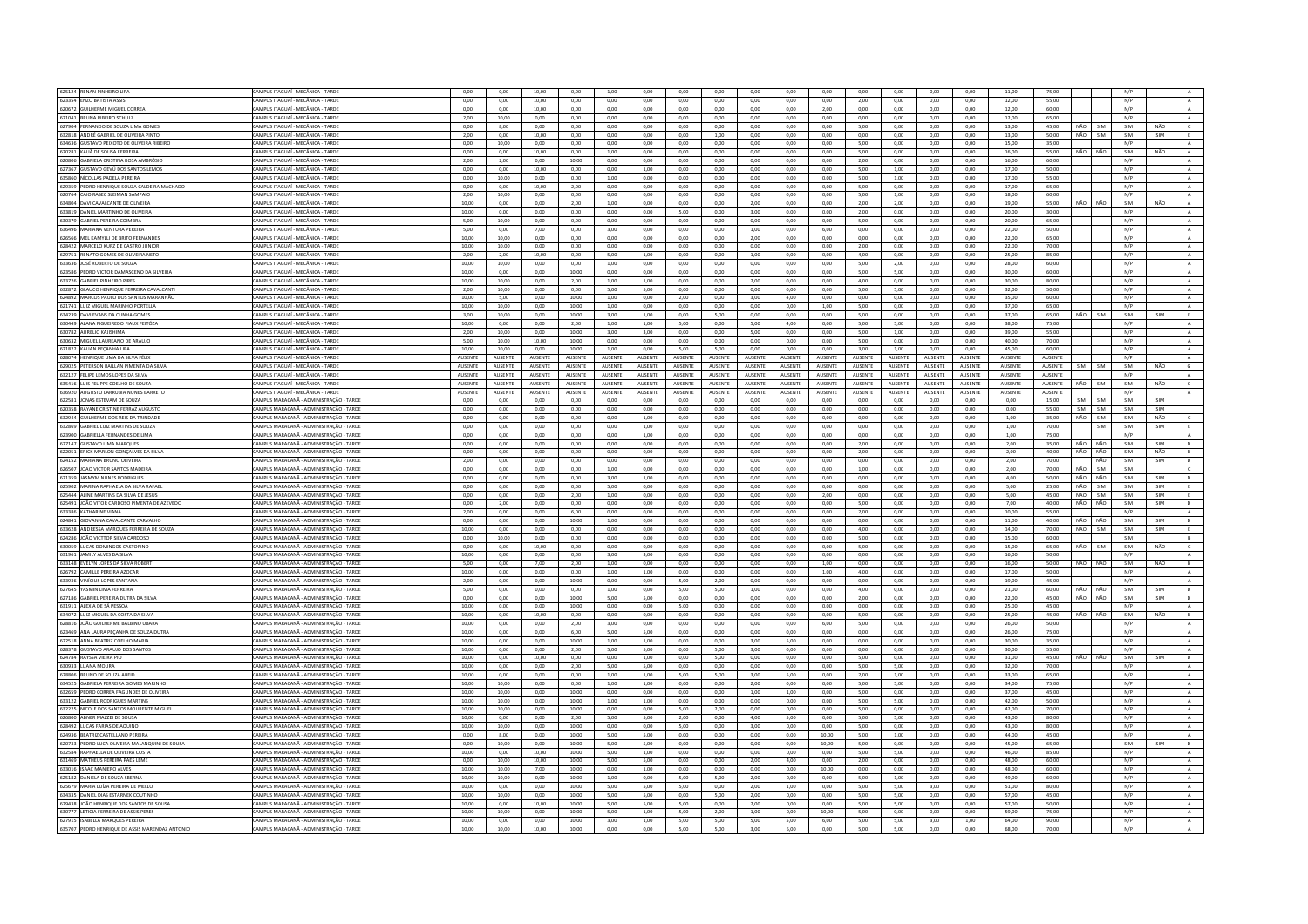| 625124 RENAN PINHEIRO LIRA<br>623354 ENZO BATISTA ASSIS                            |                                                                                    |                |                |                |                |                |                |                 |              |                |                |                |                |                |              |                |                |                |                   |            |            |              |
|------------------------------------------------------------------------------------|------------------------------------------------------------------------------------|----------------|----------------|----------------|----------------|----------------|----------------|-----------------|--------------|----------------|----------------|----------------|----------------|----------------|--------------|----------------|----------------|----------------|-------------------|------------|------------|--------------|
|                                                                                    | CAMPUS ITAGUAÍ - MECÂNICA - TARDE                                                  | 0,00           | 0,00           | 10,00          | 0,00           | 1,00           | 0,00           | 0,00            | 0,00         | 0,00           | 0,00           | 0,00           | 0,00           | 0,00           | 0,00         | 0,00           | 11,00          | 75,00          |                   | N/P        |            |              |
|                                                                                    | CAMPUS ITAGUAÍ - MECÂNICA - TARDE                                                  | 0.00           | 0.00           | 10.00          | 0.00           | 0.00           | 0.00           | 0.00            | 0.00         | 0.00           | 0.00           | 0.00           | 2.00           | 0.00           | 0.00         | 0.00           | 12.00          | 55.00          |                   | N/P        |            | A            |
| 620672 GUILHERME MIGUEL CORREA                                                     | CAMPUS ITAGUAÍ - MECÂNICA - TARD                                                   | 0,00           | 0,00           | 10,00          | 0,00           | 0.00           | 0,00           | 0,00            | 0,00         | 0,00           | 0,00           | 2,00           | 0,00           | 0,00           | 0,00         | 0,00           | 12,00          | 60,00          |                   | N/P        |            | $\,$ A $\,$  |
|                                                                                    |                                                                                    |                |                |                |                |                |                |                 |              |                |                |                |                |                |              |                |                |                |                   |            |            |              |
| 621041 BRUNA RIBEIRO SCHULZ                                                        | CAMPUS ITAGUAÍ - MECÂNICA - TARDE                                                  | 2.00           | 10.00          | 0.00           | 0.00           | 0.00           | 0.00           | 0.00            | 0.00         | 0.00           | 0.00           | 0.00           | 0.00           | 0.00           | 0.00         | 0.00           | 12.00          | 65.00          |                   | N/P        |            | A            |
| 627904 FERNANDO DE SOUZA LIMA GOME                                                 | CAMPUS ITAGUAÍ - MECÂNICA - TARD                                                   | 0.00           | 8,00           | 0.00           | 0.00           | 0.00           | 0.00           | 0.00            | 0.00         | 0.00           | 0.00           | 0.00           | 5.00           | 0,00           | 0.00         | 0.00           | 13,00          | 45,00          | NÃO<br><b>SIM</b> | SIM        | NÃO        | $\epsilon$   |
| 632818 ANDRÉ GABRIEL DE OLIVEIRA PINTO                                             | CAMPUS ITAGUAÍ - MECÂNICA - TARDE                                                  | 2.00           | 0.00           | 10.00          | 0.00           | 0.00           | 0.00           | 0.00            | 1.00         | 0.00           | 0.00           | 0.00           | 0.00           | 0.00           | 0.00         | 0.00           | 13.00          | 50.00          | NÃO<br>SIM        | SIM        | SIM        | E            |
| 634636 GUSTAVO PEIXOTO DE OLIVEIRA RIBEIRO                                         | CAMPUS ITAGUAÍ - MECÂNICA - TARDE                                                  | 0.00           | 10.00          | $0.00 -$       | 0.00           | 0.00           | 0.00           | 0.00            | 0.00         | 0.00           | 0.00           | 0.00           | 5.00           | 0.00           | 0.00         | 0.00           | 15.00          | 35.00          |                   | N/P        |            | $\mathbf{A}$ |
|                                                                                    |                                                                                    |                |                |                |                |                |                |                 |              |                |                |                |                |                |              |                |                |                |                   |            |            |              |
| 620281 KAUÃ DE SOUSA FERREIRA                                                      | AMPUS ITAGUAÍ - MECÂNICA - TARDE                                                   | 0.00           | 0.00           | 10.00          | 0.00           | 1.00           | 0.00           | 0.00            | 0.00         | 0.00           | 0.00           | 0.00           | 5.00           | 0.00           | 0.00         | 0.00           | 16.00          | 55.00          | NÃO<br>NÃO        | SIM        | NÃO        | $\mathbb A$  |
| 620806 GABRIELA CRISTINA ROSA AMBRÓSIC                                             | CAMPUS ITAGUAÍ - MECÂNICA - TARDE                                                  | 2.00           | 2.00           | 0.00           | 10.00          | 0.00           | 0.00           | 0.00            | 0.00         | 0.00           | 0.00           | 0.00           | 2.00           | 0.00           | 0.00         | 0.00           | 16.00          | 60.00          |                   | N/P        |            | A            |
| 627367 GUSTAVO GEVÚ DOS SANTOS LEMOS                                               | CAMPUS ITAGUAÍ - MECÂNICA - TARDE                                                  | 0,00           | 0.00           | 10,00          | 0.00           | 0.00           | 1,00           | 0.00            | 0.00         | 0.00           | 0.00           | 0.00           | 5.00           | 1,00           | 0.00         | 0.00           | 17,00          | 50.00          |                   | N/P        |            | $\,$ A $\,$  |
| 635860 NÍCOLLAS PADELA PEREIRA                                                     | CAMPUS ITAGUAÍ - MECÂNICA - TARDE                                                  | 0,00           | 10,00          | 0,00           | 0,00           | 1,00           | 0,00           | 0,00            | 0,00         | 0,00           | 0,00           | 0,00           | 5,00           | 1,00           | 0,00         | 0,00           | 17,00          | 55,00          |                   | N/P        |            | A            |
|                                                                                    |                                                                                    |                |                |                |                |                |                |                 |              |                |                |                |                |                |              |                |                |                |                   |            |            |              |
| 629359 PEDRO HENRIQUE SOUZA CALDEIRA MACHADO                                       | CAMPUS ITAGUAÍ - MECÂNICA - TARDE                                                  | 0,00           | 0,00           | 10,00          | 2,00           | 0,00           | 0,00           | $_{0,00}$       | 0,00         | 0,00           | 0,00           | 0,00           | 5,00           | 0,00           | 0,00         | 0.00           | 17,00          | 65,00          |                   | N/P        |            | $\mathbf{A}$ |
| 620764 CAIO RASEC SLEIMAN SAMPAIO                                                  | CAMPUS ITAGUAÍ - MECÂNICA - TARDE                                                  | 2,00           | 10,00          | 0,00           | 0,00           | 0,00           | 0,00           | 0,00            | 0,00         | 0,00           | 0,00           | 0,00           | 5,00           | 1,00           | 0,00         | 0,00           | 18,00          | 60,00          |                   | N/P        |            | A            |
| 634804 DAVI CAVALCANTE DE OLIVEIRA                                                 | CAMPUS ITAGUAÍ - MECÂNICA - TARDE                                                  | 10.00          | 0.00           | 0.00           | 2.00           | 1.00           | 0.00           | 0.00            | 0.00         | 2.00           | 0.00           | 0.00           | 2.00           | 2.00           | 0.00         | 0.00           | 19.00          | 55.00          | NÃO<br>NÃO        | SIM        | NÃO        | A            |
| 633819 DANIEL MARTINHO DE OLIVEIRA                                                 | CAMPUS ITAGUAÍ - MECÂNICA - TARD                                                   | 10,00          | 0,00           | 0,00           | 0,00           | 0,00           | 0,00           | 5,00            | 0,00         | 3,00           | 0,00           | 0,00           | 2,00           | 0,00           | 0,00         | 0,00           | 20,00          | 30,00          |                   | N/P        |            | $\mathbf{A}$ |
|                                                                                    |                                                                                    |                |                |                |                |                |                |                 |              |                |                |                |                |                |              |                |                |                |                   |            |            |              |
| 630379 GABRIEL PEREIRA COIMBRA                                                     | CAMPUS ITAGUAÍ - MECÂNICA - TARDE                                                  | 5,00           | 10,00          | 0,00           | 0,00           | 0,00           | 0,00           | 0,00            | 0,00         | 0,00           | 0,00           | 0,00           | 5,00           | 0,00           | 0,00         | 0,00           | 20,00          | 65.00          |                   | N/P        |            | A            |
| 636496 MARIANA VENTURA PEREIRA                                                     | CAMPUS ITAGUAÍ - MECÂNICA - TARDE                                                  | 5,00           | 0,00           | 7,00           | 0,00           | 3,00           | 0,00           | 0,00            | 0,00         | 1,00           | 0.00           | 6,00           | 0,00           | 0,00           | 0,00         | 0,00           | 22,00          | 50.00          |                   | N/P        |            | A            |
| 626566 MEL KAMYLLI DE BRITO FERNANDES                                              | CAMPUS ITAGUAÍ - MECÂNICA - TARDE                                                  | 10,00          | 10,00          | 0,00           | 0,00           | 0,00           | 0,00           | 0,00            | 0,00         | 2,00           | 0,00           | 0,00           | 0,00           | 0,00           | 0,00         | 0,00           | 22,00          | 65,00          |                   | N/P        |            | A            |
| 628422 MARCELO KURZ DE CASTRO JUNIOR                                               | CAMPUS ITAGUAÍ - MECÂNICA - TARDE                                                  | 10.00          | 10.00          | 0.00           | 0.00           | 0.00           | 0.00           | 0.00            | 0.00         | 0.00           | 0.00           | 0.00           | 2.00           | 0.00           | 0.00         | 0.00           | 22.00          | 70.00          |                   | N/P        |            |              |
|                                                                                    |                                                                                    |                |                |                |                |                |                |                 |              |                |                |                |                |                |              |                |                |                |                   |            |            | $\mathbf{A}$ |
| 629751 RENATO GOMES DE OLIVEIRA NETO                                               | CAMPUS ITAGUAÍ - MECÂNICA - TARDE                                                  | 2,00           | 2,00           | 10,00          | 0,00           | 5,00           | 1,00           | 0,00            | 0,00         | 1,00           | 0,00           | 0,00           | 4,00           | 0,00           | 0,00         | 0,00           | 25,00          | 85,00          |                   | N/P        |            | A            |
| 633636 JOSÉ ROBERTO DE SOUZA                                                       | CAMPUS ITAGUAÍ - MECÂNICA - TARDE                                                  | 10.00          | 10.00          | 0.00           | 0.00           | 1.00           | 0.00           | 0.00            | 0.00         | 0.00           | 0.00           | 0.00           | 5.00           | 2.00           | 0.00         | 0.00           | 28.00          | 60.00          |                   | N/P        |            | A            |
| 623586 PEDRO VICTOR DAMASCENO DA SILVEIRA                                          | CAMPUS ITAGUAÍ - MECÂNICA - TARD                                                   | 10,00          | 0,00           | 0,00           | 10,00          | 0,00           | 0,00           | 0,00            | 0,00         | 0,00           | 0,00           | 0,00           | 5,00           | 5,00           | 0,00         | 0,00           | 30,00          | 60,00          |                   | N/P        |            | A            |
|                                                                                    |                                                                                    |                |                |                |                |                |                |                 |              |                |                |                |                |                |              |                |                |                |                   |            |            |              |
| 633726 GABRIEL PINHEIRO PIRES                                                      | CAMPUS ITAGUAÍ - MECÂNICA - TARDE                                                  | 10.00          | 10.00          | 0.00           | 2.00           | 1.00           | 1.00           | 0.00            | 0.00         | 2.00           | 0.00           | 0.00           | 4.00           | 0.00           | 0.00         | 0.00           | 30.00          | 80.00          |                   | N/P        |            | A            |
| 632872 GLAUCO HENRIOUE FERREIRA CAVALCANTI                                         | CAMPUS ITAGUAÍ - MECÂNICA - TARDE                                                  | 2.00           | 10.00          | 0.00           | $0.00 -$       | 5.00           | 5.00           | 0.00            | 0.00         | 0.00           | 0.00           | 0.00           | 5.00           | 5.00           | $0.00 -$     | 0.00           | 32.00          | 50.00          |                   | N/P        |            | A            |
| 624892 MARCOS PAULO DOS SANTOS MARANHÃO                                            | <b>CAMPUS ITAGUAÍ - MECÂNICA - TARDE</b>                                           | 10,00          | 5.00           | 0.00           | 10.00          | 1.00           | 0.00           | 2,00            | 0.00         | 3.00           | 4,00           | 0,00           | 0.00           | 0,00           | 0.00         | 0.00           | 35,00          | 60.00          |                   | N/P        |            | A            |
| 621741 ILUZ MIGUEL MARINHO PORTELLA                                                | CAMPUS ITAGUAÍ - MECÂNICA - TARDE                                                  | 10.00          | 10.00          | 0.00           | 10.00          | 1.00           | 0.00           | 0.00            | 0.00         | 0.00           | 0.00           | 1.00           | 5.00           | 0.00           | 0.00         | 0.00           | 37.00          | 65.00          |                   | N/P        |            | A            |
|                                                                                    |                                                                                    |                |                |                |                |                |                |                 |              |                |                |                |                |                |              |                |                |                |                   |            |            |              |
| 634239 DAVI EVANS DA CUNHA GOMES                                                   | CAMPUS ITAGUAÍ - MECÂNICA - TARDE                                                  | 3,00           | 10.00          | 0,00           | 10.00          | 3,00           | 1,00           | 0,00            | 5,00         | 0,00           | 0.00           | 0,00           | 5,00           | 0.00           | 0,00         | 0,00           | 37,00          | 65,00          | NÃO<br>SIM        | SIM        | SIM        | E            |
| 630449 ALANA FIGUEIREDO FIAUX FEITÓZA                                              | CAMPUS ITAGUAÍ - MECÂNICA - TARDE                                                  | 10.00          | 0.00           | 0.00           | 2.00           | 1.00           | 1.00           | 5.00            | 0.00         | 5.00           | 4.00           | 0.00           | 5.00           | 5.00           | 0.00         | 0.00           | 38.00          | 75.00          |                   | N/P        |            | A            |
| 630782 AURELIO KAJISHIMA                                                           | CAMPUS ITAGUAÍ - MECÂNICA - TARDE                                                  | 2,00           | 10.00          | 0.00           | 10.00          | 3,00           | 3,00           | 0,00            | 0,00         | 5.00           | 0.00           | 0.00           | 5.00           | 1,00           | 0.00         | 0.00           | 39,00          | 55.00          |                   | N/P        |            | $\,$ A       |
|                                                                                    |                                                                                    |                |                |                |                |                |                |                 |              |                |                |                |                |                |              |                |                |                |                   |            |            |              |
| 630632 MIGUEL LAUREANO DE ARAUJO                                                   | CAMPUS ITAGUAÍ - MECÂNICA - TARDE                                                  | 5.00           | 10.00          | 10.00          | 10.00          | 0.00           | 0.00           | 0.00            | 0.00         | 0.00           | 0.00           | 0.00           | 5.00           | 0.00           | 0.00         | 0.00           | 40.00          | 70.00          |                   | N/P        |            | A            |
| 621822 KAUAN PECANHA URA                                                           | CAMPUS ITAGUAÍ - MECÂNICA - TARDE                                                  | 10.00          | 10.00          | 0.00           | 10.00          | 1.00           | 0.00           | 5.00            | 5.00         | 0.00           | 0.00           | 0.00           | 3.00           | 1.00           | 0.00         | 0.00           | 45.00          | 60.00          |                   | N/P        |            | $\Lambda$    |
| 628074 HENRIQUE LIMA DA SILVA FÉLI                                                 | <b>AMPUS ITAGUAÍ - MECÂNICA - TARDE</b>                                            | AUSENTE        | AUSENTE        | AUSENTE        | AUSENTE        | AUSENTE        | AUSENTE        | AUSENTE         | AUSENTE      | AUSENT         | <b>NUSENTE</b> | AUSENTE        | AUSENTE        | AUSENTE        | AUSENTE      | AUSENTE        | AUSENTE        | AUSENTE        |                   | N/P        |            | $\mathbb A$  |
| 629025 PETERSON RAILLAN PIMENTA DA SILVA                                           | CAMPUS ITAGUAÍ - MECÂNICA - TARDE                                                  | AUSENTE        | AUSENTE        | AUSENTE        | AUSENTE        | AUSENTE        | AUSENTE        | AUSENTE         | AUSENTE      | <b>AUSENTE</b> | AUSENTE        | <b>AUSENTE</b> | <b>AUSENTE</b> | AUSENTE        | AUSENTE      | <b>AUSENTE</b> | AUSENTE        | AUSENTE        | SIM<br><b>SIM</b> | SIM        | NÃO        | G            |
|                                                                                    |                                                                                    |                |                |                |                |                |                |                 |              |                |                |                |                |                |              |                |                |                |                   |            |            |              |
| 632127 FELIPE LEMOS LOPES DA SILVA                                                 | CAMPUS ITAGUAÍ - MECÂNICA - TARDE                                                  | AUSENTE        | AUSENTE        | AUSENTE        | AUSENTE        | AUSENTE        | AUSENTE        | <b>AUSENTE</b>  | AUSENTE      | AUSENTE        | <b>AUSENTE</b> | AUSENTE        | <b>AUSENTE</b> | <b>AUSENTE</b> | AUSENTE      | AUSENTE        | AUSENTE        | AUSENTE        |                   | N/P        |            | $\,$ A $\,$  |
| 635416 LUIS FELIPPE COELHO DE SOUZA                                                | CAMPUS ITAGUAÍ - MECÂNICA - TARDE                                                  | <b>AUSENTE</b> | AUSENTE        | AUSENTE        | AUSENTE        | AUSENTE        | AUSENTE        | AUSENTE         | AUSENTE      | AUSENTE        | AUSENTE        | AUSENTE        | AUSENTE        | AUSENTE        | AUSENTE      | AUSENTE        | AUSENTE        | AUSENTE        | NÃO<br>SIM        | SIM        | NÃO        | $\epsilon$   |
| 636920 AUGUSTO LARRUBIA NUNES BARRETO                                              | CAMPUS ITAGUAÍ - MECÂNICA - TARDE                                                  | <b>AUSENTE</b> | <b>AUSENTE</b> | <b>AUSENTE</b> | <b>AUSENTE</b> | <b>AUSENTE</b> | <b>AUSENTE</b> | <b>ALISENTE</b> | AUSENTE      | AUSENTE        | AUSENTE        | <b>AUSENTE</b> | AUSENTE        | <b>AUSENTF</b> | AUSENTE      | <b>AUSENTE</b> | <b>AUSENTE</b> | <b>AUSENTE</b> |                   | N/P        |            |              |
|                                                                                    |                                                                                    |                |                |                |                |                |                |                 |              |                |                |                |                |                |              |                |                |                |                   |            |            |              |
| 622581 JONAS ESTEVAM DE SOUZA                                                      | CAMPUS MARACANĂ - ADMINISTRAÇÃO - TARDE                                            | 0,00           | 0.00           | 0,00           | 0.00           | 0.00           | 0,00           | 0,00            | 0.00         | 0,00           | 0.00           | 0.00           | 0,00           | 0.00           | 0,00         | 0.00           | 0.00           | 15.00          | SIM<br>SIM        | SIM        | SIM        |              |
| 620358 RAYANE CRISTINE FERRAZ AUGUSTO                                              | CAMPUS MARACANĂ - ADMINISTRACÃO - TARDE                                            | 0.00           | 0.00           | 0.00           | 0.00           | 0.00           | 0.00           | 0.00            | 0.00         | 0.00           | 0.00           | 0.00           | 0.00           | 0.00           | 0.00         | 0.00           | 0.00           | 55.00          | SIM<br>SIM        | SIM        | SIM        | $\mathbf{L}$ |
| 632944 GUILHERME DOS REIS DA TRINDADI                                              | CAMPUS MARACANĂ - ADMINISTRAÇÃO - TARDI                                            | 0,00           | 0,00           | 0,00           | 0,00           | 0,00           | 1,00           | 0,00            | 0,00         | 0,00           | 0,00           | 0,00           | 0,00           | 0,00           | 0,00         | 0,00           | 1,00           | 35,00          | NÃO<br>SIM        | SIM        | NÃO        | $\mathsf{C}$ |
|                                                                                    |                                                                                    |                |                |                |                |                |                |                 |              |                |                |                |                |                | 0.00         |                | 1.00           | 70.00          |                   | SIM        |            |              |
| 632869 GABRIEL LUIZ MARTINS DE SOUZA                                               | CAMPUS MARACANĂ - ADMINISTRAÇÃO - TARDE                                            | 0.00           | 0.00           | 0.00           | 0.00           | 0.00           | 1.00           | 0.00            | 0.00         | 0.00           | 0.00           | 0.00           | 0.00           | 0.00           |              | 0.00           |                |                | SIM               |            | SIM        | E            |
| 623900 GABRIELLA FERNANDES DE LIMA                                                 | CAMPUS MARACANĂ - ADMINISTRAÇÃO - TARDE                                            | 0,00           | 0,00           | 0,00           | 0,00           | 0,00           | 1,00           | 0,00            | 0,00         | 0,00           | 0,00           | 0,00           | 0,00           | 0,00           | 0,00         | 0,00           | 1,00           | 75,00          |                   | N/P        |            | $\mathbf{A}$ |
| 627147 GUSTAVO LIMA MARQUES                                                        | AMPUS MARACANĂ - ADMINISTRAÇÃO - TARDE                                             | 0,00           | 0,00           | 0,00           | 0,00           | 0,00           | 0,00           | 0,00            | 0,00         | 0,00           | 0,00           | 0,00           | 2,00           | 0,00           | 0,00         | 0.00           | 2,00           | 35,00          | NÃO<br>NÃO        | SIM        | SIM        | D            |
| 622051 ERICK MARLON GONCALVES DA SILVA                                             | CAMPUS MARACANÃ - ADMINISTRAÇÃO - TARDE                                            | 0.00           | 0.00           | 0.00           | 0.00           | 0.00           | o oo           | 0.00            | 0.00         | 0.00           | 0.00           | 0.00           | 2.00           | 0.00           | 0.00         | 0.00           | 2.00           | 40.00          | NÃO<br>NÃO        | SIM        | NÃO        | B            |
|                                                                                    |                                                                                    |                |                |                |                |                |                |                 |              |                |                |                |                |                |              |                |                |                |                   |            |            |              |
| 624152 MARIANA BRUNO OLIVEIRA                                                      | CAMPUS MARACANĂ - ADMINISTRACÃO - TARDE                                            | 2,00           | 0.00           | 0.00           | 0.00           | 0.00           | 0.00.          | 0,00            | 0,00         | 0.00           | 0.00           | 0.00           | 0,00           | 0.00           | 0,00         | 0.00           | 2.00           | 70.00          | NÃO               | SIM        | SIM        | D            |
| 626507 JOAO VICTOR SANTOS MADEIRA                                                  | CAMPUS MARACANĂ - ADMINISTRACÃO - TARDE                                            | 0.00           | 0.00           | 0.00           | 0.00           | 1.00           | 0.00           | 0.00            | 0.00         | 0.00           | 0.00           | 0.00           | 1.00           | 0.00           | 0.00         | 0.00           | 2.00           | 70.00          | NÃO<br>SIM        | SIM        |            | $\epsilon$   |
| 621359 JASMYM NUNES RODRIGUES                                                      | CAMPUS MARACANĂ - ADMINISTRACÃO - TARDI                                            | 0,00           | 0,00           | 0,00           | 0,00           | 3,00           | 1,00           | 0,00            | 0,00         | 0,00           | 0,00           | 0,00           | 0,00           | 0,00           | 0,00         | 0,00           | 4,00           | 50.00          | NÃO<br>NÃO        | SIM        | SIM        | D            |
| 625902 MARINA RAPHAELA DA SILVA RAFAEL                                             |                                                                                    |                |                |                |                |                |                |                 |              |                |                |                |                |                |              |                |                |                | NÃO               |            |            |              |
|                                                                                    | CAMPUS MARACANĂ - ADMINISTRACÃO - TARDE                                            | 0.00           | 0.00           | 0.00           | 0.00           | 5.00           | 0.00           | 0.00            | 0.00         | 0.00           | 0.00           | 0.00           | 0.00           | 0.00           | 0.00         | 0.00           | 5.00           | 25.00          | SIM               | SIM        | SIM        | F            |
| 625444 ALINE MARTINS DA SILVA DE JESUS                                             | CAMPUS MARACANÃ - ADMINISTRACÃO - TARDE                                            | 0.00           | 0.00           | 0.00           | 2.00           | 1.00           | 0.00           | 0.00            | 0.00         | 0.00           | 0.00           | 2,00           | 0.00           | 0.00           | 0.00         | 0.00           | 5.00           | 45.00          | NÃO<br>SIM        | SIM        | SIM        | F.           |
| 625491 JOÃO VITOR CARDOSO PIMENTA DE AZEVEDO                                       | AMPUS MARACANĂ - ADMINISTRACÃO - TARDE                                             | 0,00           | 2,00           | 0,00           | 0,00           | 0,00           | 0,00           | 0,00            | 0,00         | 0,00           | 0,00           | 0,00           | 5,00           | 0,00           | 0,00         | 0,00           | 7,00           | 40.00          | NÃO<br>NÃO        | SIM        | SIM        | D            |
| <b>633386 KATHARINE VIANA</b>                                                      | CAMPUS MARACANÃ - ADMINISTRAÇÃO - TARDE                                            | 2.00           | 0.00           | 0.00           | 6.00           | 0.00           | 0.00           | 0.00            | 0.00         | 0.00           | 0.00           | 0.00           | 2.00           | 0.00           | 0.00         | 0.00           | 10.00          | 55.00          |                   | N/P        |            | A            |
|                                                                                    |                                                                                    |                |                |                |                |                |                |                 |              |                |                |                |                |                |              |                |                |                |                   |            |            |              |
| 624841 GIOVANNA CAVALCANTE CARVALHO                                                | CAMPUS MARACANĂ - ADMINISTRACÃO - TARDE                                            | 0.00           | 0.00           | 0.00           | 10.00          | 1.00           | 0.00           | 0.00            | 0.00         | 0.00           | 0.00           | 0.00           | 0.00           | 0.00           | 0.00         | 0.00           | 11.00          | 40.00          | NÃO<br>NÃO        | SIM        | SIM        | D            |
| 633628 ANDRESSA MARQUES FERREIRA DE SOUZA                                          | CAMPUS MARACANÃ - ADMINISTRAÇÃO - TARDE                                            | 10.00          | 0.00           | 0.00           | 0.00           | 0.00           | 0.00           | 0.00            | 0.00         | 0.00           | 0.00           | 0.00           | 4.00           | 0.00           | 0.00         | 0.00           | 14.00          | 70.00          | NÃO<br><b>SIM</b> | SIM        | SIM        | F.           |
| 624286 JOÃO VICTTOR SILVA CARDOSO                                                  | CAMPUS MARACANÃ - ADMINISTRAÇÃO - TARDI                                            | 0,00           | 10,00          | 0.00           | 0,00           | 0,00           | 0,00           | 0,00            | 0,00         | 0,00           | 0,00           | 0,00           | 5,00           | 0,00           | 0,00         | 0,00           | 15,00          | 60,00          |                   | SIM        |            | B            |
|                                                                                    |                                                                                    | 0,00           |                |                |                |                |                |                 |              | 0,00           |                | 0,00           | 5,00           |                | 0,00         |                |                |                |                   |            | NÃO        |              |
| 630059 LUCAS DOMINGOS CASTORING                                                    | CAMPUS MARACANĂ - ADMINISTRAÇÃO - TARDE                                            |                |                |                |                |                |                |                 |              |                |                |                |                | 0,00           |              |                |                |                |                   |            |            | $\epsilon$   |
| 631961 JAMILY ALVES DA SILVA                                                       |                                                                                    |                | 0,00           | 10,00          | 0,00           | 0,00           | 0,00           | 0,00            | 0,00         |                | 0,00           |                |                |                |              | 0,00           | 15,00          | 65,00          | NÃO<br>SIM        | SIM        |            |              |
|                                                                                    | CAMPUS MARACANĂ - ADMINISTRACÃO - TARDE                                            | 10.00          | 0.00           | 0.00           | 0.00           | 3.00           | 3,00           | 0,00            | 0.00         | 0.00           | 0.00           | 0,00           | 0.00           | 0.00           | 0.00         | 0.00           | 16,00          | 50.00          |                   | N/P        |            | A            |
|                                                                                    |                                                                                    |                |                |                |                |                |                |                 |              |                |                |                |                |                |              |                |                |                |                   |            |            |              |
| 633148 EVELYN LOPES DA SILVA ROBER                                                 | AMPUS MARACANĂ - ADMINISTRAÇÃO - TARD                                              | 5,00           | 0,00           | 7,00           | 2,00           | 1,00           | 0,00           | 0,00            | 0,00         | 0,00           | 0,00           | 1,00           | 0,00           | 0,00           | 0,00         | 0,00           | 16,00          | 50,00          | NÃO<br>NÃO        | SIM        | NÃO        | $\,$ B       |
| 626792 CAMILLE PEREIRA AZOCAR                                                      | CAMPUS MARACANĂ - ADMINISTRAÇÃO - TARDE                                            | 10.00          | 0.00           | 0.00           | 0.00           | 1.00           | 1.00           | 0.00            | 0.00         | 0.00           | 0.00           | 1.00           | 4.00           | 0.00           | 0.00         | 0.00           | 17.00          | 50.00          |                   | N/P        |            | $\mathbf{A}$ |
| 633936 VINÍCIUS LOPES SANTANA                                                      | CAMPUS MARACANĂ - ADMINISTRAÇÃO - TARDE                                            | 2,00           | 0,00           | 0,00           | 10,00          | 0,00           | 0,00           | 5,00            | 2,00         | 0,00           | 0,00           | 0,00           | 0,00           | 0,00           | 0,00         | 0,00           | 19,00          | 45,00          |                   | N/P        |            | $\mathbb A$  |
| 627645 YASMIN LIMA FERREIRA                                                        | CAMPUS MARACANĂ - ADMINISTRACÃO - TARDE                                            | 5.00           | 0.00           | 0.00           | 0.00           | 1.00           | 0.00           | 5.00            | 5.00         | 1.00           | 0.00           | 0.00           | 4.00           | 0.00           | 0.00         | 0.00           | 21.00          | 60.00          | NÃO<br>NÃO        | SIM        | SIM        | D            |
| 627186 GABRIEL PEREIRA DUTRA DA SILVA                                              | CAMPUS MARACANÃ - ADMINISTRAÇÃO - TARDI                                            | 0,00           | 0.00           | 0.00           | 10.00          | 5,00           | 5.00           | 0,00            | 0.00         | 0.00           | 0.00           | 0.00           | 2.00           | 0.00           | 0.00         | 0.00           | 22,00          | 45.00          | NÃO<br>NÃO        | SIM        | SIM        |              |
|                                                                                    |                                                                                    |                |                |                |                |                |                |                 |              |                |                |                |                |                |              |                |                |                |                   |            |            | $\mathsf D$  |
| 631911 ALEXIA DE SÁ PESSOA                                                         | CAMPUS MARACANĂ - ADMINISTRAÇÃO - TARDE                                            | 10,00          | 0,00           | 0,00           | 10,00          | 0,00           | 0,00           | 5,00            | 0,00         | 0,00           | 0,00           | 0,00           | 0,00           | 0,00           | 0,00         | 0,00           | 25,00          | 45.00          |                   | N/P        |            | A            |
| 634072 LUIZ MIGUEL DA COSTA DA SILVA                                               | CAMPUS MARACANÃ - ADMINISTRAÇÃO - TARDE                                            | 10.00          | 0.00           | 10.00          | $0.00 -$       | 0.00           | 0.00           | $0.00 -$        | 0.00         | 0.00           | 0.00           | 0.00           | 5.00           | 0.00           | $0.00 -$     | 0.00           | 25.00          | 45.00          | NÃO<br>NÃO        | SIM        | NÃO        | B            |
| 628816 JOÃO GUILHERME BALBINO UBAR                                                 | CAMPUS MARACANĂ - ADMINISTRAÇÃO - TARDE                                            | 10,00          | 0,00           | 0,00           | 2,00           | 3,00           | 0,00           | 0,00            | 0,00         | 0,00           | 0,00           | 6,00           | 5,00           | 0,00           | 0,00         | 0,00           | 26,00          | 50,00          |                   | N/P        |            | $\mathbb A$  |
| 623469 ANA LAURA PECANHA DE SOUZA DUTRA                                            | CAMPUS MARACANĂ - ADMINISTRACÃO - TARDE                                            | 10.00          | 0.00           | 0.00           | 6.00           | 5.00           | 5.00           | 0.00            | 0.00         | 0.00           | 0.00           | 0.00           | 0.00           | 0.00           | 0.00         | 0.00           | 26.00          | 75.00          |                   | N/P        |            | A            |
|                                                                                    |                                                                                    |                |                |                |                |                |                |                 |              |                |                |                |                |                |              |                |                |                |                   |            |            |              |
| 622518 ANNA BEATRIZ COELHO MARIA                                                   | CAMPUS MARACANĂ - ADMINISTRACÃO - TARDE                                            | 10.00          | 0,00           | 0,00           | 10.00          | 1,00           | 1,00           | 0,00            | 0,00         | 3,00           | 5,00           | 0,00           | 0,00           | 0,00           | 0,00         | 0,00           | 30,00          | 35,00          |                   | N/P        |            | A            |
| 628378 GUSTAVO ARAUJO DOS SANTOS                                                   | CAMPUS MARACANĂ - ADMINISTRACĂO - TARDE                                            | 10.00          | 0.00           | 0.00           | 2.00           | 5.00           | 5.00           | 0.00            | 5.00         | 3.00           | 0.00           | 0.00           | 0.00           | 0.00           | 0.00         | 0.00           | 30.00          | 55.00          |                   | N/P        |            | A            |
| 624784 RAYSSA VIEIRA PIO                                                           | CAMPUS MARACANÃ - ADMINISTRAÇÃO - TARDE                                            | 10.00          | 0.00           | 10.00          | 0.00           | 0.00           | 1.00           | 0.00            | 5.00         | 0.00           | 0.00           | 0.00           | 5.00           | 0.00           | 0.00         | 0.00           | 31.00          | 45.00          | NÃO<br>NÃO.       | SIM        | <b>SIM</b> |              |
|                                                                                    |                                                                                    |                |                |                |                |                |                |                 |              |                |                |                |                |                |              |                |                |                |                   |            |            | D            |
| 630933 LUANA MOURA                                                                 | CAMPUS MARACANĂ - ADMINISTRACÃO - TARDE                                            | 10.00          | 0.00           | 0.00           | 2.00           | 5.00           | 5,00           | 0,00            | 0.00         | 0.00           | 0.00           | 0.00           | 5.00           | 5.00           | 0.00         | 0.00           | 32.00          | 70.00          |                   | N/P        |            | $\mathbf{A}$ |
| 628806 BRUNO DE SOUZA ABEID                                                        | CAMPUS MARACANÃ - ADMINISTRAÇÃO - TARDE                                            | 10.00          | 0.00           | 0.00           | 0.00           | 1.00           | 1.00           | 5.00            | 5.00         | 3.00           | 5.00           | 0.00           | 2.00           | $1.00 -$       | 0.00         | 0.00           | 33.00          | 65.00          |                   | N/P        |            | $\Lambda$    |
| 634525 GABRIELA FERREIRA GOMES MARINHO                                             | <b>AMPUS MARACANĂ - ADMINISTRACÃO - TARDE</b>                                      | 10.00          | 10.00          | 0,00           | $_{0,00}$      | 1.00           | 1,00           | 0.00            | 0,00         | 2,00           | 0.00           | 0,00           | 5.00           | 5,00           | $_{0,00}$    | 0.00           | 34.00          | 75.00          |                   | N/P        |            | $\,$ A       |
| 632659 PEDRO CORRÊA FAGUNDES DE OLIVEIRA                                           | CAMPUS MARACANĂ - ADMINISTRACÃO - TARDE                                            | 10.00          | 10.00          | 0.00           | 10.00          | 0.00           | 0.00           | 0.00            | 0.00         | 1.00           | 1.00           | 0.00           | 5.00           | 0.00           | 0.00         | 0.00           | 37.00          | 45.00          |                   | N/P        |            | A            |
|                                                                                    |                                                                                    |                |                |                |                |                |                |                 |              |                |                |                |                |                |              |                |                |                |                   |            |            |              |
| 633122 GABRIEL RODRIGUES MARTINS                                                   | CAMPUS MARACANÃ - ADMINISTRAÇÃO - TARDE                                            | 10.00          | 10.00          | 0.00           | 10.00          | 1.00           | 1,00           | 0,00            | 0.00         | 0.00           | 0.00           | 0,00           | 5.00           | 5.00           | 0.00         | 0.00           | 42.00          | 50.00          |                   | N/P        |            | $\mathbf{A}$ |
| 632225 NICOLE DOS SANTOS MOURENTE MIGUEL                                           | CAMPUS MARACANĂ - ADMINISTRAÇÃO - TARDE                                            | 10,00          | 10,00          | 0,00           | 10,00          | 0,00           | 0,00           | 5,00            | 2,00         | 0,00           | 0,00           | 0,00           | 5,00           | 0,00           | 0,00         | 0,00           | 42,00          | 70,00          |                   | N/P        |            | A            |
| 626800 ABNER MAZZELDE SOLISA                                                       | CAMPUS MARACANÃ - ADMINISTRAÇÃO - TARDE                                            | 10.00          | 0.00           | 0.00           | 2.00           | 500            | 5.00           | 2.00            | 0.00         | 400            | 5.00           | 0.00           | 5.00           | 5.00           | 0.00         | 0.00           | 43.00          | 80.00          |                   | N/P        |            | A            |
|                                                                                    |                                                                                    |                |                |                |                |                |                |                 |              |                |                |                |                |                |              |                |                |                |                   |            |            |              |
| 628492 LUCAS FARIAS DE AQUINO                                                      | CAMPUS MARACANĂ - ADMINISTRAÇÃO - TARDE                                            | 10,00          | 10,00          | 0,00           | 10,00          | 0,00           | 0,00           | 5,00            | 0,00         | 3,00           | 0,00           | 0,00           | 5,00           | 0,00           | 0,00         | 0,00           | 43,00          | 80,00          |                   | N/P        |            | A            |
| 624936 BEATRIZ CASTELLANO PEREIRA                                                  | CAMPUS MARACANĂ - ADMINISTRACÃO - TARDE                                            | 0.00           | 8.00           | 0.00           | 10.00          | 5.00           | 5.00           | 0.00            | 0.00         | 0.00           | 0.00           | 10.00          | 5.00           | 1.00           | 0.00         | 0.00           | 44.00          | 45.00          |                   | N/P        |            | A            |
| 620733 PEDRO LUCA OLIVEIRA MALANQUINI DE SOUSA                                     | CAMPUS MARACANĂ - ADMINISTRAÇÃO - TARDI                                            | 0,00           | 10,00          | 0,00           | 10,00          | 5,00           | 5,00           | 0,00            | 0,00         | 0,00           | 0,00           | 10,00          | 5,00           | 0,00           | 0,00         | 0,00           | 45,00          | 65,00          |                   | SIM        |            | $\mathsf D$  |
| 632584 RAPHAELLA DE OLIVEIRA COSTA                                                 | CAMPUS MARACANĂ - ADMINISTRAÇÃO - TARDE                                            | 10,00          | 0,00           | 10,00          | 10,00          | 5,00           | 1,00           | 0,00            | 0,00         | 0,00           | 0,00           | 0,00           | 5,00           | 5,00           | 0,00         | 0,00           | 46,00          | 85,00          |                   | N/P        |            | A            |
|                                                                                    |                                                                                    |                |                |                |                |                |                |                 |              |                |                |                |                |                |              |                |                |                |                   |            |            |              |
| 631469 MATHEUS PEREIRA PAES LEME                                                   | CAMPUS MARACANÃ - ADMINISTRACÃO - TARDE                                            | 0,00           | 10.00          | 10,00          | 10.00          | 5,00           | 5,00           | 0,00            | 0,00         | 2,00           | 4.00           | 0,00           | 2,00           | 0,00           | 0,00         | 0,00           | 48,00          | 60.00          |                   | N/P        |            | A            |
| 633016 ISAAC MANIERO ALVES                                                         | CAMPUS MARACANĂ - ADMINISTRAÇÃO - TARDE                                            | 10,00          | 10,00          | 7,00           | 10,00          | 0,00           | 1,00           | 0,00            | 0,00         | 0,00           | 0,00           | 10,00          | 0,00           | 0,00           | 0,00         | 0,00           | 48,00          | 60,00          |                   | N/P        |            | A            |
| 625182 DANIELA DE SOUZA SBERNA                                                     | CAMPUS MARACANĂ - ADMINISTRACÃO - TARDE                                            | 10.00          | 10.00          | 0.00           | 10.00          | 1.00           | 0.00           | 5.00            | 5.00         | 2.00           | 0.00           | 0.00           | 5.00           | 1.00           | 0.00         | 0.00           | 49.00          | 60.00          |                   | N/P        |            | A            |
|                                                                                    |                                                                                    |                |                |                |                |                |                |                 |              |                |                |                |                |                |              |                |                |                |                   |            |            |              |
| 625679 MARIA LUÍZA PEREIRA DE MELLO                                                | CAMPUS MARACANĂ - ADMINISTRAÇÃO - TARDI                                            | 10,00          | 0,00           | 0,00           | 10,00          | 5,00           | 5,00           | 5,00            | 0,00         | 2,00           | 1,00           | 0,00           | 5,00           | 5,00           | 3,00         | 0,00           | 51,00          | 80,00          |                   | N/P        |            | $\,$ A $\,$  |
| 634335 DANIEL DIAS ESTARNEK COUTINHO                                               | CAMPUS MARACANĂ - ADMINISTRACÃO - TARDE                                            | 10.00          | 10.00          | 0.00           | 10.00          | 5.00           | 5.00           | 0.00            | 5.00         | 2.00           | 0.00           | 0.00           | 5.00           | 5.00           | 0.00         | 0.00           | 57.00          | 45.00          |                   | N/P        |            | A            |
| 629438 JOÃO HENRIQUE DOS SANTOS DE SOUS                                            | CAMPUS MARACANĂ - ADMINISTRACÃO - TARDI                                            | 10,00          | 0,00           | 10,00          | 10,00          | 5,00           | 5,00           | 5,00            | 0,00         | 2,00           | 0,00           | 0,00           | 5,00           | 5,00           | 0,00         | 0,00           | 57,00          | 50,00          |                   | N/P        |            | $\,$ A $\,$  |
| 630777 LETICIA FERREIRA DE ASSIS PERES                                             | CAMPUS MARACANĂ - ADMINISTRACÃO - TARDE                                            | 10.00          | 10.00          | 0.00           | 10.00          | 5.00           | 1,00           | 5,00            | 2.00         | 1,00           | 0.00           | 10,00          | 5.00           | 0,00           | 0,00         | 0.00           | 59.00          | 75.00          |                   | N/P        |            | $\mathbf{A}$ |
|                                                                                    |                                                                                    |                |                |                |                |                |                |                 |              |                |                |                |                |                |              |                |                |                |                   |            |            |              |
| 627915 ISABELLA MARQUES PEREIRA<br>635707 PEDRO HENRIQUE DE ASSIS MARENDAZ ANTONIO | CAMPUS MARACANÃ - ADMINISTRAÇÃO - TARDE<br>CAMPUS MARACANĂ - ADMINISTRACÃO - TARDI | 10.00<br>10.00 | 0.00<br>10.00  | 0.00<br>10.00  | 10.00<br>10.00 | 3.00<br>0.00   | 1.00<br>0.00   | 5.00<br>5.00    | 5.00<br>5.00 | 5.00<br>3.00   | 5.00<br>5.00   | 6.00<br>0.00   | 5.00<br>5.00   | 5.00<br>5.00   | 3.00<br>0.00 | 1.00<br>0.00   | 64.00<br>68.00 | 90.00<br>70.00 |                   | N/P<br>N/P |            | $\mathbf{A}$ |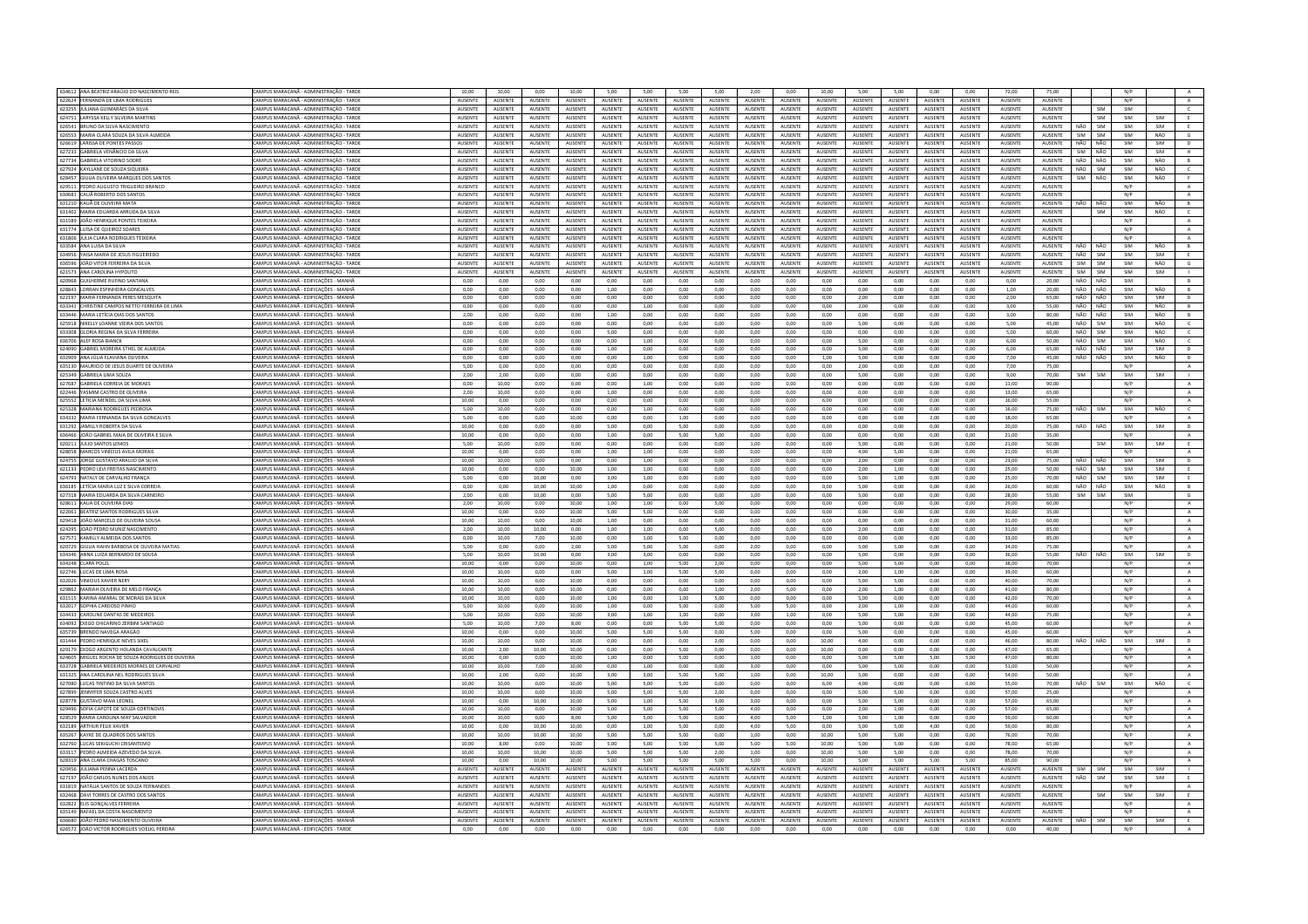| 634612 ANA BEATRIZ ARAÚJO DO NASCIMENTO REIS                                         | CAMPUS MARACANÃ - ADMINISTRAÇÃO - TARDE                                        | 10,00                  | 10,00           | 0,00                   | 10,00                  | 5,00            | 5,00                   | 5,00                    | 5,00           | 2,00            | 0,00           | 10,00          | 5,00                    | 5,00           | 0,00           | 0,00           | 72,00                  | 75,00                   |                          | N/P        |            |                |
|--------------------------------------------------------------------------------------|--------------------------------------------------------------------------------|------------------------|-----------------|------------------------|------------------------|-----------------|------------------------|-------------------------|----------------|-----------------|----------------|----------------|-------------------------|----------------|----------------|----------------|------------------------|-------------------------|--------------------------|------------|------------|----------------|
| 622624 FERNANDA DE LIMA RODRIGUES                                                    | CAMPUS MARACANĂ - ADMINISTRAÇÃO - TARDE                                        | AUSENTE                | AUSENTE         | AUSENTE                | AUSENTE                | AUSENTE         | AUSENTE                | AUSENTE                 | AUSENTE        | AUSENTE         | AUSENTE        | AUSENTE        | AUSENTE                 | AUSENTE        | AUSENTE        | AUSENTE        | AUSENTE                | AUSENTE                 |                          | N/P        |            | A              |
| 623255 JULIANA GUIMARÃES DA SILVA                                                    | CAMPUS MARACANĂ - ADMINISTRACÃO - TARDI                                        | AUSENTE                | AUSENTE         | AUSENTE                | AUSENTE                | AUSENTE         | AUSENTE                | AUSENTE                 | AUSENTE        | <b>AUSENTE</b>  | <b>AUSENTE</b> | AUSENTE        | <b>AUSENTE</b>          | AUSENTE        | AUSENTE        | AUSENTE        | <b>AUSENTE</b>         | <b>AUSENTE</b>          | SIM                      | SIM        |            | $\epsilon$     |
| 624751 LARYSSA KELLY SILVEIRA MARTIN                                                 | CAMPUS MARACANĂ - ADMINISTRAÇÃO - TARDI                                        | AUSENT                 | AUSENTE         | AUSENTE                | AUSENTE                | AUSENTE         | AUSENTE                | AUSENTE                 | AUSENT         | <b>AUSENT</b>   | <b>NUSENT</b>  | AUSENT         | <b>AUSENT</b>           | <b>NUSENTI</b> | AUSENT         | AUSENTE        | <b>NUSENTI</b>         | AUSENTE                 | SIM                      | SIM        | SIM        | E              |
| 626541 BRUNO DA SILVA NASCIMENTO                                                     | CAMPUS MARACANĂ - ADMINISTRAÇÃO - TARDI                                        | AUSENTE                | <b>AUSENTE</b>  | AUSENTE                | <b>AUSENTE</b>         | <b>AUSENTE</b>  | AUSENTE                | <b>AUSENTE</b>          | <b>AUSENTE</b> | AUSENTE         | <b>AUSENTE</b> | <b>AUSENTE</b> | AUSENTE                 | <b>AUSENTE</b> | <b>AUSENTE</b> | <b>AUSENTE</b> | <b>AUSENTE</b>         | AUSENTE                 | SIM<br>NÃC               | SIM        | SIM        | E              |
| 626553 MARIA CLARA SOUZA DA SILVA ALMEIDA                                            | CAMPUS MARACANĂ - ADMINISTRACÃO - TARDI                                        | <b>AUSENTE</b>         | <b>ALISENTE</b> | <b>AUSENTE</b>         | <b>AUSENTE</b>         | <b>ALISENTE</b> | AUSENTE                | <b>ALISENTE</b>         | <b>AUSENTE</b> | <b>ALISENTE</b> | <b>AUSENTE</b> | <b>AUSENTE</b> | <b>ALISENTE</b>         | <b>AUSENTE</b> | <b>AUSENTE</b> | <b>AUSENTE</b> | <b>ALISENTE</b>        | <b>AUSENTE</b>          | SIM<br><b>SIM</b>        | SIM        | NÃO        | $\mathsf G$    |
| 626619 LARISSA DE PONTES PASSOS                                                      | AMPUS MARACANĂ - ADMINISTRACÃO - TARDI                                         | AUSENTE                | <b>AUSENTE</b>  | AUSENTE                | <b>AUSENTE</b>         | AUSENTE         | AUSENTE                | <b>AUSENTE</b>          | AUSENTE        | AUSENTE         | <b>NUSENTE</b> | AUSENTE        | AUSENTE                 | AUSENTE        | AUSENTE        | <b>AUSENTE</b> | <b>AUSENTE</b>         | <b>AUSENTE</b>          | NÃO<br>NÃO               | SIM        | SIM        | D              |
|                                                                                      |                                                                                |                        |                 |                        |                        |                 |                        |                         |                |                 |                |                |                         |                |                |                |                        |                         |                          |            |            |                |
| 627233 GABRIELA VENÂNCIO DA SILVA                                                    | CAMPUS MARACANÃ - ADMINISTRAÇÃO - TARDI                                        | <b>AUSENTE</b>         | <b>ALISENTE</b> | <b>AUSENTE</b>         | <b>AUSENTE</b>         | <b>ALISENTE</b> | <b>AUSENTE</b>         | <b>ALISENTE</b>         | <b>AUSENTE</b> | <b>ALISENTE</b> | <b>AUSENTE</b> | <b>AUSENTE</b> | <b>ALISENTE</b>         | <b>AUSENTE</b> | <b>AUSENTE</b> | <b>AUSENTE</b> | <b>ALISENTE</b>        | <b>AUSENTE</b>          | SIM<br>NÃO               | SIM        | SIM        | H              |
| 627734 GABRIELA VITORINO SODRÉ                                                       | CAMPUS MARACANĂ - ADMINISTRAÇÃO - TARDI                                        | AUSENTE                | AUSENTE         | AUSENTE                | AUSENTE                | AUSENTE         | AUSENTE                | AUSENTE                 | AUSENTE        | AUSENTE         | AUSENTE        | AUSENTE        | AUSENTE                 | AUSENTE        | AUSENTE        | AUSENTE        | AUSENTE                | AUSENTE                 | NÃO<br>NÃO               | SIM        | NÃO        | $\overline{B}$ |
| 627924 KAYLLANE DE SOUZA SIQUEIRA                                                    | CAMPUS MARACANĂ - ADMINISTRACĂO - TARDE                                        | <b>AUSENTE</b>         | AUSENTE         | AUSENTE                | <b>AUSENTE</b>         | <b>AUSENTE</b>  | AUSENTE                | AUSENTE                 | AUSENTE        | <b>AUSENTE</b>  | <b>AUSENTE</b> | AUSENTE        | <b>AUSENTE</b>          | AUSENTE        | AUSENTE        | AUSENTE        | <b>AUSENTE</b>         | AUSENTE                 | NÃO<br>SIM               | SIM        | NÃO        | $\epsilon$     |
| 628457 GIULIA OLIVEIRA MARQUES DOS SANTOS                                            | CAMPUS MARACANĂ - ADMINISTRAÇÃO - TARDI                                        | AUSENT                 | AUSENTE         | AUSENTE                | AUSENTE                | <b>AUSENTE</b>  | AUSENTE                | <b>AUSENTE</b>          | AUSENTE        | AUSENTE         | <b>NUSENT</b>  | AUSENTE        | <b>AUSENT</b>           | AUSENTI        | AUSENTE        | AUSENTE        | <b>AUSENTE</b>         | AUSENTE                 | SIM<br>NÃO               | SIM        | NÃO        | F.             |
| 629511 PEDRO AUGUSTO TRIGUEIRO BRANCO                                                | CAMPUS MARACANĂ - ADMINISTRAÇÃO - TARDI                                        | AUSENTE                | AUSENTE         | AUSENTE                | AUSENTE                | <b>AUSENTE</b>  | AUSENTE                | AUSENTE                 | <b>AUSENTE</b> | <b>AUSENTE</b>  | <b>AUSENTE</b> | <b>AUSENTE</b> | <b>AUSENTE</b>          | AUSENTE        | <b>AUSENTE</b> | <b>AUSENTE</b> | <b>AUSENTE</b>         | AUSENTE                 |                          | N/P        |            | A              |
| 630681 CAUÃ ROBERTO DOS SANTOS                                                       | CAMPUS MARACANĂ - ADMINISTRACÃO - TARDE                                        | <b>AUSENTE</b>         | <b>ALISENTE</b> | <b>AUSENTE</b>         | <b>AUSENTE</b>         | <b>ALISENTE</b> | <b>AUSENTE</b>         | <b>ALISENTE</b>         | <b>AUSENTE</b> | <b>ALISENTE</b> | <b>AUSENTE</b> | <b>AUSENTE</b> | <b>ALISENTE</b>         | <b>AUSENTE</b> | <b>AUSENTE</b> | <b>AUSENTE</b> | <b>AUSENTE</b>         | <b>AUSENTE</b>          |                          | N/P        |            | A              |
|                                                                                      |                                                                                |                        |                 |                        |                        |                 |                        |                         |                |                 |                |                |                         |                |                |                |                        |                         |                          |            |            |                |
| 631210 KAUÃ DE OLIVEIRA MATA                                                         | AMPUS MARACANĂ - ADMINISTRACĂO - TARDI                                         | AUSENTE                | <b>AUSENTE</b>  | AUSENTE                | <b>AUSENTE</b>         | <b>AUSENTE</b>  | AUSENTE                | <b>AUSENTE</b>          | AUSENTE        | <b>AUSENT</b>   | <b>NUSENTE</b> | <b>AUSENTE</b> | <b>AUSENT</b>           | <b>NUSENTE</b> | <b>AUSENTE</b> | <b>AUSENTE</b> | <b>AUSENTE</b>         | <b>AUSENTE</b>          | NÃO                      | SIM        | NÃO        | B              |
| 631402 MARIA EDUARDA ARRUDA DA SILVA                                                 | CAMPUS MARACANA - ADMINISTRAÇÃO - TARDI                                        | <b>AUSENTE</b>         | <b>AUSENTE</b>  | <b>AUSENTE</b>         | <b>AUSENTE</b>         | <b>ALISENTE</b> | <b>ALISENTE</b>        | <b>ALISENTE</b>         | <b>AUSENTE</b> | <b>ALISENTE</b> | <b>AUSENTE</b> | <b>AUSENTE</b> | <b>ALISENTE</b>         | <b>AUSENTE</b> | <b>AUSENTE</b> | <b>AUSENTE</b> | <b>AUSENTE</b>         | <b>AUSENTE</b>          | <b>SIM</b>               | SIM        | NÃO        | $\epsilon$     |
| 631589 JOÃO HENRIQUE PONTES TEIXEIRA                                                 | CAMPUS MARACANĂ - ADMINISTRAÇÃO - TARDE                                        | AUSENTE                | AUSENTE         | AUSENTE                | AUSENTE                | <b>AUSENTE</b>  | AUSENTE                | AUSENTE                 | AUSENTE        | AUSENTE         | AUSENTE        | AUSENTE        | AUSENTE                 | AUSENTE        | AUSENTE        | AUSENTE        | AUSENTE                | AUSENTE                 |                          | N/P        |            | A              |
| 631774 LUÍSA DE QUEIROZ SOARES                                                       | CAMPUS MARACANĂ - ADMINISTRACÃO - TARDI                                        | AUSENTE                | AUSENTE         | AUSENTE                | <b>AUSENTE</b>         | <b>AUSENTE</b>  | AUSENTE                | AUSENTE                 | AUSENTE        | <b>AUSENTE</b>  | <b>AUSENTE</b> | AUSENTE        | <b>AUSENTE</b>          | <b>AUSENTE</b> | AUSENTE        | AUSENTE        | <b>AUSENTE</b>         | AUSENTE                 |                          | N/P        |            | A              |
| 631806 JULIA CLARA RODRIGUES TEIXEIRA                                                | CAMPUS MARACANĂ - ADMINISTRACÃO - TARDI                                        | <b>AUSENT</b>          | <b>AUSENTE</b>  | AUSENTE                | AUSENTE                | <b>AUSENTE</b>  | <b>AUSENTE</b>         | <b>AUSENTE</b>          | <b>AUSENTE</b> | <b>AUSENT</b>   | AUSENT         | AUSENTI        | <b>AUSENT</b>           | AUSENTE        | <b>AUSENTE</b> | <b>AUSENTE</b> | <b>AUSENTE</b>         | <b>AUSENTE</b>          |                          | N/P        |            | A              |
| 633584 ANA LUISA DA SILVA                                                            | CAMPUS MARACANĂ - ADMINISTRAÇÃO - TARDI                                        | <b>AUSENTE</b>         | <b>AUSENTE</b>  | AUSENTE                | <b>AUSENTE</b>         | <b>AUSENTE</b>  | AUSENTE                | <b>AUSENTE</b>          | <b>AUSENTE</b> | <b>AUSENTE</b>  | <b>AUSENTE</b> | <b>AUSENTE</b> | <b>AUSENTE</b>          | <b>AUSENTE</b> | <b>AUSENTE</b> | <b>AUSENTE</b> | <b>AUSENTE</b>         | AUSENTE                 | NÃO<br><b>NÃO</b>        | SIM        | NÃO        | B              |
|                                                                                      |                                                                                |                        |                 |                        |                        |                 |                        |                         |                |                 |                |                |                         |                |                |                |                        |                         |                          |            |            |                |
| 634956 YAISA MARIA DE JESUS FIGUEIREDO                                               | CAMPUS MARACANA - ADMINISTRAÇÃO - TARDI                                        | <b>AUSENTE</b>         | <b>ALISENTE</b> | <b>AUSENTE</b>         | <b>AUSENTE</b>         | <b>ALISENTE</b> | <b>AUSENTE</b>         | <b>ALISENTE</b>         | <b>AUSENTE</b> | <b>ALISENTE</b> | <b>AUSENTE</b> | <b>AUSENTE</b> | <b>ALISENTE</b>         | <b>AUSENTE</b> | <b>AUSENTE</b> | <b>AUSENTE</b> | <b>AUSENTE</b>         | <b>AUSENTE</b>          | NÃO<br>SIM               | SIM        | <b>SIM</b> | E              |
| 636596 JOÃO VITOR FERREIRA DA SILVA                                                  | AMPUS MARACANĂ - ADMINISTRACÃO - TARDI                                         | AUSENTE                | <b>AUSENTE</b>  | AUSENTE                | <b>AUSENTE</b>         | AUSENTE         | <b>AUSENTE</b>         | <b>AUSENTE</b>          | AUSENTE        | <b>AUSENT</b>   | <b>NUSENTE</b> | <b>AUSENTE</b> | <b>AUSENT</b>           | <b>NUSENTE</b> | <b>AUSENTE</b> | <b>AUSENTE</b> | <b>AUSENTE</b>         | <b>AUSENTE</b>          | SIM<br><b>SIM</b>        | SIM        | NÃO        | $\mathsf G$    |
| 621573 ANA CAROLINA HYPÓLITO                                                         | CAMPUS MARACANA - ADMINISTRAÇÃO - TARDI                                        | <b>AUSENTE</b>         | <b>ALISENTE</b> | <b>AUSENTE</b>         | <b>AUSENTE</b>         | <b>ALISENTE</b> | <b>AUSENTE</b>         | <b>ALISENTE</b>         | <b>AUSENTE</b> | <b>ALISENTE</b> | <b>AUSENTE</b> | <b>AUSENTE</b> | <b>ALISENTE</b>         | <b>AUSENTE</b> | <b>AUSENTE</b> | <b>AUSENTE</b> | <b>AUSENTE</b>         | <b>AUSENTE</b>          | SIM<br>SIM               | SIM        | <b>SIM</b> | $\sim$ 1.00    |
| 620968 GUILHERME RUFINO SANTANA                                                      | CAMPUS MARACANĂ - EDIFICACÕES - MANHA                                          | 0,00                   | 0,00            | 0,00                   | 0,00                   | 0,00            | 0,00                   | 0,00                    | 0,00           | 0,00            | 0,00           | 0,00           | 0,00                    | 0,00           | 0,00           | 0,00           | 0,00                   | 20,00                   | NÃO<br>NÃO               | SIM        |            | B              |
| 628843 LORRAN ESPINHEIRA GONCALVES                                                   | CAMPUS MARACANĂ - EDIFICACÕES - MANHÀ                                          | 0.00                   | 0.00            | 0.00                   | 0.00                   | 1.00            | 0.00                   | 0.00                    | 0.00           | 0.00            | 0.00           | 0.00           | 0.00                    | 0.00           | 0.00           | 0.00           | 1.00                   | 20.00                   | NÃO<br>NÃO               | SIM        | NÃO        | B              |
|                                                                                      |                                                                                |                        |                 |                        |                        |                 |                        |                         |                |                 |                |                |                         |                |                |                |                        |                         |                          |            |            |                |
| 622197 MARIA FERNANDA PERES MESQUIT.                                                 | CAMPLIS MARACANĂ - FDIFICACÕES - MANHÂ                                         | 0,00                   | 0,00            | 0,00                   | 0,00                   | 0,00            | 0,00                   | 0,00                    | 0,00           | 0,00            | 0,00           | 0,00           | 2,00                    | 0,00           | 0,00           | 0,00           | 2,00                   | 65,00                   | NÃO<br>NÃO               | SIM        | SIM        | $\mathsf D$    |
| 633341 CHRISTINE CAMPOS NETTO FERREIRA DE LIMA                                       | CAMPUS MARACANĂ - EDIFICAÇÕES - MANHÀ                                          | 0,00                   | 0.00            | 0,00                   | 0,00                   | 0.00            | 1,00                   | 0,00                    | 0.00           | 0.00            | 0.00           | 0,00           | 2,00                    | 0,00           | 0.00           | 0.00           | 3,00                   | 55,00                   | NÃO<br>NÃO               | SIM        | NÃO        | B              |
| 633446 MARIA LETÍCIA DIAS DOS SANTOS                                                 | CAMPUS MARACANÃ - FDIFICACÕES - MANHÃ                                          | 2.00                   | 0.00            | 0.00                   | 0.00                   | 1.00            | 0.00                   | 0.00                    | 0.00           | 0.00            | 0.00           | 0.00           | 0.00                    | 0.00           | 0.00           | 0.00           | 3.00                   | 80.00                   | NÃO<br>NÃO               | SIM        | NÃO        | B              |
| 625918 NIKELLY LOANNE VIEIRA DOS SANTOS                                              | CAMPUS MARACANĂ - EDIFICAÇÕES - MANH                                           | 0,00                   | 0,00            | 0,00                   | 0,00                   | 0,00            | 0,00                   | 0,00                    | 0,00           | 0,00            | 0,00           | 0,00           | 5,00                    | 0,00           | 0,00           | 0,00           | 5,00                   | 45,00                   | NÃO<br>SIM               | SIM        | NÃO        | $\mathsf{c}$   |
| 633308 GLORIA REGINA DA SILVA FERREIRA                                               | CAMPUS MARACANĂ - EDIFICACÕES - MANHÀ                                          | 0.00                   | 0.00            | 0.00                   | 0.00                   | 5.00            | 0.00                   | 0.00                    | 0.00           | 0.00            | 0.00           | 0.00           | 0.00                    | 0.00           | 0.00           | 0.00           | 5.00                   | 60.00                   | NÃO<br>SIM               | SIM        | NÃO        | $\epsilon$     |
|                                                                                      |                                                                                |                        |                 |                        |                        |                 |                        |                         |                |                 |                |                |                         |                |                |                |                        |                         |                          |            |            |                |
| 636706 ALEF ROSA BIANCI                                                              | CAMPUS MARACANĂ - EDIFICAÇÕES - MANHÀ                                          | 0,00                   | 0,00            | 0,00                   | 0,00                   | 0,00            | 1,00                   | 0,00                    | 0,00           | 0,00            | 0,00           | 0,00           | 5,00                    | 0,00           | 0,00           | 0,00           | 6,00                   | 50,00                   | NÃO<br>SIM               | SIM        | NÃO        | $\epsilon$     |
| 624090 GABRIEL MOREIRA STHEL DE ALMEIDA                                              | CAMPUS MARACANĂ - EDIFICAÇÕES - MANHĂ                                          | 0,00                   | 0,00            | 0,00                   | 0,00                   | 1,00            | 0,00                   | 0,00                    | 0,00           | 0,00            | 0,00           | 0,00           | 5,00                    | 0,00           | 0,00           | 0,00           | 6,00                   | 65,00                   | NÃO<br>NÃO               | SIM        | SIM        | D              |
| 632909 ANA JÚLIA FLAVIANA OLIVEIRA                                                   | CAMPUS MARACANĂ - EDIFICACÕES - MANHÀ                                          | 0,00                   | 0,00            | 0,00                   | 0,00                   | 0,00            | 1,00                   | 0,00                    | 0,00           | 0,00            | 0,00           | 1,00           | 5,00                    | 0,00           | 0,00           | 0.00           | 7,00                   | 45,00                   | NÃO<br>NÃO               | SIM        | NÃO        | $\,$ B         |
| 635130 MAURICIO DE JESUS DUARTE DE OLIVEIRA                                          | CAMPUS MARACANĂ - EDIFICAÇÕES - MANHĂ                                          | 5,00                   | 0,00            | 0,00                   | 0,00                   | 0.00            | 0,00                   | 0,00                    | 0,00           | 0.00            | 0.00           | 0,00           | 2,00                    | 0.00           | 0,00           | 0,00           | 7,00                   | 75.00                   |                          | N/P        |            | A              |
| 625349 GABRIELA LIMA SOUZA                                                           | CAMPUS MARACANĂ - EDIFICACÕES - MANHĂ                                          | 2.00                   | 2.00            | 0.00                   | 0.00                   | 0.00            | 0.00                   | 0.00                    | 0.00           | 0.00            | 0.00           | 0.00           | 5.00                    | 0.00           | 0.00           | 0.00           | 9.00                   | 70.00                   | SIM<br><b>SIM</b>        | SIM        | SIM        | $\mathbf{L}$   |
|                                                                                      |                                                                                |                        |                 |                        |                        |                 |                        |                         |                |                 |                |                |                         |                |                |                |                        |                         |                          |            |            |                |
| 627687 GABRIELA CORREIA DE MORAES                                                    | CAMPUS MARACANĂ - EDIFICAÇÕES - MANH                                           | 0,00                   | 10,00           | 0,00                   | 0,00                   | 0,00            | 1,00                   | 0,00                    | 0,00           | 0,00            | 0,00           | 0,00           | 0,00                    | 0,00           | 0,00           | 0,00           | 11,00                  | 90,00                   |                          | N/P        |            | $\mathbb A$    |
| 622446 YASMIM CASTRO DE OLIVEIRA                                                     | CAMPUS MARACANĂ - EDIFICACÕES - MANHĂ                                          | 2.00                   | 10.00           | 0.00                   | 0.00                   | 1.00            | 0.00                   | 0.00                    | 0.00           | 0.00            | 0.00           | 0.00           | 0.00                    | 0.00           | 0.00           | 0.00           | 13.00                  | 65.00                   |                          | N/P        |            | A              |
| 625552 LETICIA MENDEL DA SILVA LIMA                                                  | CAMPUS MARACANĂ - EDIFICAÇÕES - MANH                                           | 10,00                  | 0,00            | 0,00                   | 0,00                   | 0,00            | 0,00                   | 0,00                    | 0,00           | 0,00            | 0,00           | 6,00           | 0,00                    | 0,00           | 0,00           | 0,00           | 16,00                  | 55,00                   |                          | N/P        |            | A              |
| 625328 MARIANA RODRIGUES PEDROSA                                                     | CAMPUS MARACANĂ - EDIFICAÇÕES - MANHÀ                                          | 5,00                   | 10,00           | 0,00                   | 0,00                   | 0,00            | 1,00                   | 0,00                    | 0,00           | 0,00            | 0,00           | 0,00           | 0,00                    | 0,00           | 0,00           | 0,00           | 16,00                  | 75,00                   | <b>SIM</b>               | SIM        | NÃO        | $\epsilon$     |
| 634332 MARIA FERNANDA DA SILVA GONCALVES                                             | CAMPUS MARACANÃ - EDIFICAÇÕES - MANHÀ                                          | 5.00                   | 0.00            | 0.00                   | 10.00                  | 0.00            | 0.00                   | 1.00                    | 0.00           | 0.00            | 0.00           | 0.00           | 0.00                    | 0.00           | 2.00           | 0.00           | 18.00                  | 65,00                   |                          | N/P        |            | $\,$ A $\,$    |
|                                                                                      |                                                                                |                        |                 |                        |                        |                 |                        |                         |                |                 |                |                |                         |                |                |                |                        |                         |                          |            |            |                |
| 631292 JAMILLY ROBERTA DA SILVA                                                      | CAMPUS MARACANĂ - EDIFICAÇÕES - MANHÃ                                          | 10.00                  | 0.00            | 0.00                   | 0,00                   | 5.00            | 0.00                   | 5,00                    | 0.00           | 0.00            | 0.00           | 0,00           | 0.00                    | 0.00           | 0,00           | 0.00           | 20,00                  | 75.00                   | NÃO<br>NÃO               | SIM        | SIM        | $\overline{p}$ |
| 636466 JOÃO GABRIEL MAIA DE OLIVEIRA E SILVA                                         | CAMPUS MARACANĂ - EDIFICACÕES - MANHĂ                                          | 10.00                  | 0.00            | 0.00                   | 0.00                   | 1.00            | $0.00 -$               | 5.00                    | 5.00           | 0.00            | 0.00           | 0.00           | 0.00                    | 0.00           | 0.00           | 0.00           | 21.00                  | 35.00                   |                          | N/P        |            | A              |
| 620211 JULIO SANTOS LEMOS                                                            | CAMPUS MARACANĂ - EDIFICAÇÕES - MANH                                           | 5,00                   | 10,00           | 0,00                   | 0,00                   | 0,00            | 0,00                   | 0,00                    | 0,00           | 1,00            | 0,00           | 0,00           | 5,00                    | 0,00           | 0,00           | 0,00           | 21,00                  | 50,00                   | SIM                      | SIM        | SIM        | E              |
| 628058 MARCOS VINÍCIUS AVILA MORAIS                                                  | CAMPUS MARACANĂ - EDIFICACÕES - MANHĂ                                          | 10.00                  | 0.00            | 0.00                   | 0.00                   | 1.00            | 1.00                   | 0.00                    | 0.00           | 0.00            | 0.00           | 0.00           | 4.00                    | 5.00           | 0.00           | 0.00           | 21.00                  | 65.00                   |                          | N/P        |            | A              |
|                                                                                      |                                                                                |                        |                 |                        |                        |                 |                        |                         |                |                 |                |                |                         |                |                |                |                        |                         | NÃO NÃO                  | SIM        |            |                |
| 624755 JORGE GUSTAVO ARAUJO DA SILVA                                                 | CAMPUS MARACANĂ - EDIFICAÇÕES - MANHĂ                                          | 10,00                  | 10,00           | 0,00                   | 0,00                   | 0,00            | 1,00                   | 0,00                    | 0,00           | 0,00            | 0,00           | 0,00           | 2,00                    | 0,00           | 0,00           | 0,00           | 23,00                  | 75,00                   |                          |            | SIM        | D              |
| 621133 PEDRO LEVI FREITAS NASCIMENTO                                                 | <b>AMPUS MARACANĂ - EDIFICAÇÕES - MANHÃ</b>                                    | 10,00                  | 0.00            | 0,00                   | 10,00                  | 1.00            | 1,00                   | 0,00                    | 0,00           | 0.00            | 0,00           | 0,00           | 2,00                    | 1,00           | 0,00           | 0,00           | 25,00                  | 50.00                   | NÃO<br>SIM               | SIM        | SIM        | <b>E</b>       |
| 624793 NATALY DE CARVALHO FRANCA                                                     | CAMPUS MARACANÃ - FDIFICACÕES - MANHÀ                                          | 5.00                   | 0.00            | 10.00                  | 0.00                   | 3.00            | 1.00                   | 0.00                    | 0.00           | 0.00            | 0.00           | 0.00           | 5.00                    | 1.00           | 0.00           | 0.00           | 25.00                  | 70.00                   | NÃO<br>SIM               | SIM        | <b>SIM</b> | E              |
| 636185 LETÍCIA MARIA LUZ E SILVA CORREIA                                             | CAMPUS MARACANĂ - EDIFICAÇÕES - MANHÃ                                          | 0.00                   | 0.00            | 10.00                  | 10.00                  | 1.00            | 0.00                   | 0,00                    | 0.00           | 0.00            | 0.00           | 0.00           | 5.00                    | 0.00           | 0,00           | 0.00           | 26,00                  | 60.00                   | NÃO<br><b>NÃO</b>        | SIM        | NÃO        | $\overline{B}$ |
| 627318 MARIA EDUARDA DA SILVA CARNEIRO                                               | CAMPUS MARACANĂ - EDIFICACÕES - MANHĂ                                          | 2.00                   | 0.00            | 10.00                  | 0.00                   | 5.00            | 5.00                   | 0.00                    | 0.00           | 1.00            | 0.00           | 0.00           | 500                     | 0.00           | 0.00           | 0.00           | 28.00                  | 55.00                   | SIM<br><b>SIM</b>        | SIM        |            | $-$ G          |
|                                                                                      |                                                                                |                        |                 |                        |                        |                 |                        |                         |                |                 |                |                |                         |                |                |                |                        |                         |                          |            |            |                |
| 628611 KAUA DE OLIVEIRA DIAS                                                         | CAMPUS MARACANĂ - EDIFICACÕES - MANH                                           | 2,00                   | 10,00           | 0,00                   | 10,00                  | 1,00            | 1,00                   | 0,00                    | 5,00           | 0,00            | 0,00           | 0,00           | 0,00                    | 0,00           | 0,00           | 0,00           | 29,00                  | 60,00                   |                          | N/P        |            | $\mathbf{A}$   |
| 622061 BEATRIZ SANTOS RODRIGUES SILVA                                                | CAMPUS MARACANĂ - EDIFICACÕES - MANHÀ                                          | 10.00                  | 0.00            | 0.00                   | 10.00                  | 5.00            | 5.00                   | 0.00                    | 0.00           | 0.00            | 0.00           | 0.00           | 0.00                    | 0.00           | 0.00           | 0.00           | 30.00                  | 35.00                   |                          | N/P        |            | A              |
| 629418 JOÃO MARCELO DE OLIVEIRA SOUSA                                                | CAMPUS MARACANĂ - EDIFICAÇÕES - MANHÀ                                          | 10,00                  | 10,00           | 0,00                   | 10,00                  | 1,00            | 0,00                   | 0,00                    | 0,00           | 0,00            | 0.00           | 0,00           | 0,00                    | 0,00           | 0,00           | 0,00           | 31,00                  | 60,00                   |                          | N/P        |            | $\mathbf{A}$   |
| 624295 JOÃO PEDRO MUNIZ NASCIMENTO                                                   | CAMPUS MARACANĂ - EDIFICACÕES - MANHÀ                                          | 2.00                   | 10.00           | 10.00                  | 0.00                   | 1.00            | 1.00                   | 0.00                    | 5.00           | 0.00            | 0.00           | 0.00           | 2.00                    | 0.00           | 0.00           | 0.00           | 31.00                  | 85.00                   |                          | N/P        |            | A              |
| 627571 KAMILLY ALMEIDA DOS SANTOS                                                    | CAMPUS MARACANÃ - FDIFICACÕES - MANHÀ                                          | 0.00                   | 10.00           | 700                    | 10.00                  | 0.00            | 1.00                   | 5.00                    | 0.00           | 0.00            | 0.00           | 0.00           | 0.00                    | 0.00           | 0.00           | 0.00           | 33.00                  | 85.00                   |                          | N/P        |            | A              |
|                                                                                      |                                                                                |                        |                 |                        |                        |                 |                        |                         |                |                 |                |                |                         |                |                |                |                        |                         |                          |            |            |                |
| 620729 GIULIA HAHN BARBOSA DE OLIVEIRA MATIAS                                        | CAMPUS MARACANĂ - EDIFICAÇÕES - MANHÀ                                          | 5.00                   | 0.00            | 0.00                   | 2.00                   | 5.00            | 5.00                   | 5.00                    | 0.00           | 2.00            | 0.00           | 0.00           | 5.00                    | 5.00           | 0.00           | 0.00           | 34.00                  | 75.00                   |                          | N/P        |            | A              |
| 634346 ANNA LUÍZA RERNARDO DE SOUSA                                                  | CAMPUS MARACANÃ - FDIFICACÕES - MANHÃ                                          | 5.00                   | 10.00           | 10.00                  | 0.00                   | 3.00            | 3.00                   | 0.00                    | 0.00           | 0.00            | 0.00           | 0.00           | 500                     | 0.00           | 0.00           | 0.00           | 36.00                  | 55.00                   | uãn<br>NÃO               | SIM        | <b>SIM</b> | D              |
| 634248 CLARA POLZL                                                                   | CAMPUS MARACANĂ - EDIFICACÕES - MANH                                           | 10,00                  | 0,00            | 0,00                   | 10,00                  | 0,00            | 1,00                   | 5,00                    | 2,00           | 0,00            | 0,00           | 0,00           | 5,00                    | 5,00           | 0,00           | 0,00           | 38,00                  | 70,00                   |                          | N/P        |            | $\mathbb A$    |
| 622746 LUCAS DE LIMA ROSA                                                            | CAMPUS MARACANĂ - EDIFICACÕES - MANHĂ                                          | 10.00                  | 10.00           | 0.00                   | 0.00                   | 5.00            | 1.00                   | 5.00                    | 5.00           | 0.00            | 0.00           | 0.00           | 2.00                    | 1.00           | 0.00           | 0.00           | 39.00                  | 60.00                   |                          | N/P        |            | A              |
| 632026 VINICIUS XAVIER NERY                                                          | CAMPUS MARACANĂ - EDIFICACÕES - MANHĂ                                          | 10.00                  | 10.00           | 0,00                   | 10.00                  | 0.00            | 0,00                   | 0,00                    | 0,00           | 0.00            | 0.00           | 0,00           | 5.00                    | 5,00           | 0,00           | 0.00           | 40.00                  | 70.00                   |                          | N/P        |            | $\,$ A $\,$    |
|                                                                                      |                                                                                |                        |                 |                        |                        |                 |                        |                         |                |                 |                |                |                         |                |                |                |                        |                         |                          |            |            |                |
| 629862 MARIAH OLIVEIRA DE MELO FRANCA<br>631515 KARINA AMARAL DE MORAIS DA SILVA     | CAMPUS MARACANĂ - EDIFICACÕES - MANHĂ<br>CAMPUS MARACANA - FDIFICACOES - MANHA | 10.00<br>10.00         | 10.00<br>10.00  | 0.00<br>0.00           | 10.00<br>10.00         | 0.00<br>1.00    | 0.00<br>0.00           | 0.00<br>1.00            | 1.00<br>5.00   | 2.00<br>0.00    | 5.00<br>0.00   | 0.00<br>0.00   | 2.00<br>500             | 1.00<br>0.00   | 0.00<br>0.00   | 0.00<br>0.00   | 41.00<br>42.00         | 80.00<br>70.00          |                          | N/P<br>N/P |            | A              |
|                                                                                      |                                                                                |                        |                 |                        |                        |                 |                        |                         |                |                 |                |                |                         |                |                |                |                        |                         |                          |            |            | A              |
| 632017 SOPHIA CARDOSO PINHO                                                          | CAMPUS MARACANĂ - EDIFICAÇÕES - MANH                                           | 5,00                   | 10,00           | 0,00                   | 10,00                  | 1,00            | 0,00                   | 5,00                    | 0,00           | 5,00            | 5,00           | 0,00           | 2,00                    | 1,00           | 0,00           | 0,00           | 44,00                  | 60,00                   |                          | N/P        |            | $\,$ A $\,$    |
| 634433 CAROLINE DANTAS DE MEDEIROS                                                   | CAMPUS MARACANÃ - FDIFICACÕES - MANHÃ                                          | 5.00                   | 10.00           | 0.00                   | 10.00                  | 3.00            | 1.00                   | 1.00 <sub>1</sub>       | 0.00           | 3.00            | 1.00           | 0.00           | 5.00                    | 5.00           | 0.00           | 0.00           | 44.00                  | 75.00                   |                          | N/P        |            | $\Lambda$      |
| 634092 DIEGO CHICARINO ZERBINI SANTIAGO                                              | CAMPUS MARACANÃ - FDIFICACÕES - MANHÀ                                          | 5,00                   | 10,00           | 7,00                   | 8,00                   | 0,00            | 0,00                   | 5,00                    | 5,00           | 0,00            | 0,00           | 0,00           | 5,00                    | 0,00           | 0,00           | 0,00           | 45,00                  | 60,00                   |                          | N/P        |            | A              |
| 635739 BRENDO NAVEGA ARAGÃO                                                          | CAMPUS MARACANĂ - EDIFICAÇÕES - MANHÀ                                          | 10,00                  | 0,00            | 0,00                   | 10,00                  | 5,00            | 5,00                   | 5,00                    | 0,00           | 5,00            | 0,00           | 0,00           | 5,00                    | 0,00           | 0,00           | 0,00           | 45,00                  | 60.00                   |                          | N/P        |            | A              |
| 631444 PEDRO HENRIQUE NEVES SIXE                                                     | CAMPUS MARACANĂ - EDIFICAÇÕES - MANHĂ                                          | 10,00                  | 10,00           | 0,00                   | 10,00                  | 0,00            |                        | 0,00                    | 2,00           | 0,00            | 0,00           | 10,00          |                         | 0,00           | 0,00           | 0,00           |                        | 80,00                   | NÃO<br>NÃO               | SIM        | SIM        |                |
|                                                                                      |                                                                                |                        |                 |                        |                        |                 | 0,00                   |                         |                |                 |                |                | 4,00                    |                |                |                | 46,00                  |                         |                          |            |            | $\mathsf D$    |
| 629179 DIOGO ARGENTO HOLANDA CAVALCANTI                                              | CAMPUS MARACANĂ - EDIFICAÇÕES - MANHĂ                                          | 10,00                  | 2,00            | 10,00                  | 10,00                  | 0,00            | 0,00                   | 5,00                    | 0,00           | 0,00            | 0,00           | 10,00          | 0,00                    | 0,00           | 0,00           | 0,00           | 47,00                  | 65,00                   |                          | N/P        |            | A              |
| 624605 MIGUEL ROCHA DE SOUZA RODRIGUES DE OLIVEIRA                                   | CAMPUS MARACANĂ - EDIFICACÕES - MANHĂ                                          | 10.00                  | 0.00            | 0.00                   | 10.00                  | 1.00            | 0.00                   | 5.00                    | 0.00           | 1.00            | 0.00           | 0.00           | 5.00                    | 5.00           | 5.00           | 5.00           | 47.00                  | 80.00                   |                          | N/P        |            | A              |
| 633728 GABRIELA MEDEIROS MORAES DE CARVALHO                                          | CAMPUS MARACANĂ - EDIFICAÇÕES - MANH                                           | 10,00                  | 10,00           | 7,00                   | 10,00                  | 0,00            | 1,00                   | 0,00                    | 0,00           | 3,00            | 0,00           | 0,00           | 5,00                    | 5,00           | 0,00           | 0,00           | 51,00                  | 50,00                   |                          | N/P        |            | A              |
| 631325 ANA CAROLINA NEL RODRIGUES SILVA                                              | CAMPUS MARACANĂ - EDIFICACÕES - MANHĂ                                          | 10.00                  | 2.00            | 0.00                   | 10.00                  | 3.00            | 3.00                   | 5.00                    | 5.00           | 1.00            | 0.00           | 10.00          | 5.00                    | 0.00           | 0.00           | 0.00           | 54.00                  | 50.00                   |                          | N/P        |            | A              |
| 627080 LUCAS TINTINO DA SILVA SANTO                                                  | CAMPUS MARACANĂ - EDIFICAÇÕES - MANH                                           | 10,00                  | 10,00           | 0,00                   | 10,00                  | 5,00            | 5,00                   | 5,00                    | 0,00           | 0,00            | 0,00           | 6,00           | 4,00                    | 0,00           | 0,00           | 0,00           | 55,00                  | 70,00                   | SIM                      | SIM        |            | $\mathsf{C}$   |
|                                                                                      |                                                                                |                        |                 |                        |                        |                 |                        |                         |                |                 |                |                |                         |                |                |                |                        |                         |                          |            |            |                |
| 627899 JENNYFER SOUZA CASTRO ALVES                                                   | CAMPUS MARACANĂ - EDIFICAÇÕES - MANHÀ                                          | 10,00                  | 10,00           | 0,00                   | 10,00                  | 5,00            | 5,00                   | 5,00                    | 2,00           | 0,00            | 0,00           | 0,00           | 5,00                    | 5,00           | 0,00           | 0,00           | 57,00                  | 25,00                   |                          | N/P        |            | A              |
| 628778 GUSTAVO MAJA LEONEI                                                           | CAMPUS MARACANĂ - EDIFICACÕES - MANHĂ                                          | 10.00                  | 0.00            | 10.00                  | 10.00                  | 5.00            | 1,00                   | 5.00                    | 3,00           | 3.00            | 0.00           | 0,00           | 5.00                    | 5.00           | 0.00           | 0.00           | 57.00                  | 65,00                   |                          | N/P        |            | $\,$ A $\,$    |
| 629496 SOFIA CAPOTE DE SOUZA CORTINOVIS                                              | CAMPUS MARACANĂ - EDIFICAÇÕES - MANHÀ                                          | 10,00                  | 10,00           | 0,00                   | 10,00                  | 5,00            | 5,00                   | 5,00                    | 5,00           | 4,00            | 0,00           | 0,00           | 2,00                    | 1,00           | 0,00           | 0,00           | 57,00                  | 65,00                   |                          | N/P        |            | A              |
| 628529 MARIA CAROLINA MAY SALVADOR                                                   | CAMPUS MARACANĂ - EDIFICACÕES - MANHÀ                                          | 10.00                  | 10.00           | 0.00                   | 8.00                   | 5.00            | 5.00                   | 5.00                    | 0.00           | 4.00            | 5.00           | 1.00           | 5.00                    | 1.00           | 0.00           | 0.00           | 59.00                  | 60.00                   |                          | N/P        |            | A              |
| 632189 ARTHUR FELIX XAVIER                                                           | CAMPUS MARACANĂ - EDIFICAÇÕES - MANHÀ                                          | 10,00                  | 0,00            | 10,00                  | 10,00                  | 0,00            | 1,00                   | 5,00                    | 0,00           | 4,00            | 5,00           | 0,00           | 5,00                    | 5,00           | 4,00           | 0,00           | 59,00                  | 80,00                   |                          | N/P        |            | A              |
|                                                                                      |                                                                                |                        |                 |                        |                        |                 |                        |                         |                |                 |                |                |                         |                |                |                |                        |                         |                          |            |            |                |
| 635267 KAYKE DE QUADROS DOS SANTOS                                                   | CAMPUS MARACANĂ - EDIFICACÕES - MANHĂ                                          | 10.00                  | 10.00           | 10.00                  | 10.00                  | 5.00            | 5.00                   | 5.00                    | 0.00           | 1.00            | 0.00           | 10.00          | 5.00                    | 5.00           | 0.00           | 0.00           | 76.00                  | 70.00                   |                          | N/P        |            | A              |
| 632760 LUCAS SEKIGUCHI CRISANTEMO                                                    | CAMPUS MARACANÃ - EDIFICAÇÕES - MANHA                                          | 10,00                  | 8,00            | 0,00                   | 10,00                  | 5,00            | 5,00                   | 5,00                    | 5,00           | 5,00            | 5,00           | 10,00          | 5,00                    | 5,00           | 0,00           | 0.00           | 78,00                  | 65,00                   |                          | N/P        |            | $\,$ A $\,$    |
| 633117 PEDRO ALMEIDA AZEVEDO DA SILVA                                                | CAMPUS MARACANĂ - EDIFICAÇÕES - MANHÃ                                          | 10,00                  | 10,00           | 10,00                  | 10,00                  | 5,00            | 5,00                   | 5,00                    | 2,00           | 1,00            | 0,00           | 10,00          | 5,00                    | 5,00           | 0,00           | 0,00           | 78,00                  | 70.00                   |                          | N/P        |            | A              |
| 628319 ANA CLARA CHAGAS TOSCANO                                                      | CAMPUS MARACANĂ - EDIFICACÕES - MANHĂ                                          | 10.00                  | 0.00            | 10.00                  | 10.00                  | 5.00            | 5.00                   | 5.00                    | 5.00           | 5.00            | 0.00           | 10.00          | 5.00                    | 5.00           | 5.00           | 5.00           | 85.00                  | 90.00                   |                          | N/P        |            | A              |
| 620456 JULIANA PENNA LACERDA                                                         | CAMPUS MARACANĂ - EDIFICAÇÕES - MANHÃ                                          | AUSENTE                | AUSENTE         | AUSENTE                | AUSENTE                | AUSENTE         | AUSENTE                | <b>AUSENTE</b>          | <b>AUSENTE</b> | AUSENTE         | AUSENTE        | AUSENTE        | AUSENTE                 | AUSENTE        | AUSENTE        | AUSENTE        | AUSENTE                | AUSENTE                 | <b>SIM</b><br><b>SIM</b> | SIM        | <b>SIM</b> | $\blacksquare$ |
| 627197 JOÃO CARLOS NUNES DOS ANJO                                                    |                                                                                |                        |                 |                        |                        |                 |                        |                         |                |                 |                |                |                         |                |                |                |                        |                         | NÃO                      | SIM        | SIM        | E              |
|                                                                                      | CAMPUS MARACANĂ - EDIFICACÕES - MANHÀ                                          | AUSENTE                | <b>AUSENTE</b>  | AUSENTE                | <b>AUSENTE</b>         | <b>AUSENTE</b>  | AUSENTE                | <b>AUSENTE</b>          | <b>AUSENTE</b> | AUSENTE         | AUSENTE        | <b>AUSENTE</b> | AUSENTE                 | AUSENTE        | <b>AUSENTE</b> | <b>AUSENTE</b> | <b>AUSENTE</b>         | AUSENTE                 | SIM                      |            |            |                |
| 631819 NATÁLIA SANTOS DE SOUZA FERNANDE                                              | CAMPUS MARACANĂ - EDIFICAÇÕES - MANH                                           | <b>AUSENTE</b>         | AUSENTE         | AUSENTE                | <b>AUSENTE</b>         | <b>AUSENTE</b>  | AUSENTE                | <b>AUSENTE</b>          | AUSENTE        | <b>AUSENT</b>   | AUSENTE        | AUSENTE        | <b>AUSENT</b>           | AUSENTE        | <b>AUSENTE</b> | AUSENTE        | AUSENTE                | AUSENTE                 |                          | N/P        |            | A              |
| 632468 DAVI TORRES DE CASTRO DOS SANTOS                                              | :AMPUS MARACANĂ - EDIFICACÕES - MANHÀ                                          | <b>AUSENTE</b>         | <b>AUSENTE</b>  | AUSENTE                | <b>AUSENTE</b>         | <b>AUSENTE</b>  | AUSENTE                | AUSENTE                 | <b>AUSENTE</b> | <b>AUSENTE</b>  | <b>AUSENTE</b> | <b>AUSENTE</b> | <b>AUSENTE</b>          | <b>AUSENTE</b> | <b>AUSENTE</b> | <b>AUSENTE</b> | <b>AUSENTE</b>         | AUSENTE                 | <b>MIP</b>               | SIM        | <b>SIM</b> | E              |
|                                                                                      |                                                                                |                        |                 |                        |                        |                 |                        |                         |                |                 |                |                |                         |                |                |                |                        |                         |                          |            |            |                |
|                                                                                      | CAMPUS MARACANĂ - EDIFICACÕES                                                  | <b>NUSENT</b>          |                 | AUSENT                 | AUSENTI                | AUSENTE         | AUSENTE                | AUSENTE                 | AUSENTI        | <b>AUSENT</b>   | USENT          | AUSENTI        | <b>AUSENT</b>           | <b>NUSENTI</b> | AUSENT         |                | <b>NUSENTI</b>         | AUSENTE                 |                          |            |            |                |
| 632822 ELIS GONÇALVES FERREIR/                                                       |                                                                                |                        | <b>AUSENTE</b>  |                        |                        |                 |                        |                         |                |                 |                |                |                         |                |                |                |                        |                         |                          | N/P        |            | A              |
| 635149 RAFAEL DA COSTA NASCIMENTO                                                    | CAMPUS MARACANĂ - EDIFICACÕES - MANHÀ                                          | <b>AUSENTE</b>         | <b>AUSENTE</b>  | AUSENTE                | <b>AUSENTE</b>         | <b>AUSENTE</b>  | AUSENTE                | <b>AUSENTE</b>          | <b>AUSENTE</b> | AUSENTE         | <b>AUSENTE</b> | <b>AUSENTE</b> | AUSENTE                 | <b>AUSENTE</b> | <b>AUSENTE</b> | AUSENTE        | <b>AUSENTE</b>         | AUSENTE                 |                          | N/P        |            | $\overline{A}$ |
| 636680 JOÃO PEDRO NASCIMENTO OLIVEIRA<br>626572 JOÃO VICTOR RODRIGUES VOELKL PEREIRA | CAMPUS MARACANĂ - EDIFICACÕES - MANHĂ<br>CAMPUS MARACANĂ - EDIFICACÕES - TARD  | <b>AUSENTE</b><br>0.00 | <b>ALISENTE</b> | <b>AUSENTE</b><br>0.00 | <b>AUSENTE</b><br>0.00 | <b>ALISENTE</b> | <b>AUSENTE</b><br>0.00 | <b>ALISENTE</b><br>0.00 | <b>AUSENTE</b> | <b>ALISENTE</b> | <b>AUSENTE</b> | <b>AUSENTE</b> | <b>ALISENTE</b><br>0.00 | <b>AUSENTE</b> | <b>AUSENTE</b> | <b>AUSENTE</b> | <b>AUSENTE</b><br>0.00 | <b>AUSENTE</b><br>40.00 | NÃO<br>SIM               | SIM<br>N/P | SIM        | E              |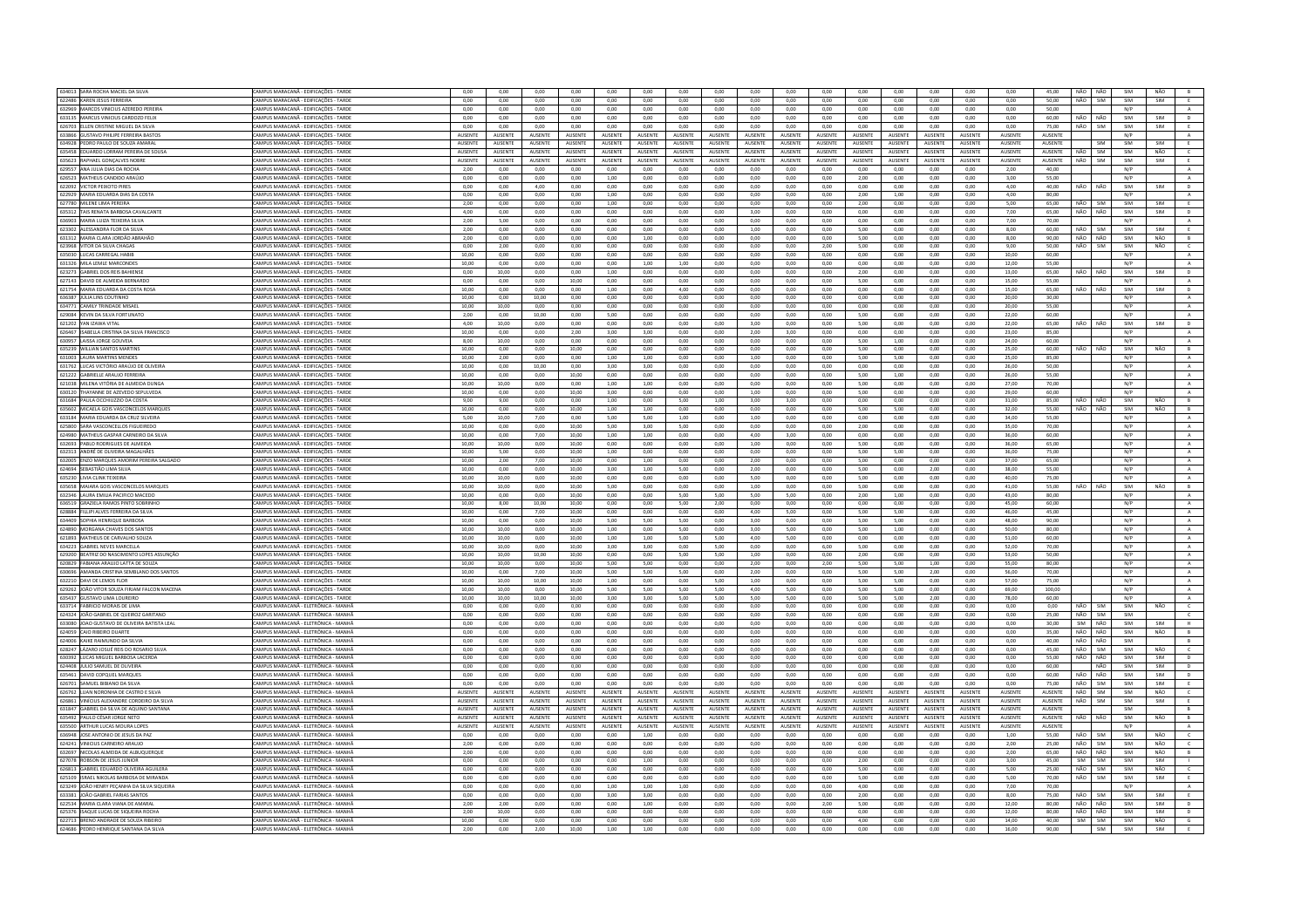| 634013 SARA ROCHA MACIEL DA SILVA                                               | CAMPUS MARACANĂ - EDIFICAÇÕES - TARDE                                       | 0,00            | 0,00           | 0,00           | 0,00           | 0,00           | 0,00           | 0,00            | 0,00           | 0,00              | 0,00           | 0,00           | 0,00           | 0,00           | 0,00           | 0,00           | 0,00           | 45,00          |                    | NÃO NÃO    | SIM        | NÃO        |                   |
|---------------------------------------------------------------------------------|-----------------------------------------------------------------------------|-----------------|----------------|----------------|----------------|----------------|----------------|-----------------|----------------|-------------------|----------------|----------------|----------------|----------------|----------------|----------------|----------------|----------------|--------------------|------------|------------|------------|-------------------|
| 622486 KAREN JESUS FERREIRA                                                     | CAMPUS MARACANÃ - EDIFICAÇÕES - TARDE                                       | 0,00            | 0,00           | 0,00           | 0,00           | 0,00           | 0,00           | 0,00            | 0,00           | 0,00              | 0,00           | 0,00           | 0,00           | 0,00           | 0,00           | 0,00           | 0,00           | 50,00          | NÃO                | SIM        | SIM        | SIM        | E                 |
| 632969 MARCOS VINICIUS AZEREDO PEREIRA                                          | CAMPUS MARACANĂ - EDIFICACÕES - TARDE                                       | 0.00            | 0.00           | 0.00           | 0.00           | 0.00           | 0.00           | 0.00            | 0.00           | 0.00              | 0.00           | 0.00           | 0.00           | 0.00           | 0.00           | 0.00           | 0.00           | 50.00          |                    |            | N/P        |            | $\mathbf{A}$      |
| 633135 MARCUS VINICIUS CARDOZO FELIX                                            | AMPUS MARACANĂ - EDIFICAÇÕES - TARDE                                        | 0,00            | 0,00           | 0,00           | 0,00           | 0,00           | 0,00           | 0,00            | 0,00           | 0,00              | 0,00           | 0,00           | 0,00           | 0,00           | 0,00           | 0,00           | 0,00           | 60,00          | NÃO                | NÃO        | SIM        | SIM        | D                 |
| 626703 ELLEN CRISTINE MIGUEL DA SILVA                                           | CAMPUS MARACANÃ - EDIFICAÇÕES - TARDE                                       | 0.00            | 0.00           | 0.00           | 0.00           | 0.00           | 0.00           | 0.00            | 0.00           | 0.00              | 0.00           | 0.00           | 0.00           | 0.00           | 0.00           | 0.00           | 0.00           | 75.00          | NÃO                | <b>SIM</b> | SIM        | SIM        | E                 |
| 633866 GUSTAVO PHILIPE FERREIRA BASTOS                                          | CAMPUS MARACANĂ - EDIFICAÇÕES - TARDI                                       | AUSENTE         | AUSENTE        | AUSENTE        | AUSENTE        | AUSENTE        | AUSENTE        | AUSENTE         | AUSENTE        | AUSENTE           | AUSENTE        | <b>AUSENTE</b> | AUSENTE        | AUSENTE        | AUSENTE        | <b>AUSENTE</b> | AUSENTE        | AUSENTE        |                    |            | N/P        |            | $\mathbb A$       |
| 634928 PEDRO PAULO DE SOUZA AMARAL                                              | AMPUS MARACANĂ - EDIFICACÕES - TARDE                                        | <b>AUSENTE</b>  | AUSENTE        | AUSENTE        | <b>AUSENTE</b> | <b>AUSENTE</b> | AUSENTE        | <b>AUSENTE</b>  | <b>AUSENTE</b> | <b>AUSENTE</b>    | <b>AUSENTE</b> | AUSENTE        | AUSENTE        | AUSENTE        | AUSENTE        | <b>AUSENTE</b> | AUSENTE        | AUSENTE        |                    | SIM        | SIM        | SIM        | E                 |
| 635458 EDUARDO LORRAM PEREIRA DE SOUS                                           | CAMPUS MARACANĂ - EDIFICACÕES - TARD                                        | AUSENTI         | AUSENT         | AUSENTI        | AUSENTE        | <b>AUSENTE</b> | AUSENT         | <b>NUSENT</b>   | AUSENTE        | AUSENTE           | AUSENTE        | AUSENTE        | AUSENTE        | AUSENTI        | AUSENT         | <b>AUSENTE</b> | AUSENTE        | AUSENTE        | NÃO                | SIM        | SIM        | NÃO        | $\epsilon$        |
| 635623 RAPHAEL GONCALVES NOBRI                                                  | CAMPUS MARACANĂ - EDIFICACÕES - TARDE                                       | <b>AUSENTE</b>  | <b>AUSENTE</b> | AUSENTE        | <b>AUSENTE</b> | <b>AUSENTE</b> | AUSENTE        | AUSENTE         | AUSENTE        | <b>AUSENTE</b>    | <b>AUSENTE</b> | <b>AUSENTE</b> | <b>AUSENTE</b> | <b>AUSENTE</b> | <b>AUSENTE</b> | <b>AUSENTE</b> | <b>AUSENTE</b> | AUSENTE        | NÃO                | SIM        | SIM        | SIM        | E                 |
| 629557 ANA ILILIA DIAS DA ROCHA                                                 | CAMPUS MARACANÃ - EDIFICAÇÕES - TARDE                                       | 2.00            | 0.00           | $0.00 -$       | 0.00           | 0.00           | 0.00           | 0.00            | 0.00           | $0.00 -$          | 0.00           | 0.00           | $0.00 -$       | 0.00           | 0.00           | 0.00           | 2.00           | 40.00          |                    |            | N/P        |            |                   |
|                                                                                 |                                                                             |                 |                |                |                |                |                |                 |                |                   |                |                |                |                |                |                |                |                |                    |            |            |            | A                 |
| 626523 MATHEUS CANDIDO ARAÚJO                                                   | AMPUS MARACANĂ - EDIFICACÕES - TARDE                                        | $_{0,00}$       | 0.00           | 0.00           | 0.00           | 1.00           | 0.00           | 0.00            | 0.00           | 0.00              | 0.00           | 0.00           | 2.00           | 0.00           | 0.00           | 0.00           | 3.00           | 55.00          |                    |            | N/P        |            | $\mathbf{A}$      |
| 622092 VICTOR PEIXOTO PIRES                                                     | CAMPUS MARACANÃ - EDIFICAÇÕES - TARDE                                       | 0.00            | 0.00           | 4.00           | 0.00           | 0.00           | 0.00           | 0.00            | 0.00           | 0.00              | 0.00           | 0.00           | 0.00           | 0.00           | 0.00           | 0.00           | 4.00           | 40.00          | NÃO                | NÃO        | SIM        | SIM        | D                 |
| 622929 MARIA EDUARDA DIAS DA COSTA                                              | CAMPUS MARACANĂ - EDIFICAÇÕES - TARDE                                       | 0.00            | 0.00           | 0,00           | 0,00           | 1,00           | 0,00           | 0.00            | 0.00           | 0.00              | 0.00           | 0.00           | 2,00           | 1.00           | 0.00           | 0,00           | 4,00           | 80.00          |                    |            | N/P        |            | $\mathbf{A}$      |
| 627780 MILENE LIMA PEREIRA                                                      | AMPUS MARACANĂ - EDIFICACÕES - TARDE                                        | 2.00            | 0.00           | 0.00           | 0.00           | 1.00           | 0.00           | 0.00            | 0.00           | 0.00              | 0.00           | 0.00           | 2.00           | 0.00           | 0.00           | 0.00           | 5.00           | 65.00          | NÃO                | <b>SIM</b> | SIM        | <b>SIM</b> | E                 |
| 635312 TAIS RENATA BARBOSA CAVALCANT                                            | CAMPUS MARACANĂ - EDIFICAÇÕES - TARDE                                       | 4,00            | 0,00           | 0,00           | $_{0,00}$      | 0,00           | 0,00           | 0,00            | 0,00           | 3,00              | 0,00           | $_{0,00}$      | 0,00           | 0,00           | 0,00           | 0,00           | 7,00           | 65,00          | NÃO                | NÃO        | SIM        | SIM        | D                 |
| 636903 MARIA LUIZA TEIXEIRA SILVA                                               | CAMPUS MARACANĂ - EDIFICACÕES - TARDE                                       | 2.00            | 5.00           | 0.00           | 0.00           | 0.00           | 0.00           | 0.00            | 0.00           | 0.00              | 0.00           | 0.00           | 0.00           | 0.00           | 0.00           | 0.00           | 7.00           | 70.00          |                    |            | N/P        |            | $\mathbb{A}$      |
| 623302 ALESSANDRA FLOR DA SILVA                                                 | "AMPUS MARACANĂ - FDIFICACÕES - TARDE                                       | 2.00            | 0.00           | $0.00 -$       | 0.00           | 0.00           | 0.00           | 0.00            | 0.00           | 1.00 <sub>1</sub> | 0.00           | 0.00           | 5.00           | 0.00           | 0.00           | 0.00           | 800            | 60.00          | NÃO                | <b>SIM</b> | SIM        | SIM        | F.                |
| 631312 MARIA CLARA JORDÃO ABRAHÃO                                               | AMPUS MARACANĂ - EDIFICAÇÕES - TARDE                                        | 2,00            | 0,00           | 0,00           | $_{0,00}$      | 0,00           | 1,00           | 0,00            | 0,00           | 0,00              | 0,00           | 0,00           | 5,00           | 0,00           | $_{0,00}$      | $_{0,00}$      | 8,00           | 90,00          | NÃO                | NÃO        | SIM        | NÃO        | B                 |
|                                                                                 |                                                                             |                 |                |                |                |                |                |                 |                |                   |                |                |                |                |                |                |                |                |                    |            |            |            |                   |
| 623968 VITOR DA SILVA CHAGAS                                                    | CAMPUS MARACANĂ - EDIFICACÕES - TARDE                                       | 0.00            | 2.00           | 0.00           | 0.00           | 0.00           | 0.00           | 0.00            | 0.00           | 0.00              | 0.00           | 2.00           | 5.00           | 0.00           | 0.00           | 0.00           | 9.00           | 50.00          | NÃO                | SIM        | SIM        | NÃO        | $\mathsf{C}$      |
| 635030 LUCAS CARREGAL HABIB                                                     | CAMPUS MARACANĂ - EDIFICAÇÕES - TARDE                                       | 10,00           | 0,00           | 0,00           | 0,00           | 0,00           | 0,00           | 0,00            | 0,00           | 0,00              | 0,00           | 0,00           | 0,00           | 0,00           | 0,00           | 0,00           | 10,00          | 60,00          |                    |            | N/P        |            | $\mathbf{A}$      |
| 631326 MILA LEMLE MARCONDES                                                     | AMPUS MARACANĂ - EDIFICAÇÕES - TARDE                                        | 10,00           | 0,00           | 0,00           | 0,00           | 0,00           | 1,00           | 1,00            | 0,00           | 0,00              | 0,00           | 0,00           | 0,00           | 0,00           | 0,00           | 0,00           | 12,00          | 55,00          |                    |            | N/P        |            | A                 |
| 623273 GABRIEL DOS REIS BAHIENSE                                                | CAMPUS MARACANÃ - EDIFICAÇÕES - TARDE                                       | 0.00            | 10.00          | 0.00           | 0.00           | 1,00           | 0,00           | 0.00            | 0.00           | 0.00              | 0.00           | 0,00           | 2.00           | 0.00           | 0.00           | 0.00           | 13,00          | 65.00          | NÃO                | NÃO        | SIM        | SIM        | $\mathsf D$       |
| 627143 DAVID DE ALMEIDA BERNARDO                                                | CAMPUS MARACANĂ - EDIFICAÇÕES - TARDE                                       | 0.00            | 0,00           | 0.00           | 10,00          | 0.00           | $_{0,00}$      | 0.00            | 0,00           | 0.00              | 0.00           | 0,00           | 5.00           | 0.00           | 0,00           | 0,00           | 15,00          | 55.00          |                    |            | N/P        |            | $\mathbf{A}$      |
| 621754 MARIA EDUARDA DA COSTA ROSA                                              | CAMPUS MARACANĂ - EDIFICACÕES - TARDE                                       | 10.00           | 0.00           | 0.00           | 0.00           | 1.00           | 0.00           | 4.00            | 0.00           | 0.00              | 0.00           | 0.00           | 0.00           | 0.00           | 0.00           | 0.00           | 15.00          | 65.00          | NÃO                | NÃO        | SIM        | SIM        | D                 |
| 636387 JÚLIA LINS COUTINHO                                                      | CAMPUS MARACANĂ - EDIFICAÇÕES - TARDI                                       | 10,00           | 0,00           | 10,00          | 0,00           | 0,00           | 0,00           | 0,00            | 0,00           | 0,00              | 0,00           | 0,00           | 0,00           | 0,00           | 0,00           | 0,00           | 20,00          | 30,00          |                    |            | N/P        |            | $\mathbf{A}$      |
| 634771 CAMILY TRINDADE MISAEL                                                   | CAMPUS MARACANĂ - EDIFICACÕES - TARDE                                       | 10.00           | 10.00          | 0.00           | 0.00           | 0.00           | 0.00           | 0.00            | 0.00           | 0.00              | 0.00           | 0.00           | 0.00           | 0.00           | 0.00           | 0.00           | 20.00          | 55.00          |                    |            | N/P        |            | A                 |
| 629084 KEVIN DA SILVA FORTUNATO                                                 | CAMPUS MARACANĂ - EDIFICAÇÕES - TARDE                                       | 2.00            | 0.00           | 10.00          | 0.00           | 5.00           | 0.00           | 0.00            | 0.00           | 0.00              | 0.00           | 0.00           | 5.00           | 0.00           | 0.00           | 0.00           | 22,00          | 60.00          |                    |            | N/P        |            | $\mathbf{A}$      |
|                                                                                 |                                                                             |                 |                |                |                |                |                |                 |                |                   |                |                |                |                |                |                |                |                |                    | NÃO        | SIM        |            |                   |
| 621202 YAN IZAWA VITAL                                                          | MPUS MARACANĂ - EDIFICAÇÕES - TARDE                                         | 4,00            | 10,00          | 0,00           | 0,00           | 0,00           | 0,00           | 0,00            | 0,00           | 3,00              | 0,00           | 0,00           | 5,00           | 0,00           | 0,00           | 0,00           | 22,00          | 65,00          | NÃO                |            |            | SIM        | D                 |
| 626467 ISARELLA CRISTINA DA SILVA FRANCISCO                                     | CAMPUS MARACANÃ - FDIFICACÕES - TARDE                                       | 10.00           | 0.00           | 0.00           | 2.00           | 3.00           | 3.00           | 0.00            | 0.00           | 2.00              | 3.00           | 0.00           | 0.00           | 0.00           | 0.00           | 0.00           | 23.00          | 85.00          |                    |            | N/P        |            | $\,$ A            |
| 630957 LAISSA JORGE GOUVEIA                                                     | CAMPUS MARACANĂ - EDIFICAÇÕES - TARDE                                       | 8.00            | 10,00          | 0,00           | 0,00           | 0.00           | 0,00           | 0.00            | 0,00           | 0,00              | 0.00           | 0,00           | 5,00           | 1.00           | 0,00           | 0,00           | 24.00          | 60.00          |                    |            | N/P        |            | A                 |
| 635239 WILLIAN SANTOS MARTINS                                                   | CAMPUS MARACANĂ - EDIFICACÕES - TARDE                                       | 10.00           | 0.00           | 0.00           | 10.00          | 0.00           | 0.00           | 0.00            | 0.00           | 0.00              | 0.00           | 0.00           | 5.00           | 0.00           | 0.00           | 0.00           | 25.00          | 60.00          | NÃO                | NÃO        | SIM        | NÃO        | B                 |
| 631003 LAURA MARTINS MENDE                                                      | CAMPUS MARACANĂ - EDIFICACÕES - TARDI                                       | 10,00           | 2,00           | 0,00           | 0,00           | 1,00           | 1,00           | 0,00            | 0,00           | 1,00              | 0,00           | 0,00           | 5,00           | 5,00           | 0,00           | 0,00           | 25,00          | 85,00          |                    |            | N/P        |            | $\mathbf{A}$      |
| 631762 LUCAS VICTÓRIO ARAÚJO DE OLIVEIRA                                        | CAMPUS MARACANĂ - EDIFICACÕES - TARDE                                       | 10.00           | 0.00           | 10.00          | 0.00           | 3.00           | 3.00           | 0.00            | 0.00           | 0.00              | 0.00           | 0.00           | 0.00           | 0.00           | 0.00           | 0.00           | 26.00          | 50.00          |                    |            | N/P        |            | A                 |
| 621222 GABRIELLE ARAUJO FERREIRA                                                | CAMPUS MARACANĂ - EDIFICACÕES - TARDE                                       | 10.00           | 0.00           | 0.00           | 10.00          | 0.00           | 0.00           | 0.00            | 0.00           | 0.00              | 0.00           | 0.00           | 5.00           | 1.00           | 0.00           | 0.00           | 26.00          | 55.00          |                    |            | N/P        |            | A                 |
| 621038 MILENA VITÓRIA DE ALMEIDA DUNGA                                          | MPUS MARACANĂ - EDIFICAÇÕES - TARDE                                         | 10,00           | 10,00          | 0,00           | 0,00           | 1,00           | 1,00           | 0,00            | 0,00           | 0,00              | 0,00           | 0,00           | 5,00           | 0,00           | 0,00           | 0,00           | 27,00          | 70.00          |                    |            | N/P        |            | $\mathbf{A}$      |
| 630120 THAYANNE DE AZEVEDO SEPULVEDA                                            | CAMPUS MARACANÃ - EDIFICAÇÕES - TARDE                                       |                 | 0.00           | 0.00           |                |                |                | 0.00            | 0.00           | 1.00              | 0.00           | 0.00           |                | 0.00           | 0.00           | 0.00           |                | 60.00          |                    |            | N/P        |            |                   |
|                                                                                 |                                                                             | 10.00           |                |                | 10.00          | 3.00           | 0.00           |                 |                |                   |                |                | 5.00           |                |                |                | 29.00          |                |                    |            |            |            | A                 |
| 631684 PAULA OCCHIUZZIO DA COSTA                                                | CAMPUS MARACANĂ - EDIFICACÕES - TARDE                                       | 9.00            | 9.00           | 0.00           | 0.00           | 1.00           | 0.00           | 5.00            | 1.00           | 3.00              | 3.00           | 0.00           | 0.00           | 0.00           | 0.00           | 0.00           | 31.00          | 85.00          | NÃO                | NÃO        | SIM        | NÃO        | B                 |
| 635602 MICAELA GOIS VASCONCELOS MARQUES                                         | :AMPUS MARACANĂ - EDIFICACÕES - TARDE                                       | 10.00           | 0.00           | 0.00           | 10.00          | 1.00           | 1.00           | 0.00            | 0.00           | 0.00              | 0.00           | 0.00           | 5.00           | 5.00           | 0.00           | 0.00           | 32.00          | 55.00          | NÃO                | NÃO        | SIM        | NÃO        | B                 |
| 633184 MARIA EDUARDA DA CRUZ SILVEIRA                                           | CAMPUS MARACANĂ - EDIFICACÕES - TARD                                        | 5,00            | 10,00          | 7,00           | 0,00           | 5,00           | 5,00           | 1,00            | 0,00           | 1,00              | 0,00           | 0,00           | 0,00           | 0,00           | 0,00           | 0,00           | 34,00          | 55.00          |                    |            | N/P        |            | A                 |
| 625800 SARA VASCONCELLOS FIGUEIREDO                                             | CAMPUS MARACANĂ - EDIFICACÕES - TARDE                                       | 10.00           | 0.00           | 0.00           | 10.00          | 5.00           | 3.00           | 5.00            | 0.00           | 0.00              | 0.00           | 0.00           | 2.00           | 0.00           | 0.00           | 0.00           | 35.00          | 70.00          |                    |            | N/P        |            | A                 |
| 624980 MATHEUS GASPAR CARNEIRO DA SILVA                                         | CAMPUS MARACANĂ - EDIFICAÇÕES - TARDE                                       | 10.00           | 0.00           | 7,00           | 10.00          | 1,00           | 1,00           | 0.00            | 0.00           | 4.00              | 3,00           | 0.00           | 0.00           | 0.00           | 0.00           | 0.00           | 36,00          | 60.00          |                    |            | N/P        |            | $\,$ A $\,$       |
| 632693 PABLO RODRIGUES DE ALMEIDA                                               | AMPUS MARACANĂ - EDIFICACÕES - TARDI                                        | 10.00           | 10.00          | 0.00           | 10.00          | 0.00           | 0.00           | 0.00            | 0.00           | 1.00              | 0.00           | 0.00           | 5.00           | 0.00           | 0.00           | 0.00           | 36.00          | 65.00          |                    |            | N/P        |            | $\mathbf{A}$      |
| 632313 ANDRÉ DE OLIVEIRA MAGALHÃES                                              | CAMPUS MARACANÃ - FDIFICACÕES - TARDE                                       | 10.00           | 500            | 0.00           | 10.00          | 1.00           | 0.00           | 0.00            | 0.00           | 0.00              | 0.00           | 0.00           | 500            | 5.00           | 0.00           | 0.00           | 36.00          | 75.00          |                    |            | N/P        |            | $\,$ A $\,$       |
| 632005 ENZO MARQUES AMORIM PEREIRA SALGADO                                      | CAMPUS MARACANĂ - EDIFICAÇÕES - TARDI                                       | 10,00           | 2,00           | 7,00           | 10,00          | 0,00           | 1,00           | 0,00            | 0,00           | 2,00              | 0,00           | 0,00           | 5,00           | 0,00           | 0,00           | 0,00           | 37,00          | 65,00          |                    |            | N/P        |            |                   |
|                                                                                 |                                                                             |                 |                |                |                |                |                |                 |                |                   |                |                |                |                |                |                |                |                |                    |            |            |            | $\mathbf{A}$<br>A |
| 624694 SEBASTIÃO LIMA SILVA                                                     | CAMPUS MARACANĂ - EDIFICAÇÕES - TARDE                                       | 10,00           | 0,00           | 0,00           | 10,00          | 3,00           | 1,00           | 5,00            | 0,00           | 2,00              | 0,00           | 0,00           | 5,00           | 0,00           | 2,00           | 0,00           | 38,00          | 55,00          |                    |            | N/P        |            |                   |
| 635230 LIVIA CLINK TEIXEIRA                                                     | CAMPUS MARACANĂ - EDIFICACÕES - TARDI                                       | 10,00           | 10,00          | 0,00           | 10,00          | 0,00           | 0,00           | 0,00            | 0,00           | 5,00              | 0,00           | 0,00           | 5,00           | 0,00           | 0,00           | 0,00           | 40,00          | 75,00          |                    |            | N/P        |            | $\,$ A $\,$       |
| 635658 MAIARA GOIS VASCONCELOS MARQUES                                          | CAMPUS MARACANĂ - EDIFICAÇÕES - TARDE                                       | 10,00           | 10,00          | 0,00           | 10,00          | 5,00           | 0,00           | 0,00            | 0,00           | 1,00              | 0,00           | 0,00           | 5,00           | 0,00           | 0,00           | 0,00           | 41,00          | 55,00          | NÃO                | NÃO        | SIM        | NÃO        | B                 |
|                                                                                 |                                                                             |                 |                |                |                |                |                |                 |                | 5.00              | 5.00           | 0.00           | 2.00           |                |                |                |                |                |                    |            |            |            |                   |
| 632346 LAURA EMILIA PACIFICO MACEDO                                             | CAMPUS MARACANĂ - EDIFICAÇÕES - TARDE                                       | 10.00           | 0.00           | 0.00           | 10.00          | 0.00           | 0.00           | 5.00            | 5.00           |                   |                |                |                | 1.00           | 0.00           | 0.00           | 43.00          | 80.00          |                    |            | N/P        |            | A                 |
| 636519 GRAZIELA RAMOS PINTO SOBRINHO                                            | AMPUS MARACANĂ - EDIFICAÇÕES - TARDI                                        | 10,00           | 8,00           | 10,00          | 10,00          | 0,00           | 0,00           | 5,00            | 2,00           | 0,00              | 0,00           | 0,00           | 0,00           | 0,00           | 0,00           | 0,00           | 45,00          | 60,00          |                    |            | N/P        |            | $\,$ A            |
| 628884 FILLIPI ALVES FERREIRA DA SILVA                                          | CAMPUS MARACANĂ - EDIFICACÕES - TARDE                                       | 10.00           | 0.00           | 7.00           | 10.00          | 0.00           | 0.00           | 0.00            | 0.00           | 4.00              | 5.00           | 0.00           | 5.00           | 5.00           | 0.00           | 0.00           | 46.00          | 45.00          |                    |            | N/P        |            | A                 |
|                                                                                 |                                                                             |                 |                |                |                |                |                |                 |                |                   |                |                |                |                |                |                |                |                |                    |            |            |            |                   |
| 634409 SOPHIA HENRIQUE BARBOSA                                                  | CAMPUS MARACANĂ - EDIFICAÇÕES - TARDI                                       | 10,00           | 0,00           | 0,00           | 10,00          | 5,00           | 5,00           | 5,00            | 0,00           | 3,00              | 0,00           | 0,00           | 5,00           | 5,00           | 0,00           | 0,00           | 48,00          | 90,00          |                    |            | N/P        |            | A                 |
| 624890 MORGANA CHAVES DOS SANTOS                                                | CAMPUS MARACANĂ - EDIFICACÕES - TARDE                                       | 10.00           | 10.00          | 0.00           | 10.00          | 1.00           | 0.00           | 5.00            | 0.00           | 3.00              | 5.00           | 0.00           | 5.00           | 1.00           | 0.00           | 0.00           | 50.00          | 80.00          |                    |            | N/P        |            | A                 |
| 621893 MATHEUS DE CARVALHO SOUZA                                                | CAMPUS MARACANĂ - EDIFICACÕES - TARDE                                       | 10.00           | 10.00          | 0.00           | 10.00          | 1,00           | 1,00           | 5.00            | 5.00           | 4.00              | 5.00           | 0,00           | 0.00           | 0.00           | 0,00           | 0.00           | 51,00          | 60.00          |                    |            | N/P        |            | $\mathbf{A}$      |
| 634223 GABRIEL NEVES MARCELLA                                                   | CAMPUS MARACANĂ - EDIFICAÇÕES - TARDE                                       | 10.00           | 10,00          | 0,00           | 10,00          | 3.00           | 3,00           | 0.00            | 5,00           | 0,00              | 0.00           | 6,00           | 5,00           | 0.00           | 0,00           | 0,00           | 52.00          | 70.00          |                    |            | N/P        |            | $\,$ A $\,$       |
| 629200 BEATRIZ DO NASCIMENTO LOPES ASSUNCÃO                                     | CAMPUS MARACANA - EDIFICACÕES - TARDE                                       | 10.00           | 10.00          | 10.00          | 10.00          | 0.00           | 0.00           | 5.00            | 5.00           | 1.00              | 0.00           | $0.00 -$       | 200            | 0.00           | 0.00           | 0.00           | 53.00          | 50.00          |                    |            | N/P        |            | A                 |
| 620829 FABIANA ARAUJO LATTA DE SOUZA                                            | CAMPUS MARACANĂ - EDIFICAÇÕES - TARDI                                       | 10,00           | 10,00          | 0,00           | 10,00          | 5,00           | 5,00           | 0,00            | 0,00           | 2,00              | 0,00           | 2,00           | 5,00           | 5,00           | 1,00           | 0,00           | 55,00          | 80,00          |                    |            | N/P        |            | $\mathbf{A}$      |
| 630696 AMANDA CRISTINA SEMBLANO DOS SANTOS                                      | CAMPUS MARACANĂ - EDIFICACÕES - TARDE                                       | 10.00           | 0.00           | 7.00           | 10.00          | 5.00           | 5.00           | 5.00            | 0.00           | 2.00              | 0.00           | 0.00           | 5.00           | 5.00           | 2.00           | 0.00           | 56.00          | 70.00          |                    |            | N/P        |            | A                 |
| 632210 DAVI DE LEMOS FLOR                                                       | CAMPUS MARACANĂ - EDIFICAÇÕES - TARDE                                       | 10,00           | 10,00          | 10,00          | 10,00          | 1,00           | 0,00           | 0,00            | 5,00           | 1,00              | 0,00           | 0,00           | 5,00           | 5,00           | 0,00           | 0,00           | 57,00          | 75,00          |                    |            | N/P        |            | A                 |
| 629262 JOÃO VITOR SOUZA FIRJAM FALCON MACENA                                    | CAMPUS MARACANĂ - EDIFICACÕES - TARDE                                       | 10.00           | 10.00          | 0.00           | 10.00          | 5.00           | 5.00           | 5.00            | 5.00           | 4.00              | 5.00           | 0.00           | 5.00           | 5.00           | 0.00           | 0.00           | 69.00          | 100.00         |                    |            | N/P        |            | A                 |
| 635437 GUSTAVO UMA LOURFIRO                                                     | CAMPUS MARACANÃ - EDIFICAÇÕES - TARDE                                       | 10.00           | 10.00          | 10.00          | 10.00          | 3.00           | 3.00           | 5.00            | 5.00           | 5.00              | 5.00           | 0.00           | 5.00           | 5.00           | 2.00           | 0.00           | 78.00          | 60.00          |                    |            | N/P        |            | A                 |
| 633714 FABRICIO MORAIS DE LIMA                                                  | CAMPUS MARACANĂ - ELETRÔNICA - MANHÂ                                        | 0.00            | 0.00           | 0.00           | 0.00           | 0.00           | 0.00           | 0.00            | 0.00           | 0.00              | 0.00           | 0.00           | 0.00           | 0.00           | $_{0,00}$      | 0.00           | 0.00           | 0.00           | NÃO                | SIM        | SIM        | NÃO        | $\mathsf{C}$      |
| 624324 IOÃO GARRIEL DE OUFIROZ GARITANO                                         | CAMPUS MARACANÃ - FIFTRÔNICA - MANHÃ                                        | 0.00            | 0.00           | 0.00           | 0.00           | 0.00           | 0.00           | 0.00            | 0.00           | 0.00              | 0.00           | 0.00           | 0.00           | 0.00           | 0.00           | 0.00           | 0.00           | 25.00          | NÃO                | <b>SIM</b> | SIM        |            | $\epsilon$        |
| 633080 JOAO GUSTAVO DE OLIVEIRA BATISTA LEA                                     | CAMPUS MARACANĂ - ELETRÔNICA - MANHÂ                                        | 0,00            | 0,00           | 0,00           | 0,00           | 0,00           | 0,00           | 0.00            | 0,00           | 0,00              | 0,00           | 0,00           | 0,00           | 0,00           |                | 0,00           |                | 30,00          | SIM                | NÃO        | SIM        | SIM        | н.                |
|                                                                                 |                                                                             |                 |                |                |                |                |                |                 |                |                   |                |                |                |                | 0,00           |                | 0,00           | 35.00          |                    | NÃO        | SIM        |            |                   |
| 624059 CAIO RIBEIRO DUARTE                                                      | CAMPUS MARACANĂ - ELETRÔNICA - MANHÂ                                        | 0.00            | 0.00           | 0.00           | 0.00           | 0.00           | 0.00           | 0.00            | 0.00           | 0.00              | 0.00           | 0.00           | 0.00           | 0.00           | 0.00           | 0.00           | 0.00           |                | NÃO                |            |            | NÃO        | B                 |
| 624006 KAIKE RAIMUNDO DA SILVIA                                                 | CAMPUS MARACANĂ - ELETRÔNICA - MANHĂ                                        | 0.00            | 0.00           | 0,00           | 0.00           | 0.00           | 0,00           | 0.00            | 0,00           | 0.00              | 0.00           | 0.00           | 0.00           | 0.00           | 0,00           | 0.00           | 0.00           | 40.00          | NÃO                | NÃO        | SIM        |            | B                 |
| 628247 LÁZARO JOSUÉ REIS DO ROSARIO SILVA                                       | :AMPUS MARACANĂ - ELETRÔNICA - MANHÂ                                        | 0.00            | 0.00           | 0.00           | 0.00           | 0.00           | 0.00           | 0.00            | 0.00           | 0.00              | 0.00           | 0.00           | 0.00           | 0.00           | 0.00           | 0.00           | 0.00           | 45.00          | NÃO                | <b>SIM</b> | SIM        | NÃO        | $\epsilon$        |
| 630392 LUCAS MIGUEL BARROSA LACERDA                                             | CAMPUS MARACANÃ - FIFTRÔNICA - MANHÂ                                        | 0.00            | 0.00           | 0.00           | 0.00           | 0.00           | 0.00           | 0.00            | 0.00           | 0.00              | 0.00           | 0.00           | 0.00           | 0.00           | 0.00           | 0.00           | 0.00           | 55.00          | NÃO                | NÃO        | SIM        | SIM        | D                 |
| 624408 JULIO SAMUEL DE OLIVEIRA                                                 | CAMPUS MARACANĂ - ELETRÔNICA - MANHÂ                                        | 0.00            | 0.00           | 0.00           | 0.00           | 0.00           | 0.00           | 0.00            | 0.00           | 0.00              | 0.00           | 0.00           | 0.00           | 0.00           | 0.00           | 0.00           | 0.00           | 60.00          |                    | NÃO        | SIM        | SIM        | D                 |
| 635461 DAVID COPOUFL MARQUES                                                    | CAMPUS MARACANÃ - FIFTRÔNICA - MANHÃ                                        | $0.00 -$        | 0.00           | 0.00           | 0.00           | 0.00           | 0.00           | 0.00            | 0.00           | 0.00              | 0.00           | $0.00 -$       | 0.00           | 0.00           | 0.00           | 0.00           | 0.00           | 60.00          | NÃO                | NÃO        | SIM        | SIM        | $\mathbb{R}$      |
| 626701 SAMUEL BIBIANO DA SILVA                                                  | AMPUS MARACANĂ - ELETRÔNICA - MANH                                          | 0,00            | 0,00           | 0,00           | 0,00           | 0,00           | 0,00           | 0,00            | 0,00           | 0,00              | 0,00           | 0,00           | 0,00           | 0,00           | 0,00           | 0,00           | 0,00           | 75,00          | NÃO                | SIM        | SIM        | SIM        |                   |
| 626762 LUAN NORONHA DE CASTRO E SILVA                                           | CAMPUS MARACANĂ - ELETRÔNICA - MANHÂ                                        | AUSENTE         | AUSENTE        | AUSENTE        | AUSENTE        | <b>AUSENTE</b> | AUSENTE        | <b>AUSENTE</b>  | AUSENTE        | AUSENTE           | AUSENTE        | AUSENTE        | AUSENTE        | AUSENTE        | AUSENTE        | AUSENTE        | AUSENTE        | AUSENTE        | NÃO                | SIM        | SIM        | NÃO        | $\epsilon$        |
| 626861 VINÍCIUS ALEXANDRE CORDEIRO DA SILVA                                     | CAMPUS MARACANĂ - ELETRÔNICA - MANHĂ                                        | <b>ALISEMTE</b> | AUSENTE        | <b>AUSENTE</b> | <b>AUSENTE</b> | <b>AUSENTE</b> | AUSENTE        | <b>ALISEMTE</b> | AUSENTE        | <b>AUSENTE</b>    | <b>AUSENTE</b> | AUSENTE        | <b>AUSENTE</b> | <b>AUSENTE</b> | AUSENTE        | <b>AUSENTE</b> | <b>AUSENTE</b> | <b>AUSENTE</b> | $N\tilde{\Lambda}$ | SIM        | SIM        | SIM        |                   |
|                                                                                 |                                                                             |                 |                |                |                |                |                |                 |                |                   |                |                |                |                |                |                |                |                |                    |            |            |            |                   |
| 631847 GABRIEL DA SILVA DE AQUINO SANTANA                                       | CAMPUS MARACANĂ - ELETRÔNICA - MANHÂ                                        | AUSENTE         | AUSENTE        | AUSENTE        | AUSENTE        | <b>AUSENTE</b> | AUSENTE        | AUSENTE         | AUSENTE        | AUSENTE           | AUSENTE        | AUSENTE        | AUSENTE        | AUSENTE        | AUSENTE        | AUSENTE        | AUSENTE        | AUSENTE        |                    |            | SIM        |            | B                 |
| 635492 PAULO CÉSAR JORGE NETO                                                   | CAMPUS MARACANĂ - ELETRÔNICA - MANHÂ                                        | AUSENTE         | AUSENTE        | AUSENTE        | <b>AUSENTE</b> | <b>AUSENTE</b> | <b>AUSENTE</b> | AUSENTE         | <b>AUSENTE</b> | AUSENTE           | AUSENTE        | <b>AUSENTE</b> | AUSENTE        | AUSENTE        | AUSENTE        | <b>AUSENTE</b> | AUSENTE        | AUSENTE        | NÃO                | NÃO        | SIM        | NÃO        | B                 |
| 635500 ARTHUR LUCAS MOURA LOPES                                                 | CAMPUS MARACANĂ - ELETRÔNICA - MANHÂ                                        | AUSENTE         | AUSENTE        | AUSENTE        | AUSENTE        | AUSENTE        | AUSENTE        | AUSENTE         | AUSENTE        | AUSENTE           | AUSENTE        | <b>AUSENTE</b> | AUSENTE        | AUSENTE        | <b>AUSENTE</b> | AUSENTE        | AUSENTE        | AUSENTE        |                    |            | N/P        |            | $\mathbb A$       |
| 636948 JOSE ANTONIO DE JESUS DA PAZ                                             | CAMPUS MARACANĂ - ELETRÔNICA - MANHĂ                                        | 0.00            | 0.00           | 0.00           | 0.00           | 0.00           | 1.00           | 0.00            | 0.00           | 0.00              | 0.00           | 0.00           | 0.00           | 0.00           | 0.00           | 0.00           | 1.00           | 55.00          | NÃO                | SIM        | SIM        | NÃO        | $\epsilon$        |
| 624241 VINICIUS CARNEIRO ARAUJO                                                 | CAMPUS MARACANĂ - ELETRÔNICA - MANHÂ                                        | 2,00            | 0,00           | 0,00           | 0,00           | 0,00           | 0,00           | 0,00            | 0,00           | 0,00              | 0,00           | 0,00           | 0,00           | 0,00           | 0,00           | 0,00           | 2,00           | 25,00          | NÃO                | SIM        | SIM        | NÃO        | $\mathsf{C}$      |
| 632697 NICOLAS ALMEIDA DE ALBUQUERQUE                                           | CAMPUS MARACANĂ - ELETRÔNICA - MANHÂ                                        | 2,00            | 0,00           | 0,00           | 0,00           | 0,00           | 0,00           | 0,00            | 0,00           | 0,00              | 0,00           | 0,00           | 0,00           | 0,00           | 0,00           | 0,00           | 2,00           | 65.00          | NÃO                | NÃO        | SIM        | NÃO        | B                 |
| 627078 ROBSON DE JESUS JUNIOR                                                   | CAMPUS MARACANĂ - ELETRÔNICA - MANHĂ                                        | 0.00            | 0,00           | 0,00           | 0.00           | 0,00           | 1,00           | 0.00            | 0,00           | 0,00              | 0,00           | 0,00           | 2,00           | 0,00           | 0,00           | 0,00           | 3,00           | 45.00          | SIM                | SIM        | SIM        | SIM        |                   |
| 626813 GABRIEL EDUARDO OLIVEIRA AGUILERA                                        | CAMPUS MARACANĂ - ELETRÔNICA - MANHÂ                                        | 0,00            | 0,00           | 0,00           | 0,00           | 0,00           | 0,00           | 0,00            | 0,00           | 0,00              | 0,00           | 0,00           | 5,00           | 0,00           | 0,00           | 0,00           | 5,00           | 25,00          | NÃO                | SIM        | SIM        | NÃO        | $\epsilon$        |
| 625109 ISRAEL NIKOLAS BARBOSA DE MIRANDA                                        | CAMPUS MARACANĂ - ELETRÔNICA - MANHÂ                                        | 0.00            | 0.00           | 0.00           | 0.00           | 0.00           | 0.00           | 0.00            | 0.00           | 0.00              | 0.00           | 0.00           | 5.00           | 0.00           | 0.00           | 0.00           | 5.00           | 70.00          | NÃO                | SIM        | SIM        | SIM        | E                 |
|                                                                                 |                                                                             |                 |                |                |                |                |                |                 |                |                   |                |                |                |                |                |                |                |                |                    |            |            |            |                   |
| 623249 JOÃO HENRY PEÇANHA DA SILVA SIQUEIRA                                     | CAMPUS MARACANĂ - ELETRÔNICA - MANHÂ                                        | 0,00            | 0,00           | 0,00           | 0,00           | 1,00           | 1,00           | 1,00            | 0,00           | 0,00              | 0,00           | 0,00           | 4,00           | 0,00           | 0,00           | 0,00           | 7,00           | 70,00          |                    |            | N/P        |            | $\mathbb A$       |
| 633381 JOÃO GABRIEL FARIAS SANTOS                                               | CAMPUS MARACANĂ - ELETRÔNICA - MANHĂ                                        | 0.00            | 0.00           | 0.00           | 0.00           | 3.00           | 3.00           | 0.00            | 0.00           | 0.00              | 0.00           | 0.00           | 2.00           | 0.00           | 0.00           | 0.00           | 8.00           | 75.00          | NÃO                | SIM        | SIM        | SIM        | E                 |
| 622534 MARIA CLARA VIANA DE AMARA                                               | <b>AMPUS MARACANĂ - ELETRÔNICA - MANHÂ</b>                                  | 2,00            | 2,00           | 0,00           | 0,00           | 0,00           | 1,00           | 0,00            | 0,00           | 0,00              | 0,00           | 2,00           | 5,00           | 0,00           | 0,00           | 0,00           | 12,00          | 80,00          | NÃO                | NÃO        | SIM        | SIM        | $\mathsf D$       |
| 625376 ISAQUE LUCAS DE SIQUEIRA ROCHA                                           | CAMPUS MARACANĂ - ELETRÔNICA - MANHÂ                                        | 2,00            | 10,00          | 0.00           | 0,00           | 0.00           | 0.00           | 0.00            | 0.00           | 0.00              | 0.00           | 0,00           | 0.00           | 0.00           | 0,00           | 0.00           | 12.00          | 80.00          | NÃO                | NÃO        | SIM        | SIM        | $\overline{D}$    |
| 622713 BRENO ANDRADE DE SOUZA RIBEIRO<br>624686 PEDRO HENRIQUE SANTANA DA SILVA | CAMPUS MARACANÃ - FIFTRÔNICA - MANHÃ<br>CAMPUS MARACANĂ - ELETRÔNICA - MANH | 10.00<br>2.00   | 0.00<br>0.00   | 0.00<br>2.00   | 0.00           | 0.00           | 0.00<br>1.00   | 0.00<br>0.00    | 0.00<br>0.00   | 0.00<br>0.00      | 0.00           | 0.00<br>0.00   | 4.00<br>0.00   | 0.00<br>0.00   | 0.00<br>0.00   | 0.00<br>0.00   | 14.00<br>16.00 | 40.00<br>90.00 | SIM                | SIM<br>SIM | SIM<br>SIM | NÃO<br>SIM | $\mathsf{G}$      |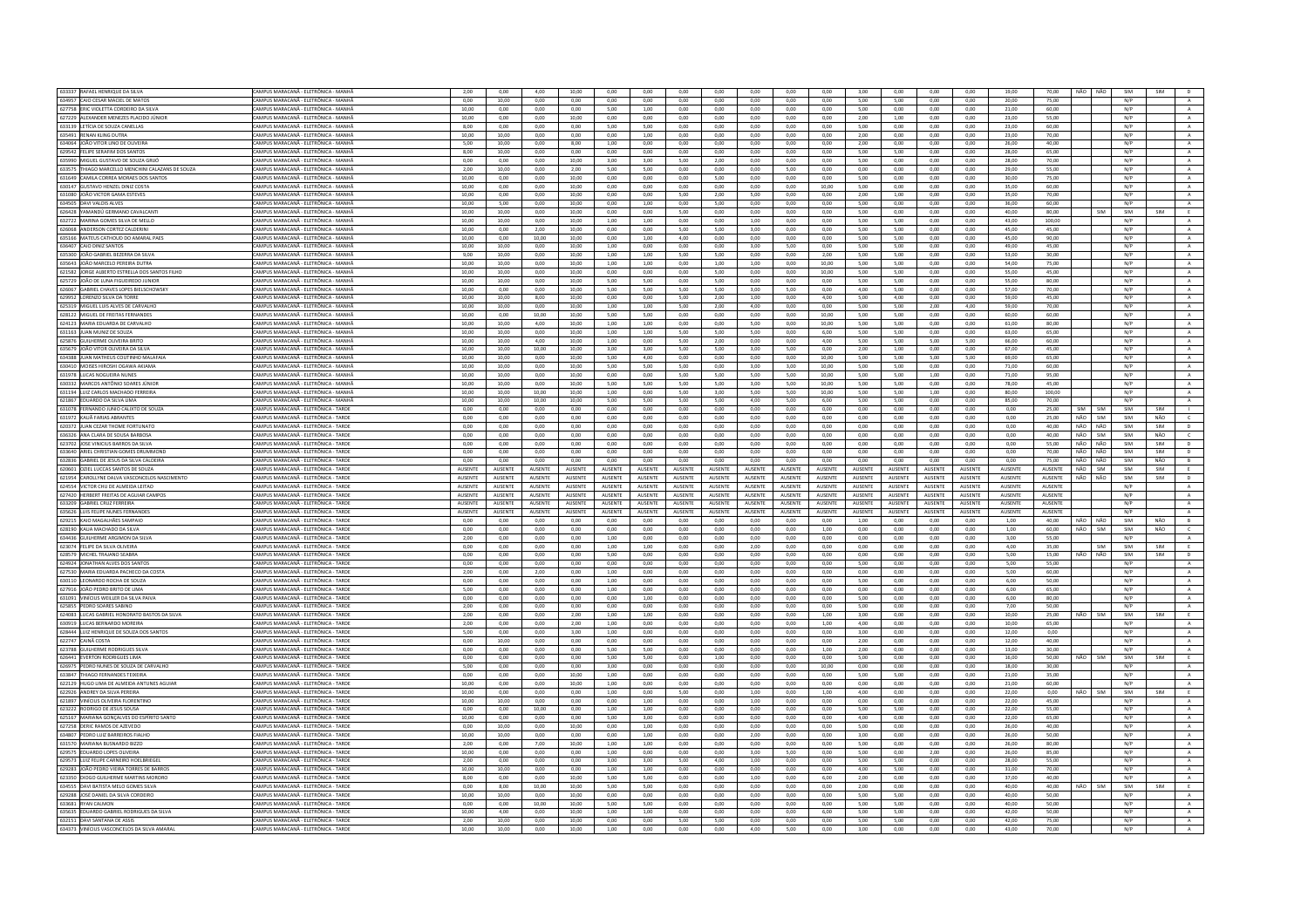| 633337 RAFAEL HENRIQUE DA SILVA                                             | CAMPUS MARACANĂ - ELETRÔNICA - MANHÂ                                         | 2,00           | 0,00           | 4,00           | 10,00          | 0,00           | 0,00           | 0,00            | 0,00           | 0,00           | 0,00           | 0,00           | 3,00           | 0,00           | 0,00           | 0,00           | 19,00          | 70,00          | NÃO NÃO |            | SIM        | SIM        |                |
|-----------------------------------------------------------------------------|------------------------------------------------------------------------------|----------------|----------------|----------------|----------------|----------------|----------------|-----------------|----------------|----------------|----------------|----------------|----------------|----------------|----------------|----------------|----------------|----------------|---------|------------|------------|------------|----------------|
| 634957 CAIO CESAR MACIEL DE MATOS                                           | CAMPUS MARACANĂ - ELETRÔNICA - MANHĂ                                         | 0,00           | 10,00          | 0,00           | 0,00           | 0,00           | 0,00           | 0,00            | 0,00           | 0,00           | 0,00           | 0,00           | 5,00           | 5,00           | 0,00           | 0,00           | 20.00          | 75,00          |         |            | N/P        |            | $\,$ A $\,$    |
| 627758 ERIC VIOLETTA CORDEIRO DA SILVA                                      | CAMPUS MARACANĂ - FIFTRÔNICA - MANHÃ                                         | 10.00          | 0.00           | 0.00           | 0.00           | 5.00           | 1,00           | 0.00            | 0.00           | 0.00           | 0.00           | 0.00           | 5.00           | 0.00           | 0.00           | 0.00           | 21,00          | 60.00          |         |            | N/P        |            | A              |
| 627229 ALEXANDER MENEZES PLACIDO JÚNIOR                                     | AMPUS MARACANĂ - ELETRÔNICA - MANHÂ                                          | 10,00          | 0,00           | 0,00           | 10,00          | 0,00           | 0,00           | 0,00            | 0,00           | 0,00           | 0,00           | 0,00           | 2,00           | 1,00           | 0,00           | 0,00           | 23,00          | 55,00          |         |            | N/P        |            | $\,$ A $\,$    |
| 633139 LETÍCIA DE SOUZA CANELLAS                                            | CAMPLIS MARACANÃ - FLETRÔNICA - MANHÂ                                        | 800            | 0.00           | 0.00           | 0.00           | 5.00           | 5.00           | 0.00            | 0.00           | 0.00           | 0.00           | 0.00           | 5.00           | 0.00           | 0.00           | 0.00           | 23.00          | 60.00          |         |            | N/P        |            | A              |
| 635491 RENAN KLING DUTRA                                                    | CAMPUS MARACANĂ - ELETRÔNICA - MANHĂ                                         | 10,00          | 10,00          | 0,00           | 0,00           | 0,00           | 1,00           | 0,00            | 0,00           | 0,00           | 0,00           | 0,00           | 2,00           | 0,00           | 0,00           | 0,00           | 23,00          | 70,00          |         |            | N/P        |            | $\,$ A $\,$    |
|                                                                             |                                                                              |                |                |                |                |                |                |                 |                |                |                |                |                |                |                |                |                |                |         |            |            |            |                |
| 634064 JOÃO VITOR LINO DE OLIVEIRA                                          | :AMPUS MARACANĂ - ELETRÔNICA - MANHÀ                                         | 5.00           | 10.00          | 0.00           | 8.00           | 1.00           | 0.00           | 0.00            | 0.00           | 0.00           | 0.00           | 0.00           | 2.00           | 0.00           | 0.00           | 0.00           | 26.00          | 40.00          |         |            | N/P        |            | A              |
| 629542 FELIPE SERAFIM DOS SANT                                              | CAMPUS MARACANĂ - ELETRÔNICA - MANHÂ                                         | 8,00           | 10,00          | 0,00           | 0,00           | 0,00           | 0,00           | 0,00            | 0,00           | 0,00           | 0,00           | 0,00           | 5,00           | 5,00           | 0,00           | 0,00           | 28,00          | 65,00          |         |            | N/P        |            | A              |
| 635990 MIGUEL GUSTAVO DE SOUZA GRUÓ                                         | CAMPUS MARACANĂ - ELETRÔNICA - MANHÂ                                         | 0.00           | 0.00           | 0.00           | 10.00          | 3.00           | 3.00           | 5.00            | 2.00           | 0.00           | 0.00           | 0.00           | 5.00           | 0.00           | 0,00           | 0.00           | 28.00          | 70.00          |         |            | N/P        |            | A              |
| 633575 THIAGO MARCELLO MENCHINI CALAZANS DE SOLIZA                          | CAMPUS MARACANÃ - FIFTRÔNICA - MANHÃ                                         | 2.00           | 10.00          | $0.00 -$       | 2.00           | 500            | 5.00           | 0.00            | 0.00           | 0.00           | 5.00           | 0.00           | 0.00           | 0.00           | 0.00           | 0.00           | 29.00          | 55.00          |         |            | N/P        |            | A              |
| 631649 CAMILA CORREA MORAES DOS SANTOS                                      | <b>AMPUS MARACANĂ - ELETRÔNICA - MANHÂ</b>                                   | 10.00          | 0.00           | 0.00           | 10,00          | 0.00           | 0.00           | 0.00            | 5.00           | 0.00           | 0.00           | 0.00           | 5.00           | 0.00           | 0.00           | 0.00           | 30.00          | 75.00          |         |            | N/P        |            | $\mathbf{A}$   |
| 630147 GUSTAVO HENZEL DINIZ COSTA                                           | CAMPUS MARACANÃ - FIFTRÔNICA - MANHÂ                                         | 10.00          | 0.00           | 0.00           | 10.00          | 0.00           | 0.00           | 0.00            | 0.00           | 0.00           | 0.00           | 10.00          | 5.00           | 0.00           | 0.00           | 0.00           | 35.00          | 60.00          |         |            | N/P        |            |                |
|                                                                             |                                                                              |                |                |                |                |                |                |                 |                |                |                |                |                |                |                |                |                |                |         |            |            |            | A              |
| 631080 JOÃO VICTOR GAMA ESTEVES                                             | CAMPUS MARACANĂ - ELETRÔNICA - MANHĂ                                         | 10.00          | 0,00           | 0,00           | 10.00          | 0,00           | 0,00           | 5.00            | 2,00           | 5.00           | 0.00           | 0.00           | 2,00           | 1.00           | 0,00           | 0,00           | 35,00          | 70.00          |         |            | N/P        |            | $\mathbf{A}$   |
| 634505 DAVI VALOIS ALVES                                                    | CAMPUS MARACANĂ - ELETRÔNICA - MANHĂ                                         | 10.00          | 5.00           | 0.00           | 10.00          | 0.00           | 1.00           | 0.00            | 5.00           | 0.00           | 0.00           | 0.00           | 5.00           | 0.00           | 0.00           | 0.00           | 36.00          | 60.00          |         |            | N/P        |            | A              |
| 626428 YAMANDÚ GERMANO CAVALCANT                                            | CAMPLIS MARACANÃ - FLETRÔNICA - MANHÂ                                        | 10,00          | 10,00          | 0,00           | 10,00          | 0,00           | $_{0,00}$      | 5,00            | 0,00           | 0,00           | 0,00           | $_{0,00}$      | 5,00           | 0,00           | 0,00           | 0,00           | 40,00          | 80,00          |         | <b>SIM</b> | SIM        | SIM        | E              |
| 632722 MARINA GOMES SILVA DE MELLO                                          | CAMPUS MARACANĂ - ELETRÔNICA - MANHÂ                                         | 10.00          | 10.00          | 0.00           | 10.00          | 1.00           | 1.00           | 0.00            | 0.00           | 1.00           | 0.00           | 0.00           | 5.00           | 5.00           | 0.00           | 0.00           | 43.00          | 100.00         |         |            | N/P        |            | $\mathbb{A}$   |
| 626068 ANDERSON CORTEZ CALDERINI                                            | "AMPLIS MARACANĂ - FI FTRÔNICA - MANHĂ                                       | 10.00          | 0.00           | 2.00           | 10.00          | 0.00           | 0.00           | 5.00            | 5.00           | 3.00           | $0.00 -$       | 0.00           | 5.00           | 5.00           | 0.00           | 0.00           | 45.00          | 45.00          |         |            | N/P        |            | $\Lambda$      |
|                                                                             |                                                                              |                |                |                |                |                |                |                 |                |                |                |                |                |                |                |                |                |                |         |            |            |            |                |
| 635166 MATEUS CATHOUD DO AMARAL PAES                                        | AMPUS MARACANĂ - ELETRÔNICA - MANHÂ                                          | 10,00          | 0,00           | 10,00          | 10,00          | 0,00           | 1,00           | 4,00            | 0,00           | 0,00           | 0,00           | 0,00           | 5,00           | 5,00           | $_{0,00}$      | $_{0,00}$      | 45,00          | 90,00          |         |            | N/P        |            | $\mathbf{A}$   |
| 636407 CAIO DINIZ SANTOS                                                    | CAMPUS MARACANĂ - ELETRÔNICA - MANHÂ                                         | 10.00          | 10.00          | 0.00           | 10.00          | 1.00           | 0.00           | 0.00            | 0.00           | 3.00           | 5.00           | 0.00           | 5.00           | 5.00           | 0.00           | 0.00           | 49.00          | 45.00          |         |            | N/P        |            | A              |
| 635300 JOÃO GABRIEL BEZERRA DA SILVA                                        | CAMPUS MARACANĂ - ELETRÔNICA - MANHĂ                                         | 9,00           | 10,00          | 0,00           | 10,00          | 1,00           | 1,00           | 5,00            | 5,00           | 0,00           | 0,00           | 2,00           | 5,00           | 5,00           | 0,00           | 0,00           | 53,00          | 30,00          |         |            | N/P        |            | $\mathbf{A}$   |
| 635643 JOÃO MARCELO PEREIRA DUTRA                                           | AMPUS MARACANĂ - ELETRÔNICA - MANHÂ                                          | 10,00          | 10,00          | 0,00           | 10,00          | 1,00           | 1,00           | 0,00            | 1,00           | 1,00           | 0,00           | 10,00          | 5,00           | 5,00           | 0,00           | 0,00           | 54,00          | 75,00          |         |            | N/P        |            | A              |
| 621582 JORGE ALBERTO ESTRELLA DOS SANTOS FILHO                              | CAMPUS MARACANÃ - FIFTRÔNICA - MANHÂ                                         | 10,00          | 10.00          | 0.00           | 10.00          | 0.00           | 0,00           | 0.00            | 5.00           | 0.00           | 0.00           | 10.00          | 5.00           | 5.00           | 0.00           | 0.00           | 55.00          | 45.00          |         |            | N/P        |            | $\,$ A $\,$    |
|                                                                             |                                                                              | 10.00          |                |                |                | 5.00           | 5.00           | 0.00            |                | 0.00           |                |                | 5.00           | 5.00           |                |                | 55.00          | 80.00          |         |            | N/P        |            |                |
| 625729 JOÃO DE LUNA FIGUEIREDO JUNIOR                                       | CAMPUS MARACANĂ - ELETRÔNICA - MANHĂ                                         |                | 10,00          | $_{0,00}$      | 10,00          |                |                |                 | 5,00           |                | 0,00           | 0,00           |                |                | 0,00           | 0,00           |                |                |         |            |            |            | $\mathbf{A}$   |
| 626067 GABRIEL CHAVES LOPES BIELSCHOWSKY                                    | CAMPUS MARACANĂ - ELETRÔNICA - MANHÂ                                         | 10.00          | 0.00           | 0.00           | 10.00          | 5.00           | 5.00           | 5.00            | 5.00           | 3.00           | 5.00           | 0.00           | 4.00           | 5.00           | 0.00           | 0.00           | 57.00          | 70.00          |         |            | N/P        |            | A              |
| 629952 LORENZO SILVA DA TORRE                                               | CAMPUS MARACANĂ - ELETRÔNICA - MANHÂ                                         | 10,00          | 10,00          | 8,00           | 10,00          | 0,00           | 0,00           | 5,00            | 2,00           | 1,00           | 0,00           | 4,00           | 5,00           | 4,00           | 0,00           | 0,00           | 59,00          | 45,00          |         |            | N/P        |            | $\mathbf{A}$   |
| 625319 MIGUEL LUIS ALVES DE CARVALHO                                        | CAMPUS MARACANĂ - ELETRÔNICA - MANHÂ                                         | 10.00          | 10.00          | 0.00           | 10.00          | 1.00           | 1.00           | 5.00            | 2.00           | 4.00           | 0.00           | 0.00           | 5.00           | 5.00           | 2.00           | 4.00           | 59.00          | 70.00          |         |            | N/P        |            | A              |
| 628122 MIGUEL DE FREITAS FERNANDES                                          | CAMPUS MARACANĂ - ELETRÔNICA - MANHĂ                                         | 10.00          | 0.00           | 10.00          | 10.00          | 5.00           | 5.00           | 0.00            | 0.00           | 0.00           | 0.00           | 10.00          | 5.00           | 5.00           | 0.00           | 0.00           | 60.00          | 60.00          |         |            | N/P        |            | $\,$ A $\,$    |
| 624123 MARIA EDUARDA DE CARVALHO                                            | MPUS MARACANĂ - ELETRÔNICA - MANHÂ                                           | 10,00          | 10,00          | 4,00           | 10,00          | 1,00           | 1,00           | 0,00            | 0,00           | 5,00           | 0,00           | 10,00          | 5,00           | 5,00           | 0,00           | 0,00           | 61,00          | 80,00          |         |            | N/P        |            | A              |
| 631163 JUAN MUNIZ DE SOUZA                                                  | AMPUS MARACANĂ - FIFTRÔNICA - MANHÂ                                          | 10.00          | 10.00          | 0.00           | 10.00          |                |                | 5.00            | 5.00           | 5.00           | 0.00           | 6.00           | 5.00           | 5.00           | 0.00           | 0.00           | 63.00          | 65.00          |         |            | N/P        |            |                |
|                                                                             |                                                                              |                |                |                |                | 1,00           | 1,00           |                 |                |                |                |                |                |                |                |                |                |                |         |            |            |            | A              |
| 625876 GUILHERME OLIVEIRA BRITO                                             | CAMPUS MARACANĂ - ELETRÔNICA - MANHĂ                                         | 10.00          | 10,00          | 4,00           | 10,00          | 1,00           | 0,00           | 5,00            | 2,00           | 0,00           | 0.00           | 4,00           | 5,00           | 5.00           | 5,00           | 5,00           | 66.00          | 60.00          |         |            | N/P        |            | A              |
| 635679 JOÃO VITOR OLIVEIRA DA SILVA                                         | CAMPUS MARACANĂ - ELETRÔNICA - MANHĂ                                         | 10.00          | 10.00          | 10.00          | 10.00          | 3.00           | 3.00           | 5.00            | 5.00           | 3.00           | 5.00           | 0.00           | 2.00           | 1.00           | 0.00           | 0.00           | 67.00          | 45.00          |         |            | N/P        |            | A              |
| 634388 JUAN MATHEUS COUTINHO MALAFAIA                                       | CAMPUS MARACANĂ - ELETRÔNICA - MANHÂ                                         | 10,00          | 10,00          | 0,00           | 10,00          | 5,00           | 4,00           | 0,00            | 0,00           | 0,00           | 0,00           | 10,00          | 5,00           | 5,00           | 5,00           | 5,00           | 69,00          | 65,00          |         |            | N/P        |            | $\mathbf{A}$   |
| 630410 MOISES HIROSHI OGAWA AKIAMA                                          | CAMPUS MARACANĂ - ELETRÔNICA - MANHÂ                                         | 10.00          | 10.00          | 0.00           | 10.00          | 5.00           | 5.00           | 5.00            | 0.00           | 3.00           | 3.00           | 10.00          | 5.00           | 5.00           | 0.00           | 0.00           | 71.00          | 60.00          |         |            | N/P        |            | $\overline{A}$ |
| 631978 LUCAS NOGUEIRA NUNES                                                 | CAMPUS MARACANĂ - ELETRÔNICA - MANHĂ                                         | 10.00          | 10.00          | 0.00           | 10.00          | 0.00           | 0.00           | 5.00            | 5.00           | 5.00           | 5.00           | 10.00          | 5.00           | 5.00           | 1.00           | 0.00           | 71.00          | 95.00          |         |            | N/P        |            | A              |
|                                                                             |                                                                              |                |                |                |                |                |                |                 |                |                |                |                |                |                |                |                |                |                |         |            |            |            |                |
| 630332 MARCOS ANTÔNIO SOARES JÚNIOR                                         | MPUS MARACANĂ - ELETRÔNICA - MANHÂ                                           | 10,00          | 10,00          | 0,00           | 10,00          | 5,00           | 5,00           | 5,00            | 5,00           | 3,00           | 5,00           | 10,00          | 5,00           | 5,00           | 0,00           | 0,00           | 78,00          | 45,00          |         |            | N/P        |            | $\mathbf{A}$   |
| 631194 11UZ CARLOS MACHADO FERREIRA                                         | CAMPUS MARACANÃ - FIFTRÔNICA - MANHÂ                                         | 10.00          | 10.00          | 10.00          | 10.00          | 1.00           | 0.00           | 5.00            | 3.00           | 5.00           | 5.00           | 10.00          | 500            | 5.00           | 1.00           | 0.00           | 80.00          | 100.00         |         |            | N/P        |            | A              |
| 621867 EDUARDO DA SILVA LIMA                                                | CAMPUS MARACANĂ - ELETRÔNICA - MANHÂ                                         | 10.00          | 10.00          | 10.00          | 10.00          | 5.00           | 5.00           | 5.00            | 5.00           | 4.00           | 5.00           | 6.00           | 5.00           | 5.00           | 0,00           | 0.00           | 85.00          | 70.00          |         |            | N/P        |            | $\mathbf{A}$   |
| 631078 FERNANDO JUNIO CALIXTO DE SOUZA                                      | CAMPUS MARACANĂ - ELETRÔNICA - TARDE                                         | 0.00           | 0.00           | 0.00           | 0.00           | 0.00           | 0.00           | 0.00            | 0.00           | 0.00           | 0.00           | 0.00           | 0.00           | 0.00           | 0.00           | 0.00           | 0.00           | 25.00          | SIM     | <b>SIM</b> | SIM        | <b>SIM</b> | <b>TI</b>      |
| 631972 KAUÃ FARIAS ABRANTES                                                 | CAMPUS MARACANĂ - ELETRÔNICA - TARDI                                         | 0,00           | 0,00           | 0,00           | 0,00           | 0,00           | 0,00           | 0,00            | 0,00           | 0.00           | 0,00           | 0,00           | 0,00           | 0,00           | 0,00           | 0,00           | $_{0,00}$      | 25,00          | NÃO     | SIM        | SIM        | NÃO        | $\mathsf{C}^-$ |
|                                                                             |                                                                              |                |                |                |                |                |                |                 |                |                |                |                |                |                |                |                |                |                | NÃO     | NÃO        | SIM        | SIM        | D              |
| 620372 JUAN CEZAR THOME FORTUNATO                                           | CAMPUS MARACANĂ - ELETRÔNICA - TARDI                                         | 0.00           | 0.00           | 0.00           | 0.00           | 0.00           | 0.00           | 0.00            | 0.00           | 0.00           | 0.00           | 0.00           | 0.00           | 0.00           | 0.00           | 0.00           | 0.00           | 40.00          |         |            |            |            |                |
| 636326 ANA CLARA DE SOUSA BARBOSA                                           | CAMPUS MARACANĂ - ELETRÔNICA - TARDE                                         | 0.00           | 0.00           | 0.00           | 0.00           | 0.00           | $_{0,00}$      | 0.00            | 0,00           | 0.00           | 0.00           | 0.00           | 0.00           | 0.00           | 0.00           | 0.00           | 0.00           | 40.00          | NÃO     | SIM        | SIM        | NÃO        | $\epsilon$     |
| 623702 JOSE VINICIUS BARROS DA SILVA                                        | AMPUS MARACANĂ - ELETRÔNICA - TARDI                                          | 0.00           | 0.00           | 0.00           | 0.00           | 0.00           | 0.00           | 0.00            | 0.00           | 0.00           | 0.00           | 0.00           | 0.00           | 0.00           | 0.00           | 0.00           | 0.00           | 55.00          | NÃO     | NÃO        | SIM        | SIM        | $\mathsf D$    |
| 633640 ARIEL CHRISTIAN GOMES DRUMMONE                                       | CAMPUS MARACANÃ - FIFTRÔNICA - TARDI                                         | 0.00           | 0.00           | 0.00           | 0.00           | 0.00           | 0.00           | 0.00            | 0.00           | 0.00           | 0.00           | 0.00           | 0.00           | 0.00           | 0.00           | 0.00           | 0.00           | 70.00          | NÃO     | NÃO        | SIM        | SIM        | D              |
|                                                                             |                                                                              |                |                |                |                |                |                |                 |                |                |                |                |                |                |                | 0,00           |                |                |         |            | SIM        | NÃO        | B              |
| 632836 GABRIEL DE JESUS DA SILVA CALDEIRA                                   | CAMPUS MARACANĂ - ELETRÔNICA - TARDI                                         | 0,00           | 0,00           | 0,00           | 0,00           | 0,00           | 0,00           | 0,00            | 0,00           | 0,00           | 0,00           | 0,00           | 0,00           | 0,00           | 0,00           |                | 0,00           | 75,00          | NÃO     |            |            |            |                |
| 620601 OZIEL LUCCAS SANTOS DE SOUZA                                         | CAMPUS MARACANĂ - ELETRÔNICA - TARDE                                         | AUSENTE        | AUSENTE        | AUSENTE        | AUSENTE        | AUSENTE        | AUSENTE        | <b>AUSENTE</b>  | AUSENTE        | AUSENTE        | AUSENTE        | AUSENTE        | AUSENTE        | AUSENTE        | AUSENTE        | AUSENTE        | AUSENTE        | AUSENTE        | NÃO     | NÃO<br>SIM | SIM        | SIM        | E              |
|                                                                             |                                                                              |                |                |                |                |                |                |                 |                |                |                |                |                |                |                | <b>AUSENTE</b> |                |                |         |            |            |            |                |
| 621954 CAROLLYNE DALVA VASCONCELOS NASCIMENTO                               | CAMPUS MARACANĂ - ELETRÔNICA - TARDI                                         | <b>AUSENTE</b> | AUSENTE        | AUSENTE        | <b>AUSENTE</b> | <b>AUSENTE</b> | <b>AUSENTE</b> | AUSENTE         | <b>AUSENTE</b> | AUSENTE        | <b>AUSENTE</b> | AUSENTE        | AUSENTE        | <b>AUSENTE</b> | AUSENTE        |                | AUSENTE        | AUSENTE        | NÃO     | NÃO        | SIM        | SIM        | $\mathsf D$    |
| 624554 VICTOR CHU DE ALMEIDA LEITAO                                         | CAMPUS MARACANĂ - ELETRÔNICA - TARDI                                         | AUSENTE        | AUSENTE        | AUSENTE        | AUSENTE        | <b>AUSENTE</b> | AUSENTE        | AUSENTE         | AUSENTE        | AUSENTE        | AUSENTE        | AUSENTE        | AUSENTE        | AUSENTE        | AUSENTE        | AUSENTE        | AUSENTE        | AUSENTE        |         |            | N/P        |            | A              |
| 627420 HERBERT FREITAS DE AGUIAR CAMPOS                                     | CAMPUS MARACANĂ - ELETRÔNICA - TARDE                                         | <b>AUSENTE</b> | AUSENTE        | <b>AUSENTE</b> | <b>AUSENTE</b> | <b>AUSENTE</b> | <b>AUSENTE</b> | <b>ALISENTE</b> | <b>AUSENTE</b> | <b>AUSENTE</b> | <b>AUSENTE</b> | <b>AUSENTE</b> | <b>AUSENTE</b> | <b>AUSENTE</b> | <b>AUSENTE</b> | <b>AUSENTE</b> | <b>AUSENTE</b> | AUSENTE        |         |            | N/P        |            | A              |
| 633209 GABRIEL CRUZ FERREIR                                                 | AMPUS MARACANĂ - ELETRÔNICA - TARD                                           | AUSENTE        | AUSENTE        | AUSENT         | AUSENTE        | AUSENTE        | AUSENT         | <b>NUSENT</b>   | AUSENTE        | AUSENTE        | AUSENTE        | AUSENTE        | AUSENTE        | AUSENTI        | AUSENTE        | AUSENTE        | AUSENTE        | AUSENT         |         |            | N/P        |            | $\mathbf{A}$   |
| 635626 LUIS FELIPE NUNES FERNANDES                                          | CAMPUS MARACANĂ - ELETRÔNICA - TARDE                                         | AUSENTE        | <b>AUSENTE</b> | <b>AUSENTE</b> | <b>AUSENTE</b> | <b>AUSENTE</b> | <b>AUSENTE</b> | <b>AUSENTE</b>  | AUSENTE        | <b>AUSENTE</b> | AUSENTE        | AUSENTE        | <b>AUSENTE</b> | AUSENTE        | AUSENTE        | <b>AUSENTE</b> | <b>AUSENTE</b> | AUSENTE        |         |            | N/P        |            | A              |
| 629215 KAIO MAGALHÃES SAMPAIO                                               | CAMPUS MARACANĂ - ELETRÔNICA - TARDI                                         | 0,00           | 0,00           | 0,00           | 0,00           | 0,00           | 0,00           | 0,00            | 0,00           | 0,00           | 0,00           | 0,00           | 1,00           | 0,00           | 0,00           | 0,00           | 1,00           | 40,00          | NÃO     | NÃO        | SIM        | NÃO        | B              |
|                                                                             |                                                                              |                |                |                |                |                |                |                 |                |                |                |                |                |                |                |                |                |                |         |            |            |            |                |
| 628190 KAUA MACHADO DA SILVA                                                | CAMPUS MARACANĂ - ELETRÔNICA - TARDE                                         | 0.00           | 0.00           | 0.00           | 0.00           | 0.00           | 0.00           | 0.00            | 0.00           | 0.00           | 0.00           | 1.00           | 0.00           | 0.00           | 0.00           | 0.00           | 1.00           | 60.00          | NÃO     | SIM        | SIM        | NÃO        | $\epsilon$     |
| 634436 GUILHERME ARGIMON DA SILVA                                           | CAMPUS MARACANÃ - FIFTRÔNICA - TARDI                                         | 2.00           | 0.00           | 0,00           | 0,00           | 1,00           | 0,00           | 0.00            | 0.00           | 0.00           | 0.00           | 0,00           | 0.00           | 0.00           | 0,00           | 0.00           | 3.00           | 55.00          |         |            | N/P        |            | $\,$ A $\,$    |
| 623074 FELIPE DA SILVA OLIVEIRA                                             | CAMPUS MARACANĂ - ELETRÔNICA - TARDE                                         | 0,00           | 0,00           | 0,00           | 0,00           | 1.00           | 1,00           | 0.00            | 0.00           | 2,00           | 0.00           | 0,00           | 0,00           | 0.00           | 0,00           | 0,00           | 4,00           | 35.00          |         | SIM        | SIM        | SIM        | E              |
| 628579 MICHEL TRAJANO SEABRA                                                | CAMPUS MARACANÃ - FIFTRÔNICA - TARDE                                         | 0.00           | 0.00           | 0.00           | 0.00           | 5.00           | 0.00           | 0.00            | 0.00           | 0.00           | 0.00           | $0.00 -$       | 0.00           | 0.00           | 0.00           | 0.00           | 5.00           | 15.00          | NÃO     | NÃO        | SIM        | SIM        | D              |
| 624924 JONATHAN ALVES DOS SANTOS                                            | CAMPUS MARACANĂ - ELETRÔNICA - TARDI                                         | 0,00           | 0,00           | 0,00           | 0,00           | 0,00           | 0,00           | 0,00            | 0,00           | 0,00           | 0,00           | 0,00           | 5,00           | 0,00           | 0,00           | 0,00           | 5,00           | 55,00          |         |            | N/P        |            | $\mathbf{A}$   |
| 627530 MARIA EDUARDA PACHECO DA COSTA                                       | CAMPUS MARACANĂ - ELETRÔNICA - TARDE                                         | 2.00           | 0.00           | 2.00           | 0.00           | 1.00           | 0.00           | 0.00            | 0.00           | 0.00           | 0.00           | 0.00           | 0.00           | 0.00           | 0.00           | 0.00           | 5.00           | 60.00          |         |            | N/P        |            | A              |
|                                                                             |                                                                              |                |                |                |                |                |                |                 |                |                |                |                |                |                |                |                |                |                |         |            | N/P        |            |                |
| 630110 LEONARDO ROCHA DE SOUZA                                              | CAMPUS MARACANĂ - ELETRÔNICA - TARDE                                         | 0,00           | 0,00           | 0,00           | 0,00           | 1,00           | 0,00           | 0,00            | 0,00           | 0,00           | 0,00           | 0,00           | 5,00           | 0,00           | 0,00           | 0,00           | 6,00           | 50,00          |         |            |            |            | A              |
| 627916 JOÃO PEDRO BRITO DE LIMA                                             | CAMPUS MARACANĂ - ELETRÔNICA - TARDE                                         | 5.00           | 0.00           | 0.00           | 0.00           | 1.00           | 0.00           | 0.00            | 0.00           | 0.00           | 0.00           | 0.00           | 0.00           | 0.00           | 0.00           | 0.00           | 6.00           | 65.00          |         |            | N/P        |            | A              |
| 631091 VINÍCIUS WEILLER DA SILVA PAIVA                                      | CAMPUS MARACANÃ - FIFTRÔNICA - TARDI                                         | 0.00           | 0.00           | 0.00           | 0.00           | 0.00           | 1.00           | 0.00            | 0.00           | 0.00           | 0.00           | 0.00           | 5.00           | 0.00           | 0.00           | 0.00           | 6.00           | 80.00          |         |            | N/P        |            | A              |
| 625855 PEDRO SOARES SABINO                                                  | CAMPUS MARACANĂ - ELETRÔNICA - TARDI                                         | 2.00           | 0.00           | 0.00           | 0.00           | 0.00           | 0.00           | 0.00            | 0.00           | 0.00           | 0.00           | 0.00           | 5.00           | 0.00           | 0.00           | 0.00           | 7.00           | 50.00          |         |            | N/P        |            | $\mathbf{A}$   |
| 624083 LUCAS GABRIEL HONORATO BASTOS DA SILVA                               | CAMPUS MARACANÃ - FIFTRÔNICA - TARDE                                         | 2.00           | 0.00           | 0.00           | 2.00           | 1.00           | 1.00           | 0.00            | 0.00           | 0.00           | 0.00           | 1.00           | 3.00           | 0.00           | 0.00           | 0.00           | 10.00          | 25.00          | NÃO     | <b>SIM</b> | SIM        | <b>SIM</b> | F.             |
| 630919 LUCAS BERNARDO MOREIRA                                               | CAMPUS MARACANĂ - ELETRÔNICA - TARDI                                         | 2,00           | 0,00           | 0,00           | 2,00           | 1,00           | 0,00           | 0,00            | 0,00           | 0,00           | 0,00           | 1,00           | 4,00           | 0,00           | 0,00           | 0,00           | 10,00          | 65,00          |         |            | N/P        |            | $\,$ A         |
| 628444 LUIZ HENRIQUE DE SOUZA DOS SANTOS                                    | CAMPUS MARACANĂ - ELETRÔNICA - TARDE                                         | 5.00           | 0.00           | 0.00           | 3.00           | 1.00           | 0.00           | 0.00            | 0.00           | 0.00           | 0.00           | 0.00           | 3.00           | 0.00           | 0.00           | 0.00           | 12.00          | 0.00           |         |            | N/P        |            | A              |
|                                                                             |                                                                              |                |                |                |                |                |                |                 |                |                |                |                |                |                |                |                |                |                |         |            |            |            |                |
| 622747 CAINÃ COSTA                                                          | CAMPUS MARACANĂ - ELETRÔNICA - TARDI                                         | 0.00           | 10.00          | 0,00           | 0.00           | 0,00           | 0,00           | 0.00            | 0,00           | 0.00           | 0.00           | 0,00           | 2,00           | 0.00           | 0,00           | 0.00           | 12,00          | 40.00          |         |            | N/P        |            | $\,$ A $\,$    |
| 623788 GUILHERME RODRIGUES SILVA                                            | CAMPUS MARACANĂ - ELETRÔNICA - TARDI                                         | 0.00           | 0.00           | 0.00           | 0.00           | 5.00           | 5.00           | 0.00            | 0.00           | 0.00           | 0.00           | 1.00           | 2.00           | 0.00           | 0.00           | 0.00           | 13.00          | 30.00          |         |            | N/P        |            | A              |
| 626441 EVERTON RODRIGUES UMA                                                | CAMPUS MARACANÃ - FIFTRÔNICA - TARDI                                         | 0.00           | 0.00           | 0.00           | 0.00           | 500            | 5.00           | 0.00            | 1.00           | 0.00           | 0.00           | 0.00           | 500            | 0.00           | 0.00           | 0.00           | 16.00          | 50.00          | NÃO     | <b>SIM</b> | SIM        | SIM        | E              |
| 626975 PEDRO NUNES DE SOUZA DE CARVALHO                                     | CAMPUS MARACANĂ - ELETRÔNICA - TARDI                                         | 5.00           | 0.00           | 0.00           | 0.00           | 3.00           | 0.00           | 0.00            | 0.00           | 0.00           | 0.00           | 10.00          | 0.00           | 0.00           | 0.00           | 0.00           | 18.00          | 30.00          |         |            | N/P        |            | $\mathbf{A}$   |
| 633847 THIAGO FERNANDES TEIXFIRA                                            | CAMPUS MARACANÃ - FIFTRÔNICA - TARDE                                         | $0.00 -$       | 0.00           | 0.00           | 10.00          | 1.00           | 0.00           | 0.00            | 0.00           | 0.00           | 0.00           | 0.00           | 5.00           | 5.00           | 0.00           | 0.00           | 21.00          | 35.00          |         |            | N/P        |            | $\Lambda$      |
|                                                                             |                                                                              |                |                |                |                |                |                |                 |                |                |                |                |                |                |                |                |                |                |         |            |            |            |                |
| 622129 HUGO LIMA DE ALMEIDA ANTUNES AGUIAR                                  | AMPUS MARACANĂ - ELETRÔNICA - TARD                                           | 10,00          | 0,00           | 0,00           | 10,00          | 1,00           | 0,00           | 0,00            | 0,00           | 0,00           | 0,00           | 0,00           | 0,00           | 0,00           | 0,00           | 0,00           | 21,00          | 60,00          |         |            | N/P        |            | $\,$ A         |
| 622926 ANDREY DA SILVA PEREIRA                                              | CAMPUS MARACANĂ - ELETRÔNICA - TARDE                                         | 10,00          | 0,00           | 0,00           | 0,00           | 1,00           | 0,00           | 5,00            | 0,00           | 1,00           | 0,00           | 1,00           | 4,00           | 0,00           | 0,00           | 0,00           | 22,00          | 0,00           | NÃO     | SIM        | SIM        | SIM        | E              |
| 621897 VINÍCIUS OLIVEIRA FLORENTINO                                         | <b>CAMPUS MARACANĂ - ELETRÔNICA - TARDI</b>                                  | 10.00          | 10,00          | 0,00           | 0.00           | 0,00           | 1,00           | 0.00            | 0,00           | 1,00           | 0,00           | 0,00           | 0,00           | 0,00           | 0,00           | 0,00           | 22,00          | 45,00          |         |            | N/P        |            | $\mathbf{A}$   |
| 623222 RODRIGO DE JESUS SOUSA                                               | :AMPUS MARACANĂ - ELETRÔNICA - TARDI                                         | 0,00           | 0,00           | 10,00          | 0,00           | 1,00           | 1,00           | 0,00            | 0,00           | 0,00           | 0,00           | 0,00           | 5,00           | 5,00           | 0,00           | 0,00           | 22,00          | 55,00          |         |            | N/P        |            | A              |
| 625167 MARIANA GONCALVES DO ESPÍRITO SANTO                                  | CAMPUS MARACANĂ - ELETRÔNICA - TARDI                                         | 10.00          | 0.00           | 0.00           | 0.00           | 5.00           | 3.00           | 0.00            | 0.00           | 0.00           | 0.00           | 0.00           | 4.00           | 0.00           | 0.00           | 0.00           | 22.00          | 65.00          |         |            | N/P        |            | A              |
| 627258 DERIC RAMOS DE AZEVEDO                                               | CAMPUS MARACANĂ - ELETRÔNICA - TARDI                                         | 0,00           | 10,00          | 0,00           | 10,00          | 0,00           | 1,00           | 0,00            | 0,00           | 0,00           | 0,00           | 0,00           | 5,00           | 0,00           | 0,00           | 0,00           | 26,00          | 40,00          |         |            | N/P        |            | A              |
| 634807 PEDRO LUIZ BARREIROS FIALHO                                          | CAMPUS MARACANĂ - ELETRÔNICA - TARDE                                         | 10.00          | 10.00          | 0.00           | 0.00           | 0.00           | 1.00           | 0.00            | 0.00           | 2.00           | 0.00           | 0.00           | 3.00           | 0.00           | 0.00           | 0.00           | 26.00          | 50.00          |         |            | N/P        |            | A              |
|                                                                             | CAMPUS MARACANĂ - ELETRÔNICA - TARDI                                         |                |                |                |                |                |                |                 |                |                |                |                |                |                |                |                |                |                |         |            |            |            |                |
| 631570 MARIANA BUSNARDO BIZZO                                               |                                                                              | 2,00           | 0,00           | 7,00           | 10,00          | 1,00           | 1,00           | 0,00            | 0,00           | 0,00           | 0,00           | 0,00           | 5,00           | 0,00           | 0,00           | 0,00           | 26,00          | 80,00          |         |            | N/P        |            | $\mathbf{A}$   |
| 629575 EDUARDO LOPES OLIVEIRA                                               | CAMPUS MARACANĂ - ELETRÔNICA - TARDE                                         | 10,00          | 0,00           | 0,00           | 0,00           | 1,00           | 0,00           | 0,00            | 0,00           | 3,00           | 5,00           | 0,00           | 5,00           | 0,00           | 2,00           | 0,00           | 26,00          | 85,00          |         |            | N/P        |            | $\,$ A $\,$    |
| 629573 LUIZ FELIPE CARNEIRO HOELBRIEGEI                                     | CAMPUS MARACANĂ - ELETRÔNICA - TARDE                                         | 2.00           | 0,00           | 0,00           | 0,00           | 3,00           | 3,00           | 5.00            | 4,00           | 1,00           | 0,00           | 0,00           | 5,00           | 5,00           | 0,00           | 0,00           | 28,00          | 55.00          |         |            | N/P        |            | A              |
| 629283 JOÃO PEDRO VIEIRA TORRES DE BARROS                                   | CAMPUS MARACANĂ - ELETRÔNICA - TARDI                                         | 10,00          | 10,00          | 0,00           | 0,00           | 1,00           | 1,00           | 0,00            | 0,00           | 0,00           | 0,00           | 0,00           | 4,00           | 5,00           | 0,00           | 0,00           | 31,00          | 70.00          |         |            | N/P        |            | A              |
| 623350 DIOGO GUILHERME MARTINS MORORO                                       | CAMPUS MARACANĂ - ELETRÔNICA - TARDI                                         | 8.00           | 0.00           | 0.00           | 10.00          | 5.00           | 5.00           | 0.00            | 0.00           | 1.00           | 0.00           | 6.00           | 2.00           | 0.00           | 0.00           | 0.00           | 37.00          | 40.00          |         |            | N/P        |            | A              |
| 634555 DAVI BATISTA MELO GOMES SILVA                                        | CAMPUS MARACANĂ - ELETRÔNICA - TARDI                                         | 0,00           | 8,00           | 10,00          | 10,00          | 5,00           | 5,00           | 0,00            | 0,00           | 0,00           | 0,00           | 0,00           | 2,00           | 0,00           | 0,00           | 0,00           | 40,00          | 40,00          | NÃO     | SIM        | SIM        | SIM        |                |
| 629288 JOSÉ DANIEL DA SILVA CORDEIRO                                        | CAMPUS MARACANĂ - ELETRÔNICA - TARDE                                         | 10.00          | 10.00          | 0.00           | 10.00          | 0.00           | 0.00           | 0.00            | 0.00           | 0.00           | 0.00           | 0.00           | 5.00           | 5.00           | 0.00           | 0.00           | 40.00          | 50.00          |         |            | N/P        |            | A              |
|                                                                             |                                                                              |                |                |                |                |                |                |                 |                |                |                |                |                |                |                |                |                |                |         |            |            |            |                |
| 633681 RYAN CALMON                                                          | CAMPUS MARACANĂ - ELETRÔNICA - TARDI                                         | 0,00           | 0,00           | 10,00          | 10,00          | 5,00           | 5,00           | 0,00            | 0,00           | 0,00           | 0,00           | 0,00           | 5,00           | 5,00           | 0,00           | 0,00           | 40,00          | 50,00          |         |            | N/P        |            | $\,$ A $\,$    |
| 635635 EDUARDO GABRIEL RODRIGUES DA SILVA                                   | CAMPUS MARACANĂ - ELETRÔNICA - TARDI                                         | 10.00          | 4,00           | 0.00           | 10.00          | 1.00           | 1.00           | 0.00            | 0.00           | 0.00           | 0,00           | 6,00           | 5.00           | 5.00           | 0,00           | 0,00           | 42.00          | 50.00          |         |            | N/P        |            | $\,$ A $\,$    |
| 632151 DAVI SANTANA DE ASSIS<br>634373 VINÍCIUS VASCONCELOS DA SILVA AMARAL | CAMPUS MARACANÃ - FIFTRÔNICA - TARDE<br>CAMPUS MARACANĂ - ELETRÔNICA - TARDI | 2.00<br>10.00  | 10.00<br>10.00 | 0.00<br>0.00   | 10.00<br>10.00 | 0.00<br>1.00   | 0.00<br>0.00   | 5.00<br>0.00    | 5.00<br>0.00   | 0.00<br>4.00   | 0.00<br>5.00   | 0.00<br>0.00   | 5.00<br>3.00   | 5.00<br>0.00   | 0.00<br>0.00   | 0.00<br>0.00   | 42.00<br>43.00 | 75.00<br>70.00 |         |            | N/P<br>N/P |            | $\mathbf{A}$   |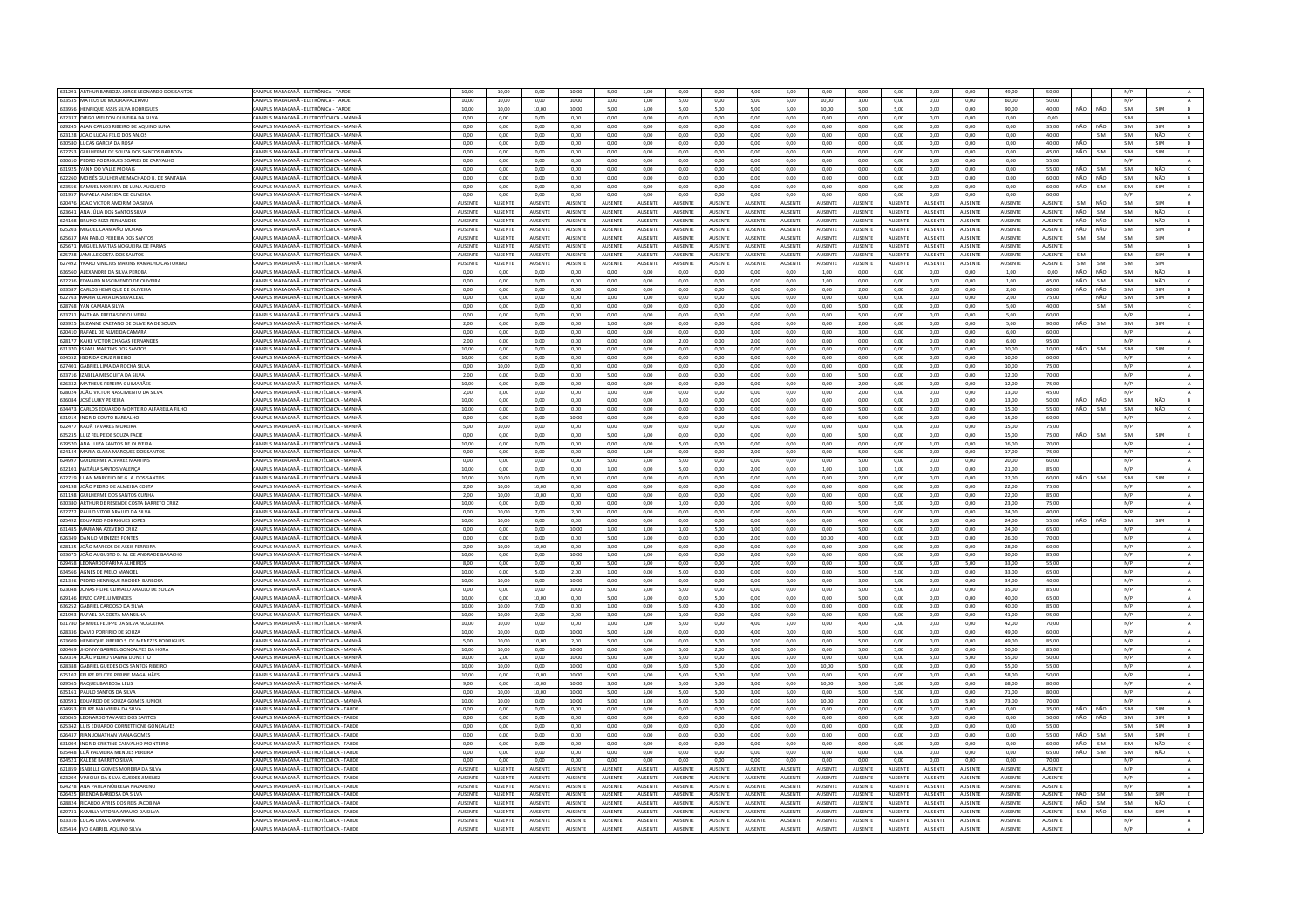| 631291 ARTHUR BARBOZA JORGE LEONARDO DOS SANTOS               | CAMPUS MARACANĂ - ELETRÔNICA - TARDE                                               | 10,00              | 10,00                     | 0,00               | 10,00                     | 5,00                      | 5,00                      | 0,00                      | 0,00               | 4,00                      | 5,00                      | 0,00               | 0,00                      | 0,00               | 0,00               | 0,00                      | 49,00                     | 50,00                     |         |            | N/P        |            |                |
|---------------------------------------------------------------|------------------------------------------------------------------------------------|--------------------|---------------------------|--------------------|---------------------------|---------------------------|---------------------------|---------------------------|--------------------|---------------------------|---------------------------|--------------------|---------------------------|--------------------|--------------------|---------------------------|---------------------------|---------------------------|---------|------------|------------|------------|----------------|
| 633535 MATEUS DE MOURA PALERMO                                | CAMPUS MARACANĂ - ELETRÔNICA - TARDE                                               | 10.00              | 10.00                     | 0.00               | 10.00                     | 1.00                      | 1.00                      | 5.00                      | 0.00               | 5.00                      | 5.00                      | 10.00              | 3.00                      | 0.00               | 0.00               | 0.00                      | 60.00                     | 50.00                     |         |            | N/P        |            | $\Lambda$      |
| 633956 HENRIQUE ASSIS SILVA RODRIGUES                         | CAMPUS MARACANĂ - ELETRÔNICA - TARDI                                               | 10,00              | 10,00                     | 10,00              | 10,00                     | 5,00                      | 5,00                      | 5,00                      | 5,00               | 5,00                      | 5,00                      | 10,00              | 5,00                      | 5,00               | 0,00               | 0,00                      | 90,00                     | 40,00                     | NÃO     | NÃO        | SIM        | SIM        | D              |
| 632337 DIEGO WELTON OLIVEIRA DA SILVA                         | AMPUS MARACANĂ - ELETROTÉCNICA - MANHÂ                                             | 0.00               | 0.00                      | 0.00               | 0.00                      | 0.00                      | 0.00                      | 0.00                      | 0.00               | 0.00                      | 0.00                      | 0.00               | 0.00                      | 0.00               | 0.00               | 0.00                      | 0.00                      | 0.00                      |         |            | SIM        |            | B              |
| 629245 ALAN CARLOS RIBEIRO DE AQUINO LUN                      | CAMPUS MARACANĂ - ELETROTÉCNICA - MANHÂ                                            | 0.00               | 0,00                      | 0.00               | 0.00                      | 0.00                      | 0.00                      | 0,00                      | 0.00               | 0.00                      | 0.00                      | 0,00               | 0.00                      | 0.00               | 0.00               | 0.00                      | 0.00                      | 35,00                     | NÃO     | NÃO        | SIM        | SIM        | D              |
| 623128 JOAO LUCAS FELIX DOS ANJOS                             | CAMPUS MARACANÃ - ELETROTÉCNICA - MANHÁ                                            | 0.00               | 0.00                      | 0.00               | 0.00                      | 0.00                      | 0.00                      | 0.00                      | 0.00               | 0.00                      | 0.00                      | 0.00               | 0.00                      | 0.00               | 0.00               | 0.00                      | 0.00                      | 40.00                     |         | SIM        | SIM        | NÃO        | $\epsilon$     |
|                                                               |                                                                                    |                    |                           |                    |                           |                           |                           |                           |                    |                           |                           |                    |                           |                    |                    |                           |                           |                           |         |            |            |            |                |
| 630580 LUCAS GARCIA DA ROSA                                   | CAMPUS MARACANĂ - FIFTROTÉCNICA - MANHĂ                                            | 0.00               | 0.00                      | 0.00               | 0.00                      | 0.00                      | 0.00                      | 0.00                      | 0.00               | 0.00                      | 0.00                      | 0.00               | 0.00                      | 0.00               | 0.00               | 0.00                      | 0.00                      | 40.00                     | NÃO     |            | SIM        | SIM        | D              |
| 622753 GUILHERME DE SOUZA DOS SANTOS BARBOZA                  | CAMPUS MARACANĂ - ELETROTÉCNICA - MANHA                                            | 0.00               | 0.00                      | 0.00               | 0.00                      | 0.00                      | 0.00                      | 0.00                      | 0.00               | 0.00                      | 0.00                      | 0.00               | 0.00                      | 0.00               | 0.00               | 0.00                      | 0.00                      | 45.00                     | NÃO     | SIM        | SIM        | SIM        | E              |
| 630610 PEDRO RODRIGUES SOARES DE CARVALHO                     | CAMPUS MARACANĂ - ELETROTÉCNICA - MANHÂ                                            | 0.00               | 0.00                      | 0.00               | 0.00                      | 0.00                      | 0.00                      | 0.00                      | 0.00               | 0.00                      | 0.00                      | 0.00               | 0.00                      | 0.00               | 0.00               | 0.00                      | 0.00                      | 55.00                     |         |            | N/P        |            | A              |
| 631925 YANN DO VALLE MORAIS                                   | CAMPUS MARACANĂ - ELETROTÉCNICA - MANHĂ                                            | 0.00               | 0.00                      | 0.00               | 0.00                      | 0.00                      | 0.00                      | 0.00                      | 0.00               | 0.00                      | 0.00                      | 0.00               | 0.00                      | 0.00               | 0.00               | 0.00                      | 0.00                      | 55.00                     | NÃO     | SIM        | SIM        | NÃO        | $\epsilon$     |
| 622260 MOISÉS GUILHERME MACHADO B. DE SANTANA                 | AMPUS MARACANĂ - ELETROTÉCNICA - MANHÂ                                             | 0,00               | 0,00                      | 0,00               | 0,00                      | 0,00                      | 0,00                      | 0,00                      | 0,00               | 0,00                      | 0,00                      | 0,00               | 0,00                      | 0,00               | 0,00               | 0,00                      | 0,00                      | 60,00                     | NÃO     | NÃO        | SIM        | NÃO        | B              |
| 623556 SAMUEL MOREIRA DE LUNA AUGUSTO                         | CAMPUS MARACANĂ - ELETROTÉCNICA - MANHÂ                                            | 0,00               | 0,00                      | 0.00               | 0,00                      | 0,00                      | 0,00                      | 0,00                      | 0,00               | 0.00                      | 0,00                      | 0,00               | 0,00                      | 0,00               | 0,00               | 0,00                      | 0,00                      | 60,00                     | NÃO     | SIM        | SIM        | SIM        | E              |
| 631957 RAFAELA ALMEIDA DE OLIVEIRA                            | CAMPUS MARACANĂ - ELETROTÉCNICA - MANHA                                            | 0,00               | 0,00                      | 0,00               | 0,00                      | 0,00                      | 0,00                      | 0,00                      | 0,00               | 0,00                      | 0,00                      | 0,00               | 0,00                      | 0,00               | 0,00               | 0,00                      | 0,00                      | 60,00                     |         |            | N/P        |            | $\mathbb A$    |
|                                                               |                                                                                    |                    |                           |                    |                           |                           |                           |                           |                    |                           |                           |                    |                           |                    |                    |                           |                           |                           |         |            |            |            |                |
| 620476 JOAO VICTOR AMORIM DA SILVA                            | CAMPUS MARACANĂ - ELETROTÉCNICA - MANHÃ                                            | AUSENTE            | AUSENTE                   | <b>AUSENTE</b>     | <b>AUSENTE</b>            | AUSENTE                   | <b>AUSENTE</b>            | <b>AUSENTE</b>            | AUSENTE            | AUSENTE                   | AUSENTE                   | <b>AUSENTE</b>     | <b>AUSENTE</b>            | AUSENTE            | <b>AUSENTE</b>     | <b>AUSENTE</b>            | <b>AUSENTE</b>            | AUSENTE                   | SIM     | NÃO        | SIM        | SIM        | H              |
| 623641 ANA JÚLIA DOS SANTOS SILVA                             | CAMPUS MARACANĂ - ELETROTÉCNICA - MANH                                             | AUSENTE            | AUSENTE                   |                    | <b>NUSENTE</b>            | AUSENTE                   | AUSENTI                   | <b>IUSENT</b>             | AUSENTE            | AUSENTE                   | AUSENTE                   | AUSENTE            | <b>AUSENTE</b>            | AUSENTE            | AUSENTE            | AUSENTE                   | AUSENTE                   | AUSENTE                   | NÃO     | SIM        | SIM        | NÃO        | $\epsilon$     |
| 624108 BRUNO RIZZI FERNANDES                                  | CAMPUS MARACANĂ - ELETROTÉCNICA - MANHÂ                                            | AUSENTE            | AUSENTE                   | AUSENTE            | AUSENTE                   | AUSENTE                   | AUSENTE                   | AUSENTE                   | <b>AUSENTE</b>     | AUSENTE                   | AUSENTE                   | AUSENTE            | AUSENTE                   | AUSENTE            | AUSENTE            | <b>AUSENTE</b>            | <b>AUSENTE</b>            | AUSENTE                   | NÃO     | NÃO        | SIM        | NÃO        | B              |
| 625203 MIGUEL CAAMAÑO MORAIS                                  | CAMPUS MARACANĂ - ELETROTÉCNICA - MANHĂ                                            | <b>AUSENTE</b>     | <b>ALISENTE</b>           | <b>AUSENTE</b>     | <b>AUSENTE</b>            | AUSENTE                   | AUSENTE                   | <b>ALISENTE</b>           | <b>AUSENTE</b>     | <b>AUSENTE</b>            | <b>AUSENTE</b>            | <b>AUSENTE</b>     | <b>AUSENTE</b>            | <b>AUSENTE</b>     | <b>AUSENTE</b>     | AUSENTE                   | <b>ALISENTE</b>           | <b>AUSENTE</b>            | NÃO     | NÃO        | SIM        | SIM        | D              |
| 625637 IAN PABLO PEREIRA DOS SANTOS                           | AMPUS MARACANĂ - ELETROTÉCNICA - MANHA                                             | AUSENTE            | AUSENTE                   | AUSENTE            | AUSENTE                   | AUSENTE                   | AUSENTE                   | AUSENTE                   | AUSENTE            | AUSENTE                   | AUSENTE                   | <b>AUSENTE</b>     | AUSENTE                   | AUSENTE            | <b>AUSENTE</b>     | AUSENTE                   | AUSENTE                   | AUSENTE                   | SIM     | <b>SIM</b> | SIM        | SIM        |                |
| 625671 MIGUEL MATIAS NOGUEIRA DE FARIAS                       | CAMPUS MARACANÃ - FIFTROTÉCNICA - MANHÍ                                            | <b>AUSENTE</b>     | <b>ALISENTE</b>           | <b>AUSENTE</b>     | <b>AUSENTE</b>            | <b>ALISENTE</b>           | <b>ALISENTI</b>           | <b>ALISENTE</b>           | <b>AUSENTE</b>     | <b>ALISENTE</b>           | <b>AUSENTE</b>            | <b>AUSENTE</b>     | <b>ALISENTE</b>           | <b>AUSENTE</b>     | <b>AUSENTE</b>     | <b>AUSENTE</b>            | <b>ALISENTE</b>           | <b>AUSENTE</b>            |         |            | SIM        |            | B              |
| 625728 JAMILLE COSTA DOS SANTOS                               | CAMPUS MARACANĂ - ELETROTÉCNICA - MANHA                                            | AUSENTE            | AUSENTE                   | AUSENTE            | AUSENTE                   | AUSENTE                   | AUSENTI                   | AUSENTE                   | AUSENTE            | <b>AUSENTE</b>            | AUSENTE                   | AUSENTE            | AUSENTE                   | AUSENTE            | AUSENTE            | AUSENTE                   | AUSENTE                   | AUSENTE                   | SIM     |            | SIM        | SIM        | H              |
|                                                               |                                                                                    |                    |                           |                    |                           |                           |                           |                           |                    |                           |                           |                    |                           |                    |                    |                           |                           |                           |         |            |            |            |                |
| 627492 YKARO VINICIUS MARINS RAMALHO CASTORINO                | CAMPUS MARACANĂ - ELETROTÉCNICA - MANHÃ                                            | AUSENTE            | AUSENTE                   | <b>AUSENTE</b>     | <b>AUSENTE</b>            | AUSENTE                   | AUSENTE                   | <b>AUSENTE</b>            | <b>AUSENTE</b>     | AUSENTE                   | AUSENTE                   | <b>AUSENTE</b>     | AUSENTE                   | <b>AUSENTE</b>     | AUSENTE            | <b>AUSENTE</b>            | <b>AUSENTE</b>            | AUSENTE                   | SIM     | SIM        | SIM        | SIM        | $\mathbf{L}$   |
| 636560 ALEXANDRE DA SILVA PEROB                               | CAMPUS MARACANÃ - ELETROTÉCNICA - MANHÁ                                            | 0,00               | 0,00                      | 0,00               | 0,00                      | 0,00                      | 0,00                      | 0,00                      | 0,00               | 0,00                      | 0,00                      | 1,00               | 0,00                      | 0.00               | 0,00               | 0,00                      | 1,00                      | 0,00                      | NÃO     | NÃO        | SIM        | NÃO        | B              |
| 632236 EDWARD NASCIMENTO DE OLIVEIRA                          | CAMPUS MARACANÃ - ELETROTÉCNICA - MANHÁ                                            | 0.00               | 0.00                      | 0.00               | 0.00                      | 0.00                      | 0.00                      | 0.00                      | 0.00               | 0.00                      | 0.00                      | 1.00               | 0.00                      | 0.00               | 0.00               | 0.00                      | 1.00                      | 45.00                     | NÃO     | SIM        | SIM        | NÃO        | $\epsilon$     |
| 633587 CARLOS HENRIQUE DE OLIVEIRA                            | CAMPUS MARACANÃ - FIFTROTÉCNICA - MANHÃ                                            | 0.00               | 0.00                      | 0.00               | 0.00                      | 0.00                      | 0.00                      | 0.00                      | 0.00               | 0.00                      | 0.00                      | 0.00               | 2.00                      | 0.00               | 0.00               | 0.00                      | 2.00                      | 60.00                     | NÃO     | NÃO        | SIM        | SIM        | D              |
| 622763 MARIA CLARA DA SILVA LEAL                              | AMPUS MARACANĂ - ELETROTÉCNICA - MANHÂ                                             | 0,00               | 0,00                      | 0,00               | 0,00                      | 1,00                      | 1,00                      | 0,00                      | 0,00               | 0,00                      | 0,00                      | 0,00               | 0,00                      | 0,00               | 0,00               | 0,00                      | 2,00                      | 75.00                     |         | NÃO        | SIM        | SIM        | D              |
| <b>628768 YAN CAMARA SILVA</b>                                | CAMPUS MARACANĂ - FIFTROTÉCNICA - MANHÂ                                            | 0.00               | 0.00                      | 0.00               | $0.00 -$                  | 0.00                      | 0.00                      | 0.00                      | 0.00               | 0.00                      | 0.00                      | 0.00               | 500                       | 0.00               | 0.00               | 0.00                      | 5.00                      | 40.00                     |         | <b>SIM</b> | SIM        |            | $\epsilon$     |
|                                                               |                                                                                    | 0.00               |                           | 0.00               | 0.00                      |                           |                           | 0.00                      | 0.00               | 0.00                      | 0.00                      | 0.00               |                           | 0.00               |                    |                           | 5.00                      | 60.00                     |         |            | N/P        |            |                |
| 633731 NATHAN FREITAS DE OLIVEIRA                             | CAMPUS MARACANĂ - ELETROTÉCNICA - MANHÃ                                            |                    | 0,00                      |                    |                           | 0,00                      | 0,00                      |                           |                    |                           |                           |                    | 5,00                      |                    | 0,00               | 0,00                      |                           |                           |         |            |            |            | $\mathbf{A}$   |
| 623925 SUZANNE CAETANO DE OLIVEIRA DE SOUZA                   | AMPUS MARACANĂ - ELETROTÉCNICA - MANHÂ                                             | 2.00               | 0.00                      | 0.00               | 0.00                      | 1.00                      | 0.00                      | 0.00                      | 0.00               | 0.00                      | 0.00                      | 0.00               | 2.00                      | 0.00               | 0.00               | 0.00                      | 5.00                      | 90.00                     | NÃO     | <b>SIM</b> | SIM        | SIM        | E              |
| 620410 RAFAEL DE ALMEIDA CAMAR                                | CAMPUS MARACANĂ - ELETROTÉCNICA - MANH                                             | 0.00               | 0.00                      | 0.00               | 0.00                      | 0.00                      | 0.00                      | 0.00                      | 0.00               | 3.00                      | 0.00                      | 0.00               | 3.00                      | 0.00               | 0.00               | 0.00                      | 6.00                      | 60.00                     |         |            | N/P        |            |                |
| 628177 KAIKE VICTOR CHAGAS FERNANDE                           | CAMPUS MARACANÃ - ELETROTÉCNICA - MANHÁ                                            | 2.00               | 0.00                      | 0.00               | 0.00                      | 0.00                      | 0.00                      | 2.00                      | 0.00               | 2.00                      | 0.00                      | 0.00               | 0.00                      | 0.00               | 0.00               | 0.00                      | 6.00                      | 95.00                     |         |            | N/P        |            | $\Lambda$      |
| 631370 ISRAEL MARTINS DOS SANTOS                              | CAMPUS MARACANĂ - FIFTROTÉCNICA - MANHĂ                                            | 10.00              | 0.00                      | 0.00               | $0.00 -$                  | 0.00                      | 0.00                      | 0.00                      | $0.00 -$           | 0.00                      | 0.00                      | 0.00               | 0.00                      | 0.00               | 0.00               | 0.00                      | 10.00                     | 10.00                     | NÃO     | <b>SIM</b> | SIM        | SIM        | E              |
| 634552 IGOR DA CRUZ RIBEIRO                                   | AMPUS MARACANĂ - ELETROTÉCNICA - MANH                                              | 10,00              | 0,00                      | 0,00               | 0,00                      | 0,00                      | 0,00                      | 0,00                      | 0,00               | 0,00                      | 0,00                      | 0,00               | 0,00                      | 0,00               | 0,00               | 0,00                      | 10,00                     | 60,00                     |         |            | N/P        |            | $\mathbb A$    |
| 627401 GABRIEL LIMA DA ROCHA SILVA                            | CAMPUS MARACANĂ - ELETROTÉCNICA - MANHÂ                                            | 0.00               | 10.00                     | 0.00               | 0.00                      | 0.00                      | 0.00                      | 0.00                      | 0.00               | 0.00                      | 0.00                      | 0.00               | 0.00                      | 0.00               | 0.00               | 0.00                      | 10.00                     | 75.00                     |         |            | N/P        |            | A              |
|                                                               |                                                                                    |                    |                           |                    |                           |                           |                           |                           |                    |                           |                           |                    |                           |                    |                    |                           |                           |                           |         |            |            |            |                |
| 633716 IZABELA MESQUITA DA SILVA                              | CAMPUS MARACANĂ - ELETROTÉCNICA - MANHA                                            | 2,00               | 0,00                      | 0.00               | 0.00                      | 5,00                      | 0,00                      | 0.00                      | 0,00               | 0.00                      | 0.00                      | 0,00               | 5,00                      | 0,00               | 0,00               | 0,00                      | 12,00                     | 70.00                     |         |            | N/P        |            | $\,$ A $\,$    |
| 626332 MATHEUS PEREIRA GUIMARÃES                              | AMPUS MARACANĂ - ELETROTÉCNICA - MANHÂ                                             | 10,00              | 0,00                      | 0,00               | 0,00                      | 0,00                      | 0,00                      | 0,00                      | 0,00               | 0,00                      | 0,00                      | 0,00               | 2,00                      | 0,00               | 0,00               | 0,00                      | 12,00                     | 75,00                     |         |            | N/P        |            | A              |
| 628024 JOÃO VICTOR NASCIMENTO DA SILVA                        | CAMPUS MARACANĂ - ELETROTÉCNICA - MANHÂ                                            | 2,00               | 8,00                      | 0.00               | 0.00                      | 1,00                      | 0,00                      | 0.00                      | 0.00               | 0.00                      | 0,00                      | 0.00               | 2,00                      | 0,00               | 0.00               | 0,00                      | 13,00                     | 45,00                     |         |            | N/P        |            | $\,$ A         |
| 636084 JOSÉ LUIKY PEREIRA                                     | CAMPUS MARACANĂ - ELETROTÉCNICA - MANHA                                            | 10,00              | 0,00                      | 0,00               | 0,00                      | 0,00                      | 0,00                      | 3,00                      | 0,00               | 0,00                      | 0,00                      | 0,00               | 0,00                      | 0,00               | 0,00               | 0,00                      | 13,00                     | 50.00                     | NÃO NÃO |            | SIM        | NÃO        | B              |
| 634473 CARLOS EDUARDO MONTEIRO ALFARELLA FILHO                | CAMPUS MARACANĂ - ELETROTÉCNICA - MANHĂ                                            | 10.00              | 0.00                      | 0.00               | 0.00                      | 0.00                      | 0.00                      | 0.00                      | 0.00               | 0.00                      | 0.00                      | 0.00               | 5.00                      | 0.00               | 0.00               | 0.00                      | 15.00                     | 55.00                     | NÃO     | SIM        | SIM        | NÃO        | $\epsilon$     |
| 631914 INGRID COUTO BARBALHO                                  | CAMPUS MARACANĂ - ELETROTÉCNICA - MANH                                             | 0,00               | 0,00                      | 0,00               | 10,00                     | 0,00                      | 0,00                      | 0,00                      | 0,00               | 0,00                      | 0,00                      | 0,00               | 5,00                      | 0,00               | 0,00               | 0,00                      | 15,00                     | 60,00                     |         |            | N/P        |            | $\mathbf{A}$   |
|                                                               |                                                                                    |                    |                           |                    |                           |                           |                           |                           |                    |                           |                           |                    |                           |                    |                    |                           |                           |                           |         |            |            |            |                |
| 622477 KAUÃ TAVARES MOREIRA                                   | CAMPUS MARACANÃ - ELETROTÉCNICA - MANHÁ                                            | 5.00               | 10.00                     | 0.00               | 0.00                      | 0.00                      | 0.00                      | 0.00                      | 0.00               | 0.00                      | 0.00                      | 0.00               | 0.00                      | 0.00               | 0.00               | 0.00                      | 15.00                     | 75.00                     |         |            | N/P        |            | A              |
| 635235 LUIZ FELIPE DE SOUZA FACII                             | CAMPUS MARACANĂ - ELETROTÉCNICA - MANHA                                            | 0,00               | 0,00                      | 0,00               | 0,00                      | 5,00                      | 5,00                      | 0,00                      | 0,00               | 0,00                      | 0,00                      | 0,00               | 5,00                      | 0,00               | 0,00               | 0,00                      | 15,00                     | 75,00                     | NÃO     | SIM        | SIM        | SIM        | E              |
| 629570 ANA LUIZA SANTOS DE OLIVEIRA                           | AMPUS MARACANĂ - ELETROTÉCNICA - MANHÂ                                             | 10,00              | 0,00                      | 0,00               | 0,00                      | 0,00                      | 0,00                      | 5,00                      | 0,00               | 0,00                      | 0,00                      | 0,00               | 0,00                      | 0,00               | 1,00               | 0,00                      | 16,00                     | 70,00                     |         |            | N/P        |            | $\mathbb A$    |
| 624144 MARIA CLARA MARQUES DOS SANTOS                         | CAMPUS MARACANÃ - FIFTROTÉCNICA - MANHÍ                                            | 9.00               | 0.00                      | 0.00               | 0.00                      | 0.00                      | 1.00                      | 0.00                      | 0.00               | 2.00                      | 0.00                      | 0.00               | 5.00                      | 0.00               | 0.00               | 0.00                      | 17.00                     | 75.00                     |         |            | N/P        |            | A              |
| 624997 GUILHERME ALVAREZ MARTINS                              | CAMPUS MARACANĂ - ELETROTÉCNICA - MANHÃ                                            | 0.00               | 0.00                      | 0.00               | 0.00                      | 5.00                      | 5.00                      | 5.00                      | 0.00               | 0,00                      | 0.00                      | 0.00               | 5.00                      | 0.00               | 0,00               | 0.00                      | 20.00                     | 60.00                     |         |            | N/P        |            | $\mathbf{A}$   |
| 632101 NATÁLIA SANTOS VALENCA                                 | AMPUS MARACANĂ - ELETROTÉCNICA - MANHÂ                                             | 10.00              | 0.00                      | 0.00               | 0.00                      | 1.00                      | 0.00                      | 5.00                      | 0.00               | 2.00                      | 0.00                      | 1.00               | 1.00                      | 1.00               | 0.00               | 0.00                      | 21.00                     | 85.00                     |         |            | N/P        |            | A              |
|                                                               |                                                                                    |                    |                           |                    |                           |                           |                           |                           |                    |                           |                           |                    |                           |                    |                    |                           |                           |                           |         |            |            |            |                |
| 622719 LUAN MARCELO DE G. A. DOS SANTOS                       | CAMPUS MARACANĂ - ELETROTÉCNICA - MANHÂ                                            | 10,00              | 10,00                     | 0,00               | 0,00                      | 0,00                      | 0,00                      | 0,00                      | 0,00               | 0,00                      | 0,00                      | 0,00               | 2,00                      | 0,00               | 0,00               | 0,00                      | 22,00                     | 60,00                     | NÃO     | SIM        | SIM        | SIM        | E              |
| 624198 JOÃO PEDRO DE ALMEIDA COSTA                            | CAMPUS MARACANĂ - ELETROTÉCNICA - MANHÂ                                            | 2.00               | 10.00                     | 10.00              | 0.00                      | 0.00                      | 0.00                      | 0.00                      | 0.00               | 0.00                      | 0.00                      | 0.00               | 0.00                      | 0.00               | 0.00               | 0.00                      | 22.00                     | 75.00                     |         |            | N/P        |            | A              |
| 631198 GUILHERME DOS SANTOS CUNHA                             | CAMPUS MARACANĂ - ELETROTÉCNICA - MANHĂ                                            | 2,00               | 10.00                     | 10.00              | 0.00                      | 0,00                      | 0,00                      | 0.00                      | 0,00               | 0.00                      | 0.00                      | 0.00               | 0.00                      | 0.00               | 0.00               | 0,00                      | 22,00                     | 85,00                     |         |            | N/P        |            | A              |
| 630380 ARTHUR DE RESENDE COSTA BARRETO CRUZ                   | AMPUS MARACANĂ - ELETROTÉCNICA - MANHA                                             | 10.00              | 0.00                      | 0.00               | 0.00                      | 0.00                      | 0.00                      | 1.00                      | 0.00               | 2.00                      | 0.00                      | 0.00               | 5.00                      | 5.00               | 0.00               | 0.00                      | 23.00                     | 75.00                     |         |            | N/P        |            | A              |
| 632772 PAULO VITOR ARALLIO DA SILVA                           | CAMPUS MARACANĂ - FIFTROTÉCNICA - MANHÂ                                            | 0.00               | 10.00                     | 7.00               | 2.00                      | 0.00                      | 0.00                      | 0.00                      | 0.00               | 0.00                      | 0.00                      | 0.00               | 5.00                      | 0.00               | 0.00               | 0.00                      | 24.00                     | 40.00                     |         |            | N/P        |            | A              |
| 625492 EDUARDO RODRIGUES LOPES                                | CAMPUS MARACANÃ - ELETROTÉCNICA - MANHA                                            | 10.00              | 10.00                     | 0.00               | 0.00                      | 0.00                      | 0.00                      | 0.00                      | 0.00               | 0.00                      | 0.00                      | 0.00               | 4.00                      | 0.00               | 0.00               | 0.00                      | 24.00                     | 55.00                     | NÃO     | NÃO        | SIM        | SIM        | D              |
| 631485 MARIANA AZEVEDO CRUZ                                   | CAMPUS MARACANÃ - FLETROTÉCNICA - MANHÂ                                            | 0.00               | 0.00                      | 0.00               | 10.00                     | 1.00 <sub>1</sub>         | 1.00                      | 1.00                      | 5.00               | 1.00 <sub>1</sub>         | 0.00                      | 0.00               | 5.00                      | 0.00               | 0.00               | 0.00                      | 24.00                     | 65.00                     |         |            | N/P        |            | $\Lambda$      |
|                                                               |                                                                                    |                    |                           |                    |                           |                           |                           |                           |                    |                           |                           |                    |                           |                    |                    |                           |                           |                           |         |            |            |            |                |
| 626349 DANILO MENEZES FONTES                                  | CAMPUS MARACANĂ - ELETROTÉCNICA - MANHÂ                                            | 0,00               | 0,00                      | 0,00               | 0,00                      | 5,00                      | 5,00                      | 0,00                      | 0,00               | 2,00                      | 0,00                      | 10,00              | 4,00                      | 0,00               | 0,00               | 0,00                      | 26,00                     | 70,00                     |         |            | N/P        |            | A              |
| 628135 JOÃO MARCOS DE ASSIS FERREIRA                          | CAMPUS MARACANĂ - ELETROTÉCNICA - MANHA                                            | 2,00               | 10,00                     | 10,00              | 0,00                      | 3,00                      | 1,00                      | 0,00                      | 0,00               | 0,00                      | 0,00                      | 0,00               | 2,00                      | 0,00               | 0,00               | 0,00                      | 28,00                     | 60.00                     |         |            | N/P        |            | A              |
| 633675 JOÃO AUGUSTO D. M. DE ANDRADE BARACHO                  | CAMPUS MARACANĂ - ELETROTÉCNICA - MANHĂ                                            | 10.00              | 0.00                      | 0.00               | 10.00                     | 1.00                      | 1.00                      | 0.00                      | 0.00               | 2.00                      | 0.00                      | 6.00               | 0.00                      | 0.00               | 0.00               | 0.00                      | 30.00                     | 85.00                     |         |            | N/P        |            | A              |
| 629458 LEONARDO FARIÑA ALHEIROS                               | AMPUS MARACANĂ - ELETROTÉCNICA - MANHA                                             | 8,00               | 0,00                      | 0,00               | 0,00                      | 5,00                      | 5,00                      | 0,00                      | 0,00               | 2,00                      | 0,00                      | 0,00               | 3,00                      | 0,00               | 5,00               | 5,00                      | 33,00                     | 55,00                     |         |            | N/P        |            | $\mathbf{A}$   |
| 634566 AGNES DE MELO MANOEL                                   | CAMPUS MARACANĂ - ELETROTÉCNICA - MANHÂ                                            | 10.00              | 0.00                      | 5.00               | 2.00                      | 1.00                      | 0.00                      | 5.00                      | 0.00               | 0.00                      | 0.00                      | 0.00               | 5.00                      | 5.00               | 0.00               | 0.00                      | 33.00                     | 65.00                     |         |            | N/P        |            | A              |
| 621346 PEDRO HENRIQUE RHODEN BARBOSA                          | CAMPUS MARACANĂ - ELETROTÉCNICA - MANHA                                            | 10,00              | 10,00                     | 0,00               | 10,00                     | 0,00                      | 0,00                      | 0,00                      | 0,00               | 0,00                      | 0,00                      | 0,00               | 3,00                      | 1,00               | 0,00               | 0,00                      | 34,00                     | 40,00                     |         |            | N/P        |            | A              |
|                                                               |                                                                                    |                    |                           |                    |                           |                           |                           |                           |                    |                           |                           |                    |                           |                    |                    |                           |                           |                           |         |            |            |            |                |
| 623048 JONAS FILIPE CLIMACO ARAUJO DE SOUZA                   | CAMPUS MARACANĂ - ELETROTÉCNICA - MANHÂ<br>CAMPUS MARACANÃ - FIFTROTÉCNICA - MANHÍ | 0.00<br>10.00      | 0.00<br>0.00              | 0.00<br>10.00      | 10.00<br>0.00             | 5.00<br>5.00              | 5.00<br>5.00              | 5.00<br>0.00              | 0.00<br>5.00       | 0.00<br>0.00              | 0.00<br>0.00              | 0.00<br>0.00       | 5.00<br>5.00              | 5.00<br>0.00       | 0.00<br>0.00       | 0.00                      | 35.00<br>40.00            | 85.00<br>65.00            |         |            | N/P<br>N/P |            | A              |
| 629146 ENZO CAPELLI MENDES                                    |                                                                                    |                    |                           |                    |                           |                           |                           |                           |                    |                           |                           |                    |                           |                    |                    | 0.00                      |                           |                           |         |            |            |            | $\,$ A $\,$    |
| 636252 GABRIEL CARDOSO DA SILVA                               | CAMPUS MARACANĂ - ELETROTÉCNICA - MANHĂ                                            | 10.00              | 10.00                     | 7.00               | 0.00                      | 1,00                      | 0.00                      | 5.00                      | 4.00               | 3.00                      | 0.00                      | 0.00               | 0.00                      | 0.00               | 0,00               | 0.00                      | 40.00                     | 85.00                     |         |            | N/P        |            | $\,$ A $\,$    |
| 621993 RAFAEL DA COSTA MANSILHA                               | CAMPUS MARACANÃ - FIFTROTÉCNICA - MANHÃ                                            | 10.00              | 10.00                     | 2.00               | 2.00                      | 3.00                      | 3.00                      | 1.00                      | 0.00               | 0.00                      | 0.00                      | 0.00               | 500                       | 5.00               | 0.00               | 0.00                      | 41.00                     | 95.00                     |         |            | N/P        |            | A              |
| 631780 SAMUEL FELIPPE DA SILVA NOGUEIRA                       | CAMPUS MARACANĂ - ELETROTÉCNICA - MANHA                                            | 10,00              | 10,00                     | 0,00               | 0,00                      | 1,00                      | 1,00                      | 5,00                      | 0,00               | 4,00                      | 5,00                      | 0,00               | 4,00                      | 2,00               | 0,00               | 0,00                      | 42,00                     | 70,00                     |         |            | N/P        |            | $\,$ A $\,$    |
| 628336 DAVID PORFIRIO DE SOUZA                                | CAMPUS MARACANĂ - ELETROTÉCNICA - MANHÂ                                            | 10.00              | 10.00                     | 0.00               | 10.00                     | 5.00                      | 5.00                      | 0.00                      | 0.00               | 4.00                      | 0.00                      | 0.00               | 5.00                      | 0.00               | 0.00               | 0.00                      | 49.00                     | 60.00                     |         |            | N/P        |            | A              |
| 623609 HENRIQUE RIBEIRO S. DE MENEZES RODRIGUES               | CAMPUS MARACANĂ - ELETROTÉCNICA - MANHÃ                                            | 5.00               | 10.00                     | 10.00              | 2,00                      | 5,00                      | 5,00                      | 0.00                      | 5,00               | 2,00                      | 0,00                      | 0,00               | 5,00                      | 0,00               | 0,00               | 0,00                      | 49,00                     | 85,00                     |         |            | N/P        |            | A              |
|                                                               |                                                                                    | 10.00              |                           |                    |                           |                           |                           |                           |                    |                           |                           |                    |                           |                    |                    |                           |                           |                           |         |            |            |            |                |
|                                                               |                                                                                    |                    | 10.00                     | 0.00               | 10.00                     | 0.00                      | 0.00<br>5.00              | 5.00                      | 2.00               | 3.00                      | 0.00                      | 0.00               | 5.00                      | 5.00               | 0.00               | 0.00                      | 50.00                     | 85.00                     |         |            | N/P        |            | A              |
| 620469 JHONNY GABRIEL GONCALVES DA HORA                       | CAMPUS MARACANĂ - ELETROTÉCNICA - MANHÂ                                            |                    |                           |                    | 10.00                     | 5.00                      |                           | 500                       | 0.00               | 3.00                      | 5.00                      | 0.00               | 0.00                      | 0.00               | 5.00               | 5.00                      | 55.00                     | 50.00                     |         |            | N/P        |            | A.             |
| 629314 JOÃO PEDRO VIANNA DONETTO                              | CAMPUS MARACANÃ - FLETROTÉCNICA - MANHÂ                                            | 10.00              | 2.00                      | 0.00               |                           |                           |                           |                           |                    |                           |                           |                    |                           |                    |                    |                           |                           |                           |         |            | N/P        |            | $\mathbf{A}$   |
| 628388 GABRIEL GUEDES DOS SANTOS RIBEIRO                      | CAMPUS MARACANĂ - ELETROTÉCNICA - MANHÃ                                            | 10.00              | 10.00                     | 0.00               | 10.00                     | 0.00                      | 0.00                      | 5.00                      | 5.00               | 0.00                      | 0.00                      | 10.00              | 5.00                      | 0.00               | 0,00               | 0,00                      | 55.00                     | 55.00                     |         |            |            |            | $\Delta$       |
| 625102 FELIPE REUTER PERINE MAGALHÃES                         | CAMPUS MARACANĂ - FIFTROTÉCNICA - MANHĂ                                            | 10.00              | 0.00                      | 10.00              | 10.00                     | 500                       | 5.00                      | 5.00                      | 5.00               | 3.00                      | 0.00                      | 0.00               | 5.00                      | 0.00               | 0.00               | 0.00                      | 58.00                     | 50.00                     |         |            | N/P        |            |                |
|                                                               | CAMPUS MARACANĂ - ELETROTÉCNICA - MANHA                                            | 9.00               | 0.00                      | 10.00              | 10.00                     | 3.00                      | 3.00                      | 5.00                      | 5.00               | 3.00                      | 0.00                      | 10.00              | 5.00                      | 5.00               | 0.00               | 0.00                      | 68.00                     | 80.00                     |         |            | N/P        |            |                |
| 629565 RAQUEL BARBOSA LÉLIS<br>635161 PAULO SANTOS DA SILVA   | CAMPUS MARACANĂ - ELETROTÉCNICA - MANHÂ                                            | 0.00               | 10.00                     | 10.00              | 10.00                     | 5.00                      | 5.00                      | 5.00                      | 5.00               | 3.00                      | 5.00                      | 0.00               | 5.00                      | 5.00               | 3.00               | 0.00                      | 71.00                     | 80.00                     |         |            | N/P        |            | $\,$ A<br>A    |
|                                                               |                                                                                    |                    |                           |                    |                           |                           |                           |                           |                    |                           |                           |                    |                           |                    |                    |                           |                           |                           |         |            |            |            |                |
| 630591 EDUARDO DE SOUZA GOMES JUNIOR                          | CAMPUS MARACANĂ - ELETROTÉCNICA - MANHA                                            | 10.00              | 10.00                     | 0.00               | 10.00                     | 5,00                      | 1.00                      | 5.00                      | 5.00               | 0.00                      | 5.00                      | 10.00              | 2.00                      | 0.00               | 5.00               | 5.00                      | 73,00                     | 70.00                     |         |            | N/P        |            | $\mathbf{A}$   |
| 624953 FELIPE MALVIEIRA DA SILVA                              | AMPUS MARACANĂ - ELETROTÉCNICA - TARDI                                             | 0,00               | 0,00                      | 0,00               | 0,00                      | 0,00                      | 0,00                      | 0,00                      | 0,00               | 0,00                      | 0,00                      | 0,00               | 0,00                      | 0,00               | 0,00               | 0,00                      | 0,00                      | 35,00                     | NÃO     | NÃO        | SIM        | <b>SIM</b> | D              |
| 625065 LEONARDO TAVARES DOS SANTOS                            | CAMPUS MARACANÃ - FLETROTÉCNICA - TARDI                                            | 0.00               | 0.00                      | 0.00               | 0.00                      | 0.00                      | 0.00                      | 0.00                      | 0.00               | 0.00                      | 0.00                      | 0.00               | 0.00                      | 0.00               | 0.00               | 0.00                      | 0.00                      | 50.00                     | NÃO     | NÃO.       | SIM        | SIM        | $\mathsf D$    |
| 625342 LUÍS EDUARDO CORNETTIONE GONÇALVES                     | CAMPUS MARACANĂ - ELETROTÉCNICA - TARDI                                            | 0,00               | 0,00                      | 0,00               | 0,00                      | 0,00                      | 0,00                      | 0,00                      | 0,00               | 0,00                      | 0,00                      | 0,00               | 0,00                      | 0,00               | 0,00               | 0,00                      | 0,00                      | 55,00                     |         |            | SIM        | SIM        | $\mathsf D$    |
| 626437 RIAN JONATHAN VIANA GOMES                              | CAMPUS MARACANĂ - ELETROTÉCNICA - TARDE                                            | 0.00               | 0.00                      | 0.00               | 0.00                      | 0.00                      | 0.00                      | 0.00                      | 0.00               | 0.00                      | 0.00                      | 0.00               | 0.00                      | 0.00               | 0.00               | 0.00                      | 0.00                      | 55.00                     | NÃO     | SIM        | SIM        | SIM        | E              |
|                                                               |                                                                                    |                    |                           |                    |                           |                           |                           |                           |                    |                           |                           |                    |                           |                    |                    |                           |                           |                           |         |            |            |            |                |
| 631004 INGRID CRISTINE CARVALHO MONTEIRO                      | CAMPUS MARACANĂ - ELETROTÉCNICA - TARDI                                            | 0,00               | 0,00                      | 0,00               | 0,00                      | 0,00                      | 0,00                      | 0,00                      | 0,00               | 0,00                      | 0,00                      | 0,00               | 0,00                      | 0,00               | 0,00               | 0,00                      | 0,00                      | 60,00                     | NÃO     | SIM        | SIM        | NÃO        | $\mathsf{C}^-$ |
| 635448 LUÃ PALMEIRA MENDES PEREIRA                            | CAMPUS MARACANĂ - ELETROTÉCNICA - TARDE                                            | 0,00               | 0,00                      | 0,00               | 0,00                      | 0,00                      | 0,00                      | 0,00                      | 0,00               | 0,00                      | 0,00                      | 0,00               | 0,00                      | 0,00               | 0,00               | 0,00                      | 0,00                      | 65.00                     | NÃO     | SIM        | SIM        | NÃO        | $\epsilon$     |
| 624521 KALEBE BARRETO SILVA                                   | CAMPUS MARACANĂ - ELETROTÉCNICA - TARDE                                            | 0.00               | 0.00                      | 0.00               | $0.00 -$                  | 0.00                      | 0.00                      | 0.00                      | 0.00               | 0.00                      | 0.00                      | 0.00               | 0.00                      | 0.00               | 0.00               | 0.00                      | 0.00                      | 70.00                     |         |            | N/P        |            | A              |
| 621859 ISABELLE GOMES MOREIRA DA SILVA                        | CAMPUS MARACANĂ - ELETROTÉCNICA - TARDI                                            | AUSENTI            | AUSENTE                   | AUSENT             | AUSENTE                   | AUSENTE                   | AUSENTI                   | AUSENTE                   | AUSENTE            | AUSENTE                   | AUSENTE                   | AUSENTE            | AUSENTE                   | AUSENTE            | AUSENTE            | AUSENTE                   | <b>AUSENTE</b>            | AUSENT                    |         |            | N/P        |            | A              |
| 623204 VINICIUS DA SILVA GUEDES JIMENEZ                       | CAMPUS MARACANĂ - ELETROTÉCNICA - TARDI                                            | AUSENTE            | AUSENTE                   | <b>AUSENTE</b>     | AUSENTE                   | <b>AUSENTE</b>            | <b>AUSENTE</b>            | AUSENTE                   | <b>AUSENTE</b>     | AUSENTE                   | AUSENTE                   | AUSENTE            | AUSENTE                   | AUSENTE            | AUSENTE            | AUSENTE                   | AUSENTE                   | AUSENTE                   |         |            | N/P        |            | A              |
| 624278 ANA PAULA NÓBREGA NAZARENO                             | CAMPUS MARACANĂ - ELETROTÉCNICA - TARDI                                            | AUSENTE            | AUSENTE                   | AUSENTE            | AUSENTE                   | AUSENTE                   | AUSENTI                   | AUSENTE                   | AUSENTE            | AUSENTE                   | AUSENTE                   | AUSENTE            | <b>AUSENTE</b>            | AUSENTE            | AUSENTE            | AUSENTE                   | AUSENTE                   | AUSENTE                   |         |            | N/P        |            | A              |
| 626425 BRENDA BARBOSA DA SILVA                                | AMPUS MARACANĂ - ELETROTÉCNICA - TARDI                                             | AUSENTE            | AUSENTE                   | AUSENTE            | AUSENTE                   |                           | AUSENTE                   | AUSENTE                   | <b>AUSENTE</b>     | AUSENTE                   | AUSENTE                   | <b>AUSENTE</b>     | AUSENTE                   | AUSENTE            | <b>AUSENTE</b>     | <b>AUSENTE</b>            | AUSENTE                   | AUSENTE                   | NÃO     | SIM        | SIM        | SIM        | E              |
| 628824 RICARDO AYRES DOS REIS JACOBIN                         | CAMPUS MARACANÃ - FIFTROTÉCNICA - TARDI                                            | <b>AUSENTE</b>     | <b>ALISENTE</b>           | <b>AUSENTE</b>     | <b>AUSENTE</b>            | AUSENTE<br><b>AUSENTE</b> | <b>AUSENTE</b>            | <b>ALISENTE</b>           | <b>AUSENTE</b>     | <b>ALISENTE</b>           | <b>AUSENTE</b>            | <b>AUSENTE</b>     | <b>ALISENTE</b>           | <b>AUSENTE</b>     | <b>AUSENTE</b>     | <b>AUSENTE</b>            | <b>AUSENTE</b>            | <b>AUSENTE</b>            | NÃO     | SIM        | SIM        | NÃO        |                |
|                                                               |                                                                                    |                    |                           |                    |                           |                           |                           |                           |                    |                           |                           |                    |                           |                    |                    |                           |                           |                           |         |            |            |            | $\epsilon$     |
| 629731 KAMILLY VITORIA ARAUJO DA SILVA                        | CAMPUS MARACANĂ - ELETROTÉCNICA - TARDE                                            | <b>AUSENTE</b>     | AUSENTE                   | <b>AUSENTE</b>     | <b>AUSENTE</b>            | AUSENTE                   | AUSENTE                   | <b>AUSENTE</b>            | AUSENTE            | <b>AUSENTE</b>            | <b>AUSENTE</b>            | AUSENTE            | <b>AUSENTE</b>            | AUSENTE            | AUSENTE            | AUSENTE                   | <b>AUSENTE</b>            | AUSENTE                   | SIM     | NÃO        | SIM        | SIM        | H              |
| 633316 LUCAS LIMA CAMPANHA<br>635434 IVO GABRIEL AQUINO SILVA | AMPUS MARACANĂ - ELETROTÉCNICA - TARDE<br>CAMPUS MARACANĂ - ELETROTÉCNICA - TARDI  | AUSENTE<br>AUSENTE | AUSENTE<br><b>AUSENTE</b> | AUSENTE<br>AUSENTE | AUSENTE<br><b>AUSENTE</b> | AUSENTE<br><b>AUSENTE</b> | AUSENTE<br><b>AUSENTE</b> | AUSENTE<br><b>AUSENTE</b> | AUSENTE<br>AUSENTE | AUSENTE<br><b>AUSENTE</b> | AUSENTE<br><b>AUSENTE</b> | AUSENTE<br>AUSENTE | AUSENTE<br><b>AUSENTE</b> | AUSENTE<br>AUSENTE | AUSENTE<br>AUSENTE | AUSENTE<br><b>AUSENTE</b> | AUSENTE<br><b>AUSENTE</b> | AUSENTE<br><b>AUSENTE</b> |         |            | N/P<br>N/P |            | A              |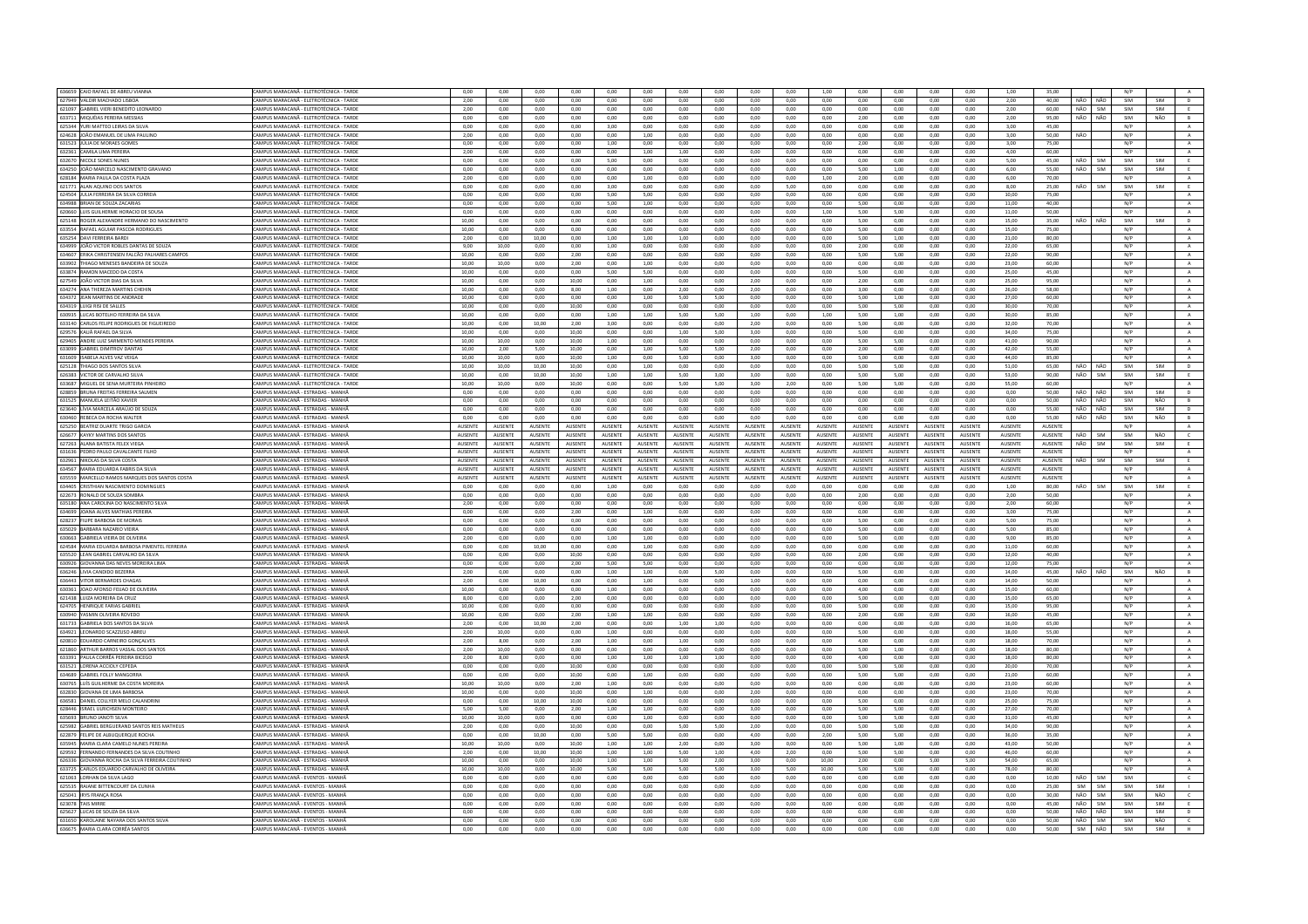| 636659 CAIO RAFAEL DE ABREU VIANNA                               | CAMPUS MARACANĂ - ELETROTÉCNICA - TARDE   | 0,00           | 0,00            | 0,00           | 0,00           | 0,00            | 0,00           | 0,00            | 0,00           | 0,00            | 0,00           | 1,00           | 0,00            | 0,00           | 0,00           | 0,00           | 1,00           | 35,00          |     |            | N/P |                |                           |
|------------------------------------------------------------------|-------------------------------------------|----------------|-----------------|----------------|----------------|-----------------|----------------|-----------------|----------------|-----------------|----------------|----------------|-----------------|----------------|----------------|----------------|----------------|----------------|-----|------------|-----|----------------|---------------------------|
| 627949 VALDIR MACHADO LISBOA                                     | CAMPUS MARACANĂ - ELETROTÉCNICA - TARDE   | 2.00           | 0.00            | 0.00           | 0.00           | 0.00            | 0.00           | 0.00            | 0.00           | 0.00            | 0.00           | 0.00           | 0.00            | 0.00           | 0.00           | 0.00           | 2.00           | 40.00          | NÃO | NÃO        | SIM | SIM            | D                         |
| 621097 GABRIEL VIERI BENEDITO LEONARDO                           | CAMPUS MARACANĂ - ELETROTÉCNICA - TARDI   | 2,00           | 0,00            | 0,00           | 0,00           | 0,00            | 0,00           | 0,00            | 0,00           | 0,00            | 0,00           | 0,00           | 0,00            | 0,00           | 0,00           | 0,00           | 2,00           | 60,00          | NÃO | SIM        | SIM | SIM            |                           |
| 633711 MIQUÉIAS PEREIRA MESSIAS                                  | AMPUS MARACANĂ - ELETROTÉCNICA - TARDE    | 0.00           | 0.00            | 0.00           | 0.00           | 0.00            | 0.00           | 0.00            | 0.00           | 0.00            | 0.00           | 0.00           | 2.00            | 0.00           | 0.00           | 0.00           | 2.00           | 95.00          | NÃO | NÃO        | SIM | NÃO            | B                         |
| 625344 YURI MATTEO LEIRAS DA SILVA                               | CAMPUS MARACANĂ - ELETROTÉCNICA - TARD    | 0.00           | 0.00            | 0.00           | 0.00           | 3,00            | 0,00           | 0,00            | 0.00           | 0.00            | 0.00           | 0,00           | 0.00            | 0,00           | 0,00           | 0.00           | 3.00           | 45.00          |     |            | N/P |                | $\mathbf{A}$              |
| 624628 JOÃO EMANUEL DE LIMA PAULINO                              | CAMPUS MARACANĂ - ELETROTÉCNICA - TARDI   | 2.00           | 0.00            | 0.00           | 0.00           | 0.00            | 1.00           | 0.00            | 0.00           | 0.00            | 0.00           | 0.00           | 0.00            | 0.00           | 0.00           | 0.00           | 3.00           | 50.00          | NÃO |            | N/P |                | $\mathbf{A}$              |
|                                                                  |                                           |                |                 |                |                |                 |                |                 |                |                 |                |                |                 |                |                |                |                |                |     |            |     |                |                           |
| 631523 JULIA DE MORAES GOMES                                     | CAMPUS MARACANĂ - FIFTROTÉCNICA - TARDE   | 0.00           | 0.00            | 0.00           | 0.00           | 1.00            | 0.00           | 0.00            | 0.00           | 0.00            | 0.00           | 0.00           | 2.00            | 0.00           | 0.00           | 0.00           | 3.00           | 75.00          |     |            | N/P |                | A                         |
| 632361 CAMILA LIMA PEREIRA                                       | AMPUS MARACANĂ - ELETROTÉCNICA - TARDE    | 2.00           | 0.00            | 0.00           | 0.00           | 0.00            | 1,00           | 1.00            | 0.00           | 0.00            | 0.00           | 0.00           | 0.00            | 0.00           | 0.00           | 0.00           | 4.00           | 60.00          |     |            | N/P |                | $\mathbf{A}$ .            |
| 632670 NICOLE SONES NUNES                                        | CAMPUS MARACANĂ - ELETROTÉCNICA - TARDE   | 0.00           | 0.00            | 0.00           | 0.00           | 5.00            | 0.00           | 0.00            | 0.00           | 0.00            | 0.00           | 0.00           | 0.00            | 0.00           | 0.00           | 0.00           | 5.00           | 45.00          | NÃO | SIM        | SIM | SIM            | E                         |
| 634250 JOÃO MARCELO NASCIMENTO GRAVANO                           | CAMPUS MARACANĂ - ELETROTÉCNICA - TARDE   | 0.00           | 0.00            | 0.00           | 0.00           | 0.00            | 0.00           | 0.00            | 0.00           | 0.00            | 0.00           | 0.00           | 5.00            | 1.00           | 0.00           | 0.00           | 6,00           | 55.00          | NÃO | SIM        | SIM | SIM            | E                         |
| 628184 MARIA PAULA DA COSTA PLAZA                                | AMPUS MARACANĂ - ELETROTÉCNICA - TARDE    | 2,00           | 0,00            | 0,00           | 0,00           | 0,00            | 1,00           |                 | 0,00           | 0,00            | 0,00           | 1,00           | 2,00            | 0,00           | 0,00           | 0,00           | 6,00           | 70,00          |     |            |     |                | $\Delta$                  |
|                                                                  |                                           |                |                 |                |                |                 |                | 0,00            |                |                 |                |                |                 |                |                |                |                |                |     |            | N/P |                |                           |
| 621771 ALAN AQUINO DOS SANTOS                                    | CAMPUS MARACANĂ - ELETROTÉCNICA - TARD    | 0,00           | 0,00            | 0,00           | $_{0,00}$      | 3,00            | 0,00           | 0,00            | 0,00           | 0,00            | 5,00           | 0,00           | 0,00            | 0,00           | 0,00           | 0,00           | 8,00           | 25,00          | NÃO | SIM        | SIM | SIM            | E                         |
| 624504 JULIA FERREIRA DA SILVA CORREIA                           | CAMPUS MARACANĂ - ELETROTÉCNICA - TARDE   | 0,00           | 0,00            | 0,00           | 0,00           | 5,00            | 5,00           | 0,00            | 0,00           | 0,00            | 0,00           | 0,00           | 0,00            | 0,00           | 0,00           | 0,00           | 10,00          | 75,00          |     |            | N/P |                | $\mathbf{A}$              |
| 634988 BRIAN DE SOUZA ZACARIAS                                   | CAMPUS MARACANĂ - ELETROTÉCNICA - TARDE   | 0.00           | 0.00            | 0.00           | 0.00           | 5.00            | 1.00           | 0.00            | 0.00           | 0.00            | 0.00           | 0.00           | 5.00            | 0.00           | 0.00           | 0.00           | 11.00          | 40.00          |     |            | N/P |                | A                         |
| 620660 LUIS GUILHERME HORACIO DE SOUSA                           | CAMPUS MARACANĂ - ELETROTÉCNICA - TARDI   | 0,00           | 0,00            | 0,00           | 0,00           | 0,00            | 0,00           | 0,00            | 0,00           | 0,00            | 0,00           | 1,00           | 5,00            | 5,00           | 0,00           | 0,00           | 11,00          | 50,00          |     |            | N/P |                | $\,$ A $\,$               |
| 625148 ROGER ALEXANDRE HERMANO DO NASCIMENTO                     | CAMPUS MARACANĂ - ELETROTÉCNICA - TARDE   | 10,00          | 0,00            | 0,00           | 0,00           | 0,00            | 0,00           | 0,00            | 0,00           | 0,00            | 0,00           | 0,00           | 5,00            | 0,00           | 0,00           | 0,00           | 15,00          | 35,00          | NÃO | NÃO        | SIM | SIM            | D                         |
|                                                                  |                                           |                |                 |                |                |                 |                |                 |                |                 |                |                |                 |                |                |                |                |                |     |            |     |                |                           |
| 633554 RAFAEL AGUIAR PASCOA RODRIGUES                            | CAMPUS MARACANĂ - ELETROTÉCNICA - TARDE   | 10,00          | 0,00            | 0,00           | 0,00           | 0,00            | 0,00           | 0.00            | 0,00           | 0,00            | 0,00           | 0,00           | 5,00            | 0,00           | 0,00           | 0,00           | 15,00          | 75,00          |     |            | N/P |                | $\,$ A $\,$               |
| 635254 DAVI FERREIRA BARDI                                       | AMPUS MARACANĂ - ELETROTÉCNICA - TARDI    | 2,00           | 0,00            | 10,00          | 0,00           | 1,00            | 1,00           | 1,00            | 0,00           | 0,00            | 0,00           | 0,00           | 5,00            | 1,00           | 0,00           | 0,00           | 21,00          | 80,00          |     |            | N/P |                | A                         |
| 634999 JOÃO VICTOR ROBLES DANTAS DE SOUZA                        | CAMPUS MARACANÃ - FIFTROTÉCNICA - TARDE   | 9.00           | 10.00           | 0.00           | 0.00           | 1.00            | 0.00           | 0.00            | 0.00           | 0.00            | 0.00           | 0.00           | 200             | 0.00           | 0.00           | 0.00           | 22.00          | 65.00          |     |            | N/P |                | $\mathbf{A}$              |
| 634607 ERIKA CHRISTENSEN FALCÃO PALHARES CAMPOS                  | CAMPUS MARACANĂ - ELETROTÉCNICA - TARDI   | 10,00          | 0,00            | 0,00           | 2,00           | 0,00            | 0,00           | 0,00            | 0,00           | 0,00            | 0,00           | 0,00           | 5,00            | 5,00           | 0,00           | 0,00           | 22,00          | 90,00          |     |            | N/P |                | $\mathbf{A}$              |
| 633902 THIAGO MENESES BANDEIRA DE SOUZA                          | CAMPUS MARACANĂ - ELETROTÉCNICA - TARDE   | 10.00          | 10.00           | 0.00           | 2.00           | 0.00            | 1.00           | 0.00            | 0.00           | 0.00            | 0.00           | 0.00           | 0.00            | 0.00           | 0.00           | 0.00           | 23.00          | 60.00          |     |            | N/P |                | A                         |
|                                                                  |                                           |                |                 |                |                |                 |                |                 |                |                 |                |                |                 |                |                |                |                |                |     |            |     |                |                           |
| 633874 RAMON MACEDO DA COSTA                                     | CAMPUS MARACANĂ - ELETROTÉCNICA - TARD    | 10,00          | 0,00            | 0,00           | 0,00           | 5,00            | 5,00           | 0,00            | 0,00           | 0,00            | 0,00           | 0,00           | 5,00            | 0,00           | 0,00           | 0,00           | 25,00          | 45,00          |     |            | N/P |                | $\mathbf{A}$              |
| 627549 JOÃO VICTOR DIAS DA SILVA                                 | CAMPUS MARACANĂ - ELETROTÉCNICA - TARDI   | 10.00          | 0.00            | 0.00           | 10.00          | 0.00            | 1.00           | 0.00            | 0.00           | 2.00            | 0.00           | 0.00           | 2.00            | 0.00           | 0.00           | 0.00           | 25.00          | 95.00          |     |            | N/P |                | A                         |
| 634274 ANA THEREZA MARTINS CHEHIN                                | CAMPUS MARACANÃ - FIFTROTÉCNICA - TARDE   | 10.00          | 0.00            | 0.00           | 8.00           | 1.00            | 0.00           | 2.00            | 0.00           | 2.00            | 0.00           | $0.00 -$       | 3.00            | 0.00           | 0.00           | 0.00           | 26.00          | 58.00          |     |            | N/P |                | A                         |
| 634372 JEAN MARTINS DE ANDRADE                                   | AMPUS MARACANĂ - ELETROTÉCNICA - TARDI    | 10,00          | 0.00            | 0.00           | 0,00           | 0.00            | 1.00           | 5,00            | 5.00           | 0.00            | 0,00           | 0.00           | 5.00            | 1.00           | 0,00           | 0,00           | 27,00          | 60.00          |     |            | N/P |                | $\,$ A $\,$               |
| 634319 LUIGI RISI DE SALLES                                      | CAMPUS MARACANÃ - FLETROTÉCNICA - TARDI   | 10.00          | 0.00            | 0.00           | 10.00          | 0.00            | 0.00           | 0.00            | 0.00           | 0.00            | 0.00           | 0.00           | 5.00            | 5.00           | 0.00           | 0.00           | 30.00          | 70.00          |     |            | N/P |                | $\mathbf{A}$              |
|                                                                  |                                           |                |                 |                |                |                 |                |                 |                |                 | 0.00           |                |                 |                |                |                |                |                |     |            | N/P |                |                           |
| 630935 LUCAS BOTELHO FERREIRA DA SILVA                           | CAMPUS MARACANĂ - ELETROTÉCNICA - TARDE   | 10,00          | 0,00            | 0,00           | 0,00           | 1,00            | 1,00           | 5,00            | 5,00           | 1,00            |                | 1,00           | 5,00            | 1,00           | 0,00           | 0,00           | 30,00          | 85,00          |     |            |     |                | $\mathbf{A}$              |
| 633140 CARLOS FELIPE RODRIGUES DE FIGUEIREDO                     | CAMPUS MARACANĂ - ELETROTÉCNICA - TARDE   | 10.00          | 0.00            | 10.00          | 2.00           | 3.00            | 0.00           | 0.00            | 0.00           | 2.00            | 0.00           | 0.00           | 5.00            | 0.00           | 0.00           | 0.00           | 32.00          | 70.00          |     |            | N/P |                | A                         |
| 629576 KAUÃ RAFAEL DA SILV                                       | CAMPUS MARACANÃ - FLETROTÉCNICA - TARDI   | 10,00          | 0.00            | 0.00           | 10,00          | 0,00            | 0,00           | 1,00            | 5.00           | 3.00            | 0.00           | $_{0,00}$      | 5.00            | 0.00           | $_{0,00}$      | 0,00           | 34,00          | 75,00          |     |            | N/P |                | A                         |
| 629405 ANDRE LUIZ SARMENTO MENDES PEREIRA                        | CAMPUS MARACANĂ - ELETROTÉCNICA - TARDE   | 10.00          | 10.00           | 0.00           | 10.00          | 1.00            | 0.00           | 0.00            | 0.00           | 0.00            | 0.00           | 0.00           | 5.00            | 5.00           | 0.00           | 0.00           | 41.00          | 90.00          |     |            | N/P |                | A                         |
| 633099 GARRIEL DIMITROV DANTAS                                   | CAMPUS MARACANÃ - FIFTROTÉCNICA - TARDE   | 10.00          | 2.00            | 5.00           | 10.00          | 0.00            | 1.00           | 5.00            | 5.00           | 2.00            | 0.00           | 0.00           | 2.00            | 0.00           | 0.00           | 0.00           | 42.00          | 55.00          |     |            | N/P |                | $\Lambda$                 |
| 631609 ISABELA ALVES VAZ VEIGA                                   | AMPUS MARACANĂ - ELETROTÉCNICA - TARDI    | 10,00          | 10,00           | 0,00           | 10,00          | 1,00            | 0,00           | 5,00            | 0,00           | 3,00            | 0,00           | 0,00           | 5,00            | 0,00           | $_{0,00}$      | $_{0,00}$      | 44,00          | 85,00          |     |            | N/P |                | $\mathbf{A}$              |
|                                                                  |                                           |                |                 |                |                |                 |                |                 |                |                 |                |                |                 |                |                |                |                |                |     |            |     |                |                           |
| 625128 THIAGO DOS SANTOS SILVA                                   | CAMPUS MARACANĂ - ELETROTÉCNICA - TARDE   | 10.00          | 10.00           | 10.00          | 10.00          | 0.00            | 1.00           | 0.00            | 0.00           | 0.00            | 0.00           | 0.00           | 5.00            | 5.00           | 0.00           | 0.00           | 51.00          | 65.00          | NÃO | NÃO        | SIM | SIM            | D                         |
| 626383 VICTOR DE CARVALHO SILVA                                  | CAMPUS MARACANĂ - ELETROTÉCNICA - TARDE   | 10,00          | 0,00            | 10,00          | 10,00          | 1,00            | 1,00           | 5,00            | 3,00           | 3,00            | 0,00           | 0,00           | 5,00            | 5,00           | 0,00           | 0,00           | 53,00          | 90,00          | NÃO | SIM        | SIM | $\mathsf{SIM}$ | E                         |
| 633687 MIGUEL DE SENA MURTEIRA PINHEIRO                          | AMPUS MARACANĂ - ELETROTÉCNICA - TARDI    | 10,00          | 10,00           | 0,00           | 10,00          | 0,00            | 0,00           | 5,00            | 5,00           | 3,00            | 2,00           | 0,00           | 5,00            | 5,00           | 0,00           | 0,00           | 55,00          | 60.00          |     |            | N/P |                | A                         |
| 628859 BRUNA FREITAS FERREIRA SALMEN                             | CAMPUS MARACANÃ - ESTRADAS - MANHÂ        | 0.00           | 0.00            | 0.00           | 0.00           | 0.00            | 0,00           | 0.00            | 0.00           | 0.00            | 0.00           | 0,00           | 0.00            | 0.00           | 0.00           | 0.00           | 0.00           | 50.00          | NÃO | NÃO        | SIM | SIM            | $\mathsf D$               |
|                                                                  | CAMPUS MARACANÃ - ESTRADAS - MANHA        |                |                 |                |                |                 |                |                 |                |                 |                |                | 0.00            |                |                |                |                | 50.00          | NÃO | NÃO        | SIM | NÃO            |                           |
| 631525 MANUELA LEITÃO XAVIER                                     |                                           | 0,00           | 0,00            | 0,00           | 0,00           | 0,00            | 0,00           | 0,00            | 0,00           | 0,00            | 0,00           | 0,00           |                 | 0,00           | 0,00           | 0,00           | 0,00           |                |     |            |     |                | $\overline{B}$            |
| 623640 LÍVIA MARCELA ARAÚJO DE SOUZA                             | CAMPUS MARACANĂ - ESTRADAS - MANHĂ        | 0.00           | 0.00            | 0.00           | 0.00           | 0.00            | 0.00           | 0.00            | 0.00           | 0.00            | 0.00           | 0.00           | 0.00            | 0.00           | 0.00           | 0.00           | 0.00           | 55.00          | NÃO | NÃO        | SIM | SIM            | D                         |
| 630460 REBECA DA ROCHA WALTER                                    | CAMPUS MARACANĂ - ESTRADAS - MANH.        | 0,00           | 0,00            | 0,00           | 0,00           | 0,00            | 0,00           | 0,00            | 0,00           | 0,00            | 0,00           | 0,00           | 0,00            | 0,00           | 0,00           | 0,00           | 0,00           | 55,00          | NÃO | NÃO        | SIM | NÃO            | $\,$ B $\,$               |
| 625250 BEATRIZ DUARTE TRIGO GARCIA                               | CAMPUS MARACANA - ESTRADAS - MANHA        | AUSENTE        | AUSENTE         | <b>AUSENTE</b> | AUSENTE        | <b>AUSENTE</b>  | <b>AUSENTE</b> | <b>AUSENTE</b>  | AUSENTE        | <b>AUSENTE</b>  | AUSENTE        | AUSENTE        | <b>AUSENTE</b>  | AUSENTE        | AUSENTE        | <b>AUSENTE</b> | AUSENTE        | AUSENTE        |     |            | N/P |                | A                         |
| 626677 KAYKY MARTINS DOS SANTOS                                  | CAMPUS MARACANĂ - ESTRADAS - MANHA        | AUSENTE        | AUSENTE         | AUSENTE        | AUSENTE        | AUSENTE         | AUSENTE        | AUSENTE         | AUSENTE        | AUSENTE         | AUSENTE        | AUSENTE        | AUSENTE         | AUSENTE        | AUSENTE        | AUSENTE        | AUSENTE        | AUSENTE        | NÃO | SIM        | SIM | NÃO            | $\mathsf{c}$              |
| 627263 ALANA BATISTA FELEX VIEGA                                 | MPUS MARACANĂ - ESTRADAS - MANHA          | AUSENTE        | AUSENTE         | AUSENTE        | <b>AUSENTE</b> | <b>AUSENTE</b>  | <b>AUSENTE</b> | AUSENTE         | AUSENTE        | AUSENTE         | AUSENTE        | AUSENTE        | AUSENTE         | AUSENTE        | AUSENTE        | <b>AUSENTE</b> | AUSENTE        | AUSENTE        | NÃO | <b>SIM</b> | SIM | SIM            | E                         |
| 631636 PEDRO PAULO CAVALCANTE FILHO                              | CAMPUS MARACANÃ - ESTRADAS - MANHÂ        | <b>AUSENTE</b> | <b>ALISENTE</b> | <b>AUSENTE</b> | <b>AUSENTE</b> | <b>ALISENTE</b> | <b>AUSENTE</b> | <b>ALISENTE</b> | <b>AUSENTE</b> | <b>ALISENTE</b> | <b>AUSENTE</b> | <b>AUSENTE</b> | <b>ALISENTE</b> | <b>AUSENTE</b> | <b>AUSENTE</b> | <b>AUSENTE</b> | <b>AUSENTE</b> | <b>AUSENTE</b> |     |            | N/P |                |                           |
|                                                                  |                                           |                |                 |                |                |                 |                |                 |                |                 |                |                |                 |                |                |                |                |                |     |            |     |                | $\mathbf{A}$              |
|                                                                  |                                           |                |                 |                |                |                 |                |                 |                |                 |                |                |                 |                |                | <b>AUSENTE</b> |                |                |     |            |     | SIM            |                           |
| 632961 NIKOLAS DA SILVA COSTA                                    | CAMPUS MARACANA - ESTRADAS - MANHA        | AUSENTE        | AUSENTE         | AUSENTE        | <b>AUSENTE</b> | <b>AUSENTE</b>  | AUSENTE        | <b>AUSENTE</b>  | AUSENTE        | <b>AUSENTE</b>  | AUSENTE        | AUSENTE        | AUSENTE         | AUSENTE        | AUSENTE        |                | <b>AUSENTE</b> | AUSENTE        | NÃO | SIM        | SIM |                | E                         |
| 634567 MARIA EDUARDA FABRIS DA SILVA                             | CAMPUS MARACANĂ - ESTRADAS - MANHĂ        | AUSENTE        | AUSENTE         | AUSENTE        | AUSENTE        | AUSENTE         | AUSENTE        | AUSENTE         | AUSENTE        | AUSENTE         | AUSENTE        | AUSENTE        | AUSENTE         | AUSENTE        | AUSENTE        | AUSENTE        | AUSENTE        | AUSENTE        |     |            | N/P |                | A                         |
|                                                                  | CAMPUS MARACANĂ - ESTRADAS - MANH         | <b>AUSENTE</b> |                 | AUSENTE        | <b>AUSENTE</b> |                 |                |                 |                |                 |                |                |                 |                | <b>AUSENTE</b> | <b>AUSENTE</b> |                | AUSENTE        |     |            | N/P |                |                           |
| 635559 MARCELLO RAMOS MARQUES DOS SANTOS COSTA                   |                                           |                | AUSENTE         |                |                | AUSENTE         | AUSENTE        | AUSENTE         | AUSENTE        | AUSENTE         | AUSENTE        | AUSENTE        | AUSENTE         | AUSENTE        |                |                | AUSENTE        |                |     |            |     |                | A                         |
| 634405 CRISTHIAN NASCIMENTO DOMINGUE                             | CAMPUS MARACANÃ - ESTRADAS - MANHA        | 0.00           | 0.00            | 0.00           | 0.00           | 1.00            | 0.00           | 0.00            | 0.00           | 0.00            | 0.00           | 0.00           | 0.00            | 0.00           | 0.00           | 0.00           | 1.00           | 80.00          | NÃO | <b>SIM</b> | SIM | SIM            | E                         |
| 622673 RONALD DE SOUZA SOMBRA                                    | CAMPUS MARACANÃ - ESTRADAS - MANHÃ        | 0.00           | 0.00            | 0.00           | 0.00           | 0.00            | 0.00           | 0.00            | 0.00           | 0.00            | 0.00           | 0.00           | 2.00            | 0.00           | 0.00           | 0.00           | 2.00           | 50.00          |     |            | N/P |                | A                         |
| 635180 ANA CAROLINA DO NASCIMENTO SILVA                          | AMPUS MARACANÃ - ESTRADAS - MANHA         | 2,00           | 0,00            | 0,00           | 0,00           | 0,00            | 0,00           | 0,00            | 0,00           | 0,00            | 0,00           | 0,00           | 0,00            | 0,00           | 0,00           | 0,00           | 2,00           | 60.00          |     |            | N/P |                | $\mathbf{A}$              |
| 634699 <b>JOANA ALVES MATHIAS PERFIRA</b>                        | CAMPUS MARACANÃ - ESTRADAS - MANHÍ        | 0.00           | 0.00            | 0.00           | 2.00           | 0.00            | 1.00           | 0.00            | 0.00           | 0.00            | 0.00           | 0.00           | 0.00            | 0.00           | 0.00           | 0.00           | 3.00           | 75.00          |     |            | N/P |                | A                         |
|                                                                  | CAMPUS MARACANĂ - ESTRADAS - MANHÂ        | 0.00           | 0.00            | 0.00           | 0.00           | 0.00            | 0.00           | 0.00            | 0.00           | 0.00            | 0.00           | 0.00           | 5.00            | 0.00           | 0.00           | 0.00           | 5.00           | 75.00          |     |            | N/P |                |                           |
| 628237 FILIPE BARBOSA DE MORAIS<br>635029 BARRARA NAZARIO VIFIRA | CAMPUS MARACANÃ - ESTRADAS - MANHÃ        | 0.00           | 0.00            | 0.00           | 0.00           | 0.00            | 0.00           | 0.00            | 0.00           | 0.00            | 0.00           | 0.00           | 5.00            | 0.00           | 0.00           | 0.00           | 5.00           | 85.00          |     |            | N/P |                | $\mathbf{A}$<br>$\Lambda$ |
|                                                                  |                                           |                |                 |                |                |                 |                |                 |                |                 |                |                |                 |                |                |                |                |                |     |            |     |                |                           |
| 630663 GABRIELA VIEIRA DE OLIVEIRA                               | CAMPUS MARACANÃ - ESTRADAS - MANHÂ        | 2,00           | 0,00            | 0,00           | 0,00           | 1,00            | 1,00           | 0,00            | 0,00           | 0,00            | 0,00           | 0,00           | 5,00            | 0,00           | 0,00           | 0,00           | 9,00           | 85,00          |     |            | N/P |                | $\,$ A $\,$               |
| 624584 MARIA EDUARDA BARBOSA PIMENTEL FERREIRA                   | CAMPUS MARACANĂ - ESTRADAS - MANHA        | 0,00           | 0,00            | 10,00          | 0,00           | 0,00            | 1,00           | 0,00            | 0,00           | 0,00            | 0,00           | 0,00           | 0,00            | 0,00           | 0,00           | 0,00           | 11,00          | 60,00          |     |            | N/P |                | $\,$ A $\,$               |
| 635520 LEAN GABRIEL CARVALHO DA SILVA                            | CAMPUS MARACANĂ - ESTRADAS - MANHĂ        | 0.00           | 0.00            | 0.00           | 10.00          | 0.00            | 0.00           | 0.00            | 0.00           | 0.00            | 0.00           | 0.00           | 2.00            | 0.00           | 0.00           | 0.00           | 12,00          | 40.00          |     |            | N/P |                | A                         |
| 630926 GIOVANNA DAS NEVES MOREIRA LIM.                           | CAMPUS MARACANĂ - ESTRADAS - MANH         | 0,00           | 0,00            | 0,00           | 2,00           | 5,00            | 5,00           | 0,00            | 0,00           | 0,00            | 0,00           | 0,00           | 0,00            | 0,00           | 0,00           | 0,00           | 12,00          | 75,00          |     |            | N/P |                | $\mathbf{A}$ .            |
| 636246 LIVIA CANDIDO BEZERRA                                     | CAMPUS MARACANA - ESTRADAS - MANHA        | 2.00           | 0.00            | 0.00           | 0.00           | 1.00            | 1.00           | 0.00            | 5.00           | 0.00            | 0.00           | 0.00           | 5.00            | 0.00           | 0.00           | 0.00           | 14.00          | 45.00          | NÃO | NÃO        | SIM | NÃO            | B                         |
|                                                                  |                                           |                |                 |                |                |                 |                |                 |                |                 |                |                |                 |                |                |                |                |                |     |            |     |                |                           |
| 636443 VITOR BERNARDES CHAGA                                     | CAMPUS MARACANĂ - ESTRADAS - MANHĂ        | 2,00           | 0,00            | 10,00          | 0,00           | 0,00            | 1,00           | 0,00            | 0,00           | 1,00            | 0,00           | 0,00           | 0,00            | 0,00           | 0,00           | 0,00           | 14,00          | 50,00          |     |            | N/P |                | $\mathbf{A}$              |
| 630361 JOAO AFONSO FEJJAO DE OLIVEIRA                            | CAMPUS MARACANA - ESTRADAS - MANHÃ        | 10.00          | 0.00            | 0.00           | 0.00           | 1.00            | 0.00           | 0.00            | 0.00           | 0.00            | 0.00           | 0.00           | 4.00            | 0.00           | 0.00           | 0.00           | 15.00          | 60.00          |     |            | N/P |                | A                         |
| 621438 LUIZA MOREIRA DA CRUZ                                     | CAMPUS MARACANÃ - ESTRADAS - MANHÂ        | 8.00           | 0.00            | 0.00           | 2,00           | 0,00            | 0.00           | 0.00            | 0.00           | 0.00            | 0.00           | 0,00           | 5.00            | 0,00           | 0.00           | 0.00           | 15,00          | 65.00          |     |            | N/P |                | $\,$ A $\,$               |
| 624705 HENRIQUE FARIAS GABRIEL                                   | CAMPUS MARACANĂ - ESTRADAS - MANHĂ        | 10,00          | 0,00            | 0,00           | 0,00           | 0,00            | 0,00           | 0,00            | 0,00           | 0,00            | 0,00           | 0,00           | 5,00            | 0,00           | 0,00           | 0,00           | 15,00          | 95,00          |     |            | N/P |                | A                         |
| 630940 YASMIN OLIVEIRA ROVEDO                                    | CAMPUS MARACANÃ - ESTRADAS - MANHÃ        | 10.00          | 0.00            | 0.00           | 2.00           | 1.00            | 1.00           | $0.00 -$        | 0.00           | 0.00            | 0.00           | $0.00 -$       | 200             | 0.00           | 0.00           | 0.00           | 16.00          | 45.00          |     |            | N/P |                | A                         |
| 631733 GABRIELA DOS SANTOS DA SILVA                              | CAMPUS MARACANĂ - ESTRADAS - MANHA        | 2,00           | 0,00            | 10,00          | 2,00           | 0,00            | 0,00           | 1,00            | 1,00           | 0,00            | 0,00           | 0,00           | 0,00            | 0,00           | 0,00           | 0,00           | 16,00          | 65,00          |     |            | N/P |                | $\,$ A $\,$               |
| 634921 LEONARDO SCAZZUSO ABREL                                   | CAMPUS MARACANĂ - ESTRADAS - MANHÂ        | 2.00           | 10.00           | 0.00           | 0.00           | 1.00            | 0.00           | 0.00            | 0.00           | 0.00            | 0.00           | 0.00           | 5.00            | 0.00           | 0.00           | 0.00           | 18.00          | 55.00          |     |            | N/P |                | A                         |
|                                                                  |                                           |                |                 |                |                |                 |                |                 |                |                 |                |                |                 |                |                |                |                |                |     |            |     |                |                           |
| 620810 EDUARDO CARNEIRO GONÇALVES                                | CAMPUS MARACANĂ - ESTRADAS - MANH         | 2,00           | 8,00            | 0,00           | 2,00           | 1,00            | 0,00           | 1,00            | 0,00           | 0,00            | 0,00           | 0,00           | 4,00            | 0,00           | 0,00           | 0,00           | 18,00          | 70,00          |     |            | N/P |                | $\mathbf{A}$              |
| 621860 ARTHUR BARROS VASSAL DOS SANTO                            | <b>CAMPUS MARACANĂ - ESTRADAS - MANHA</b> | 2.00           | 10.00           | 0.00           | 0.00           | 0.00            | 0.00           | 0.00            | 0.00           | 0.00            | 0.00           | 0.00           | 5.00            | 1.00           | 0.00           | 0.00           | 18.00          | 80.00          |     |            | N/P |                | A                         |
| 633391 PAULA CORRÊA PEREIRA BICEGO                               | CAMPUS MARACANÃ - ESTRADAS - MANHÍ        | 2.00           | 8.00            | 0.00           | 0.00           | 1.00            | 1.00           | 1.00            | 1.00           | 0.00            | 0.00           | 0.00           | 4.00            | 0.00           | 0.00           | 0.00           | 18.00          | 80.00          |     |            | N/P |                | A.                        |
| 631521 LORENA ACCIOLY CEPEDA                                     | CAMPUS MARACANĂ - ESTRADAS - MANHÂ        | 0.00           | 0.00            | 0.00           | 10.00          | 0.00            | 0.00           | 0.00            | 0.00           | 0.00            | 0.00           | 0.00           | 5.00            | 5.00           | 0,00           | 0.00           | 20.00          | 70.00          |     |            | N/P |                | $\mathbf{A}$              |
| 634689 GABRIEL FOLLY MANGORRA                                    | CAMPUS MARACANÃ - ESTRADAS - MANHÃ        | 0.00           | 0.00            | 0.00           | 10.00          | 0.00            | 1.00           | 0.00            | 0.00           | 0.00            | 0.00           | 0.00           | 5.00            | 5.00           | 0.00           | 0.00           | 21.00          | 60.00          |     |            | N/P |                | A                         |
|                                                                  |                                           |                |                 |                |                |                 |                |                 |                |                 |                |                |                 |                |                |                |                |                |     |            |     |                |                           |
| 630765 LUÍS GUILHERME DA COSTA MOREIRA                           | AMPUS MARACANĂ - ESTRADAS - MANH.         | 10,00          | 10,00           | 0.00           | 2.00           | 1,00            | $_{0,00}$      | 0.00            | $_{0,00}$      | 0.00            | 0.00           | $_{0,00}$      | 0.00            | 0.00           | $_{0,00}$      | 0,00           | 23.00          | 60.00          |     |            | N/P |                | $\,$ A $\,$               |
| 632830 GIOVANA DE LIMA BARBOSA                                   | CAMPUS MARACANĂ - ESTRADAS - MANHĂ        | 10.00          | 0.00            | 0.00           | 10.00          | 0.00            | 1.00           | 0.00            | 0.00           | 2.00            | 0.00           | 0.00           | 0.00            | 0.00           | 0.00           | 0.00           | 23.00          | 70.00          |     |            | N/P |                | A                         |
| 636581 DANIEL COLLYER MELO CALANDRIN                             | CAMPUS MARACANÃ - ESTRADAS - MANHÃ        | 0.00           | 0.00            | 10.00          | 10.00          | 0.00            | 0,00           | 0.00            | 0.00           | 0.00            | 0.00           | 0.00           | 5.00            | 0.00           | 0.00           | 0.00           | 25,00          | 75.00          |     |            | N/P |                | $\,$ A $\,$               |
| 628446 ISRAEL ULRICHSEN MONTEIRO                                 | CAMPUS MARACANĂ - ESTRADAS - MANHĂ        | 5,00           | 5,00            | 0,00           | 2,00           | 1,00            | 1,00           | 0,00            | 0,00           | 3,00            | 0,00           | 0,00           | 5,00            | 5,00           | 0,00           | 0,00           | 27,00          | 70,00          |     |            | N/P |                | A                         |
| 635693 BRUNO JANOTI SILVA                                        | CAMPUS MARACANÃ - ESTRADAS - MANHÍ        | 10.00          | 10.00           | 0.00           | 0.00           | 0.00            | 1.00           | 0.00            | 0.00           | 0.00            | 0.00           | 0.00           | 500             | 5.00           | 0.00           | 0.00           | 31.00          | 45.00          |     |            | N/P |                | A                         |
| 625982 GABRIEL BERGUERAND SANTOS REIS MATHEUS                    | CAMPUS MARACANĂ - ESTRADAS - MANHA        | 2,00           | 0,00            | 0,00           | 10,00          | 0,00            | 0,00           | 5,00            | 5,00           | 2,00            | 0,00           | 0,00           | 5,00            | 5,00           | 0,00           | 0,00           | 34,00          | 90,00          |     |            | N/P |                |                           |
|                                                                  |                                           |                |                 |                |                |                 |                |                 |                |                 |                |                |                 |                |                |                |                |                |     |            |     |                | $\mathbf{A}$              |
| 622879 FELIPE DE ALBUQUERQUE ROCHA                               | CAMPUS MARACANA - ESTRADAS - MANHÃ        | 0.00           | 0.00            | 10.00          | 0.00           | 5.00            | 5.00           | 0.00            | 0.00           | 4.00            | 0.00           | 2.00           | 5.00            | 5.00           | 0.00           | 0.00           | 36.00          | 35.00          |     |            | N/P |                | A                         |
| 635945 MARIA CLARA CAMELO NUNES PEREIRA                          | CAMPUS MARACANĂ - ESTRADAS - MANH.        | 10,00          | 10,00           | 0,00           | 10,00          | 1,00            | 1,00           | 2,00            | 0,00           | 3,00            | 0,00           | 0,00           | 5,00            | 1,00           | 0,00           | 0,00           | 43,00          | 50,00          |     |            | N/P |                | $\mathbf{A}$              |
| 629592 FERNANDO FERNANDES DA SILVA COUTINHO                      | CAMPUS MARACANĂ - ESTRADAS - MANHÂ        | 2,00           | 0,00            | 10,00          | 10,00          | 1,00            | 1,00           | 5,00            | 1,00           | 4,00            | 2,00           | 0,00           | 5,00            | 5,00           | 0,00           | 0,00           | 46,00          | 60,00          |     |            | N/P |                | A                         |
| 626336 GIOVANNA ROCHA DA SILVA FERREIRA COUTINHO                 | CAMPUS MARACANÃ - ESTRADAS - MANHÃ        | 10,00          | 0,00            | 0,00           | 10.00          | 1,00            | 1,00           | 5,00            | 2,00           | 3,00            | 0,00           | 10,00          | 2,00            | 0,00           | 5,00           | 5,00           | 54,00          | 65.00          |     |            | N/P |                | A                         |
| 633725 CARLOS EDUARDO CARVALHO DE OLIVEIRA                       | CAMPUS MARACANĂ - ESTRADAS - MANHA        | 10,00          | 10,00           | 0,00           | 10,00          | 5,00            | 5,00           | 5,00            | 5,00           | 3,00            | 5,00           | 10,00          | 5,00            | 5,00           | 0,00           | 0,00           | 78,00          | 80.00          |     |            | N/P |                | A                         |
| 621063 LORHAN DA SILVA LAGO                                      | CAMPUS MARACANA - EVENTOS - MANHA         | 0.00           | 0.00            | 0.00           | 0.00           | 0.00            | 0.00           | 0.00            | 0.00           | 0.00            | 0.00           | 0.00           | 0.00            | 0.00           | 0.00           | 0.00           | 0.00           | 10.00          | NÃO | SIM        | SIM |                | $\mathsf{C}$              |
|                                                                  |                                           |                |                 |                |                |                 |                |                 |                |                 |                |                |                 |                |                |                |                |                |     |            |     |                |                           |
| 625535 RAIANE BITTENCOURT DA CUNHA                               | CAMPUS MARACANĂ - EVENTOS - MANH          | 0,00           | 0,00            | 0,00           | 0,00           | 0,00            | 0,00           | 0,00            | 0,00           | 0,00            | 0,00           | 0,00           | 0,00            | 0,00           | 0,00           | 0,00           | 0,00           | 25,00          | SIM | SIM        | SIM | SIM            |                           |
| 625041 IRYS FRANCA ROSA                                          | CAMPUS MARACANĂ - EVENTOS - MANHÂ         | 0.00           | 0.00            | 0.00           | 0.00           | 0.00            | 0.00           | 0.00            | 0.00           | 0.00            | 0.00           | 0.00           | 0.00            | 0.00           | 0.00           | 0.00           | 0.00           | 30.00          | NÃO | SIM        | SIM | NÃO            | $\epsilon$                |
| 623078 TAIS MIRE                                                 | <b>AMPUS MARACANĂ - EVENTOS - MANH</b>    | 0,00           | 0,00            | 0,00           | 0,00           | 0,00            | 0,00           | 0,00            | 0,00           | 0,00            | 0,00           | 0,00           | 0,00            | 0,00           | 0,00           | 0,00           | 0,00           | 45,00          | NÃO | SIM        | SIM | SIM            | E                         |
| 625627 LUCAS DE SOUZA DA SILVA                                   | CAMPUS MARACANA - EVENTOS - MANHA         | 0,00           | 0,00            | 0.00           | 0,00           | 0.00            | 0.00           | 0.00            | 0.00           | 0.00            | 0.00           | 0,00           | 0.00            | 0.00           | 0,00           | 0,00           | 0,00           | 50.00          | NÃO | NÃO        | SIM | SIM            | $\overline{D}$            |
| 631650 KAROLAINE NAYARA DOS SANTOS SILVA                         | CAMPUS MARACANA - EVENTOS - MANHÃ         | $0.00 -$       | 0.00            | 0.00           | 0.00           | 0.00            | 0.00           | 0.00            | 0.00           | 0.00            | 0.00           | 0.00           | 0.00            | 0.00           | 0.00           | 0.00           | 0.00           | 50.00          | NÃO | <b>SIM</b> | SIM | NÃO            |                           |
| 636675 MARIA CLARA CORRÊA SANTO                                  | CAMPUS MARACANÃ - EVENTOS - MANH          | 0.00           | 0.00            | 0.00           | 0.00           | 0.00            | 0.00           | 0.00            | 0.00           | 0.00            | 0.00           | 0.00           | 0.00            | 0.00           | 0.00           | 0.00           | 0.00           | 50.00          | SIM | NÃO        | SIM | SIM            | $\epsilon$                |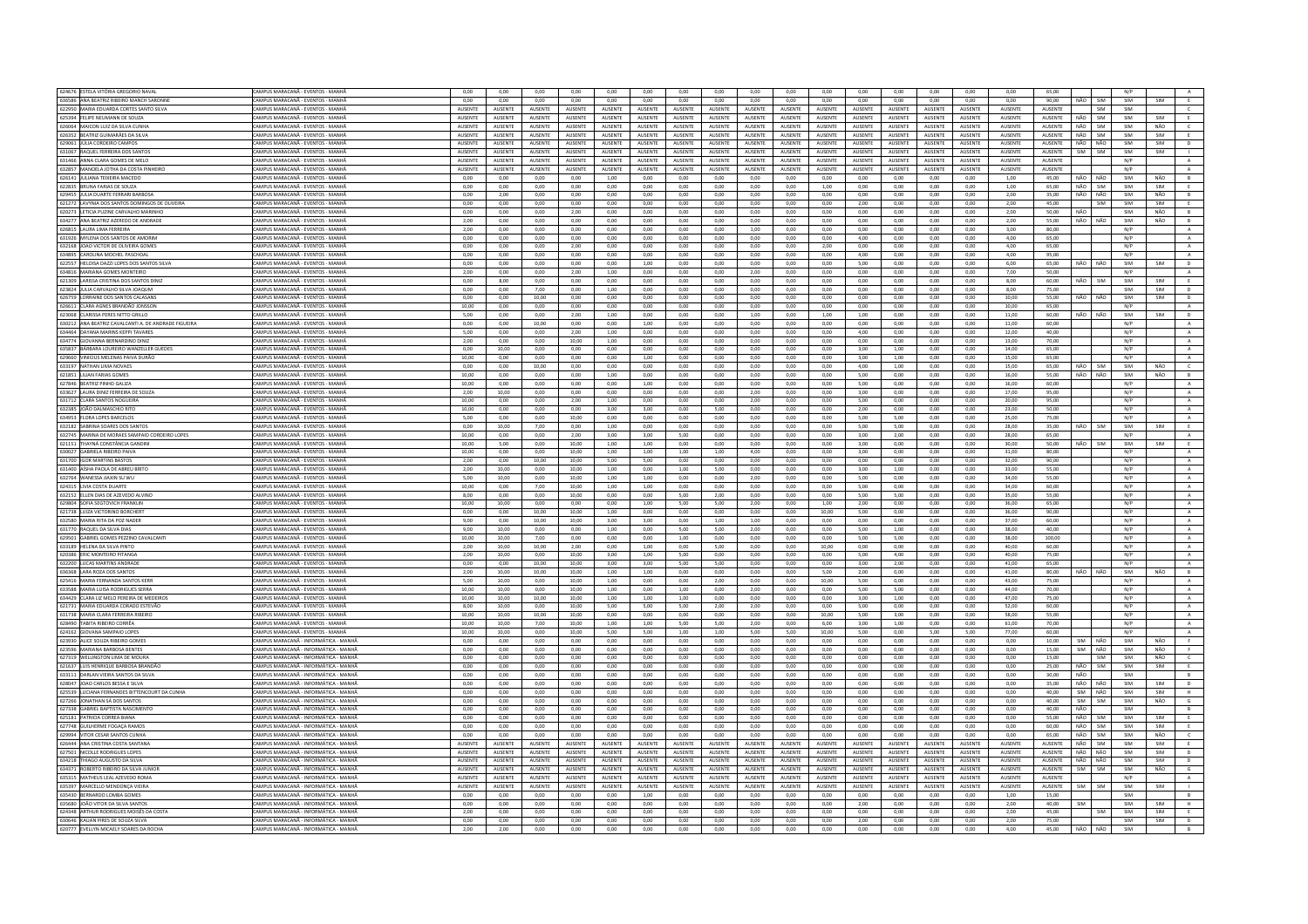| 624676 ESTELA VITÓRIA GREGORIO NAVAL                 |                                          |                |                 |                |                |                 |                |                 |                |                 |                |                |                 |                |                |                |                 |                |                   |     |            |                |
|------------------------------------------------------|------------------------------------------|----------------|-----------------|----------------|----------------|-----------------|----------------|-----------------|----------------|-----------------|----------------|----------------|-----------------|----------------|----------------|----------------|-----------------|----------------|-------------------|-----|------------|----------------|
|                                                      | CAMPUS MARACANĂ - EVENTOS - MANHA        | 0,00           | 0,00            | 0,00           | 0,00           | 0,00            | 0,00           | 0,00            | 0,00           | 0,00            | 0,00           | 0,00           | 0,00            | 0,00           | 0,00           | 0,00           | 0,00            | 65,00          |                   | N/P |            |                |
| 636586 ANA BEATRIZ RIBEIRO MANCH SARONNI             | CAMPUS MARACANĂ - EVENTOS - MANHĂ        | 0,00           | 0.00            | 0,00           | 0,00           | 0.00            | 0,00           | 0,00            | 0.00           | 0,00            | 0,00           | 0.00           | 0,00            | 0,00           | 0.00           | 0,00           | 0.00            | 90,00          | SIM<br>NÃO        | SIM | SIM        | E              |
| 622950 MARIA EDUARDA CORTES SANTO SILVA              | CAMPUS MARACANÃ - EVENTOS - MANHÃ        | <b>AUSENTE</b> | <b>ALISENTE</b> | <b>AUSENTE</b> | <b>AUSENTE</b> | <b>ALISENTE</b> | <b>AUSENTE</b> | <b>ALISENTE</b> | <b>AUSENTE</b> | <b>ALISENTE</b> | <b>AUSENTE</b> | <b>AUSENTE</b> | <b>ALISENTE</b> | <b>AUSENTE</b> | <b>AUSENTE</b> | <b>AUSENTE</b> | <b>ALISENTE</b> | <b>AUSENTE</b> | SIM               | SIM |            | $\epsilon$     |
| 625394 FELIPE NEUMANN DE SOUZA                       | CAMPUS MARACANĂ - EVENTOS - MANHA        | AUSENTE        | AUSENTE         | AUSENTE        | AUSENTE        | AUSENTE         | AUSENTE        | AUSENTE         | <b>AUSENTE</b> | AUSENTE         | AUSENTE        | AUSENTE        | AUSENTE         | AUSENTE        | AUSENTE        | AUSENTE        | <b>AUSENTE</b>  | AUSENTE        | SIM<br>NÃO        | SIM | SIM        | E              |
| 626064 MAICON LUIZ DA SILVA CUNHA                    | CAMPUS MARACANA - EVENTOS - MANHA        | <b>AUSENTE</b> | <b>ALISENTE</b> | <b>AUSENTE</b> | <b>AUSENTE</b> | <b>ALISENTE</b> | <b>AUSENTE</b> | <b>ALISENTE</b> | <b>AUSENTE</b> | <b>ALISENTE</b> | <b>AUSENTE</b> | <b>AUSENTE</b> | <b>ALISENTE</b> | <b>AUSENTE</b> | <b>AUSENTE</b> | <b>AUSENTE</b> | <b>ALISENTE</b> | <b>AUSENTE</b> | NÃO<br><b>SIM</b> | SIM | NÃO        | $\epsilon$     |
| 626352 BEATRIZ GUIMARÃES DA SILVA                    | CAMPUS MARACANA - EVENTOS - MANHÃ        | AUSENTE        | <b>AUSENTE</b>  | AUSENTE        | AUSENTE        | <b>AUSENTE</b>  | AUSENTE        | AUSENTE         | AUSENTE        | <b>AUSENTE</b>  | <b>AUSENTE</b> | AUSENTE        | AUSENTE         | <b>AUSENTE</b> | <b>AUSENTE</b> | AUSENTE        | AUSENTE         | AUSENTE        | NÃO<br>SIM        | SIM | SIM        | E              |
| 629061 JÚLIA CORDEIRO CAMPOS                         | CAMPUS MARACANĂ - EVENTOS - MANHA        | AUSENTE        | AUSENTE         | AUSENTE        | <b>AUSENTE</b> | <b>AUSENTE</b>  | AUSENTE        | AUSENTE         | AUSENTE        | <b>AUSENTE</b>  | AUSENTE        | AUSENTE        | <b>AUSENTE</b>  | <b>AUSENTE</b> | AUSENTE        | <b>AUSENTE</b> | AUSENTE         | AUSENTE        | NÃO<br>NÃO        | SIM | SIM        | D              |
|                                                      |                                          |                |                 |                |                |                 |                |                 |                |                 |                |                |                 |                |                |                |                 |                |                   |     |            |                |
| 631067<br>AQUEL FERREIRA DOS SANTO                   | CAMPUS MARACANĂ - EVENTOS - MANH         | <b>AUSENTE</b> | AUSENTE         | AUSENTE        | AUSENTI        | <b>AUSENTE</b>  | AUSENTE        | <b>AUSENTE</b>  | AUSENTI        | AUSENTE         | <b>NUSENTE</b> | AUSENTE        | <b>AUSENTE</b>  | AUSENTE        | AUSENT         | <b>AUSENTE</b> | <b>AUSENTE</b>  | AUSENTE        | SIM<br>SIM        | SIM | SIM        |                |
| 631466 ANNA CLARA GOMES DE MELO                      | CAMPUS MARACANĂ - EVENTOS - MANH         | <b>AUSENTE</b> | <b>AUSENTE</b>  | AUSENTE        | <b>AUSENTE</b> | AUSENTE         | AUSENTE        | <b>AUSENTE</b>  | AUSENTE        | AUSENTE         | <b>AUSENTE</b> | <b>AUSENTE</b> | <b>AUSENTE</b>  | <b>AUSENTE</b> | AUSENTE        | <b>AUSENTE</b> | <b>AUSENTE</b>  | AUSENTE        |                   | N/P |            | $\mathbb{A}$   |
| 632857 MANOFLA IOTHA DA COSTA PINHEIRO               | CAMPUS MARACANÃ - EVENTOS - MANHÃ        | <b>AUSENTE</b> | <b>ALISENTE</b> | <b>AUSENTE</b> | <b>AUSENTE</b> | <b>ALISENTE</b> | <b>AUSENTE</b> | <b>ALISENTE</b> | <b>AUSENTE</b> | <b>ALISENTE</b> | <b>AUSENTE</b> | <b>AUSENTE</b> | <b>ALISENTE</b> | <b>AUSENTE</b> | <b>AUSENTE</b> | <b>AUSENTE</b> | <b>ALISENTE</b> | <b>AUSENTE</b> |                   | N/P |            | A              |
| 626141 JULIANA TEIXEIRA MACEDO                       | CAMPUS MARACANÃ - EVENTOS - MANH         | 0.00           | 0.00            | 0.00           | 0.00           | 1.00            | 0.00           | 0.00            | 0.00           | 0.00            | 0.00           | 0.00           | 0.00            | 0.00           | 0.00           | 0.00           | 1.00            | 45.00          | NÃO<br>NÃO        | SIM | NÃO        | B              |
| 622835 BRUNA FARIAS DE SOUZA                         | CAMPUS MARACANA - EVENTOS - MANHA        | 0.00           | 0.00            | 0.00           | 0.00           | 0.00            | 0.00           | 0.00            | 0.00           | 0.00            | 0.00           | 1.00           | 0.00            | 0.00           | 0.00           | 0.00           | 1.00            | 65.00          | NÃO<br><b>SIM</b> | SIM | SIM        | E              |
| 629455 JULIA DUARTE FERRARI BARBOSA                  | CAMPUS MARACANĂ - EVENTOS - MANHĂ        | 0.00           | 2,00            | $_{0,00}$      | 0,00           | 0,00            | 0,00           | $_{0,00}$       | 0,00           | 0,00            | 0.00           | 0,00           | 0,00            | 0,00           | 0,00           | 0,00           | 2,00            | 35,00          | NÃO<br>NÃO        | SIM | NÃO        | B              |
| 621272 LAVYNIA DOS SANTOS DOMINGOS DE OLIVEIRA       | CAMPUS MARACANĂ - EVENTOS - MANHÃ        |                |                 |                |                |                 |                |                 |                |                 |                | 0.00           |                 |                | 0.00           |                | 2.00            | 45.00          |                   | SIM | SIM        |                |
|                                                      |                                          | 0.00           | 0.00            | 0.00           | 0.00           | 0.00            | 0.00           | 0.00            | 0.00           | 0.00            | 0.00           |                | 2.00            | 0.00           |                | 0.00           |                 |                | <b>SIM</b>        |     |            | E              |
| 620273 LETICIA PUZINE CARVALHO MARINI                | CAMPUS MARACANA - EVENTOS - MANHA        | 0,00           | 0,00            | 0,00           | 2,00           | 0,00            | 0,00           | 0,00            | 0,00           | 0,00            | 0,00           | 0,00           | 0,00            | 0,00           | 0,00           | 0,00           | 2,00            | 50,00          | NÃO               | SIM | NÃO        | B              |
| 634277 ANA BEATRIZ AZEREDO DE ANDRAD                 | CAMPUS MARACANÃ - EVENTOS - MANH         | 2.00           | 0.00            | 0.00           | 0.00           | 0.00            | 0.00           | 0.00            | 0.00           | 0.00            | 0.00           | 0.00           | 0.00            | 0.00           | 0.00           | 0.00           | 2.00            | 55.00          | NÃO<br>NÃO        | SIM | NÃO        | B              |
| 626815   AURA UMA FERREIRA                           | CAMPUS MARACANA - EVENTOS - MANHÃ        | 2.00           | 0.00            | 0.00           | 0.00           | 0.00            | $0.00 -$       | 0.00            | 0.00           | 1.00            | $0.00 -$       | 0.00           | $0.00 -$        | $0.00 -$       | 0.00           | 0.00           | 3.00            | 80.00          |                   | N/P |            | A              |
| 631926 MYLENA DOS SANTOS DE AMORIN                   | CAMPUS MARACANĂ - EVENTOS - MANH         | 0,00           | 0,00            | 0,00           | 0,00           | 0,00            | 0,00           | 0,00            | 0,00           | 0,00            | 0,00           | 0,00           | 4,00            | 0,00           | 0,00           | 0,00           | 4,00            | 65,00          |                   | N/P |            | $\mathbf{A}$   |
| 632168 JOAO VICTOR DE OLIVEIRA GOMES                 | CAMPUS MARACANĂ - EVENTOS - MANHÂ        | 0.00           | 0.00            | 0.00           | 2.00           | 0.00            | 0.00           | 0.00            | 0.00           | 0.00            | 0.00           | 2.00           | 0.00            | 0.00           | 0.00           | 0.00           | 4.00            | 65.00          |                   | N/P |            | A.             |
| 634895 CAROLINA MOCHEL PASCHOAL                      | CAMPUS MARACANÃ - EVENTOS - MANHÁ        | 0,00           | 0,00            | 0,00           | 0,00           | 0,00            | 0,00           | 0,00            | 0,00           | 0,00            | 0,00           | 0,00           | 4,00            | 0,00           | 0,00           | 0,00           | 4,00            | 95,00          |                   | N/P |            |                |
|                                                      |                                          |                |                 |                |                |                 |                |                 |                |                 |                |                |                 |                |                |                |                 |                |                   |     |            | $\mathbf{A}$   |
| 622557 HELOISA DAZZI LOPES DOS SANTOS SILVA          | CAMPUS MARACANĂ - EVENTOS - MANHÂ        | 0,00           | 0,00            | 0,00           | 0,00           | 0,00            | 1,00           | 0,00            | 0,00           | 0,00            | 0,00           | 0,00           | 5,00            | 0,00           | 0,00           | 0,00           | 6,00            | 65,00          | NÃO<br>NÃO        | SIM | SIM        | D              |
| 634816 MARIANA GOMES MONTEIRO                        | <b>CAMPUS MARACANA - EVENTOS - MANHA</b> | 2,00           | 0.00            | 0.00           | 2,00           | 1,00            | 0.00           | 0.00            | 0.00           | 2,00            | 0.00           | 0,00           | 0.00            | 0.00           | 0.00           | 0.00           | 7.00            | 50.00          |                   | N/P |            | A              |
| 621309 LARISSA CRISTINA DOS SANTOS DINIZ             | CAMPUS MARACANĂ - EVENTOS - MANHĂ        | 0,00           | 8,00            | 0,00           | 0,00           | 0,00            | 0,00           | 0,00            | 0,00           | 0,00            | 0,00           | 0,00           | 0,00            | 0,00           | 0,00           | 0,00           | 8,00            | 60.00          | NÃO<br>SIM        | SIM | SIM        | E              |
| 623824 JULIA CARVALHO SILVA JOAQUM                   | CAMPUS MARACANĂ - EVENTOS - MANHĂ        | 0.00           | 0.00            | 7.00           | 0.00           | 1.00            | 0.00           | 0.00            | 0.00           | 0.00            | 0.00           | 0.00           | 0.00            | 0.00           | 0.00           | 0.00           | 8.00            | 75.00          |                   | SIM | SIM        | D              |
| 626759<br>LORRAINE DOS SANTOS CALASAN!               | CAMPUS MARACANĂ - EVENTOS - MANH         | 0,00           | 0,00            | 10,00          | 0,00           | 0,00            | 0,00           | 0,00            | 0,00           | 0,00            | 0,00           | 0,00           | 0,00            | 0,00           | 0,00           | 0,00           | 10,00           | 55,00          | NÃO<br>NÃO        | SIM | SIM        | $\mathsf D$    |
| 626611 CLARA AGNES BRANDÃO JONSSON                   | CAMPUS MARACANA - EVENTOS - MANHA        | 10.00          | 0.00            | 0.00           | 0.00           | 0.00            | 0.00           | 0.00            | 0.00           | 0.00            | 0.00           | 0.00           | 0.00            | 0.00           | 0.00           | 0.00           | 10.00           | 65.00          |                   | N/P |            | A              |
|                                                      |                                          |                |                 |                |                |                 |                |                 |                |                 |                |                |                 |                |                |                |                 |                |                   |     |            |                |
| 623068 CLARISSA PERES NITTO GRILLO                   | CAMPUS MARACANA - EVENTOS - MANHÃ        | 5,00           | 0,00            | 0,00           | 2,00           | 1,00            | 0,00           | 0.00            | 0.00           | 1,00            | 0.00           | 1,00           | 1,00            | 0.00           | 0.00           | 0.00           | 11,00           | 60.00          | NÃO<br>NÃO        | SIM | SIM        | $\blacksquare$ |
| 630212 ANA BEATRIZ CAVALCANTI A. DE ANDRADE FIGUEIRA | AMPUS MARACANĂ - EVENTOS - MANHA         | 0,00           | 0,00            | 10,00          | 0,00           | 0,00            | 1,00           | 0,00            | 0,00           | 0,00            | 0,00           | 0,00           | 0,00            | 0,00           | 0,00           | 0,00           | 11,00           | 60.00          |                   | N/P |            | $\,$ A $\,$    |
| 634464 DAYANA MARINS KEPPL TAVARES                   | CAMPUS MARACANÃ - EVENTOS - MANHÂ        | 5.00           | 0.00            | 0.00           | 2.00           | 1.00            | 0.00           | 0.00            | 0.00           | 0.00            | 0.00           | 0.00           | 4.00            | 0.00           | 0.00           | 0.00           | 12.00           | 40.00          |                   | N/P |            | A              |
| 634774 GIOVANNA BERNARDINO DINIZ                     | CAMPUS MARACANĂ - EVENTOS - MANHA        | 2.00           | 0.00            | 0.00           | 10.00          | 1.00            | 0.00           | 0.00            | 0.00           | 0.00            | 0.00           | 0.00           | 0.00            | 0.00           | 0,00           | 0.00           | 13.00           | 70.00          |                   | N/P |            | $\,$ A $\,$    |
| 635837 BÁRBARA LOUREIRO WANZELLER GUEDES             | CAMPUS MARACANĂ - EVENTOS - MANHÃ        | 0.00           | 10.00           | 0.00           | 0.00           | 0.00            | 0.00           | 0.00            | 0.00           | 0.00            | 0.00           | 0.00           | 3.00            | 1.00           | 0.00           | 0.00           | 14.00           | 65.00          |                   | N/P |            | A              |
| 629660 VINICIUS MELENAS PAIVA DURÃO                  | CAMPUS MARACANĂ - EVENTOS - MANHÂ        | 10,00          | 0,00            | 0,00           | 0,00           | 0,00            | 1,00           | 0,00            | 0,00           | 0,00            | 0,00           | 0,00           | 3,00            | 1,00           | 0,00           | 0,00           | 15,00           | 65,00          |                   | N/P |            | A              |
|                                                      |                                          |                |                 |                |                |                 |                |                 |                |                 |                |                |                 |                |                |                |                 |                |                   |     |            |                |
| 633197 NATHAN LIMA NOVAES                            | CAMPUS MARACANĂ - EVENTOS - MANHÂ        | 0.00           | 0.00            | 10.00          | 0.00           | 0.00            | 0.00           | 0.00            | 0.00           | 0.00            | 0.00           | 0.00           | 4.00            | 1.00           | 0.00           | 0.00           | 15.00           | 65.00          | NÃO<br>SIM        | SIM | NÃO        | $\epsilon$     |
| 621851 ILIJAN FARIAS GOMES                           | CAMPUS MARACANA - EVENTOS - MANHÃ        | 10.00          | 0.00            | 0.00           | 0.00           | 1.00            | 0.00           | 0.00            | 0.00           | 0.00            | 0.00           | 0.00           | 5.00            | 0.00           | 0.00           | 0.00           | 16.00           | 55.00          | NÃO<br>NÃO        | SIM | NÃO        | B              |
| 627846 BEATRIZ PINHO GALIZA                          | AMPUS MARACANĂ - EVENTOS - MANH          | 10.00          | 0.00            | 0,00           | 0,00           | 0.00            | 1.00           | 0,00            | 0.00           | 0.00            | 0,00           | 0,00           | 5.00            | 0.00           | 0,00           | 0.00           | 16,00           | 60.00          |                   | N/P |            | A              |
| 633627   AURA DINIZ FERREIRA DE SOUZA                | CAMPUS MARACANA - EVENTOS - MANHA        | 2.00           | 10.00           | 0.00           | 0.00           | 0.00            | 0.00           | 0.00            | 0.00           | 2.00            | 0.00           | 0.00           | 3.00            | 0.00           | 0.00           | 0.00           | 17.00           | 95.00          |                   | N/P |            | A              |
| 631712 CLARA SANTOS NOGUEIRA                         | CAMPUS MARACANĂ - EVENTOS - MANH         | 10.00          | 0.00            | 0.00           | 2.00           | 1.00            | 0.00           | 0.00            | 0.00           | 2.00            | 0.00           | 0.00           | 5.00            | 0.00           | 0.00           | 0.00           | 20.00           | 95.00          |                   | N/P |            | $\mathbf{A}$   |
| 632385 JOÃO DALMASCHIO RITO                          | CAMPUS MARACANĂ - EVENTOS - MANHĂ        | 10.00          | 0.00            | 0.00           | 0.00           | 3.00            | 3.00           | 0.00            | 5.00           | 0.00            | 0.00           | 0.00           | 2.00            | 0.00           | 0.00           | 0.00           | 23.00           | 50.00          |                   | N/P |            | A              |
|                                                      |                                          |                |                 |                |                |                 |                |                 |                |                 |                |                |                 |                |                |                |                 |                |                   |     |            |                |
| 634953 FLORA LOPES BARCELOS                          | CAMPUS MARACANA - EVENTOS - MANH         | 5,00           | 0,00            | 0.00           | 10,00          | 0,00            | 0.00           | 0,00            | $_{0,00}$      | 0.00            | $_{0,00}$      | 0,00           | 5.00            | 5,00           | $_{0,00}$      | 0.00           | 25,00           | 75.00          |                   | N/P |            | A              |
| 632182 SABRINA SOARES DOS SANTOS                     | CAMPUS MARACANÃ - EVENTOS - MANHÁ        | 0.00           | 10.00           | 7.00           | 0.00           | 1.00            | 0.00           | 0.00            | 0.00           | 0.00            | 0.00           | 0.00           | 5.00            | 5.00           | 0.00           | 0.00           | 28.00           | 35.00          | NÃO<br><b>SIM</b> | SIM | <b>SIM</b> | E              |
| 632745 MARINA DE MORAES SAMPAIO CORDEIRO LOPES       | CAMPUS MARACANÃ - EVENTOS - MANHÃ        | 10.00          | 0.00            | 0.00           | 2.00           | 3.00            | 3.00           | 5.00            | 0.00           | 0.00            | 0.00           | 0.00           | 3.00            | 2.00           | 0.00           | 0.00           | 28.00           | 65.00          |                   | N/P |            | $\mathbf{A}$   |
| 621151 THAYNÁ CONSTÂNCIA GANDIN                      | CAMPUS MARACANÃ - EVENTOS - MANH         | 10,00          | 5.00            | 0,00           | 10,00          | 1.00            | 1,00           | $_{0,00}$       | 0.00           | $_{0,00}$       | 0,00           | $_{0,00}$      | 3,00            | 0.00           | $_{0,00}$      | 0.00           | 30.00           | 50.00          | NÃO<br><b>SIM</b> | SIM |            | E              |
| 630027 GARRIFLA RIBEIRO PAIVA                        | CAMPUS MARACANA - EVENTOS - MANHA        | 10.00          | 0.00            | 0.00           | 10.00          | 1.00            | 1.00           | 1.00            | 1.00           | 4.00            | 0.00           | 0.00           | 3.00            | 0.00           | 0.00           | 0.00           | 31.00           | 80.00          |                   | N/P |            | A              |
| 631700 IGOR MARTINS BASTOS                           | CAMPUS MARACANĂ - EVENTOS - MANHÂ        | 2,00           | 0,00            | 10,00          | 10,00          | 5,00            | 5,00           | 0,00            | 0,00           | 0,00            | 0,00           | 0,00           | 0,00            | 0,00           | 0,00           | 0,00           | 32,00           | 90,00          |                   | N/P |            | A              |
|                                                      |                                          |                |                 |                |                |                 |                |                 |                |                 |                |                |                 |                |                |                |                 |                |                   |     |            |                |
| 631400 AÍSHA PAOLA DE ABREU BRITO                    | CAMPUS MARACANĂ - EVENTOS - MANHÂ        | 2,00           | 10,00           | 0,00           | 10,00          | 1,00            | 0,00           | 1,00            | 5,00           | 0,00            | 0,00           | 0,00           | 3,00            | 1,00           | 0,00           | 0,00           | 33,00           | 55,00          |                   | N/P |            | A              |
| 632764 WANESSA JIAXIN SU WL                          | CAMPUS MARACANÃ - EVENTOS - MANH         | 5,00           | 10.00           | 0,00           | 10,00          | 1,00            | 1,00           | 0,00            | 0,00           | 2.00            | 0,00           | 0,00           | 5.00            | 0,00           | 0,00           | 0.00           | 34,00           | 55.00          |                   | N/P |            | $\,$ A $\,$    |
| 624315 LIVIA COSTA DUARTE                            |                                          |                |                 | 7,00           |                |                 | 1,00           | 0,00            | 0,00           | 0,00            | 0,00           | 0,00           | 5,00            | 0,00           | 0,00           | 0,00           |                 |                |                   | N/P |            | $\,$ A $\,$    |
|                                                      |                                          | 10,00          | 0,00            |                | 10,00          | 1,00            |                |                 |                |                 |                |                |                 |                |                |                | 34,00           | 60.00          |                   |     |            |                |
|                                                      | CAMPUS MARACANĂ - EVENTOS - MANHĂ        |                |                 |                |                |                 |                |                 |                |                 |                |                |                 |                |                |                |                 |                |                   |     |            |                |
| 632152 ELLEN DIAS DE AZEVEDO ALVINO                  | CAMPUS MARACANĂ - EVENTOS - MANHĂ        | 8.00           | 0.00            | 0.00           | 10.00          | 0.00            | 0.00           | 5.00            | 2.00           | 0.00            | 0.00           | 0.00           | 5.00            | 5.00           | 0.00           | 0.00           | 35,00           | 55.00          |                   | N/P |            | A              |
| 629804<br>SOFIA SEGTOVICH FRANKLI                    | CAMPUS MARACANĂ - EVENTOS - MANH         | 10,00          | 10,00           | 0,00           | 0,00           | 0,00            | 1,00           | 5,00            | 5,00           | 2,00            | 0,00           | 1,00           | 2,00            | 0,00           | 0,00           | 0,00           | 36,00           | 65,00          |                   | N/F |            | $\mathbf{A}$   |
| 621738 LUIZA VICTORINO BORCHERT                      | CAMPUS MARACANĂ - EVENTOS - MANHÂ        | 0.00           | 0.00            | 10.00          | 10.00          | 1.00            | 0.00           | 0.00            | 0.00           | 0.00            | 0.00           | 10.00          | 5.00            | 0.00           | 0.00           | 0.00           | 36.00           | 90.00          |                   | N/P |            | A              |
| 632580 MARIA RITA DA POZ NADER                       | CAMPUS MARACANĂ - EVENTOS - MANHĂ        | 9,00           | 0,00            | 10,00          | 10,00          | 3,00            | 3,00           | 0,00            | 1,00           | 1,00            | 0,00           | 0,00           | 0,00            | 0,00           | 0,00           | 0,00           | 37,00           | 60,00          |                   | N/P |            | $\mathbf{A}$   |
| 631770 RAQUEL DA SILVA DIAS                          | CAMPUS MARACANĂ - EVENTOS - MANHÂ        | 9.00           | 10.00           | 0.00           | 0.00           | 1.00            | 0.00           | 5.00            | 5.00           | 2.00            | 0.00           | 0.00           | 5.00            | 1.00           | 0.00           | 0.00           | 38.00           | 40.00          |                   | N/P |            | A              |
| 629501 GABRIEL GOMES PEZZINO CAVALCANT               | CAMPUS MARACANÃ - EVENTOS - MANHÂ        | 10.00          | 10.00           | 7.00           | 0.00           | 0.00            | 0.00           | 1.00            | 0.00           | 0.00            | 0.00           | 0.00           | 5.00            | 5.00           | 0.00           | 0.00           | 38.00           | 100.00         |                   | N/P |            |                |
|                                                      |                                          |                |                 |                |                |                 |                |                 |                |                 |                |                |                 |                |                |                |                 |                |                   |     |            | $\,$ A $\,$    |
| 633189 HELENA DA SILVA PINTO                         | CAMPUS MARACANĂ - EVENTOS - MANHĂ        | 2,00           | 10,00           | 10,00          | 2,00           | 0.00            | 1,00           | 0,00            | 5,00           | 0,00            | 0,00           | 10,00          | 0,00            | 0,00           | 0,00           | 0,00           | 40,00           | 60.00          |                   | N/P |            | $\,$ A $\,$    |
| 620386 ERIC MONTEIRO PITANGA                         | CAMPUS MARACANÃ - FVENTOS - MANHÃ        | 2.00           | 10.00           | 0.00           | 10.00          | 3.00            | 1.00           | 5.00            | 0.00           | 0.00            | 0.00           | 0.00           | 5.00            | 4.00           | 0.00           | 0.00           | 40.00           | 75.00          |                   | N/P |            | A              |
| 632200 LUCAS MARTINS ANDRAD                          | CAMPUS MARACANĂ - EVENTOS - MANHÂ        | 0,00           | 0,00            | 10,00          | 10,00          | 3,00            | 3,00           | 5,00            | 5,00           | 0,00            | 0,00           | 0,00           | 3,00            | 2,00           | 0,00           | 0,00           | 41,00           | 65,00          |                   | N/P |            | $\mathbf{A}$   |
| 636368 LARA ROZA DOS SANTOS                          | CAMPUS MARACANÃ - EVENTOS - MANHA        | 2.00           | 10.00           | 10.00          | 10.00          | 1.00            | 1.00           | 0.00            | 0.00           | 0.00            | 0.00           | 5.00           | 2.00            | 0.00           | 0.00           | 0.00           | 41.00           | 80.00          | NÃO.<br>NÃO       | SIM | NÃO        | B              |
| 625416 MARIA FERNANDA SANTOS KERR                    | CAMPUS MARACANÃ - EVENTOS - MANHÁ        | 5,00           | 10,00           | 0,00           | 10,00          | 1,00            | 0,00           | 0,00            | 2,00           | 0,00            | 0,00           | 10,00          | 5,00            | 0,00           | 0,00           | 0,00           | 43,00           | 75,00          |                   | N/P |            | $\,$ A $\,$    |
| 633588 MARIA LUISA RODRIGUES SERRA                   | CAMPUS MARACANĂ - EVENTOS - MANHA        | 10.00          | 10.00           | 0.00           | 10.00          | 1.00            | 0.00           | 1.00            | 0.00           | 2.00            | 0.00           | 0.00           | 5.00            | 5.00           | 0.00           | 0.00           | 44.00           | 70.00          |                   | N/P |            | A              |
| 634429 CLARA LIZ MELO PEREIRA DE MEDEIROS            | CAMPUS MARACANA - EVENTOS - MANHA        | 10.00          | 10.00           | 10.00          | 10.00          | 1.00            | 1.00           | 1.00            | 0.00           | 0.00            | 0.00           | 0.00           | 3.00            |                | 0.00           | 0.00           | 47.00           | 75.00          |                   | N/P |            |                |
| 621731 MARIA EDUARDA CORADO ESTEVÃO                  | CAMPUS MARACANĂ - EVENTOS - MANH         | 8.00           | 10.00           |                |                | 5.00            |                |                 |                |                 | 0.00           | 0.00           | 5.00            | 1,00<br>0.00   |                |                | 52.00           | 60.00          |                   | N/P |            | A              |
|                                                      |                                          |                |                 | 0,00           | 10,00          |                 | 5,00           | 5,00            | 2,00           | 2,00            |                |                |                 |                | 0,00           | 0,00           |                 |                |                   |     |            | $\mathbf{A}$   |
| 631738 MARIA CLARA FERREIRA RIBEIRO                  | CAMPUS MARACANÃ - EVENTOS - MANHÃ        | 10.00          | 10.00           | 10.00          | 10.00          | 0.00            | 0.00           | 0.00            | 0.00           | 0.00            | $0.00 -$       | 10.00          | 5.00            | 3.00           | 0.00           | 0.00           | 58.00           | 55.00          |                   | N/P |            | $\Delta$       |
| 628490 TABITA RIBEIRO CORRÊA                         | CAMPUS MARACANA - EVENTOS - MANH         | 10,00          | 10,00           | 7,00           | 10,00          | 1,00            | 1,00           | 5,00            | 5,00           | 2,00            | 0,00           | 6,00           | 3,00            | 1,00           | 0,00           | 0,00           | 61,00           | 70.00          |                   | N/P |            | $\,$ A         |
| 624162 GIOVANA SAMPAIO LOPES                         | CAMPUS MARACANĂ - EVENTOS - MANHĂ        | 10.00          | 10.00           | 0.00           | 10.00          | 5.00            | 5.00           | 1.00            | 1.00           | 5.00            | 5.00           | 10.00          | 5.00            | 0.00           | 5.00           | 5.00           | 77.00           | 60.00          |                   | N/P |            | A              |
| 623930 ALICE SOUZA RIBEIRO GOMES                     | CAMPUS MARACANÃ - INFORMÁTICA - MANHA    | 0.00           | 0,00            | 0,00           | 0.00           | 0.00            | 0.00           | 0.00            | $_{0,00}$      | 0.00            | 0.00           | 0.00           | 0.00            | 0.00           | 0,00           | 0,00           | 0.00            | 10.00          | NÃO<br>SIM        | SIM | NÃO        |                |
| 623596 MARIANA BARBOSA BENTES                        | CAMPUS MARACANĂ - INFORMÁTICA - MANH     | 0.00           | 0.00            | 0.00           | 0.00           | 0.00            | 0.00           | 0.00            | 0.00           | 0.00            | 0.00           | 0.00           | 0.00            | 0.00           | 0.00           | 0.00           | 0.00            | 15.00          | SIM<br>NÃO        | SIM | NÃO        | F.             |
| 627319 WELLINGTON LIMA DE MOURA                      | CAMPUS MARACANÃ - INFORMÁTICA - MANH     | 0.00           | 0.00            | 0.00           | 0.00           | 0.00            | 0.00           | 0.00            | 0.00           | 0.00            | 0.00           | 0.00           | 0.00            | 0.00           | 0.00           | 0.00           | 0.00            | 15.00          | <b>SIM</b>        | SIM | NÃO        | $\epsilon$     |
|                                                      |                                          |                |                 |                |                |                 |                |                 |                |                 |                |                |                 |                |                |                |                 |                |                   |     |            |                |
| 621637 LUIS HENRIQUE BARBOSA BRANDÃO                 | CAMPUS MARACANĂ - INFORMÁTICA - MANH     | 0.00           | 0.00            | 0.00           | 0.00           | 0.00            | 0.00           | 0.00            | 0.00           | 0.00            | 0.00           | 0.00           | 0.00            | 0.00           | 0.00           | 0.00           | 0.00            | 25.00          | NÃO<br>SIM        | SIM | SIM        |                |
| 633111 DARLAN VIFIRA SANTOS DA SILVA                 | CAMPUS MARACANÃ - INFORMÁTICA - MANHÃ    | 0.00           | 0.00            | 0.00           | 0.00           | 0.00            | 0.00           | 0.00            | 0.00           | 0.00            | 0.00           | 0.00           | 0.00            | 0.00           | 0.00           | 0.00           | 0.00            | 30.00          | NÃO               | SIM |            | B.             |
| 628047<br>JOAO CARLOS BESSA E SILVA                  | CAMPUS MARACANĂ - INFORMÁTICA - MANH     | 0,00           | 0,00            | 0,00           | 0,00           | 0,00            | 0,00           | 0,00            | 0,00           | 0,00            | 0,00           | 0,00           | 0,00            | 0,00           | 0,00           | 0,00           | 0,00            | 35,00          | NÃO<br>NÃO        | SIM | SIM        | $\mathsf D$    |
| 625539 LUCIANA FERNANDES BITTENCOURT DA CUNHA        | CAMPUS MARACANĂ - INFORMÁTICA - MANHÃ    | 0,00           | 0,00            | 0,00           | 0,00           | 0,00            | 0,00           | 0,00            | 0,00           | 0,00            | 0,00           | 0,00           | 0,00            | 0,00           | 0,00           | 0,00           | 0,00            | 40,00          | SIM<br>NÃO        | SIM | SIM        | H              |
| 627266 JONATHAN SÁ DOS SANTOS                        | CAMPUS MARACANÃ - INFORMÁTICA - MANHÃ    | 0.00           | 0,00            | 0,00           | 0,00           | 0,00            | 0,00           | 0,00            | 0,00           | 0,00            | 0.00           | 0,00           | 0,00            | 0,00           | 0,00           | 0,00           | 0,00            | 40.00          | SIM<br>SIM        | SIM | NÃO        | $\mathsf{G}$   |
| 627338 GABRIEL BAPTISTA NASCIMENTO                   | CAMPUS MARACANĂ - INFORMÁTICA - MANHÀ    | 0,00           | 0,00            | 0,00           | 0,00           | 0,00            | 0,00           | 0,00            | 0,00           | 0,00            | 0,00           | 0,00           | 0,00            | 0,00           | 0,00           | 0,00           | 0,00            | 40,00          | NÃO               | SIM |            | B              |
| 625181 PATRICIA CORREA BIANA                         | CAMPUS MARACANĂ - INFORMÁTICA - MANHÂ    | 0.00           | 0.00            | 0.00           | 0.00           | 0.00            | 0.00           | 0.00            | 0.00           | 0.00            | 0.00           | 0.00           | 0.00            | 0.00           | 0.00           | 0.00           | 0.00            | 55.00          | NÃO<br>SIM        | SIM | SIM        | E              |
|                                                      |                                          |                |                 |                |                |                 |                |                 |                |                 |                |                |                 |                |                |                |                 |                |                   |     |            |                |
| 627748 GUILHERME FOGAÇA RAMOS                        | CAMPUS MARACANĂ - INFORMÁTICA - MANHÂ    | 0,00           | 0,00            | 0,00           | 0,00           | 0,00            | 0,00           | 0,00            | 0,00           | 0,00            | 0,00           | 0,00           | 0,00            | 0,00           | 0,00           | 0,00           | 0,00            | 60,00          | NÃO<br>SIM        | SIM | SIM        |                |
| 629994 VITOR CESAR SANTOS CUNHA                      | CAMPUS MARACANĂ - INFORMÁTICA - MANHÃ    | 0.00           | 0.00            | 0.00           | 0.00           | 0.00            | 0.00           | 0.00            | 0.00           | 0.00            | 0.00           | 0.00           | 0.00            | 0.00           | 0.00           | 0.00           | 0.00            | 65.00          | NÃO<br>SIM        | SIM | NÃO        | $\epsilon$     |
| 626444<br>ANA CRISTINA COSTA SANTANA                 | CAMPUS MARACANĂ - INFORMÁTICA - MANH     | AUSENTE        | AUSENTE         | AUSENT         | AUSENTE        | AUSENTE         | AUSENTE        | AUSENTE         | AUSENTI        | AUSENTE         | <b>NUSENTE</b> | AUSENTE        | AUSENTE         | AUSENTE        | AUSENTE        | AUSENTE        | AUSENTE         | AUSENTE        | NÃO<br>SIM        | SIM | SIM        |                |
| 627501 NICOLLE RODRIGUES LOPES                       | CAMPUS MARACANĂ - INFORMÁTICA - MANH     | AUSENTE        | AUSENTE         | AUSENTE        | AUSENTE        | AUSENTE         | AUSENTE        | AUSENTE         | AUSENTE        | AUSENTE         | AUSENTE        | AUSENTE        | AUSENTE         | AUSENTE        | AUSENTE        | AUSENTE        | AUSENTE         | AUSENTE        | NÃO<br>NÃO        | SIM | SIM        | D              |
| 634218 THIAGO AUGUSTO DA SILVA                       | CAMPUS MARACANĂ - INFORMÁTICA - MANHÃ    | <b>AUSENTE</b> | <b>ALISENTE</b> | AUSENTE        | AUSENTE        | <b>ALISENTE</b> | AUSENTE        | AUSENTE         | <b>AUSENTE</b> | AUSENTE         | <b>AUSENTE</b> | AUSENTE        | <b>AUSENTE</b>  | AUSENTE        | <b>AUSENTE</b> | <b>AUSENTE</b> | AUSENTE         | AUSENTE        | NÃO<br>NÃO        | SIM | SIM        | D              |
| 634371 ROBERTO RIBEIRO DA SILVA JUNIOR               | CAMPUS MARACANĂ - INFORMÁTICA - MANH     | AUSENTE        | AUSENTE         | AUSENTE        | AUSENTE        | AUSENTE         | AUSENTE        | AUSENTE         | AUSENTE        | AUSENTE         | AUSENTE        | AUSENTE        | AUSENTE         | AUSENTE        | AUSENTE        | AUSENTE        | AUSENTE         | AUSENTE        | SIM<br>SIM        | SIM | NÃO        | $\mathsf{G}$   |
| 635315 MATHEUS LEAL AZEVEDO ROMA                     | CAMPUS MARACANĂ - INFORMÁTICA - MANHÂ    | AUSENTE        | <b>AUSENTE</b>  | AUSENTE        | <b>AUSENTE</b> | <b>AUSENTE</b>  | AUSENTE        | AUSENTE         | AUSENTE        | AUSENTE         | AUSENTE        | AUSENTE        | <b>AUSENTE</b>  | AUSENTE        | AUSENTE        | <b>AUSENTE</b> | AUSENTE         | AUSENTE        |                   | N/P |            | A              |
|                                                      |                                          |                |                 |                |                |                 |                |                 |                |                 |                |                |                 |                |                |                |                 |                |                   |     |            |                |
| 635397 MARCELLO MENDONÇA VIEIRA                      | CAMPUS MARACANĂ - INFORMÁTICA - MANH     | AUSENTE        | AUSENTE         | AUSENTE        | AUSENTE        | AUSENTE         | AUSENTE        | AUSENTE         | AUSENTE        | AUSENTE         | AUSENTE        | AUSENTE        | AUSENTE         | AUSENTE        | AUSENTE        | AUSENTE        | AUSENTE         | AUSENTE        | SIM<br>SIM        | SIM | SIM        |                |
| 635430 BERNARDO LOMBA GOMES                          | CAMPUS MARACANĂ - INFORMÁTICA - MANHĂ    | 0.00           | 0.00            | 0.00           | 0.00           | 0.00            | 1.00           | 0.00            | 0.00           | 0.00            | 0.00           | 0.00           | 0.00            | 0.00           | 0.00           | 0.00           | 1.00            | 15.00          |                   | SIM |            | B              |
| 635680<br>OÃO VITOR DA SILVA SANTO                   | CAMPUS MARACANĂ - INFORMÁTICA - MANH     | 0,00           | 0,00            | 0,00           | 0,00           | 0,00            | 0,00           | 0,00            | 0,00           | 0,00            | 0,00           | 0,00           | 2,00            | 0,00           | 0,00           | 0,00           | 2,00            | 40,00          |                   | SIM | SIM        | $\mathbb H$ .  |
| 624348 ARTHUR RODRIGUES MOISÉS DA COSTA              | CAMPUS MARACANA - INFORMÁTICA - MANHA    | 2,00           | 0.00            | 0.00           | 0.00           | 0.00            | 0.00           | 0,00            | 0.00           | 0.00            | 0.00           | 0.00           | 0.00            | 0.00           | 0,00           | 0,00           | 2.00            | 45.00          | SIM               | SIM | SIM        | E              |
| 630646 KAUAN PIRES DE SOUZA SILVA                    | CAMPUS MARACANÃ - INFORMÁTICA - MANHÃ    | 0.00           | 0.00            | 0.00           | 0.00           | 0.00            | 0.00           | 0.00            | 0.00           | 0.00            | 0.00           | 0.00           | 2.00            | $0.00 -$       | 0.00           | 0.00           | 2.00            | 75.00          |                   | SIM | SIM        | D              |
| 620777 EVELLYN MICAELY SOARES DA ROCH                | CAMPUS MARACANĂ - INFORMÁTICA - MANH     | 2.00           | 2.00            | 0.00           | 0.00           | 0.00            | 0.00           | 0.00            | 0.00           | 0.00            | 0.00           | 0.00           | 0.00            | 0.00           | 0.00           | 0.00           | 4.00            | 45.00          | NÃO<br>NÃO        | SIM |            |                |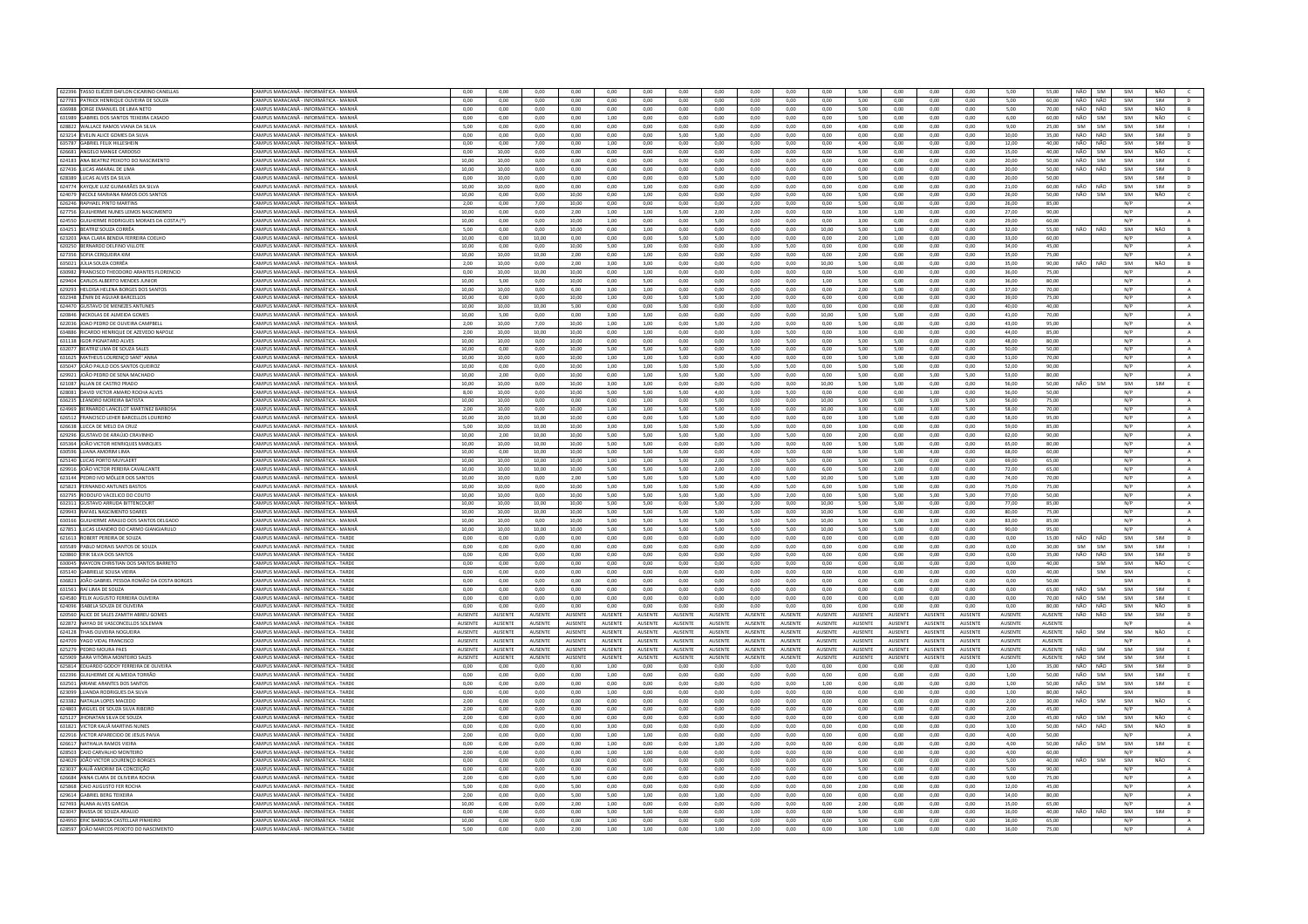| 622396 TASSO ELIÉZER DAFLON CICARINO CANELLAS                                      |                                                                                |                |                 |                |                |                 |                |                 |                |                 |                |                |                 |                |                |                |                 |                |      |            |            |            |                |
|------------------------------------------------------------------------------------|--------------------------------------------------------------------------------|----------------|-----------------|----------------|----------------|-----------------|----------------|-----------------|----------------|-----------------|----------------|----------------|-----------------|----------------|----------------|----------------|-----------------|----------------|------|------------|------------|------------|----------------|
|                                                                                    | CAMPUS MARACANĂ - INFORMÁTICA - MANHÂ                                          | 0,00           | 0,00            | 0,00           | 0,00           | 0,00            | 0,00           | 0,00            | 0,00           | 0,00            | 0,00           | 0,00           | 5,00            | 0,00           | 0,00           | 0,00           | 5,00            | 55,00          |      | NÃO SIM    | SIM        | NÃO        |                |
| 627783 PATRICK HENRIQUE OLIVEIRA DE SOUZA                                          | CAMPUS MARACANĂ - INFORMÁTICA - MANHÃ                                          | 0,00           | 0,00            | 0,00           | 0,00           | 0,00            | 0,00           | 0,00            | 0,00           | 0,00            | 0,00           | 0,00           | 5,00            | 0,00           | 0,00           | 0,00           | 5,00            | 60,00          | NÃO  | NÃO        | SIM        | SIM        | D              |
| 636988 JORGE EMANUEL DE LIMA NETO                                                  | CAMPUS MARACANÃ - INFORMÁTICA - MANHÃ                                          | 0.00           | 0.00            | 0.00           | 0.00           | 0.00            | 0.00           | 0.00            | 0.00           | 0.00            | 0.00           | 0.00           | 5,00            | 0.00           | 0.00           | 0.00           | 5.00            | 70.00          |      | NÃO NÃO    | SIM        | NÃO        | B              |
| 631989 GABRIEL DOS SANTOS TEIXEIRA CASADO                                          | CAMPUS MARACANĂ - INFORMÁTICA - MANH                                           | 0,00           | 0,00            | 0,00           | 0,00           | 1,00            | 0,00           | 0,00            | 0,00           | 0,00            | 0,00           | 0,00           | 5,00            | 0,00           | 0,00           | 0,00           | 6,00            | 60.00          | NÃO  | SIM        | SIM        | NÃO        | $\epsilon$     |
| 628822 WALLACE RAMOS VIANA DA SILVA                                                | CAMPUS MARACANÃ - INFORMÁTICA - MANHÃ                                          | 5.00           | 0.00            | 0.00           | 0.00           | 0.00            | 0.00           | 0.00            | 0.00           | 0.00            | 0.00           | 0.00           | 4.00            | 0.00           | 0.00           | 0.00           | 9.00            | 25.00          | SIM  | <b>SIM</b> | SIM        | SIM        | $\mathbf{H}$   |
| 623214 EVELIN ALICE GOMES DA SILVA                                                 | CAMPUS MARACANĂ - INFORMÁTICA - MANHÀ                                          | 0,00           | 0,00            | 0,00           | 0,00           | 0,00            | 0,00           | 5,00            | 5,00           | 0,00            | 0,00           | 0,00           | 0,00            | 0,00           | 0,00           | 0,00           | 10,00           | 35,00          | NÃO  | NÃO        | SIM        | SIM        | $\mathbb D$    |
| 635787 GABRIEL FELIX HILLESHEIN                                                    |                                                                                |                |                 |                |                |                 |                |                 |                |                 |                | 0.00           |                 |                |                |                |                 |                | NÃO  | NÃO        | SIM        | SIM        | D              |
|                                                                                    | AMPUS MARACANĂ - INFORMÁTICA - MANHÃ                                           | 0.00           | 0.00            | 7.00           | 0.00           | 1.00            | 0.00           | 0.00            | 0.00           | 0.00            | 0.00           |                | 4.00            | 0.00           | 0.00           | 0.00           | 12.00           | 40.00          |      |            |            |            |                |
| 626681 ANGELO MANGE CARDOS                                                         | CAMPUS MARACANÃ - INFORMÁTICA - MANH                                           | 0,00           | 10,00           | 0.00           | 0,00           | 0,00            | 0,00           | 0,00            | 0,00           | 0.00            | 0,00           | 0,00           | 5,00            | 0,00           | 0,00           | 0,00           | 15,00           | 40,00          | NÃO  | SIM        | SIM        | NÃO        | $\epsilon$     |
| 624183 ANA BEATRIZ PEIXOTO DO NASCIMENTO                                           | CAMPUS MARACANĂ - INFORMÁTICA - MANH                                           | 10.00          | 10.00           | 0.00           | 0.00           | 0.00            | 0.00           | 0.00            | 0.00           | 0.00            | 0.00           | 0.00           | 0.00            | 0.00           | 0,00           | 0.00           | 20.00           | 50.00          | NÃO  | SIM        | SIM        | SIM        |                |
| 627436 LUCAS AMARAL DE LIMA                                                        | CAMPUS MARACANÃ - INFORMÁTICA - MANHÃ                                          | 10.00          | 10.00           | 0.00           | $0.00 -$       | 0.00            | 0.00           | 0.00            | $0.00 -$       | 0.00            | 0.00           | 0.00           | 0.00            | 0.00           | 0.00           | 0.00           | 20.00           | 50.00          | NÃO. | NÃO        | SIM        | SIM        | D              |
| 628389 LUCAS ALVES DA SILVA                                                        | AMPUS MARACANĂ - INFORMÁTICA - MANH                                            | 0.00           | 10.00           | 0.00           | 0.00           | 0.00            | 0.00           | 0.00            | 5.00           | 0.00            | 0.00           | 0.00           | 5.00            | 0.00           | 0.00           | 0.00           | 20.00           | 50.00          |      |            | SIM        | SIM        | $\mathbf{D}$   |
| 624774 KAYQUE LUIZ GUIMARÃES DA SILVA                                              | CAMPUS MARACANÃ - INFORMÁTICA - MANHÃ                                          | 10.00          | 10.00           | 0.00           | $0.00 -$       | 0.00            | 1.00           | 0.00            | 0.00           | 0.00            | 0.00           | 0.00           | 0.00            | 0.00           | 0.00           | 0.00           | 21.00           | 60.00          | NÃO  | NÃO        | SIM        | SIM        | D              |
| 624079 NICOLE MARIANA RAMOS DOS SANTOS                                             | CAMPUS MARACANĂ - INFORMÁTICA - MANHÃ                                          | 10.00          | 0.00            | 0.00           | 10.00          | 0.00            | 1,00           | 0.00            | 0.00           | 0.00            | 0.00           | 0.00           | 5,00            | 0.00           | 0.00           | 0,00           | 26,00           | 50.00          | NÃO  | SIM        | SIM        | NÃO        | $\epsilon$     |
| 626246 RAPHAEL PINTO MARTINS                                                       | AMPUS MARACANĂ - INFORMÁTICA - MANHÂ                                           | 2.00           | 0.00            | 7.00           | 10.00          | 0.00            | 0.00           | 0.00            | 0.00           | 2.00            | 0.00           | 0.00           | 5.00            | 0.00           | 0.00           | 0.00           | 26.00           | 85.00          |      |            | N/P        |            | $\mathbf{A}$   |
|                                                                                    | CAMPUS MARACANÃ - INFORMÁTICA - MANHÃ                                          |                | 0,00            |                |                |                 |                |                 |                |                 |                | 0,00           |                 |                | 0,00           |                | 27,00           |                |      |            | N/P        |            |                |
| 627756 GUILHERME NUNES LEMOS NASCIMENTO                                            |                                                                                | 10,00          |                 | 0,00           | 2,00           | 1,00            | 1,00           | 5,00            | 2,00           | 2,00            | 0,00           |                | 3,00            | 1,00           |                | 0,00           |                 | 90,00          |      |            |            |            | $\,$ A $\,$    |
| 624550 GUILHERME RODRIGUES MORAES DA COSTA (*)                                     | CAMPUS MARACANĂ - INFORMÁTICA - MANHÀ                                          | 10.00          | 0.00            | 0.00           | 10.00          | 1.00            | 0.00           | 0.00            | 5.00           | 0.00            | 0.00           | 0.00           | 3.00            | 0.00           | 0.00           | 0.00           | 29.00           | 60.00          |      |            | N/P        |            | $\mathbb{A}$   |
| 634251 REATRIZ SOUZA CORRÊA                                                        | CAMPUS MARACANĂ - INFORMÁTICA - MANHÃ                                          | 5.00           | 0.00            | 0.00           | 10.00          | 0.00            | 1.00           | 0.00            | $0.00 -$       | 0.00            | 0.00           | 10.00          | 500             | 1.00           | 0.00           | $0.00 -$       | 32.00           | 55.00          | NÃO  | NÃO        | SIM        | NÃO        | R              |
| 623203 ANA CLARA BENDIA FERREIRA COELHO                                            | AMPUS MARACANĂ - INFORMÁTICA - MANH                                            | 10,00          | $_{0,00}$       | 10,00          | 0,00           | 0,00            | 0,00           | 5,00            | 5,00           | 0,00            | 0,00           | 0,00           | 2,00            | 1,00           | 0,00           | 0,00           | 33,00           | 60,00          |      |            | N/P        |            | $\mathbf{A}$   |
| 620250 BERNARDO DELFINO VILLOTE                                                    | CAMPUS MARACANĂ - INFORMÁTICA - MANHÂ                                          | 10.00          | 0.00            | 0.00           | 10.00          | 5.00            | 1.00           | 0.00            | 0.00           | 3.00            | 5.00           | 0.00           | 0.00            | 0.00           | 0.00           | 0.00           | 34.00           | 45.00          |      |            | N/P        |            | A              |
| 627356 SOFIA CERQUEIRA KIM                                                         | CAMPUS MARACANĂ - INFORMÁTICA - MANHÂ                                          | 10,00          | 10.00           | 10,00          | 2,00           | 0,00            | 1,00           | 0,00            | 0,00           | 0,00            | 0,00           | 0,00           | 2,00            | 0,00           | 0,00           | 0,00           | 35,00           | 75,00          |      |            | N/P        |            | $\mathbf{A}$   |
| 635021 JÚLIA SOUZA CORRÊA                                                          | AMPUS MARACANĂ - INFORMÁTICA - MANH                                            | 2,00           | 10,00           | 0,00           | 2,00           | 3,00            | 3,00           | 0,00            | 0,00           | 0,00            | 0,00           | 10,00          | 5,00            | 0,00           | 0,00           | 0,00           | 35,00           | 90,00          | NÃO  | NÃO        | SIM        | <b>NÃO</b> | B              |
| 630982 FRANCISCO THEODORO ARANTES FLORENCIO                                        | CAMPUS MARACANÃ - INFORMÁTICA - MANHÃ                                          | 0.00           | 10.00           | 10.00          | 10,00          | 0.00            | 1,00           | 0.00            | 0.00           | 0.00            | 0.00           | 0.00           | 5.00            | 0.00           | 0.00           | 0.00           | 36.00           | 75.00          |      |            | N/P        |            |                |
|                                                                                    |                                                                                |                |                 |                |                |                 |                |                 |                |                 |                |                |                 |                |                |                |                 |                |      |            |            |            | $\mathbf{A}$   |
| 629404 CARLOS ALBERTO MENDES JUNIOR                                                | CAMPUS MARACANĂ - INFORMÁTICA - MANHÃ                                          | 10,00          | 5,00            | 0.00           | 10.00          | 0.00            | 5,00           | 0.00            | 0,00           | 0.00            | 0.00           | 1,00           | 5.00            | 0.00           | 0,00           | 0.00           | 36.00           | 80.00          |      |            | N/P        |            | A              |
| 629293 HELOISA HELENA BORGES DOS SANTOS                                            | CAMPUS MARACANĂ - INFORMÁTICA - MANHÂ                                          | 10.00          | 10.00           | 0.00           | 6.00           | 3.00            | 1.00           | 0.00            | 0.00           | 0.00            | 0.00           | 0.00           | 2.00            | 5.00           | 0.00           | 0.00           | 37.00           | 70.00          |      |            | N/P        |            | A              |
| 632348 LÊNIN DE AGUIAR BARCELLOS                                                   | CAMPUS MARACANĂ - INFORMÁTICA - MANH                                           | 10,00          | 0,00            | 0,00           | 10,00          | 1,00            | 0,00           | 5,00            | 5,00           | 2,00            | 0,00           | 6,00           | 0,00            | 0,00           | 0,00           | 0,00           | 39,00           | 75,00          |      |            | N/P        |            | $\mathbf{A}$   |
| 624470 GUSTAVO DE MENEZES ANTUNES                                                  | CAMPUS MARACANĂ - INFORMÁTICA - MANHÂ                                          | 10.00          | 10.00           | 10.00          | 5.00           | 0.00            | 0.00           | 5.00            | 0.00           | 0.00            | 0.00           | 0.00           | 0.00            | 0.00           | 0.00           | 0.00           | 40.00           | 40.00          |      |            | N/P        |            | A              |
| 620846 NICKOLAS DE ALMEIDA GOMES                                                   | CAMPUS MARACANĂ - INFORMÁTICA - MANHÀ                                          | 10.00          | 5.00            | 0.00           | 0.00           | 3.00            | 3.00           | 0.00            | 0.00           | 0.00            | 0.00           | 10.00          | 5.00            | 5.00           | 0.00           | 0.00           | 41.00           | 70.00          |      |            | N/P        |            | A              |
| 622036 JOAO PEDRO DE OLIVEIRA CAMPBEL                                              | MPUS MARACANĂ - INFORMÁTICA - MANH                                             | 2,00           | 10,00           | 7,00           | 10,00          | 1,00            | 1,00           | 0,00            | 5,00           | 2,00            | 0,00           | 0,00           | 5,00            | 0,00           | 0,00           | 0,00           | 43,00           | 95,00          |      |            | N/P        |            | A              |
| 634886 BICARDO HENRIOUE DE AZEVEDO NAPOLE                                          | CAMPUS MARACANÃ - INFORMÁTICA - MANHÃ                                          | 2.00           | 10.00           | 10.00          | 10.00          | 0.00            | 1.00           | 0.00            | 0.00           | 3.00            | 5.00           | 0.00           | 3.00            | 0.00           | 0.00           | 0.00           | 44.00           | 85.00          |      |            | N/P        |            | A              |
|                                                                                    |                                                                                |                |                 |                |                |                 |                |                 |                |                 |                |                |                 |                |                |                |                 |                |      |            |            |            |                |
| 631138 IGOR PIGNATARO ALVES                                                        | CAMPUS MARACANĂ - INFORMÁTICA - MANH                                           | 10,00          | 10,00           | 0,00           | 10.00          | 0.00            | 0,00           | 0.00            | 0,00           | 3,00            | 5.00           | 0,00           | 5,00            | 5.00           | 0,00           | 0,00           | 48.00           | 80.00          |      |            | N/P        |            | A              |
| 632077 BEATRIZ LIMA DE SOUZA SALES                                                 | CAMPUS MARACANĂ - INFORMÁTICA - MANHÃ                                          | 10.00          | 0.00            | 0.00           | 10.00          | 5.00            | 5.00           | 5.00            | 0.00           | 5.00            | 0.00           | 0.00           | 5.00            | 5.00           | 0.00           | 0.00           | 50.00           | 50.00          |      |            | N/P        |            | A              |
| 631625 MATHEUS LOURENÇO SANT' ANN                                                  | CAMPUS MARACANĂ - INFORMÁTICA - MANH                                           | 10,00          | 10,00           | 0,00           | 10,00          | 1,00            | 1,00           | 5,00            | 0,00           | 4,00            | 0,00           | 0,00           | 5,00            | 5,00           | 0,00           | 0,00           | 51,00           | 70,00          |      |            | N/P        |            | $\mathbf{A}$   |
| 635047 JOÃO PAULO DOS SANTOS QUEIROZ                                               | CAMPUS MARACANĂ - INFORMÁTICA - MANHÂ                                          | 10.00          | 0.00            | 0.00           | 10.00          | 1.00            | 1.00           | 5.00            | 5.00           | 5.00            | 5.00           | 0.00           | 5.00            | 5.00           | 0.00           | 0.00           | 52.00           | 90.00          |      |            | N/P        |            | $\overline{A}$ |
| 629921 JOÃO PEDRO DE SENA MACHADO                                                  | CAMPUS MARACANÃ - INFORMÁTICA - MANHÃ                                          | 10.00          | 2.00            | 0.00           | 10.00          | 0.00            | 1.00           | 5.00            | 5.00           | 5.00            | 0.00           | 0.00           | 5.00            | 0.00           | 5.00           | 5.00           | 53.00           | 80.00          |      |            | N/P        |            | A              |
| 621087 ALLAN DE CASTRO PRADO                                                       | MPUS MARACANĂ - INFORMÁTICA - MANH                                             | 10,00          | 10,00           | 0,00           | 10,00          | 3,00            | 3,00           | 0,00            | 0,00           | 0,00            | 0,00           | 10,00          | 5,00            | 5,00           | 0,00           | 0,00           | 56,00           | 50,00          | NÃO  | SIM        | SIM        | SIM        | E              |
|                                                                                    |                                                                                |                |                 |                |                |                 |                |                 |                |                 |                |                |                 |                |                |                |                 |                |      |            |            |            |                |
| 628081 DAVID VICTOR AMARO ROCHA ALVES                                              | CAMPUS MARACANÃ - INFORMÁTICA - MANHÃ                                          | 800            | 10.00           | 0.00           | 10.00          | 5.00            | 5.00           | 500             | 4.00           | 3.00            | 5.00           | 0.00           | 0.00            | 0.00           | 1.00           | 0.00           | 56.00           | 50.00          |      |            | N/P        |            | $\mathbf{A}$   |
| 636235 LEANDRO MOREIRA BATISTA                                                     | CAMPUS MARACANĂ - INFORMÁTICA - MANH                                           | 10.00          | 10.00           | 0.00           | 0.00           | 0.00            | 1.00           | 0.00            | 5.00           | 0.00            | 0.00           | 10.00          | 5.00            | 5.00           | 5.00           | 5.00           | 56.00           | 75.00          |      |            | N/P        |            | $\mathbf{A}$   |
| 624969 BERNARDO LANCELOT MARTINEZ BARBOSA                                          | AMPUS MARACANĂ - INFORMÁTICA - MANHÂ                                           | 2.00           | 10.00           | 0.00           | 10.00          | 1.00            | 1.00           | 5.00            | 5.00           | 3.00            | 0.00           | 10.00          | 3.00            | 0.00           | 3.00           | 5.00           | 58.00           | 70.00          |      |            | N/P        |            | A              |
| 626512 FRANCISCO LEHER BARCELLOS LOUREIRO                                          | CAMPUS MARACANÃ - INFORMÁTICA - MANHA                                          | 10,00          | 10,00           | 10.00          | 10,00          | 0,00            | 0,00           | 5,00            | 5,00           | 0.00            | 0,00           | 0,00           | 3,00            | 5,00           | 0,00           | 0,00           | 58,00           | 95,00          |      |            | N/P        |            | $\,$ A $\,$    |
| 626638 LUCCA DE MELO DA CRUZ                                                       | CAMPUS MARACANĂ - INFORMÁTICA - MANHA                                          | 5.00           | 10.00           | 10.00          | 10.00          | 3.00            | 3.00           | 5.00            | 5.00           | 5.00            | 0.00           | 0.00           | 3.00            | 0.00           | 0.00           | 0.00           | 59.00           | 85.00          |      |            | N/P        |            | A              |
| 629296 GUSTAVO DE ARAÚJO CRAVINHO                                                  | CAMPUS MARACANĂ - INFORMÁTICA - MANHÀ                                          | 10.00          | 2,00            | 10.00          | 10.00          | 5,00            | 5.00           | 5.00            | 5,00           | 3.00            | 5.00           | 0.00           | 2.00            | 0.00           | 0.00           | 0.00           | 62,00           | 90.00          |      |            | N/P        |            | $\,$ A $\,$    |
|                                                                                    | AMPUS MARACANĂ - INFORMÁTICA - MANH                                            | 10.00          | 10.00           | 10.00          | 10.00          | 5.00            | 5.00           | 0.00            | 0.00           | 5.00            | 0.00           | 0.00           | 5.00            | 5.00           | 0.00           |                | 65.00           | 80.00          |      |            | N/P        |            |                |
| 635364 JOÃO VICTOR HENRIQUES MARQUES                                               |                                                                                |                |                 |                |                |                 |                |                 |                |                 |                |                |                 |                |                | 0.00           |                 |                |      |            |            |            | $\mathbf{A}$   |
| 630596 ILIANA AMORIM LIMA                                                          | CAMPUS MARACANÃ - INFORMÁTICA - MANHÃ                                          | 10.00          | 0.00            | 10.00          | 10.00          | 500             | 5.00           | 500             | 0.00           | 4.00            | 5.00           | 0.00           | 500             | 5.00           | 4.00           | 0.00           | 68.00           | 60.00          |      |            | N/P        |            | A              |
| 625140 LUCAS PORTO MUYLAERT                                                        | CAMPUS MARACANĂ - INFORMÁTICA - MANHÀ                                          | 10,00          | 10,00           | 10,00          | 10,00          | 1,00            | 1,00           | 5,00            | 2,00           | 5,00            | 5,00           | 0,00           | 5,00            | 5,00           | 0,00           | 0,00           | 69,00           | 65,00          |      |            | N/P        |            | $\mathbf{A}$   |
| 629916 JOÃO VICTOR PEREIRA CAVALCANTE                                              | AMPUS MARACANĂ - INFORMÁTICA - MANHÂ                                           | 10,00          | 10,00           | 10,00          | 10,00          | 5,00            | 5,00           | 5,00            | 2,00           | 2,00            | 0,00           | 6,00           | 5,00            | 2,00           | 0,00           | 0,00           | 72,00           | 65,00          |      |            | N/P        |            | A              |
| 623144 PEDRO IVO MÖLLER DOS SANTOS                                                 | CAMPUS MARACANÃ - INFORMÁTICA - MANHÃ                                          | 10,00          | 10,00           | 0.00           | 2,00           | 5,00            | 5,00           | 5,00            | 5,00           | 4,00            | 5,00           | 10,00          | 5,00            | 5,00           | 3,00           | 0,00           | 74,00           | 70.00          |      |            | N/P        |            | $\,$ A $\,$    |
| 625823 FERNANDO ANTUNES BASTOS                                                     | CAMPUS MARACANĂ - INFORMÁTICA - MANHÃ                                          | 10,00          | 10,00           | 0,00           | 10,00          | 5,00            | 5,00           | 5,00            | 5,00           | 4,00            | 5,00           | 6,00           | 5,00            | 5,00           | 0,00           | 0,00           | 75,00           | 75,00          |      |            | N/P        |            | A              |
| 632795 RODOLFO VACELICO DO COUTO                                                   | CAMPUS MARACANĂ - INFORMÁTICA - MANHÃ                                          | 10.00          | 10.00           | 0.00           | 10.00          | 5.00            | 5.00           | 5.00            | 5.00           | 5.00            | 2.00           | 0.00           | 5.00            | 5.00           | 5.00           | 5.00           | 77.00           | 50.00          |      |            | N/P        |            | A              |
|                                                                                    |                                                                                |                |                 |                |                |                 |                |                 |                |                 |                |                |                 |                |                |                |                 |                |      |            |            |            |                |
| 632311 GUSTAVO ARRUDA BITTENCOUR                                                   | CAMPUS MARACANĂ - INFORMÁTICA - MANH                                           | 10,00          | 10,00           | 10,00          | 10,00          | 5,00            | 5,00           | 0,00            | 5,00           | 2,00            | 0,00           | 10,00          | 5,00            | 5,00           | 0,00           | 0,00           | 77,00           | 85,00          |      |            | N/P        |            | $\,$ A $\,$    |
| 629943 RAFAEL NASCIMENTO SOARES                                                    | CAMPUS MARACANĂ - INFORMÁTICA - MANHÂ                                          | 10.00          | 10.00           | 10.00          | 10.00          | 5.00            | 5.00           | 5.00            | 5.00           | 5.00            | 0.00           | 10.00          | 5.00            | 0.00           | 0.00           | 0.00           | 80.00           | 75.00          |      |            | N/P        |            | A              |
| 630166 GUILHERME ARAUJO DOS SANTOS DELGADO                                         | CAMPUS MARACANĂ - INFORMÁTICA - MANH                                           | 10,00          | 10,00           | 0,00           | 10,00          | 5,00            | 5,00           | 5,00            | 5,00           | 5,00            | 5,00           | 10,00          | 5,00            | 5,00           | 3,00           | 0,00           | 83,00           | 85,00          |      |            | N/P        |            | A              |
| 627851 LUCAS LEANDRO DO CARMO GIANGIARULO                                          |                                                                                |                |                 |                |                |                 | 5.00           | 5.00            | 5.00           | 5.00            | 5.00           | 10.00          | 5.00            | 5.00           | 0.00           | 0.00           | 90.00           |                |      |            | N/P        |            | A              |
|                                                                                    | CAMPUS MARACANĂ - INFORMÁTICA - MANHÂ                                          | 10.00          | 10.00           | 10.00          | 10.00          | 5.00            |                |                 |                |                 |                | 0.00           |                 | 0.00           |                |                |                 | 95.00          |      |            |            |            | $\mathbb D$    |
|                                                                                    | CAMPUS MARACANÃ - INFORMÁTICA - TARDE                                          |                |                 |                |                |                 |                |                 |                |                 |                |                |                 |                |                |                |                 |                |      | NÃO        |            | SIM        |                |
| 621613 ROBERT PEREIRA DE SOUZA                                                     |                                                                                | 0.00           | 0.00            | 0.00           | 0.00           | 0.00            | 0.00           | 0.00            | 0.00           | 0.00            | 0.00           |                | 0.00            |                | 0.00           | 0.00           | 0.00            | 15.00          | NÃO  |            | SIM        |            |                |
| 635589 PABLO MORAIS SANTOS DE SOUZA                                                | CAMPUS MARACANĂ - INFORMÁTICA - TARDE                                          | 0,00           | 0,00            | 0.00           | 0,00           | 0,00            | 0,00           | 0.00            | 0,00           | 0,00            | 0.00           | 0,00           | 0,00            | 0.00           | 0,00           | 0,00           | 0,00            | 30.00          | SIM  | SIM        | SIM        | SIM        | $\mathbb{R}^n$ |
| 620860 ERIK SILVA DOS SANTOS                                                       | CAMPUS MARACANÃ - INFORMÁTICA - TARDE                                          | 0.00           | 0.00            | 0.00           | 0.00           | 0.00            | 0.00           | 0.00            | $0.00 -$       | 0.00            | 0.00           | $0.00 -$       | 0.00            | 0.00           | 0.00           | 0.00           | $0.00 -$        | 35.00          | NÃO  | NÃO        | SIM        | SIM        | D              |
| 630045 MAYCON CHRISTIAN DOS SANTOS BARRETO                                         | CAMPUS MARACANĂ - INFORMÁTICA - TARDI                                          | 0,00           | 0,00            | 0,00           | 0,00           | 0,00            | 0,00           | 0,00            | 0,00           | 0,00            | 0,00           | 0,00           | 0,00            | 0,00           | 0,00           | 0,00           | 0,00            | 40,00          |      | SIM        | SIM        | NÃO        | $\mathsf{C}^-$ |
| 635140 GABRIELLE SOUSA VIEIRA                                                      | CAMPUS MARACANĂ - INFORMÁTICA - TARDE                                          | 0.00           | 0.00            | 0.00           | 0.00           | 0.00            | 0.00           | 0.00            | 0.00           | 0.00            | 0.00           | 0.00           | 0.00            | 0.00           | 0.00           | 0.00           | 0.00            | 40.00          |      | SIM        | SIM        |            | $\epsilon$     |
| 636823 JOÃO GABRIEL PESSOA ROMÃO DA COSTA BORGES                                   | CAMPUS MARACANĂ - INFORMÁTICA - TARDE                                          | 0,00           | 0,00            | 0,00           | 0,00           | 0,00            | 0,00           | 0,00            | 0,00           | 0,00            | 0,00           | 0,00           | 0,00            | 0,00           | 0,00           | 0,00           | 0,00            | 50.00          |      |            | SIM        |            | B              |
| 631561 RAÍ LIMA DE SOUZA                                                           | AMPUS MARACANĂ - INFORMÁTICA - TARDE                                           | 0.00           | 0.00            | 0.00           | 0.00           | 0.00            | 0.00           | 0.00            | 0.00           | 0.00            | 0.00           | 0.00           | 0.00            | 0.00           | 0.00           | 0.00           | 0.00            | 65.00          | NÃO  | SIM        | SIM        | SIM        | E              |
| 624580 FELIX ALIGUSTO FERREIRA OLIVEIRA                                            | CAMPUS MARACANÃ - INFORMÁTICA - TARDE                                          | 0.00           | 0.00            | 0.00           | 0.00           | 0.00            | 0.00           | 0.00            | 0.00           | 0.00            | 0.00           | 0.00           | 0.00            | 0.00           | 0.00           | 0.00           | 0.00            | 70.00          | NÃO. | <b>SIM</b> | SIM        | SIM        | E              |
|                                                                                    |                                                                                |                |                 |                |                |                 |                |                 |                |                 |                |                |                 |                |                |                |                 |                |      |            |            |            |                |
| 624096 ISABELA SOUZA DE OLIVEIRA                                                   | CAMPUS MARACANĂ - INFORMÁTICA - TARDE                                          | 0.00           | 0.00            | 0.00           | 0.00           | 0.00            | 0.00           | 0.00            | 0.00           | 0.00            | 0.00           | 0.00           | 0.00            | 0.00           | 0.00           | 0.00           | 0.00            | 80.00          | NÃO  | NÃO        | SIM        | NÃO        | B              |
| 620560 ALICE DE SALES ZAMITH ABREU GOMES                                           | <b>CAMPUS MARACANA - INFORMÁTICA - TARDE</b>                                   | <b>AUSENTE</b> | <b>ALISENTE</b> | <b>AUSENTE</b> | <b>AUSENTE</b> | <b>ALISENTE</b> | <b>AUSENTE</b> | <b>ALISENTE</b> | <b>AUSENTE</b> | <b>ALISENTE</b> | <b>AUSENTE</b> | <b>AUSENTE</b> | <b>ALISENTE</b> | <b>AUSENTE</b> | <b>AUSENTE</b> | <b>AUSENTE</b> | <b>ALISENTE</b> | <b>AUSENTE</b> | NÃO  | NÃO        | SIM        | SIM        | $\mathsf{D}$   |
| 622872 NAYAD DE VASCONCELLOS SOLEMAN                                               | CAMPUS MARACANĂ - INFORMÁTICA - TARDE                                          | AUSENTE        | AUSENTE         | AUSENTE        | AUSENTE        | AUSENTE         | AUSENTI        | <b>AUSENTE</b>  | <b>AUSENTE</b> | <b>AUSENTE</b>  | <b>AUSENTE</b> | AUSENTE        | <b>AUSENTE</b>  | <b>AUSENTE</b> | AUSENTE        | <b>AUSENTE</b> | <b>AUSENTE</b>  | AUSENTE        |      |            | N/P        |            | $\mathbb A$    |
| 624128 THAIS OLIVEIRA NOGUEIRA                                                     | CAMPUS MARACANĂ - INFORMÁTICA - TARDE                                          | AUSENTE        | AUSENTE         | <b>AUSENTE</b> | AUSENTE        | <b>AUSENTE</b>  | AUSENTE        | <b>AUSENTE</b>  | <b>AUSENTE</b> | AUSENTE         | AUSENTE        | AUSENTE        | AUSENTE         | AUSENTE        | <b>AUSENTE</b> | AUSENTE        | AUSENTE         | <b>AUSENTE</b> | NÃO  | SIM        | SIM        | NÃO        | $\epsilon$     |
| 624709 YAGO VIDAL FRANCISCO                                                        | CAMPUS MARACANĂ - INFORMÁTICA - TARDE                                          | AUSENTE        | <b>ALISENTE</b> | <b>AUSENTE</b> | AUSENTE        | AUSENTE         | AUSENTE        | <b>ALISENTE</b> | <b>AUSENTE</b> | <b>AUSENTE</b>  | AUSENTE        | <b>AUSENTE</b> | <b>AUSENTE</b>  | <b>AUSENTE</b> | AUSENTE        | AUSENTE        | AUSENTE         | AUSENTE        |      |            | N/P        |            | A              |
| 625279 PEDRO MOURA PAES                                                            | <b>CAMPUS MARACANĂ - INFORMÁTICA - TARDE</b>                                   | AUSENTE        | AUSENTE         | <b>AUSENTE</b> | <b>AUSENTE</b> | <b>AUSENTE</b>  | <b>AUSENTE</b> | <b>AUSENTE</b>  | <b>AUSENTE</b> | AUSENTE         | AUSENTE        | AUSENTE        | <b>AUSENTE</b>  | AUSENTE        | AUSENTE        | <b>AUSENTE</b> | AUSENTE         | AUSENTE        | NÃO  | <b>SIM</b> | SIM        | <b>SIM</b> | <b>F</b>       |
| 625909 SARA VITÓRIA MONTFIRO SALES                                                 | CAMPUS MARACANÃ - INFORMÁTICA - TARDE                                          | <b>AUSENTE</b> | <b>ALISENTE</b> | <b>AUSENTE</b> | <b>AUSENTE</b> | <b>AUSENTE</b>  | <b>AUSENTE</b> | <b>ALISENTE</b> | <b>AUSENTE</b> | <b>ALISENTE</b> | <b>AUSENTE</b> | <b>AUSENTE</b> | <b>ALISENTE</b> | <b>AUSENTE</b> | <b>AUSENTE</b> | <b>AUSENTE</b> | <b>ALISENTE</b> | <b>AUSENTE</b> | NÃO  | <b>SIM</b> | SIM        | SIM        | E              |
| 625814 EDUARDO GODOY FERREIRA DE OLIVEIRA                                          | CAMPUS MARACANĂ - INFORMÁTICA - TARDE                                          | 0.00           | 0.00            | 0.00           | 0.00           | 1.00            | 0.00           | 0.00            | 0.00           | 0.00            | 0.00           | 0.00           | 0.00            | 0.00           | 0.00           | 0.00           | 1.00            | 35.00          | NÃO  | NÃO        | SIM        | SIM        | D              |
|                                                                                    |                                                                                |                |                 |                |                |                 |                |                 |                |                 |                |                |                 |                |                |                |                 |                |      |            |            |            |                |
| 632396 GUILHERME DE ALMEIDA TORRÃO                                                 | <b>CAMPUS MARACANA - INFORMÁTICA - TARDE</b>                                   | 0.00           | 0.00            | 0.00           | 0.00           | 1.00            | 0.00           | 0.00            | 0.00           | 0.00            | 0.00           | 0.00           | 0.00            | 0.00           | 0.00           | 0.00           | 1.00            | 50.00          | NÃO  | <b>SIM</b> | SIM        | SIM        | F              |
| 632501 ARIANE ARANTES DOS SANTOS                                                   | AMPUS MARACANĂ - INFORMÁTICA - TARD                                            | 0,00           | 0,00            | 0,00           | 0,00           | 0,00            | 0,00           | 0,00            | 0,00           | 0,00            | 0,00           | 1,00           | 0,00            | 0,00           | 0,00           | 0,00           | 1,00            | 50,00          | NÃO  | SIM        | SIM        | SIM        |                |
| 623099 LUANDA RODRIGUES DA SILVA                                                   | CAMPUS MARACANĂ - INFORMÁTICA - TARDE                                          | 0,00           | 0,00            | 0,00           | 0,00           | 1,00            | 0,00           | 0,00            | 0,00           | 0,00            | 0,00           | 0,00           | 0,00            | 0,00           | 0,00           | 0,00           | 1,00            | 80,00          | NÃO  |            | SIM        |            | B              |
| 623382 NATALIA LOPES MACEDO                                                        | CAMPUS MARACANĂ - INFORMÁTICA - TARDE                                          | 2,00           | 0,00            | 0.00           | 0.00           | 0,00            | 0,00           | 0.00            | 0,00           | 0.00            | 0.00           | 0,00           | 0.00            | 0.00           | 0,00           | 0,00           | 2,00            | 30.00          | NÃO  | SIM        | SIM        | NÃO        | $\epsilon$     |
| 624803 MIGUEL DE SOUZA SILVA RIBEIRO                                               | AMPUS MARACANĂ - INFORMÁTICA - TARDE                                           | 2,00           | 0,00            | 0,00           | 0,00           | 0,00            | 0,00           | 0,00            | 0,00           | 0,00            | 0,00           | 0,00           | 0,00            | 0,00           | 0,00           | 0,00           | 2,00            | 45,00          |      |            | N/P        |            | $\mathbb{A}$   |
| 625127 JHONATAN SILVA DE SOUZA                                                     | CAMPUS MARACANĂ - INFORMÁTICA - TARDE                                          | 2.00           | 0.00            | 0.00           | 0.00           | 0.00            | 0.00           | 0.00            | 0.00           | 0.00            | 0.00           | 0.00           | 0.00            | 0.00           | 0.00           | 0.00           | 2.00            | 45.00          | NÃO  | SIM        | SIM        | NÃO        | $\epsilon$     |
|                                                                                    |                                                                                |                |                 |                |                |                 |                |                 |                |                 |                |                |                 |                |                |                |                 |                |      |            |            |            |                |
| 631821 VICTOR KAUÃ MARTINS NUNE                                                    | CAMPUS MARACANĂ - INFORMÁTICA - TARDE                                          | 0,00           | 0,00            | 0,00           | 0,00           | 3,00            | 0,00           | 0,00            | 0,00           | 0,00            | 0,00           | 0,00           | 0,00            | 0,00           | 0,00           | 0,00           | 3,00            | 50,00          | NÃO  | NÃO        | SIM        | NÃO        | B              |
| 622916 VICTOR APARECIDO DE JESUS PAIVA                                             | CAMPUS MARACANA - INFORMÁTICA - TARDE                                          | 2.00           | 0.00            | 0.00           | 0.00           | 1.00            | 1.00           | 0.00            | 0.00           | 0.00            | 0.00           | 0.00           | 0.00            | 0.00           | 0.00           | 0.00           | 4.00            | 50.00          |      |            | N/P        |            | A              |
| 626617 NATHALIA RAMOS VIEIRA                                                       | CAMPUS MARACANĂ - INFORMÁTICA - TARDI                                          | 0,00           | 0,00            | 0,00           | 0,00           | 1,00            | 0,00           | 0,00            | 1,00           | 2,00            | 0,00           | 0,00           | 0,00            | 0,00           | 0,00           | 0,00           | 4,00            | 50,00          | NÃO  | SIM        | SIM        | SIM        | E              |
| 628503 CAIO CARVALHO MONTEIRO                                                      | CAMPUS MARACANĂ - INFORMÁTICA - TARDE                                          | 2,00           | 0,00            | 0,00           | 0,00           | 1,00            | 1,00           | 0,00            | 0,00           | 0,00            | 0,00           | 0,00           | 0,00            | 0,00           | 0,00           | 0,00           | 4,00            | 60,00          |      |            | N/P        |            | $\mathbf{A}$   |
| 624029 JOÃO VICTOR LOURENÇO BORGES                                                 | CAMPUS MARACANĂ - INFORMÁTICA - TARDE                                          | 0,00           | 0,00            | 0.00           | 0.00           | 0,00            | 0,00           | 0.00            | 0,00           | 0.00            | 0.00           | 0,00           | 5,00            | 0.00           | 0,00           | 0.00           | 5,00            | 40.00          | NÃO  | SIM        | SIM        | NÃO        | $\epsilon$     |
| 623037 KAUÃ AMORIM DA CONCEIÇÃO                                                    | CAMPUS MARACANĂ - INFORMÁTICA - TARDE                                          | 0,00           | 0,00            | 0,00           | 0,00           | 0,00            | 0,00           | 0,00            | 0,00           | 0,00            | 0,00           | 0,00           | 5,00            | 0,00           | 0,00           | 0,00           | 5,00            | 90,00          |      |            | N/P        |            | $\mathbf{A}$   |
| 626684 ANNA CLARA DE OLIVEIRA ROCHA                                                | CAMPUS MARACANĂ - INFORMÁTICA - TARDE                                          | 2.00           | 0.00            | 0.00           | 5.00           | 0.00            | 0.00           | 0.00            | 0.00           | 2.00            | 0.00           | 0.00           | 0.00            | 0.00           | 0.00           | 0.00           | 9.00            | 75.00          |      |            | N/P        |            | A              |
|                                                                                    |                                                                                |                |                 |                |                |                 |                |                 |                |                 |                |                |                 |                |                |                |                 |                |      |            | N/P        |            |                |
| 625868 CAIO AUGUSTO FER ROCH                                                       | CAMPUS MARACANĂ - INFORMÁTICA - TARDI                                          | 5,00           | 0,00            | 0,00           | 5,00           | 0,00            | 0,00           | 0,00            | 0,00           | 0,00            | 0,00           | 0,00           | 2,00            | 0,00           | 0,00           | 0,00           | 12,00           | 45,00          |      |            |            |            | $\,$ A $\,$    |
| 629614 GABRIEL BERG TEIXEIRA                                                       | AMPUS MARACANĂ - INFORMÁTICA - TARDE                                           | 2.00           | 0.00            | 0.00           | 5.00           | 5.00            | 1.00           | 0.00            | 1.00           | 0.00            | 0.00           | 0.00           | 0.00            | 0.00           | 0.00           | 0.00           | 14.00           | 80.00          |      |            | N/P        |            | A              |
| 627493 ALANA ALVES GARCI                                                           | AMPUS MARACANÃ - INFORMÁTICA -                                                 | 10,00          | 0,00            | 0,00           | 2,00           | 1,00            | 0,00           | 0,00            | 0,00           | 0,00            | 0,00           | 0,00           | 2,00            | 0,00           | 0,00           | 0,00           | 15,00           | 65,00          |      |            | N/P        |            | $\mathbf{A}$   |
| 623047 RAISSA DE SOUZA ARAUJO                                                      | CAMPUS MARACANĂ - INFORMÁTICA - TARDE                                          | 0.00           | 0,00            | 0.00           | 0.00           | 5.00            | 5.00           | 0.00            | 0,00           | 1.00            | 0.00           | 0,00           | 5.00            | 0.00           | 0,00           | 0.00           | 16.00           | 40.00          | NÃO  | NÃO        | SIM        | SIM        | $\overline{D}$ |
| 624950 ERIC BARBOSA CASTELLAR PINHEIRO<br>628597 JOÃO MARCOS PEIXOTO DO NASCIMENTO | CAMPUS MARACANÃ - INFORMÁTICA - TARDE<br>CAMPUS MARACANĂ - INFORMÁTICA - TARDI | 10.00<br>5.00  | 0.00<br>0.00    | 0.00<br>0.00   | 0.00<br>2.00   | 1.00            | 0.00<br>1.00   | 0.00<br>0.00    | 0.00           | 0.00<br>2.00    | 0.00           | 0.00<br>0.00   | 5.00<br>3.00    | 0.00<br>1.00   | 0.00<br>0.00   | 0.00<br>0.00   | 16.00<br>16.00  | 65.00<br>75.00 |      |            | N/P<br>N/P |            | $\mathbf{A}$   |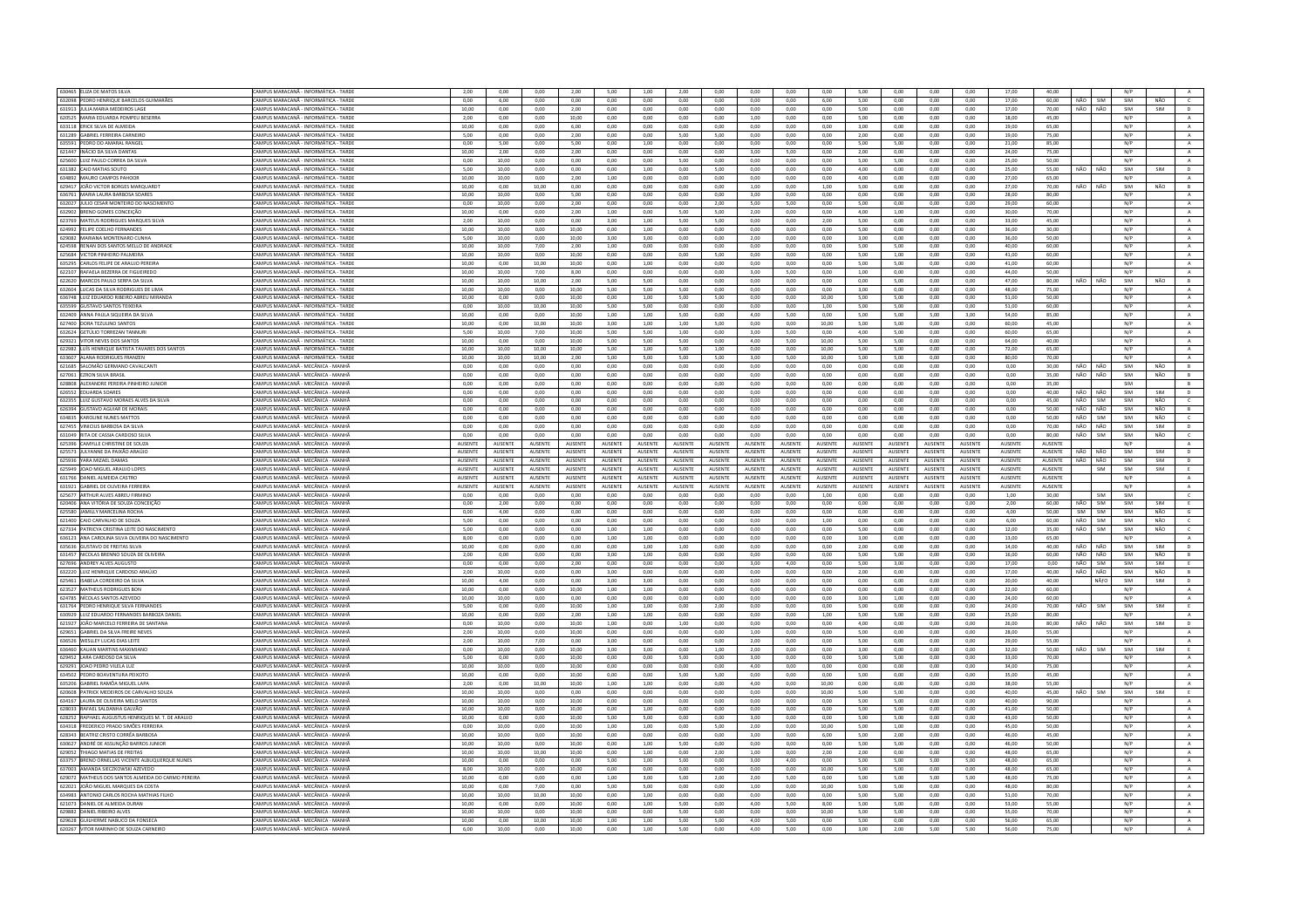| 630465 ELIZA DE MATOS SILVA                                                  | CAMPUS MARACANĂ - INFORMÁTICA - TARDE                                    | 2,00           | 0,00            | 0,00           | 2,00           | 5,00            | 1,00           | 2,00            | 0,00           | 0,00            | 0,00           | 0,00           | 5,00            | 0,00           | 0,00           | 0,00           | 17,00          | 40,00          |            |                    | N/P        |            |                |
|------------------------------------------------------------------------------|--------------------------------------------------------------------------|----------------|-----------------|----------------|----------------|-----------------|----------------|-----------------|----------------|-----------------|----------------|----------------|-----------------|----------------|----------------|----------------|----------------|----------------|------------|--------------------|------------|------------|----------------|
| 632098 PEDRO HENRIQUE BARCELOS GUIMARÃES                                     | CAMPUS MARACANĂ - INFORMÁTICA - TARDE                                    | 0.00           | 6.00            | 0.00           | 0.00           | 0.00            | 0.00           | 0.00            | 0.00           | 0.00            | 0.00           | 6.00           | 5.00            | 0.00           | 0.00           | 0.00           | 17.00          | 60.00          | NÃO        | SIM                | SIM        | NÃO        | $\epsilon$     |
| 631913 JULIA MARIA MEDEIROS LAGE                                             | CAMPUS MARACANĂ - INFORMÁTICA - TARDI                                    | 10,00          | 0,00            | 0,00           | 2,00           | 0,00            | 0,00           | 0,00            | 0,00           | 0,00            | 0,00           | 0,00           | 5,00            | 0,00           | 0,00           | 0,00           | 17,00          | 70,00          | NÃO        | NÃO                | SIM        | SIM        | $\overline{p}$ |
| 620525 MARIA EDUARDA POMPEU BESERRA                                          | AMPUS MARACANĂ - INFORMÁTICA - TARDE                                     | 2.00           | 0.00            | 0.00           | 10.00          | 0.00            | 0.00           | 0.00            | 0.00           | 1.00            | 0.00           | 0.00           | 5.00            | 0.00           | 0.00           | 0.00           | 18.00          | 45.00          |            |                    | N/P        |            | A              |
| 633118 ERICK SILVA DE ALMEIDA                                                | CAMPUS MARACANA - INFORMÁTICA - TARD                                     | 10,00          | 0.00            | 0.00           | 6,00           | 0.00            | 0.00           | 0.00            | 0.00           | 0.00            | 0.00           | 0,00           | 3.00            | 0,00           | 0,00           | 0.00           | 19,00          | 65.00          |            |                    | N/P        |            | $\mathbf{A}$   |
| 631289 GABRIEL FERREIRA CARNEIRO                                             | CAMPUS MARACANĂ - INFORMÁTICA - TARDI                                    | 5.00           | 0.00            | 0.00           | 2.00           | 0.00            | 0.00           | 5.00            | 5.00           | 0.00            | 0.00           | 0.00           | 2.00            | 0.00           | 0.00           | 0.00           | 19.00          | 75.00          |            |                    | N/P        |            | $\mathbf{A}$   |
| 635591 PEDRO DO AMARAL RANGEL                                                | CAMPUS MARACANÃ - INFORMÁTICA - TARDE                                    | 0.00           | 500             | 0.00           | 5.00           | 0.00            | 1.00           | 0.00            | 0.00           | 0.00            | 0.00           | 0.00           | 5.00            | 5.00           | 0.00           | 0.00           | 21.00          | 85.00          |            |                    | N/P        |            | A              |
| 621447 INÁCIO DA SILVA DANTAS                                                | <b>AMPUS MARACANĂ - INFORMÁTICA - TARDI</b>                              | 10.00          | 2.00            | 0.00           | 2.00           | 0.00            | 0.00           | 0.00            | 0.00           | 3.00            | 5.00           | 0.00           | 2.00            | 0.00           | 0.00           |                | 24.00          | 75.00          |            |                    | N/P        |            |                |
|                                                                              |                                                                          |                |                 |                |                |                 |                |                 |                |                 |                |                |                 |                |                | 0.00           |                |                |            |                    |            |            | $\mathbf{A}$   |
| 625600 LUIZ PAULO CORREA DA SILVA                                            | CAMPUS MARACANĂ - INFORMÁTICA - TARDE                                    | 0.00           | 10.00           | 0.00           | 0.00           | 0.00            | 0.00           | 5.00            | 0.00           | 0.00            | 0.00           | 0.00           | 5.00            | 5.00           | 0.00           | 0.00           | 25.00          | 50.00          |            |                    | N/P        |            | A              |
| 631382 CAIO MATIAS SOUTO                                                     | CAMPUS MARACANÃ - INFORMÁTICA - TARDE                                    | 5.00           | 10.00           | 0.00           | 0.00           | 0.00            | 1,00           | 0.00            | 5,00           | 0.00            | 0.00           | 0.00           | 4.00            | 0.00           | 0.00           | 0.00           | 25,00          | 55.00          | NÃO        | NÃO                | SIM        | SIM        | D              |
| 634892 MAURO CAMPOS PAHOOR                                                   | AMPUS MARACANĂ - INFORMÁTICA - TARDE                                     | 10,00          | 10,00           | 0,00           | 2,00           | 1,00            | 0,00           | 0,00            | 0,00           | 0,00            | 0,00           | 0,00           | 4,00            | 0,00           | 0,00           | 0,00           | 27,00          | 65,00          |            |                    | N/P        |            | A              |
| 629417 JOÃO VICTOR BORGES MARQUARDT                                          | CAMPUS MARACANĂ - INFORMÁTICA - TARDI                                    | 10,00          | 0,00            | 10.00          | 0,00           | 0,00            | 0,00           | 0,00            | 0,00           | 1,00            | 0,00           | 1,00           | 5,00            | 0,00           | 0,00           | 0,00           | 27,00          | 70,00          | NÃO        | NÃO                | SIM        | NÃO        | $\,$ B         |
| 636761 MARIA LAURA BARBOSA SOARES                                            | CAMPUS MARACANĂ - INFORMÁTICA - TARDI                                    | 10,00          | 10,00           | 0,00           | 5,00           | 0,00            | 0,00           | 0,00            | 0,00           | 3,00            | 0,00           | 0,00           | 0,00            | 0,00           | 0,00           | 0,00           | 28,00          | 80,00          |            |                    | N/P        |            | $\mathbf{A}$   |
| 632027 JULIO CESAR MONTEIRO DO NASCIMENTO                                    | CAMPUS MARACANĂ - INFORMÁTICA - TARDE                                    | 0.00           | 10.00           | 0.00           | 2.00           | 0.00            | 0.00           | 0.00            | 2.00           | 5.00            | 5.00           | 0.00           | 5.00            | 0.00           | 0.00           | 0.00           | 29.00          | 60.00          |            |                    | N/P        |            | A              |
| 632902 BRENO GOMES CONCEIÇÃO                                                 | CAMPUS MARACANĂ - INFORMÁTICA - TARD                                     | 10,00          | 0,00            | 0,00           | 2,00           | 1,00            | 0,00           | 5,00            | 5,00           | 2,00            | 0,00           | 0,00           | 4,00            | 1,00           | 0,00           | 0,00           | 30,00          | 70,00          |            |                    | N/P        |            | $\,$ A $\,$    |
| 623769 MATEUS RODRIGUES MARQUES SILVA                                        | CAMPUS MARACANĂ - INFORMÁTICA - TARDE                                    | 2,00           | 10,00           | 0,00           | 0,00           | 3,00            | 1,00           | 5,00            | 5,00           | 0,00            | 0,00           | 2,00           | 5,00            | 0,00           | 0,00           | 0,00           | 33,00          | 45.00          |            |                    | N/P        |            | A              |
|                                                                              | CAMPUS MARACANĂ - INFORMÁTICA - TARDE                                    |                |                 |                | 10.00          |                 |                | 0.00            |                |                 |                |                |                 |                |                |                |                |                |            |                    |            |            |                |
| 624992 FELIPE COELHO FERNANDES                                               |                                                                          | 10,00          | 10,00           | 0,00           |                | 0,00            | 1,00           |                 | 0,00           | 0,00            | 0,00           | 0,00           | 5,00            | 0,00           | 0,00           | 0,00           | 36,00          | 30,00          |            |                    | N/P        |            | $\mathbf{A}$   |
| 629082 MARIANA MONTENARO CUNH                                                | AMPUS MARACANĂ - INFORMÁTICA - TARDI                                     | 5,00           | 10,00           | 0,00           | 10,00          | 3,00            | 3,00           | 0,00            | 0,00           | 2,00            | 0,00           | 0,00           | 3,00            | 0,00           | 0,00           | 0,00           | 36,00          | 50,00          |            |                    | N/P        |            | A              |
| 624598 RENAN DOS SANTOS MELLO DE ANDRADE                                     | CAMPUS MARACANÃ - INFORMÁTICA - TARDE                                    | 10.00          | 10.00           | 7.00           | 2.00           | 1.00            | 0.00           | 0.00            | 0.00           | 0.00            | 0.00           | 0.00           | 5.00            | 5.00           | 0.00           | 0.00           | 40.00          | 60.00          |            |                    | N/P        |            | $\mathbf{A}$   |
| 625684 VICTOR PINHEIRO PALMEIRA                                              | CAMPUS MARACANĂ - INFORMÁTICA - TARDI                                    | 10,00          | 10,00           | 0,00           | 10,00          | 0,00            | 0,00           | 0,00            | 5,00           | 0,00            | 0,00           | 0,00           | 5,00            | 1,00           | 0,00           | 0,00           | 41,00          | 60,00          |            |                    | N/P        |            | $\,$ A $\,$    |
| 635295 CARLOS FELIPE DE ARAUJO PEREIRA                                       | CAMPUS MARACANĂ - INFORMÁTICA - TARDE                                    | 10.00          | 0.00            | 10.00          | 10.00          | 0.00            | 1.00           | 0.00            | 0.00           | 0.00            | 0.00           | 0.00           | 5.00            | 5.00           | 0.00           | 0.00           | 41.00          | 60.00          |            |                    | N/P        |            | A              |
| 622107 RAFAELA BEZERRA DE FIGUEIRED                                          | CAMPUS MARACANĂ - INFORMÁTICA - TARD                                     | 10,00          | 10,00           | 7,00           | 8,00           | 0,00            | 0,00           | 0,00            | 0,00           | 3,00            | 5,00           | 0,00           | 1,00            | 0,00           | 0,00           | 0,00           | 44,00          | 50,00          |            |                    | N/P        |            | $\mathbf{A}$   |
| 622620 MARCOS PAULO SERPA DA SILVA                                           | CAMPUS MARACANĂ - INFORMÁTICA - TARDI                                    | 10.00          | 10.00           | 10.00          | 2.00           | 5.00            | 5.00           | 0.00            | 0.00           | 0.00            | 0.00           | 0.00           | 0.00            | 5.00           | 0.00           | 0.00           | 47.00          | 80.00          | NÃO        | NÃO                | SIM        | NÃO        | B              |
| 632604 ILLICAS DA SILVA RODRIGUES DE LIMA                                    | CAMPUS MARACANÃ - INFORMÁTICA - TARDE                                    | 10.00          | 10.00           | 0.00           | 10.00          | 5.00            | 5.00           | 5.00            | 0.00           | 0.00            | 0.00           | $0.00 -$       | 3.00            | 0.00           | 0.00           | 0.00           | 48.00          | 75.00          |            |                    | N/P        |            | A              |
| 636748 LUIZ EDUARDO RIBEIRO ABREU MIRANDA                                    | AMPUS MARACANĂ - INFORMÁTICA - TARDI                                     | 10,00          | 0,00            | 0.00           | 10,00          | 0.00            | 1.00           | 5,00            | 5.00           | 0.00            | 0,00           | 10,00          | 5.00            | 5.00           | 0,00           |                | 51,00          | 50.00          |            |                    | N/P        |            | $\,$ A $\,$    |
|                                                                              |                                                                          |                |                 |                |                |                 |                |                 |                |                 |                |                |                 |                |                | 0,00           |                |                |            |                    |            |            |                |
| 635599 GUSTAVO SANTOS TEIXEIRA                                               | CAMPUS MARACANÃ - INFORMÁTICA - TARDE                                    | 0.00           | 10.00           | 10.00          | 10.00          | 5.00            | 5.00           | 0.00            | 0.00           | 0.00            | 0.00           | 1.00           | 5.00            | 5.00           | 0.00           | 0.00           | 51.00          | 60.00          |            |                    | N/P        |            | A              |
| 632409 ANNA PAULA SIQUEIRA DA SILVA                                          | CAMPUS MARACANĂ - INFORMÁTICA - TARDE                                    | 10,00          | 0,00            | 0,00           | 10.00          | 1,00            | 1,00           | 5,00            | 0,00           | 4,00            | 5,00           | 0,00           | 5,00            | 5,00           | 5,00           | 3,00           | 54,00          | 85,00          |            |                    | N/P        |            | $\mathbf{A}$   |
| 627400 DORA TEZULINO SANTOS                                                  | CAMPUS MARACANĂ - INFORMÁTICA - TARDE                                    | 10.00          | 0.00            | 10.00          | 10.00          | 3.00            | 1.00           | 1.00            | 5.00           | 0.00            | 0.00           | 10.00          | 5.00            | 5.00           | 0.00           | 0.00           | 60.00          | 45.00          |            |                    | N/P        |            | A              |
| 632624 GETÚLIO TORREZAN TANNUF                                               | CAMPUS MARACANÃ - INFORMÁTICA - TARDI                                    | 5.00           | 10.00           | 7,00           | 10,00          | 5,00            | 5.00           | 1,00            | 0.00           | 3,00            | 5.00           | $_{0,00}$      | 4,00            | 5,00           | $_{0,00}$      | 0,00           | 60.00          | 65,00          |            |                    | N/P        |            | A              |
| 629321 VITOR NEVES DOS SANTOS                                                | CAMPUS MARACANĂ - INFORMÁTICA - TARDE                                    | 10.00          | 0.00            | 0.00           | 10.00          | 5.00            | 5.00           | 5.00            | 0.00           | 4.00            | 5.00           | 10.00          | 5.00            | 5.00           | 0.00           | 0.00           | 64.00          | 40.00          |            |                    | N/P        |            | A              |
| 622982 LUÍS HENRIOUE BATISTA TAVARES DOS SANTOS                              | CAMPLIS MARACANÃ - INFORMÁTICA - TARDE                                   | 10.00          | 10.00           | 10.00          | 10.00          | 5.00            | 1.00           | 5.00            | 1.00           | 0.00            | 0.00           | 10.00          | 5.00            | 5.00           | 0.00           | 0.00           | 72.00          | 65.00          |            |                    | N/P        |            | $\Lambda$      |
| 633607 ALANA RODRIGUES FRANZEN                                               | AMPUS MARACANĂ - INFORMÁTICA - TARDI                                     | 10,00          | 10,00           | 10,00          | 2,00           | 5,00            | 5,00           | 5,00            | 5,00           | 3,00            | 5,00           | 10,00          | 5,00            | 5,00           | $_{0,00}$      | 0,00           | 80,00          | 70,00          |            |                    | N/P        |            | $\mathbf{A}$   |
| 621685 SALOMÃO GERMANO CAVALCANTI                                            | CAMPUS MARACANĂ - MECÂNICA - MANHÂ                                       | 0.00           | 0.00            | 0.00           | 0.00           | 0.00            | 0.00           | 0.00            | 0.00           | 0.00            | 0.00           | 0.00           | 0.00            | 0.00           | 0.00           | 0.00           | 0.00           | 30.00          | NÃO        | $N\tilde{\Lambda}$ | SIM        | NÃO        | B              |
| 627061 EZRON SILVA BRASIL                                                    | CAMPUS MARACANĂ - MECÂNICA - MANHĂ                                       | 0,00           | 0,00            | 0,00           | 0,00           | 0,00            | 0,00           | 0,00            | 0,00           | 0,00            | 0,00           | 0,00           | 0,00            | 0,00           | 0,00           | 0,00           | 0,00           | 35,00          | NÃO        | NÃO                | SIM        | NÃO        | B              |
|                                                                              |                                                                          |                |                 |                |                |                 |                |                 |                |                 |                |                |                 |                |                |                |                |                |            |                    |            |            |                |
| 628808 ALEXANDRE PEREIRA PINHEIRO JUNIOR                                     | AMPUS MARACANĂ - MECÂNICA - MANHÂ                                        | 0,00           | 0,00            | 0,00           | 0,00           | 0,00            | 0,00           | 0,00            | 0,00           | 0,00            | 0,00           | 0,00           | 0,00            | 0,00           | 0,00           | 0,00           | 0,00           | 35.00          |            |                    | SIM        |            | B              |
| 626552 EDUARDA SOARES                                                        | CAMPUS MARACANÃ - MECÂNICA - MANHÀ                                       | 0.00           | 0.00            | 0.00           | 0,00           | 0,00            | 0,00           | 0.00            | 0.00           | 0.00            | 0.00           | 0,00           | 0.00            | 0.00           | 0.00           | 0.00           | 0.00           | 40.00          | NÃO        | NÃO                | SIM        | SIM        | $\mathsf D$    |
| 632355 LUIZ GUSTAVO MORAES ALVES DA SILVA                                    | CAMPUS MARACANĂ - MECÂNICA - MANHA                                       | 0,00           | 0,00            | 0,00           | 0,00           | 0,00            | 0,00           | 0,00            | 0,00           | 0,00            | 0,00           | 0,00           | 0,00            | 0,00           | 0,00           | 0,00           | 0,00           | 45.00          | NÃO        | SIM                | SIM        | NÃO        | $\epsilon$     |
| 626394 GUSTAVO AGUIAR DE MORAIS                                              | CAMPUS MARACANĂ - MECÂNICA - MANHĂ                                       | 0.00           | 0.00            | 0.00           | 0.00           | 0.00            | 0.00           | 0.00            | 0.00           | 0.00            | 0.00           | 0.00           | 0.00            | 0.00           | 0.00           | 0.00           | 0.00           | 50.00          | NÃO        | NÃO                | SIM        | NÃO        | B              |
| 634835 KAROLINE NUNES MATTOS                                                 | CAMPUS MARACANĂ - MECÂNICA - MANH                                        | 0,00           | 0,00            | 0,00           | 0,00           | 0,00            | 0,00           | 0,00            | 0,00           | 0,00            | 0,00           | 0,00           | 0,00            | 0,00           | 0,00           | 0,00           | 0,00           | 50,00          | NÃO        | SIM                | SIM        | NÃO        | $\mathsf{C}$   |
| 627455 VINICIUS BARBOSA DA SILVA                                             | CAMPUS MARACANĂ - MECÂNICA - MANHÂ                                       | 0.00           | 0.00            | 0.00           | 0.00           | 0.00            | 0.00           | 0.00            | 0.00           | 0.00            | 0.00           | 0.00           | 0.00            | 0.00           | 0.00           | 0.00           | 0.00           | 70.00          | NÃO        | NÃO                | SIM        | SIM        | D              |
| 631049 RITA DE CASSIA CARDOSO SILVA                                          | CAMPUS MARACANĂ - MECÂNICA - MANHÀ                                       | 0,00           | 0,00            | 0,00           | 0,00           | 0,00            | 0,00           | 0,00            | 0,00           | 0,00            | 0,00           | 0,00           | 0,00            | 0,00           | 0,00           | 0,00           | 0,00           | 80,00          | NÃO        | SIM                | SIM        | NÃO        | $\mathsf{C}$   |
| 625396 CAMYLLE CHRISTINE DE SOUZA                                            | MPUS MARACANĂ - MECÂNICA - MANHÂ                                         | AUSENTE        | AUSENTE         | AUSENTE        | AUSENTE        | <b>AUSENTE</b>  | AUSENTE        | AUSENTE         | AUSENTE        | <b>AUSENTE</b>  | AUSENTE        | AUSENTE        | AUSENTE         | AUSENTE        | AUSENTE        | AUSENTE        | AUSENTE        | AUSENTE        |            |                    | N/P        |            | $\mathsf{A}$   |
| 625573 JULYANNE DA PAIXÃO ARAÚJO                                             | CAMPUS MARACANÃ - MECÂNICA - MANHÀ                                       | <b>AUSENTE</b> | <b>ALISENTE</b> | <b>AUSENTE</b> | <b>AUSENTE</b> | <b>ALISENTE</b> | <b>AUSENTE</b> | <b>ALISENTE</b> | <b>AUSENTE</b> | <b>ALISENTE</b> | <b>AUSENTE</b> | <b>AUSENTE</b> | <b>ALISENTE</b> | <b>AUSENTE</b> | <b>AUSENTE</b> | <b>AUSENTE</b> | <b>AUSENTE</b> | <b>AUSENTE</b> | NÃO        | NÃO                | SIM        | SIM        | $\mathsf{D}$   |
|                                                                              |                                                                          |                |                 |                |                |                 |                |                 |                |                 |                |                |                 |                |                |                |                |                |            |                    |            |            |                |
|                                                                              |                                                                          |                |                 |                |                |                 |                |                 |                |                 |                |                |                 |                |                |                |                |                |            |                    |            |            |                |
| 625936 YARA MIZAEL DAMAS                                                     | CAMPUS MARACANĂ - MECÂNICA - MANHA                                       | AUSENTE        | AUSENTE         | AUSENTE        | <b>AUSENTE</b> | <b>AUSENTE</b>  | AUSENTE        | AUSENTE         | <b>AUSENTE</b> | <b>AUSENTE</b>  | AUSENTE        | AUSENTE        | AUSENTE         | AUSENTE        | AUSENTE        | <b>AUSENTE</b> | <b>AUSENTE</b> | AUSENTE        | NÃO        | NÃO                | SIM        | SIM        | $\overline{D}$ |
| 625949 JOAO MIGUEL ARAUJO LOPES                                              | CAMPUS MARACANĂ - MECÂNICA - MANHĂ                                       | AUSENTE        | AUSENTE         | AUSENTE        | AUSENTE        | AUSENTE         | AUSENTE        | AUSENTE         | AUSENTE        | AUSENTE         | AUSENTE        | AUSENTE        | AUSENTE         | AUSENTE        | AUSENTE        | AUSENTE        | AUSENTE        | AUSENTE        |            | SIM                | SIM        | SIM        | E              |
| 631766 DANIEL ALMEIDA CASTRO                                                 | CAMPUS MARACANĂ - MECÂNICA - MANH                                        | <b>AUSENTE</b> | AUSENTE         | AUSENTE        | <b>AUSENTE</b> | AUSENTE         | AUSENTE        | AUSENTE         | AUSENTE        | AUSENTE         | AUSENTE        | AUSENTE        | AUSENTE         | AUSENTE        | AUSENTE        | <b>AUSENTE</b> | AUSENTE        | AUSENTE        |            |                    | N/P        |            | $\mathbb A$    |
| 631921 GABRIEL DE OLIVEIRA FERREIRA                                          | CAMPUS MARACANĂ - MECÂNICA - MANHÂ                                       | AUSENTE        | <b>AUSENTE</b>  | AUSENTE        | <b>AUSENTE</b> | <b>AUSENTE</b>  | <b>AUSENTE</b> | <b>AUSENTE</b>  | AUSENTE        | AUSENTE         | AUSENTE        | <b>AUSENTE</b> | AUSENTE         | AUSENTE        | <b>AUSENTE</b> | <b>AUSENTE</b> | <b>AUSENTE</b> | AUSENTE        |            |                    | N/P        |            | A              |
| 625677 ARTHUR ALVES ABREU FIRMINO                                            | CAMPUS MARACANĂ - MECÂNICA - MANHÂ                                       | 0.00           | 0.00            | 0.00           | 0.00           | 0.00            | 0.00           | 0.00            | 0.00           | 0.00            | 0.00           | 1.00           | 0.00            | 0.00           | 0.00           | 0.00           | 1.00           | 30.00          |            | SIM                | SIM        |            | $\epsilon$     |
|                                                                              | MPUS MARACANĂ - MECÂNICA - MANHA                                         | 0,00           | 2,00            | 0,00           | 0,00           | 0,00            | 0,00           | 0.00            | 0,00           | 0,00            | 0,00           | 0,00           | 0,00            | 0,00           | 0,00           | 0,00           |                | 60.00          | NÃO        | <b>SIM</b>         | SIM        | SIM        | E              |
| 620406 ANA VITÓRIA DE SOUZA CONCEIÇÃO<br>625580 JAMILLY MARCELINA ROCHA      | CAMPUS MARACANA - MECÂNICA - MANHA                                       | 0.00           | 4.00            | 0.00           | 0.00           | 0.00            | 0.00           | 0.00            | 0.00           | 0.00            | 0.00           | 0.00           | 0.00            | 0.00           | 0.00           | 0.00           | 2,00<br>4.00   | 50.00          | SIM        | <b>SIM</b>         | SIM        | NÃO        |                |
|                                                                              |                                                                          |                |                 |                |                |                 |                |                 |                |                 |                |                |                 |                |                |                |                |                |            |                    |            |            | $\mathsf{G}$   |
| 621400 CAIO CARVALHO DE SOUZA                                                | CAMPUS MARACANĂ - MECÂNICA - MANHÂ                                       | 5.00           | 0.00            | 0.00           | 0.00           | 0.00            | 0.00           | 0.00            | 0.00           | 0.00            | 0.00           | 1.00           | 0.00            | 0.00           | 0.00           | 0.00           | 6.00           | 60.00          | NÃO        | SIM                | SIM        | NÃO        | $\epsilon$     |
| 627334 PATRICYA CRISTINA LEITE DO NASCIMENTO                                 | CAMPUS MARACANA - MECÂNICA - MANHA                                       | 5.00           | 0.00            | 0.00           | 0.00           | 1.00            | 1.00           | 0.00            | 0.00           | 0.00            | 0.00           | 0.00           | 5.00            | 0.00           | 0.00           | 0.00           | 12.00          | 35.00          | NÃO        | <b>SIM</b>         | SIM        | NÃO        | $\epsilon$     |
| 636123 ANA CAROLINA SILVA OLIVEIRA DO NASCIMENTO                             | CAMPUS MARACANĂ - MECÂNICA - MANHŽ                                       | 8,00           | 0,00            | 0,00           | 0,00           | 1,00            | 1,00           | 0,00            | 0,00           | 0,00            | 0,00           | 0,00           | 3,00            | 0,00           | 0,00           | 0,00           | 13,00          | 65,00          |            |                    | N/P        |            | $\mathbb A$    |
| 635636 GUSTAVO DE FREITAS SILVA                                              | CAMPUS MARACANĂ - MECÂNICA - MANHÂ                                       | 10,00          | 0,00            | 0,00           | 0,00           | 0,00            | 1,00           | 1,00            | 0,00           | 0,00            | 0,00           | 0,00           | 2,00            | 0,00           | 0,00           | 0,00           | 14,00          | 40,00          | NÃO        | NÃO                | SIM        | SIM        | D              |
| 631457 NICOLAS BRENNO SOUZA DE OLIVEIRA                                      | CAMPUS MARACANĂ - MECÂNICA - MANHÂ                                       | 2,00           | 0.00            | 0.00           | 0.00           | 3,00            | 1,00           | 0.00            | 0.00           | 0.00            | 0.00           | 0.00           | 5.00            | 5.00           | 0.00           | 0.00           | 16,00          | 60.00          | NÃO        | NÃO                | SIM        | NÃO        | B              |
| 627696 ANDREY ALVES AUGUSTO                                                  | CAMPUS MARACANĂ - MECÂNICA - MANH                                        | 0,00           | 0,00            | 0,00           | 2,00           | 0,00            | 0,00           | 0,00            | 0,00           | 3,00            | 4,00           | 0,00           | 5,00            | 3,00           | 0,00           | 0,00           | 17,00          | 0,00           | NÃO        | SIM                | SIM        | SIM        | E              |
| 632220 LUIZ HENRIQUE CARDOSO ARAÚJO                                          | CAMPUS MARACANĂ - MECÂNICA - MANHÂ                                       | 2.00           | 10.00           | 0.00           | 0.00           | 3.00            | 0.00           | 0.00            | 0.00           | 0.00            | 0.00           | 0.00           | 2.00            | 0.00           | 0.00           | 0.00           | 17.00          | 40.00          | NÃO        | NÃO                | SIM        | NÃO        | B              |
| 625461 ISABELA CORDEIRO DA SILVA                                             | CAMPUS MARACANĂ - MECÂNICA - MANHÀ                                       | 10,00          | 4,00            | 0,00           | 0,00           | 3,00            | 3,00           | 0,00            | 0,00           | 0,00            | 0,00           | 0,00           | 0,00            | 0,00           | 0,00           | 0,00           | 20,00          | 40,00          |            | NÃfO               | SIM        | SIM        | $\mathsf D$    |
| 623527 MATHEUS RODRIGUES BON                                                 | CAMPUS MARACANĂ - MECÂNICA - MANHĂ                                       | 10.00          | 0.00            | 0.00           | 10.00          | 1.00            | 1.00           | 0.00            | 0.00           | 0.00            | 0.00           | 0.00           | 0.00            | 0.00           | 0.00           | 0.00           | 22.00          | 60.00          |            |                    | N/P        |            | A              |
| 624785 NÍCOLAS SANTOS AZEVEDO                                                | CAMPUS MARACANÃ - MECÂNICA - MANHÀ                                       | 10,00          | 10.00           | 0.00           | 0,00           | 0,00            | 0,00           | 0.00            | 0.00           | 0.00            | 0.00           | 0,00           | 3.00            | 1,00           | 0,00           | 0.00           | 24,00          | 60.00          |            |                    | N/P        |            | A              |
| 631764 PEDRO HENRIQUE SILVA FERNANDES                                        |                                                                          | 5,00           | 0,00            | 0,00           | 10,00          | 1,00            | 1,00           | 0,00            | 2,00           | 0,00            | 0,00           | 0,00           | 5,00            | 0,00           | 0,00           | 0,00           | 24,00          | 70,00          | NÃO        | SIM                | SIM        | SIM        | E              |
| 630929 LUIZ EDUARDO FERNANDES BARBOZA DANIEL                                 | CAMPUS MARACANĂ - MECÂNICA - MANHÂ<br>CAMPUS MARACANÃ - MECÂNICA - MANHÃ | 10.00          | 0.00            | 0.00           | 2.00           | 1.00            | 1.00           | 0.00            | 0.00           | 0.00            | 0.00           | 1.00           | 5.00            | 5.00           | 0.00           | 0.00           | 25.00          | 80.00          |            |                    | N/P        |            |                |
|                                                                              |                                                                          |                |                 |                |                |                 |                |                 |                |                 |                |                |                 |                |                |                |                |                | NÃO        | NÃO                |            |            | A              |
| 621927 JOÃO MARCELO FERREIRA DE SANTANA                                      | CAMPUS MARACANĂ - MECÂNICA - MANHÀ                                       | 0,00           | 10,00           | 0,00           | 10,00          | 1,00            | 0,00           | 1,00            | 0,00           | 0,00            | 0,00           | 0,00           | 4,00            | 0,00           | 0,00           | 0,00           | 26,00          | 80,00          |            |                    | SIM        | SIM        | $\mathsf D$    |
| 629651 GABRIEL DA SILVA FREIRE NEVES                                         | CAMPUS MARACANĂ - MECÂNICA - MANHÂ                                       | 2.00           | 10.00           | 0.00           | 10.00          | 0.00            | 0.00           | 0.00            | 0.00           | 1.00            | 0.00           | 0.00           | 5.00            | 0.00           | 0.00           | 0.00           | 28.00          | 55.00          |            |                    | N/P        |            | A              |
| 636526 WESLLEY LUCAS DIAS LEITE                                              | CAMPUS MARACANĂ - MECÂNICA - MANHÀ                                       | 2,00           | 10,00           | 7,00           | 0,00           | 3,00            | 0,00           | 0,00            | 0,00           | 2,00            | 0,00           | 0,00           | 5,00            | 0,00           | 0,00           | 0,00           | 29,00          | 55,00          |            |                    | N/P        |            | A              |
| 636460 KAUAN MARTINS MAXIMIANO                                               | CAMPUS MARACANĂ - MECÂNICA - MANHÀ                                       | 0.00           | 10.00           | 0.00           | 10.00          | 3.00            | 3.00           | 0.00            | 1.00           | 2.00            | 0.00           | 0.00           | 3.00            | 0.00           | 0.00           | 0.00           | 32.00          | 50.00          | <b>NÃO</b> | <b>SIM</b>         | SIM        | <b>SIM</b> | E              |
| 629452 LARA CARDOSO DA SILVA                                                 | CAMPUS MARACANĂ - MECÂNICA - MANHÀ                                       | 5.00           | 0.00            | 0.00           | 10.00          | 0.00            | 0.00           | 500             | 0.00           | 3.00            | 0.00           | 0.00           | 5.00            | 5.00           | 0.00           | 0.00           | 33.00          | 70.00          |            |                    | N/P        |            | A              |
| 629291 JOAO PEDRO VILELA LUZ                                                 | CAMPUS MARACANĂ - MECÂNICA - MANHA                                       | 10.00          | 10.00           | 0.00           | 10.00          | 0.00            | 0.00           | 0.00            | 0.00           | 4.00            | 0.00           | 0.00           | 0.00            | 0.00           | 0,00           | 0,00           | 34.00          | 75.00          |            |                    | N/P        |            | $\mathbf{A}$   |
| 634502 PEDRO BOAVENTURA PEIXOTO                                              | CAMPUS MARACANĂ - MECÂNICA - MANHĂ                                       | 10.00          | 0.00            | 0.00           | 10.00          | 0.00            | 0.00           | 5.00            | 5.00           | 0.00            | 0.00           | 0.00           | 5.00            | 0.00           | 0.00           | 0.00           | 35.00          | 45.00          |            |                    | N/P        |            | $\Lambda$      |
| 635206 GABRIEL RAMÔA MIGUEL LAPA                                             | AMPUS MARACANĂ - MECÂNICA - MANHÂ                                        | 2.00           | 0,00            | 10,00          | 10.00          | 1,00            | 1,00           | 0.00            | $_{0,00}$      | 4.00            | 0.00           | 10,00          | 0.00            | 0.00           | $_{0,00}$      | 0,00           | 38.00          | 55.00          |            |                    | N/P        |            | $\,$ A         |
| 620608 PATRICK MEDEIROS DE CARVALHO SOUZA                                    | CAMPUS MARACANĂ - MECÂNICA - MANHĂ                                       | 10.00          | 10.00           | 0.00           | 0.00           | 0.00            | 0.00           | 0.00            | 0.00           | 0.00            | 0.00           | 10.00          | 5.00            | 5.00           | 0.00           | 0.00           | 40.00          | 45.00          | NÃO        | SIM                | SIM        | SIM        | E              |
| 634167 LAURA DE OLIVEIRA MELO SANTO                                          | CAMPUS MARACANĂ - MECÂNICA - MANHÃ                                       | 10.00          | 10.00           | 0.00           | 10.00          | 0.00            |                | 0.00            | 0.00           | 0.00            | 0.00           | 0.00           | 5.00            | 5.00           | 0.00           | 0.00           | 40.00          | 90.00          |            |                    | N/P        |            |                |
|                                                                              |                                                                          |                |                 |                |                |                 | 0,00           |                 |                |                 |                |                |                 |                |                |                |                |                |            |                    |            |            | $\,$ A $\,$    |
| 628033 RAFAEL SALDANHA GALVÃO                                                | CAMPUS MARACANĂ - MECÂNICA - MANHÀ                                       | 10,00          | 10,00           | 0,00           | 10,00          | 0,00            | 1,00           | 0,00            | 0,00           | 0,00            | 0,00           | 0,00           | 5,00            | 5,00           | 0,00           | 0,00           | 41,00          | 50,00          |            |                    | N/P        |            | A              |
| 628252 RAPHAEL AUGUSTUS HENRIOUES M. T. DE ARAUJO                            | CAMPUS MARACANĂ - MECÂNICA - MANHA                                       | 10.00          | 0.00            | 0.00           | 10.00          | 5.00            | 5.00           | 0.00            | 0.00           | 3.00            | 0.00           | 0.00           | 500             | 5.00           | 0.00           | 0.00           | 43.00          | 50.00          |            |                    | N/P        |            | A              |
| 634318 FREDERICO PRADO SIMÕES FERREIRA                                       | CAMPUS MARACANĂ - MECÂNICA - MANHÂ                                       | 0,00           | 10,00           | 0,00           | 10,00          | 1,00            | 1,00           | 0,00            | 5,00           | 2,00            | 0,00           | 10,00          | 5,00            | 1,00           | 0,00           | 0,00           | 45,00          | 50,00          |            |                    | N/P        |            | $\mathbf{A}$   |
| 628343 BEATRIZ CRISTO CORRÊA BARBOSA                                         | CAMPUS MARACANĂ - MECÂNICA - MANHĂ                                       | 10.00          | 10.00           | 0.00           | 10.00          | 0.00            | 0.00           | 0.00            | 0.00           | 3.00            | 0.00           | 6.00           | 5.00            | 2.00           | 0.00           | 0.00           | 46.00          | 45.00          |            |                    | N/P        |            | A              |
| 630627 ANDRÉ DE ASSUNÇÃO BARROS JUNIOR                                       | CAMPUS MARACANĂ - MECÂNICA - MANHÂ                                       | 10,00          | 10,00           | 0,00           | 10,00          | 0,00            | 1,00           | 5,00            | 0,00           | 0,00            | 0,00           | 0,00           | 5,00            | 5,00           | 0,00           | 0,00           | 46,00          | 50,00          |            |                    | N/P        |            | $\mathbf{A}$   |
| 629052 THIAGO MATIAS DE FREITAS                                              | CAMPUS MARACANĂ - MECÂNICA - MANHÀ                                       | 10,00          | 10,00           | 10,00          | 10,00          | 0,00            | 1,00           | 0,00            | 2,00           | 1,00            | 0,00           | 2,00           | 2,00            | 0,00           | 0,00           | 0,00           | 48,00          | 65,00          |            |                    | N/P        |            | A              |
| 633757 BRENO ORNELLAS VICENTE ALBUQUERQUE NUNES                              | CAMPUS MARACANĂ - MECÂNICA - MANHĂ                                       | 10.00          | 0,00            | 0,00           | 0,00           | 5,00            | 1,00           | 5,00            | 0,00           | 3,00            | 4,00           | 0,00           | 5,00            | 5,00           | 5,00           | 5,00           | 48,00          | 65.00          |            |                    | N/P        |            | A              |
| 637003 AMANDA SIECZKOWSKI AZEVEDO                                            | CAMPUS MARACANĂ - MECÂNICA - MANHÂ                                       | 8,00           | 10,00           | 0,00           | 10,00          | 0,00            | 0,00           | 0,00            | 0,00           | 0,00            | 0,00           | 10,00          | 5,00            | 5,00           | 0,00           | 0,00           | 48,00          | 65,00          |            |                    | N/P        |            | A              |
| 629072 MATHEUS DOS SANTOS ALMEIDA DO CARMO PEREIRA                           | CAMPUS MARACANĂ - MECÂNICA - MANHÂ                                       | 10.00          | 0.00            | 0.00           | 0.00           | 1.00            | 3.00           | 5.00            | 2.00           | 2.00            | 5.00           | 0.00           | 5.00            | 5.00           | 5.00           | 5.00           | 48.00          | 75.00          |            |                    | N/P        |            | A              |
|                                                                              |                                                                          |                |                 |                |                |                 |                |                 |                |                 |                |                |                 |                |                |                |                |                |            |                    |            |            |                |
| 622021 JOÃO MIGUEL MARQUES DA COSTA                                          | CAMPUS MARACANĂ - MECÂNICA - MANH                                        | 10,00          | 0,00            | 7,00           | 0,00           | 5,00            | 5,00           | 0,00            | 0,00           | 1,00            | 0,00           | 10,00          | 5,00            | 5,00           | 0,00           | 0,00           | 48,00          | 80,00          |            |                    | N/P        |            | A              |
| 634983 ANTONIO CARLOS ROCHA MATHIAS FILHO                                    | CAMPUS MARACANĂ - MECÂNICA - MANHĂ                                       | 10.00          | 10.00           | 10.00          | 10.00          | 0.00            | 1.00           | 0.00            | 0.00           | 0.00            | 0.00           | 0.00           | 5.00            | 5.00           | 0.00           | 0.00           | 51.00          | 70.00          |            |                    | N/P        |            | A              |
| 621073 DANIEL DE ALMEIDA DURAN                                               | <b>CAMPUS MARACANĂ - MECÂNICA - MANH</b>                                 | 10,00          | 0,00            | 0,00           | 10,00          | 0,00            | 1,00           | 5,00            | 0,00           | 4,00            | 5,00           | 8,00           | 5,00            | 5,00           | 0,00           | 0,00           | 53,00          | 55,00          |            |                    | N/P        |            | $\mathbf{A}$   |
| 629882 DANIEL RIBEIRO ALVES                                                  | CAMPUS MARACANĂ - MECÂNICA - MANHÀ                                       | 10.00          | 10,00           | 0.00           | 10.00          | 0.00            | 0.00           | 5,00            | 0,00           | 0.00            | 0,00           | 10,00          | 5.00            | 5,00           | 0,00           | 0,00           | 55.00          | 70.00          |            |                    | N/P        |            | $\,$ A $\,$    |
| 629628 GUILHERME NABUCO DA FONSECA<br>620267 VITOR MARINHO DE SOUZA CARNEIRO | CAMPUS MARACANĂ - MECÂNICA - MANHÃ<br>CAMPUS MARACANĂ - MECÂNICA - MANHÂ | 10.00<br>6.00  | 0.00<br>10.00   | 10.00<br>0.00  | 10.00          | 1.00<br>0.00    | 1.00<br>1.00   | 5.00<br>5.00    | 5.00<br>0.00   | 4.00<br>4.00    | 5.00<br>5.00   | 0.00<br>0.00   | 5.00<br>3.00    | 0.00<br>2.00   | 0.00<br>5.00   | 0.00<br>5.00   | 56.00<br>56.00 | 65.00<br>75.00 |            |                    | N/P<br>N/P |            | $\mathbf{A}$   |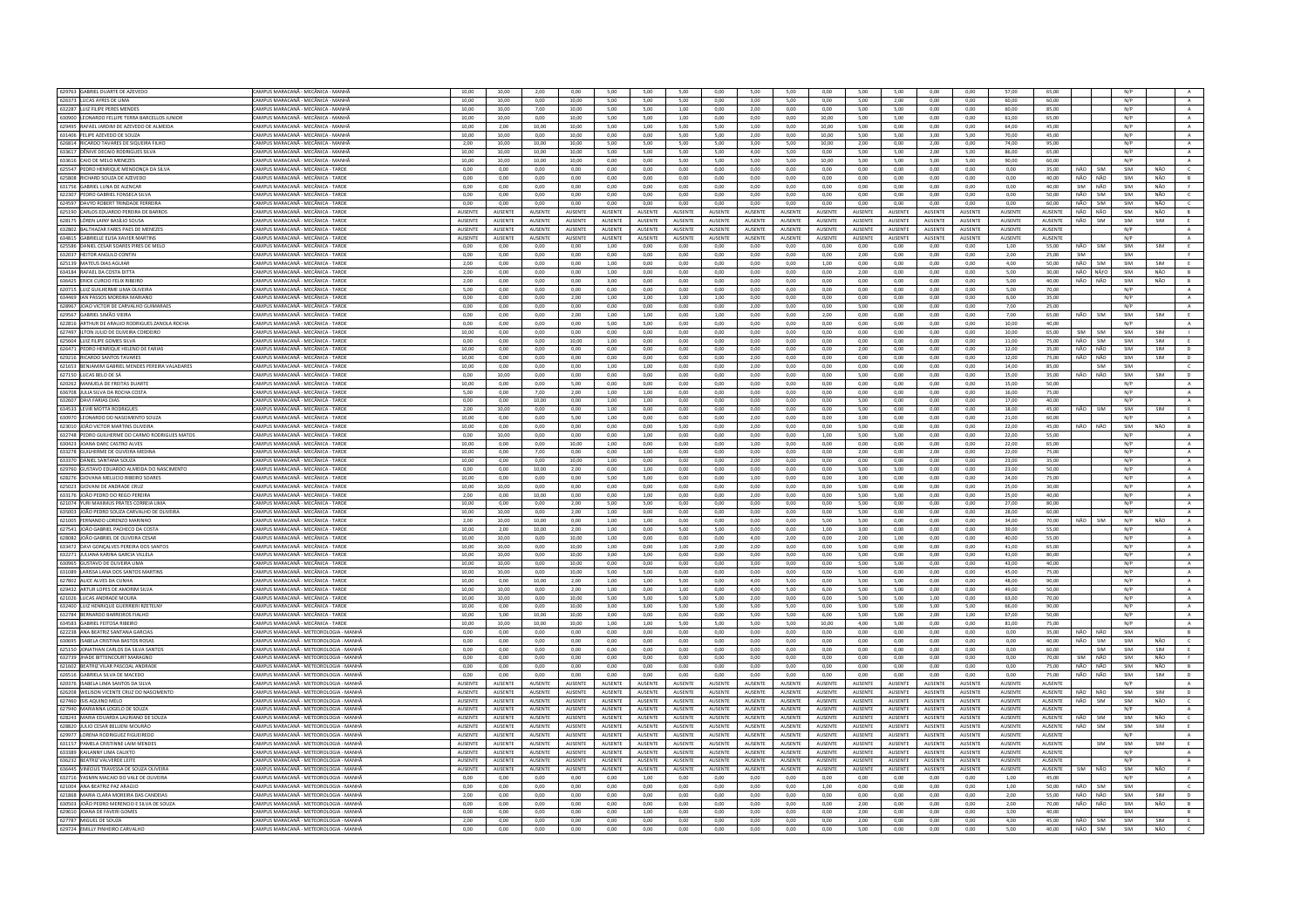| 629763 GABRIEL DUARTE DE AZEVEDO                       | CAMPUS MARACANĂ - MECÂNICA - MANHĂ                                        | 10,00          | 10,00           | 2,00           | 0,00           | 5,00            | 5,00           | 5,00            | 0,00           | 5,00            | 5,00           | 0,00           | 5,00            | 5,00           | 0,00           | 0,00           | 57,00           | 65,00          |                   | N/P |     |                |
|--------------------------------------------------------|---------------------------------------------------------------------------|----------------|-----------------|----------------|----------------|-----------------|----------------|-----------------|----------------|-----------------|----------------|----------------|-----------------|----------------|----------------|----------------|-----------------|----------------|-------------------|-----|-----|----------------|
| 626373 LUCAS AYRES DE LIMA                             | CAMPUS MARACANĂ - MECÂNICA - MANHÃ                                        | 10,00          | 10.00           | 0,00           | 10,00          | 5,00            | 5,00           | 5,00            | 0,00           | 3,00            | 5,00           | 0,00           | 5,00            | 2,00           | 0,00           | 0,00           | 60.00           | 60,00          |                   | N/P |     | A              |
| 632287 ILLUZ FILIPE PERES MENDES                       | CAMPUS MARACANĂ - MECÂNICA - MANHÃ                                        | 10.00          | 10.00           | 7.00           | 10.00          | 5.00            | 5.00           | 1.00            | 0.00           | 2.00            | 0.00           | 0.00           | 5.00            | 5.00           | 0.00           | 0.00           | 60.00           | 85.00          |                   | N/P |     | A              |
|                                                        | CAMPUS MARACANĂ - MECÂNICA - MANHĂ                                        |                |                 |                |                |                 |                |                 |                |                 |                |                |                 |                |                |                |                 |                |                   | N/P |     |                |
| 630900 LEONARDO FELLIPE TERRA BARCELLOS JUNIOR         |                                                                           | 10,00          | 10,00           | 0,00           | 10,00          | 5,00            | 5,00           | 1,00            | 0,00           | 0,00            | 0,00           | 10,00          | 5,00            | 5,00           | 0,00           | 0,00           | 61,00           | 65,00          |                   |     |     | $\,$ A $\,$    |
| 629495 RAFAEL JARDIM DE AZEVEDO DE ALMEIDA             | CAMPUS MARACANÃ - MECÂNICA - MANHÃ                                        | 10.00          | 2.00            | 10.00          | 10.00          | 500             | 1.00           | 5.00            | 5.00           | 1.00            | 0.00           | 10.00          | 5.00            | 0.00           | 0.00           | 0.00           | 64.00           | 45.00          |                   | N/P |     | A              |
| 631406 FELIPE AZEVEDO DE SOUZA                         | CAMPUS MARACANĂ - MECÂNICA - MANHÀ                                        | 10,00          | 10,00           | 0,00           | 10,00          | 0,00            | 0,00           | 5,00            | 5,00           | 2,00            | 0,00           | 10,00          | 5,00            | 5,00           | 3,00           | 5,00           | 70,00           | 45,00          |                   | N/P |     | $\,$ A $\,$    |
| 626814 RICARDO TAVARES DE SIQUEIRA FILHO               | CAMPUS MARACANĂ - MECÂNICA - MANHĂ                                        | 2.00           | 10.00           | 10.00          | 10.00          | 5.00            | 5.00           | 5.00            | 5.00           | 3.00            | 5.00           | 10.00          | 2.00            | 0.00           | 2.00           | 0.00           | 74.00           | 95.00          |                   | N/P |     | A              |
| 633617<br>DÊNIVE DECAIO RODRIGUES SI                   | CAMPUS MARACANÃ - MECÂNICA - MANHÃ                                        | 10,00          | 10,00           | 10.00          | 10,00          | 5,00            | 5.00           | 5,00            | 5.00           | 4,00            | 5.00           | 0,00           | 5.00            | 5.00           | 2,00           | 5,00           | 86,00           | 65,00          |                   | N/P |     | A              |
| 633616 CAIO DE MELO MENEZES                            | CAMPUS MARACANĂ - MECÂNICA - MANHÂ                                        | 10.00          | 10.00           | 10.00          | 10.00          | 0.00            | 0.00           | 5.00            | 5.00           | 5.00            | 5.00           | 10.00          | 5.00            | 5.00           | 5.00           | 5.00           | 90.00           | 60.00          |                   | N/P |     | A              |
| 625547 PEDRO HENRIQUE MENDONCA DA SUVA                 | CAMPUS MARACANÃ - MECÂNICA - TARDE                                        | 0.00           | 0.00            | $0.00 -$       | 0.00           | 0.00            | $0.00 -$       | 0.00            | 0.00           | 0.00            | $0.00 -$       | 0.00           | 0.00            | $0.00 -$       | 0.00           | 0.00           | 0.00            | 35.00          | NÃO<br><b>SIM</b> | SIM | NÃO | $\epsilon$     |
| 625808 RICHARD SOUZA DE AZEVEDO                        | CAMPUS MARACANĂ - MECÂNICA - TARDI                                        | 0.00           | 0.00            | 0.00           | 0.00           | 0.00            | 0.00           | 0.00            | 0.00           | 0.00            | 0.00           | 0.00           | 0.00            | 0.00           | 0.00           | 0.00           | 0.00            | 40.00          | NÃO<br>NÃO        | SIM | NÃO | $\,$ B $\,$    |
| 631756 GABRIEL LUNA DE ALENCAR                         | CAMPUS MARACANÃ - MECÂNICA - TARDE                                        | 0.00           | 0.00            | 0.00           | 0.00           | 0.00            | 0.00           | 0.00            | 0.00           | 0.00            | $0.00 -$       | 0.00           | 0.00            | 0.00           | 0.00           | 0.00           | 0.00            | 40.00          | NÃO<br>SIM        | SIM | NÃO | <b>F</b>       |
| 622307 PEDRO GABRIEL FONSECA SILVA                     | CAMPUS MARACANĂ - MECÂNICA - TARDE                                        | 0,00           | 0,00            | 0,00           | 0,00           | 0,00            | 0,00           | 0,00            | 0,00           | 0,00            | 0,00           | 0,00           | 0,00            | 0,00           | 0,00           | 0,00           | 0,00            | 50,00          | NÃO<br>SIM        | SIM | NÃO | $\mathsf{C}$   |
| 624597 DAVYD ROBERT TRINDADE FERREIRA                  | CAMPUS MARACANĂ - MECÂNICA - TARDE                                        | 0,00           |                 | 0,00           | 0,00           | 0,00            | 0,00           |                 | 0,00           | 0,00            | 0,00           | 0,00           | 0,00            | 0,00           | 0,00           |                | 0,00            | 60.00          | NÃO<br>SIM        | SIM | NÃO | $\epsilon$     |
|                                                        |                                                                           |                | 0,00            |                |                |                 |                | 0,00            |                |                 |                |                |                 |                |                | 0,00           |                 |                |                   |     |     |                |
| 625190 CARLOS EDUARDO PEREIRA DE BARROS                | CAMPUS MARACANĂ - MECÂNICA - TARDI                                        | AUSENTE        | AUSENTE         | AUSENTE        | AUSENTE        | AUSENTE         | AUSENTE        | AUSENTE         | AUSENTE        | AUSENTE         | AUSENTE        | AUSENTE        | AUSENTE         | AUSENTE        | AUSENTE        | <b>AUSENTE</b> | AUSENTE         | AUSENTE        | NÃO<br>NÃO        | SIM | NÃO | $\,$ B $\,$    |
| 628175 LÓREN LAINY BASÍLIO SOUSA                       | CAMPUS MARACANĂ - MECÂNICA - TARDI                                        | AUSENTE        | AUSENTE         | AUSENTE        | AUSENTE        | AUSENTE         | AUSENTE        | AUSENTE         | AUSENTE        | AUSENTE         | AUSENTE        | AUSENTE        | AUSENTE         | AUSENTE        | AUSENTE        | AUSENTE        | AUSENTE         | AUSENTE        | NÃO<br>SIM        | SIM | SIM |                |
| 632802 BALTHAZAR FARES PAES DE MENEZES                 | CAMPUS MARACANĂ - MECÂNICA - TARDE                                        | AUSENTE        | <b>AUSENTE</b>  | AUSENTE        | AUSENTE        | <b>AUSENTE</b>  | AUSENTE        | AUSENTE         | AUSENTE        | AUSENTE         | AUSENTE        | AUSENTE        | AUSENTE         | AUSENTE        | AUSENTE        | AUSENTE        | AUSENTE         | AUSENTE        |                   | N/P |     | $\mathbb{A}$   |
| 634815 GABRIELLE ELISA XAVIER MARTIN                   | CAMPUS MARACANĂ - MECÂNICA - TARDI                                        | AUSENTE        | AUSENTE         | AUSENTE        | AUSENTE        | AUSENTE         | AUSENTE        | AUSENTE         | AUSENTE        | AUSENTE         | <b>NUSENTE</b> | AUSENTE        | AUSENTE         | AUSENTE        | AUSENTE        | AUSENTE        | AUSENTE         | AUSENTE        |                   | N/P |     | $\mathbb A$    |
| 625586 DANIEL CESAR SOARES PIRES DE MELO               | CAMPUS MARACANĂ - MECÂNICA - TARDE                                        | 0.00           | 0.00            | 0.00           | 0.00           | 1.00            | 0.00           | 0.00            | 0.00           | 0.00            | 0.00           | 0.00           | 0.00            | 0.00           | 0.00           | 0.00           | 1.00            | 55.00          | NÃO<br><b>SIM</b> | SIM | SIM | E              |
| 632037 HEITOR ANGULO CONTIN                            | CAMPUS MARACANĂ - MECÂNICA - TARDE                                        | 0.00           | 0,00            | 0,00           | 0,00           | 0.00            | 0,00           | 0,00            | 0,00           | 0,00            | 0.00           | 0,00           | 2,00            | 0,00           | 0.00           | 0,00           | 2,00            | 25,00          | SIM               | SIM |     | F.             |
| 625139 MATEUS DIAS AGUIAR                              | CAMPUS MARACANĂ - MECÂNICA - TARDE                                        | 2,00           | 0,00            | 0,00           | 0,00           | 1,00            | 0,00           | 0,00            | 0,00           | 0,00            | 0,00           | 1,00           | 0,00            | 0,00           | 0,00           | 0,00           | 4,00            | 50.00          | NÃO<br>SIM        | SIM | SIM | E              |
| 634184 RAFAEL DA COSTA DITTA                           | CAMPUS MARACANÃ - MECÂNICA - TARDE                                        | 2.00           | 0.00            | 0.00           | 0.00           | 1.00            | 0.00           | 0.00            | 0.00           | 0.00            | 0.00           | 0.00           | 2.00            | 0.00           | 0.00           | 0.00           | 5.00            | 30.00          | NÃO<br>NÄfO       | SIM | NÃO | B              |
| 636425 ERICK CURCIO FELIX RIBEIRO                      | CAMPUS MARACANÃ - MECÂNICA - TARDE                                        | 2.00           | 0.00            | 0.00           | $_{0,00}$      | 3.00            | 0.00           | 0.00            | 0.00           | 0.00            | 0.00           | 0.00           | 0.00            | 0.00           | 0,00           | 0.00           | 5.00            | 40.00          | NÃO<br>NÃO        | SIM | NÃO | B              |
| 620715 LUIZ GUILHERME LIMA OLIVEIRA                    | CAMPUS MARACANĂ - MECÂNICA - TARDE                                        | 5.00           | 0.00            | 0.00           | 0.00           | 0.00            | 0.00           | 0.00            | 0.00           | 0.00            | 0.00           | 0.00           | 0.00            | 0.00           | 0.00           | 0.00           | 5.00            | 70.00          |                   | N/P |     | A              |
|                                                        |                                                                           |                |                 |                |                |                 |                |                 |                |                 |                |                |                 |                |                |                |                 |                |                   |     |     |                |
| 634469 IAN PASSOS MOREIRA MARIANO                      | CAMPUS MARACANĂ - MECÂNICA - TARDI                                        | 0,00           | 0,00            | 0,00           | 2,00           | 1,00            | 1,00           | 1,00            | 1,00           | 0,00            | 0,00           | 0,00           | 0,00            | 0,00           | 0,00           | 0,00           | 6,00            | 35,00          |                   | N/P |     | $\mathbf{A}$   |
| 628967 JOAO VICTOR DE CARVALHO GUIMARAES               | CAMPUS MARACANĂ - MECÂNICA - TARDE                                        | 0.00           | 0.00            | 0.00           | 0.00           | 0.00            | 0.00           | 0.00            | 0.00           | 2.00            | 0.00           | 0.00           | 5.00            | 0.00           | 0.00           | 0.00           | 7.00            | 25.00          |                   | N/P |     | A.             |
| 629567 GARRIEL SIMÃO VIEIRA                            | CAMPUS MARACANÃ - MECÂNICA - TARDE                                        | 0.00           | 0.00            | 0.00           | 2.00           | 1.00            | 1.00           | 0.00            | 1.00           | 0.00            | $0.00 -$       | 2.00           | 0.00            | $0.00 -$       | 0.00           | 0.00           | 7.00            | 65.00          | NÃO<br><b>SIM</b> | SIM | SIM | E              |
| 622816 ARTHUR DE ARAUJO RODRIGUES ZANOLA ROCHA         | CAMPUS MARACANĂ - MECÂNICA - TARDI                                        | 0.00           | 0.00            | 0.00           | 0.00           | 5.00            | 5.00           | 0.00            | 0.00           | 0.00            | 0.00           | 0.00           | 0.00            | 0.00           | 0.00           | 0.00           | 10.00           | 40.00          |                   | N/P |     | $\mathbb A$    |
| 627497 ILTON ILLIO DE OLIVEIRA CORDEIRO                | CAMPUS MARACANÃ - MECÂNICA - TARDE                                        | 10.00          | 0.00            | 0.00           | 0.00           | 0.00            | 0.00           | 0.00            | 0.00           | 0.00            | 0.00           | 0.00           | 0.00            | 0.00           | 0.00           | 0.00           | 10.00           | 65.00          | SIM<br><b>SIM</b> | SIM | SIM |                |
| 625604 LUIZ FILIPE GOMES SILVA                         | CAMPUS MARACANĂ - MECÂNICA - TARDI                                        | 0.00           | 0.00            | 0.00           | 10.00          | 1.00            | 0.00           | 0.00            | 0.00           | 0.00            | 0.00           | 0.00           | 0.00            | 0.00           | 0.00           | 0.00           | 11.00           | 75.00          | NÃO<br>SIM        | SIM | SIM |                |
| 626471 PEDRO HENRIQUE HELENO DE FARIAS                 | CAMPUS MARACANĂ - MECÂNICA - TARDE                                        | 10.00          | 0.00            | 0.00           | 0.00           | 0.00            | 0.00           | 0.00            | 0.00           | 0.00            | 0.00           | 0.00           | 2.00            | 0.00           | 0.00           | 0.00           | 12.00           | 35.00          | NÃO<br>NÃO        | SIM | SIM | D              |
| 629216 RICARDO SANTOS TAVARES                          | CAMPUS MARACANÃ - MECÂNICA - TARDI                                        | 10.00          | 0.00            | 0.00           | 0,00           | 0,00            | 0.00           | 0,00            | 0,00           | 2.00            | $_{0,00}$      | 0,00           | 0.00            | $_{0,00}$      | $_{0,00}$      | 0.00           | 12,00           | 75.00          | NÃO<br>NÃO        | SIM | SIM | $\mathsf D$    |
| 621653 BENJAMIM GABRIEL MENDES PEREIRA VALADARES       | CAMPUS MARACANĂ - MECÂNICA - TARDE                                        | 10,00          | 0,00            | 0,00           | 0,00           | 1,00            | 1,00           | 0,00            | 0,00           | 2,00            | 0,00           | 0,00           | 0,00            | 0,00           | 0,00           | 0,00           | 14,00           | 85,00          | <b>SIM</b>        | SIM |     | $\epsilon$     |
| 627150 LUCAS BELO DE SÁ                                | CAMPUS MARACANÃ - MECÂNICA - TARDE                                        | 0.00           | 10.00           | 0.00           | 0.00           | 0.00            | 0.00           | 0.00            | 0.00           | 0.00            | 0.00           | 0.00           | 5.00            | 0.00           | 0.00           | 0.00           | 15.00           | 35.00          | NÃO<br>NÃO        | SIM | SIM | D              |
|                                                        |                                                                           |                |                 |                |                |                 |                |                 |                |                 |                |                |                 |                |                |                |                 |                |                   |     |     |                |
| 620262 MANUELA DE FREITAS DUART                        | CAMPUS MARACANĂ - MECÂNICA - TARDI                                        | 10,00          | 0,00            | 0,00           | 5,00           | 0,00            | 0,00           | 0,00            | 0,00           | 0,00            | 0,00           | 0,00           | 0,00            | 0,00           | 0,00           | 0,00           | 15,00           | 50,00          |                   | N/P |     | $\mathbf{A}$   |
| 636708 JULIA SILVA DA ROCHA COSTA                      | CAMPUS MARACANĂ - MECÂNICA - TARDE                                        | 5.00           | 0.00            | 7.00           | 2.00           | 1.00            | 1.00           | 0.00            | 0.00           | 0.00            | 0.00           | 0.00           | 0.00            | 0.00           | 0.00           | 0.00           | 16.00           | 75.00          |                   | N/P |     | A              |
| 632607 DAVI FARIAS DIA                                 | CAMPUS MARACANĂ - MECÂNICA - TARDI                                        | 0,00           | 0,00            | 10,00          | 0,00           | 1,00            | 1,00           | 0,00            | 0,00           | 0,00            | 0,00           | 0,00           | 5,00            | 0,00           | 0,00           | 0,00           | 17,00           | 40,00          |                   | N/P |     | A              |
| 634533 LEVIR MOTTA RODRIGUES                           | CAMPUS MARACANĂ - MECÂNICA - TARDE                                        | 2,00           | 10,00           | 0,00           | 0,00           | 1,00            | 0,00           | 0,00            | 0,00           | 0,00            | 0,00           | 0,00           | 5,00            | 0,00           | 0,00           | 0,00           | 18,00           | 45,00          | NÃO<br>SIM        | SIM | SIM | E              |
| 630970 LEONARDO DO NASCIMENTO SOUZA                    | CAMPUS MARACANÃ - MECÂNICA - TARDE                                        | 10.00          | 0.00            | 0,00           | 5,00           | 1,00            | 0.00           | 0.00            | 0.00           | 2.00            | 0.00           | 0,00           | 3.00            | 0.00           | 0,00           | 0.00           | 21,00           | 60.00          |                   | N/P |     | $\,$ A $\,$    |
| 623010 JOÃO VICTOR MARTINS OLIVEIRA                    | CAMPUS MARACANĂ - MECÂNICA - TARDE                                        | 10,00          | 0.00            | 0,00           | 0,00           | 0.00            | 0,00           | 5,00            | 0,00           | 2,00            | 0,00           | 0,00           | 5.00            | 0,00           | 0,00           | 0,00           | 22,00           | 45.00          | NÃO<br>NÃO        | SIM | NÃO | $\overline{B}$ |
| 632748 PEDRO GUILHERME DO CARMO RODRIGUES MATOS        | CAMPUS MARACANÃ - MECÂNICA - TARDE                                        | 0.00           | 10.00           | 0.00           | 0.00           | 0.00            | 1.00           | 0.00            | 0.00           | 0.00            | 0.00           | 1.00           | 5.00            | 5.00           | 0.00           | 0.00           | 22.00           | 55.00          |                   | N/P |     | A              |
| 630423 JOANA DARC CASTRO ALVES                         | CAMPUS MARACANĂ - MECÂNICA - TARDI                                        | 10,00          | 0,00            | 0,00           | 10,00          | 1,00            | 0,00           | 0,00            | 0,00           | 1,00            | 0,00           | 0,00           | 0,00            | 0,00           | 0,00           | 0,00           | 22,00           | 65,00          |                   | N/P |     | $\mathbf{A}$   |
| 633278 GUILHERME DE OLIVEIRA MEDINA                    | CAMPUS MARACANĂ - MECÂNICA - TARDE                                        | 10.00          | 0.00            | 7.00           | 0.00           | 0.00            | 1.00           | 0.00            | 0.00           | 0.00            | 0.00           | 0.00           | 2.00            | 0.00           | 2.00           | 0.00           | 22.00           | 75.00          |                   | N/P |     | A              |
|                                                        |                                                                           |                |                 |                |                |                 |                |                 |                |                 |                |                |                 |                |                |                |                 |                |                   | N/P |     |                |
| 633370 DANIEL SANTANA SOUZA                            | CAMPUS MARACANĂ - MECÂNICA - TARDE                                        | 10,00          | 0,00            | 0,00           | 10,00          | 1,00            | 0,00           | 0,00            | 0,00           | 2,00            | 0,00           | 0,00           | 0,00            | 0,00           | 0,00           | 0,00           | 23,00           | 35,00          |                   |     |     | $\,$ A $\,$    |
| 629760<br><b>GUSTAVO EDUARDO ALMEIDA DO NASCIMENTO</b> | CAMPUS MARACANĂ - MECÂNICA - TARDE                                        | 0,00           | 0,00            | 10,00          | 2,00           | 0.00            | 1,00           | 0,00            | 0,00           | 0,00            | 0,00           | 0,00           | 5,00            | 5,00           | 0,00           | 0,00           | 23,00           | 50.00          |                   | N/P |     | A              |
| 628276 GIOVANA MELLICIO RIBEIRO SOARES                 | CAMPUS MARACANÃ - MECÂNICA - TARDE                                        | 10.00          | 0.00            | 0.00           | 0.00           | 5.00            | 5.00           | 0.00            | 0.00           | 1.00            | 0.00           | 0.00           | 3.00            | 0.00           | 0.00           | 0.00           | 24.00           | 75.00          |                   | N/P |     | $\,$ A $\,$    |
| 625023 GIOVANI DE ANDRADE CRUZ                         | CAMPUS MARACANĂ - MECÂNICA - TARDI                                        | 10.00          | 10.00           | 0.00           | 0.00           | 0.00            | 0.00           | 0.00            | 0.00           | 0.00            | 0.00           | 0.00           | 5.00            | 0.00           | 0.00           | 0.00           | 25.00           | 30.00          |                   | N/P |     | $\,$ A $\,$    |
| 633176 IOÃO PEDRO DO REGO PERFIRA                      | CAMPUS MARACANĂ - MECÂNICA - TARDE                                        | 2.00           | 0.00            | 10.00          | 0.00           | 0.00            | 1.00           | 0.00            | 0.00           | 2.00            | 0.00           | 0.00           | 5.00            | 5.00           | 0.00           | 0.00           | 25.00           | 40.00          |                   | N/P |     | $\Lambda$      |
| 621074 YURI MAXIMUS PRATES CORREIA LIM                 | CAMPUS MARACANĂ - MECÂNICA - TARDI                                        | 10,00          | 0,00            | 0,00           | 2,00           | 5,00            | 5,00           | 0,00            | 0,00           | 0,00            | 0,00           | 0,00           | 5,00            | 0,00           | 0,00           | 0,00           | 27,00           | 80.00          |                   | N/P |     | $\,$ A         |
| 635003 UOÃO PEDRO SOUZA CARVALHO DE OLIVEIRA           | CAMPUS MARACANĂ - MECÂNICA - TARDE                                        | 10.00          | 10.00           | 0.00           | 2.00           | 1.00            | 0.00           | 0.00            | 0.00           | 0.00            | 0.00           | 0.00           | 5.00            | 0.00           | 0.00           | 0.00           | 28.00           | 60.00          |                   | N/P |     | A              |
| 621005 FERNANDO LORENZO MARINHO                        | CAMPUS MARACANÃ - MECÂNICA - TARDE                                        | 2.00           | 10.00           | 10.00          | 0.00           | 1,00            | 1.00           | 0.00            | 0.00           | 0.00            | 0.00           | 5,00           | 5.00            | 0.00           | 0.00           | 0.00           | 34,00           | 70.00          | NÃO<br>SIM        | N/P | NÃO | $\,$ A $\,$    |
| 627541 JOÃO GABRIEL PACHECO DA COSTA                   | CAMPUS MARACANĂ - MECÂNICA - TARDE                                        | 10.00          | 2.00            | 10.00          | 2.00           | 1.00            | 0.00           | 5.00            | 5.00           | 0.00            | 0.00           | 1.00           | 3.00            | 0.00           | 0.00           | 0.00           | 39.00           | 55.00          |                   | N/P |     | A              |
| 628082 JOÃO GABRIEL DE OLIVEIRA CESAR                  | CAMPUS MARACANÃ - MECÂNICA - TARDE                                        | 10.00          | 10.00           | 0.00           | 10.00          | 1.00            | 0.00           | 0.00            | 0.00           | 4.00            | 2.00           | 0.00           | 2.00            | 1.00           | 0.00           | 0.00           | 40.00           | 55.00          |                   | N/P |     | A              |
| 633472 DAVI GONÇALVES PEREIRA DOS SANTOS               | CAMPUS MARACANĂ - MECÂNICA - TARDI                                        | 10,00          | 10,00           | 0,00           | 10,00          | 1,00            | 0,00           | 1,00            | 2,00           | 2,00            | 0,00           | 0,00           | 5,00            | 0,00           | 0,00           | 0,00           | 41,00           | 65,00          |                   | N/P |     |                |
|                                                        |                                                                           |                |                 |                |                |                 |                |                 |                |                 |                |                |                 |                |                |                |                 |                |                   |     |     | $\mathbf{A}$   |
| 632271 JULIANA KARINA GARCIA VILLELA                   | CAMPUS MARACANĂ - MECÂNICA - TARDE<br>CAMPLIS MARACANĂ - MECÂNICA - TARDI | 10.00          | 10.00           | 0.00           | 10.00          | 3.00            | 3.00           | 0.00            | 0.00           | 0.00            | 0.00           | 0.00           | 5.00            | 0.00           | 0.00           | 0.00           | 41.00           | 80.00          |                   | N/P |     | A              |
| 630965<br>SUSTAVO DE OUVEIRA UMA                       |                                                                           | 10,00          | 10,00           | 0,00           | 10,00          | 0,00            | 0,00           | 0.00            | 0.00           | 3,00            | 0,00           | 0,00           | 5,00            | 5,00           | 0,00           | 0,00           | 43,00           | 40,00          |                   | N/P |     | $\,$ A $\,$    |
| 631089 LARISSA LANA DOS SANTOS MARTINS                 | CAMPUS MARACANĂ - MECÂNICA - TARDE                                        | 10,00          | 10,00           | 0,00           | 10,00          | 5,00            | 5,00           | 0,00            | 0,00           | 0,00            | 0,00           | 0,00           | 5,00            | 0,00           | 0,00           | 0,00           | 45,00           | 75.00          |                   | N/P |     | A              |
| 627802 ALICE ALVES DA CUNHA                            | CAMPUS MARACANÃ - MECÂNICA - TARDE                                        | 10.00          | 0.00            | 10.00          | 2.00           | 1,00            | 1,00           | 5.00            | 0.00           | 4.00            | 5.00           | 0.00           | 5.00            | 5.00           | 0.00           | 0.00           | 48.00           | 90.00          |                   | N/P |     | $\,$ A $\,$    |
| 629432 ARTUR LOPES DE AMORIM SILVA                     | CAMPUS MARACANĂ - MECÂNICA - TARDE                                        | 10,00          | 10,00           | 0,00           | 2,00           | 1,00            | 0,00           | 1,00            | 0,00           | 4,00            | 5,00           | 6,00           | 5,00            | 5,00           | 0,00           | 0,00           | 49,00           | 50,00          |                   | N/P |     | A              |
| 621026 LUCAS ANDRADE MOURA                             | CAMPUS MARACANĂ - MECÂNICA - TARDE                                        | 10.00          | 10.00           | 0.00           | 10.00          | 5.00            | 5.00           | 5.00            | 5.00           | 2.00            | 0.00           | 0.00           | 5.00            | 5.00           | 1.00           | 0.00           | 63.00           | 70.00          |                   | N/P |     | A              |
| 632400 LUIZ HENRIQUE GUERRIERI RZETELNY                | CAMPUS MARACANÃ - MECÂNICA - TARDE                                        | 10,00          | 0,00            | 0,00           | 10,00          | 3,00            | 3,00           | 5,00            | 5,00           | 5,00            | 5,00           | 0,00           | 5,00            | 5,00           | 5,00           | 5,00           | 66,00           | 90,00          |                   | N/P |     | A              |
| 632784 BERNARDO BARREIROS FIALHO                       | CAMPUS MARACANĂ - MECÂNICA - TARDE                                        | 10.00          | 5.00            | 10.00          | 10.00          | 3.00            | 0.00           | 0.00            | 0.00           | 5.00            | 5.00           | 6.00           | 5.00            | 5.00           | 2.00           | 1.00           | 67.00           | 50.00          |                   | N/P |     | A              |
| 634583 GABRIEL FEITOSA RIBEIRO                         | CAMPUS MARACANÃ - MECÂNICA - TARDE                                        | 10.00          | 10.00           | 10.00          | 10.00          | 1,00            | 1.00           | 5.00            | 5.00           | 5.00            | 5.00           | 10.00          | 4.00            | 5.00           | 0.00           | 0.00           | 81,00           | 75.00          |                   | N/P |     | A              |
| 622238 ANA BEATRIZ SANTANA GARCIAS                     | CAMPUS MARACANĂ - METEOROLOGIA - MANHĂ                                    | 0,00           | 0,00            | 0,00           | 0,00           | 0,00            | 0,00           | 0,00            | 0,00           | 0,00            | 0,00           | 0,00           | 0,00            | 0,00           | 0,00           | 0,00           | 0,00            | 35.00          | NÃO<br>NÃO        | SIM |     | B              |
| 630695 ISARELA CRISTINA RASTOS ROSAS                   | CAMPUS MARACANĂ - METEOROLOGIA - MANHĂ                                    | 0.00           | 0.00            | 0.00           | 0.00           | 0.00            | 0.00           | 0.00            | 0.00           | 0.00            | $0.00 -$       | 0.00           | 0.00            | 0.00           | 0.00           | 0.00           | 0.00            | 40.00          | NÃO<br>SIM        | SIM | NÃO | $\epsilon$     |
| 625150 JONATHAN CARLOS DA SILVA SANTOS                 | CAMPUS MARACANĂ - METEOROLOGIA - MANHĂ                                    | 0,00           | 0.00            | 0,00           | 0,00           | 0,00            | 0.00           | 0,00            | 0,00           | 0.00            | 0,00           | 0,00           | 0.00            | 0,00           | 0,00           | 0,00           | 0,00            | 60.00          | SIM               | SIM | SIM | E              |
| 632739 JHADE BITTENCOURT MARAGNO                       | CAMPUS MARACANĂ - METEOROLOGIA - MANHĂ                                    | 0.00           | 0.00            | 0.00           | 0.00           | 0.00            | 0.00           | 0.00            | 0.00           | 0.00            | 0.00           | 0.00           | 0.00            | 0.00           | 0.00           | 0.00           | 0.00            | 70.00          | NÃO<br>SIM        | SIM | NÃO | F              |
|                                                        | CAMPUS MARACANĂ - METEOROLOGIA - MANHÀ                                    | 0.00           |                 |                |                |                 |                |                 |                |                 |                | 0.00           |                 |                |                |                | 0.00            |                | NÃO<br>NÃO        |     | NÃO |                |
| 621602 BEATRIZ VILAR PASCOAL ANDRADE                   |                                                                           |                | 0.00            | 0,00           | 0,00           | 0.00            | 0,00           | 0.00            | 0.00           | 0.00            | 0.00           |                | 0.00            | 0.00           | 0.00           | 0,00           |                 | 75,00          |                   | SIM |     | B              |
| 626516 GABRIELA SILVA DE MACEDO                        | CAMPUS MARACANĂ - METEOROLOGIA - MANHĂ                                    | 0.00           | 0.00            | 0.00           | 0.00           | 0.00            | 0.00           | 0.00            | 0.00           | 0.00            | 0.00           | 0.00           | 0.00            | 0.00           | 0.00           | 0.00           | 0.00            | 75.00          | NÃO<br>NÃO        | SIM | SIM | D              |
| 620376 ISABELA LIMA SANTOS DA SILVA                    | CAMPUS MARACANĂ - METEOROLOGIA - MANHÀ                                    | AUSENTE        | <b>AUSENTE</b>  | AUSENTE        | <b>AUSENTE</b> | <b>AUSENTE</b>  | <b>AUSENTE</b> | <b>AUSENTE</b>  | <b>AUSENTE</b> | AUSENTE         | <b>AUSENTE</b> | AUSENTE        | <b>AUSENTE</b>  | <b>AUSENTE</b> | AUSENTE        | <b>AUSENTE</b> | <b>AUSENTE</b>  | AUSENTE        |                   | N/P |     | $\mathbb{A}$   |
| 626208 WELISON VICENTE CRUZ DO NASCIMENTO              | CAMPUS MARACANA - METEOROLOGIA - MANHA                                    | AUSENTE        | <b>AUSENTE</b>  | AUSENTE        | AUSENTE        | AUSENTE         | <b>AUSENTE</b> | <b>AUSENTE</b>  | AUSENTE        | <b>AUSENTE</b>  | <b>AUSENTE</b> | <b>AUSENTE</b> | <b>AUSENTE</b>  | <b>AUSENTE</b> | <b>AUSENTE</b> | AUSENTE        | <b>AUSENTE</b>  | AUSENTE        | NÃO<br>NÃO        | SIM | SIM | $\mathbf{D}$   |
| 627460 ISIS AQUINO MELO                                | CAMPUS MARACANĂ - METEOROLOGIA - MANHĂ                                    | <b>AUSENTE</b> | <b>ALISENTE</b> | <b>AUSENTE</b> | <b>AUSENTE</b> | <b>ALISENTE</b> | <b>AUSENTE</b> | <b>ALISENTE</b> | <b>AUSENTE</b> | <b>ALISENTE</b> | <b>AUSENTE</b> | <b>AUSENTE</b> | <b>ALISENTE</b> | <b>AUSENTE</b> | <b>AUSENTE</b> | <b>AUSENTE</b> | <b>AUSENTE</b>  | <b>AUSENTE</b> | NÃO<br><b>SIM</b> | SIM | NÃO | $\epsilon$     |
| 627940 MARIANNA LOGELO DE SOUZA                        | CAMPUS MARACANĂ - METEOROLOGIA - MANH                                     | AUSENTE        | AUSENTE         | AUSENTE        | AUSENTE        | AUSENTE         | AUSENTE        | AUSENTE         | AUSENTE        | AUSENTE         | <b>NUSENTE</b> | <b>AUSENTE</b> | AUSENTE         | AUSENTE        | AUSENTE        | <b>AUSENTE</b> | <b>AUSENTE</b>  | <b>AUSENTE</b> |                   | N/P |     | $\mathbb A$    |
| 628243 MARIA EDUARDA LAURIANO DE SOUZA                 | CAMPUS MARACANĂ - METEOROLOGIA - MANHĂ                                    | AUSENTE        | <b>AUSENTE</b>  | AUSENTE        | <b>AUSENTE</b> | <b>AUSENTE</b>  | AUSENTE        | AUSENTE         | <b>AUSENTE</b> | <b>AUSENTE</b>  | AUSENTE        | AUSENTE        | AUSENTE         | AUSENTE        | AUSENTE        | AUSENTE        | <b>AUSENTE</b>  | AUSENTE        | <b>SIM</b><br>NÃO | SIM | NÃO | $\epsilon$     |
| 628820 JULIO CESAR BELLIENI MOURÃO                     | CAMPUS MARACANÃ - METEOROLOGIA - MANHÃ                                    | <b>AUSENTE</b> | <b>ALISENTE</b> | AUSENTE        | <b>AUSENTE</b> | <b>ALISENTE</b> | AUSENTE        | <b>ALISENTE</b> | <b>AUSENTE</b> | <b>ALISENTE</b> | <b>AUSENTE</b> | <b>AUSENTE</b> | AUSENTE         | <b>AUSENTE</b> | <b>AUSENTE</b> | <b>AUSENTE</b> | <b>ALISENTE</b> | <b>AUSENTE</b> | NÃO<br>SIM        | SIM | SIM | E              |
| 629977 LORENA RODRIGUEZ FIGUEIREDO                     | CAMPUS MARACANĂ - METEOROLOGIA - MANHĂ                                    | AUSENTE        | AUSENTE         | AUSENTE        | AUSENTE        | AUSENTE         | AUSENTE        | AUSENTE         | AUSENTE        | AUSENTE         | AUSENTE        | AUSENTE        | AUSENTE         | AUSENTE        | AUSENTE        | AUSENTE        | AUSENTE         | AUSENTE        |                   | N/P |     | A              |
|                                                        |                                                                           |                |                 |                |                |                 |                |                 |                |                 |                |                |                 |                |                |                |                 |                |                   |     |     |                |
| 631157 PAMELA CRISTINNE LAIM MENDES                    | CAMPUS MARACANĂ - METEOROLOGIA - MANHĂ                                    | AUSENTE        | <b>AUSENTE</b>  | AUSENTE        | AUSENTE        | <b>AUSENTE</b>  | AUSENTE        | <b>AUSENTE</b>  | AUSENTE        | AUSENTE         | <b>AUSENTE</b> | AUSENTE        | AUSENTE         | <b>AUSENTE</b> | AUSENTE        | <b>AUSENTE</b> | AUSENTE         | AUSENTE        | SIM               | SIM | SIM | E              |
| 633389 KAILANNY LIMA CALIXTO                           | CAMPUS MARACANĂ - METEOROLOGIA - MANHĂ                                    | AUSENTE        | AUSENTE         | AUSENTE        | AUSENTE        | AUSENTE         | AUSENTE        | AUSENTE         | AUSENTE        | AUSENTE         | AUSENTE        | AUSENTE        | AUSENTE         | AUSENTE        | AUSENTE        | AUSENTE        | AUSENTE         | AUSENTE        |                   | N/P |     | $\mathbb A$    |
| 636232 BEATRIZ VALVERDE LEITE                          | CAMPUS MARACANĂ - METEOROLOGIA - MANHĂ                                    | AUSENTE        | AUSENTE         | AUSENTE        | AUSENTE        | AUSENTE         | AUSENTE        | AUSENTE         | AUSENTE        | AUSENTE         | AUSENTE        | AUSENTE        | AUSENTE         | AUSENTE        | AUSENTE        | AUSENTE        | AUSENTE         | AUSENTE        |                   | N/P |     | A              |
| 636445<br>NÍCIUS TRAVESSA DE SOUZA OLIVEIRA            | CAMPUS MARACANA - METEOROLOGIA - MANHA                                    | AUSENTE        | AUSENTE         | AUSENTE        | AUSENTE        | AUSENTE         | AUSENTE        | AUSENTE         | AUSENT         | AUSENTE         | <b>NUSENTE</b> | AUSENTE        | AUSENTE         | AUSENTE        | AUSENT         | AUSENTE        | AUSENTE         | AUSENTE        | SIM<br>NÃO        | SIM | NÃO | F              |
| 632716 YASMIN MACAIO DO VALE DE OLIVEIRA               | CAMPUS MARACANĂ - METEOROLOGIA - MANHĂ                                    | 0,00           | 0,00            | 0,00           | 0,00           | 0,00            | 1,00           | 0,00            | 0,00           | 0,00            | 0,00           | 0,00           | 0,00            | 0,00           | 0,00           | 0,00           | 1,00            | 45.00          |                   | N/P |     | A              |
| 621004 ANA BEATRIZ PAZ ARAÚJO                          | CAMPUS MARACANĂ - METEOROLOGIA - MANHĂ                                    | 0.00           | 0.00            | 0,00           | 0.00           | 0.00            | 0,00           | 0.00            | 0.00           | 0.00            | 0.00           | 1,00           | 0,00            | 0.00           | 0.00           | 0.00           | 1,00            | 50.00          | NÃO<br>SIM        | SIM |     | $\epsilon$     |
| 621868 MARIA CLARA MOREIRA DAS CANDEIAS                | CAMPUS MARACANĂ - METEOROLOGIA - MANHĂ                                    | 2,00           | 0,00            | 0,00           | 0,00           | 0,00            | 0,00           | 0,00            | 0,00           | 0,00            | 0,00           | 0,00           | 0,00            | 0,00           | 0,00           | 0,00           | 2,00            | 55.00          | NÃO<br>VÃO        | SIM | SIM | D              |
| 630503 JOÃO PEDRO MERENCIO E SILVA DE SOUZA            | CAMPUS MARACANA - METEOROLOGIA - MANHA                                    | 0.00           | 0.00            | 0.00           | 0.00           | 0.00            | 0.00           | 0.00            | 0.00           | 0.00            | $0.00 -$       | 0.00           | 2.00            | 0.00           | 0.00           | 0.00           | 2.00            | 70.00          | NÃO<br>NÃO        | SIM | NÃO | B              |
| 629610 JOANA DE FAVERI GOMES                           | CAMPUS MARACANĂ - METEOROLOGIA - MANHĂ                                    | 0,00           | 0,00            | 0,00           | 0,00           | 0,00            | 1,00           | 0,00            | 0,00           | 0,00            | 0,00           | 0,00           | 2,00            | 0,00           | 0,00           | 0,00           | 3,00            | 40,00          |                   | SIM |     | B              |
| 627787 MIGUEL DE SOUZA                                 | CAMPUS MARACANĂ - METEOROLOGIA - MANHĂ                                    | 2.00           | 0.00            | 0.00           | 0.00           | 0.00            | 0.00           | 0.00            | 0.00           | 0.00            | 0.00           | 0.00           | 2.00            | 0.00           | 0.00           | 0.00           | 4.00            | 45.00          | NÃO<br>SIM        | SIM | SIM | E              |
| 629724 EMILLY PINHEIRO CARVALHO                        | CAMPUS MARACANĂ - METEOROLOGIA - MANHĂ                                    | 0,00           | 0.00            | 0.00           | 0.00           | 0.00            | 0.00           | 0.00            | 0.00           | 0.00            | 0.00           | 0.00           | 5.00            | 0.00           | 0.00           | 0.00           | 5,00            | 40,00          | NÃO<br>SIM        | SIM | NÃO | $\epsilon$     |
|                                                        |                                                                           |                |                 |                |                |                 |                |                 |                |                 |                |                |                 |                |                |                |                 |                |                   |     |     |                |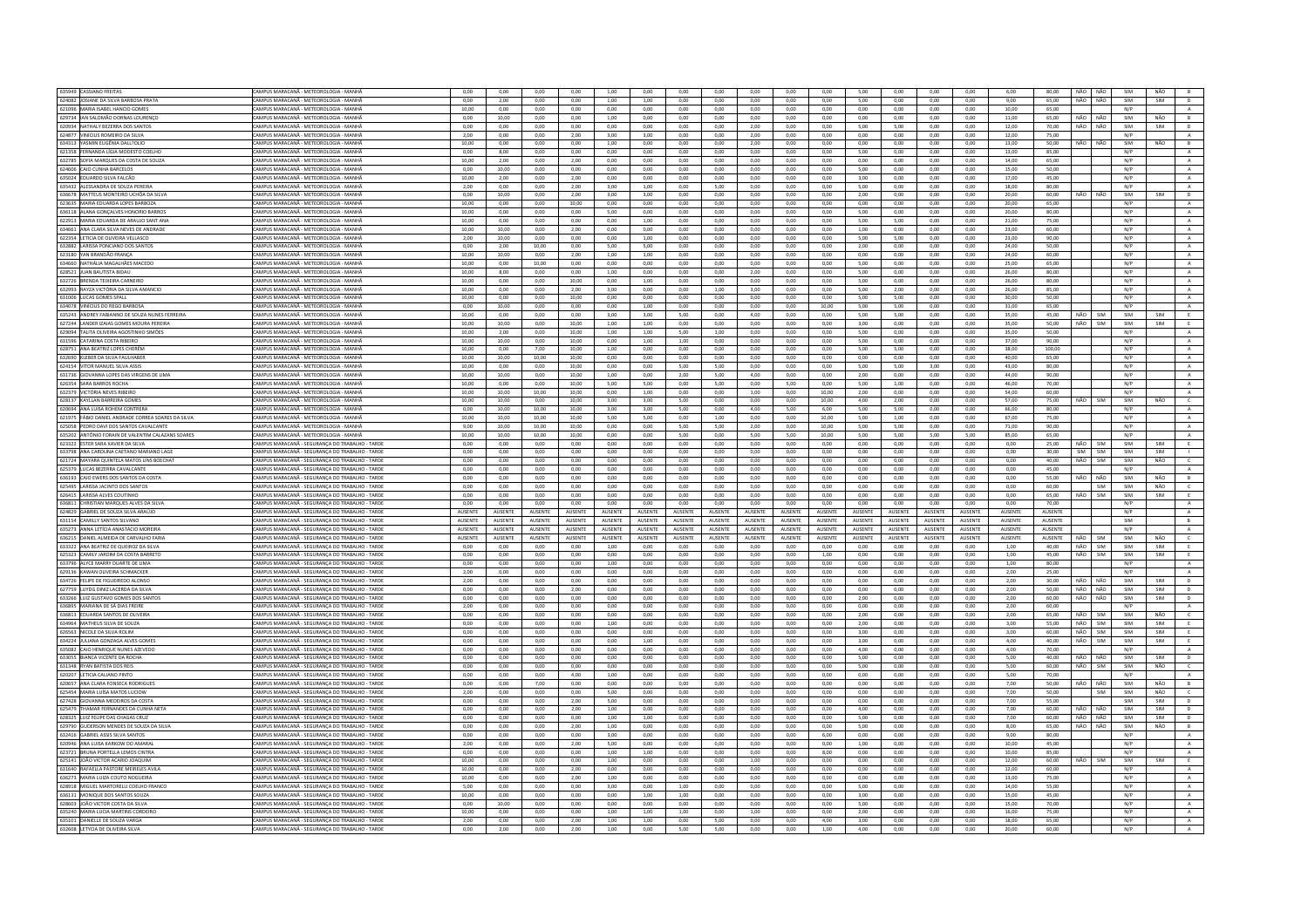| 635949 CASSIANO FREITAS                                            | CAMPUS MARACANĂ - METEOROLOGIA - MANHĂ                                                             | 0,00           | 0,00            | 0,00           | 0,00           | 1,00            | 0,00           | 0,00            | 0,00           | 0,00            | 0,00           | 0,00           | 5,00            | 0,00           | 0,00            | 0,00           | 6,00            | 80,00          |     | NÃO NÃO    | SIM | NÃO        | B              |
|--------------------------------------------------------------------|----------------------------------------------------------------------------------------------------|----------------|-----------------|----------------|----------------|-----------------|----------------|-----------------|----------------|-----------------|----------------|----------------|-----------------|----------------|-----------------|----------------|-----------------|----------------|-----|------------|-----|------------|----------------|
| 624082 JOSIANE DA SILVA BARBOSA PRATA                              | CAMPUS MARACANĂ - METEOROLOGIA - MANHĂ                                                             | 0.00           | 2.00            | 0.00           | 0.00           | 1.00            | 1.00           | 0.00            | 0.00           | 0.00            | 0.00           | 0.00           | 5.00            | 0.00           | 0.00            | 0.00           | 9.00            | 65.00          | NÃO | NÃO        | SIM | SIM        | $\overline{D}$ |
| 621096 MARIA ISABEL HANCIO GOMES                                   | CAMPUS MARACANĂ - METEOROLOGIA - MANHA                                                             | 10,00          | 0,00            | 0,00           | 0,00           | 0,00            | 0,00           | 0,00            | 0,00           | 0,00            | 0,00           | 0,00           | 0,00            | 0,00           | 0,00            | 0,00           | 10,00           | 65,00          |     |            | N/P |            |                |
| 629734 IAN SALOMÃO DORNAS LOURENCO                                 | AMPUS MARACANĂ - METEOROLOGIA - MANHA                                                              | 0.00           | 10.00           | 0.00           | 0.00           | 1.00            | 0.00           | 0.00            | 0.00           | 0.00            | 0.00           | 0.00           | 0.00            | 0.00           | 0.00            | 0.00           | 11.00           | 65.00          | NÃO | NÃO        | SIM | NÃO        | B              |
| 620934 NATHALY BEZERRA DOS SANTOS                                  | CAMPUS MARACANĂ - METEOROLOGIA - MANH                                                              | 0.00           | 0.00            | 0.00           | 0.00           | 0.00            | 0,00           | 0.00            | 0.00           | 2.00            | 0.00           | 0,00           | 5.00            | 5,00           | 0,00            | 0.00           | 12,00           | 70.00          | NÃO | NÃO        | SIM | SIM        | D              |
| 624877 VINÍCIUS ROMEIRO DA SILVA                                   | CAMPUS MARACANĂ - METEOROLOGIA - MANHA                                                             | 2.00           | 0.00            | 0.00           | 2.00           | 3.00            | 3.00           | 0.00            | 0.00           | 2.00            | 0.00           | 0.00           | 0.00            | 0.00           | 0.00            | 0.00           | 12.00           | 75.00          |     |            | N/P |            | A              |
|                                                                    |                                                                                                    |                |                 |                |                |                 |                |                 |                |                 |                |                |                 |                |                 |                |                 |                |     |            |     |            |                |
| 634313 VASMIN FUGÊNIA DALL20LIO                                    | CAMPUS MARACANĂ - METEOROLOGIA - MANHĂ                                                             | 10.00          | 0.00            | 0.00           | 0.00           | 1.00            | 0.00           | 0.00            | 0.00           | 2.00            | 0.00           | 0.00           | 0.00            | 0.00           | 0.00            | 0.00           | 13.00           | 50.00          | NÃO | NÃO        | SIM | NÃO        | B              |
| 621358 FERNANDA LÍGIA MODESTO COELHO                               | <b>AMPUS MARACANĂ - METEOROLOGIA - MANHA</b>                                                       | 0.00           | 8.00            | 0.00           | 0.00           | 0.00            | 0.00           | 0.00            | 0.00           | 0.00            | 0.00           | 0.00           | 5.00            | 0.00           | $_{0,00}$       | 0.00           | 13.00           | 85.00          |     |            | N/P |            | $\mathbf{A}$ . |
| 632785 SOFIA MARQUES DA COSTA DE SOUZA                             | CAMPUS MARACANĂ - METEOROLOGIA - MANHĂ                                                             | 10.00          | 2.00            | 0.00           | 2.00           | 0.00            | 0.00           | 0.00            | 0.00           | 0.00            | 0.00           | 0.00           | 0.00            | 0.00           | 0.00            | 0.00           | 14.00           | 65.00          |     |            | N/P |            | A              |
| 624606 CAIO CUNHA BARCELOS                                         | CAMPUS MARACANĂ - METEOROLOGIA - MANHĂ                                                             | 0.00           | 10.00           | 0.00           | 0.00           | 0.00            | 0.00           | 0.00            | 0.00           | 0.00            | 0.00           | 0.00           | 5.00            | 0.00           | 0.00            | 0.00           | 15,00           | 50.00          |     |            | N/P |            | $\mathbf{A}$   |
| 635024 EDUARDO SILVA FALCÃO                                        |                                                                                                    |                |                 |                |                |                 |                |                 |                |                 |                | 0,00           |                 |                | 0,00            |                |                 |                |     |            |     |            |                |
|                                                                    | AMPUS MARACANĂ - METEOROLOGIA - MANHĂ                                                              | 10,00          | 2,00            | 0,00           | 2,00           | 0,00            | 0,00           | 0,00            | 0,00           | 0,00            | 0,00           |                | 3,00            | 0,00           |                 | 0,00           | 17,00           | 45,00          |     |            | N/P |            | A              |
| 635432 ALESSANDRA DE SOUZA PEREIRA                                 | CAMPUS MARACANĂ - METEOROLOGIA - MANHĂ                                                             | 2,00           | 0,00            | 0,00           | 2,00           | 3,00            | 1,00           | 0,00            | 5,00           | 0,00            | 0,00           | 0,00           | 5,00            | 0,00           | 0,00            | 0,00           | 18,00           | 80,00          |     |            | N/P |            | $\mathbf{A}$   |
| 636678 MATTEUS MONTEIRO UCHÔA DA SILVA                             | CAMPUS MARACANĂ - METEOROLOGIA - MANH                                                              | 0,00           | 10,00           | 0,00           | 2,00           | 3,00            | 3,00           | 0,00            | 0,00           | 0,00            | 0,00           | 0,00           | 2,00            | 0,00           | 0,00            | 0,00           | 20,00           | 60,00          | NÃO | NÃO        | SIM | SIM        | D              |
| 623635 MARIA EDUARDA LOPES BARBOZA                                 | CAMPUS MARACANĂ - METEOROLOGIA - MANHĂ                                                             | 10.00          | 0.00            | 0.00           | 10.00          | 0.00            | 0.00           | 0.00            | 0.00           | 0.00            | 0.00           | 0.00           | 0.00            | 0.00           | 0.00            | 0.00           | 20.00           | 65.00          |     |            | N/P |            | A              |
| 636118 ALANA GONÇALVES HONORIO BARRO                               | AMPUS MARACANĂ - METEOROLOGIA - MANH                                                               | 10,00          | 0,00            | 0,00           | 0,00           | 5,00            | 0,00           | 0,00            | 0,00           | 0,00            | 0,00           | 0,00           | 5,00            | 0,00           | 0,00            | 0,00           | 20,00           | 80,00          |     |            | N/P |            | $\mathbf{A}$   |
| 622913 MARIA EDUARDA DE ARAUJO SANT ANJ                            | CAMPUS MARACANĂ - METEOROLOGIA - MANHÃ                                                             | 10,00          | 0,00            | 0,00           | 0,00           | 0,00            | 1,00           | 0,00            | 0,00           | 0,00            | 0,00           | 0,00           | 5,00            | 5,00           | 0,00            | 0,00           | 21,00           | 75,00          |     |            | N/P |            | A              |
|                                                                    |                                                                                                    |                |                 |                |                |                 |                |                 |                |                 |                |                |                 |                |                 |                |                 |                |     |            |     |            |                |
| 634661 ANA CLARA SILVA NEVES DE ANDRADE                            | CAMPUS MARACANĂ - METEOROLOGIA - MANHĂ                                                             | 10,00          | 10,00           | 0,00           | 2,00           | 0,00            | 0,00           | 0.00            | 0,00           | 0,00            | 0,00           | 0,00           | 1,00            | 0,00           | 0,00            | 0,00           | 23,00           | 60.00          |     |            | N/P |            | $\mathbf{A}$   |
| 622354 LETICIA DE OLIVEIRA VELLASCO                                | AMPUS MARACANĂ - METEOROLOGIA - MANHA                                                              | 2,00           | 10,00           | 0,00           | 0,00           | 0,00            | 1,00           | 0,00            | 0,00           | 0,00            | 0,00           | 0,00           | 5,00            | 5,00           | 0,00            | 0,00           | 23,00           | 90,00          |     |            | N/P |            | A              |
| 632882 LARISSA PONCIANO DOS SANTOS                                 | CAMPUS MARACANÃ - METEOROLOGIA - MANHÃ                                                             | 0.00           | 2.00            | 10.00          | 0.00           | 5.00            | 5.00           | 0.00            | 0.00           | 0.00            | 0.00           | 0.00           | 2.00            | 0.00           | 0.00            | 0.00           | 24.00           | 50.00          |     |            | N/P |            | $\mathbf{A}$   |
| 623180 YAN BRANDÃO FRANÇA                                          | CAMPUS MARACANĂ - METEOROLOGIA - MANHĂ                                                             | 10,00          | 10,00           | 0,00           | 2,00           | 1,00            | 1,00           | 0,00            | 0,00           | 0,00            | 0,00           | 0,00           | 0,00            | 0,00           | 0,00            | 0,00           | 24,00           | 60,00          |     |            | N/P |            | $\,$ A $\,$    |
| 634660 NATHÁLIA MAGALHÃES MACEDO                                   | CAMPUS MARACANĂ - METEOROLOGIA - MANHĂ                                                             | 10.00          | 0.00            | 10.00          | 0.00           | 0.00            | 0.00           | 0.00            | 0.00           | 0.00            | 0.00           | 0.00           | 5.00            | 0.00           | 0.00            | 0.00           | 25.00           | 65.00          |     |            | N/P |            | A              |
|                                                                    |                                                                                                    |                |                 |                |                |                 |                |                 |                |                 |                |                |                 |                |                 |                |                 |                |     |            |     |            |                |
| 628521 JUAN BAUTISTA BIDA                                          | AMPUS MARACANĂ - METEOROLOGIA - MANH                                                               | 10,00          | 8,00            | 0,00           | 0,00           | 1,00            | 0,00           | 0,00            | 0,00           | 2,00            | 0,00           | 0,00           | 5,00            | 0,00           | 0,00            | 0,00           | 26,00           | 80,00          |     |            | N/P |            | $\mathbf{A}$   |
| 632726 BRENDA TEIXEIRA CARNEIRO                                    | CAMPUS MARACANĂ - METEOROLOGIA - MANHA                                                             | 10.00          | 0.00            | 0.00           | 10.00          | 0.00            | 1.00           | 0.00            | 0.00           | 0.00            | 0.00           | 0.00           | 5.00            | 0.00           | 0.00            | 0.00           | 26.00           | 80.00          |     |            | N/P |            | A              |
| 632993 RAYZA VICTÓRIA DA SILVA AMANCIO                             | CAMPUS MARACANĂ - METEOROLOGIA - MANHĂ                                                             | 10.00          | 0.00            | 0.00           | 2.00           | 3.00            | 0.00           | 0.00            | 1.00           | 3.00            | 0.00           | $0.00 -$       | 5.00            | 2.00           | 0.00            | 0.00           | 26.00           | 85.00          |     |            | N/P |            | A              |
| 631006 LUCAS GOMES SPALL                                           | MPUS MARACANĂ - METEOROLOGIA - MANHA                                                               | 10,00          | 0.00            | 0.00           | 10,00          | 0.00            | 0.00           | 0.00            | 0.00           | 0.00            | 0.00           | 0.00           | 5.00            | 5.00           | 0,00            | 0,00           | 30.00           | 50.00          |     |            | N/P |            | $\,$ A $\,$    |
| 634078 VINÍCIUS DO REGO BARBOSA                                    | CAMPUS MARACANĂ - METEOROLOGIA - MANHĂ                                                             | 0.00           | 10.00           | 0.00           | 0.00           | 0.00            | 1.00           | 0.00            | 0.00           | 0.00            | 0.00           | 10.00          | 5.00            | 5.00           | 0.00            | 0.00           | 31.00           | 65.00          |     |            | N/P |            | A.             |
|                                                                    |                                                                                                    |                |                 |                |                |                 |                |                 |                |                 | 0.00           |                |                 |                |                 |                |                 |                | NÃO | SIM        | SIM | SIM        | E              |
| 635243 ANDREY FABIANNO DE SOUZA NUNES FERREIRA                     | CAMPUS MARACANĂ - METEOROLOGIA - MANHĂ                                                             | 10,00          | 0,00            | 0,00           | 0,00           | 3,00            | 3,00           | 5,00            | 0,00           | 4,00            |                | 0,00           | 5,00            | 5,00           | 0,00            | 0,00           | 35,00           | 45,00          |     |            |     |            |                |
| 627244 LANDER IZAIAS GOMES MOURA PEREIRA                           | CAMPUS MARACANĂ - METEOROLOGIA - MANHĂ                                                             | 10.00          | 10.00           | 0.00           | 10.00          | 1.00            | 1.00           | 0.00            | 0.00           | 0.00            | 0.00           | 0.00           | 3.00            | 0.00           | 0.00            | 0.00           | 35.00           | 50.00          | NÃO | SIM        | SIM | SIM        | E              |
| 629094 TALITA OLIVEIRA AGOSTINHO SIMÕES                            | CAMPUS MARACANÃ - METEOROLOGIA - MANHÍ                                                             | 10,00          | 2.00            | 0.00           | 10.00          | 1,00            | 1,00           | 5.00            | 1,00           | 0.00            | 0.00           | $_{0,00}$      | 5,00            | 0.00           | $_{0,00}$       | 0,00           | 35,00           | 50.00          |     |            | N/P |            | $\,$ A         |
| 631596 CATARINA COSTA RIBEIRO                                      | CAMPUS MARACANĂ - METEOROLOGIA - MANHĂ                                                             | 10.00          | 10.00           | 0.00           | 10.00          | 0.00            | 1.00           | 1.00            | 0.00           | 0.00            | 0.00           | 0.00           | 5.00            | 0.00           | 0.00            | 0.00           | 37.00           | 90.00          |     |            | N/P |            | A              |
| 628751 ANA BEATRIZ LOPES CHERÉM                                    | CAMPUS MARACANĂ - METEOROLOGIA - MANHĂ                                                             | 10.00          | 0.00            | 7.00           | 10.00          | 1.00            | 0.00           | 0.00            | 0.00           | 0.00            | 0.00           | 0.00           | 5.00            | 5.00           | 0.00            | 0.00           | 38.00           | 100.00         |     |            | N/P |            | $\Lambda$      |
|                                                                    | AMPUS MARACANĂ - METEOROLOGIA - MANHA                                                              |                | 10,00           |                | 10,00          | 0,00            | 0,00           | 0,00            | 0,00           | 0,00            | 0,00           | 0,00           | 0,00            | 0,00           | 0,00            |                | 40,00           | 65,00          |     |            | N/P |            |                |
| 632690 KLEBER DA SILVA FAULHABER                                   |                                                                                                    | 10,00          |                 | 10,00          |                |                 |                |                 |                |                 |                |                |                 |                |                 | $_{0,00}$      |                 |                |     |            |     |            | $\mathbf{A}$   |
| 624154 VITOR MANUEL SILVA ASSIS                                    | CAMPUS MARACANĂ - METEOROLOGIA - MANHĂ                                                             | 10.00          | 0.00            | 0.00           | 10.00          | 0.00            | 0.00           | 5.00            | 5.00           | 0.00            | 0.00           | 0.00           | 5.00            | 5.00           | 3.00            | 0.00           | 43.00           | 80.00          |     |            | N/P |            | A              |
| 631736 GIOVANNA LOPES DAS VIRGENS DE LIMA                          | CAMPUS MARACANĂ - METEOROLOGIA - MANHĂ                                                             | 10,00          | 10,00           | 0,00           | 10,00          | 1,00            | 0,00           | 2,00            | 5,00           | 4,00            | 0,00           | 0,00           | 2,00            | 0,00           | 0,00            | 0,00           | 44,00           | 90,00          |     |            | N/P |            | $\mathbf{A}$   |
| 626354 SARA BARROS ROCHA                                           | AMPUS MARACANĂ - METEOROLOGIA - MANHA                                                              | 10,00          | 0,00            | 0,00           | 10,00          | 5,00            | 5,00           | 0,00            | 5,00           | 0,00            | 5,00           | 0,00           | 5,00            | 1,00           | 0,00            | 0,00           | 46,00           | 70,00          |     |            | N/P |            | A              |
| 632379 VICTÓRIA NEVES RIBEIRO                                      | CAMPUS MARACANĂ - METEOROLOGIA - MANHÂ                                                             | 10,00          | 10.00           | 10.00          | 10.00          | 0.00            | 1,00           | 0.00            | 0.00           | 1,00            | 0.00           | 10.00          | 2,00            | 0.00           | 0.00            | 0.00           | 54.00           | 60.00          |     |            | N/P |            | A              |
| 628137 KAYLLAN BARREIRA GOMES                                      | CAMPUS MARACANĂ - METEOROLOGIA - MANHĂ                                                             | 10.00          | 10,00           | 0,00           | 10,00          | 3,00            | 3,00           | 5,00            | 0,00           | 0,00            | 0,00           | 10,00          | 4,00            | 2,00           | 0,00            | 0,00           | 57.00           | 75.00          | NÃO | SIM        | SIM | NÃO        | $\epsilon$     |
|                                                                    |                                                                                                    |                |                 |                |                |                 |                |                 |                |                 |                |                |                 |                |                 |                |                 |                |     |            |     |            |                |
| 620694 ANA LUISA ROHEM CONTRERA                                    | CAMPUS MARACANĂ - METEOROLOGIA - MANHĂ                                                             | 0.00           | 10.00           | 10.00          | 10.00          | 3.00            | 3.00           | 5.00            | 0.00           | 4.00            | 5.00           | 6.00           | 5.00            | 5.00           | 0.00            | 0.00           | 66.00           | 80.00          |     |            | N/P |            | A              |
| 621975 FÁBIO DANIEL ANDRADE CORREA SOARES DA SILVA                 | CAMPUS MARACANĂ - METEOROLOGIA - MANHA                                                             | 10,00          | 10,00           | 10,00          | 10,00          | 5,00            | 5,00           | 0,00            | 1,00           | 0,00            | 0,00           | 10,00          | 5,00            | 1,00           | 0,00            | 0,00           | 67,00           | 75,00          |     |            | N/P |            | $\mathbf{A}$   |
| 625058 PEDRO DAVI DOS SANTOS CAVALCANTE                            | CAMPUS MARACANĂ - METEOROLOGIA - MANH                                                              | 9.00           | 10.00           | 10.00          | 10.00          | 0.00            | 0.00           | 5.00            | 5.00           | 2.00            | 0.00           | 10.00          | 5.00            | 5.00           | 0.00            | 0.00           | 71.00           | 90.00          |     |            | N/P |            | A              |
| 635202 ANTÔNIO FORAIN DE VALENTIM CALAZANS SOARES                  | CAMPUS MARACANĂ - METEOROLOGIA - MANH                                                              | 10,00          | 10,00           | 10,00          | 10,00          | 0,00            | 0,00           | 5,00            | 0,00           | 5,00            | 5,00           | 10,00          | 5,00            | 5,00           | 5,00            | 5,00           | 85,00           | 65,00          |     |            | N/P |            | $\,$ A $\,$    |
| 623322 ESTER SARA XAVIER DA SILVA                                  | MPUS MARACANĂ - SEGURANÇA DO TRABALHO - TARDE                                                      | 0,00           | 0,00            | 0,00           | 0,00           | 0,00            | 0,00           | 0,00            | 0,00           | 0,00            | 0,00           | 0,00           | 0.00            | 0,00           | 0,00            | 0,00           | 0,00            | 25.00          | NÃO | <b>SIM</b> | SIM | SIM        | E              |
|                                                                    | CAMPUS MARACANÃ - SEGURANÇA DO TRABALHO - TARDE                                                    | 0.00           | 0.00            | 0.00           | 0.00           |                 |                | 0.00            | 0.00           | 0.00            | 0.00           |                | 0.00            |                | 0.00            | 0.00           | 0.00            |                |     | SIM        | SIM | SIM        |                |
| 633798 ANA CAROLINA CAETANO MARIANO LAGI                           |                                                                                                    |                |                 |                |                | 0.00            | 0.00           |                 |                |                 |                | 0.00           |                 | 0.00           |                 |                |                 | 30.00          | SIM |            |     |            |                |
| 621724 MAYARA QUINTELA MATOS LINS BOECHAT                          | CAMPUS MARACANĂ - SEGURANÇA DO TRABALHO - TARDE                                                    | 0.00           | 0.00            | 0.00           | 0.00           | 0.00            | 0.00           | 0.00            | 0.00           | 0.00            | 0.00           | 0.00           | 0.00            | 0.00           | 0,00            | 0,00           | 0.00            | 40.00          | NÃO | SIM        | SIM | NÃO        | $\epsilon$     |
|                                                                    |                                                                                                    |                |                 |                |                |                 |                |                 |                |                 |                |                |                 |                |                 |                |                 |                |     |            |     |            |                |
| 625379 LUCAS BEZERRA CAVALCANTE                                    | CAMPUS MARACANÃ - SEGURANCA DO TRABALHO - TARDE                                                    | 0.00           | 0.00            | 0.00           | 0.00           | 0.00            | 0.00           | 0.00            | 0.00           | 0.00            | 0.00           | 0.00           | 0.00            | 0.00           | 0.00            | 0.00           | 0.00            | 45.00          |     |            | N/P |            | A              |
|                                                                    |                                                                                                    |                |                 |                |                |                 |                |                 |                |                 |                |                |                 |                |                 |                |                 |                |     |            |     |            |                |
| 636193 CAIO EWERS DOS SANTOS DA COST/                              | CAMPUS MARACANA - SEGURANCA DO TRABALHO - TARDI                                                    | 0,00           | 0,00            | 0,00           | 0,00           | 0,00            | 0,00           | 0,00            | 0,00           | 0.00            | 0,00           | 0,00           | 0,00            | 0,00           | 0,00            | 0,00           | 0,00            | 55.00          | NÃO | NÃO        | SIM | NÃO        | B              |
| 625495 LARISSA JACINTO DOS SANTOS                                  | CAMPUS MARACANĂ - SEGURANCA DO TRABALHO - TARDE                                                    | 0.00           | 0.00            | 0.00           | 0.00           | 0.00            | 0.00           | 0.00            | 0.00           | 0.00            | 0.00           | 0.00           | 0.00            | 0.00           | 0.00            | 0.00           | 0.00            | 60.00          |     | SIM        | SIM | NÃO        | $\epsilon$     |
| 626415 LARISSA ALVES COUTINHO                                      | CAMPUS MARACANĂ - SEGURANÇA DO TRABALHO - TARDE                                                    | 0.00           | 0.00            | 0.00           | 0.00           | 0.00            | 0.00           | 0.00            | 0.00           | 0.00            | 0.00           | 0.00           | 0.00            | 0.00           | 0.00            | 0.00           | 0.00            | 65.00          | NÃO | SIM        | SIM | SIM        | E              |
| 636811 CHRISTIAN MARQUES ALVES DA SILVA                            | MPUS MARACANĂ - SEGURANCA DO TRABALHO - TARDE                                                      | 0,00           | 0.00            | 0.00           | 0,00           | 0.00            | 0.00           | 0,00            | 0.00           | 0.00            | 0,00           | 0.00           | 0.00            | 0,00           | 0.00            | 0,00           | 0.00            | 70.00          |     |            | N/P |            | $\mathbb A$    |
| 624829 GARRIEL DE SOUZA SILVA ARAÚIO                               | CAMPUS MARACANA - SEGURANCA DO TRARALHO - TARDE                                                    | <b>AUSENTE</b> | <b>ALISENTE</b> | <b>AUSENTE</b> | <b>AUSENTE</b> | <b>AUSENTE</b>  | <b>AUSENTE</b> | <b>ALISENTE</b> | <b>AUSENTE</b> | <b>ALISENTE</b> | <b>AUSENTE</b> | <b>AUSENTE</b> | <b>ALISENTE</b> | <b>AUSENTE</b> | <b>ALISENTE</b> | <b>AUSENTE</b> | <b>ALISENTE</b> | <b>AUSENTE</b> |     |            | N/P |            | A              |
| 631154 CAMILLY SANTOS SILVANO                                      |                                                                                                    | <b>AUSENTE</b> | <b>AUSENTE</b>  | <b>AUSENTE</b> | <b>AUSENTE</b> | AUSENTE         | <b>AUSENTE</b> | <b>AUSENTE</b>  | <b>AUSENTE</b> | <b>AUSENTE</b>  | AUSENTE        | AUSENTE        | <b>AUSENTE</b>  | <b>AUSENTE</b> | AUSENTE         | <b>AUSENTE</b> | <b>AUSENTE</b>  | AUSENTE        |     |            | SIM |            | B              |
| 635273 ANNA I FTÍCIA ANASTÁCIO MORFIRA                             | CAMPUS MARACANĂ - SEGURANÇA DO TRABALHO - TARDE<br>CAMPUS MARACANÃ - SEGURANÇA DO TRABALHO - TARDE | <b>AUSENTE</b> | <b>ALISENTE</b> | <b>AUSENTE</b> | <b>AUSENTE</b> | <b>ALISENTE</b> | <b>AUSENTE</b> | <b>ALISENTE</b> | <b>AUSENTE</b> | <b>ALISENTE</b> | <b>AUSENTE</b> | <b>AUSENTE</b> | <b>ALISENTE</b> | <b>AUSENTE</b> | <b>ALISENTE</b> | <b>AUSENTE</b> | <b>AUSENTE</b>  | <b>AUSENTE</b> |     |            | N/P |            | $\Lambda$      |
|                                                                    |                                                                                                    |                |                 |                |                |                 |                |                 |                |                 |                |                |                 |                |                 |                |                 |                |     |            |     |            |                |
| 636215 DANIEL ALMEIDA DE CARVALHO FARIA                            | CAMPUS MARACANĂ - SEGURANÇA DO TRABALHO - TARDI                                                    | AUSENTE        | <b>AUSENTE</b>  | <b>AUSENTE</b> | <b>AUSENTE</b> | <b>AUSENTE</b>  | AUSENTE        | AUSENTE         | AUSENTE        | <b>ALISENTE</b> | AUSENTE        | AUSENTE        | <b>ALISENTE</b> | AUSENTE        | AUSENTE         | <b>AUSENTE</b> | AUSENTE         | <b>AUSENTE</b> | NÃO | <b>SIM</b> | SIM | NÃO        | $\mathsf{C}$   |
| 633322 ANA BEATRIZ DE QUEIROZ DA SILVA                             | CAMPUS MARACANĂ - SEGURANÇA DO TRABALHO - TARDE                                                    | 0,00           | 0.00            | 0,00           | 0,00           | 1,00            | 0,00           | 0.00            | 0,00           | 0,00            | 0,00           | 0,00           | 0,00            | 0,00           | 0,00            | 0,00           | 1,00            | 40,00          | NÃO | SIM        | SIM | SIM        | E              |
| 625323 CAMILY JARDIM DA COSTA BARRETO                              | CAMPUS MARACANĂ - SEGURANÇA DO TRABALHO - TARDE                                                    | 0.00           | 0.00            | 0.00           | 0.00           | 0.00            | 0,00           | 0.00            | 0.00           | 0.00            | 0.00           | 1,00           | 0.00            | 0.00           | 0.00            | 0.00           | 1,00            | 45,00          | NÃO | SIM        | SIM | SIM        | E              |
| 633796 ALYCE MARRY DUARTE DE LIMA                                  | AMPUS MARACANĂ - SEGURANÇA DO TRABALHO - TARDI                                                     | 0,00           | 0,00            | 0,00           | 0,00           | 1,00            | 0,00           | 0,00            | 0,00           | 0,00            | 0,00           | 0,00           | 0,00            | 0,00           | 0,00            | 0,00           | 1,00            | 80,00          |     |            | N/P |            | $\mathbb A$    |
| 629136 KAWAN OLIVEIRA SCHMACKER                                    | CAMPUS MARACANĂ - SEGURANCA DO TRABALHO - TARDE                                                    | 2.00           | 0.00            | 0.00           | 0.00           | 0.00            | 0.00           | 0.00            | 0.00           | 0.00            | 0.00           | 0.00           | 0.00            | 0.00           | 0.00            | 0.00           | 2.00            | 25.00          |     |            | N/P |            | $\mathbf{A}$   |
|                                                                    |                                                                                                    |                |                 |                |                |                 |                |                 |                |                 |                |                |                 |                |                 |                |                 |                | NÃO |            |     |            |                |
| 634726 FELIPE DE FIGUEIREDO ALONSO                                 | CAMPUS MARACANÃ - SEGURANÇA DO TRABALHO - TARDE                                                    | 2,00           | 0,00            | 0,00           | 0,00           | 0,00            | 0,00           | 0,00            | 0,00           | 0,00            | 0,00           | 0,00           | 0,00            | 0,00           | 0,00            | 0,00           | 2,00            | 30,00          |     | NÃO        | SIM | SIM        | $\mathsf D$    |
| 627759 LUYDG DINIZ LACERDA DA SILVA                                | CAMPUS MARACANĂ - SEGURANCA DO TRABALHO - TARDE                                                    | 0.00           | 0.00            | 0.00           | 2.00           | 0.00            | 0.00           | 0.00            | 0.00           | 0.00            | 0.00           | 0.00           | 0.00            | 0.00           | 0.00            | 0.00           | 2.00            | 50.00          | NÃO | NÃO        | SIM | SIM        | D              |
| 633266 LUIZ GUSTAVO GOMES DOS SANTO                                | CAMPUS MARACANÃ - SEGURANÇA DO TRARALHO - TARDI                                                    | 0.00           | 0.00            | 0.00           | 0,00           | 0,00            | 0.00           | 0.00            | 0.00           | 0.00            | 0.00           | 0,00           | 2.00            | 0.00           | 0,00            | 0.00           | 2.00            | 60.00          | NÃO | NÃO        | SIM | SIM        | $\mathsf D$    |
| 636895 MARIANA DE SÁ DIAS FREIRE                                   | <b>CAMPUS MARACANĂ - SEGURANÇA DO TRABALHO - TARDE</b>                                             | 2,00           | 0,00            | 0,00           | 0,00           | 0,00            | 0,00           | 0,00            | 0,00           | 0,00            | 0,00           | 0,00           | 0,00            | 0,00           | 0,00            | 0,00           | 2,00            | 60.00          |     |            | N/P |            | A              |
| 636813 EDUARDA SANTOS DE OLIVEIRA                                  | CAMPUS MARACANÃ - SEGURANCA DO TRABALHO - TARDE                                                    | $0.00 -$       | 0.00            | 0.00           | 0.00           | 0.00            | 0.00           | 0.00            | 0.00           | 0.00            | 0.00           | $0.00 -$       | 200             | 0.00           | 0.00            | 0.00           | 2.00            | 65.00          | NÃO | SIM        | SIM | NÃO        | $\epsilon$     |
| 634964 MATHEUS SILVA DE SOUZA                                      | CAMPUS MARACANĂ - SEGURANÇA DO TRABALHO - TARDI                                                    | 0,00           | 0,00            | 0,00           | 0,00           | 1,00            | 0,00           | 0,00            | 0,00           | 0,00            | 0,00           | 0,00           | 2,00            | 0,00           | 0,00            | 0,00           | 3,00            | 55,00          | NÃO | SIM        | SIM | SIM        | E              |
| 626563 NICOLE DA SILVA ROLIM                                       | CAMPUS MARACANĂ - SEGURANCA DO TRABALHO - TARDE                                                    | 0.00           | 0.00            | 0.00           | 0.00           | 0.00            | 0.00           | 0.00            | 0.00           | 0.00            | 0.00           | 0.00           | 3.00            | 0.00           | 0.00            | 0.00           | 3.00            | 60.00          | NÃO | SIM        | SIM | SIM        | E              |
|                                                                    |                                                                                                    |                |                 |                |                |                 |                |                 |                |                 |                |                |                 |                |                 |                |                 |                |     |            |     |            |                |
| 634224 JULIANA GONZAGA ALVES GOMES                                 | CAMPUS MARACANĂ - SEGURANÇA DO TRABALHO - TARDE                                                    | 0,00           | 0,00            | 0,00           | 0,00           | 0,00            | 1,00           | 0,00            | 0,00           | 0,00            | 0,00           | 0,00           | 3,00            | 0,00           | 0,00            | 0,00           | 4,00            | 40,00          | NÃO | SIM        | SIM | SIM        |                |
| 635082 CAIO HENRIQUE NUNES AZEVEDO                                 | CAMPUS MARACANĂ - SEGURANCA DO TRABALHO - TARDE                                                    | 0.00           | 0.00            | 0.00           | 0.00           | 0.00            | 0.00           | 0.00            | 0.00           | 0.00            | 0.00           | 0.00           | 4.00            | 0.00           | 0.00            | 0.00           | 4.00            | 70.00          |     |            | N/P |            | $\mathbb{A}$   |
| 633055 BIANCA VICENTE DA ROCHA                                     | CAMPUS MARACANA - SEGURANCA DO TRARALHO - TARDE                                                    | 0.00           | 0.00            | 0.00           | 0.00           | 0.00            | 0.00           | 0.00            | 0.00           | 0.00            | 0.00           | 0.00           | 5.00            | 0.00           | 0.00            | 0.00           | 5.00            | 40.00          | NÃO | NÃO        | SIM | SIM        | D              |
| 631348 RYAN BATISTA DOS REIS                                       | CAMPUS MARACANĂ - SEGURANÇA DO TRABALHO - TARDE                                                    | 0.00           | 0.00            | 0.00           | 0.00           | 0.00            | 0.00           | 0.00            | 0.00           | 0.00            | 0.00           | 0.00           | 5.00            | 0.00           | 0,00            | 0.00           | 5.00            | 60.00          | NÃO | SIM        | SIM | NÃO        | $\epsilon$     |
| 620207 LETICIA CALIANO PINTO                                       | CAMPUS MARACANÃ - SEGURANÇA DO TRARALHO - TARDE                                                    | 0.00           | 0.00            | 0.00           | 4.00           | 1.00            | 0.00           | 0.00            | 0.00           | 0.00            | 0.00           | 0.00           | 0.00            | 0.00           | 0.00            | 0.00           | 5.00            | 70.00          |     |            | N/P |            | $\Lambda$      |
| 620657 ANA CLARA FONSECA RODRIGUES                                 | AMPUS MARACANĂ - SEGURANCA DO TRABALHO - TARDE                                                     | 0.00           | 0.00            | 7.00           |                |                 | 0.00           | 0.00            | 0.00           | 0.00            | 0.00           |                | 0.00            | 0.00           |                 | 0.00           | 7.00            | 50.00          | NÃO | NÃO        | SIM | NÃO        |                |
|                                                                    |                                                                                                    |                |                 |                | $_{0,00}$      | 0,00            |                |                 |                |                 |                | $_{0,00}$      |                 |                | $_{0,00}$       |                |                 |                |     |            |     |            | $\,$ B $\,$    |
| 625454 MARIA LUÍSA MATOS LUCIOW                                    | CAMPUS MARACANĂ - SEGURANCA DO TRABALHO - TARDE                                                    | 2.00           | 0.00            | 0.00           | 0.00           | 5.00            | 0.00           | 0.00            | 0.00           | 0.00            | 0.00           | 0.00           | 0.00            | 0.00           | 0.00            | 0.00           | 7.00            | 50.00          |     | SIM        | SIM | NÃO        | $\mathsf{C}$   |
| 627428 GIOVANNA MEDEIROS DA COSTA                                  | CAMPUS MARACANĂ - SEGURANCA DO TRABALHO - TARDE                                                    | 0.00           | 0.00            | 0.00           | 2.00           | 5,00            | 0.00           | 0.00            | 0.00           | 0.00            | 0.00           | 0.00           | 0.00            | 0.00           | 0.00            | 0.00           | 7.00            | 55.00          |     |            | SIM | SIM        | $\mathsf D$    |
| 625479 THAMAR FERNANDES DA CUNHA NETA                              | CAMPUS MARACANĂ - SEGURANÇA DO TRABALHO - TARDE                                                    | 0,00           | 0,00            | 0,00           | 2,00           | 1,00            | 0,00           | 0,00            | 0,00           | 0,00            | 0,00           | 0,00           | 4,00            | 0,00           | 0,00            | 0,00           | 7,00            | 60,00          | NÃO | NÃO        | SIM | <b>SIM</b> | D              |
| 628325 11112 FELIPE DAS CHAGAS CRUZ                                | CAMPUS MARACANA - SEGURANCA DO TRARALHO - TARDE                                                    | 0.00           | 0.00            | 0.00           | 0.00           | 1.00            | 1.00           | 0.00            | 0.00           | 0.00            | 0.00           | 0.00           | 500             | 0.00           | 0.00            | 0.00           | 7.00            | 60.00          | NÃO | NÃO        | SIM | SIM        | D              |
| 629790 GUDERSON MENDES DE SOUZA DA SILVA                           | CAMPUS MARACANÃ - SEGURANÇA DO TRABALHO - TARDE                                                    | 0,00           | 0,00            | 0,00           | 2,00           | 1,00            | 0,00           | 0,00            | 0,00           | 0,00            | 0,00           | 0,00           | 5,00            | 0,00           | 0,00            | 0,00           | 8,00            | 65,00          | NÃO | NÃO        | SIM | NÃO        | B              |
|                                                                    |                                                                                                    |                |                 |                |                |                 |                |                 |                |                 |                |                |                 |                |                 |                |                 |                |     |            |     |            |                |
| 632416 GABRIEL ASSIS SILVA SANTOS                                  | CAMPUS MARACANĂ - SEGURANCA DO TRABALHO - TARDE                                                    | 0.00           | 0.00            | 0.00           | 0.00           | 3.00            | 0.00           | 0.00            | 0.00           | 0.00            | 0.00           | 6.00           | 0.00            | 0.00           | 0.00            | 0.00           | 9.00            | 80.00          |     |            | N/P |            | $\mathbf{A}$   |
| 620946 ANA LUISA KARKOW DO AMARA                                   | CAMPUS MARACANĂ - SEGURANÇA DO TRABALHO - TARDI                                                    | 2,00           | 0,00            | 0,00           | 2,00           | 5,00            | 0,00           | 0,00            | 0,00           | 0,00            | 0,00           | 0,00           | 1,00            | 0,00           | 0,00            | 0,00           | 10,00           | 45,00          |     |            | N/P |            | $\mathbf{A}$   |
| 623721 BRUNA PORTELLA LEMOS CINTRA                                 | CAMPUS MARACANĂ - SEGURANÇA DO TRABALHO - TARDE                                                    | 0,00           | 0,00            | 0,00           | 0,00           | 1,00            | 1,00           | 0,00            | 0,00           | 0,00            | 0,00           | 8,00           | 0,00            | 0,00           | 0,00            | 0,00           | 10,00           | 85,00          |     |            | N/P |            | A              |
| 625141 JOÃO VICTOR ACARIO JOAQUIM                                  | CAMPUS MARACANĂ - SEGURANÇA DO TRABALHO - TARDE                                                    | 10,00          | 0,00            | 0,00           | 0,00           | 1,00            | 0,00           | 0.00            | 0,00           | 1,00            | 0,00           | 0,00           | 0,00            | 0,00           | 0,00            | 0,00           | 12,00           | 60.00          | NÃO | SIM        | SIM | SIM        | E              |
| 631640 RAFAELLA PASTORE MEIRELES AVILA                             | CAMPUS MARACANĂ - SEGURANÇA DO TRABALHO - TARDE                                                    | 10,00          | 0,00            | 0,00           | 2,00           | 0,00            | 0,00           | 0,00            | 0,00           | 0,00            | 0,00           | 0,00           | 0,00            | 0,00           | 0,00            | 0,00           | 12,00           | 60,00          |     |            | N/P |            | A              |
| 636273 MARIA LUIZA COUTO NOGUEIRA                                  | CAMPUS MARACANĂ - SEGURANCA DO TRABALHO - TARDE                                                    | 10.00          | 0.00            | 0.00           | 2.00           | 1.00            | 0.00           | 0.00            | 0.00           | 0.00            | 0.00           | 0.00           | 0.00            | 0.00           | 0.00            | 0.00           | 13.00           | 75.00          |     |            | N/P |            | A              |
|                                                                    |                                                                                                    |                |                 |                |                |                 |                |                 |                |                 |                |                |                 |                |                 |                |                 |                |     |            |     |            |                |
| 628918 MIGUEL MARTORELLI COELHO FRANCO                             | CAMPUS MARACANĂ - SEGURANÇA DO TRABALHO - TARDI                                                    | 5,00           | 0,00            | 0,00           | 0,00           | 3,00            | 0,00           | 1,00            | 0,00           | 0,00            | 0,00           | 0,00           | 5,00            | 0,00           | 0,00            | 0,00           | 14,00           | 55,00          |     |            | N/P |            | A              |
| 636131 MONIQUE DOS SANTOS SOUZA                                    | CAMPUS MARACANĂ - SEGURANCA DO TRABALHO - TARDE                                                    | 10.00          | 0.00            | 0.00           | 0.00           | 0.00            | 1.00           | 1.00            | 0.00           | 0.00            | 0.00           | 0.00           | 3.00            | 0.00           | 0.00            | 0.00           | 15.00           | 45.00          |     |            | N/P |            | A              |
| 628603 JOÃO VICTOR COSTA DA SILVA                                  | <b>CAMPUS MARACANA - SEGURANCA DO TRABALHO - TARDI</b>                                             | 0,00           | 10,00           | 0,00           | 0,00           | 0,00            | 0,00           | 0,00            | 0,00           | 0,00            | 0,00           | 0,00           | 5,00            | 0,00           | 0,00            | 0,00           | 15,00           | 70,00          |     |            | N/P |            | $\mathbf{A}$   |
| 635240 MARIA LUCIA MARTINS CORDEIRO                                | CAMPUS MARACANĂ - SEGURANCA DO TRABALHO - TARDE                                                    | 10.00          | 0,00            | 0.00           | 0,00           | 1.00            | 1.00           | 1,00            | 0.00           | 1.00            | 0.00           | 0,00           | 2.00            | 0.00           | 0,00            | 0.00           | 16.00           | 75.00          |     |            | N/P |            | $\mathbf{A}$   |
|                                                                    | CAMPUS MARACANA - SEGURANCA DO TRABALHO - TARDE                                                    | 2.00           | 0.00            | 0.00           | 2.00           | 1.00            | 1.00           | 0.00            | 5.00           | 0.00            | 0.00           | 4.00           | 3.00            | 0.00           | 0.00            | 0.00           | 18.00           | 65.00          |     |            | N/P |            |                |
| 635101 DANIELLE DE SOUZA VARGA<br>632608 LETYCIA DE OLIVEIRA SILVA | CAMPUS MARACANÃ - SEGURANCA DO TRABALHO - TARDI                                                    | 0.00           | 2.00            | 0.00           | 2.00           | 1.00            | 0.00           | 5.00            | 5.00           | 0.00            | 0.00           |                | 4.00            | 0.00           | 0.00            | 0.00           | 20.00           | 60.00          |     |            | N/P |            | A              |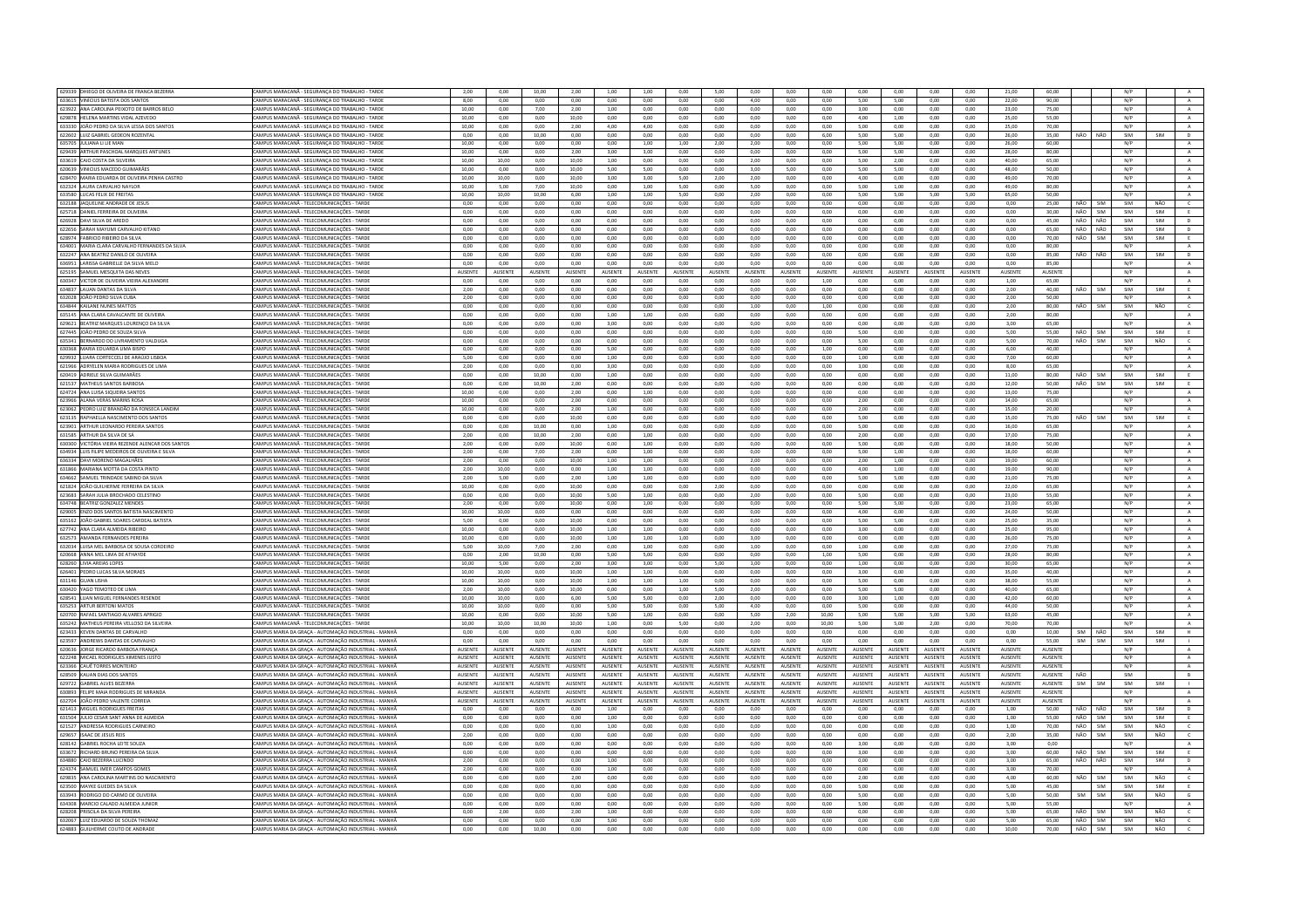| 629339 DHIEGO DE OLIVEIRA DE FRANÇA BEZERRA       | CAMPUS MARACANÃ - SEGURANÇA DO TRABALHO - TARDE        | 2,00           | 0,00            | 10,00          | 2,00              | 1,00            | 1,00           | 0,00            | 5,00            | 0,00            | 0,00           | 0,00           | 0,00            | 0,00           | 0,00            | 0,00           | 21,00           | 60,00           |                       |            | N/P |            |                |
|---------------------------------------------------|--------------------------------------------------------|----------------|-----------------|----------------|-------------------|-----------------|----------------|-----------------|-----------------|-----------------|----------------|----------------|-----------------|----------------|-----------------|----------------|-----------------|-----------------|-----------------------|------------|-----|------------|----------------|
| 633615 VINÍCIUS BATISTA DOS SANTOS                | CAMPUS MARACANĂ - SEGURANÇA DO TRABALHO - TARDE        | 8,00           | 0,00            | 0,00           | 0,00              | 0,00            | 0,00           | 0,00            | 0,00            | 4,00            | 0,00           | 0,00           | 5,00            | 5,00           | 0,00            | 0,00           | 22.00           | 90,00           |                       |            | N/P |            | $\mathbf{A}$   |
| 623922 ANA CAROLINA PEIXOTO DE BARROS BELO        | CAMPUS MARACANÃ - SEGURANCA DO TRABALHO - TARDE        | 10.00          | 0.00            | 7.00           | 2.00              | 1,00            | 0.00           | 0.00            | 0.00            | 0.00            | 0.00           | 0.00           | 3.00            | 0.00           | 0.00            | 0.00           | 23.00           | 75.00           |                       |            | N/P |            | A              |
| 629878 HELENA MARTINS VIDAL AZEVEDO               | AMPUS MARACANĂ - SEGURANÇA DO TRABALHO - TARDE         | 10,00          | 0,00            | 0,00           | 10,00             | 0,00            | 0,00           | 0,00            | 0,00            | 0,00            | 0,00           | 0,00           | 4,00            | 1,00           | 0,00            | 0,00           | 25,00           | 55.00           |                       |            | N/P |            | $\,$ A $\,$    |
|                                                   |                                                        |                |                 |                |                   |                 |                |                 |                 |                 |                |                |                 |                |                 |                |                 |                 |                       |            |     |            |                |
| 633330 JOÃO PEDRO DA SILVA LESSA DOS SANTOS       | CAMPUS MARACANÃ - SEGURANÇA DO TRABALHO - TARDE        | 10.00          | 0.00            | 0.00           | 2.00 <sub>1</sub> | 4.00            | 400            | 0.00            | 0.00            | 0.00            | 0.00           | 0.00           | 5.00            | 0.00           | 0.00            | 0.00           | 25.00           | 70.00           |                       |            | N/P |            | A              |
| 622602 LUIZ GABRIEL GEDEON ROZENTAL               | CAMPUS MARACANĂ - SEGURANÇA DO TRABALHO - TARDE        | 0,00           | 0,00            | 10,00          | 0,00              | 0,00            | 0,00           | 0,00            | 0,00            | 0,00            | 0,00           | 6,00           | 5,00            | 5,00           | 0,00            | 0,00           | 26,00           | 35,00           | NÃO                   | NÃO        | SIM | SIM        | D              |
| 635705 JULIANA LI LIE MAN                         | AMPUS MARACANĂ - SEGURANCA DO TRABALHO - TARDE         | 10.00          | 0.00            | 0.00           | 0.00              | 0.00            | 1.00           | 1.00            | 2.00            | 2.00            | 0.00           | 0.00           | 5.00            | 5.00           | 0.00            | 0.00           | 26.00           | 60.00           |                       |            | N/P |            | A              |
| 629439 ARTHUR PASCHOAL MARQUES ANTUNES            | CAMPUS MARACANĂ - SEGURANCA DO TRABALHO - TARDI        | 10,00          | 0,00            | 0,00           | 2,00              | 3,00            | 3,00           | 0,00            | 0,00            | 0.00            | 0,00           | 0,00           | 5,00            | 5,00           | 0,00            | 0,00           | 28,00           | 80,00           |                       |            | N/P |            | $\mathbb A$    |
| 633619 CAIO COSTA DA SILVEIRA                     | CAMPUS MARACANĂ - SEGURANCA DO TRABALHO - TARDE        | 10.00          | 10.00           | 0.00           | 10.00             | 1.00            | 0.00           | 0.00            | 0.00            | 2.00            | 0.00           | 0.00           | 5.00            | 2.00           | 0,00            | 0.00           | 40.00           | 65.00           |                       |            | N/P |            | $\mathbf{A}$   |
|                                                   |                                                        |                |                 |                |                   |                 |                |                 |                 |                 |                |                |                 |                |                 |                |                 |                 |                       |            |     |            |                |
| 620639 VINICIUS MACEDO GUIMARÃES                  | CAMPUS MARACANA - SEGURANCA DO TRARALHO - TARDE        | 10.00          | 0.00            | 0.00           | 10.00             | 5.00            | 5.00           | 0.00            | 0.00            | 3.00            | 5.00           | $0.00 -$       | 500             | 5.00           | 0.00            | 0.00           | 48.00           | 50.00           |                       |            | N/P |            | A              |
| 628470 MARIA EDUARDA DE OLIVEIRA PENHA CASTRO     | <b>CAMPUS MARACANA - SEGURANCA DO TRABALHO - TARDE</b> | 10.00          | 10.00           | 0.00           | 10.00             | 3.00            | 3.00           | 5.00            | 2.00            | 2.00            | 0.00           | 0.00           | 4.00            | 0.00           | 0.00            | 0.00           | 49.00           | 70.00           |                       |            | N/P |            | $\mathbf{A}$   |
| 632324 I AURA CARVALHO NAYLOR                     | CAMPUS MARACANA - SEGURANCA DO TRARALHO - TARDE        | 10.00          | 500             | 7.00           | 10.00             | 0.00            | 1.00           | 5.00            | 0.00            | 5.00            | 0.00           | 0.00           | 5.00            | 1.00           | 0.00            | 0.00           | 49.00           | 80.00           |                       |            | N/P |            | A              |
| 633580 LUCAS FELIX DE FREITAS                     | CAMPUS MARACANĂ - SEGURANÇA DO TRABALHO - TARDE        | 10.00          | 10.00           | 10.00          | 6,00              | 1,00            | 1,00           | 5.00            | 0.00            | 2.00            | 0.00           | 0.00           | 5.00            | 5.00           | 5.00            | 5,00           | 65,00           | 50.00           |                       |            | N/P |            | $\mathbf{A}$   |
| 632188 JAQUELINE ANDRADE DE JESUS                 | CAMPUS MARACANĂ - TELECOMUNICACÕES - TARDE             | 0.00           | 0.00            | 0.00           | 0.00              | 0.00            | 0.00           |                 | 0.00            |                 |                | 0.00           |                 | 0.00           | 0.00            |                | 0.00            | 25.00           | NÃO                   | <b>SIM</b> | SIM | NÃO        | $\epsilon$     |
|                                                   |                                                        |                |                 |                |                   |                 |                | 0.00            |                 | 0.00            | 0.00           |                | 0.00            |                |                 | 0.00           |                 |                 |                       |            |     |            |                |
| 625718 DANIEL FERREIRA DE OLIVEIRA                | CAMPUS MARACANĂ - TELECOMUNICAÇÕES - TARDI             | 0,00           | 0,00            | 0,00           | 0,00              | 0,00            | 0,00           | 0,00            | 0,00            | 0,00            | 0,00           | 0,00           | 0,00            | 0,00           | 0,00            | 0,00           | 0,00            | 30,00           | NÃO                   | SIM        | SIM | SIM        | E              |
| 626928 DAVI SILVA DE AREDO                        | CAMPUS MARACANA - TELECOMUNICACÕES - TARDI             | 0.00           | 0.00            | 0.00           | 0.00              | 0.00            | 0.00           | 0.00            | 0.00            | 0.00            | 0.00           | 0.00           | 0.00            | 0.00           | 0.00            | 0.00           | 0.00            | 45.00           | NÃO                   | NÃO        | SIM | SIM        | $\mathbf{D}$   |
| 622656 SARAH MAYUMI CARVALHO KITANO               | "AMPUS MARACANĂ - TELECOMUNICACÕES - TARDE             | $0.00 -$       | 0.00            | 0.00           | 0.00              | 0.00            | 0.00           | 0.00            | 0.00            | 0.00            | 0.00           | 0.00           | 0.00            | 0.00           | 0.00            | 0.00           | 0.00            | 65.00           | NÃO                   | NÃO        | SIM | SIM        | $\mathbb{R}$   |
| 628974 FABRICIO RIBEIRO DA SILVA                  | AMPUS MARACANĂ - TELECOMUNICAÇÕES - TARDI              | 0,00           | 0,00            | 0,00           | 0,00              | 0,00            | 0,00           | 0,00            | 0,00            | 0,00            | 0,00           | 0,00           | 0,00            | 0,00           | 0,00            | 0,00           | 0,00            | 70,00           | NÃO                   | SIM        | SIM | SIM        | E              |
|                                                   |                                                        |                |                 |                |                   |                 |                |                 |                 |                 |                |                |                 |                |                 |                |                 |                 |                       |            |     |            |                |
| 634001 MARIA CLARA CARVALHO FERNANDES DA SILVA    | CAMPUS MARACANĂ - TELECOMUNICACÕES - TARDE             | 0.00           | 0.00            | 0.00           | 0.00              | 0.00            | 0.00           | 0.00            | 0.00            | 0.00            | 0.00           | 0.00           | 0.00            | 0.00           | 0.00            | 0.00           | 0.00            | 80.00           |                       |            | N/P |            | A              |
| 632247 ANA BEATRIZ DANILO DE OLIVEIRA             | CAMPUS MARACANĂ - TELECOMUNICAÇÕES - TARDE             | 0,00           | 0,00            | 0,00           | 0,00              | 0,00            | 0,00           | 0.00            | 0,00            | 0,00            | 0,00           | 0,00           | 0,00            | 0,00           | 0,00            | 0,00           | 0,00            | 85,00           | NÃO                   | NÃO        | SIM | SIM        | $\mathsf D$    |
| 636951 LARISSA GABRIELLE DA SILVA MELO            | AMPUS MARACANĂ - TELECOMUNICAÇÕES - TARDI              | 0,00           | 0,00            | 0,00           | 0,00              | 0,00            | 0,00           | 0,00            | 0,00            | 0,00            | 0,00           | 0,00           | 0,00            | 0,00           | 0,00            | 0,00           | 0,00            | 85,00           |                       |            | N/P |            | A              |
| 625195 SAMUEL MESQUITA DAS NEVES                  | CAMPUS MARACANĂ - TELECOMUNICACÕES - TARDI             | <b>AUSENTE</b> | AUSENTE         | <b>AUSENTE</b> | <b>AUSENTE</b>    | <b>AUSENTE</b>  | AUSENTE        | <b>ALISENTE</b> | AUSENTE         | <b>AUSENTE</b>  | <b>AUSENTE</b> | <b>AUSENTE</b> | <b>AUSENTE</b>  | <b>AUSENTE</b> | AUSENTE         | <b>AUSENTE</b> | <b>AUSENTE</b>  | AUSENTE         |                       |            | N/P |            | A              |
| 630347 VICTOR DE OLIVEIRA VIEIRA ALEXANDRI        |                                                        | 0.00           | 0.00            | 0.00           | 0.00              | 0.00            | 0.00           | 0.00            | 0.00            | 0.00            | 0.00           |                | 0.00            | 0.00           |                 | 0.00           | 1.00            | 65.00           |                       |            | N/P |            | $\mathbf{A}$   |
|                                                   | CAMPUS MARACANĂ - TELECOMUNICAÇÕES - TARDE             |                |                 |                |                   |                 |                |                 |                 |                 |                | 1,00           |                 |                | 0,00            |                |                 |                 |                       |            |     |            |                |
| 634837 LAUAN DANTAS DA SILVA                      | CAMPUS MARACANĂ - TELECOMUNICACÕES - TARDE             | 2.00           | 0.00            | 0.00           | 0.00              | 0.00            | 0.00           | 0.00            | 0.00            | 0.00            | 0.00           | 0.00           | 0.00            | 0.00           | 0.00            | 0.00           | 2.00            | 40.00           | NÃO                   | SIM        | SIM | SIM        | E              |
| 632028 JOÃO PEDRO SILVA CUBA                      | CAMPUS MARACANĂ - TELECOMUNICAÇÕES - TARDI             | 2,00           | 0,00            | 0,00           | 0,00              | 0,00            | 0,00           | 0,00            | 0,00            | 0,00            | 0,00           | 0,00           | 0,00            | 0,00           | 0,00            | 0,00           | 2,00            | 50,00           |                       |            | N/P |            | $\mathbf{A}$   |
| 634844 KAILANE NUNES MATTOS                       | CAMPUS MARACANĂ - TELECOMUNICACÕES - TARDE             | 0.00           | 0.00            | 0.00           | 0.00              | 0.00            | 0.00           | 0.00            | 0.00            | 1.00            | 0.00           | 1.00           | 0.00            | 0.00           | 0.00            | 0.00           | 2.00            | 80.00           | NÃO                   | SIM        | SIM | NÃO        | $\epsilon$     |
| 635145 ANA CLARA CAVALCANTE DE OLIVEIRA           | CAMPUS MARACANĂ - TELECOMUNICAÇÕES - TARDE             | 0.00           | 0.00            | 0.00           | 0.00              | 1.00            | 1,00           | 0.00            | 0.00            | 0.00            | 0.00           | 0.00           | 0.00            | 0.00           | 0.00            | 0.00           | 2.00            | 80.00           |                       |            | N/P |            | A              |
|                                                   |                                                        |                |                 |                |                   |                 |                |                 |                 |                 |                |                |                 |                |                 |                |                 |                 |                       |            |     |            |                |
| 629621 BEATRIZ MARQUES LOURENÇO DA SILVA          | MPUS MARACANĂ - TELECOMUNICAÇÕES - TARDE               | 0,00           | 0,00            | 0,00           | 0,00              | 3,00            | 0,00           | 0,00            | 0,00            | 0,00            | 0,00           | 0,00           | 0,00            | 0,00           | 0,00            | 0,00           | 3,00            | 65.00           |                       |            | N/P |            | A              |
| 627445 JOÃO PEDRO DE SOUZA SILVA                  | CAMPUS MARACANÃ - TELECOMUNICAÇÕES - TARDI             | 0.00           | 0.00            | 0.00           | 0.00              | 0.00            | 0.00           | 0.00            | 0.00            | 0.00            | 0.00           | 0.00           | 5.00            | 0.00           | 0.00            | 0.00           | 5.00            | 55.00           | NÃO                   | <b>SIM</b> | SIM | SIM        | E              |
| 635341 BERNARDO DO LIVRAMENTO VALDUGA             | CAMPUS MARACANĂ - TELECOMUNICAÇÕES - TARDE             | 0.00           | 0.00            | 0.00           | 0,00              | 0.00            | 0.00           | 0.00            | 0,00            | 0,00            | 0.00           | 0.00           | 5,00            | 0.00           | 0,00            | 0,00           | 5.00            | 70.00           | NÃO                   | SIM        | SIM | NÃO        | $\epsilon$     |
| 630368 MARIA EDUARDA LIMA BISPO                   | CAMPUS MARACANĂ - TELECOMUNICACÕES - TARDE             | 0.00           | 0.00            | 0.00           | 0.00              | 5.00            | 0.00           | 0.00            | 0.00            | 0.00            | 0.00           | 1.00           | 0.00            | 0.00           | 0.00            | 0.00           | 6.00            | 40.00           |                       |            | N/P |            | A              |
| 629932 LUARA CORTECCELI DE ARAÚJO LISBO           | CAMPUS MARACANĂ - TELECOMUNICACÕES - TARD              | 5,00           | 0,00            | 0,00           | 0,00              | 1,00            | 0,00           | 0,00            | 0,00            | 0,00            | 0,00           | 0,00           | 1,00            | 0,00           | 0,00            | 0,00           | 7,00            | 60,00           |                       |            | N/P |            | $\,$ A $\,$    |
|                                                   |                                                        |                |                 |                |                   |                 |                |                 |                 |                 |                |                |                 |                |                 |                |                 |                 |                       |            |     |            |                |
| 621966 ADRYELEN MARIA RODRIGUES DE LIMA           | CAMPUS MARACANĂ - TELECOMUNICACÕES - TARDE             | 2.00           | 0.00            | 0.00           | 0.00              | 3.00            | 0.00           | 0.00            | 0.00            | 0.00            | 0.00           | 0.00           | 3.00            | 0.00           | 0.00            | 0.00           | 8.00            | 65.00           |                       |            | N/P |            | A              |
| 620419 ADRIELE SILVA GUIMARÃES                    | CAMPUS MARACANĂ - TELECOMUNICAÇÕES - TARDE             | 0.00           | 0.00            | 10.00          | 0.00              | 1.00            | 0.00           | 0.00            | 0.00            | 0.00            | 0.00           | 0.00           | 0.00            | 0.00           | 0.00            | 0.00           | 11.00           | 80.00           | NÃO                   | <b>SIM</b> | SIM | <b>SIM</b> | E              |
| 621537 MATHEUS SANTOS BARBOSA                     | MPUS MARACANĂ - TELECOMUNICACÕES - TARDI               | 0.00           | 0,00            | 10,00          | 2,00              | 0,00            | 0,00           | 0,00            | 0,00            | 0,00            | 0,00           | 0,00           | 0,00            | 0,00           | 0,00            | 0,00           | 12,00           | 50.00           | NÃO                   | <b>SIM</b> | SIM | SIM        | Ε.             |
| 624724 ANA LUISA SIQUEIRA SANTOS                  | CAMPUS MARACANĂ - TELECOMUNICACÕES - TARDE             | 10.00          | 0.00            | 0.00           | 2.00              | 0.00            | 1.00           | 0.00            | 0.00            | 0.00            | 0.00           | 0.00           | 0.00            | 0.00           | 0.00            | 0.00           | 13.00           | 75.00           |                       |            | N/P |            | $\mathbf{A}$   |
|                                                   |                                                        |                |                 |                |                   |                 |                |                 |                 |                 |                |                |                 |                |                 |                |                 |                 |                       |            |     |            |                |
| 623966 ALANA VERAS MARINS ROSA                    | CAMPUS MARACANA - TELECOMUNICACÕES - TARDI             | 10.00          | 0.00            | 0.00           | 2.00              | 0.00            | 0.00           | 0.00            | 0.00            | 0.00            | 0.00           | 0.00           | 2.00            | 0.00           | 0.00            | 0.00           | 14.00           | 65.00           |                       |            | N/P |            | A              |
| 623062 PEDRO LUIZ BRANDÃO DA FONSECA LANDIM       | CAMPUS MARACANĂ - TELECOMUNICACÕES - TARDE             | 10.00          | 0.00            | 0.00           | 2.00              | 1.00            | 0.00           | 0.00            | 0.00            | 0.00            | 0.00           | 0.00           | 2.00            | 0.00           | 0.00            | 0.00           | 15.00           | 20.00           |                       |            | N/P |            | A              |
| 623135 RAPHAELLA NASCIMENTO DOS SANTOS            | CAMPUS MARACANĂ - TELECOMUNICACÕES - TARD              | 0,00           | 0,00            | 0,00           | 10,00             | 0,00            | 0,00           | 0,00            | 0,00            | 0.00            | 0,00           | 0,00           | 5,00            | 0,00           | 0,00            | 0,00           | 15,00           | 75,00           | NÃO                   | SIM        | SIM | SIM        | E              |
| 623901 ARTHUR LEONARDO PEREIRA SANTOS             | CAMPUS MARACANĂ - TELECOMUNICACÕES - TARDI             | 0.00           | 0.00            | 10.00          | 0.00              | 1.00            | 0.00           | 0.00            | 0.00            | 0.00            | 0.00           | 0.00           | 5.00            | 0.00           | 0.00            | 0.00           | 16.00           | 65.00           |                       |            | N/P |            | A              |
|                                                   |                                                        |                |                 |                |                   |                 |                |                 |                 |                 |                |                |                 |                |                 |                |                 |                 |                       |            |     |            |                |
| 631585 ARTHUR DA SILVA DE SÁ                      | CAMPUS MARACANĂ - TELECOMUNICAÇÕES - TARDE             | 2.00           | 0.00            | 10.00          | 2.00              | 0.00            | 1,00           | 0.00            | 0.00            | 0.00            | 0.00           | 0.00           | 2.00            | 0.00           | 0.00            | 0.00           | 17,00           | 75.00           |                       |            | N/P |            | $\,$ A $\,$    |
| 630300 VICTÓRIA VIEIRA REZENDE ALENCAR DOS SANTOS | AMPUS MARACANĂ - TELECOMUNICACÕES - TARDI              | 2.00           | 0.00            | 0.00           | 10.00             | 0.00            | 1.00           | 0.00            | 0.00            | 0.00            | 0.00           | 0.00           | 5.00            | 0.00           | 0.00            | 0.00           | 18.00           | 50.00           |                       |            | N/P |            | $\mathbf{A}$   |
| 634934 LUIS FILIPE MEDEIROS DE OLIVEIRA E SILVA   | CAMPUS MARACANĂ - TELECOMUNICACÕES - TARDE             | 2.00           | 0.00            | 7.00           | 2.00              | 0.00            | 1.00           | 0.00            | 0.00            | 0.00            | 0.00           | 0.00           | 5.00            | 1.00           | 0.00            | 0.00           | 18.00           | 60.00           |                       |            | N/P |            | $\,$ A $\,$    |
| 636334 DAVI MORENO MAGALHÃES                      | CAMPUS MARACANĂ - TELECOMUNICAÇÕES - TARDI             | 2,00           | 0,00            | 0,00           | 10,00             | 1,00            | 1,00           | 0,00            | 0,00            | 2,00            | 0,00           | 0,00           | 2,00            | 1,00           | 0,00            | 0,00           | 19,00           | 60,00           |                       |            | N/P |            | $\mathbf{A}$   |
|                                                   |                                                        |                |                 |                |                   |                 |                |                 |                 |                 |                |                |                 |                |                 |                |                 |                 |                       |            |     |            |                |
| 631866 MARIANA MOTTA DA COSTA PINTO               | CAMPUS MARACANĂ - TELECOMUNICAÇÕES - TARDE             | 2,00           | 10,00           | 0,00           | 0,00              | 1,00            | 1,00           | 0,00            | 0,00            | 0,00            | 0,00           | 0,00           | 4,00            | 1,00           | 0,00            | 0,00           | 19,00           | 90,00           |                       |            | N/P |            | A              |
|                                                   |                                                        |                |                 |                |                   |                 |                |                 |                 |                 |                |                |                 |                | 0,00            | 0,00           |                 |                 |                       |            |     |            |                |
| 634662 SAMUEL TRINDADE SABINO DA SILVA            | CAMPUS MARACANĂ - TELECOMUNICACÕES - TARD              | 2,00           | 5,00            | 0,00           | 2,00              | 1,00            | 1,00           | 0,00            | 0,00            | 0.00            | 0,00           | 0,00           | 5,00            | 5,00           |                 |                | 21,00           | 75,00           |                       |            | N/P |            | $\,$ A $\,$    |
|                                                   |                                                        | 10,00          | 0,00            | 0,00           | 10,00             | 0,00            | 0,00           | 0,00            | 2,00            | 0,00            | 0,00           | 0,00           |                 | 0,00           | 0,00            | 0,00           | 22,00           | 65,00           |                       |            | N/P |            |                |
| 621824 JOÃO GUILHERME FERREIRA DA SILVA           | CAMPUS MARACANĂ - TELECOMUNICAÇÕES - TARDE             |                |                 |                |                   |                 |                |                 |                 |                 |                |                | 0,00            |                |                 |                |                 |                 |                       |            |     |            | A              |
| 623683 SARAH JULIA BROCHADO CELESTINO             | CAMPUS MARACANĂ - TELECOMUNICAÇÕES - TARDE             | 0.00           | 0.00            | 0.00           | 10.00             | 5.00            | 1.00           | 0.00            | 0.00            | 2.00            | 0.00           | 0.00           | 5.00            | 0.00           | 0.00            | 0.00           | 23.00           | 55.00           |                       |            | N/P |            | A              |
| 634748 BEATRIZ GONZALEZ MENDES                    | AMPUS MARACANĂ - TELECOMUNICAÇÕES - TARDI              | 2,00           | 0,00            | 0,00           | 10,00             | 0,00            | 1,00           | 0,00            | 0,00            | 0,00            | 0,00           | 0,00           | 5,00            | 5,00           | 0,00            | 0,00           | 23,00           | 65,00           |                       |            | N/P |            | $\,$ A $\,$    |
| 629005 ENZO DOS SANTOS BATISTA NASCIMENTO         | CAMPUS MARACANĂ - TELECOMUNICACÕES - TARDE             | 10.00          | 10.00           | 0.00           | 0.00              | 0.00            | 0.00           | 0.00            | 0.00            | 0.00            | 0.00           | 0.00           | 4.00            | 0.00           | 0.00            | 0.00           | 24.00           | 50.00           |                       |            | N/P |            | A              |
| 635162 JOÃO GABRIEL SOARES CARDEAL BATISTA        | CAMPUS MARACANĂ - TELECOMUNICAÇÕES - TARDI             | 5,00           | 0,00            | 0,00           | 10,00             | 0,00            | 0,00           | 0,00            | 0,00            | 0,00            | 0,00           | 0,00           | 5,00            | 5,00           | 0,00            | 0,00           | 25,00           | 35,00           |                       |            | N/P |            | A              |
|                                                   |                                                        |                |                 |                |                   |                 |                |                 |                 |                 |                |                |                 |                |                 |                |                 |                 |                       |            |     |            |                |
| 627742 ANA CLARA ALMEIDA RIBEIRO                  | CAMPUS MARACANĂ - TELECOMUNICACÕES - TARDE             | 10.00          | 0.00            | 0.00           | 10.00             | 1.00            | 1.00           | 0.00            | 0.00            | 0.00            | 0.00           | 0.00           | 3.00            | 0.00           | 0.00            | 0.00           | 25.00           | 95.00           |                       |            | N/P |            | A              |
| 632573 AMANDA FERNANDES PEREIRA                   | CAMPUS MARACANÃ - TELECOMUNICACÕES - TARDE             | 10.00          | 0.00            | 0.00           | 10.00             | 1,00            | 1,00           | 1,00            | 0.00            | 3.00            | 0.00           | 0,00           | 0.00            | 0.00           | 0,00            | 0.00           | 26.00           | 75.00           |                       |            | N/P |            | $\mathbf{A}$   |
| 632034 LUISA MEL BARBOSA DE SOUSA CORDEIRO        | CAMPUS MARACANĂ - TELECOMUNICAÇÕES - TARDE             | 5.00           | 10,00           | 7,00           | 2,00              | 0.00            | 1,00           | 0.00            | 0.00            | 1,00            | 0.00           | 0,00           | 1,00            | 0.00           | 0,00            | 0,00           | 27.00           | 75.00           |                       |            | N/P |            | $\,$ A $\,$    |
| 620668 ANNA MEL LIMA DE ATHAYDE                   | CAMPUS MARACANĂ - TELECOMUNICACÕES - TARDE             | 0.00           | 200             | 10.00          | 0.00              | 5.00            | 5.00           | 0.00            | 0.00            | 0.00            | 0.00           | 1.00           | 5.00            | 0.00           | 0.00            | 0.00           | 28.00           | 80.00           |                       |            | N/P |            | A              |
| 628260 LIVIA AREIAS LOPES                         | CAMPUS MARACANĂ - TELECOMUNICAÇÕES - TARDI             | 10,00          | 5,00            | 0,00           | 2,00              | 3,00            | 3,00           | 0,00            | 5,00            | 1,00            | 0,00           | 0,00           | 1,00            | 0,00           | 0,00            | 0,00           | 30,00           | 65,00           |                       |            | N/P |            | $\mathbf{A}$   |
| 626401 PEDRO LUCAS SILVA MORAES                   | CAMPUS MARACANĂ - TELECOMUNICACÕES - TARDE             | 10.00          | 10.00           | 0.00           | 10.00             | 1.00            | 1.00           | 0.00            | 0.00            | 0.00            | 0.00           | 0.00           | 3.00            | 0.00           | 0.00            | 0.00           | 35.00           | 40.00           |                       |            | N/P |            | A              |
|                                                   |                                                        |                |                 |                |                   |                 |                |                 |                 |                 |                |                |                 |                |                 |                |                 |                 |                       |            |     |            |                |
| 631146 GUAN LISHA                                 | CAMPUS MARACANĂ - TELECOMUNICAÇÕES - TARDE             | 10,00          | 10,00           | 0,00           | 10,00             | 1,00            | 1,00           | 1,00            | 0,00            | 0,00            | 0,00           | 0,00           | 5,00            | 0,00           | 0,00            | 0,00           | 38,00           | 55,00           |                       |            | N/P |            | A              |
| 630420 YAGO TEMOTEO DE LIMA                       | CAMPUS MARACANĂ - TELECOMUNICACÕES - TARDE             | 2.00           | 10.00           | 0.00           | 10.00             | 0.00            | 0.00           | 1.00            | 5.00            | 2.00            | 0.00           | 0.00           | 5.00            | 5.00           | 0.00            | 0.00           | 40.00           | 65.00           |                       |            | N/P |            | A              |
| 628541 LUAN MIGUEL FERNANDES RESENDE              | CAMPUS MARACANÃ - TELECOMUNICACÕES - TARDI             | 10.00          | 10.00           | 0.00           | 6.00              | 5.00            | 5.00           | 0.00            | 2.00            | 0.00            | 0.00           | 0.00           | 3.00            | 1.00           | 0.00            | 0.00           | 42.00           | 60.00           |                       |            | N/P |            | A              |
| 635253 ARTUR BERTONI MATOS                        | CAMPUS MARACANĂ - TELECOMUNICAÇÕES - TARDE             | 10.00          | 10.00           | 0.00           | 0.00              | 5.00            | 5.00           | 0.00            | 5.00            | 4.00            | 0.00           | 0.00           | 5.00            | 0.00           | 0.00            | 0.00           | 44.00           | 50.00           |                       |            | N/P |            | $\mathbf{A}$   |
| 620700 RAFAEL SANTIAGO ALVARES APRIGIO            | CAMPUS MARACANÃ - TELECOMUNICACÕES - TARDE             | 10.00          | 0.00            | 0.00           | 10.00             | 5.00            | 1.00           | 0.00            | 0.00            | 500             | 2.00           | 10.00          | 500             | 5.00           | 5.00            | 5.00           | 63.00           | 45.00           |                       |            | N/P |            | $\Lambda$      |
|                                                   | CAMPUS MARACANĂ - TELECOMUNICACÕES - TARDI             |                | 10.00           | 10.00          | 10.00             |                 |                |                 | 0.00            |                 |                | 10.00          |                 | 5.00           |                 |                |                 | 70.00           |                       |            | N/P |            |                |
| 635242 MATHEUS PEREIRA VELLOSO DA SILVEIRA        |                                                        | 10,00          |                 |                |                   | 1,00            | 0,00           | 5,00            |                 | 2,00            | 0,00           |                | 5,00            |                | 2,00            | 0,00           | 70,00           |                 |                       |            |     |            | A              |
| 623433 KEVEN DANTAS DE CARVALHO                   | CAMPUS MARIA DA GRACA - AUTOMACÃO INDUSTRIAL - MANHÃ   | 0.00           | 0.00            | 0.00           | 0.00              | 0.00            | 0.00           | 0.00            | 0.00            | 0.00            | 0.00           | 0.00           | 0.00            | 0.00           | 0.00            | 0.00           | 0.00            | 10.00           | SIM                   | NÃO        | SIM | SIM        | H.             |
| 623597 ANDREWS DANTAS DE CARVALHO                 | CAMPUS MARIA DA GRACA - AUTOMACÃO INDUSTRIAL - MANHÃ   | 0.00           | 0.00            | 0.00           | 0.00              | 0.00            | 0.00           | 0.00            | 0.00            | 0.00            | 0.00           | 0.00           | 0.00            | 0.00           | 0.00            | 0.00           | 0.00            | 55.00           | SIM                   | SIM        | SIM | SIM        |                |
| 620636 JORGE RICARDO BARBOSA FRANCI               | CAMPUS MARIA DA GRACA - AUTOMACÃO INDUSTRIAL - MANHÃ   | AUSENTE        | <b>AUSENTE</b>  | <b>AUSENTE</b> | <b>AUSENTE</b>    | <b>AUSENTE</b>  | AUSENTE        | <b>AUSENTE</b>  | <b>AUSENTE</b>  | <b>AUSENTE</b>  | AUSENTE        | AUSENTE        | <b>AUSENTE</b>  | <b>AUSENTE</b> | <b>AUSENTE</b>  | <b>AUSENTE</b> | <b>AUSENTE</b>  | AUSENTE         |                       |            | N/P |            | $\mathsf{A}$   |
| 622248 MICAEL RODRIGUES XIMENES JUSTC             | CAMPUS MARIA DA GRACA - AUTOMAÇÃO INDUSTRIAL - MANHÃ   | <b>AUSENTE</b> | <b>ALISENTE</b> | <b>AUSENTE</b> | <b>AUSENTE</b>    | <b>AUSENTE</b>  | <b>AUSENTE</b> | <b>ALISENTE</b> | <b>ALISENTE</b> | <b>ALISENTE</b> | <b>AUSENTE</b> | <b>AUSENTE</b> | <b>ALISENTE</b> | <b>AUSENTE</b> | <b>ALISENTE</b> | <b>AUSENTE</b> | <b>ALISENTE</b> | <b>ALISENTE</b> |                       |            | N/P |            | A              |
|                                                   |                                                        |                |                 |                |                   |                 |                |                 |                 |                 |                |                |                 |                |                 |                |                 |                 |                       |            |     |            |                |
| 623366 CAUL TORRES MONTEIRO                       | CAMPUS MARIA DA GRACA - AUTOMACÃO INDUSTRIAL - MANHÂ   | AUSENTE        | <b>AUSENTE</b>  | <b>AUSENTE</b> | AUSENTE           | AUSENTE         | <b>AUSENTE</b> | AUSENTE         | AUSENTE         | <b>AUSENTE</b>  | AUSENTE        | <b>AUSENTE</b> | AUSENTE         | AUSENTE        | AUSENTE         | <b>AUSENTE</b> | <b>AUSENTE</b>  | AUSENTE         |                       |            | N/P |            | A              |
| 628509 KAUAN DIAS DOS SANTOS                      | CAMPUS MARIA DA GRACA - AUTOMAÇÃO INDUSTRIAL - MANHÃ   | <b>AUSENTE</b> | <b>ALISENTE</b> | <b>AUSENTE</b> | <b>AUSENTE</b>    | <b>ALISENTE</b> | <b>AUSENTE</b> | <b>ALISENTE</b> | <b>ALISENTE</b> | <b>ALISENTE</b> | <b>AUSENTE</b> | <b>AUSENTE</b> | <b>ALISENTE</b> | <b>AUSENTE</b> | <b>ALISENTE</b> | <b>AUSENTE</b> | <b>AUSENTE</b>  | <b>ALISENTE</b> | $N\overline{\Lambda}$ |            | SIM |            | B              |
| 629722 GABRIEL ALVES BEZERRA                      | AMPUS MARIA DA GRAÇA - AUTOMAÇÃO INDUSTRIAL - MANH     | AUSENTE        | <b>AUSENTI</b>  | AUSENTE        | AUSENTE           | AUSENTE         | AUSENTE        | <b>NUSENTE</b>  | AUSENTE         | AUSENTE         | AUSENTE        | AUSENTE        | AUSENTE         | AUSENTE        | AUSENTE         | AUSENTE        | AUSENTE         | AUSENTE         | SIM                   |            | SIM | SIM        |                |
| 630893 FELIPE MAIA RODRIGUES DE MIRANDA           | CAMPUS MARIA DA GRAÇA - AUTOMAÇÃO INDUSTRIAL - MANHÃ   | AUSENTE        | AUSENTE         | AUSENTE        | AUSENTE           | AUSENTE         | AUSENTE        | AUSENTE         | AUSENTE         | AUSENTE         | AUSENTE        | AUSENTE        | AUSENTE         | AUSENTE        | AUSENTE         | AUSENTE        | AUSENTE         | AUSENTE         |                       |            | N/P |            | A              |
| 632704 JOÃO PEDRO VALENTE CORREIA                 | CAMPUS MARIA DA GRACA - AUTOMACÃO INDUSTRIAL - MANHÃ   | AUSENTE        | <b>AUSENTE</b>  | <b>AUSENTE</b> | AUSENTE           | <b>AUSENTE</b>  | AUSENTE        | <b>AUSENTE</b>  | AUSENTE         | <b>AUSENTE</b>  | <b>AUSENTE</b> | AUSENTE        | AUSENTE         | <b>AUSENTE</b> | AUSENTE         | AUSENTE        | <b>AUSENTE</b>  | AUSENTE         |                       |            | N/P |            | A              |
|                                                   |                                                        |                |                 |                |                   |                 |                |                 |                 |                 |                |                |                 |                |                 |                |                 |                 |                       |            |     |            |                |
| 621413 MIGUEL RODRIGUES FREITAS                   | AMPUS MARIA DA GRAÇA - AUTOMAÇÃO INDUSTRIAL - MANHÃ    | 0,00           | 0,00            | 0,00           | 0,00              | 1,00            | 0,00           | 0,00            | 0,00            | 0,00            | 0,00           | 0,00           | 0,00            | 0,00           | 0,00            | 0,00           | 1,00            | 50,00           | NÃO                   | NÃO        | SIM | SIM        | D              |
| 631504 JULIO CESAR SANT ANNA DE ALMEIDA           | CAMPUS MARIA DA GRACA - AUTOMAÇÃO INDUSTRIAL - MANHÂ   | 0.00           | 0.00            | 0.00           | 0.00              | 1.00            | 0.00           | 0.00            | 0.00            | 0.00            | 0.00           | 0.00           | 0.00            | 0.00           | 0.00            | 0.00           | 1.00            | 55.00           | NÃO                   | SIM        | SIM | SIM        | E              |
| 621527 ANDRESSA RODRIGUES CARNEIRO                | CAMPUS MARIA DA GRAÇA - AUTOMAÇÃO INDUSTRIAL - MANHÃ   | 0,00           | 0,00            | 0,00           | 0,00              | 1,00            | 0,00           | 0,00            | 0,00            | 0,00            | 0,00           | 0,00           | 0,00            | 0,00           | 0,00            | 0,00           | 1,00            | 70,00           | NÃO                   | SIM        | SIM | NÃO        | $\mathsf{C}^-$ |
| 629657 ISAAC DE JESUS REIS                        | CAMPUS MARIA DA GRACA - AUTOMACÃO INDUSTRIAL - MANHÃ   | 2.00           | 0.00            | 0.00           | 0.00              | 0.00            | 0.00           | 0.00            | 0.00            | 0.00            | 0.00           | 0.00           | 0.00            | 0.00           | 0.00            | 0.00           | 2.00            | 35.00           | NÃO                   | SIM        | SIM | NÃO        | $\epsilon$     |
|                                                   |                                                        |                |                 |                |                   |                 |                |                 |                 |                 |                |                |                 |                |                 |                |                 |                 |                       |            |     |            |                |
| 628142 GABRIEL ROCHA LEITE SOUZ                   | CAMPUS MARIA DA GRAÇA - AUTOMAÇÃO INDUSTRIAL - MANHÂ   | 0,00           | 0,00            | 0,00           | 0,00              | 0,00            | 0,00           | 0,00            | 0,00            | 0,00            | 0,00           | 0,00           | 3,00            | 0,00           | 0,00            | 0,00           | 3,00            | 0,00            |                       |            | N/P |            | $\mathbb A$    |
| 633672 RICHARD BRUNO PEREIRA DA SILVA             | CAMPUS MARIA DA GRAÇA - AUTOMAÇÃO INDUSTRIAL - MANHÃ   | 0,00           | 0,00            | 0,00           | 0,00              | 0,00            | 0,00           | 0,00            | 0,00            | 0,00            | 0,00           | 0,00           | 3,00            | 0,00           | 0,00            | 0,00           | 3,00            | 60.00           | NÃO                   | SIM        | SIM | SIM        | E              |
| 634880 CAIO BEZERRA LUCINDO                       | CAMPUS MARIA DA GRACA - AUTOMAÇÃO INDUSTRIAL - MANHÃ   | 2.00           | 0,00            | 0,00           | 0.00              | 1,00            | 0,00           | 0.00            | 0,00            | 0.00            | 0.00           | 0.00           | 0.00            | 0.00           | 0,00            | 0.00           | 3,00            | 65.00           | NÃO                   | NÃO        | SIM | SIM        | D              |
| 624374 SAMUEL IMER CAMPOS GOMES                   | CAMPUS MARIA DA GRAÇA - AUTOMAÇÃO INDUSTRIAL - MANHÃ   | 2,00           | 0,00            | 0,00           | 0,00              | 1,00            | 0.00           | 0,00            | 0,00            | 0,00            | 0,00           | 0,00           | 0,00            | 0,00           | 0,00            | 0,00           | 3,00            | 70.00           |                       |            | N/P |            | A              |
| 629835 ANA CAROLINA MARTINS DO NASCIMENTO         | CAMPUS MARIA DA GRACA - AUTOMACÃO INDUSTRIAL - MANHÃ   | 0.00           | 0.00            | 0.00           | 2.00              | 0.00            | 0.00           | 0.00            | 0.00            | 0.00            | 0.00           | 0.00           | 2.00            | 0.00           | 0.00            | 0.00           | 4.00            | 60.00           | NÃO                   | SIM        | SIM | NÃO        | $\epsilon$     |
|                                                   |                                                        |                |                 |                |                   |                 |                |                 |                 |                 |                |                |                 |                |                 |                |                 |                 |                       |            |     |            |                |
| 623500 MAYKE GUEDES DA SILVA                      | CAMPUS MARIA DA GRAÇA - AUTOMAÇÃO INDUSTRIAL - MANHÃ   | 0,00           | 0,00            | 0,00           | 0,00              | 0,00            | 0,00           | 0,00            | 0,00            | 0,00            | 0,00           | 0,00           | 5,00            | 0,00           | 0,00            | 0,00           | 5,00            | 45,00           |                       | SIM        | SIM | SIM        |                |
| 633943 RODRIGO DO CARMO DE OLIVEIRA               | AMPUS MARIA DA GRACA - AUTOMACÃO INDUSTRIAL - MANHÃ    | 0.00           | 0.00            | 0.00           | 0.00              | 0.00            | 0.00           | 0.00            | 0.00            | 0.00            | 0.00           | 0.00           | 5.00            | 0.00           | 0.00            | 0.00           | 5.00            | 50.00           | SIM                   | SIM        | SIM | NÃO        | G              |
| 634308 MARCIO CALADO ALMEIDA JUNIO                | AMPUS MARIA DA GRACA - AUTOMACÃO INDUSTRIAL - MANH     | 0,00           | 0,00            | 0,00           | 0,00              | 0,00            | 0,00           | 0,00            | 0,00            | 0,00            | 0,00           | 0,00           | 5,00            | 0,00           | 0,00            | 0,00           | 5,00            | 55,00           |                       |            | N/P |            | $\mathbb A$    |
| 628208 PRISCILA DA SILVA PEREIRA                  | CAMPUS MARIA DA GRAÇA - AUTOMAÇÃO INDUSTRIAL - MANHÃ   | 0.00           | 2,00            | 0.00           | 2,00              | 1.00            | 0.00           | 0.00            | 0.00            | 0.00            | 0.00           | 0,00           | 0.00            | 0.00           | 0,00            | 0.00           | 5,00            | 65.00           | NÃO                   | SIM        | SIM | NÃO        | $\epsilon$     |
| 632067 LUIZ EDUARDO DE SOUZA THOMAZ               | CAMPUS MARIA DA GRACA - AUTOMACÃO INDUSTRIAL - MANHÃ   | $0.00 -$       | 0.00            | 0.00           | 0.00              | 5.00            | 0.00           | 0.00            | 0.00            | 0.00            | 0.00           | 0.00           | 0.00            | 0.00           | 0.00            | 0.00           | 5.00            | 65.00           | NÃO                   | SIM        | SIM | NÃO        |                |
| 624883 GUILHERME COUTO DE ANDRAD                  | CAMPUS MARIA DA GRACA - AUTOMACÃO INDUSTRIAL - MANH.   | 0.00           | 0.00            | 10.00          | 0.00              | 0.00            | 0.00           | 0.00            | 0.00            | 0.00            | 0.00           | 0.00           | 0.00            | 0.00           | 0.00            | 0.00           | 10.00           | 70.00           | NÃO                   | SIM        | SIM | NÃO        | $\epsilon$     |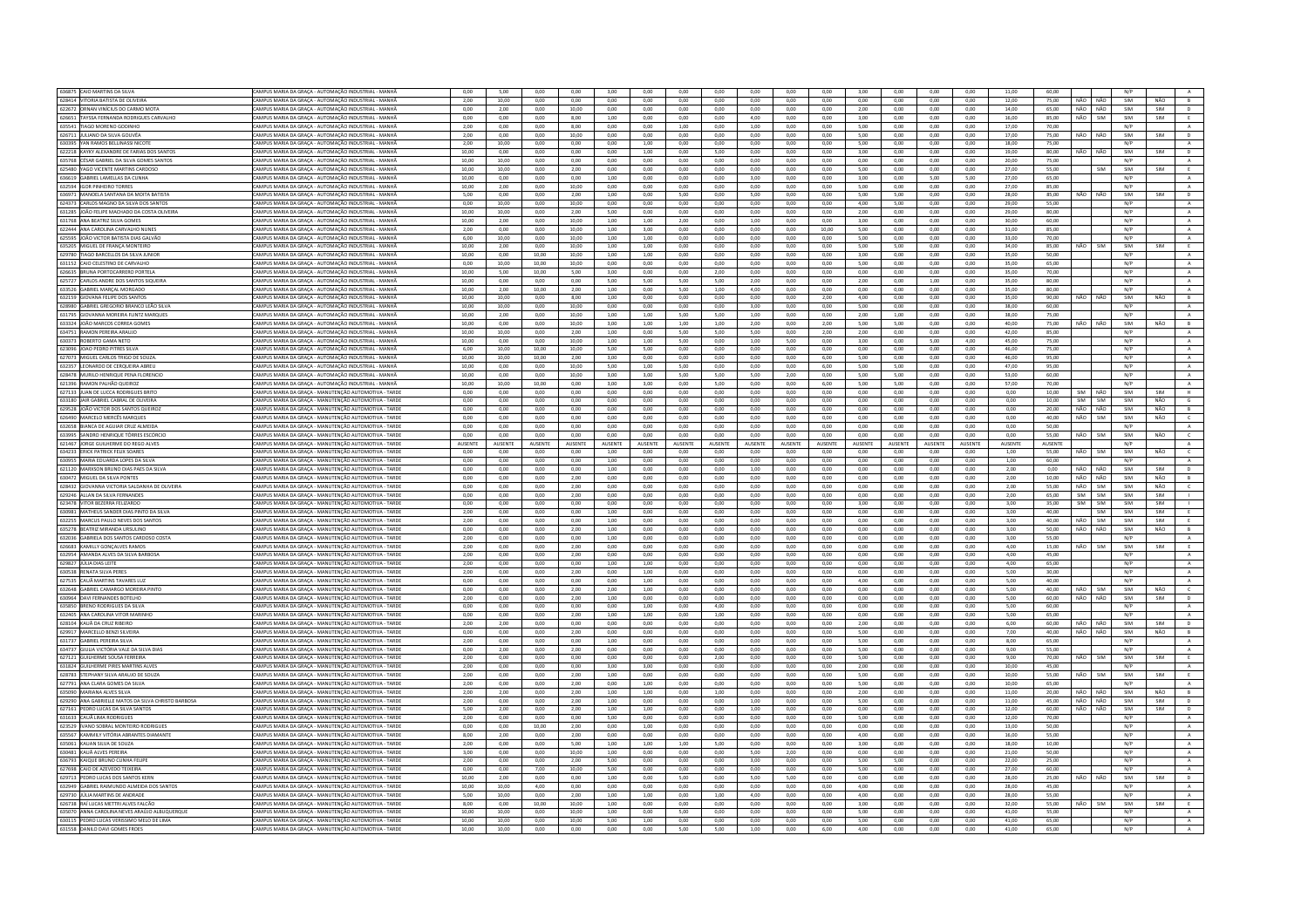| 636875 CAIO MARTINS DA SILVA                                                | CAMPUS MARIA DA GRAÇA - AUTOMAÇÃO INDUSTRIAL - MANHÃ                                                          | 0,00           | 5,00           | 0,00         | 0,00           | 3,00           | 0,00           | 0,00         | 0,00         | 0,00           | 0,00         | 0,00           | 3,00           | 0,00         | 0,00           | 0,00         | 11,00          | 60,00   |     |            | N/P |            |                |
|-----------------------------------------------------------------------------|---------------------------------------------------------------------------------------------------------------|----------------|----------------|--------------|----------------|----------------|----------------|--------------|--------------|----------------|--------------|----------------|----------------|--------------|----------------|--------------|----------------|---------|-----|------------|-----|------------|----------------|
| 628414 VITORIA BATISTA DE OLIVEIRA                                          | CAMPUS MARIA DA GRACA - AUTOMACÃO INDUSTRIAL - MANHÃ                                                          | 2.00           | 10.00          | 0.00         | 0.00           | 0.00           | 0.00           | 0.00         | 0.00         | 0.00           | 0.00         | 0.00           | 0.00           | 0.00         | 0.00           | 0.00         | 12.00          | 75.00   | NÃO | NÃO        | SIM | NÃO        | B              |
| 622672 ORNAN VINÍCIUS DO CARMO MOT/                                         | CAMPUS MARIA DA GRAÇA - AUTOMAÇÃO INDUSTRIAL - MANHÃ                                                          | 0,00           | 2,00           | 0,00         | 10,00          | 0,00           | 0,00           | 0,00         | 0,00         | 0,00           | 0,00         | 0,00           | 2,00           | 0,00         | 0,00           | 0,00         | 14,00          | 65,00   | NÃO | NÃO        | SIM | SIM        |                |
| 626651 TAYSSA FERNANDA RODRIGUES CARVALHO                                   | AMPUS MARIA DA GRACA - AUTOMACÃO INDUSTRIAL - MANHÃ                                                           | 0.00           | 0.00           | 0.00         | 8.00           | 1.00           | 0.00           | 0.00         | 0.00         | 4.00           | 0.00         | 0.00           | 3.00           | 0.00         | 0.00           | 0.00         | 16.00          | 85.00   | NÃO | SIM        | SIM | SIM        | E              |
| 635541 TIAGO MORENO GODINHO                                                 | CAMPUS MARIA DA GRAÇA - AUTOMAÇÃO INDUSTRIAL - MANHÂ                                                          | 2,00           | 0.00           | 0.00         | 8,00           | 0.00           | 0,00           | 1,00         | 0.00         | 1.00           | 0.00         | 0,00           | 5.00           | 0.00         | 0,00           | 0.00         | 17,00          | 70.00   |     |            | N/P |            | A              |
| 626711 JULIANO DA SILVA GOUVÊA                                              | CAMPUS MARIA DA GRAÇA - AUTOMAÇÃO INDUSTRIAL - MANHÃ                                                          | 2.00           | 0.00           | 0.00         | 10.00          | 0.00           | 0.00           | 0.00         | 0.00         | 0.00           | 0.00         | 0.00           | 5.00           | 0.00         | 0.00           | 0.00         | 17.00          | 75.00   | NÃO | NÃO        | SIM | SIM        | D              |
| 630395 VAN RAMOS RELUNASSI NICOTE                                           | CAMPUS MARIA DA GRACA - AUTOMAÇÃO INDUSTRIAL - MANHÃ                                                          | 2.00           | 10.00          | 0.00         | 0.00           | 0.00           | 1.00           | 0.00         | 0.00         | 0.00           | 0.00         | 0.00           | 5.00           | 0.00         | 0.00           | 0.00         | 18.00          | 75.00   |     |            | N/P |            | A              |
|                                                                             |                                                                                                               |                |                |              |                |                |                |              |              |                |              |                |                |              |                |              |                |         |     |            |     |            |                |
| 622218 KAYKY ALEXANDRE DE FARIAS DOS SANTOS                                 | MPUS MARIA DA GRACA - AUTOMACÃO INDUSTRIAL - MANHÂ                                                            | 10.00          | 0.00           | 0.00         | 0.00           | 0.00           | 1,00           | 0.00         | 5.00         | 0.00           | 0.00         | 0.00           | 3.00           | 0.00         | 0.00           | 0.00         | 19.00          | 80.00   | NÃO | NÃO        | SIM | <b>SIM</b> | $\mathsf D$    |
| 635768 CÉSAR GABRIEL DA SILVA GOMES SANTOS                                  | CAMPUS MARIA DA GRACA - AUTOMACÃO INDUSTRIAL - MANHÃ                                                          | 10.00          | 10.00          | 0.00         | 0.00           | 0.00           | 0.00           | 0.00         | 0.00         | 0.00           | 0.00         | 0.00           | 0.00           | 0.00         | 0.00           | 0.00         | 20.00          | 75.00   |     |            | N/P |            | A              |
| 625480 YAGO VICENTE MARTINS CARDOSO                                         | CAMPUS MARIA DA GRAÇA - AUTOMAÇÃO INDUSTRIAL - MANHÃ                                                          | 10.00          | 10.00          | 0.00         | 2.00           | 0.00           | 0.00           | 0.00         | 0.00         | 0.00           | 0.00         | 0.00           | 5.00           | 0.00         | 0.00           | 0.00         | 27,00          | 55.00   |     | SIM        | SIM | SIM        | E              |
| 636619 GABRIEL LAMELLAS DA CUNHA                                            | AMPUS MARIA DA GRAÇA - AUTOMAÇÃO INDUSTRIAL - MANHÃ                                                           | 10,00          | 0,00           | 0,00         | 0,00           | 1,00           | 0,00           | 0,00         | 0,00         | 3,00           | 0,00         | 0,00           | 3,00           | 0,00         | 5,00           | 5,00         | 27,00          | 65.00   |     |            | N/P |            | A              |
| 632594 IGOR PINHEIRO TORRES                                                 | CAMPUS MARIA DA GRAÇA - AUTOMAÇÃO INDUSTRIAL - MANHÃ                                                          | 10,00          | 2,00           | 0,00         | 10,00          | 0,00           | 0,00           | 0,00         | 0,00         | 0,00           | 0,00         | 0,00           | 5,00           | 0,00         | 0,00           | 0,00         | 27,00          | 85,00   |     |            | N/P |            | A              |
| 636971 MANOELA SANTANA DA MOITA BATISTA                                     | CAMPUS MARIA DA GRAÇA - AUTOMAÇÃO INDUSTRIAL - MANHÃ                                                          | 5,00           | 0,00           | 0,00         | 2,00           | 1,00           | 0,00           | 5,00         | 0,00         | 5,00           | 0,00         | 0,00           | 5,00           | 5,00         | 0,00           | 0,00         | 28,00          | 85,00   | NÃO | NÃO        | SIM | SIM        | D              |
|                                                                             |                                                                                                               |                |                |              |                |                |                |              |              |                |              |                |                |              |                |              |                |         |     |            |     |            |                |
| 624373 CARLOS MAGNO DA SILVA DOS SANTOS                                     | CAMPUS MARIA DA GRACA - AUTOMACÃO INDUSTRIAL - MANHÃ                                                          | 0.00           | 10.00          | 0.00         | 10.00          | 0.00           | 0.00           | 0.00         | 0.00         | 0.00           | 0.00         | 0.00           | 4.00           | 5.00         | 0.00           | 0.00         | 29.00          | 55.00   |     |            | N/P |            | A              |
| 631285 JOÃO FELIPE MACHADO DA COSTA OLIVEIRA                                | AMPUS MARIA DA GRAÇA - AUTOMAÇÃO INDUSTRIAL - MANH                                                            | 10,00          | 10,00          | 0,00         | 2,00           | 5,00           | 0,00           | 0,00         | 0,00         | 0,00           | 0,00         | 0,00           | 2,00           | 0,00         | 0,00           | 0,00         | 29,00          | 80,00   |     |            | N/P |            | $\,$ A $\,$    |
| 631768 ANA BEATRIZ SILVA GOMES                                              | CAMPUS MARIA DA GRAÇA - AUTOMAÇÃO INDUSTRIAL - MANHÃ                                                          | 10,00          | 2,00           | 0,00         | 10,00          | 1,00           | 1,00           | 2,00         | 0,00         | 1,00           | 0,00         | 0,00           | 3,00           | 0,00         | 0,00           | 0,00         | 30,00          | 60.00   |     |            | N/P |            | A              |
| 622444 ANA CAROLINA CARVALHO NUNES                                          | CAMPUS MARIA DA GRAÇA - AUTOMAÇÃO INDUSTRIAL - MANHÃ                                                          | 2,00           | 0,00           | 0,00         | 10.00          | 1,00           | 3,00           | 0.00         | 0,00         | 0,00           | 0,00         | 10,00          | 5,00           | 0,00         | 0,00           | 0,00         | 31,00          | 85,00   |     |            | N/P |            | $\mathbf{A}$   |
| 625595 JOÃO VICTOR BATISTA DIAS GALVÃO                                      | AMPUS MARIA DA GRAÇA - AUTOMAÇÃO INDUSTRIAL - MANHÂ                                                           | 6,00           | 10,00          | 0,00         | 10,00          | 1,00           | 1,00           | 0,00         | 0,00         | 0,00           | 0,00         | 0,00           | 5,00           | 0,00         | 0,00           | 0,00         | 33,00          | 70,00   |     |            | N/P |            | A              |
| 635205 MIGUEL DE FRANCA MONTEIRO                                            | <b>CAMPUS MARIA DA GRACA - AUTOMACÃO INDUSTRIAL - MANHÃ</b>                                                   | 10.00          | 2.00           | 0.00         | 10.00          | 1.00           | 1.00           | 0.00         | 0.00         | 0.00           | 0.00         | 0.00           | 5.00           | 5.00         | 0.00           | 0.00         | 34.00          | 85.00   | NÃO | SIM        | SIM | <b>SIM</b> |                |
|                                                                             |                                                                                                               |                |                |              |                |                |                |              |              |                |              |                |                |              |                |              |                |         |     |            |     |            | E              |
| 629780 TIAGO BARCELLOS DA SILVA JUNIOR                                      | <b>CAMPUS MARIA DA GRAÇA - AUTOMAÇÃO INDUSTRIAL - MANHÃ</b>                                                   | 10,00          | 0,00           | 10,00        | 10,00          | 1,00           | 1,00           | 0,00         | 0,00         | 0,00           | 0,00         | 0,00           | 3,00           | 0,00         | 0,00           | 0,00         | 35,00          | 50,00   |     |            | N/P |            | $\mathbf{A}$   |
| 631152 CAIO CELESTINO DE CARVALHO                                           | CAMPUS MARIA DA GRACA - AUTOMACÃO INDUSTRIAL - MANHÃ                                                          | 0.00           | 10.00          | 10.00        | 10.00          | 0.00           | 0.00           | 0.00         | 0.00         | 0.00           | 0.00         | 0.00           | 5.00           | 0.00         | 0.00           | 0.00         | 35.00          | 65.00   |     |            | N/P |            | A              |
| 626635 BRUNA PORTOCARRERO PORTEL                                            | AMPUS MARIA DA GRACA - AUTOMACÃO INDUSTRIAL - MANHÂ                                                           | 10,00          | 5,00           | 10,00        | 5,00           | 3,00           | 0,00           | 0,00         | 2,00         | 0,00           | 0,00         | 0,00           | 0,00           | 0,00         | 0,00           | 0,00         | 35,00          | 70,00   |     |            | N/P |            | $\mathbf{A}$   |
| 625727 CARLOS ANDRE DOS SANTOS SIQUEIRA                                     | CAMPUS MARIA DA GRACA - AUTOMACÃO INDUSTRIAL - MANHÀ                                                          | 10.00          | 0.00           | 0.00         | 0.00           | 5.00           | 5.00           | 5.00         | 5.00         | 2.00           | 0.00         | 0.00           | 2.00           | 0.00         | 1.00           | 0.00         | 35.00          | 80.00   |     |            | N/P |            | A              |
| 633526 GARRIEL MARCAL MORGADO                                               | CAMPUS MARIA DA GRACA - AUTOMACÃO INDUSTRIAL - MANHÃ                                                          | 10.00          | 2.00           | 10.00        | 2.00           | 1.00           | 0.00           | 5.00         | 1.00         | 4.00           | 0.00         | $0.00 -$       | 0.00           | 0.00         | 0.00           | 0.00         | 35.00          | 80.00   |     |            | N/P |            | A              |
|                                                                             | MPUS MARIA DA GRACA - AUTOMACÃO INDUSTRIAL - MANHA                                                            |                | 10.00          | 0.00         |                |                |                | 0.00         |              | 0.00           | 0.00         | 2.00           | 4.00           | 0.00         | 0.00           |              |                |         |     |            | SIM |            |                |
| 632159 GIOVANA FELIPE DOS SANTOS                                            |                                                                                                               | 10,00          |                |              | 8,00           | 1,00           | 0.00           |              | 0.00         |                |              |                |                |              |                | 0,00         | 35,00          | 90.00   | NÃO | NÃO        |     | NÃO        | $\overline{B}$ |
| 628980 GABRIEL GREGORIO BRANCO LEÃO SILVA                                   | CAMPUS MARIA DA GRACA - AUTOMAÇÃO INDUSTRIAL - MANHÃ                                                          | 10.00          | 10.00          | 0.00         | 10.00          | 0.00           | 0.00           | 0.00         | 0.00         | 3.00           | 0.00         | 0.00           | 5.00           | 0.00         | 0.00           | 0.00         | 38.00          | 60.00   |     |            | N/P |            | A              |
| 631795 GIOVANNA MOREIRA FLINTZ MARQUES                                      | CAMPUS MARIA DA GRAÇA - AUTOMAÇÃO INDUSTRIAL - MANHÃ                                                          | 10,00          | 2,00           | 0,00         | 10.00          | 1,00           | 1,00           | 5,00         | 5,00         | 1,00           | 0.00         | 0,00           | 2,00           | 1,00         | 0,00           | 0,00         | 38,00          | 75.00   |     |            | N/P |            | $\mathbf{A}$   |
| 633324 JOÃO MARCOS CORREA GOMES                                             | CAMPUS MARIA DA GRACA - AUTOMACÃO INDUSTRIAL - MANHÃ                                                          | 10.00          | 0.00           | 0.00         | 10.00          | 3.00           | 1.00           | 1.00         | 1.00         | 2.00           | 0.00         | 2.00           | 5.00           | 5.00         | 0.00           | 0.00         | 40.00          | 75.00   | NÃO | NÃO        | SIM | NÃO        | B              |
| 634751 RAMON PEREIRA ARAUJO                                                 | CAMPUS MARIA DA GRACA - AUTOMAÇÃO INDUSTRIAL - MANHÂ                                                          | 10,00          | 10.00          | 0.00         | 2,00           | 1,00           | 0,00           | 5.00         | 5,00         | 5,00           | 0.00         | 2,00           | 2,00           | 0.00         | 0,00           | 0,00         | 42,00          | 85,00   |     |            | N/P |            | $\,$ A         |
| 630373 ROBERTO GAMA NETO                                                    | CAMPUS MARIA DA GRACA - AUTOMACÃO INDUSTRIAL - MANHÃ                                                          | 10.00          | 0.00           | 0.00         | 10.00          | 1.00           | 1.00           | 5.00         | 0.00         | 1.00           | 5.00         | 0.00           | 3.00           | 0.00         | 5.00           | 4.00         | 45.00          | 75.00   |     |            | N/P |            | A              |
|                                                                             |                                                                                                               |                |                |              |                |                |                |              |              |                |              |                |                |              |                |              |                |         |     |            |     |            |                |
| 623096 JOAO PEDRO PITRES SILVA                                              | "AMPLIS MARIA DA GRACA - ALITOMACÃO INDLISTRIAL - MANHÃ                                                       | 6.00           | 10.00          | 10.00        | 10.00          | 5.00           | 5.00           | 0.00         | 0.00         | 0.00           | 0.00         | 0.00           | 0.00           | 0.00         | 0.00           | 0.00         | 46.00          | 75.00   |     |            | N/P |            | $\Lambda$      |
| 627073 MIGUEL CARLOS TRIGO DE SOUZA.                                        | MPUS MARIA DA GRAÇA - AUTOMAÇÃO INDUSTRIAL - MANHÃ                                                            | 10,00          | 10,00          | 10,00        | 2,00           | 3,00           | 0,00           | 0,00         | 0,00         | 0,00           | 0,00         | 6,00           | 5,00           | 0,00         | 0,00           | 0,00         | 46,00          | 95,00   |     |            | N/P |            | $\mathbf{A}$   |
| 632357 LEONARDO DE CERQUEIRA ABREL                                          | CAMPUS MARIA DA GRACA - AUTOMACÃO INDUSTRIAL - MANHÃ                                                          | 10.00          | 0.00           | 0.00         | 10.00          | 5.00           | 1.00           | 5.00         | 0.00         | 0.00           | 0.00         | 6.00           | 5.00           | 5.00         | 0.00           | 0.00         | 47.00          | 95.00   |     |            | N/P |            | A              |
| 628478 MURILO HENRIQUE PENA FLORENCIO                                       | CAMPUS MARIA DA GRAÇA - AUTOMAÇÃO INDUSTRIAL - MANHÃ                                                          | 10,00          | 0,00           | 0,00         | 10,00          | 3,00           | 3,00           | 5,00         | 5,00         | 5,00           | 2,00         | 0,00           | 5,00           | 5,00         | 0,00           | 0,00         | 53,00          | 60,00   |     |            | N/P |            | $\mathbf{A}$   |
| 621396 RAMON PALHÃO QUEIROZ                                                 | AMPUS MARIA DA GRAÇA - AUTOMAÇÃO INDUSTRIAL - MANHÃ                                                           | 10,00          | 10,00          | 10,00        | 0,00           | 3,00           | 3,00           | 0,00         | 5,00         | 0,00           | 0,00         | 6,00           | 5,00           | 5,00         | 0,00           | 0,00         | 57,00          | 70.00   |     |            | N/P |            | A              |
|                                                                             |                                                                                                               |                |                |              |                |                |                |              |              |                |              |                |                |              |                |              |                |         |     |            |     |            |                |
| 627133 JUAN DE LUCCA RODRIGUES BRITI                                        | CAMPUS MARIA DA GRACA - MANUTENCÃO AUTOMOTIVA - TARD                                                          | 0.00           | 0.00           | 0.00         | 0,00           | 0,00           | 0,00           | 0.00         | 0.00         | 0.00           | 0.00         | 0,00           | 0.00           | 0.00         | 0.00           | 0.00         | 0.00           | 10.00   | SIM | NÃO        | SIM | SIM        |                |
| 633180 JAIR GABRIEL CABRAL DE OLIVEIRA                                      | CAMPUS MARIA DA GRAÇA - MANUTENÇÃO AUTOMOTIVA - TARDE                                                         | 0.00           | 0,00           | 0.00         | 0,00           | 0.00           | 0.00           | 0.00         | 0,00         | 0,00           | 0.00         | 0,00           | 0.00           | 0.00         | 0,00           | 0,00         | 0,00           | 10.00   | SIM | SIM        | SIM | NÃO        | $\overline{G}$ |
| 629528 JOÃO VICTOR DOS SANTOS QUEIROZ                                       | CAMPUS MARIA DA GRACA - MANUTENCÃO AUTOMOTIVA - TARDE                                                         | 0.00           | 0.00           | 0.00         | 0.00           | 0.00           | 0.00           | 0.00         | 0.00         | 0.00           | 0.00         | 0.00           | 0.00           | 0.00         | 0.00           | 0.00         | 0.00           | 20.00   | NÃO | NÃO        | SIM | NÃO        | B              |
| 626490 MARCELO MERCÊS MARQUES                                               | AMPUS MARIA DA GRAÇA - MANUTENÇÃO AUTOMOTIVA - TARDE                                                          | 0,00           | 0,00           | 0,00         | 0,00           | 0,00           | 0,00           | 0,00         | 0,00         | 0,00           | 0,00         | 0,00           | 0,00           | 0,00         | 0,00           | 0,00         | 0,00           | 40,00   | NÃO | SIM        | SIM | NÃO        | $\mathsf{C}$   |
| 632658 BIANCA DE AGUIAR CRUZ ALMEID                                         | CAMPUS MARIA DA GRACA - MANUTENCÃO AUTOMOTIVA - TARDE                                                         | 0.00           | 0.00           | 0.00         | 0.00           | 0.00           | 0.00           | 0.00         | 0.00         | 0.00           | 0.00         | 0.00           | 0.00           | 0.00         | 0.00           | 0.00         | 0.00           | 50.00   |     |            | N/P |            | A              |
| 633995 SANDRO HENRIQUE TÔRRES ESCÓRCIO                                      | CAMPUS MARIA DA GRAÇA - MANUTENÇÃO AUTOMOTIVA - TARDE                                                         | 0,00           | 0,00           | 0,00         | 0,00           | 0,00           | 0,00           | 0,00         | 0,00         | 0,00           | 0,00         | 0,00           | 0,00           | 0,00         | 0,00           | 0,00         | 0,00           | 55,00   | NÃO | SIM        | SIM | NÃO        | $\epsilon$     |
|                                                                             |                                                                                                               |                |                |              |                |                |                |              |              |                |              | <b>AUSENTE</b> |                |              |                |              |                |         |     |            |     |            |                |
| 621467 JORGE GUILHERME DO REGO ALVES                                        | MPUS MARIA DA GRAÇA - MANUTENÇÃO AUTOMOTIVA - TARDE                                                           | AUSENTE        | AUSENTE        | AUSENTE      | <b>AUSENTE</b> | <b>AUSENTE</b> | <b>AUSENTE</b> | AUSENTE      | AUSENTE      | <b>AUSENTE</b> | AUSENTE      |                | <b>AUSENTE</b> | AUSENTI      | <b>AUSENTE</b> | AUSENTE      | AUSENTE        | AUSENTE |     |            | N/P |            | $\mathsf{A}$   |
| 634233 ERICK PATRICK FELIX SOARES                                           | AMPUS MARIA DA GRACA - MANUTENCÃO AUTOMOTIVA - TARDE                                                          | 0.00           | 0.00           | 0.00         | 0.00           | 1.00           | 0.00           | 0.00         | 0.00         | 0.00           | 0.00         | 0.00           | 0.00           | 0.00         | 0.00           | 0.00         | 1.00           | 55.00   | NÃO | <b>SIM</b> | SIM | NÃO        | $\epsilon$     |
| 630955 MARIA EDUARDA LOPES DA SILVA                                         | CAMPUS MARIA DA GRAÇA - MANUTENÇÃO AUTOMOTIVA - TARDE                                                         | 0.00           | 0.00           | 0.00         | 0.00           | 1.00           | 0.00           | 0.00         | 0.00         | 0.00           | 0.00         | 0.00           | 0.00           | 0.00         | 0,00           | 0.00         | 1.00           | 60.00   |     |            | N/P |            | A              |
|                                                                             |                                                                                                               |                |                |              |                |                |                |              |              |                | 0.00         | 0.00           | 0.00           | 0.00         | 0.00           | 0.00         |                |         |     | NÃO        | SIM | SIM        | D              |
| 621120 MARXSON BRUNO DIAS PAES DA SILVA                                     | CAMPUS MARIA DA GRACA - MANUTENCÃO AUTOMOTIVA - TARDE                                                         | 0.00           | 0.00           | 0.00         | 0.00           | 1.00           | 0.00           | 0.00         | 0.00         | 1.00           |              |                |                |              |                |              | 2.00           | 0.00    | NÃO |            |     |            |                |
|                                                                             |                                                                                                               |                |                |              |                |                |                |              |              |                |              |                |                |              |                |              |                |         |     |            |     |            |                |
| 630472 MIGUEL DA SILVA PONTE:                                               | CAMPUS MARIA DA GRAÇA - MANUTENÇÃO AUTOMOTIVA - TARD                                                          | 0,00           | 0,00           | 0,00         | 2,00           | 0,00           | 0,00           | 0,00         | 0,00         | 0,00           | 0,00         | 0,00           | 0,00           | 0,00         | 0,00           | 0,00         | 2,00           | 10,00   | NÃO | NÃO        | SIM | NÃO        | B              |
| 628432 GIOVANNA VICTORIA SALDANHA DE OLIVEIRA                               | CAMPUS MARIA DA GRACA - MANUTENCÃO AUTOMOTIVA - TARDE                                                         | 0.00           | 0.00           | 0.00         | 2.00           | 0.00           | 0.00           | 0.00         | 0.00         | 0.00           | 0.00         | 0.00           | 0.00           | 0.00         | 0.00           | 0.00         | 2.00           | 55.00   | NÃO | SIM        | SIM | NÃO        | $\epsilon$     |
| 629246 ALLAN DA SILVA FERNANDES                                             | CAMPUS MARIA DA GRAÇA - MANUTENÇÃO AUTOMOTIVA - TARDE                                                         | 0.00           | 0.00           | 0.00         | 2.00           | 0.00           | 0.00           | 0.00         | 0.00         | 0.00           | 0.00         | 0.00           | 0.00           | 0.00         | 0.00           | 0.00         | 2.00           | 65.00   | SIM | SIM        | SIM | SIM        |                |
| 623478 VITOR BEZERRA FELIZARDO                                              | MPUS MARIA DA GRACA - MANUTENÇÃO AUTOMOTIVA - TARDE                                                           | 0.00           | 0,00           | 0.00         | 0,00           | 0,00           | 0,00           | 0.00         | 0,00         | 0,00           | 0.00         | 0,00           | 3,00           | 0,00         | 0,00           | 0,00         | 3,00           | 35.00   | SIM | SIM        | SIM | SIM        |                |
| 630981 MATHEUS SANDER DIAS PINTO DA SILVA                                   | CAMPUS MARIA DA GRACA - MANUTENÇÃO AUTOMOTIVA - TARDE                                                         | 2.00           | 0.00           | 0.00         | 0.00           | 1.00           | 0.00           | 0.00         | 0.00         | 0.00           | 0.00         | 0.00           | 0.00           | 0.00         | 0.00           | 0.00         | 3.00           | 40.00   |     | <b>SIM</b> | SIM | SIM        | E              |
| 632255 MARCUS PAULO NEVES DOS SANTOS                                        |                                                                                                               | 2.00           | 0.00           | 0.00         | 0.00           | 1.00           | 0.00           | 0.00         | 0.00         | 0.00           | 0.00         | 0.00           | 0.00           | 0.00         | 0.00           | 0.00         | 3.00           | 40.00   | NÃO | SIM        | SIM | SIM        |                |
|                                                                             | CAMPUS MARIA DA GRAÇA - MANUTENÇÃO AUTOMOTIVA - TARDE                                                         |                |                |              |                |                |                |              |              |                |              |                |                |              |                |              |                |         |     |            |     |            |                |
| 635278 REATRIZ MIRANDA URSULINO                                             | CAMPUS MARIA DA GRACA - MANUTENÇÃO AUTOMOTIVA - TARDE                                                         | 0.00           | 0.00           | 0.00         | 2.00           | 1.00           | 0.00           | 0.00         | 0.00         | 0.00           | 0.00         | 0.00           | 0.00           | 0.00         | 0.00           | 0.00         | 3.00           | 50.00   | NÃO | NÃO        | SIM | NÃO        | B.             |
| 632036 GABRIELA DOS SANTOS CARDOSO COSTA                                    | CAMPUS MARIA DA GRAÇA - MANUTENÇÃO AUTOMOTIVA - TARD                                                          | 2,00           | 0,00           | 0,00         | 0,00           | 1,00           | 0,00           | 0,00         | 0,00         | 0,00           | 0,00         | 0,00           | 0,00           | 0,00         | 0,00           | 0,00         | 3,00           | 55,00   |     |            | N/P |            |                |
| 626683 KAMILLY GONÇALVES RAMOS                                              | AMPUS MARIA DA GRAÇA - MANUTENÇÃO AUTOMOTIVA - TARDE                                                          | 2,00           | 0,00           | 0,00         | 2,00           | 0,00           | 0,00           | 0,00         | 0,00         | 0,00           | 0.00         | 0,00           | 0,00           | 0,00         | 0,00           | 0,00         | 4,00           | 15,00   | NÃO | SIM        | SIM | SIM        | E              |
| 632954 AMANDA ALVES DA SILVA BARBOSA                                        | CAMPUS MARIA DA GRAÇA - MANUTENÇÃO AUTOMOTIVA - TARDE                                                         | 2,00           | 0.00           | 0.00         | 2.00           | 0.00           | 0.00           | 0.00         | 0.00         | 0.00           | 0.00         | 0.00           | 0.00           | 0.00         | 0.00           | 0.00         | 4.00           | 45.00   |     |            | N/P |            | $\,$ A $\,$    |
| 629827 JÚLIA DIAS LEIT                                                      | AMPUS MARIA DA GRAÇA - MANUTENÇÃO AUTOMOTIVA - TARD                                                           | 2,00           | 0,00           | 0,00         | 0,00           | 1,00           | 1,00           | 0,00         | 0,00         | 0,00           | 0,00         | 0,00           | 0,00           | 0,00         | 0,00           | 0,00         | 4,00           | 65,00   |     |            | N/P |            | $\mathbf{A}$ . |
| 630538 RENATA SILVA PERES                                                   | CAMPUS MARIA DA GRACA - MANUTENCÃO AUTOMOTIVA - TARDE                                                         | 2.00           | 0.00           | 0.00         | 2.00           | 0.00           | 1.00           | 0.00         | 0.00         | 0.00           | 0.00         | 0.00           | 0.00           | 0.00         | 0.00           | 0.00         | 5.00           | 30.00   |     |            | N/P |            | A              |
|                                                                             |                                                                                                               |                |                |              |                |                |                |              |              |                |              |                |                |              |                |              |                |         |     |            |     |            |                |
| 627535 CAUÃ MARTINS TAVARES LUI                                             | CAMPUS MARIA DA GRAÇA - MANUTENÇÃO AUTOMOTIVA - TARDE                                                         | 0,00           | 0,00           | 0,00         | 0,00           | 0,00           | 1,00           | 0,00         | 0,00         | 0,00           | 0,00         | 0,00           | 4,00           | 0,00         | 0,00           | 0,00         | 5,00           | 40,00   |     |            | N/P |            | $\mathbf{A}$   |
| 632648 GABRIEL CAMARGO MOREIRA PINTO                                        | CAMPUS MARIA DA GRACA - MANUTENCÃO AUTOMOTIVA - TARDE                                                         | 0.00           | 0.00           | 0.00         | 2.00           | 2.00           | 1.00           | 0.00         | 0.00         | 0.00           | 0.00         | 0.00           | 0.00           | 0.00         | 0.00           | 0.00         | 5.00           | 40.00   | NÃO | SIM        | SIM | NÃO        | $\epsilon$     |
| 630964 DAVI FERNANDES BOTELHO                                               | CAMPUS MARIA DA GRACA - MANUTENCÃO AUTOMOTIVA - TARD                                                          | 2,00           | 0.00           | 0.00         | 2,00           | 1,00           | 0,00           | 0.00         | 0.00         | 0.00           | 0.00         | 0,00           | 0.00           | 0.00         | 0.00           | 0.00         | 5.00           | 60.00   | NÃO | NÃO        | SIM | SIM        | $\mathsf D$    |
| 635850 BRENO RODRIGUES DA SILVA                                             | CAMPUS MARIA DA GRAÇA - MANUTENÇÃO AUTOMOTIVA - TARDE                                                         | 0,00           | 0,00           | 0,00         | 0,00           | 0,00           | 1,00           | 0,00         | 4,00         | 0,00           | 0,00         | 0,00           | 0,00           | 0,00         | 0,00           | 0,00         | 5,00           | 60.00   |     |            | N/P |            | $\,$ A $\,$    |
| 632405 ANA CAROLINA VITOR MARINHO                                           | CAMPUS MARIA DA GRACA - MANUTENÇÃO AUTOMOTIVA - TARDE                                                         | 0.00           | 0.00           | 0.00         | 2.00           | 1.00           | 1.00           | 0.00         | 1.00         | 0.00           | 0.00         | $0.00 -$       | 0.00           | 0.00         | 0.00           | 0.00         | 5.00           | 65.00   |     |            | N/P |            | A              |
| 628104 KAUÃ DA CRUZ RIBEIRO                                                 | CAMPUS MARIA DA GRAÇA - MANUTENÇÃO AUTOMOTIVA - TARD                                                          | 2,00           | 2,00           | 0,00         | 0,00           | 0,00           | 0,00           | 0,00         | 0,00         | 0,00           | 0,00         | 0,00           | 2,00           | 0,00         | 0,00           | 0,00         | 6,00           | 60,00   | NÃO | NÃO        | SIM | SIM        | $\mathsf D$    |
| 629917 MARCELLO BENZI SILVEIRA                                              | CAMPUS MARIA DA GRACA - MANUTENCÃO AUTOMOTIVA - TARDE                                                         | 0.00           | 0.00           | 0.00         | 2.00           | 0.00           | 0.00           | 0.00         | 0.00         | 0.00           | 0.00         | 0.00           | 5.00           | 0.00         | 0.00           | 0.00         | 7.00           | 40.00   | NÃO | NÃO        | SIM | NÃO        | B              |
|                                                                             |                                                                                                               |                |                |              |                |                |                |              |              |                |              |                |                |              |                |              |                |         |     |            |     |            |                |
| 631737 GABRIEL PEREIRA SILVA                                                | CAMPUS MARIA DA GRAÇA - MANUTENÇÃO AUTOMOTIVA - TARDE                                                         | 2,00           | 0,00           | 0,00         | 0,00           | 1,00           | 0,00           | 0.00         | 0,00         | 0,00           | 0,00         | 0,00           | 5,00           | 0,00         | 0,00           | 0,00         | 8,00           | 65,00   |     |            | N/P |            | $\mathbb A$    |
| 634737 GIULIA VICTÓRIA VALE DA SILVA DIAS                                   | CAMPUS MARIA DA GRACA - MANUTENCÃO AUTOMOTIVA - TARDE                                                         | 0.00           | 2.00           | 0.00         | 2.00           | 0.00           | 0.00           | 0.00         | 0.00         | 0.00           | 0.00         | 0.00           | 5.00           | 0.00         | 0.00           | 0.00         | 9.00           | 55.00   |     |            | N/P |            | A              |
| 627121 GUILHERME SOUSA FERREIRA                                             | CAMPUS MARIA DA GRACA - MANUTENÇÃO AUTOMOTIVA - TARDE                                                         | 2.00           | 0.00           | 0.00         | 0.00           | 0.00           | 0.00           | 0.00         | 2.00         | 0.00           | 0.00         | 0.00           | 5.00           | 0.00         | 0.00           | 0.00         | 9.00           | 70.00   | NÃO | <b>SIM</b> | SIM | SIM        | E              |
| 631824 GUILHERME PIRES MARTINS ALVES                                        | CAMPUS MARIA DA GRAÇA - MANUTENÇÃO AUTOMOTIVA - TARDE                                                         | 2.00           | 0.00           | 0.00         | 0.00           | 3.00           | 3.00           | 0.00         | 0.00         | 0.00           | 0.00         | 0.00           | 2.00           | 0.00         | 0.00           | 0.00         | 10.00          | 45.00   |     |            | N/P |            | A              |
| 628783 STEPHANY SILVA ARALLIO DE SOLIZA                                     | CAMPUS MARIA DA GRACA - MANUTENÇÃO AUTOMOTIVA - TARDE                                                         | 2.00           | 0.00           | 0.00         | 2.00           | 1.00           | 0.00           | 0.00         | 0.00         | 0.00           | 0.00         | 0.00           | 5.00           | 0.00         | 0.00           | 0.00         | 10.00          | 55.00   | NÃO | <b>SIM</b> | SIM | <b>SIM</b> | F              |
|                                                                             | MPUS MARIA DA GRACA - MANUTENCÃO AUTOMOTIVA - TARDE                                                           | 2.00           | 0.00           | 0.00         | 2.00           |                |                | 0.00         | 0.00         | 0.00           | 0.00         | 0.00           | 5.00           | 0.00         |                | 0.00         | 10.00          | 65.00   |     |            | N/P |            | A              |
| 627791 ANA CLARA GOMES DA SILVA                                             |                                                                                                               |                |                |              |                | 0,00           | 1,00           |              |              |                |              |                |                |              | $_{0,00}$      |              |                |         |     |            |     |            |                |
| 635090 MARIANA ALVES SILVA                                                  | CAMPUS MARIA DA GRACA - MANUTENCÃO AUTOMOTIVA - TARDE                                                         | 2.00           | 2.00           | 0.00         | 2.00           | 1.00           | 1.00           | 0.00         | 1.00         | 0.00           | 0.00         | 0.00           | 2.00           | 0.00         | 0.00           | 0.00         | 11.00          | 20.00   | NÃO | NÃO        | SIM | NÃO        | B              |
| 629290 ANA GABRIELLE MATOS DA SILVA CHRISTO BARBOSA                         | CAMPUS MARIA DA GRACA - MANUTENCÃO AUTOMOTIVA - TARDE                                                         | 2,00           | 0.00           | 0.00         | 2.00           | 1,00           | 0.00           | 0.00         | 0.00         | 1.00           | 0.00         | 0.00           | 5.00           | 0.00         | 0.00           | 0.00         | 11,00          | 45.00   | NÃO | NÃO        | SIM | SIM        | D              |
| 627161 PEDRO LUCAS DA SILVA SANTOS                                          | AMPUS MARIA DA GRAÇA - MANUTENÇÃO AUTOMOTIVA - TARDE                                                          | 5,00           | 2,00           | 0,00         | 2,00           | 1,00           | 1,00           | 0,00         | 0,00         | 1,00           | 0,00         | 0,00           | 0,00           | 0,00         | 0,00           | 0,00         | 12,00          | 60,00   | NÃO | NÃO        | SIM | <b>SIM</b> | D              |
| 631633 CAUÃ UMA RODRIGUES                                                   | CAMPUS MARIA DA GRACA - MANUTENÇÃO AUTOMOTIVA - TARDE                                                         | 2.00           | 0.00           | 0.00         | 0.00           | 5.00           | 0.00           | 0.00         | 0.00         | 0.00           | 0.00         | 0.00           | 500            | 0.00         | 0.00           | 0.00         | 12.00          | 70.00   |     |            | N/P |            | A              |
| 623529 IVANO SOBRAL MONTEIRO RODRIGUES                                      | CAMPUS MARIA DA GRAÇA - MANUTENÇÃO AUTOMOTIVA - TARDE                                                         | 0,00           | 0,00           | 10,00        | 2,00           | 0,00           | 1,00           | 0,00         | 0,00         | 0,00           | 0,00         | 0,00           | 0,00           | 0,00         | 0,00           | 0,00         | 13,00          | 50,00   |     |            | N/P |            | A              |
| 635567 KAMMILY VITÓRIA ABRANTES DIAMANTE                                    | CAMPUS MARIA DA GRACA - MANUTENCÃO AUTOMOTIVA - TARDE                                                         | 8.00           | 2.00           | 0.00         | 2.00           | 0.00           | 0.00           | 0.00         | 0.00         | 0.00           | 0.00         | 0.00           | 4.00           | 0.00         | 0.00           | 0.00         | 16.00          | 55.00   |     |            | N/P |            | A              |
|                                                                             |                                                                                                               |                |                |              |                |                |                |              |              |                |              |                |                |              |                |              |                |         |     |            |     |            |                |
| 635061 KAUAN SILVA DE SOUZ/                                                 | CAMPUS MARIA DA GRAÇA - MANUTENÇÃO AUTOMOTIVA - TARDE                                                         | 2,00           | 0,00           | 0,00         | 5,00           | 1,00           | 1,00           | 1,00         | 5,00         | 0,00           | 0,00         | 0,00           | 3,00           | 0,00         | 0,00           | 0,00         | 18,00          | 10,00   |     |            | N/P |            | $\mathbf{A}$   |
| 630481 KAUÃ ALVES PEREIRA                                                   | CAMPUS MARIA DA GRAÇA - MANUTENÇÃO AUTOMOTIVA - TARDE                                                         | 3,00           | 0,00           | 0,00         | 10,00          | 1,00           | 0,00           | 0,00         | 0,00         | 5,00           | 2,00         | 0,00           | 0,00           | 0,00         | 0,00           | 0,00         | 21,00          | 50.00   |     |            | N/P |            | A              |
| 636793 KAIQUE BRUNO CUNHA FELIPE                                            | CAMPUS MARIA DA GRAÇA - MANUTENÇÃO AUTOMOTIVA - TARDE                                                         | 2,00           | 0,00           | 0,00         | 2.00           | 5,00           | 0,00           | 0.00         | 0,00         | 3,00           | 0,00         | 0,00           | 5,00           | 5,00         | 0,00           | 0,00         | 22,00          | 25.00   |     |            | N/P |            | A              |
| 627698 CAIO DE AZEVEDO TEIXEIRA                                             | AMPUS MARIA DA GRAÇA - MANUTENÇÃO AUTOMOTIVA - TARDE                                                          | 0,00           | 0,00           | 7,00         | 10,00          | 5,00           | 0,00           | 0,00         | 0,00         | 0,00           | 0,00         | 0,00           | 5,00           | 0,00         | 0,00           | 0,00         | 27,00          | 60.00   |     |            | N/P |            | A              |
| 629713 PEDRO LUCAS DOS SANTOS KERN                                          | CAMPUS MARIA DA GRACA - MANUTENCÃO AUTOMOTIVA - TARDE                                                         | 10.00          | 2.00           | 0.00         | 0.00           | 1.00           | 0.00           | 5.00         | 0.00         | 5.00           | 5.00         | 0.00           | 0.00           | 0.00         | 0.00           | 0.00         | 28.00          | 25.00   | NÃO | NÃO        | SIM | <b>SIM</b> | D              |
| 632949 GABRIEL RAIMUNDO ALMEIDA DOS SANTOS                                  | CAMPUS MARIA DA GRAÇA - MANUTENÇÃO AUTOMOTIVA - TARDE                                                         | 10,00          | 10,00          | 4,00         | 0,00           | 0,00           | 0,00           | 0,00         | 0,00         | 0,00           | 0,00         | 0,00           | 4,00           | 0,00         | 0,00           | 0,00         | 28,00          | 45,00   |     |            | N/P |            | $\,$ A $\,$    |
| 629730 JULIA MARTINS DE ANDRADE                                             | AMPUS MARIA DA GRACA - MANUTENCÃO AUTOMOTIVA - TARDE                                                          | 5.00           | 10.00          | 0.00         | 2.00           | 1.00           | 1.00           | 0.00         | 1.00         | 4.00           | 0.00         | 0.00           | 4.00           | 0.00         | 0.00           | 0.00         | 28.00          | 55.00   |     |            | N/P |            | A              |
|                                                                             |                                                                                                               |                |                |              |                |                |                |              |              |                |              |                |                |              |                |              |                |         |     |            |     |            |                |
| 626738 RAÍ LUCAS METTRI ALVES FALCÃ                                         | MPUS MARIA DA GRAÇA - MANUTENÇÃO AUTOMOTIVA - TARD                                                            | 8,00           | 0,00           | 10,00        | 10,00          | 1,00           | 0,00           | 0,00         | 0,00         | 0,00           | 0,00         | 0,00           | 3,00           | 0,00         | 0,00           | 0,00         | 32,00          | 55,00   | NÃO | SIM        | SIM |            | E              |
| 635070 ANNA CAROLINA NEVES ARAÚJO ALBUQUERQUE                               | CAMPUS MARIA DA GRAÇA - MANUTENÇÃO AUTOMOTIVA - TARDE                                                         | 10.00          | 10.00          | 0.00         | 10.00          | 1.00           | 0.00           | 5.00         | 0.00         | 0.00           | 0.00         | 0,00           | 5.00           | 0.00         | 0,00           | 0.00         | 41.00          | 55.00   |     |            | N/P |            | $\,$ A $\,$    |
| 630115 PEDRO LUCAS VERISSIMO MELO DE LIMA<br>631558 DANILO DAVI GOMES FROES | CAMPUS MARIA DA GRACA - MANUTENCÃO AUTOMOTIVA - TARDE<br>CAMPUS MARIA DA GRACA - MANUTENCÃO AUTOMOTIVA - TARD | 10.00<br>10.00 | 10.00<br>10.00 | 0.00<br>0.00 | 10.00<br>0.00  | 5.00<br>0.00   | 1,00<br>0.00   | 0.00<br>5.00 | 0.00<br>5.00 | 0.00<br>1.00   | 0.00<br>0.00 | 0.00<br>6.00   | 5.00<br>4.00   | 0.00<br>0.00 | 0.00<br>0.00   | 0.00<br>0.00 | 41,00<br>41.00 | 65.00   |     |            | N/P |            | $\mathbf{A}$   |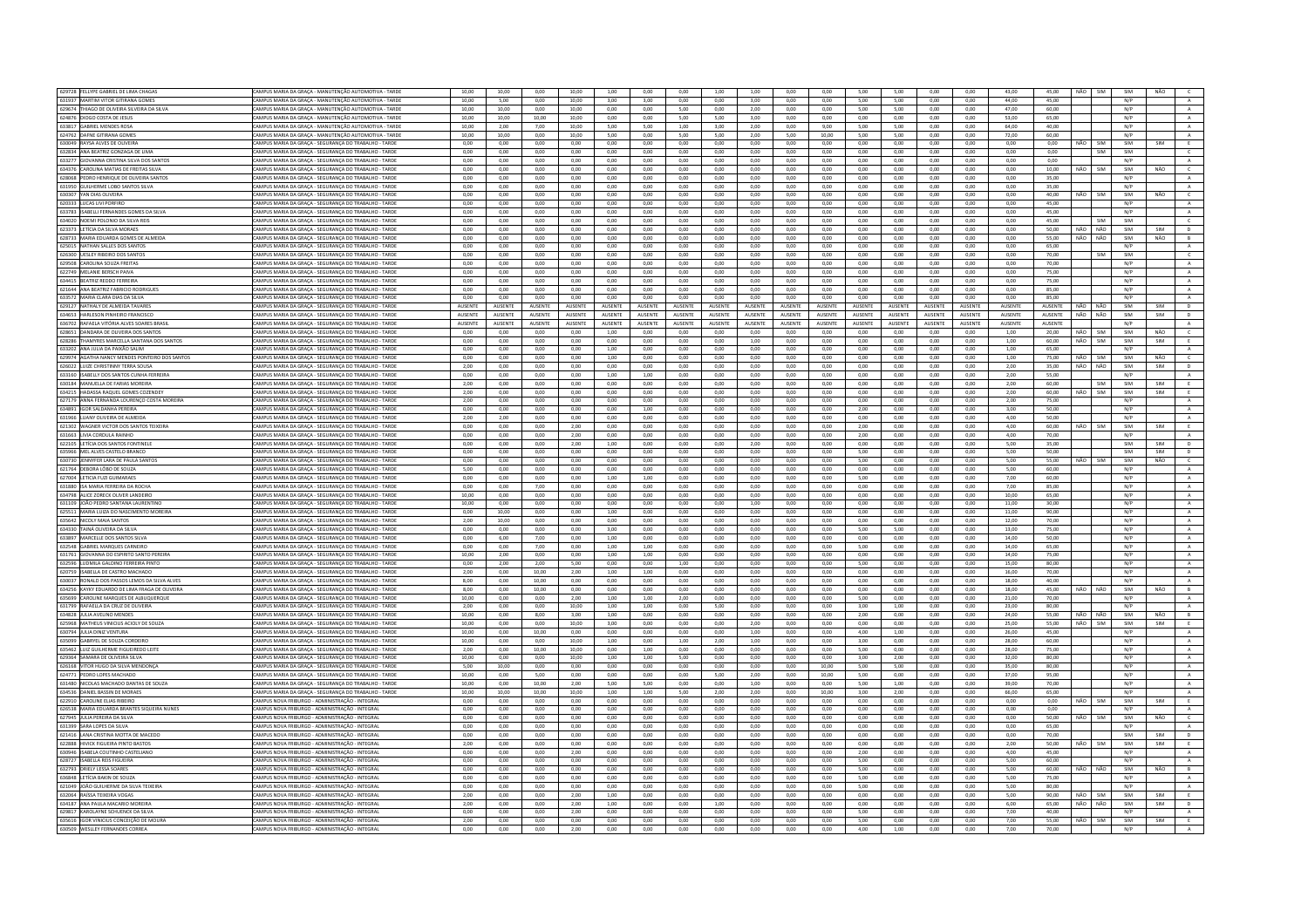| 629728 FELLYPE GABRIEL DE LIMA CHAGAS                                      |                                                                                                   |                |                 |                |                |                 |                |                 |                |                 |                |                |                 |                |                |                |                 |                |      |            |            |            |                |
|----------------------------------------------------------------------------|---------------------------------------------------------------------------------------------------|----------------|-----------------|----------------|----------------|-----------------|----------------|-----------------|----------------|-----------------|----------------|----------------|-----------------|----------------|----------------|----------------|-----------------|----------------|------|------------|------------|------------|----------------|
|                                                                            | CAMPUS MARIA DA GRAÇA - MANUTENÇÃO AUTOMOTIVA - TARDE                                             | 10,00          | 10,00           | 0,00           | 10,00          | 1,00            | 0,00           | 0,00            | 1,00           | 1,00            | 0,00           | 0,00           | 5,00            | 5,00           | 0,00           | 0,00           | 43,00           | 45,00          |      | NÃO SIM    | SIM        | NÃO        |                |
| 631937 MARTIM VITOR GITIRANA GOMES                                         | CAMPUS MARIA DA GRAÇA - MANUTENÇÃO AUTOMOTIVA - TARDE                                             | 10,00          | 5,00            | 0,00           | 10,00          | 3,00            | 3,00           | 0,00            | 0,00           | 3,00            | 0,00           | 0,00           | 5,00            | 5,00           | 0,00           | 0,00           | 44.00           | 45,00          |      |            | N/P        |            | A              |
| 629674 THIAGO DE OLIVEIRA SILVEIRA DA SILVA                                | CAMPUS MARIA DA GRACA - MANUTENCÃO AUTOMOTIVA - TARDE                                             | 10.00          | 10.00           | 0.00           | 10.00          | 0.00            | 0.00           | 5.00            | 0.00           | 2.00            | 0.00           | 0.00           | 5.00            | 5.00           | 0.00           | 0.00           | 47.00           | 60.00          |      |            | N/P        |            | A              |
| 624876 DIOGO COSTA DE JESUS                                                | CAMPUS MARIA DA GRAÇA - MANUTENÇÃO AUTOMOTIVA - TARDE                                             | 10,00          | 10,00           | 10,00          | 10,00          | 0,00            | 0,00           | 5,00            | 5,00           | 3,00            | 0,00           | 0,00           | 0,00            | 0,00           | 0,00           | 0,00           | 53,00           | 65.00          |      |            | N/P        |            | $\,$ A $\,$    |
|                                                                            |                                                                                                   |                |                 |                |                |                 |                |                 |                |                 |                |                |                 |                |                |                |                 |                |      |            |            |            |                |
| 633817 GABRIEL MENDES ROSA                                                 | CAMPUS MARIA DA GRACA - MANUTENÇÃO AUTOMOTIVA - TARDE                                             | 10.00          | 2.00            | 7.00           | 10.00          | 5.00            | 5.00           | 1.00            | 3.00           | 200             | 0.00           | 9.00           | 5.00            | 5.00           | 0.00           | 0.00           | 64.00           | 40.00          |      |            | N/P        |            | A              |
| 624762 DAFNE GITIRANA GOMES                                                | CAMPUS MARIA DA GRAÇA - MANUTENÇÃO AUTOMOTIVA - TARDE                                             | 10,00          | 10,00           | 0,00           | 10,00          | 5,00            | 0,00           | 5,00            | 5,00           | 2,00            | 5,00           | 10,00          | 5,00            | 5,00           | 0,00           | 0,00           | 72,00           | 60,00          |      |            | N/P        |            | $\,$ A $\,$    |
| 630049 RAYSA ALVES DE OLIVEIRA                                             | AMPUS MARIA DA GRACA - SEGURANCA DO TRABALHO - TARDE                                              | 0.00           | 0.00            | 0.00           | 0.00           | 0.00            | 0.00           | 0.00            | 0.00           | 0.00            | 0.00           | 0.00           | 0.00            | 0.00           | 0.00           | 0.00           | 0.00            | 0.00           | NÃO  | SIM        | SIM        | SIM        | E              |
| 632834 ANA BEATRIZ GONZAGA DE LIM                                          | CAMPUS MARIA DA GRAÇA - SEGURANÇA DO TRABALHO - TARDI                                             | 0,00           | 0,00            | 0,00           | 0,00           | 0,00            | 0,00           | 0,00            | 0,00           | 0,00            | 0,00           | 0,00           | 0,00            | 0,00           | 0,00           | 0,00           | 0,00            | 0,00           |      | SIM        | SIM        |            |                |
| 633277 GIOVANNA CRISTINA SILVA DOS SANTOS                                  |                                                                                                   | 0.00           | 0.00            | 0.00           | 0.00           | 0.00            | 0.00           | 0.00            | 0.00           | 0.00            | 0.00           | 0.00           | 0.00            | 0.00           |                | 0.00           | 0.00            | 0.00           |      |            | N/P        |            |                |
|                                                                            | CAMPUS MARIA DA GRAÇA - SEGURANÇA DO TRABALHO - TARDE                                             |                |                 |                |                |                 |                |                 |                |                 |                |                |                 |                | 0,00           |                |                 |                |      |            |            |            | $\mathbf{A}$   |
| 634376 CAROLINA MATIAS DE FREITAS SILVA                                    | CAMPUS MARIA DA GRACA - SEGURANÇA DO TRABALHO - TARDE                                             | 0.00           | 0.00            | 0.00           | 0.00           | 0.00            | 0.00           | 0.00            | $0.00 -$       | 0.00            | 0.00           | 0.00           | 0.00            | 0.00           | 0.00           | 0.00           | 0.00            | 10.00          | NÃO  | <b>SIM</b> | SIM        | NÃO        | $\epsilon$     |
| 628068 PEDRO HENRIQUE DE OLIVEIRA SANTOS                                   | <b>CAMPUS MARIA DA GRACA - SEGURANCA DO TRABALHO - TARDE</b>                                      | 0.00           | 0.00            | 0.00           | 0.00           | 0.00            | 0.00           | 0.00            | 0.00           | 0.00            | 0.00           | 0.00           | 0.00            | 0.00           | 0.00           | 0.00           | 0.00            | 35.00          |      |            | N/P        |            | $\mathbb A$    |
| 631950 GUILHERME LOBO SANTOS SILVA                                         | CAMPUS MARIA DA GRACA - SEGURANÇA DO TRABALHO - TARDE                                             | 0.00           | 0.00            | 0.00           | 0.00           | 0.00            | 0.00           | 0.00            | 0.00           | 0.00            | 0.00           | 0.00           | 0.00            | 0.00           | 0.00           | 0.00           | 0.00            | 35.00          |      |            | N/P        |            | A              |
|                                                                            |                                                                                                   | 0.00           |                 |                |                |                 |                |                 |                | 0.00            | 0.00           |                |                 | 0.00           |                |                |                 | 40.00          |      |            |            |            |                |
| 630307 YAN DIAS OLIVEIRA                                                   | CAMPUS MARIA DA GRAÇA - SEGURANÇA DO TRABALHO - TARDE                                             |                | 0.00            | 0.00           | 0.00           | 0,00            | 0,00           | 0.00            | 0,00           |                 |                | 0.00           | 0,00            |                | 0,00           | 0,00           | 0.00            |                | NÃO  | SIM        | SIM        | NÃO        | $\mathsf{C}$   |
| 620333 LUCAS LIVI PORFIRO                                                  | AMPUS MARIA DA GRACA - SEGURANCA DO TRABALHO - TARDE                                              | 0.00           | 0.00            | 0.00           | 0.00           | 0.00            | 0.00           | 0.00            | 0.00           | 0.00            | 0.00           | 0.00           | 0.00            | 0.00           | 0.00           | 0.00           | 0.00            | 45.00          |      |            | N/P        |            | A              |
| 633783 ISABELLI FERNANDES GOMES DA SILVA                                   | CAMPUS MARIA DA GRAÇA - SEGURANÇA DO TRABALHO - TARDE                                             | 0,00           | 0,00            | 0,00           | 0,00           | 0,00            | 0,00           | 0,00            | 0,00           | 0,00            | 0,00           | 0,00           | 0,00            | 0,00           | 0,00           | 0,00           | 0,00            | 45,00          |      |            | N/P        |            | $\,$ A $\,$    |
| 634020 NOEMI POLONIO DA SILVA REIS                                         | CAMPUS MARIA DA GRACA - SEGURANCA DO TRABALHO - TARDE                                             | 0.00           | 0.00            | 0.00           | 0.00           | 0.00            | 0.00           | 0.00            | 0.00           | 0.00            | 0.00           | 0.00           | 0.00            | 0.00           | 0.00           | 0.00           | 0.00            | 45.00          |      | SIM        | SIM        |            | $\epsilon$     |
| 623323 LETÍCIA DA SILVA MORAES                                             | CAMPUS MARIA DA GRACA - SEGURANCA DO TRARALHO - TARDE                                             | 0.00           | 0.00            | 0.00           | 0.00           | 0.00            | 0.00           | 0.00            | $0.00 -$       | 0.00            | 0.00           | 0.00           | 0.00            | 0.00           | 0.00           | 0.00           | 0.00            | 50.00          | NÃO. | NÃO        | SIM        | SIM        | $\mathbf{D}$   |
|                                                                            |                                                                                                   |                |                 |                |                |                 |                |                 |                |                 |                |                |                 |                |                |                |                 |                |      |            |            |            |                |
| 628733 MARIA EDUARDA GOMES DE ALMEIDA                                      | CAMPUS MARIA DA GRAÇA - SEGURANÇA DO TRABALHO - TARDE                                             | 0,00           | $_{0,00}$       | 0,00           | 0,00           | 0,00            | 0,00           | 0,00            | 0,00           | 0,00            | 0,00           | 0,00           | 0,00            | 0,00           | 0,00           | 0,00           | 0,00            | 55,00          | NÃO  | NÃO        | SIM        | NÃO        | $\,$ B $\,$    |
| 625015 NATHAN SALLES DOS SANTOS                                            | CAMPUS MARIA DA GRACA - SEGURANCA DO TRABALHO - TARDE                                             | 0.00           | 0.00            | 0.00           | 0.00           | 0.00            | 0.00           | 0.00            | 0.00           | 0.00            | 0.00           | 0.00           | 0.00            | 0.00           | 0.00           | 0.00           | 0.00            | 65.00          |      |            | N/P        |            | A              |
| 626300 UESLEY RIBEIRO DOS SANTOS                                           | CAMPUS MARIA DA GRAÇA - SEGURANÇA DO TRABALHO - TARDE                                             | 0,00           | 0,00            | 0,00           | 0,00           | 0,00            | 0,00           | 0,00            | 0,00           | 0,00            | 0,00           | 0,00           | 0,00            | 0,00           | 0,00           | 0,00           | 0,00            | 70,00          |      | SIM        | SIM        |            | $\mathsf{C}$   |
| 629508 CAROLINA SOUZA FREITAS                                              |                                                                                                   |                | 0,00            |                |                |                 |                |                 |                |                 |                | 0,00           |                 |                | 0,00           |                |                 |                |      |            |            |            |                |
|                                                                            | AMPUS MARIA DA GRAÇA - SEGURANÇA DO TRABALHO - TARDE                                              | 0,00           |                 | 0,00           | 0,00           | 0,00            | 0,00           | 0,00            | 0,00           | 0,00            | 0,00           |                | 0,00            | 0,00           |                | 0,00           | 0,00            | 70,00          |      |            | N/P        |            | A              |
| 622749 MELANIE BERSCH PAIVA                                                | CAMPUS MARIA DA GRACA - SEGURANCA DO TRABALHO - TARDE                                             | 0.00           | 0.00            | 0.00           | 0.00           | 0.00            | 0,00           | 0.00            | 0.00           | 0.00            | 0.00           | 0.00           | 0.00            | 0.00           | 0.00           | 0.00           | 0.00            | 75.00          |      |            | N/P        |            | $\,$ A $\,$    |
| 634415 BEATRIZ REDDO FERREIRA                                              | CAMPUS MARIA DA GRAÇA - SEGURANÇA DO TRABALHO - TARDE                                             | 0.00           | 0,00            | 0.00           | 0.00           | 0.00            | 0.00           | 0.00            | 0,00           | 0.00            | 0.00           | 0,00           | 0.00            | 0.00           | 0,00           | 0.00           | 0.00            | 75.00          |      |            | N/P        |            | $\mathbf{A}$   |
| 621644 ANA BEATRIZ FABRICIO RODRIGUES                                      | CAMPUS MARIA DA GRACA - SEGURANCA DO TRABALHO - TARDE                                             | 0.00           | 0.00            | 0.00           | 0.00           | 0.00            | 0.00           | 0.00            | 0.00           | 0.00            | 0.00           | 0.00           | 0.00            | 0.00           | 0.00           | 0.00           | 0.00            | 85.00          |      |            | N/P        |            | A              |
|                                                                            |                                                                                                   |                |                 |                |                |                 |                |                 |                |                 |                |                |                 |                |                |                |                 |                |      |            |            |            |                |
| 633572 MARIA CLARA DIAS DA SILVA                                           | CAMPUS MARIA DA GRAÇA - SEGURANÇA DO TRABALHO - TARDE                                             | 0,00           | 0,00            | 0,00           | 0,00           | 0,00            | 0,00           | 0,00            | 0,00           | 0,00            | 0,00           | 0,00           | 0,00            | 0,00           | 0,00           | 0,00           | 0,00            | 85,00          |      |            | N/P        |            | $\mathbf{A}$   |
| 629127 NATHALY DE ALMEIDA TAVARES                                          | CAMPUS MARIA DA GRACA - SEGURANCA DO TRABALHO - TARDE                                             | AUSENTE        | AUSENTE         | AUSENTE        | AUSENTE        | <b>AUSENTE</b>  | AUSENTE        | <b>AUSENTE</b>  | <b>AUSENTE</b> | <b>AUSENTE</b>  | AUSENTE        | <b>AUSENTE</b> | <b>AUSENTE</b>  | AUSENTE        | AUSENTE        | <b>AUSENTE</b> | <b>AUSENTE</b>  | AUSENTE        |      | NÃO NÃO    | SIM        | SIM        | D              |
| 634653 HARLESON PINHEIRO FRANCISCO                                         | CAMPUS MARIA DA GRAÇA - SEGURANÇA DO TRABALHO - TARDE                                             | <b>AUSENTE</b> | <b>ALISENTE</b> | <b>AUSENTE</b> | <b>AUSENTE</b> | <b>ALISENTE</b> | <b>AUSENTE</b> | <b>ALISENTE</b> | <b>AUSENTE</b> | <b>ALISENTE</b> | <b>AUSENTE</b> | <b>AUSENTE</b> | <b>ALISENTE</b> | <b>AUSENTE</b> | <b>AUSENTE</b> | <b>AUSENTE</b> | <b>ALISENTE</b> | <b>AUSENTE</b> |      | NÃO NÃO    | SIM        | SIM        | D              |
| 636702 RAFAELA VITÓRIA ALVES SOARES BRASI                                  | AMPUS MARIA DA GRAÇA - SEGURANÇA DO TRABALHO - TARDE                                              | AUSENTE        | AUSENTE         | AUSENTE        | AUSENTE        | AUSENTE         | AUSENTI        | AUSENTE         | AUSENTE        | AUSENTE         | AUSENTE        | AUSENTE        | AUSENTE         | AUSENTE        | AUSENTE        | AUSENTE        | AUSENTE         | <b>AUSENTE</b> |      |            | N/P        |            | $\mathbb{A}$   |
| 628651 DANDARA DE OLIVEIRA DOS SANTO                                       | CAMPUS MARIA DA GRACA - SEGURANÇA DO TRABALHO - TARDE                                             | 0.00           | 0.00            | 0.00           | 0.00           | 1,00            | 0.00           | 0.00            | 0.00           | 0.00            | 0.00           | 0.00           | 0.00            | 0.00           | 0.00           | 0.00           | 1.00            | 20.00          | NÃO  | SIM        | SIM        | NÃO        | $\mathsf{c}$   |
|                                                                            |                                                                                                   |                |                 |                |                |                 |                |                 |                |                 |                |                |                 |                |                |                |                 |                |      |            |            |            |                |
| 628286 THAMYRES MARCELLA SANTANA DOS SANTOS                                | CAMPUS MARIA DA GRAÇA - SEGURANÇA DO TRABALHO - TARDE                                             | 0.00           | 0,00            | 0.00           | 0.00           | 0.00            | 0.00           | 0.00            | 0.00           | 1,00            | 0.00           | 0.00           | 0.00            | 0.00           | 0,00           | 0,00           | 1.00            | 60.00          | NÃO  | SIM        | SIM        | SIM        |                |
| 633202 ANA JULIA DA PAIXÃO SALIM                                           | CAMPUS MARIA DA GRACA - SEGURANCA DO TRABALHO - TARDE                                             | 0.00           | 0.00            | 0.00           | 0.00           | 1.00            | 0.00           | 0.00            | 0.00           | 0.00            | 0.00           | 0.00           | 0.00            | 0.00           | 0.00           | 0.00           | 1.00            | 65.00          |      |            | N/P        |            | $\mathbf{A}$   |
| 629974 AGATHA NANCY MENDES PONTEIRO DOS SANTOS                             | CAMPUS MARIA DA GRAÇA - SEGURANÇA DO TRABALHO - TARDI                                             | 0,00           | 0,00            | 0,00           | 0,00           | 1,00            | 0,00           | 0,00            | 0,00           | 0,00            | 0,00           | 0,00           | 0,00            | 0,00           | 0,00           | 0,00           | 1,00            | 75,00          | NÃO  | SIM        | SIM        | NÃO        | $\mathsf{C}^-$ |
| 626022 LUIZE CHRISTINNY TERRA SOUSA                                        |                                                                                                   |                |                 |                |                |                 |                |                 |                |                 |                |                |                 |                |                |                |                 |                | NÃO  | NÃO        | SIM        |            |                |
|                                                                            | CAMPUS MARIA DA GRACA - SEGURANCA DO TRABALHO - TARDE                                             | 2.00           | 0.00            | 0.00           | 0.00           | 0.00            | 0.00           | 0.00            | 0.00           | 0.00            | 0.00           | 0.00           | 0.00            | 0.00           | 0.00           | 0.00           | 2.00            | 35.00          |      |            |            | SIM        | D              |
| 633160 ISABELLY DOS SANTOS CUNHA FERREIRA                                  | CAMPUS MARIA DA GRAÇA - SEGURANÇA DO TRABALHO - TARDE                                             | 0.00           | 0.00            | 0.00           | 0.00           | 1.00            | 1.00           | 0.00            | 0.00           | 0.00            | 0.00           | 0.00           | 0.00            | 0.00           | 0.00           | 0.00           | 2.00            | 55.00          |      |            | N/P        |            | A              |
| 630184 MANUELLA DE FARIAS MOREIRA                                          | AMPUS MARIA DA GRAÇA - SEGURANÇA DO TRABALHO - TARDE                                              | 2,00           | 0,00            | 0,00           | 0,00           | 0,00            | 0,00           | 0,00            | 0,00           | 0,00            | 0,00           | 0,00           | 0,00            | 0,00           | 0,00           | 0,00           | 2,00            | 60.00          |      | SIM        | SIM        | SIM        | E              |
| 634215 HADASSA RAOUEL GOMES COZENDEY                                       | CAMPUS MARIA DA GRACA - SEGURANÇA DO TRABALHO - TARDE                                             | 2.00           | 0.00            | 0.00           | 0.00           | 0.00            | 0.00           | 0.00            | 0.00           | 0.00            | 0.00           | 0.00           | 0.00            | 0.00           | 0.00           | 0.00           | 2.00            | 60.00          | NÃO. | <b>SIM</b> | SIM        | SIM        | E              |
|                                                                            |                                                                                                   |                |                 |                |                |                 |                |                 |                |                 |                |                |                 |                |                |                |                 |                |      |            |            |            |                |
| 627179 ANNA FERNANDA LOURENÇO COSTA MOREIRA                                | CAMPUS MARIA DA GRAÇA - SEGURANÇA DO TRABALHO - TARDE                                             | 2.00           | 0.00            | 0.00           | 0.00           | 0.00            | 0.00           | 0.00            | 0.00           | 0.00            | 0.00           | 0.00           | 0.00            | 0.00           | 0.00           | 0.00           | 2.00            | 75.00          |      |            | N/P        |            | $\mathbb{A}$   |
| 634891 IGOR SALDANHA PEREIRA                                               | AMPUS MARIA DA GRACA - SEGURANCA DO TRABALHO - TARDE                                              | 0.00           | 0.00            | 0.00           | 0.00           | 0.00            | 1.00           | 0.00            | 0.00           | 0.00            | 0.00           | 0.00           | 2.00            | 0.00           | 0.00           | 0.00           | 3.00            | 50.00          |      |            | N/P        |            | A              |
| 631966 LUANY OLIVEIRA DE ALMEID                                            | CAMPUS MARIA DA GRACA - SEGURANCA DO TRABALHO - TARDI                                             | 2,00           | 2,00            | 0.00           | 0,00           | 0,00            | 0,00           | 0,00            | 0,00           | 0.00            | 0,00           | 0,00           | 0,00            | 0,00           | 0,00           | 0,00           | 4,00            | 50.00          |      |            | N/P        |            |                |
| 621302 WAGNER VICTOR DOS SANTOS TEIXEIRA                                   | CAMPUS MARIA DA GRACA - SEGURANCA DO TRABALHO - TARDE                                             | 0.00           | 0.00            | 0.00           | 2.00           | 0.00            | 0.00           | 0.00            | 0.00           | 0.00            | 0.00           | 0.00           | 2.00            | 0.00           | 0.00           | 0.00           | 4.00            | 60.00          | NÃO. | <b>SIM</b> | SIM        | <b>SIM</b> | F.             |
|                                                                            |                                                                                                   |                |                 |                |                |                 |                |                 |                |                 |                |                |                 |                |                |                |                 |                |      |            |            |            |                |
| 631663 LIVIA CORDULA RAINHO                                                | CAMPUS MARIA DA GRAÇA - SEGURANÇA DO TRABALHO - TARDE                                             | 0.00           | 0.00            | 0.00           | 2.00           | 0.00            | 0.00           | 0.00            | 0.00           | 0.00            | 0.00           | 0.00           | 2,00            | 0.00           | 0.00           | 0.00           | 4.00            | 70.00          |      |            | N/P        |            | $\,$ A $\,$    |
| 622105 LETÍCIA DOS SANTOS FONTINELI                                        | AMPUS MARIA DA GRACA - SEGURANCA DO TRABALHO - TARDI                                              | 0.00           | 0.00            | 0.00           | 2.00           | 1.00            | 0.00           | 0.00            | 0.00           | 2.00            | 0.00           | 0.00           | 0.00            | 0.00           | 0.00           | 0.00           | 5.00            | 35.00          |      |            | SIM        |            | $\mathsf D$    |
| 635966 MEL ALVES CASTELO BRANCO                                            | CAMPUS MARIA DA GRACA - SEGURANÇA DO TRABALHO - TARDE                                             | 0.00           | 0.00            | 0.00           | 0.00           | 0.00            | 0.00           | 0.00            | 0.00           | 0.00            | 0.00           | 0.00           | 500             | 0.00           | 0.00           | 0.00           | 5.00            | 50.00          |      |            | SIM        | SIM        | D              |
| 630730 JENNYFER LARA DE PAULA SANTOS                                       | CAMPUS MARIA DA GRAÇA - SEGURANÇA DO TRABALHO - TARDE                                             | 0,00           | 0,00            | 0,00           | 0,00           | 0,00            | 0,00           | 0,00            | 0,00           | 0,00            | 0,00           | 0,00           | 5,00            | 0,00           | 0,00           | 0,00           | 5,00            | 55,00          | NÃO  | SIM        | SIM        | NÃO        | $\mathsf{C}^-$ |
|                                                                            |                                                                                                   |                |                 |                |                |                 |                |                 |                |                 |                |                |                 |                |                |                |                 |                |      |            |            |            |                |
| 621764 DEBORA LÔBO DE SOUZA                                                | AMPUS MARIA DA GRAÇA - SEGURANÇA DO TRABALHO - TARDE                                              | 5,00           | 0,00            | 0,00           | 0,00           | 0,00            | 0,00           | 0,00            | 0,00           | 0,00            | 0,00           | 0,00           | 0,00            | 0,00           | 0,00           | 0,00           | 5,00            | 60,00          |      |            | N/P        |            | A              |
| 627004 LETICIA FUZI GUIMARAES                                              | CAMPUS MARIA DA GRAÇA - SEGURANÇA DO TRABALHO - TARDE                                             | 0,00           | 0,00            | 0,00           | 0,00           | 1,00            | 1,00           | 0,00            | 0,00           | 0,00            | 0,00           | 0,00           | 5,00            | 0,00           | 0,00           | 0,00           | 7,00            | 60.00          |      |            | N/P        |            | $\,$ A $\,$    |
| 631880 ISA MARIA FERREIRA DA ROCHA                                         | CAMPUS MARIA DA GRAÇA - SEGURANÇA DO TRABALHO - TARDE                                             | 0,00           | 0,00            | 7,00           | 0,00           | 0,00            | 0,00           | 0,00            | 0,00           | 0,00            | 0,00           | 0,00           | 0,00            | 0,00           | 0,00           | 0,00           | 7,00            | 85.00          |      |            | N/P        |            | A              |
| 634798 ALICE ZORECK OLIVER LANDEIRO                                        |                                                                                                   |                |                 |                |                |                 |                |                 |                | 0.00            | 0.00           | 0.00           | 0.00            | 0.00           | 0.00           | 0.00           |                 |                |      |            |            |            |                |
|                                                                            |                                                                                                   |                |                 |                |                |                 |                |                 |                |                 |                |                |                 |                |                |                |                 |                |      |            |            |            |                |
|                                                                            | CAMPUS MARIA DA GRAÇA - SEGURANÇA DO TRABALHO - TARDE                                             | 10.00          | 0.00            | 0.00           | $0.00 -$       | 0.00            | 0.00           | 0.00            | 0.00           |                 |                |                |                 |                |                |                | 10.00           | 65.00          |      |            | N/P        |            | A              |
| 631109 JOÃO PEDRO SANTANA LAURENTIN                                        | CAMPUS MARIA DA GRAÇA - SEGURANÇA DO TRABALHO - TARDI                                             | 10,00          | 0,00            | 0,00           | 0,00           | 0,00            | 0,00           | 0,00            | 0,00           | 1,00            | 0,00           | 0,00           | 0,00            | 0,00           | 0,00           | 0,00           | 11,00           | 30,00          |      |            | N/P        |            | $\,$ A         |
| 625511 MARIA LUIZA DO NASCIMENTO MOREIRA                                   | CAMPUS MARIA DA GRACA - SEGURANCA DO TRABALHO - TARDE                                             | 0.00           | 10.00           | 0.00           | 0.00           | 1.00            | 0.00           | 0.00            | 0.00           | 0.00            | 0.00           | 0.00           | 0.00            | 0.00           | 0.00           | 0.00           | 11.00           | 90.00          |      |            | N/P        |            | A              |
|                                                                            |                                                                                                   |                |                 |                |                |                 |                |                 |                |                 |                |                |                 |                |                |                |                 |                |      |            |            |            |                |
| 635642 NICOLY MAIA SANTOS                                                  | CAMPUS MARIA DA GRAÇA - SEGURANÇA DO TRABALHO - TARDE                                             | 2,00           | 10,00           | 0,00           | 0,00           | 0,00            | 0,00           | 0,00            | 0,00           | 0,00            | 0,00           | 0,00           | 0,00            | 0,00           | 0,00           | 0,00           | 12,00           | 70,00          |      |            | N/P        |            | A              |
| 634330 TAINÁ OLIVEIRA DA SILVA                                             | CAMPUS MARIA DA GRACA - SEGURANCA DO TRABALHO - TARDE                                             | 0.00           | 0.00            | 0.00           | 0.00           | 3.00            | 0.00           | 0.00            | 0.00           | 0.00            | 0.00           | 0.00           | 5.00            | 5.00           | 0.00           | 0.00           | 13.00           | 75.00          |      |            | N/P        |            | A              |
| 633897 MARCELLE DOS SANTOS SILV                                            | CAMPUS MARIA DA GRACA - SEGURANCA DO TRABALHO - TARDE                                             | 0.00           | 6,00            | 7.00           | 0.00           | 1,00            | 0,00           | 0.00            | 0.00           | 0.00            | 0.00           | 0,00           | 0.00            | 0.00           | 0,00           | 0.00           | 14,00           | 50.00          |      |            | N/P        |            | $\,$ A $\,$    |
| 632548 GABRIEL MARQUES CARNEIRO                                            | CAMPUS MARIA DA GRAÇA - SEGURANÇA DO TRABALHO - TARDE                                             | 0,00           | 0,00            | 7.00           | 0.00           | 1,00            | 1,00           | 0.00            | 0,00           | 0,00            | 0.00           | 0,00           | 5,00            | 0.00           | 0,00           | 0,00           | 14.00           | 65.00          |      |            | N/P        |            | $\,$ A $\,$    |
|                                                                            |                                                                                                   | 10.00          | 2.00            | 0.00           | 0.00           | 1.00            |                | 0.00            | $0.00 -$       | 0.00            | 0.00           | 0.00           | 0.00            | 0.00           | 0.00           | 0.00           | 14.00           | 75.00          |      |            |            |            |                |
| 631761 GIOVANNA DO ESPIRITO SANTO PEREIRA                                  | CAMPUS MARIA DA GRACA - SEGURANCA DO TRABALHO - TARDE                                             |                |                 |                |                |                 | 1.00           |                 |                |                 |                |                |                 |                |                |                |                 |                |      |            | N/P        |            | A              |
| 632596 LUDMILA GALDINO FERREIRA PINTO                                      | CAMPUS MARIA DA GRAÇA - SEGURANÇA DO TRABALHO - TARDE                                             | 0,00           | 2,00            | 2,00           | 5,00           | 0,00            | 0,00           | 1,00            | 0,00           | 0,00            | 0,00           | 0,00           | 5,00            | 0,00           | 0,00           | 0,00           | 15,00           | 80,00          |      |            | N/P        |            | $\,$ A $\,$    |
| 620759 ISABELLA DE CASTRO MACHADO                                          | CAMPUS MARIA DA GRACA - SEGURANCA DO TRABALHO - TARDE                                             | 2.00           | 0.00            | 10.00          | 2.00           | 1.00            | 1.00           | 0.00            | 0.00           | 0.00            | 0.00           | 0.00           | 0.00            | 0.00           | 0.00           | 0.00           | 16.00           | 70.00          |      |            | N/P        |            | A              |
| 630037 RONALD DOS PASSOS LEMOS DA SILVA ALVES                              | CAMPUS MARIA DA GRAÇA - SEGURANÇA DO TRABALHO - TARDE                                             | 8,00           | 0,00            | 10,00          | 0,00           | 0,00            | 0,00           | 0,00            | 0,00           | 0,00            | 0,00           | 0,00           | 0,00            | 0,00           | 0,00           | 0,00           | 18,00           | 40,00          |      |            | N/P        |            | $\,$ A $\,$    |
| 634256 KAYKY EDUARDO DE LIMA FRAGA DE OLIVEIRA                             | AMPUS MARIA DA GRACA - SEGURANCA DO TRABALHO - TARDE                                              | 8.00           | 0.00            | 10.00          | 0.00           | 0.00            | 0.00           | 0.00            | 0.00           | 0.00            | 0.00           | 0.00           | 0.00            | 0.00           | 0.00           | 0.00           | 18.00           | 45.00          | NÃO  | NÃO        | SIM        | NÃO        | B              |
|                                                                            |                                                                                                   |                |                 |                |                |                 |                |                 |                |                 |                |                |                 |                |                |                |                 |                |      |            |            |            |                |
| 635699 CAROLINE MARQUES DE ALBUQUERQUE                                     | CAMPUS MARIA DA GRACA - SEGURANÇA DO TRABALHO - TARDE                                             | 10.00          | 0.00            | 0.00           | 2.00           | 1.00            | 1.00           | 2.00            | 0.00           | 0.00            | 0.00           | 0.00           | 5.00            | 0.00           | 0.00           | 0.00           | 21.00           | 70.00          |      |            | N/P        |            | A              |
| 631799 RAFAELLA DA CRUZ DE OLIVEIRA                                        | CAMPUS MARIA DA GRAÇA - SEGURANÇA DO TRABALHO - TARDE                                             | 2.00           | 0.00            | 0.00           | 10.00          | 1.00            | 1.00           | 0.00            | 5.00           | 0.00            | 0.00           | 0.00           | 3.00            | 1.00           | 0.00           | 0.00           | 23.00           | 80.00          |      |            | N/P        |            | $\mathbf{A}$   |
| 634828 ILLUA AVELINO MENDES                                                | CAMPUS MARIA DA GRACA - SEGURANÇA DO TRABALHO - TARDE                                             | 10.00          | 0.00            | 800            | 3.00           | 1.00            | 0.00           | 0.00            | $0.00 -$       | 0.00            | 0.00           | 0.00           | 2.00            | 0.00           | 0.00           | 0.00           | 24.00           | 55.00          | NÃO  | NÃO        | SIM        | NÃO        | R              |
| 625968 MATHEUS VINICIUS ACIOLY DE SOUZA                                    | CAMPUS MARIA DA GRAÇA - SEGURANÇA DO TRABALHO - TARDE                                             |                | 0,00            | 0,00           | 10,00          | 3,00            | 0,00           | 0,00            | 0,00           | 2,00            | 0,00           | 0,00           | 0,00            | 0,00           | 0,00           | 0,00           | 25,00           | 55,00          | NÃO  | SIM        | SIM        | SIM        | E              |
| 630794 JULIA DINIZ VENTURA                                                 | CAMPUS MARIA DA GRACA - SEGURANCA DO TRABALHO - TARDE                                             | 10,00<br>10.00 | 0.00            | 10.00          | 0.00           | 0.00            | 0.00           | 0.00            | 0.00           | 1.00            | 0.00           | 0.00           | 4.00            | 1.00           | 0.00           | 0.00           | 26.00           | 45.00          |      |            | N/P        |            | $\mathbf{A}$   |
|                                                                            |                                                                                                   |                |                 |                |                |                 |                |                 |                |                 |                |                |                 |                |                |                |                 |                |      |            |            |            |                |
| 635099 GABRYEL DE SOUZA CORDEIRO                                           | CAMPUS MARIA DA GRAÇA - SEGURANÇA DO TRABALHO - TARDE                                             | 10.00          | 0.00            | 0.00           | 10.00          | 1,00            | 0,00           | 1.00            | 2,00           | 1,00            | 0.00           | 0.00           | 3,00            | 0.00           | 0.00           | 0.00           | 28,00           | 60.00          |      |            | N/P        |            | A              |
| 635462 LUIZ GUILHERME FIGUEIREDO LEITE                                     | AMPUS MARIA DA GRACA - SEGURANCA DO TRABALHO - TARDE                                              | 2.00           | 0.00            | 10.00          | 10.00          | 0.00            | 1.00           | 0.00            | 0.00           | 0.00            | 0.00           | 0.00           | 5.00            | 0.00           | 0.00           | 0.00           | 28.00           | 75.00          |      |            | N/P        |            | A              |
| 629364 SAMARA DE OLIVEIRA SILVA                                            | CAMPUS MARIA DA GRACA - SEGURANÇA DO TRABALHO - TARDE                                             | 10.00          | 0.00            | 0.00           | 10.00          | 1.00            | 1.00           | 5.00            | 0.00           | 0.00            | 0.00           | 0.00           | 3.00            | 2.00           | 0.00           | 0.00           | 32.00           | 80.00          |      |            | N/P        |            | A              |
|                                                                            |                                                                                                   |                |                 |                |                |                 |                |                 |                |                 |                |                |                 |                |                |                |                 |                |      |            |            |            |                |
| 626168 VITOR HUGO DA SILVA MENDONCA                                        | CAMPUS MARIA DA GRAÇA - SEGURANÇA DO TRABALHO - TARDE                                             | 5.00           | 10.00           | 0.00           | 0.00           | 0.00            | 0.00           | 0.00            | 0.00           | 0.00            | 0.00           | 10.00          | 5.00            | 5.00           | 0.00           | 0.00           | 35.00           | 80.00          |      |            | N/P        |            | $\mathbf{A}$   |
| 624771 PEDRO LOPES MACHADO                                                 | CAMPUS MARIA DA GRACA - SEGURANÇA DO TRABALHO - TARDE                                             | 10.00          | 0.00            | 5.00           | 0.00           | 0.00            | 0.00           | 0.00            | 5.00           | 200             | 0.00           | 10.00          | 5.00            | 0.00           | 0.00           | 0.00           | 37.00           | 95.00          |      |            | N/P        |            | $\Lambda$      |
| 631480 NICOLAS MACHADO DANTAS DE SOUZA                                     | CAMPUS MARIA DA GRAÇA - SEGURANÇA DO TRABALHO - TARDI                                             | 10,00          | 0,00            | 10,00          | 2,00           | 5,00            | 5,00           | 0,00            | 0,00           | 1,00            | 0,00           | 0,00           | 5,00            | 1,00           | 0,00           | 0,00           | 39,00           | 70,00          |      |            | N/P        |            | $\,$ A         |
| 634536 DANIEL BASSIN DE MORAES                                             | CAMPUS MARIA DA GRAÇA - SEGURANÇA DO TRABALHO - TARDE                                             | 10,00          | 10,00           | 10,00          | 10,00          | 1,00            | 1,00           | 5,00            | 2,00           | 2,00            | 0,00           | 10,00          | 3,00            | 2,00           | 0,00           | 0,00           | 66,00           | 65,00          |      |            | N/P        |            | A              |
| 622910 CAROLINE ELIAS RIBEIRO                                              | CAMPUS NOVA FRIBURGO - ADMINISTRAÇÃO - INTEGRAL                                                   | 0.00           | 0.00            | 0.00           | 0.00           | 0,00            | 0,00           | 0.00            | 0,00           | 0.00            | 0.00           | 0,00           | 0,00            | 0,00           | 0,00           | 0,00           | 0,00            | 0,00           | NÃO  | SIM        | SIM        | SIM        | E              |
|                                                                            |                                                                                                   |                |                 |                |                |                 |                |                 |                |                 |                |                |                 |                |                |                |                 |                |      |            |            |            |                |
| 626538 MARIA EDUARDA BRANTES SIQUEIRA NUNES                                | CAMPUS NOVA FRIBURGO - ADMINISTRAÇÃO - INTEGRA                                                    | 0,00           | 0,00            | 0,00           | 0,00           | 0,00            | 0,00           | 0,00            | 0,00           | 0,00            | 0,00           | 0,00           | 0,00            | 0,00           | 0,00           | 0,00           | 0,00            | 0,00           |      |            | N/P        |            | A              |
| 627945 JULIA PEREIRA DA SILVA                                              | CAMPUS NOVA FRIBURGO - ADMINISTRAÇÃO - INTEGRA                                                    | 0.00           | 0.00            | 0.00           | 0.00           | 0.00            | 0.00           | 0.00            | 0.00           | 0.00            | 0.00           | 0.00           | 0.00            | 0.00           | 0.00           | 0.00           | 0.00            | 50.00          | NÃO  | SIM        | SIM        | NÃO        | $\epsilon$     |
| 631399 SARA LOPES DA SILVA                                                 | CAMPUS NOVA FRIBURGO - ADMINISTRAÇÃO - INTEGRA                                                    | 0,00           | 0,00            | 0,00           | 0,00           | 0,00            | 0,00           | 0,00            | 0,00           | 0,00            | 0,00           | 0,00           | 0,00            | 0,00           | 0,00           | 0,00           | 0,00            | 65,00          |      |            | N/P        |            | $\mathbb A$    |
| 621416 LANA CRISTINA MOTTA DE MACEDO                                       | CAMPUS NOVA FRIBURGO - ADMINISTRAÇÃO - INTEGRAL                                                   | 0.00           | 0.00            | 0.00           | 0.00           | 0.00            | 0.00           | 0.00            | 0.00           | 0.00            | 0.00           | 0.00           | 0.00            | 0.00           | 0.00           | 0.00           | 0.00            | 70.00          |      |            | SIM        | SIM        | D              |
|                                                                            |                                                                                                   |                |                 |                |                |                 |                |                 |                |                 |                |                |                 |                |                |                |                 |                |      |            |            |            |                |
| 622888 HIVICK FIGUEIRA PINTO BASTOS                                        | CAMPUS NOVA FRIBURGO - ADMINISTRAÇÃO - INTEGRA                                                    | 2,00           | 0,00            | 0,00           | 0,00           | 0,00            | 0,00           | 0,00            | 0,00           | 0,00            | 0,00           | 0,00           | 0,00            | 0,00           | 0,00           | 0,00           | 2,00            | 50,00          | NÃO  | SIM        | SIM        | SIM        | E              |
| 630946 ISABELA COUTINHO CASTELIANO                                         | CAMPUS NOVA FRIBURGO - ADMINISTRAÇÃO - INTEGRAL                                                   | 0,00           | 0,00            | 0,00           | 2,00           | 0,00            | 0,00           | 0,00            | 0,00           | 0,00            | 0,00           | 0,00           | 2,00            | 0,00           | 0,00           | 0,00           | 4,00            | 45,00          |      |            | N/P        |            | $\mathbf{A}$   |
| 628727 ISABELLA REIS FIGUEIRA                                              | CAMPUS NOVA FRIBURGO - ADMINISTRAÇÃO - INTEGRAL                                                   | 0,00           | 0.00            | 0.00           | 0.00           | 0,00            | 0,00           | 0.00            | 0,00           | 0.00            | 0.00           | 0,00           | 5,00            | 0,00           | 0,00           | 0,00           | 5,00            | 60.00          |      |            | N/P        |            | A              |
| 632793 DRIELY LESSA SOARES                                                 | CAMPUS NOVA FRIBURGO - ADMINISTRAÇÃO - INTEGRAL                                                   | 0,00           | 0,00            | 0,00           | 0,00           | 0,00            | 0,00           | 0,00            | 0,00           | 0,00            | 0,00           | 0,00           | 5,00            | 0,00           | 0,00           | 0,00           | 5,00            | 60,00          | NÃO  | NÃO        | SIM        | NÃO        | B              |
|                                                                            |                                                                                                   |                |                 |                |                |                 |                |                 |                |                 |                |                |                 |                |                |                |                 |                |      |            |            |            |                |
| 636848 LETÍCIA BAKIN DE SOUZA                                              | CAMPUS NOVA FRIBURGO - ADMINISTRAÇÃO - INTEGRA                                                    | 0.00           | 0.00            | 0.00           | 0.00           | 0.00            | 0.00           | 0.00            | 0.00           | 0.00            | 0.00           | 0.00           | 5.00            | 0.00           | 0.00           | 0.00           | 5.00            | 75.00          |      |            | N/P        |            | A              |
| 621049 JOÃO GUILHERME DA SILVA TEIXEIRA                                    | CAMPUS NOVA FRIBURGO - ADMINISTRAÇÃO - INTEGRA                                                    | 0,00           | 0,00            | 0,00           | 0,00           | 0,00            | 0,00           | 0,00            | 0,00           | 0,00            | 0,00           | 0,00           | 5,00            | 0,00           | 0,00           | 0,00           | 5,00            | 80,00          |      |            | N/P        |            | $\,$ A $\,$    |
| 632064 RAÍSSA TEIXEIRA VOGAS                                               | AMPUS NOVA FRIBURGO - ADMINISTRAÇÃO - INTEGRAL                                                    | 2.00           | 0.00            | 0.00           | 2.00           | 1.00            | 0.00           | 0.00            | 0.00           | 0.00            | 0.00           | 0.00           | 0.00            | 0.00           | 0.00           | 0.00           | 5.00            | 90.00          | NÃO  | SIM        | SIM        | SIM        | E              |
| 634187 ANA PAULA MACARIO MOREI                                             | AMPUS NOVA FRIBURGO - ADMINISTRAÇÃO - INTEGR                                                      | 2,00           | 0,00            | 0,00           | 2,00           | 1,00            | 0,00           | 0,00            | 1,00           | 0,00            | 0,00           | 0,00           | 0,00            | 0,00           | 0,00           | 0,00           | 6,00            | 65,00          | NÃO  | NÃO        | SIM        | SIM        | $\mathsf D$    |
|                                                                            |                                                                                                   |                |                 |                |                |                 |                |                 |                |                 |                |                |                 |                |                |                |                 |                |      |            |            |            |                |
| 629817 KAROLAYNE SCHUENCK DA SILVA                                         | CAMPUS NOVA FRIBURGO - ADMINISTRAÇÃO - INTEGRAL                                                   | 0.00           | 0,00            | 0.00           | 2.00           | 0.00            | 0.00           | 0.00            | 0,00           | 0.00            | 0.00           | 0,00           | 5.00            | 0.00           | 0,00           | 0.00           | 7.00            | 40.00          |      |            | N/P        |            | $\overline{A}$ |
| 635616 IGOR VINICIUS CONCEIÇÃO DE MOURA<br>630509 WESLLEY FERNANDES CORREA | CAMPUS NOVA FRIBURGO - ADMINISTRAÇÃO - INTEGRAL<br>CAMPUS NOVA FRIBURGO - ADMINISTRAÇÃO - INTEGRA | 2.00<br>0.00   | 0.00<br>0.00    | 0.00<br>0.00   | 0.00<br>2.00   | 0.00<br>0.00    | 0.00<br>0.00   | 0.00<br>0.00    | 0.00<br>0.00   | 0.00<br>0.00    | 0.00           | 0.00<br>0.00   | 5.00<br>4.00    | 0.00<br>1.00   | 0.00<br>0.00   | 0.00<br>0.00   | 7.00<br>7.00    | 55.00<br>70.00 | NÃO  | SIM        | SIM<br>N/P | SIM        | E              |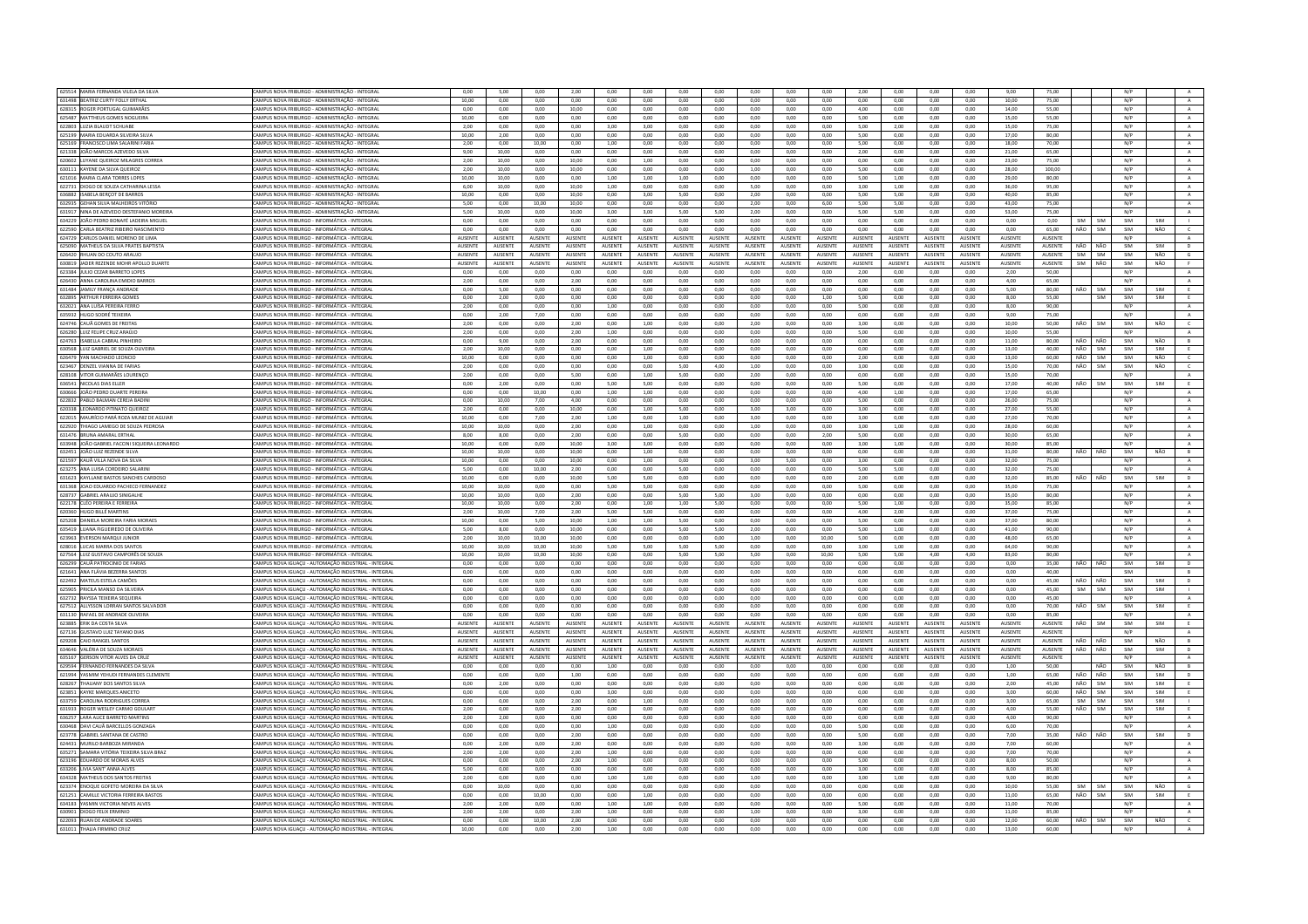| 625514 MARIA FERNANDA VILELA DA SILVA                       | CAMPUS NOVA FRIBURGO - ADMINISTRAÇÃO - INTEGRA                                                              | 0,00           | 5,00           | 0,00           | 2,00           | 0,00              | 0,00           | 0,00            | 0,00            | 0,00            | 0,00           | 0,00           | 2,00            | 0,00           | 0,00            | 0,00           | 9,00           | 75,00          |                    |            | N/F        |            |                |
|-------------------------------------------------------------|-------------------------------------------------------------------------------------------------------------|----------------|----------------|----------------|----------------|-------------------|----------------|-----------------|-----------------|-----------------|----------------|----------------|-----------------|----------------|-----------------|----------------|----------------|----------------|--------------------|------------|------------|------------|----------------|
| 631498 BEATRIZ CURTY FOLLY ERTHAL                           | AMPUS NOVA FRIBURGO - ADMINISTRAÇÃO - INTEGRAI                                                              | 10,00          | 0,00           | 0,00           | 0,00           | 0,00              | 0,00           | 0,00            | 0,00            | 0,00            | 0,00           | 0,00           | 0,00            | 0,00           | 0,00            | 0,00           | 10.00          | 75,00          |                    |            | N/P        |            | A              |
| 628315 ROGER PORTUGAL GUIMARÃES                             | CAMPUS NOVA FRIBURGO - ADMINISTRAÇÃO - INTEGRAL                                                             | 0.00           | 0.00           | 0.00           | 10.00          | 0.00              | 0.00           | 0.00            | 0.00            | 0.00            | 0.00           | 0.00           | 4.00            | 0.00           | 0.00            | 0.00           | 14.00          | 55.00          |                    |            | N/P        |            | A              |
| 625487 MATTHEUS GOMES NOGUEIRA                              | AMPUS NOVA FRIBURGO - ADMINISTRAÇÃO - INTEGRAI                                                              | 10,00          | 0,00           | 0,00           | 0,00           | 0,00              | 0,00           | 0,00            | 0,00            | 0,00            | 0.00           | 0,00           | 5,00            | 0.00           | 0,00            | 0,00           | 15,00          | 55,00          |                    |            | N/P        |            | A              |
|                                                             |                                                                                                             |                |                |                |                |                   |                |                 |                 |                 |                |                |                 |                |                 |                |                |                |                    |            |            |            |                |
| 622803 LUZIA BLAUDT SCHUABE                                 | AMPUS NOVA FRIBURGO - ADMINISTRAÇÃO - INTEGRAL                                                              | 2.00           | 0.00           | 0.00           | 0.00           | 3.00              | 3.00           | 0.00            | 0.00            | 0.00            | 0.00           | 0.00           | 5.00            | 2.00           | 0.00            | 0.00           | 15.00          | 75.00          |                    |            | N/P        |            | $\Lambda$      |
| 625199 MARIA EDUARDA SILVEIRA SILVA                         | CAMPUS NOVA FRIBURGO - ADMINISTRAÇÃO - INTEGRA                                                              | 10,00          | 2,00           | 0,00           | 0,00           | 0,00              | 0,00           | 0,00            | 0,00            | 0,00            | 0.00           | 0,00           | 5,00            | 0.00           | 0,00            | 0,00           | 17,00          | 80.00          |                    |            | N/P        |            | $\,$ A $\,$    |
| 625169 FRANCISCO LIMA SALARINI FARIA                        | AMPUS NOVA FRIBURGO - ADMINISTRAÇÃO - INTEGRAL                                                              | 2.00           | 0.00           | 10.00          | 0.00           | 1.00              | 0.00           | 0.00            | 0.00            | 0.00            | 0.00           | 0.00           | 5.00            | 0.00           | 0.00            | 0.00           | 18.00          | 70.00          |                    |            | N/P        |            | A              |
| 621338 JOÃO MARCOS AZEVEDO SILV                             | AMPUS NOVA FRIBURGO - ADMINISTRAÇÃO - INTEGRA                                                               | 9,00           | 10.00          | 0.00           | 0,00           | 0,00              | 0,00           | 0,00            | 0,00            | 0,00            | 0,00           | 0,00           | 2,00            | 0,00           | 0.00            | 0.00           | 21,00          | 65,00          |                    |            | N/F        |            |                |
| 620602 LUYANE QUEIROZ MILAGRES CORREA                       | CAMPUS NOVA FRIBURGO - ADMINISTRAÇÃO - INTEGRAI                                                             | 2.00           | 10.00          | 0.00           | 10.00          | 0.00              | 1.00           | 0.00            | 0.00            | 0.00            | 0.00           | 0.00           | 0.00            | 0.00           | 0.00            | 0.00           | 23.00          | 75.00          |                    |            | N/P        |            | A              |
|                                                             |                                                                                                             |                |                |                |                |                   |                |                 |                 |                 |                |                |                 |                |                 |                |                |                |                    |            |            |            |                |
| 630111 KAYENE DA SILVA OLIFIROZ                             | CAMPUS NOVA FRIBURGO - ADMINISTRAÇÃO - INTEGRAL                                                             | 2.00           | 10.00          | 0.00           | 10.00          | 0.00              | 0.00           | 0.00            | 0.00            | 1.00            | 0.00           | 0.00           | 5.00            | 0.00           | 0.00            | 0.00           | 28.00          | 100.00         |                    |            | N/P        |            | A              |
| 621016 MARIA CLARA TORRES LOPES                             | MPUS NOVA FRIBURGO - ADMINISTRAÇÃO - INTEGRAJ                                                               | 10.00          | 10.00          | 0.00           | 0.00           | 1.00              | 1.00           | 1.00            | 0.00            | 0.00            | 0.00           | 0.00           | 5.00            | 1.00           | 0.00            | 0.00           | 29,00          | 80.00          |                    |            | N/P        |            | $\,$ A $\,$    |
| 622731 DIOGO DE SOUZA CATHARINA LESSA                       | CAMPUS NOVA FRIRURGO - ADMINISTRAÇÃO - INTEGRAL                                                             | 6.00           | 10.00          | 0.00           | 10.00          | 1.00 <sub>1</sub> | 0.00           | 0.00            | 0.00            | 5.00            | 0.00           | 0.00           | 3.00            | 1.00           | 0.00            | 0.00           | 36.00          | 95.00          |                    |            | N/P        |            | A              |
| 636882 ISABELA BERÇOT DE BARROS                             | CAMPUS NOVA FRIBURGO - ADMINISTRAÇÃO - INTEGRAL                                                             | 10,00          | 0.00           | 0.00           | 10.00          | 0,00              | 3,00           | 5.00            | 0,00            | 2,00            | 0.00           | 0,00           | 5,00            | 5.00           | 0.00            | 0,00           | 40,00          | 85.00          |                    |            | N/P        |            | $\mathbf{A}$   |
|                                                             |                                                                                                             |                |                |                |                |                   |                |                 |                 |                 |                |                |                 |                |                 |                |                |                |                    |            |            |            |                |
| 632935 GEHAN SILVA MALHEIROS VITÓRIO                        | AMPUS NOVA FRIBURGO - ADMINISTRAÇÃO - INTEGRAL                                                              | 5.00           | 0.00           | 10.00          | 10.00          | 0.00              | 0.00           | 0.00            | 0.00            | 2.00            | 0.00           | 6.00           | 5.00            | 5.00           | 0.00            | 0.00           | 43.00          | 75.00          |                    |            | N/P        |            | A              |
| 631917 NINA DE AZEVEDO DESTEFANIO MOREIR                    | CAMPUS NOVA FRIBURGO - ADMINISTRAÇÃO - INTEGRA                                                              | 5,00           | 10,00          | 0,00           | 10,00          | 3,00              | 3,00           | 5,00            | 5,00            | 2,00            | 0,00           | 0,00           | 5,00            | 5,00           | 0.00            | 0,00           | 53,00          | 75,00          |                    |            | N/P        |            | A              |
| 634229 JOÃO PEDRO BONAFÉ LADEIRA MIGUEI                     | CAMPUS NOVA FRIBURGO - INFORMÁTICA - INTEGRA                                                                | 0.00           | 0.00           | 0.00           | 0.00           | 0.00              | 0.00           | 0.00            | 0.00            | 0.00            | 0.00           | 0.00           | 0.00            | 0.00           | 0.00            | 0.00           | 0.00           | 0.00           | SIM                | SIM        | SIM        | SIM        |                |
| 622590 CARLA BEATRIZ RIBEIRO NASCIMENTO                     | AMPLIS NOVA FRIRLIRGO - INFORMÁTICA - INTEGRAL                                                              | 0.00           | 0.00           | 0.00           | 0.00           | 0.00              | 0.00           | 0.00            | 0.00            | 0.00            | 0.00           | 0.00           | 0.00            | 0.00           | 0.00            | 0.00           | $0.00 -$       | 65.00          | NÃO                | <b>SIM</b> | SIM        | NÃO        | $\epsilon$     |
|                                                             |                                                                                                             |                |                |                |                |                   |                |                 |                 |                 |                |                |                 |                |                 |                |                |                |                    |            |            |            |                |
| 624729 CARLOS DANIEL MORENO DE LIMA                         | AMPUS NOVA FRIBURGO - INFORMÁTICA - INTEGRA                                                                 | AUSENTE        | AUSENTE        | AUSENT         | AUSENTE        | AUSENTE           | AUSENTI        | <b>IUSENTI</b>  | AUSENTE         | AUSENTE         | AUSENTE        | AUSENTE        | AUSENTE         | AUSENT         | AUSENTE         | AUSENTE        | AUSENTE        | AUSENT         |                    |            | N/P        |            | $\mathbf{A}$   |
| 625090 MATHEUS DA SILVA PRATES BAPTISTA                     | CAMPUS NOVA FRIBURGO - INFORMÁTICA - INTEGRAI                                                               | AUSENTE        | AUSENTE        | AUSENTE        | AUSENTE        | <b>AUSENTE</b>    | <b>AUSENTE</b> | <b>AUSENTE</b>  | <b>AUSENTE</b>  | <b>AUSENTE</b>  | AUSENTE        | <b>AUSENTE</b> | <b>AUSENTE</b>  | <b>AUSENTE</b> | <b>AUSENTE</b>  | <b>AUSENTE</b> | AUSENTE        | AUSENTE        | NÃO                | NÃO        | SIM        | SIM        | $\mathbf{D}$   |
| 626420 RHUAN DO COUTO ARAUJO                                | CAMPUS NOVA FRIBURGO - INFORMÁTICA - INTEGRAI                                                               | AUSENTE        | AUSENTE        | AUSENTE        | <b>AUSENTE</b> | <b>AUSENTE</b>    | AUSENTE        | <b>AUSENTE</b>  | AUSENTE         | <b>AUSENTE</b>  | AUSENTE        | AUSENTE        | <b>AUSENTE</b>  | <b>AUSENTE</b> | <b>AUSENTE</b>  | AUSENTE        | <b>AUSENTE</b> | AUSENTE        | SIM                | SIM        | SIM        | NÃO        | $\mathsf{G}$   |
| 630819 JADER REZENDE MOHR APOLLO DUARTE                     | MPUS NOVA FRIBURGO - INFORMÁTICA - INTEGRAI                                                                 | AUSENTE        | AUSENTE        | AUSENTE        | AUSENTE        | <b>AUSENTE</b>    | AUSENTE        | AUSENTE         | AUSENTE         | AUSENTE         | AUSENTE        | AUSENTE        | <b>AUSENTE</b>  | AUSENTE        | AUSENTE         | AUSENTE        | AUSENTE        | AUSENTE        | SIM                | NÃO        | SIM        | NÃO        | F.             |
| 623384 JULIO CEZAR BARRETO LOPES                            | <b>CAMPUS NOVA FRIBURGO - INFORMÁTICA - INTEGRA</b>                                                         | 0.00           | 0.00           | 0.00           | 0.00           | 0,00              | 0,00           | 0.00            | 0.00            | 0.00            | 0,00           | 0,00           | 2,00            | 0,00           | 0.00            | 0.00           | 2,00           | 50.00          |                    |            | N/P        |            | A              |
|                                                             |                                                                                                             |                |                |                |                |                   |                |                 |                 |                 |                |                |                 |                |                 |                |                |                |                    |            |            |            |                |
| 626430 ANNA CAROLINA EMIDIO BARROS                          | CAMPUS NOVA FRIBURGO - INFORMÁTICA - INTEGRAL                                                               | 2,00           | 0,00           | 0,00           | 2,00           | 0,00              | 0,00           | 0.00            | 0,00            | 0,00            | 0.00           | 0,00           | 0,00            | 0.00           | 0,00            | 0,00           | 4,00           | 65.00          |                    |            | N/P        |            | A              |
| 631484 JAMILY FRANCA ANDRADE                                | <b>CAMPUS NOVA FRIBURGO - INFORMÁTICA - INTEGRAL</b>                                                        | 0.00           | 5.00           | 0.00           | 0.00           | 0.00              | 0.00           | 0.00            | 0.00            | 0.00            | 0.00           | 0.00           | 0.00            | 0.00           | 0.00            | 0.00           | 5.00           | 80.00          | NÃO                | SIM        | SIM        | SIM        | E              |
| 632895 ARTHUR FERREIRA GOMES                                | AMPUS NOVA FRIBURGO - INFORMÁTICA - INTEGRA                                                                 | 0,00           | 2,00           | 0,00           | 0,00           | 0,00              | 0,00           | 0,00            | 0,00            | 0,00            | 0,00           | 1,00           | 5,00            | 0,00           | 0,00            | 0,00           | 8,00           | 55,00          |                    | <b>SIM</b> | SIM        | SIM        | E              |
| 632021 ANA LUÍSA PEREIRA FERRO                              | CAMPUS NOVA FRIBURGO - INFORMÁTICA - INTEGRAI                                                               | 2.00           | 0.00           | 0.00           | 0.00           | 1.00              | 0.00           | 0.00            | 0.00            | 0.00            | 0.00           | 0.00           | 5.00            | 0.00           | 0.00            | 0.00           | 8.00           | 90.00          |                    |            | N/P        |            | A              |
|                                                             |                                                                                                             |                |                |                |                |                   |                |                 |                 |                 |                |                |                 |                |                 |                |                |                |                    |            |            |            |                |
| 635932 HUGO SODRÉ TEIXEIRA                                  | CAMPUS NOVA FRIBURGO - INFORMÁTICA - INTEGRAL                                                               | 0.00           | 2.00           | 7,00           | 0.00           | 0.00              | 0,00           | 0.00            | 0.00            | 0.00            | 0.00           | 0.00           | 0,00            | 0.00           | 0.00            | 0,00           | 9,00           | 75.00          |                    |            | N/P        |            | A              |
| 624746 CAUÃ GOMES DE FREITAS                                | MPUS NOVA FRIBURGO - INFORMÁTICA - INTEGRA                                                                  | 2,00           | 0,00           | 0,00           | 2,00           | 0,00              | 1,00           | 0,00            | 0,00            | 2,00            | 0.00           | 0,00           | 3,00            | 0.00           | 0,00            | 0,00           | 10,00          | 50,00          | NÃO                | SIM        | SIM        | NÃO        | $\epsilon$     |
| 626280 LUIZ FELIPE CRUZ ARAÚJO                              | CAMPUS NOVA FRIBURGO - INFORMÁTICA - INTEGRAL                                                               | 2.00           | 0.00           | 0.00           | 2.00           | 1.00              | 0.00           | 0.00            | 0.00            | 0.00            | 0.00           | 0.00           | 5.00            | 0.00           | 0.00            | 0.00           | 10.00          | 55.00          |                    |            | N/P        |            | A              |
| 624763 ISABELLA CABRAL PINHEIRO                             | CAMPUS NOVA FRIBURGO - INFORMÁTICA - INTEGRAL                                                               | 0.00           | 9.00           | 0.00           | 2.00           | 0.00              | 0.00           | 0.00            | 0.00            | 0.00            | 0.00           | 0.00           | 0.00            | 0.00           | 0.00            | 0.00           | 11.00          | 80.00          | NÃO                | NÃO        | SIM        | NÃO        |                |
|                                                             |                                                                                                             |                |                |                |                |                   |                |                 |                 |                 |                |                |                 |                |                 |                |                |                | NÃO                |            | SIM        |            |                |
| 630568 LUIZ GABRIEL DE SOUZA OLIVEIRA                       | CAMPUS NOVA FRIBURGO - INFORMÁTICA - INTEGRAI                                                               | 2.00           | 10.00          | 0.00           | 0.00           | 0.00              | 1.00           | 0.00            | 0.00            | 0.00            | 0.00           | 0.00           | 0.00            | 0.00           | 0.00            | 0.00           | 13.00          | 40.00          |                    | SIM        |            | SIM        | E              |
| 626479 YAN MACHADO LEONCIO                                  | CAMPUS NOVA FRIBURGO - INFORMÁTICA - INTEGRA                                                                | 10,00          | 0,00           | 0,00           | 0,00           | 0,00              | 1,00           | 0,00            | 0,00            | 0,00            | 0,00           | 0,00           | 2,00            | 0,00           | 0,00            | 0,00           | 13,00          | 60,00          | NÃO                | SIM        | SIM        | NÃO        | $\epsilon$     |
| 623467 DENZEL VIANNA DE FARIAS                              | CAMPUS NOVA FRIBURGO - INFORMÁTICA - INTEGRAL                                                               | 2.00           | 0.00           | 0.00           | 0.00           | 0.00              | 0.00           | 5.00            | 4.00            | 1.00            | 0.00           | 0.00           | 3.00            | 0.00           | 0.00            | 0.00           | 15.00          | 70.00          |                    | NÃO SIM    | SIM        | NÃO        | $\sim$         |
| 628108 VITOR GUIMARÃES LOURENCO                             | CAMPUS NOVA FRIBURGO - INFORMÁTICA - INTEGRAL                                                               | 2.00           | 0.00           | 0.00           | 5.00           | 0.00              | 1.00           | 5.00            | 0.00            | 2.00            | 0.00           | 0.00           | 0.00            | 0.00           | 0.00            | 0.00           | 15.00          | 70.00          |                    |            | N/P        |            | A              |
| 636541 NICOLAS DIAS ELLER                                   | MPUS NOVA FRIBURGO - INFORMÁTICA - INTEGRA                                                                  | 0.00           | 2,00           | 0.00           | 0.00           | 5,00              | 5.00           | 0.00            | 0.00            | 0.00            | 0.00           | $_{0,00}$      | 5,00            | 0.00           | 0,00            | 0.00           | 17.00          | 40.00          | NÃO                | <b>SIM</b> | SIM        |            | E              |
|                                                             |                                                                                                             |                |                |                |                |                   |                |                 |                 |                 |                |                |                 |                |                 |                |                |                |                    |            |            | 5IM        |                |
| 630666 IOÃO PEDRO DUARTE PERFIRA                            | CAMPUS NOVA FRIRURGO - INFORMÁTICA - INTEGRAL                                                               | 0.00           | 0.00           | 10.00          | 0.00           | 1.00              | 1.00           | 0.00            | 0.00            | 0.00            | 0.00           | 0.00           | 400             | 1.00           | 0.00            | 0.00           | 17.00          | 65.00          |                    |            | N/P        |            | A              |
| 622832 PABLO BALMAN CEREJA BADIN                            | <b>CAMPUS NOVA FRIBURGO - INFORMÁTICA - INTEGRAL</b>                                                        | 0.00           | 10.00          | 7.00           | 4.00           | 0.00              | 0.00           | 0.00            | 0.00            | 0.00            | 0.00           | 0.00           | 5.00            | 0.00           | 0.00            | 0.00           | 26.00          | 75.00          |                    |            | N/P        |            | A              |
| 620338 LEONARDO PITINATO QUEIROZ                            | AMPUS NOVA FRIBURGO - INFORMÁTICA - INTEGRAI                                                                | 2.00           | 0.00           | 0.00           | 10.00          | 0.00              | 1.00           | 5.00            | 0.00            | 3.00            | 3.00           | 0.00           | 3.00            | 0.00           | 0.00            | 0.00           | 27.00          | 55.00          |                    |            | N/P        |            | A              |
| 622015 MAURÍCIO PARÁ ROZA MUNIZ DE AGUIAR                   | CAMPUS NOVA FRIBURGO - INFORMÁTICA - INTEGRA                                                                | 10,00          | 0,00           | 7.00           | 2,00           | 1,00              | 0,00           | 1,00            | 0.00            | 3,00            | 0.00           | 0,00           | 3,00            | 0,00           | 0.00            | 0.00           | 27,00          | 70.00          |                    |            | N/P        |            | A              |
|                                                             |                                                                                                             |                |                |                |                |                   |                |                 |                 |                 |                |                |                 |                |                 |                |                |                |                    |            |            |            |                |
| 622920 THIAGO LAMEGO DE SOUZA PEDROSA                       | CAMPUS NOVA FRIBURGO - INFORMÁTICA - INTEGRAI                                                               | 10.00          | 10.00          | 0.00           | 2.00           | 0.00              | 1.00           | 0.00            | 0.00            | 1.00            | 0.00           | 0.00           | 3.00            | 1.00           | 0.00            | 0.00           | 28.00          | 60.00          |                    |            | N/P        |            | A              |
| 631476 BRUNA AMARAL ERTHAL                                  | CAMPUS NOVA FRIBURGO - INFORMÁTICA - INTEGRAL                                                               | 8.00           | 800            | 0.00           | 200            | 0.00              | 0.00           | 500             | 0.00            | 0.00            | 0.00           | 2.00           | 5.00            | 0.00           | 0.00            | 0.00           | 30.00          | 65.00          |                    |            | N/P        |            | A              |
| 633948 JOÃO GABRIEL FACCINI SIQUEIRA LEONARDO               | MPUS NOVA FRIBURGO - INFORMÁTICA - INTEGRAL                                                                 | 10.00          | $_{0,00}$      | 0.00           | 10.00          | 3.00              | 3,00           | 0.00            | 0.00            | 0.00            | 0.00           | $_{0,00}$      | 3,00            | 1.00           | $_{0,00}$       | 0.00           | 30.00          | 85.00          |                    |            | N/F        |            | $\mathbf{A}$   |
| 632451 IOÃO LUIZ REZENDE SILVA                              | CAMPUS NOVA FRIBURGO - INFORMÁTICA - INTEGRAL                                                               | 10.00          | 10.00          | 0.00           | 10.00          | 0.00              | 1.00           | 0.00            | 0.00            | 0.00            | 0.00           | 0.00           | 0.00            | 0.00           | 0.00            | 0.00           | 31.00          | 80.00          |                    | NÃO NÃO    | SIM        | NÃO        | B              |
|                                                             |                                                                                                             |                |                |                |                |                   |                |                 |                 |                 |                |                |                 |                |                 |                |                |                |                    |            |            |            |                |
| 621597 KAUÃ VILLA NOVA DA SILVA                             | CAMPUS NOVA FRIBURGO - INFORMÁTICA - INTEGRAI                                                               | 10,00          | 0,00           | 0,00           | 10,00          | 0,00              | 1,00           | 0,00            | 0,00            | 3,00            | 5,00           | 0,00           | 3,00            | 0,00           | 0,00            | 0,00           | 32,00          | 75,00          |                    |            | N/P        |            | A              |
| 623275 ANA LUISA CORDEIRO SALARIN                           | AMPUS NOVA FRIBURGO - INFORMÁTICA - INTEGRAI                                                                | 5,00           | 0,00           | 10,00          | 2,00           | 0,00              | 0,00           | 5,00            | 0,00            | 0,00            | 0,00           | 0,00           | 5,00            | 5,00           | 0,00            | 0,00           | 32,00          | 75,00          |                    |            | N/P        |            | A              |
| 631623 KAYLLANE BASTOS SANCHES CARDOS                       | AMPUS NOVA FRIBURGO - INFORMÁTICA - INTEGRA                                                                 | 10,00          | 0,00           | 0.00           | 10,00          | 5,00              | 5.00           | 0,00            | 0.00            | 0.00            | 0.00           | 0,00           | 2,00            | 0,00           | 0.00            | 0.00           | 32,00          | 85,00          | NÃO                | NÃO        | SIM        | SIM        | $\mathsf D$    |
| 631368 JOAO EDUARDO PACHECO FERNANDEZ                       | AMPUS NOVA FRIBURGO - INFORMÁTICA - INTEGRAI                                                                | 10,00          | 10,00          | 0.00           | 0,00           | 5,00              | 5,00           | 0.00            | 0,00            | 0,00            | 0.00           | 0,00           | 5,00            | 0.00           | 0,00            | 0,00           | 35,00          | 75,00          |                    |            | N/P        |            | A              |
|                                                             |                                                                                                             |                |                |                |                |                   |                |                 |                 |                 |                |                |                 |                |                 |                |                |                |                    |            |            |            |                |
| 628737 GABRIEL ARAUJO SINIGALHE                             | <b>CAMPUS NOVA FRIBURGO - INFORMÁTICA - INTEGRAL</b>                                                        | 10.00          | 10.00          | 0.00           | 2.00           | 0.00              | 0.00           | 5.00            | 5.00            | 3.00            | 0.00           | 0.00           | 0.00            | 0.00           | 0.00            | 0.00           | 35,00          | 80.00          |                    |            | N/P        |            | $\,$ A $\,$    |
| 622178 CLÉO PEREIRA E FERREIR                               | AMPUS NOVA FRIBURGO - INFORMÁTICA - INTEGRA                                                                 | 10,00          | 10,00          | 0,00           | 2,00           | 0,00              | 1,00           | 1,00            | 5,00            | 0,00            | 0,00           | 0,00           | 5,00            | 1,00           | 0,00            | 0,00           | 35,00          | 85,00          |                    |            | N/F        |            | $\mathbf{A}$   |
| 620360 HUGO BILLÉ MARTINS                                   | CAMPUS NOVA FRIBURGO - INFORMÁTICA - INTEGRAL                                                               | 2.00           | 10.00          | 7.00           | 2.00           | 5.00              | 5.00           | 0.00            | 0.00            | 0.00            | 0.00           | 0.00           | 4.00            | 2.00           | 0.00            | 0.00           | 37.00          | 75.00          |                    |            | N/P        |            | A              |
| 625208 DANIELA MOREIRA FARIA MORAES                         |                                                                                                             |                |                |                |                |                   |                |                 | 0,00            |                 | 0,00           | 0,00           |                 | 0,00           | 0,00            |                |                |                |                    |            | N/P        |            | $\mathbf{A}$   |
|                                                             |                                                                                                             |                |                |                |                |                   |                |                 |                 |                 |                |                |                 |                |                 |                |                |                |                    |            |            |            |                |
|                                                             | CAMPUS NOVA FRIBURGO - INFORMÁTICA - INTEGRAI                                                               | 10,00          | 0,00           | 5,00           | 10,00          | 1,00              | 1,00           | 5,00            |                 | 0,00            |                |                | 5,00            |                |                 | 0,00           | 37,00          | 80,00          |                    |            |            |            | A              |
| 635419 LUANA FIGUEIREDO DE OLIVEIRA                         | AMPUS NOVA FRIBURGO - INFORMÁTICA - INTEGRAI                                                                | 5.00           | 8.00           | 0.00           | 10.00          | 0.00              | 0.00           | 5.00            | 5.00            | 2.00            | 0.00           | 0.00           | 5.00            | 1.00           | 0.00            | 0.00           | 41.00          | 90.00          |                    |            | N/P        |            |                |
| 623963 EVERSON MARQUI JUNIOR                                | AMPUS NOVA FRIBURGO - INFORMÁTICA - INTEGRAL                                                                | 2.00           | 10.00          | 10.00          | 10.00          | 0.00              | 0.00           | 0.00            | 0.00            | 1.00            | 0.00           | 10.00          | 5.00            | 0.00           | 0.00            | 0.00           | 48.00          | 65.00          |                    |            | N/P        |            | $\,$ A $\,$    |
| 628016 LUCAS MARRA DOS SANTOS                               | AMPUS NOVA FRIBURGO - INFORMÁTICA - INTEGRAI                                                                | 10,00          | 10,00          | 10,00          | 10,00          | 5,00              | 5,00           | 5.00            | 5,00            | 0,00            | 0.00           | 0,00           | 3,00            | 1.00           | 0,00            | 0,00           | 64,00          | 90.00          |                    |            | N/P        |            | A              |
| 627564 LUIZ GUSTAVO CAMPORÊS DE SOUZA                       | AMPUS NOVA FRIBURGO - INFORMÁTICA - INTEGRAL                                                                | 10.00          | 10.00          | 10.00          | 10.00          | 0.00              | 0.00           | 5.00            | 5.00            | 5.00            | 0.00           | 10.00          | 5.00            | 5.00           | 4.00            | 4.00           | 83.00          | 80.00          |                    |            | N/P        |            | A              |
|                                                             |                                                                                                             |                |                |                |                |                   |                |                 |                 |                 |                |                |                 |                |                 |                |                |                |                    |            |            |            |                |
| 626299 CAUÃ PATROCINIO DE FARIA                             | CAMPUS NOVA IGUAÇU - AUTOMAÇÃO INDUSTRIAL - INTEGRA                                                         | 0,00           | 0,00           | 0,00           | 0,00           | 0,00              | 0,00           | 0,00            | 0,00            | 0,00            | 0,00           | 0,00           | 0,00            | 0,00           | 0,00            | 0,00           | 0,00           | 35,00          | NÃO                | NÃO        | SIM        | SIM        | D              |
| 621641 ANA FLÁVIA BEZERRA SANTOS                            | CAMPUS NOVA IGUACU - AUTOMACÃO INDUSTRIAL - INTEGRAI                                                        | 0.00           | 0.00           | 0.00           | 0.00           | 0.00              | 0.00           | 0.00            | 0.00            | 0.00            | 0.00           | 0.00           | 0.00            | 0.00           | 0.00            | 0.00           | 0.00           | 40.00          |                    |            | SIM        |            | B              |
| 622492 MATEUS ESTELA CAMÕES                                 | CAMPUS NOVA IGUAÇU - AUTOMAÇÃO INDUSTRIAL - INTEGRAI                                                        | 0,00           | 0,00           | 0,00           | 0.00           | 0,00              | 0,00           | 0,00            | 0,00            | 0,00            | 0.00           | 0,00           | 0,00            | 0,00           | 0,00            | 0,00           | 0,00           | 45.00          |                    | NÃO NÃO    | SIM        | SIM        | D              |
| 625905 PRICILA MANSO DA SILVEIRA                            | AMPUS NOVA IGUACU - AUTOMACÃO INDUSTRIAL - INTEGRAI                                                         | 0.00           | 0.00           | 0.00           | 0.00           | 0.00              | 0.00           | 0.00            | 0.00            | 0.00            | 0.00           | 0.00           | 0.00            | 0.00           | 0.00            | 0.00           | 0.00           | 45.00          | SIM                | <b>SIM</b> | SIM        | SIM        |                |
| 632732 RAYSSA TEIXEIRA SEQUEIRA                             | AMPUS NOVA IGUACU - AUTOMACÃO INDUSTRIAL - INTEGRA                                                          | 0.00           | 0.00           | 0.00           | 0.00           | 0.00              | 0.00           | 0.00            | 0.00            | 0.00            | 0.00           | 0.00           | 0.00            | 0.00           | 0.00            | 0.00           | 0.00           | 45.00          |                    |            | N/P        |            | $\Lambda$      |
|                                                             |                                                                                                             |                |                |                |                |                   |                |                 |                 |                 |                |                |                 |                |                 |                |                |                |                    |            |            |            |                |
| 627512 ALLYSSON LORRAN SANTOS SALVADOR                      | CAMPUS NOVA IGUAÇU - AUTOMAÇÃO INDUSTRIAL - INTEGRAI                                                        | 0,00           | 0.00           | 0.00           | 0.00           | 0.00              | 0.00           | 0.00            | 0,00            | 0.00            | 0.00           | 0.00           | 0.00            | 0.00           | 0.00            | 0.00           | 0.00           | 70.00          | NÃO                | SIM        | SIM        | SIM        | E              |
| 631130 RAFAEL DE ANDRADE OLIVEIRA                           | CAMPUS NOVA IGUACU - AUTOMACÃO INDUSTRIAL - INTEGRAL                                                        | 0.00           | 0.00           | 0.00           | 0.00           | 0.00              | 0.00           | 0.00            | 0.00            | 0.00            | 0.00           | $0.00 -$       | 0.00            | 0.00           | 0.00            | 0.00           | $0.00 -$       | 85.00          |                    |            | N/P        |            | $\Lambda$      |
| 623885 ERIK DA COSTA SILVA                                  | CAMPUS NOVA IGUACU - AUTOMACÃO INDUSTRIAL - INTEGRA                                                         | AUSENTE        | AUSENTE        | AUSENTI        | AUSENTE        | AUSENTE           | <b>AUSENT</b>  | AUSENTE         | <b>AUSENTE</b>  | <b>AUSENTE</b>  | <b>AUSENTE</b> | <b>AUSENTE</b> | <b>AUSENTE</b>  | AUSENTE        | <b>AUSENTE</b>  | <b>AUSENTE</b> | <b>AUSENTE</b> | AUSENTE        | NÃO                | SIM        | SIM        | SIM        |                |
| 627136 GUSTAVO LUIZ TAYANO DIAS                             | CAMPUS NOVA IGUACU - AUTOMACÃO INDUSTRIAL - INTEGRAI                                                        | AUSENTE        | AUSENTE        | AUSENTE        | <b>AUSENTE</b> | <b>AUSENTE</b>    | AUSENTE        | <b>AUSENTE</b>  | <b>AUSENTE</b>  | AUSENTE         | AUSENTE        | <b>AUSENTE</b> | <b>AUSENTE</b>  | <b>AUSENTE</b> | <b>AUSENTE</b>  | <b>AUSENTE</b> | <b>AUSENTE</b> | AUSENTE        |                    |            | N/P        |            | $\Lambda$      |
| 629208 CAIO RANGEL SANTOS                                   |                                                                                                             | <b>AUSENTE</b> | <b>AUSENTE</b> | AUSENTE        | <b>AUSENTE</b> | AUSENTE           | AUSENTE        | <b>ALISENTE</b> | <b>AUSENTE</b>  | <b>AUSENTE</b>  | <b>AUSENTE</b> | <b>AUSENTE</b> | <b>ALISENTE</b> | <b>AUSENTE</b> | <b>ALISENTE</b> | AUSENTE        | <b>AUSENTE</b> | <b>AUSENTE</b> | $N\tilde{\Lambda}$ | NÃO.       | SIM        | NÃO        | R              |
|                                                             | <b>CAMPUS NOVA IGUAÇU - AUTOMAÇÃO INDUSTRIAL - INTEGRAI</b>                                                 |                |                |                |                |                   |                |                 |                 |                 |                |                |                 |                |                 |                |                |                |                    |            |            |            |                |
| 634646 VALÉRIA DE SOUZA MORAES                              | AMPUS NOVA IGUACU - AUTOMACÃO INDUSTRIAL - INTEGRA                                                          | AUSENTE        | AUSENTE        | AUSENTE        | <b>AUSENTE</b> | <b>AUSENTE</b>    | AUSENTE        | <b>AUSENTE</b>  | AUSENTE         | <b>AUSENTE</b>  | AUSENTE        | <b>AUSENTE</b> | <b>AUSENTE</b>  | <b>AUSENTE</b> | <b>AUSENTE</b>  | <b>AUSENTE</b> | <b>AUSENTE</b> | AUSENTE        | NÃO                | NÃO        | SIM        | SIM        | $\mathbb{D}$   |
| 635167 GERSON VITOR ALVES DA CRUZ                           | CAMPUS NOVA IGUACU - AUTOMAÇÃO INDUSTRIAL - INTEGRA                                                         | <b>AUSENTE</b> | <b>AUSENTE</b> | <b>AUSENTE</b> | <b>AUSENTE</b> | <b>AUSENTE</b>    | <b>AUSENTE</b> | <b>ALISENTE</b> | <b>ALISENTE</b> | <b>ALISENTE</b> | <b>AUSENTE</b> | <b>AUSENTE</b> | <b>ALISENTE</b> | <b>AUSENTE</b> | <b>ALISENTE</b> | <b>AUSENTE</b> | <b>AUSENTE</b> | <b>AUSENTE</b> |                    |            | N/P        |            | $\Lambda$      |
| 629594 FERNANDO FERNANDES DA SILVA                          | CAMPUS NOVA IGUACU - AUTOMACÃO INDUSTRIAL - INTEGRA                                                         | 0.00           | 0.00           | 0.00           | 0.00           | 1.00              | 0.00           | 0.00            | 0.00            | 0.00            | 0.00           | 0.00           | 0.00            | 0.00           | 0.00            | 0.00           | 1.00           | 50.00          |                    | NÃO        | SIM        | NÃO        | B              |
| 621994 VASMIM VEHLIDI FERNANDES CLEMENTE                    | CAMPUS NOVA IGUACU - AUTOMACÃO INDUSTRIAL - INTEGRAL                                                        | 0.00           | 0.00           | 0.00           | 1.00           | 0.00              | 0.00           | 0.00            | 0.00            | 0.00            | 0.00           | 0.00           | 0.00            | 0.00           | 0.00            | 0.00           | 1.00.          | 65.00          | NÃO                | NÃO        | SIM        | <b>SIM</b> | $\mathbb{R}$   |
|                                                             |                                                                                                             |                |                |                |                |                   |                |                 |                 |                 |                |                |                 |                |                 |                |                |                |                    |            |            |            |                |
| 628267 THAUANY DOS SANTOS SILVA                             | MPUS NOVA IGUAÇU - AUTOMAÇÃO INDUSTRIAL - INTEGRA                                                           | 0,00           | 2,00           | 0,00           | 0,00           | 0,00              | 0,00           | 0,00            | 0,00            | 0,00            | 0,00           | 0,00           | 0,00            | 0,00           | 0,00            | 0,00           | 2,00           | 45,00          | NÃO                | SIM        | SIM        | SIM        |                |
| 623851 KAYKE MARQUES ANICETO                                | CAMPUS NOVA IGUAÇU - AUTOMAÇÃO INDUSTRIAL - INTEGRAI                                                        | 0,00           | 0,00           | 0,00           | 0,00           | 3,00              | 0,00           | 0,00            | 0,00            | 0,00            | 0,00           | 0,00           | 0,00            | 0,00           | 0,00            | 0,00           | 3,00           | 60,00          |                    | NÃO SIM    | SIM        | SIM        | E              |
| 633759 CAROLINA RODRIGUES CORREA                            | CAMPUS NOVA IGUAÇU - AUTOMAÇÃO INDUSTRIAL - INTEGRAI                                                        | 0,00           | 0,00           | 0,00           | 2,00           | 0,00              | 1,00           | 0.00            | 0,00            | 0,00            | 0.00           | 0,00           | 0,00            | 0.00           | 0,00            | 0,00           | 3,00           | 65.00          |                    | SIM SIM    | SIM        | SIM        |                |
| 631933 ROGER WESLEY CARMO GOULART                           | AMPUS NOVA IGUAÇU - AUTOMAÇÃO INDUSTRIAL - INTEGRAI                                                         | 2,00           | 0,00           | 0,00           | 2,00           | 0,00              | 0,00           | 0,00            | 0,00            | 0,00            | 0,00           | 0,00           | 0,00            | 0,00           | 0,00            | 0,00           | 4,00           | 55,00          | NÃO                | SIM        | SIM        | SIM        |                |
| 636257 LARA ALICE BARRETO MARTINS                           | CAMPUS NOVA IGUACU - AUTOMACÃO INDUSTRIAL - INTEGRAL                                                        | 2.00           | 2.00           | 0.00           | 0.00           | 0.00              | 0.00           | 0.00            | 0.00            | 0.00            | 0.00           | 0.00           | 0.00            | 0.00           | 0.00            | 0.00           | 4.00           | 90.00          |                    |            | N/P        |            | A              |
|                                                             |                                                                                                             |                |                |                |                |                   |                |                 |                 |                 |                |                |                 |                |                 |                |                |                |                    |            |            |            |                |
| 630468 DAVI CAUÃ BARCELLOS GONZAGA                          | CAMPUS NOVA IGUAÇU - AUTOMAÇÃO INDUSTRIAL - INTEGRAI                                                        | 0,00           | 0,00           | 0,00           | 0,00           | 1,00              | 0,00           | 0,00            | 0,00            | 0,00            | 0,00           | 0,00           | 5,00            | 0,00           | 0,00            | 0,00           | 6,00           | 70,00          |                    |            | N/P        |            | $\,$ A $\,$    |
| 623778 GABRIEL SANTANA DE CASTRO                            | CAMPUS NOVA IGUACU - AUTOMACÃO INDUSTRIAL - INTEGRAL                                                        | 0.00           | 0.00           | 0.00           | 2.00           | 0.00              | 0.00           | 0.00            | 0.00            | 0.00            | 0.00           | 0.00           | 5.00            | 0.00           | 0.00            | 0.00           | 7.00           | 35.00          | NÃO                | NÃO        | SIM        | SIM        | D              |
| 624431 MURILO BARBOZA MIRAND                                | AMPUS NOVA IGUAÇU - AUTOMAÇÃO INDUSTRIAL - INTEGRA                                                          | 0,00           | 2,00           | 0,00           | 2,00           | 0,00              | 0,00           | 0,00            | 0,00            | 0,00            | 0,00           | 0,00           | 3,00            | 0,00           | 0,00            | 0,00           | 7,00           | 60,00          |                    |            | N/P        |            | $\mathbf{A}$   |
| 635271 SAMARA VITÓRIA TEIXEIRA SILVA BRAZ                   | CAMPUS NOVA IGUAÇU - AUTOMAÇÃO INDUSTRIAL - INTEGRAI                                                        | 2,00           | 2,00           | 0,00           | 2,00           | 1,00              | 0,00           | 0,00            | 0,00            | 0,00            | 0.00           | 0,00           | 0,00            | 0,00           | 0,00            | 0,00           | 7,00           | 70.00          |                    |            | N/P        |            | $\,$ A $\,$    |
|                                                             |                                                                                                             |                |                |                | 2.00           |                   |                | 0.00            |                 |                 | 0.00           |                |                 | 0.00           |                 |                |                | 50.00          |                    |            | N/P        |            |                |
| 623196 EDUARDO DE MORAIS ALVES                              | CAMPUS NOVA IGUAÇU - AUTOMAÇÃO INDUSTRIAL - INTEGRAI                                                        | 0,00           | 0,00           | 0,00           |                | 1,00              | 0,00           |                 | 0,00            | 0,00            |                | 0,00           | 5,00            |                | 0,00            | 0,00           | 8,00           |                |                    |            |            |            | A              |
| 633206 LIVIA SANT' ANNA ALVES                               | AMPUS NOVA IGUAÇU - AUTOMAÇÃO INDUSTRIAL - INTEGRAI                                                         | 5,00           | 0,00           | 0,00           | 0,00           | 0,00              | 0,00           | 0,00            | 0,00            | 0,00            | 0.00           | 0,00           | 3,00            | 0.00           | 0,00            | 0,00           | 8,00           | 85.00          |                    |            | N/P        |            | $\mathbf{A}$   |
| 634328 MATHEUS DOS SANTOS FREITAS                           | CAMPUS NOVA IGUACU - AUTOMACÃO INDUSTRIAL - INTEGRAI                                                        | 2.00           | 0.00           | 0.00           | 0.00           | 1.00              | 1.00           | 0.00            | 0.00            | 1.00            | 0.00           | 0.00           | 3.00            | 1.00           | 0.00            | 0.00           | 9.00           | 80.00          |                    |            | N/P        |            | A              |
| 623374 ENOQUE GOFETO MOREIRA DA SILVA                       | AMPUS NOVA IGUAÇU - AUTOMAÇÃO INDUSTRIAL - INTEGRA                                                          | 0,00           | 10,00          | 0,00           | 0,00           | 0,00              | 0,00           | 0,00            | 0,00            | 0,00            | 0,00           | 0,00           | 0,00            | 0,00           | 0,00            | 0,00           | 10,00          | 55,00          | SIM                | SIM        | SIM        | NÃO        | $\mathsf{G}$   |
| 621251 CAMILLE VICTORIA FERREIRA BASTOS                     | AMPUS NOVA IGUACU - AUTOMACÃO INDUSTRIAL - INTEGRAL                                                         | 0.00           | 0.00           | 10.00          | 0.00           | 0.00              | 1.00           | 0.00            | 0.00            | 0.00            | 0.00           | 0.00           | 0.00            | 0.00           | 0.00            | 0.00           | 11.00          | 65.00          | NÃO                | SIM        | SIM        | SIM        | E              |
|                                                             |                                                                                                             |                |                |                |                |                   |                |                 |                 |                 |                |                |                 |                |                 | 0.00           |                |                |                    |            | N/P        |            |                |
| 634183 YASMIN VICTORIA NEVES ALVE                           |                                                                                                             | 2,00           | 2,00           | 0,00           | 0,00           | 1,00              | 1,00           | 0,00            | 0,00            | 0,00            | 0,00           | 0,00           | 5,00            | 0,00           | 0,00            |                | 11,00          | 70,00          |                    |            |            |            | $\mathbf{A}$   |
| 630901 DIOGO FELIX ERMINIO                                  | CAMPUS NOVA IGUAÇU - AUTOMAÇÃO INDUSTRIAL - INTEGRAI                                                        | 2,00           | 2,00           | 0.00           | 2.00           | 1.00              | 0.00           | 0.00            | 0,00            | 1.00            | 0.00           | 0,00           | 3.00            | 0.00           | 0.00            | 0.00           | 11.00          | 85.00          |                    |            | N/P        |            | $\overline{A}$ |
| 622093 RUAN DE ANDRADE SOARES<br>631011 THALIA FIRMINO CRUZ | CAMPUS NOVA IGUACU - AUTOMACÃO INDUSTRIAL - INTEGRAL<br>CAMPUS NOVA IGUACU - AUTOMACÃO INDUSTRIAL - INTEGRA | 0.00<br>10.00  | 0.00<br>0.00   | 10.00<br>0.00  | 2.00<br>2.00   | 0.00              | 0.00<br>0.00   | 0.00<br>0.00    | 0.00<br>0.00    | 0.00<br>0.00    | 0.00           | 0.00<br>0.00   | 0.00<br>0.00    | 0.00<br>0.00   | 0.00<br>0.00    | 0.00<br>0.00   | 12.00<br>13.00 | 60.00<br>60.00 | NÃO                | SIM        | SIM<br>N/P | NÃO        | $\epsilon$     |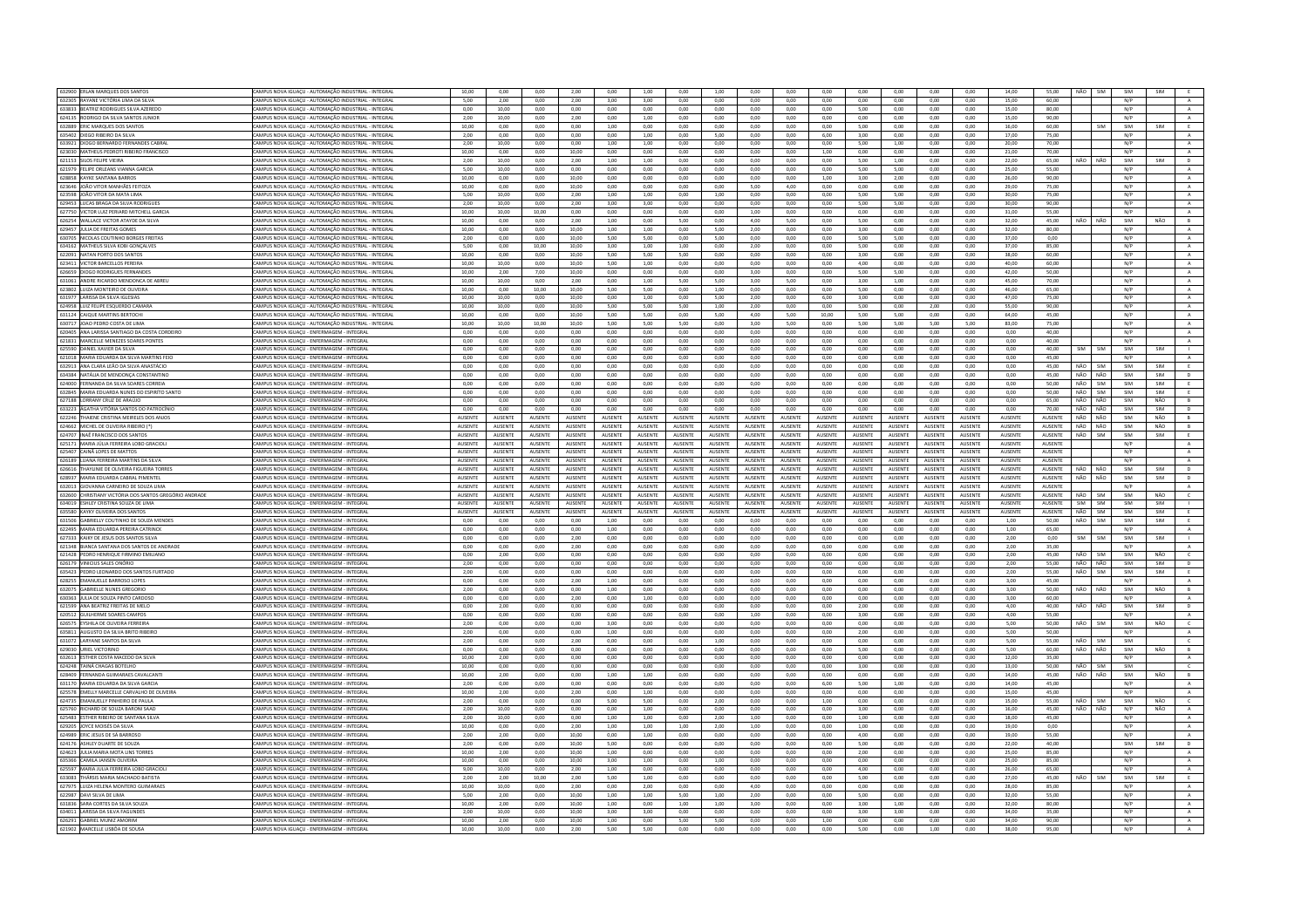| 632900 ERLAN MARQUES DOS SANTOS                                | CAMPUS NOVA IGUAÇU - AUTOMAÇÃO INDUSTRIAL - INTEGRAL                                    | 10,00          | 0,00            | 0,00           | 2,00           | 0,00            | 1,00           | 0,00            | 1,00           | 0,00            | 0,00           | 0,00           | 0,00            | 0,00           | 0,00           | 0,00           | 14,00           | 55,00          | NÃO        | SIM        | SIM | SIM        |                |
|----------------------------------------------------------------|-----------------------------------------------------------------------------------------|----------------|-----------------|----------------|----------------|-----------------|----------------|-----------------|----------------|-----------------|----------------|----------------|-----------------|----------------|----------------|----------------|-----------------|----------------|------------|------------|-----|------------|----------------|
| 632305 RAYANE VICTÓRIA LIMA DA SILVA                           | CAMPUS NOVA IGUACU - AUTOMAÇÃO INDUSTRIAL - INTEGRA                                     | 5.00           | 2.00            | 0.00           | 2.00           | 3.00            | 3.00           | 0.00            | 0.00           | 0.00            | 0.00           | 0.00           | 0.00            | 0.00           | 0.00           | 0.00           | 15.00           | 60.00          |            |            | N/P |            |                |
| 633833 BEATRIZ RODRIGUES SILVA AZEREDO                         | CAMPUS NOVA IGUAÇU - AUTOMAÇÃO INDUSTRIAL - INTEGRAI                                    | 0,00           | 10,00           | 0,00           | 0,00           | 0,00            | 0,00           | 0,00            | 0,00           | 0,00            | 0,00           | 0,00           | 5,00            | 0,00           | 0,00           | 0,00           | 15,00           | 80,00          |            |            | N/P |            | $\,$ A $\,$    |
| 624135 RODRIGO DA SILVA SANTOS JUNIOR                          | AMPUS NOVA IGUACU - AUTOMACÃO INDUSTRIAL - INTEGRA                                      | 2.00           | 10.00           | 0.00           | 2.00           | 0.00            | 1.00           | 0.00            | 0.00           | 0.00            | 0.00           | 0.00           | 0.00            | 0.00           | 0.00           | 0.00           | 15.00           | 90.00          |            |            | N/P |            | A              |
| 632889 ERIC MARQUES DOS SANTO                                  | CAMPUS NOVA IGUACU - AUTOMACÃO INDUSTRIAL - INTEGRA                                     | 10,00          | 0.00            | 0.00           | 0.00           | 1,00            | 0.00           | 0,00            | 0.00           | 0.00            | 0.00           | 0,00           | 5.00            | 0.00           | 0.00           | 0.00           | 16,00           | 60.00          |            | <b>SIM</b> | SIM | SIM        | E              |
| 635402 DIEGO RIBEIRO DA SILVA                                  | CAMPUS NOVA IGUAÇU - AUTOMAÇÃO INDUSTRIAL - INTEGRAI                                    | 2.00           | 0.00            | 0.00           | 0.00           | 0.00            | 1.00           | 0.00            | 5.00           | 0.00            | 0.00           | 6.00           | 3.00            | 0.00           | 0.00           | 0.00           | 17.00           | 75.00          |            |            | N/P |            | A              |
|                                                                |                                                                                         |                |                 |                |                |                 |                |                 |                |                 |                |                |                 |                |                |                |                 |                |            |            |     |            |                |
| 633921 DIOGO BERNARDO FERNANDES CABRAL                         | CAMPUS NOVA IGUACU - AUTOMACÃO INDUSTRIAL - INTEGRAI                                    | 2.00           | 10.00           | 0.00           | 0.00           | 1.00            | 1.00           | 0.00            | 0.00           | 0.00            | 0.00           | 0.00           | 5.00            | 1.00           | 0.00           | 0.00           | 20.00           | 70.00          |            |            | N/P |            | A              |
| 623030 MATHEUS PEDROTI RIBEIRO FRANCISCO                       | AMPUS NOVA IGUACU - AUTOMACÃO INDUSTRIAL - INTEGRA                                      | 10.00          | 0.00            | 0.00           | 10.00          | 0.00            | 0.00           | 0.00            | 0.00           | 0.00            | 0.00           | 1.00           | 0.00            | 0.00           | 0.00           | 0.00           | 21.00           | 70.00          |            |            | N/P |            | $\mathbb A$    |
| 621153 SILOS FELIPE VIEIRA                                     | CAMPUS NOVA IGUACU - AUTOMACÃO INDUSTRIAL - INTEGRAL                                    | 2.00           | 10.00           | 0.00           | 2.00           | 1.00            | 1.00           | 0.00            | 0.00           | 0.00            | 0.00           | 0.00           | 5.00            | 1.00           | 0.00           | 0.00           | 22.00           | 65.00          | NÃO        | NÃO        | SIM | <b>SIM</b> | D              |
| 621979 FELIPE ORLEANS VIANNA GARCIA                            | CAMPUS NOVA IGUAÇU - AUTOMAÇÃO INDUSTRIAL - INTEGRAL                                    | 5.00           | 10.00           | 0.00           | 0.00           | 0.00            | 0.00           | 0.00            | 0.00           | 0.00            | 0.00           | 0.00           | 5.00            | 5.00           | 0.00           | 0.00           | 25,00           | 55.00          |            |            | N/P |            | $\,$ A $\,$    |
| 628858 KAYKE SANTANA BARROS                                    | AMPUS NOVA IGUAÇU - AUTOMAÇÃO INDUSTRIAL - INTEGRA                                      | 10,00          | 0,00            | 0,00           | 10,00          | 0,00            | 0,00           | 0,00            | 0,00           | 0,00            | 0,00           | 1,00           | 3,00            | 2,00           | 0,00           | 0,00           | 26,00           | 90,00          |            |            | N/P |            | A              |
| 623646 JOÃO VITOR MANHÃES FEITOZA                              | CAMPUS NOVA IGUAÇU - AUTOMAÇÃO INDUSTRIAL - INTEGRA                                     | 10,00          | 0,00            | 0.00           | 10,00          | 0,00            | 0,00           | 0,00            | 0,00           | 5,00            | 4,00           | 0,00           | 0,00            | 0,00           | 0,00           | 0,00           | 29,00           | 75,00          |            |            | N/P |            | $\mathbf{A}$   |
| 623598 JOÃO VITOR DA MATA LIMA                                 | CAMPUS NOVA IGUAÇU - AUTOMAÇÃO INDUSTRIAL - INTEGRA                                     | 5,00           | 10,00           | 0,00           | 2,00           | 1,00            | 1,00           | 0,00            | 1,00           | 0,00            | 0,00           | 0,00           | 5,00            | 5,00           | 0,00           | 0,00           | 30,00           | 75,00          |            |            | N/P |            | $\,$ A $\,$    |
|                                                                |                                                                                         |                |                 |                |                |                 |                |                 |                |                 |                |                |                 |                |                |                |                 |                |            |            |     |            |                |
| 629453 LUCAS BRAGA DA SILVA RODRIGUES                          | CAMPUS NOVA IGUACU - AUTOMACÃO INDUSTRIAL - INTEGRAL                                    | 2.00           | 10.00           | 0.00           | 2.00           | 3.00            | 3.00           | 0.00            | 0.00           | 0.00            | 0.00           | 0.00           | 5.00            | 5.00           | 0.00           | 0.00           | 30.00           | 90.00          |            |            | N/P |            | A              |
| 627750 VICTOR LUIZ PERIARD MITCHELL GARO                       | CAMPUS NOVA IGUAÇU - AUTOMAÇÃO INDUSTRIAL - INTEGRA                                     | 10,00          | 10,00           | 10,00          | 0,00           | 0,00            | 0,00           | 0,00            | 0,00           | 1,00            | 0,00           | 0,00           | 0,00            | 0,00           | 0,00           | 0,00           | 31,00           | 55,00          |            |            | N/P |            | $\,$ A $\,$    |
| 626254 WALLACE VICTOR ATAYDE DA SILVA                          | CAMPUS NOVA IGUAÇU - AUTOMAÇÃO INDUSTRIAL - INTEGRA                                     | 10,00          | 0,00            | 0,00           | 2,00           | 1,00            | 0,00           | 5,00            | 0,00           | 4,00            | 5,00           | 0,00           | 5,00            | 0,00           | 0,00           | 0,00           | 32,00           | 45,00          | NÃO        | NÃO        | SIM | NÃO        | B              |
| 629457 JULIA DE FREITAS GOMES                                  | CAMPUS NOVA IGUAÇU - AUTOMAÇÃO INDUSTRIAL - INTEGRAI                                    | 10,00          | 0,00            | 0,00           | 10.00          | 1,00            | 1,00           | 0.00            | 5,00           | 2,00            | 0,00           | 0,00           | 3,00            | 0,00           | 0,00           | 0,00           | 32,00           | 80.00          |            |            | N/P |            | $\,$ A $\,$    |
| 630705 NICOLAS COUTINHO BORGES FREITAS                         | AMPUS NOVA IGUAÇU - AUTOMAÇÃO INDUSTRIAL - INTEGRA                                      | 2,00           | 0,00            | 0,00           | 10,00          | 5,00            | 5,00           | 0,00            | 5,00           | 0,00            | 0,00           | 0,00           | 5,00            | 5,00           | 0,00           | 0,00           | 37,00           | 0.00           |            |            | N/P |            | A              |
| 634162 MATHEUS SILVA KOBI GONCALVES                            | CAMPUS NOVA IGUACU - AUTOMACÃO INDUSTRIAL - INTEGRA                                     | 5.00           | 0.00            | 10.00          | 10.00          | 3.00            | 1.00           | 1.00            | 0.00           | 200             | 0.00           | 0.00           | 5.00            | 0.00           | 0.00           | 0.00           | 37.00           | 85.00          |            |            | N/P |            | $\mathbf{A}$   |
| 622091 NATAN PORTO DOS SANTOS                                  | CAMPUS NOVA IGUAÇU - AUTOMAÇÃO INDUSTRIAL - INTEGRA                                     | 10,00          | 0,00            | 0,00           | 10,00          | 5,00            | 5,00           | 5,00            | 0,00           | 0,00            | 0,00           | 0,00           | 3,00            | 0,00           | 0,00           | 0,00           | 38,00           | 60,00          |            |            | N/P |            | A              |
|                                                                |                                                                                         |                |                 |                |                |                 |                |                 |                |                 |                |                |                 |                |                |                |                 |                |            |            |     |            |                |
| 623411 VICTOR BARCELLOS PEREIRA                                | CAMPUS NOVA IGUACU - AUTOMACÃO INDUSTRIAL - INTEGRAL                                    | 10.00          | 10.00           | 0.00           | 10.00          | 5.00            | 1.00           | 0.00            | 0.00           | 0.00            | 0.00           | 0.00           | 4.00            | 0.00           | 0.00           | 0.00           | 40.00           | 60.00          |            |            | N/P |            | A              |
| 626659 DIOGO RODRIGUES FERNAND                                 | CAMPUS NOVA IGUACU - AUTOMACÃO INDUSTRIAL - INTEGRA                                     | 10,00          | 2,00            | 7,00           | 10,00          | 0,00            | 0,00           | 0,00            | 0,00           | 3,00            | 0,00           | 0,00           | 5,00            | 5,00           | 0,00           | 0,00           | 42,00           | 50,00          |            |            | N/P |            | $\mathbf{A}$   |
| 631061 ANDRE RICARDO MENDONCA DE ABREI                         | CAMPUS NOVA IGUACU - AUTOMACÃO INDUSTRIAL - INTEGRA                                     | 10.00          | 10.00           | 0.00           | 2.00           | 0.00            | 1.00           | 5.00            | 5.00           | 3.00            | 5.00           | 0.00           | 3.00            | 1.00           | 0.00           | 0.00           | 45.00           | 70.00          |            |            | N/P |            | A              |
| 623802 LUIZA MONTEIRO DE OLIVEIRA                              | CAMPUS NOVA IGUACU - AUTOMACÃO INDUSTRIAL - INTEGRAI                                    | 10.00          | 0.00            | 10.00          | 10.00          | 5.00            | 5.00           | 0.00            | 1.00           | 0.00            | 0.00           | 0.00           | 5.00            | 0.00           | 0.00           | 0.00           | 46.00           | 65.00          |            |            | N/P |            | A              |
| 631977 LARISSA DA SILVA IGLESIAS                               | AMPUS NOVA IGUAÇU - AUTOMAÇÃO INDUSTRIAL - INTEGRA                                      | 10,00          | 10,00           | 0,00           | 10,00          | 0,00            | 1,00           | 0,00            | 5,00           | 2,00            | 0,00           | 6,00           | 3,00            | 0,00           | 0,00           | 0,00           | 47,00           | 75,00          |            |            | N/P |            | $\,$ A $\,$    |
| 624958 LUIZ FELIPE ESQUERDO CAMARA                             | CAMPUS NOVA IGUACU - AUTOMAÇÃO INDUSTRIAL - INTEGRAL                                    | 10.00          | 10.00           | 0.00           | 10.00          | 500             | 5.00           | 5.00            | 1.00           | 2.00            | 0.00           | 0.00           | 500             | 0.00           | 2.00           | 0.00           | 55.00           | 90.00          |            |            | N/P |            | A              |
| 631124 CAIQUE MARTINS BERTOCH                                  | CAMPUS NOVA IGUAÇU - AUTOMAÇÃO INDUSTRIAL - INTEGRAI                                    | 10.00          | 0.00            | 0.00           | 10.00          | 5,00            | 5.00           | 0.00            | 5,00           | 4,00            | 5.00           | 10.00          | 5,00            | 5.00           | 0,00           | 0,00           | 64.00           | 45.00          |            |            | N/P |            | $\mathbf{A}$   |
|                                                                |                                                                                         |                |                 |                |                |                 |                |                 |                |                 |                |                |                 |                |                |                |                 |                |            |            |     |            |                |
| 630717 JOAO PEDRO COSTA DE LIMA                                | AMPUS NOVA IGUACU - AUTOMACÃO INDUSTRIAL - INTEGRAI                                     | 10.00          | 10.00           | 10.00          | 10.00          | 5.00            | 5.00           | 5.00            | 0.00           | 3.00            | 5.00           | 0.00           | 5.00            | 5.00           | 5.00           | 5.00           | 83.00           | 75.00          |            |            | N/P |            | A              |
| 620405 ANA LARISSA SANTIAGO DA COSTA CORDEIRO                  | CAMPUS NOVA IGUACU - ENFERMAGEM - INTEGRA                                               | 0.00           | 0.00            | 0.00           | 0.00           | 0.00            | 0.00           | 0.00            | 0.00           | 0.00            | 0.00           | 0.00           | 0.00            | 0.00           | 0.00           | 0.00           | 0.00            | 40.00          |            |            | N/P |            |                |
| 621831 MARCELLE MENEZES SOARES PONTES                          | CAMPUS NOVA IGUACU - ENFERMAGEM - INTEGRAI                                              | 0.00           | 0.00            | 0.00           | 0.00           | 0.00            | 0.00           | 0.00            | 0.00           | 0.00            | 0.00           | 0.00           | 0.00            | 0.00           | 0.00           | 0.00           | 0.00            | 40.00          |            |            | N/P |            | $\Delta$       |
| 625590 DANIEL XAVIER DA SILVA                                  | CAMPUS NOVA IGUACU - ENFERMAGEM - INTEGRAL                                              | 0.00           | 0.00            | 0.00           | 0.00           | 0.00            | 0.00           | 0.00            | $0.00 -$       | 0.00            | 0.00           | 0.00           | 0.00            | 0.00           | 0.00           | 0.00           | 0.00            | 40.00          | <b>SIM</b> | <b>SIM</b> | SIM | <b>SIM</b> | <b>THE</b>     |
| 621018 MARIA EDUARDA DA SILVA MARTINS FEIO                     | AMPUS NOVA IGUAÇU - ENFERMAGEM - INTEGRAL                                               | 0,00           | 0,00            | 0,00           | 0,00           | 0,00            | 0,00           | 0,00            | 0,00           | 0,00            | 0,00           | 0,00           | 0,00            | 0,00           | 0,00           | 0,00           | 0,00            | 45,00          |            |            | N/P |            | A              |
| 632913 ANA CLARA LEÃO DA SILVA ANASTÁCIO                       | CAMPUS NOVA IGUACU - ENFERMAGEM - INTEGRAL                                              | 0.00           | 0.00            | 0.00           | 0.00           | 0.00            | 0.00           | 0.00            | 0.00           | 0.00            | 0.00           | 0.00           | 0.00            | 0.00           | 0.00           | 0.00           | 0.00            | 45.00          | NÃO        | SIM        | SIM | SIM        | E              |
| 634384 NATÁLIA DE MENDONÇA CONSTANTINO                         | CAMPUS NOVA IGUAÇU - ENFERMAGEM - INTEGRAL                                              | 0,00           | 0,00            | 0.00           | 0.00           | 0,00            | 0,00           | 0.00            | 0,00           | 0.00            | 0.00           | 0,00           | 0,00            | 0.00           | 0,00           | 0,00           | 0,00            | 45,00          | NÃO        | NÃO        | SIM | SIM        | D              |
|                                                                |                                                                                         |                |                 |                |                |                 |                |                 |                |                 |                |                |                 |                |                |                |                 | 50.00          | NÃO        |            |     | SIM        |                |
| 624000 FERNANDA DA SILVA SOARES CORREIA                        | AMPUS NOVA IGUAÇU - ENFERMAGEM - INTEGRAL                                               | 0,00           | 0,00            | 0,00           | 0,00           | 0,00            | 0,00           | 0,00            | 0,00           | 0,00            | 0,00           | 0,00           | 0,00            | 0,00           | 0,00           | 0,00           | 0,00            |                |            | SIM        | SIM |            | E              |
| 632845 MARIA EDUARDA NUNES DO ESPIRÍTO SANTO                   | CAMPUS NOVA IGUAÇU - ENFERMAGEM - INTEGRAI                                              | 0.00           | 0.00            | 0.00           | 0.00           | 0,00            | 0,00           | 0.00            | 0.00           | 0.00            | 0.00           | 0,00           | 0.00            | 0,00           | 0.00           | 0.00           | 0.00            | 50.00          | NÃO        | SIM        | SIM | SIM        |                |
| 627188 LORRANY CRUZ DE ARAÚJO                                  | CAMPUS NOVA IGUAÇU - ENFERMAGEM - INTEGRAL                                              | 0,00           | 0,00            | 0,00           | 0,00           | 0,00            | 0,00           | 0,00            | 0,00           | 0,00            | 0.00           | 0,00           | 0.00            | 0,00           | 0,00           | 0,00           | 0,00            | 65.00          |            | NÃO NÃO    | SIM | NÃO        | B              |
| 633223 ÁGATHA VITÓRIA SANTOS DO PATROCÍNIO                     | CAMPUS NOVA IGUACU - ENFERMAGEM - INTEGRAL                                              | 0.00           | 0.00            | 0.00           | 0.00           | 0.00            | 0.00           | 0.00            | 0.00           | 0.00            | 0.00           | 0.00           | 0.00            | 0.00           | 0.00           | 0.00           | 0.00            | 70.00          | NÃO        | NÃO        | SIM | SIM        | D              |
| 622246 THAIENE CRISTINA MEIRELES DOS ANJOS                     | CAMPUS NOVA IGUAÇU - ENFERMAGEM - INTEGRAL                                              | AUSENTI        | AUSENTE         | AUSENT         | AUSENTE        | AUSENTE         | AUSENT         | <b>IUSENT</b>   | AUSENTE        | AUSENTE         | AUSENTI        | AUSENTE        | AUSENTE         | AUSENTE        | AUSENTE        | AUSENTE        | AUSENTE         | AUSENTE        | NÃO        | NÃO        | SIM | NÃO        | B              |
| 624662 MICHEL DE OLIVEIRA RIBEIRO (*                           | CAMPUS NOVA IGUACU - ENFERMAGEM - INTEGRAL                                              | AUSENTE        | AUSENTE         | AUSENTE        | AUSENTE        | <b>AUSENTE</b>  | <b>AUSENTE</b> | <b>AUSENTE</b>  | <b>AUSENTE</b> | AUSENTE         | AUSENTE        | <b>AUSENTE</b> | <b>AUSENTE</b>  | AUSENTE        | <b>AUSENTE</b> | <b>AUSENTE</b> | <b>AUSENTE</b>  | AUSENTE        | NÃO        | NÃO        | SIM | NÃO        | B              |
|                                                                |                                                                                         |                |                 | AUSENTE        | AUSENTE        |                 |                |                 |                |                 |                |                |                 |                | AUSENTE        |                |                 |                |            |            |     |            |                |
| 624707 INAÊ FRANCISCO DOS SANTOS                               | CAMPUS NOVA IGUAÇU - ENFERMAGEM - INTEGRAI                                              | AUSENTE        | AUSENTE         |                |                | AUSENTE         | AUSENTI        | AUSENTE         | AUSENTE        | <b>AUSENTE</b>  | AUSENTE        | AUSENTE        | <b>AUSENTE</b>  | AUSENTE        |                | AUSENTE        | AUSENTE         | AUSENTE        | NÃO        | SIM        | SIM | SIM        |                |
| 625171 MARIA JÚLIA FERREIRA LOBO GRACIOLI                      | AMPUS NOVA IGUAÇU - ENFERMAGEM - INTEGRAL                                               | AUSENTE        | AUSENTE         | AUSENTE        | AUSENTE        | AUSENTE         | AUSENTE        | AUSENTE         | AUSENTE        | AUSENTE         | AUSENTE        | AUSENTE        | AUSENTE         | AUSENTE        | <b>AUSENTE</b> | AUSENTE        | AUSENTE         | AUSENTE        |            |            | N/P |            | $\mathbb{A}$   |
| 625407 CAINÃ LOPES DE MATTOS                                   | CAMPUS NOVA IGUACU - ENFERMAGEM - INTEGRAL                                              | <b>AUSENTE</b> | <b>ALISENTE</b> | <b>AUSENTE</b> | <b>AUSENTE</b> | <b>ALISENTE</b> | <b>AUSENTE</b> |                 | <b>AUSENTE</b> | <b>ALISENTE</b> | <b>AUSENTE</b> | <b>AUSENTE</b> | <b>ALISENTE</b> | <b>AUSENTE</b> | <b>AUSENTE</b> | <b>AUSENTE</b> | <b>AUSENTE</b>  | <b>AUSENTE</b> |            |            | N/P |            | A              |
|                                                                |                                                                                         |                |                 |                |                |                 |                | <b>ALISENTE</b> |                |                 |                |                |                 |                |                |                |                 |                |            |            |     |            |                |
| 626189 LUANA FERREIRA MARTINS DA SILVA                         |                                                                                         | AUSENTE        | <b>AUSENTE</b>  | <b>AUSENTE</b> | <b>AUSENTE</b> | <b>AUSENTE</b>  | <b>AUSENTE</b> | <b>AUSENTE</b>  | <b>AUSENTE</b> | AUSENTE         | AUSENTE        | <b>AUSENTE</b> | AUSENTE         | AUSENTE        | <b>AUSENTE</b> | <b>AUSENTE</b> | <b>AUSENTE</b>  | AUSENTE        |            |            | N/P |            | $\overline{A}$ |
| 626616 THAYLINIE DE OLIVEIRA FIGUEIRA TORRES                   | CAMPUS NOVA IGUAÇU - ENFERMAGEM - INTEGRAL<br>AMPUS NOVA IGUACU - ENFERMAGEM - INTEGRAL | AUSENTE        | AUSENTE         | AUSENTE        | AUSENTE        | AUSENTE         | AUSENTE        | <b>AUSENTE</b>  | AUSENTE        | AUSENTE         | AUSENTE        | AUSENTE        | AUSENTE         | AUSENTE        | AUSENTE        | AUSENTE        | AUSENTE         | AUSENTE        | NÃO        | NÃO        | SIM | <b>SIM</b> | $\mathbf{D}$   |
|                                                                |                                                                                         |                |                 |                |                |                 |                |                 |                |                 |                |                |                 |                |                |                |                 |                |            |            |     |            |                |
| 628937 MARIA EDUARDA CABRAL PIMENTE                            | CAMPUS NOVA IGUAÇU - ENFERMAGEM - INTEGRAI                                              | AUSENTI        | <b>AUSENTE</b>  | AUSENTI        | AUSENTE        | AUSENTE         | AUSENTI        | <b>AUSENT</b>   | AUSENTE        | AUSENTE         | AUSENTE        | AUSENTE        | AUSENTE         | AUSENTE        | AUSENTE        | AUSENTE        | AUSENTE         | AUSENTE        | NÃO        | NÃO        | SIM | SIM        | D              |
| 632013 GIOVANNA CARNEIRO DE SOUZA LIMA                         | CAMPUS NOVA IGUACU - ENFERMAGEM - INTEGRAL                                              | AUSENTE        | AUSENTE         | AUSENTE        | AUSENTE        | <b>AUSENTE</b>  | AUSENTE        | AUSENTE         | <b>AUSENTE</b> | <b>AUSENTE</b>  | AUSENTE        | <b>AUSENTE</b> | <b>AUSENTE</b>  | AUSENTE        | <b>AUSENTE</b> | AUSENTE        | AUSENTE         | AUSENTE        |            |            | N/P |            | A              |
| 632600 CHRISTIANY VICTÓRIA DOS SANTOS GREGÓRIO ANDRADE         | CAMPUS NOVA IGUAÇU - ENFERMAGEM - INTEGRAL                                              | AUSENTE        | AUSENTE         | AUSENTE        | AUSENTE        | AUSENTE         | AUSENTE        | <b>AUSENTE</b>  | <b>AUSENTE</b> | AUSENTE         | AUSENTE        | AUSENTE        | AUSENTE         | AUSENTE        | AUSENTE        | AUSENTE        | AUSENTE         | AUSENTE        | NÃO        | SIM        | SIM | NÃO        | $\epsilon$     |
| 634019 ESHLEY CRISTINA SOUZA DE LIMA                           | MPUS NOVA IGUACU - ENFERMAGEM - INTEGRAL                                                | <b>AUSENTE</b> | <b>AUSENTE</b>  | <b>AUSENTI</b> | AUSENTE        | <b>AUSENTE</b>  | AUSENTI        | <b>IUSENT</b>   | <b>AUSENTE</b> | <b>AUSENTE</b>  | AUSENTI        | AUSENTE        | <b>AUSENTE</b>  | <b>AUSENTE</b> | AUSENTE        | AUSENTE        | <b>AUSENTE</b>  | AUSENTE        | SIM        | <b>SIM</b> | SIM | SIM        |                |
| 635580 KAYKY OLIVEIRA DOS SANTOS                               | CAMPUS NOVA IGUACU - ENFERMAGEM - INTEGRAL                                              | <b>AUSENTE</b> | <b>AUSENTE</b>  | <b>AUSENTE</b> | <b>AUSENTE</b> | <b>AUSENTE</b>  | <b>AUSENTE</b> | <b>ALISENTE</b> | <b>AUSENTE</b> | <b>ALISENTE</b> | <b>AUSENTE</b> | <b>AUSENTE</b> | <b>ALISENTE</b> | <b>AUSENTE</b> | <b>AUSENTE</b> | <b>AUSENTE</b> | <b>ALISENTE</b> | <b>AUSENTE</b> | NÃO        | SIM        | SIM | SIM        | F.             |
| 631506 GABRIELLY COUTINHO DE SOUZA MENDES                      | CAMPUS NOVA IGUAÇU - ENFERMAGEM - INTEGRAL                                              | 0.00           | 0.00            | 0.00           | 0.00           | 1.00            | 0.00           | 0.00            | 0.00           | 0.00            | 0.00           | 0.00           | 0.00            | 0.00           | 0.00           | 0.00           | 1.00            | 50.00          | NÃO        | SIM        | SIM | SIM        |                |
| 622495 MARIA FOUARDA PERFIRA CATRINCK                          | CAMPUS NOVA IGUACU - ENFERMAGEM - INTEGRAL                                              | 0.00           | 0.00            | 0.00           | 0.00           | 1.00            | 0.00           | 0.00            | $0.00 -$       | 0.00            | 0.00           | 0.00           | 0.00            | 0.00           | 0.00           | 0.00           | $1.00 -$        | 65.00          |            |            | N/P |            | $\Delta$       |
|                                                                |                                                                                         |                |                 |                |                |                 |                |                 |                |                 |                |                |                 |                |                |                |                 |                |            |            |     |            |                |
| 627333 KAIKY DE JESUS DOS SANTOS SILV                          | CAMPUS NOVA IGUAÇU - ENFERMAGEM - INTEGRAI                                              | 0,00           | 0,00            | 0,00           | 2,00           | 0,00            | 0,00           | 0,00            | 0,00           | 0,00            | 0,00           | 0,00           | 0,00            | 0,00           | 0,00           | 0,00           | 2,00            | 0,00           | SIM        | SIM        | SIM | SIM        |                |
| 621348 BIANCA SANTANA DOS SANTOS DE ANDRADE                    | CAMPUS NOVA IGUAÇU - ENFERMAGEM - INTEGRAL                                              | 0,00           | 0,00            | 0,00           | 2,00           | 0,00            | 0,00           | 0,00            | 0,00           | 0,00            | 0.00           | 0,00           | 0,00            | 0,00           | 0,00           | 0,00           | 2,00            | 35.00          |            |            | N/P |            | A              |
| 621428 PEDRO HENRIQUE FIRMINO EMILIANO                         | CAMPUS NOVA IGUAÇU - ENFERMAGEM - INTEGRAL                                              | 0.00           | 2.00            | 0.00           | 0.00           | 0.00            | 0.00           | 0.00            | 0.00           | 0.00            | 0.00           | 0.00           | 0.00            | 0.00           | 0.00           | 0.00           | 2.00            | 45.00          | NÃO        | SIM        | SIM | NÃO        | $\mathsf{C}$   |
| 626179 VINICIUS SALES ONÓRIO                                   | AMPUS NOVA IGUAÇU - ENFERMAGEM - INTEGRAL                                               | 2,00           | 0,00            | 0,00           | 0,00           | 0,00            | 0,00           | 0,00            | 0,00           | 0,00            | 0,00           | 0,00           | 0,00            | 0,00           | 0,00           | 0,00           | 2,00            | 55,00          | NÃO        | NÃO        | SIM | SIM        | $\mathbb D$    |
| 635423 PEDRO LEONARDO DOS SANTOS FURTADO                       | CAMPUS NOVA IGUACU - ENFERMAGEM - INTEGRAL                                              | 2.00           | 0.00            | 0.00           | 0.00           | 0.00            | 0.00           | 0.00            | 0.00           | 0.00            | 0.00           | 0.00           | 0.00            | 0.00           | 0.00           | 0.00           | 2.00            | 55.00          | NÃO        | SIM        | SIM | SIM        | E              |
| 628255 EMANUELLE BARROSO LOPES                                 | CAMPUS NOVA IGUAÇU - ENFERMAGEM - INTEGRAI                                              | 0,00           | 0,00            | 0,00           | 2,00           | 1,00            | 0,00           | 0,00            | 0,00           | 0,00            | 0,00           | 0,00           | 0,00            | 0,00           | 0,00           | 0,00           | 3,00            | 45,00          |            |            | N/P |            | $\mathbb A$    |
| 632075 GABRIELLE NUNES GREGORIC                                | CAMPUS NOVA IGUACU - ENFERMAGEM - INTEGRAL                                              | 2.00           | 0.00            | 0.00           | 0.00           | 1.00            | 0.00           | 0.00            | 0.00           | 0.00            | 0.00           | 0.00           | 0.00            | 0.00           | 0.00           | 0.00           | 3.00            | 50.00          | NÃO        | NÃO        | SIM | NÃO        | B              |
| 630363 JULIA DE SOUZA PINTO CARDOSO                            | CAMPUS NOVA IGUACU - ENFERMAGEM - INTEGRAI                                              | 0.00           | 0.00            | 0.00           | 2.00           | 0.00            | 1.00           | 0.00            | 0.00           | 0.00            | 0.00           | 0.00           | 0.00            | 0.00           | 0.00           | 0.00           | 3.00            | 60.00          |            |            | N/P |            | $\,$ A $\,$    |
|                                                                | CAMPUS NOVA IGUAÇU - ENFERMAGEM - INTEGRAL                                              | 0.00           | 2.00            | 0.00           | 0.00           | 0.00            | 0.00           | 0.00            | 0.00           | 0.00            | 0.00           | 0.00           | 2.00            | 0.00           |                | 0.00           | 4.00            | 40.00          | NÃO        | NÃO        | SIM | SIM        |                |
| 621599 ANA BEATRIZ FREITAS DE MELO                             |                                                                                         | 0.00           |                 | 0.00           | 0.00           |                 |                | 0.00            |                | 1.00            | 0.00           |                | 3.00            | 0.00           | 0,00           | 0.00           | 4.00            | 55.00          |            |            | N/P |            | $\overline{D}$ |
| 620512 GUILHERME SOARES CAMPOS                                 | CAMPUS NOVA IGUAÇU - ENFERMAGEM - INTEGRAL                                              |                | 0.00            |                |                | 0.00            | 0.00           |                 | 0.00           |                 |                | 0.00           |                 |                | 0.00           |                |                 |                |            |            |     |            | $\,$ A $\,$    |
| 626575 EYSHILA DE OLIVEIRA FERREIRA                            | CAMPUS NOVA IGUAÇU - ENFERMAGEM - INTEGRAL                                              | 2,00           | 0,00            | 0,00           | 0,00           | 3,00            | 0,00           | 0,00            | 0,00           | 0,00            | 0,00           | 0,00           | 0,00            | 0,00           | 0,00           | 0,00           | 5,00            | 50,00          | NÃO        | SIM        | SIM | NÃO        | $\mathsf{C}$   |
| 635811 AUGUSTO DA SILVA BRITO RIBEIRO                          | CAMPUS NOVA IGUACU - ENFERMAGEM - INTEGRAL                                              | 2.00           | 0.00            | 0.00           | 0.00           | 1.00            | 0.00           | 0.00            | 0.00           | 0.00            | 0.00           | 0.00           | 2.00            | 0.00           | 0.00           | 0.00           | 5.00            | 50.00          |            |            | N/P |            | A              |
| 631072 LARYANE SANTOS DA SILVA                                 | CAMPUS NOVA IGUAÇU - ENFERMAGEM - INTEGRAL                                              | 2,00           | 0,00            | 0.00           | 2,00           | 0,00            | 0,00           | 0.00            | 1,00           | 0,00            | 0,00           | 0,00           | 0,00            | 0,00           | 0,00           | 0,00           | 5,00            | 55.00          |            | NÃO SIM    | SIM |            | $\epsilon$     |
| 629030 URIEL VICTORINO                                         | AMPUS NOVA IGUACU - ENFERMAGEM - INTEGRAL                                               | 0.00           | 0.00            | 0.00           | 0.00           | 0.00            | 0.00           | 0.00            | 0.00           | 0.00            | 0.00           | 0.00           | 5.00            | 0.00           | 0.00           | 0.00           | 5.00            | 60.00          | NÃO        | NÃO        | SIM | NÃO        | B              |
| 632613 ESTHER COSTA MACEDO DA SILVA                            | CAMPUS NOVA IGUACU - ENFERMAGEM - INTEGRAL                                              | 10.00          | 2.00            | 0.00           | 0.00           | 0.00            | 0.00           | 0.00            | 0.00           | 0.00            | 0.00           | 0.00           | 0.00            | 0.00           | 0.00           | 0.00           | 12.00           | 35.00          |            |            | N/P |            | $\mathbf{A}$   |
| 624248 TAINÁ CHAGAS BOTELHO                                    | CAMPUS NOVA IGUAÇU - ENFERMAGEM - INTEGRAL                                              | 10.00          | 0,00            | 0.00           | 0.00           | 0.00            | 0.00           | 0.00            | 0,00           | 0.00            | 0.00           | 0.00           | 3.00            | 0.00           | 0,00           | 0.00           | 13.00           | 50.00          | NÃO        | SIM        | SIM |            | $\epsilon$     |
|                                                                |                                                                                         | 10.00          | 2.00            | 0.00           | 0.00           | 1.00            | 1.00           | 0.00            | $0.00 -$       | 0.00            | 0.00           | 0.00           | 0.00            | 0.00           | 0.00           | 0.00           | 14.00           | 45.00          | NÃO        | NÃO        | SIM | NÃO        |                |
| 628409 FERNANDA GUIMARAES CAVALCANTI                           | CAMPUS NOVA IGUACU - ENFERMAGEM - INTEGRAL                                              |                |                 |                |                |                 |                |                 |                |                 |                |                |                 |                |                |                |                 |                |            |            |     |            | B              |
| 631170 MARIA EDUARDA DA SILVA GARCIA                           | CAMPUS NOVA IGUAÇU - ENFERMAGEM - INTEGRAI                                              | 2.00           | 0.00            | 0.00           | 0.00           | 0.00            | 0.00           | 0.00            | 0.00           | 0.00            | 0.00           | 6.00           | 5.00            | 1.00           | 0.00           | 0.00           | 14.00           | 45.00          |            |            | N/P |            | $\mathbf{A}$   |
| 625578 EMELLY MARCELLE CARVALHO DE OLIVEIRA                    | CAMPUS NOVA IGUAÇU - ENFERMAGEM - INTEGRAL                                              | 10.00          | 2.00            | 0.00           | 2.00           | 0.00            | 1.00           | 0.00            | 0.00           | 0.00            | 0.00           | 0.00           | 0.00            | 0.00           | 0.00           | 0.00           | 15.00           | 45.00          |            |            | N/P |            | A              |
| 624735 EMANUELLY PINHEIRO DE PAULA                             | CAMPUS NOVA IGUAÇU - ENFERMAGEM - INTEGRAI                                              | 2.00           | 0.00            | 0.00           | 0.00           | 5.00            | 5.00           | 0.00            | 2,00           | 0.00            | 0.00           | 1.00           | 0.00            | 0.00           | 0.00           | 0.00           | 15,00           | 55.00          | NÃO        | SIM        | SIM | NÃO        | $\epsilon$     |
| 625760 RICHARD DE SOUZA BARONI SAAD                            | AMPUS NOVA IGUAÇU - ENFERMAGEM - INTEGRAL                                               | 2,00           | 10,00           | 0,00           | 0,00           | 0,00            | 1,00           | 0,00            | 0,00           | 0,00            | 0,00           | 0,00           | 3,00            | 0,00           | 0,00           | 0,00           | 16,00           | 45,00          | NÃO        | NÃO        | N/P | NÃO        | A              |
| 625483 ESTHER RIBEIRO DE SANTANA SILVA                         | CAMPUS NOVA IGUACU - ENFERMAGEM - INTEGRAL                                              | 2.00           | 10.00           | 0.00           | 0.00           | 1.00            | 1.00           | 0.00            | 2.00           | 1.00            | 0.00           | 0.00           | 1.00            | 0.00           | 0.00           | 0.00           | 18.00           | 45.00          |            |            | N/P |            | $\Lambda$      |
| 629205 JOYCE MOISÉS DA SILVA                                   | CAMPUS NOVA IGUAÇU - ENFERMAGEM - INTEGRAL                                              | 10,00          | 0,00            | 0,00           | 2,00           | 1,00            | 1,00           | 1,00            | 2,00           | 1,00            | 0,00           | 0,00           | 1,00            | 0,00           | 0,00           | 0,00           | 19,00           | 0,00           |            |            | N/P |            | $\mathbf{A}$   |
| 624989 ERIC JESUS DE SÁ BARROSO                                | CAMPUS NOVA IGUACU - ENFERMAGEM - INTEGRAL                                              | 2.00           | 2.00            | 0.00           | 10.00          | 0.00            | 1.00           | 0.00            | 0.00           | 0.00            | 0.00           | 0.00           | 4.00            | 0.00           | 0.00           | 0.00           | 19.00           | 55.00          |            |            | N/P |            |                |
|                                                                |                                                                                         |                |                 |                |                |                 |                |                 |                |                 |                |                |                 |                |                |                |                 |                |            |            |     |            | A              |
| 624176 ASHLEY DUARTE DE SOUZ/                                  | CAMPUS NOVA IGUAÇU - ENFERMAGEM - INTEGRAI                                              | 2,00           | 0,00            | 0,00           | 10,00          | 5,00            | 0,00           | 0,00            | 0,00           | 0,00            | 0,00           | 0,00           | 5,00            | 0,00           | 0,00           | 0,00           | 22,00           | 40,00          |            |            | SIM | SIM        | $\mathsf D$    |
| 624623 JULIA MARIA MOTA LINS TORRES                            | CAMPUS NOVA IGUAÇU - ENFERMAGEM - INTEGRAL                                              | 10,00          | 2,00            | 0,00           | 10,00          | 1,00            | 0,00           | 0,00            | 0,00           | 0,00            | 0,00           | 0,00           | 2,00            | 0,00           | 0,00           | 0,00           | 25,00           | 85.00          |            |            | N/P |            | A              |
| 635366 CAMILA JANSEN OLIVEIRA                                  | CAMPUS NOVA IGUAÇU - ENFERMAGEM - INTEGRAL                                              | 10.00          | 0.00            | 0.00           | 10.00          | 3,00            | 1,00           | 0.00            | 1,00           | 0.00            | 0.00           | 0,00           | 0.00            | 0.00           | 0,00           | 0.00           | 25,00           | 85.00          |            |            | N/P |            | A              |
| 625597 MARIA JULIA FERREIRA LOBO GRACIOLI                      | CAMPUS NOVA IGUAÇU - ENFERMAGEM - INTEGRAL                                              | 9,00           | 10,00           | 0,00           | 2,00           | 1,00            | 0,00           | 0,00            | 0,00           | 0,00            | 0,00           | 0,00           | 4,00            | 0,00           | 0,00           | 0,00           | 26,00           | 65,00          |            |            | N/P |            | A              |
| 633083 THÁRSIS MARIA MACHADO BATISTA                           | CAMPUS NOVA IGUACU - ENFERMAGEM - INTEGRAL                                              | 2.00           | 2.00            | 10.00          | 2.00           | 5.00            | 1.00           | 0.00            | 0.00           | 0.00            | 0.00           | 0.00           | 5.00            | 0.00           | 0.00           | 0.00           | 27.00           | 45.00          | NÃO        | SIM        | SIM | SIM        | E              |
| 627975 LUIZA HELENA MONTERO GUIMARAES                          | CAMPUS NOVA IGUAÇU - ENFERMAGEM - INTEGRAI                                              | 10,00          | 10,00           | 0,00           | 2,00           | 0,00            | 2,00           | 0,00            | 0,00           | 4,00            | 0,00           | 0,00           | 0,00            | 0,00           | 0,00           | 0,00           | 28,00           | 85,00          |            |            | N/P |            | $\mathbf{A}$   |
| 622987 DAVI SILVA DE LIMA                                      | AMPUS NOVA IGUACU - ENFERMAGEM - INTEGRAL                                               | 5.00           | 2.00            | 0.00           | 10.00          | 1.00            | 1.00           | 5.00            | 1.00           | 2.00            | 0.00           | 0.00           | 5.00            | 0.00           | 0.00           | 0.00           | 32.00           | 55.00          |            |            | N/P |            | A              |
|                                                                |                                                                                         |                |                 |                |                |                 |                |                 |                |                 |                |                |                 |                |                |                |                 |                |            |            |     |            |                |
| 631836 SARA CORTES DA SILVA SOUZ                               | MPUS NOVA IGUAÇU - ENFERMAGEM - INTEGRA                                                 | 10,00          | 2,00            | 0,00           | 10,00          | 1,00            | 0,00           | 1,00            | 1,00           | 3,00            | 0,00           | 0,00           | 3,00            | 1,00           | 0,00           | 0,00           | 32,00           | 80,0           |            |            | N/P |            | $\mathbf{A}$ . |
| 634011 LARISSA DA SILVA FAGUNDES                               | CAMPUS NOVA IGUAÇU - ENFERMAGEM - INTEGRAL                                              | 2.00           | 10,00           | 0.00           | 10.00          | 3.00            | 3.00           | 0.00            | 0,00           | 0.00            | 0.00           | 0,00           | 3.00            | 3.00           | 0,00           | 0.00           | 34.00           | 35.00          |            |            | N/P |            | $\,$ A $\,$    |
| 626291 GABRIEL MUNIZ AMORIM<br>621902 MARCELLE LISBÔA DE SOUSA | CAMPUS NOVA IGUACU - ENFERMAGEM - INTEGRAL<br>CAMPUS NOVA IGUACU - ENFERMAGEM - INTEGRA | 10.00<br>10.00 | 2.00<br>10.00   | 0.00<br>0.00   | 10.00<br>2.00  | 1.00            | 0.00           | 5.00<br>0.00    | 5.00           | 0.00<br>0.00    | 0.00           | 1.00<br>0.00   | 0.00<br>5.00    | 0.00<br>0.00   | 0.00           | 0.00<br>0.00   | 34.00<br>38.00  | 90.00          |            |            | N/P |            | $\mathbf{A}$   |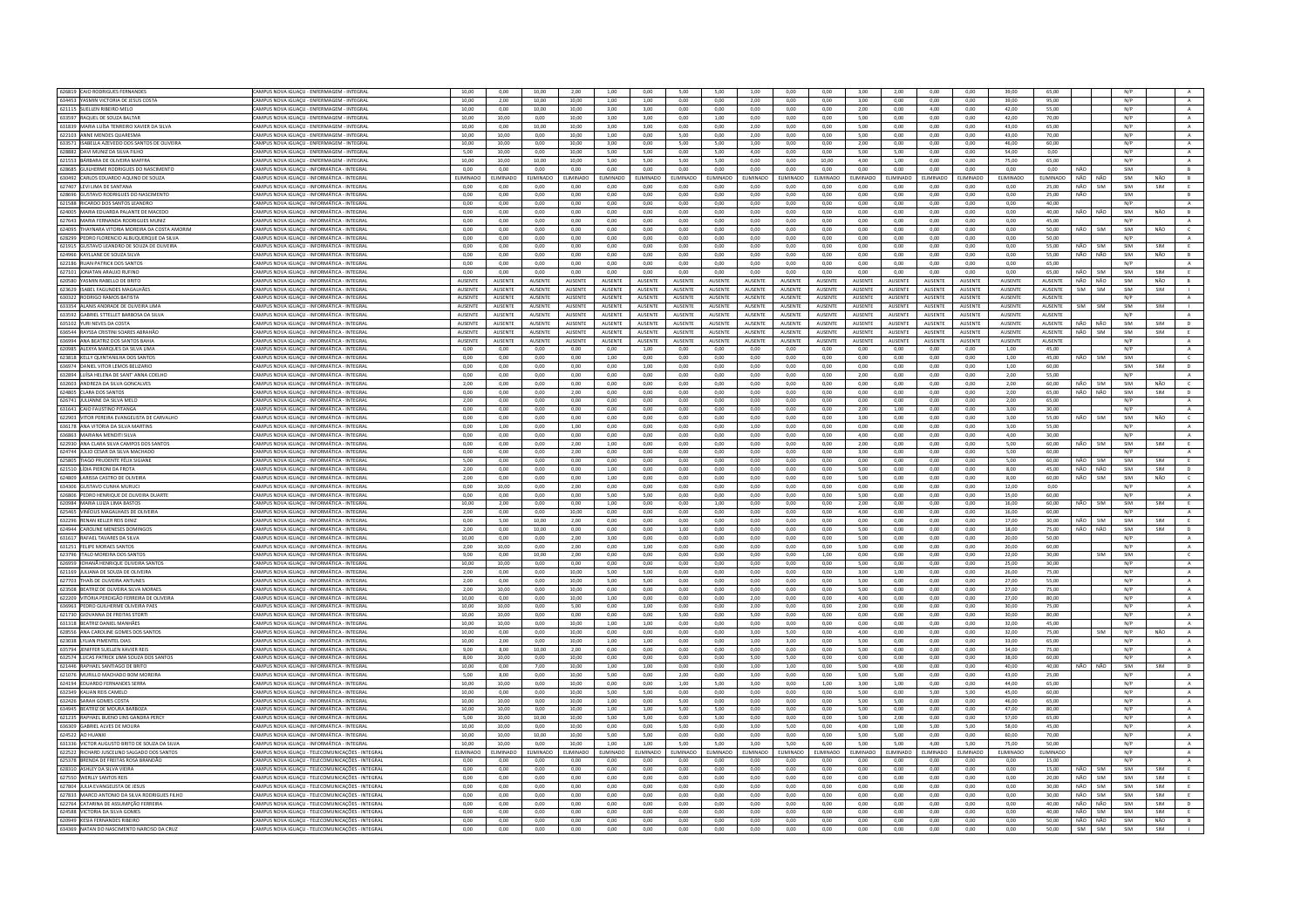| 626819 CAIO RODRIGUES FERNANDES                                              | CAMPUS NOVA IGUAÇU - ENFERMAGEM - INTEGRAL                                                          | 10,00            | 0,00            | 10,00           | 2,00           | 1,00           | 0,00           | 5,00            | 5,00           | 1,00            | 0,00            | 0,00           | 3,00            | 2,00           | 0,00           | 0,00           | 39,00           | 65,00          |     |                | N/P        |            |                   |
|------------------------------------------------------------------------------|-----------------------------------------------------------------------------------------------------|------------------|-----------------|-----------------|----------------|----------------|----------------|-----------------|----------------|-----------------|-----------------|----------------|-----------------|----------------|----------------|----------------|-----------------|----------------|-----|----------------|------------|------------|-------------------|
| 634453 YASMIN VICTORIA DE JESUS COSTA                                        | CAMPUS NOVA IGUACU - ENFERMAGEM - INTEGRAL                                                          | 10.00            | 2.00            | 10.00           | 10.00          | 1.00           | 1.00           | 0.00            | 0.00           | 2.00            | 0.00            | 0.00           | 3.00            | 0.00           | 0.00           | 0.00           | 39.00           | 95.00          |     |                | N/P        |            | A                 |
| 621115 SUELLEN RIBEIRO MELO                                                  | CAMPUS NOVA IGUAÇU - ENFERMAGEM - INTEGRA                                                           | 10,00            | 0,00            | 10,00           | 10,00          | 3,00           | 3,00           | 0,00            | 0,00           | 0,00            | 0,00            | 0,00           | 2,00            | 0,00           | 4,00           | 0,00           | 42,00           | 55,00          |     |                | N/P        |            | $\mathbf{A}$      |
| 633597 RAQUEL DE SOUZA BALTAR                                                | AMPUS NOVA IGUACU - ENFERMAGEM - INTEGRAL                                                           | 10.00            | 10.00           | 0.00            | 10.00          | 3.00           | 3.00           | 0.00            | 1.00           | 0.00            | 0.00            | 0.00           | 5.00            | 0.00           | 0.00           | 0.00           | 42.00           | 70.00          |     |                | N/P        |            | $\overline{A}$    |
| 631839 MARIA LUÍSA TENREIRO XAVIER DA SILVA                                  | CAMPUS NOVA IGUAÇU - ENFERMAGEM - INTEGRA                                                           | 10,00            | 0.00            | 10.00           | 10,00          | 3,00           | 3,00           | 0.00            | 0.00           | 2.00            | 0.00            | 0,00           | 5.00            | 0,00           | 0,00           | 0.00           | 43,00           | 65.00          |     |                | N/P        |            | $\mathbf{A}$      |
| 622103 ANNE MENDES QUARESMA                                                  | CAMPUS NOVA IGUAÇU - ENFERMAGEM - INTEGRAL                                                          | 10.00            | 10.00           | 0.00            | 10.00          | 1.00           | 0.00           | 5.00            | 0.00           | 2.00            | 0.00            | 0.00           | 5.00            | 0.00           | 0.00           | 0.00           | 43.00           | 70.00          |     |                | N/P        |            | A                 |
|                                                                              |                                                                                                     |                  |                 |                 |                |                |                |                 |                |                 |                 |                |                 |                |                |                |                 |                |     |                |            |            |                   |
| 633571 ISABELLA AZEVEDO DOS SANTOS DE OLIVEIRA                               | CAMPUS NOVA IGUAÇU - ENFERMAGEM - INTEGRAL                                                          | 10.00            | 10.00           | 0.00            | 10.00          | 3.00           | 0.00           | 5.00            | 5.00           | 1.00            | 0.00            | 0.00           | 200             | 0.00           | 0.00           | 0.00           | 46.00           | 60.00          |     |                | N/P        |            | A                 |
| 628882 DAVI MUNIZ DA SILVA FILHO                                             | MPUS NOVA IGUACU - ENFERMAGEM - INTEGRAL                                                            | 5.00             | 10.00           | 0.00            | 10.00          | 5.00           | 5.00           | 0.00            | 5.00           | 4.00            | 0.00            | 0.00           | 5.00            | 5.00           | 0.00           | 0.00           | 54.00           | 0.00           |     |                | N/P        |            | $\mathbf{A}$      |
| 621553 BÁRBARA DE OLIVEIRA MAFFRA                                            | CAMPUS NOVA IGUACU - ENFERMAGEM - INTEGRAL                                                          | 10.00            | 10.00           | 10.00           | 10.00          | 5.00           | 5.00           | 5.00            | 5.00           | 0.00            | 0.00            | 10.00          | 4.00            | 1.00           | 0.00           | 0.00           | 75.00           | 65.00          |     |                | N/P        |            | A                 |
| 628685 GUILHERME RODRIGUES DO NASCIMENTO                                     | CAMPUS NOVA IGUAÇU - INFORMÁTICA - INTEGRAI                                                         | 0.00             | 0.00            | 0.00            | 0.00           | 0.00           | 0.00           | 0.00            | 0.00           | 0.00            | 0.00            | 0.00           | 0.00            | 0.00           | 0.00           | 0.00           | 0.00            | 0.00           | NÃO |                | SIM        |            | B                 |
| 630492 CARLOS EDUARDO AQUINO DE SOUZA                                        | AMPUS NOVA IGUAÇU - INFORMÁTICA - INTEGRAL                                                          | <b>LIMINADO</b>  | ELIMINADO       | <b>LIMINADO</b> | ELIMINADO      | LIMINADO       | ELIMINADO      | LIMINADO        | ELIMINADO      | <b>LIMINADO</b> | <b>LIMINADO</b> | ELIMINADO      | LIMINADO        | ELIMINADO      | ELIMINADO      | LIMINADO       | ELIMINADO       | ELIMINADO      | NÃO | NÃO            | SIM        | NÃO        | B                 |
|                                                                              |                                                                                                     |                  |                 |                 |                |                |                |                 |                |                 |                 |                |                 |                |                |                |                 |                |     |                |            |            |                   |
| 627407 LEVI LIMA DE SANTANA                                                  | CAMPUS NOVA IGUAÇU - INFORMÁTICA - INTEGRAI                                                         | 0,00             | 0,00            | 0,00            | 0,00           | 0,00           | 0,00           | 0,00            | 0,00           | 0.00            | 0,00            | 0,00           | 0.00            | 0,00           | 0,00           | 0.00           | 0.00            | 25,00          | NÃO | SIM            | SIM        | SIM        | E                 |
| 628696 GUSTAVO RODRIGUES DO NASCIMENTO                                       | CAMPUS NOVA IGUAÇU - INFORMÁTICA - INTEGRAL                                                         | 0,00             | 0,00            | 0,00            | 0,00           | 0,00           | 0,00           | 0,00            | 0,00           | 0,00            | 0,00            | 0,00           | 0,00            | 0,00           | 0,00           | 0,00           | 0,00            | 25,00          | NÃO |                | SIM        |            | B                 |
| 621588 RICARDO DOS SANTOS LEANDRO                                            | CAMPUS NOVA IGUACU - INFORMÁTICA - INTEGRAL                                                         | 0.00             | 0.00            | 0.00            | 0.00           | 0.00           | 0.00           | 0.00            | 0.00           | 0.00            | 0.00            | 0.00           | 0.00            | 0.00           | 0.00           | 0.00           | 0.00            | 40.00          |     |                | N/P        |            | A                 |
| 624005 MARIA EDUARDA PALANTE DE MACEDO                                       | CAMPUS NOVA IGUAÇU - INFORMÁTICA - INTEGRAI                                                         | 0,00             | 0,00            | 0,00            | 0,00           | 0,00           | 0,00           | 0,00            | 0,00           | 0,00            | 0,00            | 0,00           | 0,00            | 0,00           | 0,00           | 0,00           | 0,00            | 40,00          | NÃO | NÃO            | SIM        | NÃO        | B                 |
| 627643 MARIA FERNANDA RODRIGUES MUNIZ                                        | CAMPUS NOVA IGUAÇU - INFORMÁTICA - INTEGRAI                                                         | 0,00             | 0,00            | 0,00            | 0,00           | 0,00           | 0,00           | 0,00            | 0,00           | 0,00            | 0,00            | 0,00           | 0,00            | 0,00           | 0,00           | 0,00           | 0,00            | 45,00          |     |                | N/P        |            | A                 |
| 624095 THAYNARA VITORIA MOREIRA DA COSTA AMORIM                              |                                                                                                     | 0.00             | 0,00            | 0,00            | 0,00           | 0,00           | 0,00           | 0.00            | 0,00           | 0,00            | 0,00            | 0,00           | 0,00            | 0,00           | 0,00           | 0,00           | 0,00            | 50.00          | NÃO | SIM            | SIM        | NÃO        | $\epsilon$        |
|                                                                              | CAMPUS NOVA IGUAÇU - INFORMÁTICA - INTEGRAL                                                         |                  |                 |                 |                |                |                |                 |                |                 |                 |                |                 |                |                |                |                 |                |     |                |            |            |                   |
| 628299 PEDRO FLORENCIO ALBUQUERQUE DA SILVA                                  | AMPUS NOVA IGUAÇU - INFORMÁTICA - INTEGRAI                                                          | 0,00             | 0,00            | 0,00            | 0,00           | 0,00           | 0,00           | 0,00            | 0,00           | 0,00            | 0,00            | 0,00           | 0,00            | 0,00           | 0,00           | 0,00           | 0,00            | 50.00          |     |                | N/P        |            | $\mathbb A$       |
| 621915 GUSTAVO LEANDRO DE SOUZA DE OLIVEIRA                                  | CAMPUS NOVA IGUACU - INFORMÁTICA - INTEGRAL                                                         | 0.00             | 0.00            | 0.00            | 0.00           | 0.00           | 0.00           | 0.00            | 0.00           | 0.00            | 0.00            | 0.00           | 0.00            | 0.00           | 0.00           | 0.00           | 0.00            | 55.00          | NÃO | SIM            | SIM        | SIM        | E                 |
| 624966 KAYLLANE DE SOUZA SILVA                                               | CAMPUS NOVA IGUAÇU - INFORMÁTICA - INTEGRAI                                                         | 0,00             | 0,00            | 0,00            | 0,00           | 0,00           | 0,00           | 0,00            | 0,00           | 0,00            | 0,00            | 0,00           | 0,00            | 0,00           | 0,00           | 0,00           | 0,00            | 55,00          | NÃO | NÃO            | SIM        | NÃO        | B                 |
| 622186 RUAN PATRICK DOS SANTOS                                               | CAMPUS NOVA IGUACU - INFORMÁTICA - INTEGRAL                                                         | 0.00             | 0.00            | 0.00            | 0.00           | 0.00           | 0.00           | 0.00            | 0.00           | 0.00            | 0.00            | 0.00           | 0.00            | 0.00           | 0.00           | 0.00           | 0.00            | 65.00          |     |                | N/P        |            | A                 |
| 627101 JONATAN ARAUJO RUFIN                                                  | AMPUS NOVA IGUAÇU - INFORMÁTICA - INTEGRA                                                           | 0,00             | 0,00            | 0,00            | 0,00           | 0,00           | 0,00           | 0,00            | 0,00           | 0,00            | 0,00            | 0,00           | 0,00            | 0,00           | 0,00           | 0,00           | 0,00            | 65,00          | NÃO | SIM            | SIM        | SIM        | E                 |
| 620580 YASMIN RABELLO DE BRITO                                               | CAMPUS NOVA IGUACU - INFORMÁTICA - INTEGRAI                                                         | <b>AUSENTE</b>   | <b>AUSENTE</b>  | AUSENTE         | AUSENTE        | <b>AUSENTE</b> | AUSENTE        | AUSENTE         | AUSENTE        | <b>AUSENTE</b>  | <b>AUSENTE</b>  | <b>AUSENTE</b> | <b>AUSENTE</b>  | AUSENTE        | AUSENTE        | <b>AUSENTE</b> | <b>AUSENTE</b>  | AUSENTE        | NÃO | NÃO            | SIM        | NÃO        | R                 |
|                                                                              |                                                                                                     |                  |                 |                 |                |                |                |                 |                |                 |                 |                |                 |                |                |                |                 |                |     |                |            |            |                   |
| 623629 ISABEL FAGUNDES MAGALHÃES                                             | CAMPUS NOVA IGUAÇU - INFORMÁTICA - INTEGRAL                                                         | <b>AUSENTE</b>   | <b>ALISENTE</b> | <b>AUSENTE</b>  | <b>AUSENTE</b> | <b>AUSENTE</b> | <b>AUSENTE</b> | <b>ALISENTE</b> | <b>AUSENTE</b> | <b>ALISENTE</b> | <b>AUSENTE</b>  | <b>AUSENTE</b> | <b>ALISENTE</b> | <b>AUSENTE</b> | <b>AUSENTE</b> | <b>AUSENTE</b> | <b>AUSENTE</b>  | <b>AUSENTE</b> | SIM | SIM            | SIM        | SIM        |                   |
| 630322 RODRIGO RAMOS BATISTA                                                 | MPUS NOVA IGUACU - INFORMÁTICA - INTEGRAI                                                           | AUSENTE          | AUSENTE         | AUSENTE         | <b>AUSENTE</b> | <b>AUSENTE</b> | AUSENTE        | AUSENTE         | <b>AUSENTE</b> | AUSENTE         | <b>AUSENTE</b>  | AUSENTE        | <b>AUSENTE</b>  | <b>AUSENTE</b> | AUSENTE        | <b>AUSENTE</b> | AUSENTE         | AUSENTE        |     |                | N/P        |            | $\mathsf{A}$      |
| 633354 ALANIS ANDRADE DE OLIVEIRA LIMA                                       | CAMPUS NOVA IGUACU - INFORMÁTICA - INTEGRAI                                                         | <b>AUSENTE</b>   | <b>AUSENTE</b>  | <b>AUSENTE</b>  | <b>AUSENTE</b> | <b>AUSENTE</b> | <b>AUSENTE</b> | <b>ALISENTE</b> | <b>AUSENTE</b> | <b>ALISENTE</b> | <b>AUSENTE</b>  | <b>AUSENTE</b> | <b>ALISENTE</b> | <b>AUSENTE</b> | <b>AUSENTE</b> | <b>AUSENTE</b> | <b>ALISENTE</b> | <b>AUSENTE</b> | SIM | SIM            | SIM        | <b>SIM</b> |                   |
| 633592 GABRIEL STTELLET BARBOSA DA SILVA                                     | CAMPUS NOVA IGUAÇU - INFORMÁTICA - INTEGRAL                                                         | AUSENTE          | AUSENTE         | AUSENTE         | AUSENTE        | AUSENTE        | AUSENTE        | <b>AUSENTE</b>  | AUSENTE        | AUSENTE         | AUSENTE         | AUSENTE        | AUSENTE         | AUSENTE        | AUSENTE        | AUSENTE        | AUSENTE         | AUSENTE        |     |                | N/P        |            | A                 |
| 635102 YURI NEVES DA COSTA                                                   | CAMPUS NOVA IGUACU - INFORMÁTICA - INTEGRAL                                                         | AUSENTE          | AUSENTE         | AUSENTE         | <b>AUSENTE</b> | AUSENTE        | AUSENTE        | <b>AUSENTE</b>  | AUSENTE        | AUSENTE         | <b>AUSENTE</b>  | AUSENTE        | AUSENTE         | AUSENTE        | AUSENTE        | <b>AUSENTE</b> | AUSENTE         | AUSENTE        | NÃO | NÃO            | SIM        | <b>SIM</b> | $\mathbf{D}$      |
|                                                                              | CAMPUS NOVA IGUACU - INFORMÁTICA - INTEGRA                                                          | <b>AUSENTE</b>   | AUSENTE         | AUSENTE         | AUSENTE        | <b>AUSENTE</b> | AUSENTI        | AUSENTE         | <b>AUSENTE</b> | AUSENTE         | AUSENTE         |                | AUSENTE         | <b>AUSENTE</b> | <b>AUSENTE</b> | <b>AUSENTE</b> | AUSENTE         | AUSENTE        | NÃO | SIM            | SIM        | SIM        | E                 |
| 636544 RAYSSA CRISTINI SOARES ABRAHÃO                                        |                                                                                                     |                  |                 |                 |                |                |                |                 |                |                 |                 | AUSENTE        |                 |                |                |                |                 |                |     |                |            |            |                   |
| 636994 ANA BEATRIZ DOS SANTOS BAHIA                                          | CAMPUS NOVA IGUACU - INFORMÁTICA - INTEGRAI                                                         | AUSENTE          | <b>AUSENTE</b>  | AUSENTE         | <b>AUSENTE</b> | <b>AUSENTE</b> | AUSENTE        | <b>AUSENTE</b>  | <b>AUSENTE</b> | AUSENTE         | AUSENTE         | <b>AUSENTE</b> | AUSENTE         | AUSENTE        | AUSENTE        | <b>AUSENTE</b> | <b>AUSENTE</b>  | AUSENTE        |     |                | N/P        |            | $\mathbb{A}$      |
| 620985 ALEXYA MARQUES DA SILVA UMA                                           | CAMPUS NOVA IGUACU - INFORMÁTICA - INTEGRAL                                                         | $0.00 -$         | 0.00            | $0.00 -$        | 0.00           | 0.00           | 1.00           | 0.00            | 0.00           | 0.00            | 0.00            | 0.00           | 0.00            | 0.00           | 0.00           | 0.00           | 1.00.           | 45.00          |     |                | N/P        |            | $\Lambda$         |
| 623818 KELLY QUINTANILHA DOS SANTOS                                          | MPUS NOVA IGUAÇU - INFORMÁTICA - INTEGRAI                                                           | $_{0,00}$        | 0,00            | 0,00            | $_{0,00}$      | 1,00           | 0,00           | 0,00            | 0,00           | 0,00            | $_{0,00}$       | 0,00           | 0,00            | $_{0,00}$      | $_{0,00}$      | $_{0,00}$      | $1,\!00$        | 45,00          | NÃO | SIM            | SIM        |            | $\mathsf{C}$      |
| 636974 DANIEL VITOR LEMOS BELIZARIO                                          | CAMPUS NOVA IGUACU - INFORMÁTICA - INTEGRAL                                                         | 0.00             | 0.00            | 0.00            | 0.00           | 0.00           | 1.00           | 0.00            | 0.00           | 0.00            | 0.00            | 0.00           | 0.00            | 0.00           | 0.00           | 0.00           | 1.00            | 60.00          |     |                | SIM        | SIM        | D                 |
| 632894 LUÍSA HELENA DE SANT' ANNA COELHO                                     | CAMPUS NOVA IGUAÇU - INFORMÁTICA - INTEGRAL                                                         | 0,00             | 0,00            | 0,00            | 0,00           | 0,00           | 0,00           | 0,00            | 0,00           | 0,00            | 0,00            | 0,00           | 2,00            | 0,00           | 0,00           | 0,00           | 2,00            | 55,00          |     |                | N/P        |            | $\mathbf{A}$      |
| 632603 ANDREZA DA SILVA GONCALVES                                            | AMPUS NOVA IGUAÇU - INFORMÁTICA - INTEGRAI                                                          | 2,00             | 0,00            | 0,00            | 0,00           | 0,00           | 0,00           | 0,00            | 0,00           | 0,00            | 0,00            | 0,00           | 0,00            | 0,00           | 0,00           | 0,00           | 2,00            | 60,00          | NÃO | <b>SIM</b>     | SIM        | NÃO        | $\epsilon$        |
|                                                                              |                                                                                                     |                  |                 |                 |                |                |                |                 |                |                 |                 |                |                 |                |                |                |                 |                |     |                |            |            |                   |
| 624805 CLARA DOS SANTOS                                                      | CAMPUS NOVA IGUAÇU - INFORMÁTICA - INTEGRAI                                                         | 0.00             | 0.00            | 0.00            | 2,00           | 0,00           | 0,00           | 0.00            | 0.00           | 0.00            | 0.00            | 0,00           | 0.00            | 0.00           | 0.00           | 0.00           | 2.00            | 65,00          | NÃO | NÃO            | SIM        | SIM        | $\mathsf D$       |
| 626741 JULIANNE DA SILVA MELO                                                | CAMPUS NOVA IGUAÇU - INFORMÁTICA - INTEGRAI                                                         | 2,00             | 0,00            | 0.00            | 0,00           | 0.00           | 0,00           | 0.00            | 0,00           | 0,00            | 0.00            | 0,00           | 0.00            | 0,00           | 0,00           | 0,00           | 2,00            | 65.00          |     |                | N/P        |            | $\mathbf{A}$      |
| 631641 CAIO FAUSTINO PITANGA                                                 | CAMPUS NOVA IGUACU - INFORMÁTICA - INTEGRAL                                                         | 0.00             | 0.00            | 0.00            | 0.00           | 0.00           | 0.00           | 0.00            | 0.00           | 0.00            | 0.00            | 0.00           | 2.00            | 1.00           | 0.00           | 0.00           | 3.00            | 30.00          |     |                | N/P        |            | A                 |
| 622903 VITOR PEREIRA EVANGELISTA DE CARVALHO                                 | CAMPUS NOVA IGUAÇU - INFORMÁTICA - INTEGRAI                                                         | 0,00             | 0,00            | 0,00            | 0,00           | 0,00           | 0,00           | 0,00            | 0,00           | 0,00            | 0,00            | 0,00           | 3,00            | 0,00           | 0,00           | 0,00           | 3,00            | 55,00          | NÃO | SIM            | SIM        | NÃO        | $\mathsf{C}$      |
| 636178 ANA VITÓRIA DA SILVA MARTINS                                          | CAMPUS NOVA IGUACU - INFORMÁTICA - INTEGRAI                                                         | 0.00             | 1.00            | 0.00            | 1.00           | 0.00           | 0.00           | 0.00            | 0.00           | 1.00            | 0.00            | 0.00           | 0.00            | 0.00           | 0.00           | 0.00           | 3.00            | 55.00          |     |                | N/P        |            | A                 |
| 636863 MARIANA MENDITI SILVA                                                 |                                                                                                     | 0,00             | 0,00            | 0,00            | 0,00           | 0,00           | 0,00           | 0,00            | 0,00           | 0,00            | 0,00            | 0,00           | 4,00            | 0,00           | 0,00           | 0,00           | 4,00            | 30,00          |     |                | N/P        |            | A                 |
|                                                                              | CAMPUS NOVA IGUAÇU - INFORMÁTICA - INTEGRAL                                                         |                  |                 |                 |                |                |                |                 |                |                 |                 |                |                 |                |                |                |                 |                |     |                | SIM        |            |                   |
| 622930 ANA CLARA SILVA CAMPOS DOS SANTOS                                     | MPUS NOVA IGUAÇU - INFORMÁTICA - INTEGRAI                                                           | 0,00             | 0,00            | 0,00            | 2,00           | 1,00           | 0,00           | 0.00            | 0,00           | 0,00            | 0,00            | 0,00           | 2,00            | 0,00           | 0,00           | 0,00           | 5,00            | 60.00          | NÃO | SIM            |            | SIM        | E                 |
| 624744 JÚLIO CESAR DA SILVA MACHADO                                          | CAMPUS NOVA IGUACU - INFORMÁTICA - INTEGRAL                                                         | 0.00             | 0.00            | 0.00            | 2.00           | 0.00           | 0.00           | 0.00            | 0.00           | 0.00            | 0.00            | 0.00           | 3.00            | 0.00           | 0.00           | 0.00           | 5.00            | 60.00          |     |                | N/P        |            | $\mathbf{A}$      |
| 625805 TIAGO PRUDENTE FÉLIX SIGIANE                                          | CAMPUS NOVA IGUAÇU - INFORMÁTICA - INTEGRAI                                                         | 5.00             | 0.00            | 0.00            | 0.00           | 0.00           | 0.00           | 0.00            | 0.00           | 0.00            | 0.00            | 0.00           | 0.00            | 0.00           | 0,00           | 0.00           | 5.00            | 60.00          | NÃO | SIM            | SIM        | SIM        | E                 |
| 621510 LÍDIA PIERONI DA FROTA                                                | CAMPUS NOVA IGUACU - INFORMÁTICA - INTEGRAL                                                         | 2.00             | 0.00            | 0.00            | 0.00           | 1.00           | 0.00           | 0.00            | 0.00           | 0.00            | 0.00            | 0.00           | 5.00            | 0.00           | 0.00           | 0.00           | 8.00            | 45.00          | NÃO | NÃO            | SIM        | SIM        | D                 |
| 624809 LARISSA CASTRO DE OLIVEIR                                             | CAMPUS NOVA IGUAÇU - INFORMÁTICA - INTEGRA                                                          | 2,00             | 0,00            | 0,00            | 0,00           | 1,00           | 0,00           | 0,00            | 0,00           | 0.00            | 0,00            | 0,00           | 5,00            | 0,00           | 0,00           | 0,00           | 8,00            | 60,00          | NÃO | SIM            | SIM        | NÃO        | $\epsilon$        |
| 634306 GUSTAVO CUNHA MURUCI                                                  | CAMPUS NOVA IGUACU - INFORMÁTICA - INTEGRAI                                                         | 0.00             | 10.00           | 0.00            | 2.00           | 0.00           | 0.00           | 0.00            | 0.00           | 0.00            | 0.00            | 0.00           | 0.00            | 0.00           | 0.00           | 0.00           | 12.00           | 0.00           |     |                | N/P        |            | A                 |
|                                                                              |                                                                                                     |                  | 0.00            |                 | 0.00           |                |                |                 | 0.00           |                 |                 |                |                 | 0.00           |                |                |                 |                |     |                |            |            |                   |
| 626806 PEDRO HENRIQUE DE OLIVEIRA DUARTE                                     | CAMPUS NOVA IGUAÇU - INFORMÁTICA - INTEGRAL                                                         | 0.00             |                 | 0.00            |                | 5.00           | 5.00           | 0.00            |                | 0.00            | 0.00            | 0.00           | 5.00            |                | 0.00           | 0.00           | 15,00           | 60.00          |     |                | N/P        |            | A                 |
| 620984 MARIA LUIZA LIMA BASTOS                                               | MPUS NOVA IGUAÇU - INFORMÁTICA - INTEGRAI                                                           | 10,00            | 2,00            | 0,00            | 0,00           | 1,00           | 0,00           | 0.00            | 1,00           | 0,00            | 0,00            | 0,00           | 2,00            | 0,00           | 0,00           | 0,00           | 16,00           | 60.00          | NÃO | <b>SIM</b>     | SIM        | SIM        | E                 |
| 625465 VINÍCIUS MAGALHAES DE OLIVEIRA                                        | CAMPLIS NOVA IGUACU - INFORMÁTICA - INTEGRAL                                                        | 2.00             | 0.00            | 0.00            | 10.00          | 0.00           | 0.00           | 0.00            | 0.00           | 0.00            | 0.00            | 0.00           | 4.00            | 0.00           | 0.00           | 0.00           | 16.00           | 60.00          |     |                | N/P        |            | A                 |
| 632296 RENAN KELLER REIS DINIZ                                               | CAMPUS NOVA IGUAÇU - INFORMÁTICA - INTEGRAL                                                         | 0.00             | 5.00            | 10.00           | 2.00           | 0.00           | 0.00           | 0.00            | 0.00           | 0.00            | 0.00            | 0.00           | 0.00            | 0.00           | 0.00           | 0.00           | 17.00           | 30.00          | NÃO | SIM            | SIM        | SIM        | E                 |
| 624944 CAROLINE MENESES DOMINGOS                                             | CAMPUS NOVA IGUACU - INFORMÁTICA - INTEGRAL                                                         | 2.00             | 0.00            | 10.00           | 0.00           | 0.00           | 0.00           | 1.00            | 0.00           | 0.00            | 0.00            | 0.00           | 5.00            | 0.00           | 0.00           | 0.00           | 18.00           |                |     | NÃO            | SIM        | SIM        | D.                |
| 631617 RAFAEL TAVARES DA SILVA                                               | CAMPUS NOVA IGUAÇU - INFORMÁTICA - INTEGRAI                                                         | 10,00            |                 |                 |                |                |                |                 |                |                 |                 |                |                 |                |                | 0,00           |                 |                |     |                | N/P        |            |                   |
|                                                                              |                                                                                                     |                  |                 |                 |                |                |                |                 |                |                 |                 |                |                 |                |                |                |                 | 75.00          | NÃO |                | N/P        |            |                   |
| 631251 FELIPE MORAES SANTOS                                                  |                                                                                                     |                  | 0,00            | 0,00            | 2,00           | 3,00           | 0,00           | 0,00            | 0,00           | 0,00            | 0,00            | 0,00           | 5,00            | 0,00           | 0,00           |                | 20,00           | 50,00          |     |                |            |            |                   |
|                                                                              | AMPUS NOVA IGUAÇU - INFORMÁTICA - INTEGRAI                                                          | 2,00             | 10,00           | 0,00            | 2,00           | 0,00           | 1,00           | 0,00            | 0,00           | 0,00            | 0,00            | 0,00           | 5,00            | 0,00           | 0,00           | 0,00           | 20,00           | 60.00          |     |                |            |            | A                 |
| 623796 ITALO MOREIRA DOS SANTOS                                              | CAMPUS NOVA IGUAÇU - INFORMÁTICA - INTEGRAL                                                         | 9.00             | 0.00            | 10.00           | 2.00           | 0.00           | 0.00           | 0.00            | 0.00           | 0.00            | 0.00            | 1,00           | 0.00            | 0.00           | 0.00           | 0.00           | 22,00           | 30.00          |     | SIM            | SIM        |            | $\epsilon$        |
| 626959 IOHANĂ HENRIQUE OLIVEIRA SANTO                                        | AMPUS NOVA IGUAÇU - INFORMÁTICA - INTEGRAI                                                          | 10,00            | 10,00           | 0,00            | 0,00           | 0,00           | 0,00           | 0,00            | 0,00           | 0,00            | 0,00            | 0,00           | 5,00            | 0,00           | 0,00           | 0,00           | 25,00           | 30,00          |     |                | N/P        |            | $\mathbf{A}$ .    |
| 621169 JULIANA DE SOUZA DE OLIVEIRA                                          | CAMPUS NOVA IGUACU - INFORMÁTICA - INTEGRAI                                                         | 2.00             | 0.00            | 0.00            | 10.00          | 5.00           | 5.00           | 0.00            | 0.00           | 0.00            | 0.00            | 0.00           | 3.00            | 1.00           | 0.00           | 0.00           | 26.00           | 75.00          |     |                | N/P        |            | A                 |
| 627703 THAÍS DE OLIVEIRA ANTUNES                                             | CAMPUS NOVA IGUAÇU - INFORMÁTICA - INTEGRAI                                                         | 2,00             | 0,00            | 0,00            | 10,00          | 5,00           | 5,00           | 0,00            | 0,00           | 0,00            | 0,00            | 0,00           | 5,00            | 0,00           | 0,00           | 0,00           | 27,00           | 55,00          |     |                | N/P        |            | $\,$ A $\,$       |
|                                                                              |                                                                                                     |                  |                 |                 |                |                |                |                 |                |                 |                 |                |                 |                |                |                |                 |                |     |                |            |            |                   |
| 623508 BEATRIZ DE OLIVEIRA SILVA MORAES                                      | CAMPUS NOVA IGUACU - INFORMÁTICA - INTEGRAL                                                         | 2.00             | 10.00           | 0.00            | 10.00          | 0.00           | 0.00           | 0.00            | 0.00           | 0.00            | 0.00            | 0.00           | 5.00            | 0.00           | 0.00           | 0.00           | 27.00           | 75.00          |     |                | N/P        |            | A                 |
| 622209 VITÓRIA PERDIGÃO FERREIRA DE OLIVEIRA                                 | CAMPUS NOVA IGUACU - INFORMÁTICA - INTEGRAL                                                         | 10,00            | 0.00            | 0.00            | 10.00          | 1,00           | 0,00           | 0.00            | 0.00           | 2.00            | 0.00            | 0,00           | 4.00            | 0,00           | 0.00           | 0.00           | 27.00           | 80.00          |     |                | N/P        |            | $\,$ A $\,$       |
| 636963 PEDRO GUILHERME OLIVEIRA PAES                                         | CAMPUS NOVA IGUAÇU - INFORMÁTICA - INTEGRAI                                                         | 10,00            | 10,00           | 0,00            | 5,00           | 0,00           | 1,00           | 0,00            | 0,00           | 2,00            | 0,00            | 0,00           | 2,00            | 0,00           | 0,00           | 0,00           | 30,00           | 75.00          |     |                | N/P        |            | $\,$ A $\,$       |
| 621730 GIOVANNA DE FREITAS STORTI                                            | CAMPUS NOVA IGUAÇU - INFORMÁTICA - INTEGRAL                                                         | 10.00            | 10.00           | 0.00            | 0.00           | 0.00           | 0.00           | 5.00            | 0.00           | 5.00            | 0.00            | $0.00 -$       | 0.00            | 0.00           | 0.00           | 0.00           | 30.00           | 80.00          |     |                | N/P        |            | A                 |
| 631318 BEATRIZ DANIEL MANHÃE:                                                | CAMPUS NOVA IGUAÇU - INFORMÁTICA - INTEGRA                                                          | 10,00            | 10,00           | 0,00            | 10,00          | 1,00           | 1,00           | 0,00            | 0,00           | 0,00            | 0,00            | 0,00           | 0,00            | 0,00           | 0,00           | 0,00           | 32,00           | 45,00          |     |                | N/P        |            | $\mathbf{A}$      |
| 628556 ANA CAROLINE GOMES DOS SANTOS                                         | CAMPUS NOVA IGUACU - INFORMÁTICA - INTEGRAI                                                         | 10.00            | 0.00            | 0.00            | 10.00          | 0.00           | 0.00           | 0.00            | 0.00           | 3.00            | 5.00            | 0.00           | 4.00            | 0.00           | 0.00           | 0.00           | 32.00           | 75.00          |     | <b>SIM</b>     | N/P        | NÃO        | A                 |
|                                                                              |                                                                                                     |                  |                 |                 |                |                |                |                 |                |                 |                 |                |                 |                |                |                |                 |                |     |                |            |            |                   |
| 623038 LYLIAN PIMENTEL DIAS                                                  | CAMPUS NOVA IGUAÇU - INFORMÁTICA - INTEGRAI                                                         | 10,00            | 2,00            | 0,00            | 10,00          | 1,00           | 1,00           | 0,00            | 0,00           | 1,00            | 3,00            | 0,00           | 5,00            | 0,00           | 0,00           | 0,00           | 33,00           | 65,00          |     |                | N/P        |            | $\mathbb A$       |
| 635794 JENIFFER SUELLEN XAVIER REI                                           | CAMPUS NOVA IGUACU - INFORMÁTICA - INTEGRAL                                                         | 9.00             | 8.00            | 10.00           | 2.00           | 0.00           | 0.00           | 0.00            | 0.00           | 0.00            | 0.00            | 0.00           | 5.00            | 0.00           | 0.00           | 0.00           | 34.00           | 75.00          |     |                | N/P        |            | A                 |
| 632574 LUCAS PATRICK LIMA SOUZA DOS SANTOS                                   | CAMPUS NOVA IGUAÇU - INFORMÁTICA - INTEGRAI                                                         | 800              | 10.00           | 0.00            | 10.00          | 0.00           | 0.00           | 0.00            | 0.00           | 5.00            | 5.00            | 0.00           | 0.00            | 0.00           | 0.00           | 0.00           | 38.00           | 60.00          |     |                | N/P        |            | A                 |
| 621446 RAPHAEL SANTIAGO DE BRITO                                             | CAMPUS NOVA IGUAÇU - INFORMÁTICA - INTEGRAL                                                         | 10.00            | 0.00            | 7.00            | 10.00          | 1.00           | 1.00           | 0.00            | 0.00           | 1.00            | 1.00            | 0.00           | 5.00            | 4.00           | 0.00           | 0.00           | 40.00           | 40.00          | NÃO | NÃO            | SIM        | SIM        | D                 |
| 621076 MURILLO MACHADO BOM MOREIRA                                           | CAMPUS NOVA IGUACU - INFORMÁTICA - INTEGRAL                                                         | 5.00             | 800             | 0.00            | 10.00          | 5.00           | 0.00           | 2.00            | 0.00           | 3.00            | 0.00            | 0.00           | 5.00            | 5.00           | 0.00           | 0.00           | 43.00           | 25.00          |     |                | N/P        |            | A                 |
| 624194 EDUARDO FERNANDES SERRA                                               | MPUS NOVA IGUACU - INFORMÁTICA - INTEGRAL                                                           | 10.00            | 10.00           | 0.00            | 10.00          | 0,00           | 0.00           | 1.00            | 5,00           | 3.00            | 0.00            | 1,00           | 3.00            | 1.00           | $_{0,00}$      | 0.00           | 44.00           | 65.00          |     |                | N/P        |            | $\,$ A            |
| 632349 KAUAN REIS CAMELO                                                     | CAMPUS NOVA IGUACU - INFORMÁTICA - INTEGRAL                                                         | 10.00            | 0.00            | 0.00            | 10.00          | 5.00           | 5.00           | 0.00            | 0.00           | 0.00            | 0.00            | 0.00           | 5.00            | 0.00           | 5.00           | 5.00           | 45.00           | 60.00          |     |                | N/P        |            | A                 |
| 632426 SARAH GOMES COSTA                                                     |                                                                                                     | 10.00            | 10.00           | 0.00            | 10.00          |                |                | 5.00            | 0.00           | 0.00            | 0.00            | 0.00           | 5.00            | 5.00           | 0.00           | 0.00           | 46.00           | 65.00          |     |                | N/P        |            |                   |
|                                                                              | CAMPUS NOVA IGUAÇU - INFORMÁTICA - INTEGRAI                                                         |                  |                 |                 |                | 1,00           | 0,00           |                 |                |                 |                 |                |                 |                |                |                |                 |                |     |                |            |            | $\,$ A $\,$       |
| 634945 BEATRIZ DE MOURA BARBOZA                                              | CAMPUS NOVA IGUAÇU - INFORMÁTICA - INTEGRAI                                                         | 10,00            | 10,00           | 0,00            | 10,00          | 1,00           | 1,00           | 5,00            | 5,00           | 0,00            | 0,00            | 0,00           | 5,00            | 0,00           | 0,00           | 0,00           | 47,00           | 80,00          |     |                | N/P        |            | A                 |
| 621235 RAPHAEL BUENO LINS GANDRA PERCY                                       | CAMPUS NOVA IGUACU - INFORMÁTICA - INTEGRAL                                                         | 5.00             | 10.00           | 10.00           | 10.00          | 5.00           | 5.00           | 0.00            | 5.00           | 0.00            | 0.00            | 0.00           | 500             | 2.00           | 0.00           | 0.00           | 57.00           | 65.00          |     |                | N/P        |            | A                 |
| 636309 GABRIEL ALVES DE MOURA                                                | CAMPUS NOVA IGUAÇU - INFORMÁTICA - INTEGRAL                                                         | 10,00            | 10,00           | 0,00            | 10,00          | 0,00           | 0,00           | 5,00            | 0,00           | 3,00            | 5,00            | 0,00           | 4,00            | 1,00           | 5,00           | 5,00           | 58,00           | 45,00          |     |                | N/P        |            | A                 |
| 624522 AO HUANXI                                                             | CAMPUS NOVA IGUACU - INFORMÁTICA - INTEGRAL                                                         | 10.00            | 10.00           | 10.00           | 10.00          | 5.00           | 5.00           | 0.00            | 0.00           | 0.00            | 0.00            | 0.00           | 5.00            | 5.00           | 0.00           | 0.00           | 60.00           | 70.00          |     |                | N/P        |            | A                 |
| 631336 VICTOR AUGUSTO BRITO DE SOUZA DA SILVA                                | CAMPUS NOVA IGUAÇU - INFORMÁTICA - INTEGRA                                                          | 10,00            | 10,00           | 0,00            | 10,00          | 1,00           | 1,00           | 5,00            | 5,00           | 3,00            | 5,00            | 6,00           | 5,00            | 5,00           | 4,00           | 5,00           | 75,00           | 50,00          |     |                | N/P        |            |                   |
| 622522 RICHARD JUSCELINO SALGADO DOS SANTOS                                  | CAMPUS NOVA IGUAÇU - TELECOMUNICAÇÕES - INTEGRA                                                     | ELIMINADO        | ELIMINADO       | ELIMINADO       | ELIMINADO      | LIMINADO       | ELIMINADO      | ELIMINADO       | ELIMINADO      | <b>LIMINADO</b> | ELIMINADO       | ELIMINADO      | <b>LIMINADO</b> | ELIMINADO      | ELIMINADO      | LIMINADO       | ELIMINADO       | ELIMINADO      |     |                | N/P        |            | $\mathbf{A}$<br>A |
|                                                                              |                                                                                                     |                  |                 |                 |                |                |                |                 |                |                 |                 |                |                 |                |                |                |                 |                |     |                |            |            |                   |
| 625378 BRENDA DE FREITAS ROSA BRANDÃO                                        | CAMPUS NOVA IGUAÇU - TELECOMUNICAÇÕES - INTEGRAL                                                    | 0.00             | 0,00            | 0,00            | 0.00           | 0,00           | 0,00           | 0.00            | 0,00           | 0,00            | 0.00            | 0,00           | 0,00            | 0,00           | 0,00           | 0,00           | 0,00            | 15.00          |     |                | N/P        |            | A                 |
| 628310 ASHLEY DA SILVA VIEIRA                                                | CAMPUS NOVA IGUAÇU - TELECOMUNICAÇÕES - INTEGRAL                                                    | 0,00             | 0,00            | 0,00            | 0,00           | 0,00           | 0,00           | 0,00            | 0,00           | 0,00            | 0,00            | 0,00           | 0,00            | 0,00           | 0,00           | 0,00           | 0,00            | 15,00          | NÃO | SIM            | SIM        | SIM        | E                 |
| 627550 WERLLY SANTOS REIS                                                    | CAMPUS NOVA IGUACU - TELECOMUNICACÕES - INTEGRAL                                                    | 0.00             | 0.00            | 0.00            | 0.00           | 0.00           | 0.00           | 0.00            | 0.00           | 0.00            | 0.00            | 0.00           | 0.00            | 0.00           | 0.00           | 0.00           | 0.00            | 20.00          | NÃO | SIM            | SIM        | SIM        | E                 |
| 627804 JULIA EVANGELISTA DE JESUS                                            | CAMPUS NOVA IGUAÇU - TELECOMUNICAÇÕES - INTEGRAL                                                    | 0,00             | 0,00            | 0,00            | 0,00           | 0,00           | 0,00           | 0,00            | 0,00           | 0,00            | 0,00            | 0,00           | 0,00            | 0,00           | 0,00           | 0,00           | 0,00            | 30,00          | NÃO | SIM            | SIM        | SIM        |                   |
| 627833 MARCO ANTONIO DA SILVA RODRIGUES FILHO                                | CAMPUS NOVA IGUACU - TELECOMUNICAÇÕES - INTEGRAL                                                    | 0.00             | 0.00            | 0.00            | 0.00           | 0.00           | 0.00           | 0.00            | 0.00           | 0.00            | 0.00            | 0.00           | 0.00            | 0.00           | 0.00           | 0.00           | 0.00            | 30.00          | NÃO | SIM            | SIM        | SIM        | E                 |
| 622764 CATARINA DE ASSUMPÇÃO FERREIR                                         | AMPUS NOVA IGUAÇU - TELECOMUNICAÇÕES - INTEGRA                                                      | 0,00             | 0,00            | 0,00            | 0,00           | 0,00           | 0,00           | 0,00            | 0,00           | 0,00            | 0,00            | 0,00           | 0,00            | 0,00           | 0,00           | 0,00           | 0,00            | 40,00          | NÃO | NÃO            | SIM        | SIM        | $\mathsf D$       |
| 624588 VICTORIA DA SILVA GOMES                                               | CAMPUS NOVA IGUAÇU - TELECOMUNICAÇÕES - INTEGRAL                                                    | 0.00             |                 | 0.00            | 0.00           | 0.00           | 0.00           | 0.00            | 0.00           | 0.00            | 0.00            |                | 0.00            | 0.00           |                | 0.00           | 0.00            | 40.00          | NÃO | SIM            | SIM        | SIM        | E                 |
|                                                                              |                                                                                                     |                  | 0,00            |                 |                |                |                |                 |                |                 |                 | 0,00           |                 |                | 0,00           |                |                 |                |     |                |            |            |                   |
| 620949 KESIA FERNANDES RIBEIRO<br>634369 NATAN DO NASCIMENTO NARCISO DA CRUZ | CAMPUS NOVA IGUAÇU - TELECOMUNICAÇÕES - INTEGRAL<br>CAMPUS NOVA IGUACU - TELECOMUNICACÕES - INTEGRA | $0.00 -$<br>0.00 | 0.00<br>0.00    | 0.00<br>0.00    | 0.00<br>0.00   | 0.00<br>0.00   | 0.00<br>0.00   | 0.00<br>0.00    | 0.00<br>0.00   | 0.00<br>0.00    | 0.00<br>0.00    | 0.00<br>0.00   | 0.00<br>0.00    | 0.00<br>0.00   | 0.00<br>0.00   | 0.00<br>0.00   | 0.00<br>0.00    | 50.00<br>50.00 | SIM | NÃO NÃO<br>SIM | SIM<br>SIM | NÃO<br>SIM | B                 |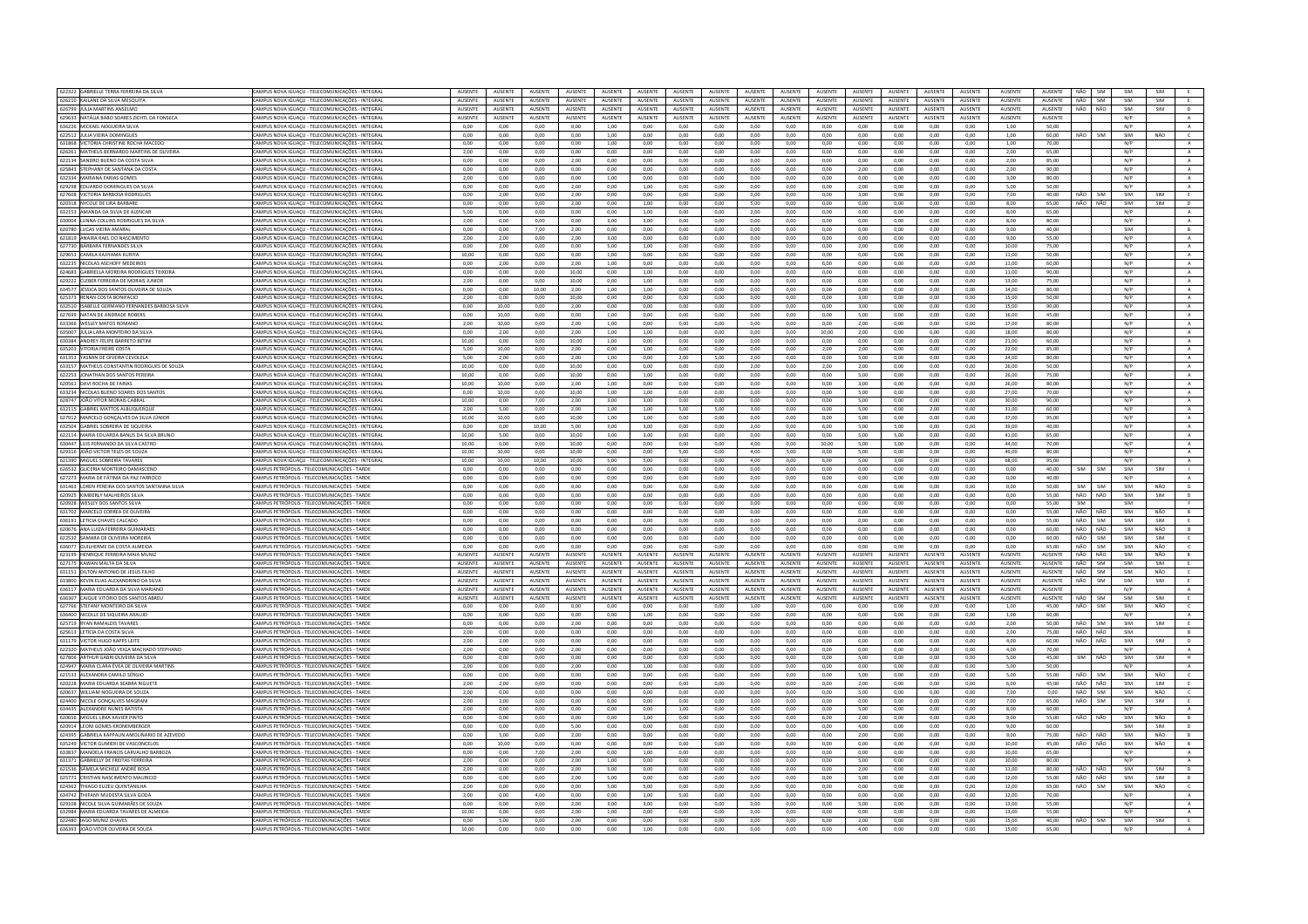| 622322 GABRIELLE TERRA FERREIRA DA SILVA<br>626210 KAILANE DA SILVA MESQUIT/ | CAMPUS NOVA IGUAÇU - TELECOMUNICAÇÕES - INTEGRAL<br>CAMPUS NOVA IGUAÇU - TELECOMUNICAÇÕES - INTEGRAL | AUSENTE<br>AUSENTE | AUSENTE<br>AUSENTE | AUSENTE<br>AUSENTE | AUSENTE<br>AUSENTE | AUSENTE<br>AUSENTE | AUSENTE<br><b>AUSENTE</b> | AUSENTE<br>AUSENTE | AUSENTE                   | AUSENTE                   | AUSENTE<br>AUSENTE | AUSENTE<br>AUSENTE | AUSENTE                   | AUSENTE<br>AUSENTE | AUSENTE<br>AUSENTE | AUSENTE<br>AUSENTE | AUSENTE<br><b>AUSENTE</b> | AUSENTE<br>AUSENTE | NÃO<br>NÃO | SIM<br>SIM | SIM<br>SIM | SIM<br>SIM | E                           |
|------------------------------------------------------------------------------|------------------------------------------------------------------------------------------------------|--------------------|--------------------|--------------------|--------------------|--------------------|---------------------------|--------------------|---------------------------|---------------------------|--------------------|--------------------|---------------------------|--------------------|--------------------|--------------------|---------------------------|--------------------|------------|------------|------------|------------|-----------------------------|
| 626799 JULIA MARTINS ANSELMO                                                 |                                                                                                      | <b>AUSENTE</b>     | <b>ALISENTE</b>    | <b>AUSENTE</b>     | <b>AUSENTE</b>     | <b>AUSENTE</b>     | <b>AUSENTE</b>            | <b>ALISENTE</b>    | AUSENTE<br><b>AUSENTE</b> | AUSENTE<br><b>AUSENTE</b> | <b>AUSENTE</b>     | <b>ALISENTE</b>    | AUSENTE<br><b>AUSENTE</b> | <b>AUSENTE</b>     | <b>AUSENTE</b>     | <b>AUSENTE</b>     | <b>ALISENTE</b>           | <b>AUSENTE</b>     | NÃO        | NÃO        | SIM        | SIM        |                             |
|                                                                              | CAMPUS NOVA IGUAÇU - TELECOMUNICAÇÕES - INTEGRAL                                                     |                    |                    |                    |                    |                    |                           |                    |                           |                           |                    |                    |                           |                    |                    |                    |                           |                    |            |            |            |            | D                           |
| 629633 NATÁLIA BABO SOARES ZICHTL DA FONSECA                                 | CAMPUS NOVA IGUAÇU - TELECOMUNICAÇÕES - INTEGRAL                                                     | AUSENTE            | AUSENTE            | AUSENTE            | AUSENTE            | AUSENTE            | AUSENTE                   | <b>NUSENTE</b>     | AUSENTE                   | AUSENTE                   | AUSENTE            | <b>AUSENTE</b>     | AUSENTE                   | AUSENTE            | AUSENTE            | AUSENTE            | <b>AUSENTE</b>            | <b>AUSENTE</b>     |            |            | N/P        |            | $\mathsf{A}$                |
| 636226 MICKAEL NOGUEIRA SILVA                                                | CAMPUS NOVA IGUACU - TELECOMUNICACÕES - INTEGRAL                                                     | 0.00               | 0.00               | 0.00               | 0.00               | 1.00               | 0.00                      | 0.00               | 0.00                      | 0.00                      | 0.00               | 0.00               | 0.00                      | 0.00               | 0.00               | 0.00               | 1.00                      | 50.00              |            |            | N/P        |            | A                           |
| 622512 JULIA VIEIRA DOMINGUES                                                | CAMPUS NOVA IGUAÇU - TELECOMUNICAÇÕES - INTEGRAL                                                     | 0,00               | 0,00               | 0,00               | 0,00               | 1,00               | 0,00                      | 0,00               | 0,00                      | 0,00                      | 0,00               | 0,00               | 0,00                      | 0,00               | 0,00               | 0,00               | 1,00                      | 60,00              | NÃO        | SIM        | SIM        | NÃO        | $\epsilon$                  |
| 631868 VICTÓRIA CHRISTINE ROCHA MACEDO                                       | CAMPUS NOVA IGUACU - TELECOMUNICACÕES - INTEGRAL                                                     | 0.00               | 0.00               | 0.00               | 0.00               | 1.00               | 0.00                      | 0.00               | 0.00                      | 0.00                      | 0.00               | 0.00               | 0.00                      | 0.00               | 0.00               | 0.00               | 1.00                      | 70.00              |            |            | N/P        |            | A                           |
| 626261 MATHEUS BERNARDO MARTINS DE OLIVEIR                                   | CAMPUS NOVA IGUAÇU - TELECOMUNICAÇÕES - INTEGRA                                                      | 2,00               | 0,00               | 0,00               | 0,00               | 0,00               | 0,00                      | 0,00               | 0,00                      | 0.00                      | 0,00               | 0,00               | 0,00                      | 0,00               | 0,00               | 0,00               | 2,00                      | 65,00              |            |            | N/P        |            | $\mathbb A$                 |
| 622134 SANDRO BUENO DA COSTA SILVA                                           | CAMPUS NOVA IGUACU - TELECOMUNICAÇÕES - INTEGRAL                                                     | 0.00               | 0.00               | 0.00               | 2.00               | 0.00               | 0.00                      | 0.00               | 0.00                      | 0.00                      | 0.00               | 0.00               | 0.00                      | 0.00               | 0,00               | 0.00               | 2.00                      | 85.00              |            |            | N/P        |            | $\mathbb{A}$                |
| 625843 STEPHANY DE SANTANA DA COSTA                                          | CAMPUS NOVA IGUACU - TELECOMUNICACÕES - INTEGRAL                                                     | 0.00               | 0.00               | 0.00               | 0.00               | 0.00               | 0.00                      | 0.00               | 0.00                      | 0.00                      | 0.00               | 0.00               | 2.00                      | 0.00               | 0.00               | 0.00               | 2.00                      | 90.00              |            |            | N/P        |            | A                           |
| 632334 MARIANA FARIAS GOMES                                                  | MPUS NOVA IGUACU - TELECOMUNICACÕES - INTEGRAL                                                       | 2,00               | 0.00               | 0.00               | 0.00               | 1.00               | 0.00                      | 0.00               | 0.00                      | 0.00                      | 0.00               | 0.00               | 0.00                      | 0.00               | 0.00               | 0.00               | 3.00                      | 80.00              |            |            | N/P        |            | $\mathbf{A}$                |
| 629298 EDUARDO DOMINGUES DA SILVA                                            | CAMPUS NOVA IGUACU - TELECOMUNICAÇÕES - INTEGRAL                                                     | 0.00               | 0.00               | 0.00               | 2.00               | 0.00               | 1.00                      | 0.00               | 0.00                      | 0.00                      | 0.00               | 0.00               | 200                       | 0.00               | 0.00               | 0.00               | 5.00                      | 50.00              |            |            | N/P        |            | A                           |
| 627608 VICTORIA BARBOSA RODRIGUES                                            | CAMPUS NOVA IGUAÇU - TELECOMUNICAÇÕES - INTEGRAL                                                     | 0.00               | 2,00               | 0.00               | 2,00               | 0,00               | 0,00                      | 0.00               | 0.00                      | 0.00                      | 0.00               | 0.00               | 3,00                      | 0.00               | 0.00               | 0,00               | 7.00                      | 40.00              | NÃO        | SIM        | SIM        | SIM        | E                           |
| 620318 NYCOLE DE LIRA BARBARI                                                | AMPUS NOVA IGUACU - TELECOMUNICAÇÕES - INTEGRAL                                                      | 0.00               | 0.00               | 0.00               | 2.00               | 0.00               | 1.00                      | 0.00               | 0.00                      | 5.00                      | 0.00               | 0.00               | 0.00                      | 0.00               | 0.00               | 0.00               | 8.00                      | 65.00              | NÃO        | NÃO        | SIM        | SIM        | D                           |
| 632153 AMANDA DA SILVA DE ALENCAR                                            | CAMPUS NOVA IGUAÇU - TELECOMUNICAÇÕES - INTEGRA                                                      | 5,00               | 0,00               | 0,00               | $_{0,00}$          | 0,00               | 1,00                      | 0,00               | 0,00                      | 2,00                      | 0,00               | 0,00               | 0,00                      | 0,00               | 0,00               | 0,00               | 8,00                      | 65,00              |            |            | N/P        |            | $\,$ A $\,$                 |
| 630004 LUNNA COLLINS RODRIGUES DA SILVA                                      | CAMPUS NOVA IGUACU - TELECOMUNICACÕES - INTEGRAL                                                     | 2.00               | 0.00               | 0.00               | 0.00               | 3.00               | 3.00                      | 0.00               | 0.00                      | 0.00                      | 0.00               | 0.00               | 0.00                      | 0.00               | 0.00               | 0.00               | 8.00                      | 80.00              |            |            | N/P        |            | $\mathbf{A}$                |
| 620780 LUCAS VIFIRA AMARAL                                                   | AMPUS NOVA IGUACU - TELECOMUNICAÇÕES - INTEGRAL                                                      | $0.00 -$           | 0.00               | 7.00               | 2.00               | 0.00               | 0.00                      | 0.00               | 0.00                      | 0.00                      | 0.00               | 0.00               | 0.00                      | 0.00               | 0.00               | 0.00               | 9.00                      | 40.00              |            |            | SIM        |            | R                           |
| 621819 ANAIRA RAEL DO NASCIMENTO                                             | AMPUS NOVA IGUAÇU - TELECOMUNICAÇÕES - INTEGRAL                                                      | 2,00               | 2,00               | 0,00               | 2,00               | 3,00               | 0,00                      | 0,00               | 0,00                      | 0,00                      | 0,00               | 0,00               | 0,00                      | 0,00               | 0,00               | $_{0,00}$          | 9,00                      | 55,00              |            |            | N/P        |            | $\mathbf{A}$                |
| 627730 BÁRBARA FERNANDES SILVA                                               | CAMPUS NOVA IGUACU - TELECOMUNICACÕES - INTEGRAL                                                     | 0.00               | 2.00               | 0.00               | 0.00               | 5.00               | 1.00                      | 0.00               | 0.00                      | 0.00                      | 0.00               | 0.00               | 2.00                      | 0.00               | 0.00               | 0.00               | 10.00                     | 75.00              |            |            | N/P        |            | A                           |
| 629653 CAMILA KAJIYAMA KURIYA                                                | CAMPUS NOVA IGUAÇU - TELECOMUNICAÇÕES - INTEGRAL                                                     | 10,00              | 0,00               | 0,00               | 0,00               | 1,00               | 0,00                      | 0,00               | 0,00                      | 0,00                      | 0,00               | 0,00               | 0,00                      | 0,00               | 0,00               | 0,00               | 11,00                     | 50,00              |            |            | N/P        |            | $\mathbf{A}$                |
| 632235 NICOLAS ASCHOFF MEDEIRO                                               | AMPUS NOVA IGUAÇU - TELECOMUNICAÇÕES - INTEGRAL                                                      | 0,00               | 2,00               | 0,00               | 2,00               | 1,00               | 0,00                      | 0,00               | 0,00                      | 0,00                      | 0,00               | 6,00               | 0,00                      | 0,00               | 0,00               | 0,00               | 11,00                     | 60,00              |            |            | N/P        |            | A                           |
| 624683 GABRIELLA MOREIRA RODRIGUES TEIXEIRA                                  | CAMPUS NOVA IGUACU - TELECOMUNICACÕES - INTEGRAL                                                     | 0.00               | 0.00               | 0.00               | 10.00              | 0.00               | 1,00                      | 0.00               | 0.00                      | 0.00                      | 0.00               | 0,00               | 0.00                      | 0.00               | 0.00               | 0.00               | 11,00                     | 90.00              |            |            | N/P        |            | $\,$ A $\,$                 |
| 629222 CLEBER FERREIRA DE MORAIS JUNIOR                                      | CAMPUS NOVA IGUAÇU - TELECOMUNICAÇÕES - INTEGRAL                                                     | 2,00               | 0,00               | 0.00               | 10.00              | 0.00               | 1,00                      | 0.00               | $_{0,00}$                 | 0.00                      | 0.00               | 0,00               | 0.00                      | 0.00               | 0,00               | 0.00               | 13.00                     | 75.00              |            |            | N/P        |            | $\,$ A $\,$                 |
| 634577 LIÉSSICA DOS SANTOS OLIVEIRA DE SOUZA                                 | CAMPUS NOVA IGUACU - TELECOMUNICACÕES - INTEGRAL                                                     | 0.00               | 0.00               | 10.00              | 2.00               | 1.00               | 1.00                      | 0.00               | 0.00                      | 0.00                      | 0.00               | 0.00               | 0.00                      | 0.00               | 0.00               | 0.00               | 14.00                     | 80.00              |            |            | N/P        |            | A                           |
| 625373 RENAN COSTA BONIFACIO                                                 | AMPUS NOVA IGUAÇU - TELECOMUNICAÇÕES - INTEGRAL                                                      | 2,00               | 0,00               | 0,00               | 10,00              | 0,00               | 0,00                      | 0,00               | 0,00                      | 0,00                      | 0,00               | 0,00               | 3,00                      | 0,00               | 0,00               | 0,00               | 15,00                     | 50,00              |            |            | N/P        |            | $\mathbf{A}$                |
| 632510 ISABELLE GERMANO FERNANDES BARBOSA SILVA                              | CAMPUS NOVA IGUACU - TELECOMUNICACÕES - INTEGRAL                                                     | 0.00               | 10.00              | 0.00               | 2.00               | 0.00               | 0.00                      | 0.00               | 0.00                      | 0.00                      | 0.00               | 0.00               | 3.00                      | 0.00               | 0.00               | 0.00               | 15.00                     | 90.00              |            |            | N/P        |            | A                           |
| 627699 NATAN DE ANDRADE ROBERS                                               | CAMPUS NOVA IGUAÇU - TELECOMUNICAÇÕES - INTEGRAL                                                     | 0.00               | 10.00              | 0.00               | 0.00               | 1.00               | 0.00                      | 0.00               | 0.00                      | 0.00                      | 0.00               | 0.00               | 5.00                      | 0.00               | 0.00               | 0.00               | 16.00                     | 45.00              |            |            | N/P        |            | $\,$ A $\,$                 |
| 633366 WESLEY MATOS ROMANO                                                   | MPUS NOVA IGUAÇU - TELECOMUNICAÇÕES - INTEGRAL                                                       | 2,00               | 10,00              | 0,00               | 2,00               | 1,00               | 0,00                      | 0,00               | 0,00                      | 0,00                      | 0,00               | 0,00               | 2,00                      | 0,00               | 0,00               | 0,00               | 17,00                     | 80,00              |            |            | N/P        |            | A                           |
| 635007 JULIA LARA MONTEIRO DA SILVA                                          | CAMPUS NOVA IGUACU - TELECOMUNICACÕES - INTEGRAL                                                     | 0.00               | 2.00               | 0.00               | 2.00               | 1,00               | 1.00                      | 0.00               | 0.00                      | 0.00                      | 0.00               | 10.00              | 2.00                      | 0.00               | 0.00               | 0.00               | 18.00                     | 80.00              |            |            | N/P        |            | A                           |
| 630384 ANDREY FELIPE BARRETO BETINI                                          | CAMPUS NOVA IGUAÇU - TELECOMUNICAÇÕES - INTEGRAL                                                     | 10.00              | 0.00               | 0.00               | 10.00              | 1,00               | 0,00                      | 0.00               | 0,00                      | 0.00                      | 0.00               | 0.00               | 0.00                      | 0.00               | 0,00               | 0,00               | 21.00                     | 60.00              |            |            | N/P        |            | A                           |
| 635203 VITORIA FREIRE COSTA                                                  | CAMPUS NOVA IGUACU - TELECOMUNICACÕES - INTEGRAL                                                     | 5.00               | 10.00              | 0.00               | 2.00               | 0.00               | 1.00                      | 0.00               | 0.00                      | 0.00                      | 0.00               | 2.00               | 2.00                      | 0.00               | 0.00               | 0.00               | 22.00                     | 85.00              |            |            | N/P        |            | A                           |
| 631353 YASMIN DE OIVEIRA CEVOLELA                                            | CAMPUS NOVA IGUAÇU - TELECOMUNICAÇÕES - INTEGRA                                                      | 5,00               | 2,00               | 0,00               | 2,00               | 1,00               | 0,00                      | 2,00               | 5,00                      | 2,00                      | 0,00               | 0,00               | 5,00                      | 0,00               | 0,00               | 0,00               | 24,00                     | 80,00              |            |            | N/P        |            | $\mathbf{A}$                |
| 633157 MATHEUS CONSTANTIN RODRIGUES DE SOUZA                                 | CAMPUS NOVA IGUACU - TELECOMUNICACÕES - INTEGRAL                                                     | 10.00              | 0.00               | 0.00               | 10.00              | 0.00               | 0.00                      | 0.00               | 0.00                      | 2.00                      | 0.00               | 2.00               | 2.00                      | 0.00               | 0.00               | 0.00               | 26.00                     | 50.00              |            |            | N/P        |            | $\overline{A}$              |
| 622253 JONATHAN DOS SANTOS PEREIRA                                           | CAMPUS NOVA IGUAÇU - TELECOMUNICAÇÕES - INTEGRAL                                                     | 10.00              | 0.00               | 0.00               | 10.00              | 0.00               | 1.00                      | 0.00               | 0.00                      | 0.00                      | 0.00               | 0.00               | 5.00                      | 0.00               | 0.00               | 0.00               | 26.00                     | 75.00              |            |            | N/P        |            | A                           |
| 620561 DAVI ROCHA DE FARIAS                                                  | MPUS NOVA IGUAÇU - TELECOMUNICAÇÕES - INTEGRAL                                                       | 10,00              | 10,00              | 0,00               | 2,00               | 1,00               | 0,00                      | 0,00               | 0,00                      | 0,00                      | 0,00               | 0,00               | 3,00                      | 0,00               | 0,00               | 0,00               | 26,00                     | 80.00              |            |            | N/P        |            | $\mathbf{A}$                |
| 633234 NICOLAS BUENO SOARES DOS SANTOS                                       | CAMPUS NOVA IGUACU - TELECOMUNICAÇÕES - INTEGRAL                                                     | 0.00               | 10.00              | 0.00               | 10.00              | 1.00               | 1.00                      | 0.00               | 0.00                      | 0.00                      | 0.00               | 0.00               | 5.00                      | 0.00               | 0.00               | 0.00               | 27.00                     | 70.00              |            |            | N/P        |            | A                           |
| 628747 JOÃO VITOR MORAIS CABRAL                                              | CAMPUS NOVA IGUACU - TELECOMUNICAÇÕES - INTEGRAL                                                     | 10.00              | 0.00               | 7.00               | 2.00               | 3.00               | 3.00                      | 0.00               | 0.00                      | 0.00                      | 0.00               | 0.00               | 5.00                      | 0.00               | 0.00               | 0.00               | 30.00                     | 90.00              |            |            | N/P        |            |                             |
| 632115 GABRIEL MATTOS ALBUQUERQU                                             |                                                                                                      | 2.00               | 5.00               |                    | 2.00               |                    |                           |                    | 5.00                      | 3.00                      | 0.00               | 0.00               | 5.00                      | 0.00               | 2.00               |                    | 31.00                     | 60.00              |            |            | N/P        |            | $\mathbf{A}$<br>A           |
|                                                                              | AMPUS NOVA IGUACU - TELECOMUNICACÕES - INTEGRAL                                                      |                    |                    | 0.00               |                    | 1.00               | 1.00                      | 5.00               |                           |                           |                    |                    |                           |                    |                    | 0.00               |                           |                    |            |            |            |            |                             |
| 627912 MARCELO GONÇALVES DA SILVA JÚNIO                                      | CAMPUS NOVA IGUACU - TELECOMUNICACÕES - INTEGRA                                                      | 10,00              | 10,00              | 0.00               | 10,00              | 1,00               | 1,00                      | 0,00               | 0,00                      | 0.00                      | 0,00               | 0,00               | 5,00                      | 0,00               | 0,00               | 0,00               | 37,00                     | 95,00              |            |            | N/P        |            | $\,$ A $\,$                 |
| 632504 GABRIEL SOBREIRA DE SIQUEIRA                                          | CAMPUS NOVA IGUACU - TELECOMUNICACÕES - INTEGRAL                                                     | 0.00               | 0.00               | 10.00              | 5.00               | 3.00               | 3.00                      | 0.00               | 0.00                      | 2.00                      | 0.00               | 6.00               | 5.00                      | 5.00               | 0.00               | 0.00               | 39.00                     | 40.00              |            |            | N/P        |            | A                           |
| 622114 MARIA EDUARDA BANUS DA SILVA BRUNO                                    | CAMPUS NOVA IGUAÇU - TELECOMUNICAÇÕES - INTEGRAL                                                     | 10.00              | 5,00               | 0.00               | 10.00              | 3,00               | 3,00                      | 0.00               | 0.00                      | 0.00                      | 0.00               | 0.00               | 5.00                      | 5.00               | 0.00               | 0.00               | 41,00                     | 65.00              |            |            | N/P        |            | $\,$ A $\,$                 |
| 630447 LUIS FERNANDO DA SILVA CASTRO                                         | AMPUS NOVA IGUACU - TELECOMUNICACÕES - INTEGRAL                                                      | 10.00              | 0.00               | 0.00               | 10.00              | 0.00               | 0.00                      | 0.00               | 0.00                      | 4.00                      | 0.00               | 10.00              | 5.00                      | 5.00               | 0.00               | 0.00               | 44.00                     | 70.00              |            |            | N/P        |            | $\,$ A $\,$                 |
| 629316 IOÃO VICTOR TELES DE SOUZA                                            | CAMPUS NOVA IGUACU - TELECOMUNICAÇÕES - INTEGRAL                                                     | 10.00              | 10.00              | 0.00               | 10.00              | 0.00               | 0.00                      | 5.00               | 0.00                      | 4.00                      | 5.00               | 0.00               | 5.00                      | 0.00               | 0.00               | 0.00               | 49.00                     | 80.00              |            |            | N/P        |            | A                           |
| 621390 MIGUEL SOBREIRA TAVARES                                               | CAMPUS NOVA IGUAÇU - TELECOMUNICAÇÕES - INTEGRAL                                                     | 10,00              | 10,00              | 10,00              | 10,00              | 5,00               | 5,00                      | 0,00               | 0,00                      | 4,00                      | 0,00               | 6,00               | 5,00                      | 3,00               | 0,00               | 0,00               | 68,00                     | 95,00              |            |            | N/P        |            | A                           |
| 626532 GLICERIA MONTEIRO DAMASCENO                                           | AMPUS PETRÓPOLIS - TELECOMUNICAÇÕES - TARDE                                                          | 0,00               | 0,00               | 0,00               | 0,00               | 0,00               | 0,00                      | 0,00               | 0,00                      | 0,00                      | 0,00               | 0,00               | 0,00                      | 0,00               | 0,00               | 0,00               | 0,00                      | 40,00              | <b>SIM</b> | SIM        | SIM        | SIM        | <b>TI</b>                   |
| 627273 MARIA DE FÁTIMA DA PAZ FARROCO                                        | CAMPUS PETRÓPOLIS - TELECOMUNICACÕES - TARD                                                          | 0,00               | 0,00               | 0,00               | 0,00               | 0,00               | 0,00                      | 0,00               | 0,00                      | 0.00                      | 0,00               | 0,00               | 0,00                      | 0,00               | 0,00               | 0,00               | 0,00                      | 40.00              |            |            | N/P        |            | A                           |
| 631463 LOREN PEREIRA DOS SANTOS SANTANNA SILVA                               | CAMPUS PETRÓPOLIS - TELECOMUNICAÇÕES - TARDE                                                         | 0,00               | 0,00               | 0,00               | 0,00               | 0,00               | 0,00                      | 0,00               | 0,00                      | 0,00                      | 0,00               | 0,00               | 0,00                      | 0,00               | 0,00               | 0,00               | 0,00                      | 50.00              | SIM        | SIM        | SIM        | NÃO        | $\mathsf{G}$                |
| 620925 KIMBERLY MALHEIROS SILVA                                              | CAMPUS PETRÓPOLIS - TELECOMUNICAÇÕES - TARDE                                                         | 0.00               | 0.00               | 0.00               | 0.00               | 0.00               | 0.00                      | 0.00               | 0.00                      | 0.00                      | 0.00               | 0.00               | 0.00                      | 0.00               | 0.00               | 0.00               | 0.00                      | 55.00              | NÃO        | NÃO        | SIM        | SIM        | D                           |
| 620928 WESLEY DOS SANTOS SILVA                                               | AMPUS PETRÓPOLIS - TELECOMUNICAÇÕES - TARDE                                                          | 0,00               | 0,00               | 0,00               | 0,00               | 0,00               | 0,00                      | 0,00               | 0,00                      | 0,00                      | 0,00               | 0,00               | 0,00                      | 0,00               | 0,00               | 0,00               | 0,00                      | 55,00              | SIM        |            | SIM        |            |                             |
| 631702 MARCELO CORREA DE OLIVEIRA                                            |                                                                                                      |                    |                    | 0.00               |                    |                    |                           | 0.00               |                           | 0.00                      | 0.00               | 0.00               | 0.00                      | 0.00               | 0.00               | 0.00               | 0.00                      | 55.00              | NÃO        | NÃO        | SIM        | NÃO        | B                           |
|                                                                              | CAMPUS PETRÓPOLIS - TELECOMUNICACÕES - TARDE                                                         | 0.00               | 0.00               |                    | 0.00               | 0.00               | 0.00                      |                    | 0.00                      |                           |                    |                    |                           |                    |                    |                    |                           |                    |            | SIM        | SIM        | SIM        |                             |
| 636191 LETICIA CHAVES CALCADO                                                | CAMPUS PETRÓPOLIS - TELECOMUNICAÇÕES - TARDE                                                         | 0,00               | 0,00               | 0,00               | 0,00               | 0,00               | 0,00                      | 0,00               | 0,00                      | 0,00                      | 0,00               | 0,00               | 0,00                      | 0,00               | 0,00               | 0,00               | 0,00                      | 55,00              | NÃO        |            | SIM        |            | B                           |
| 620676 ANA LUIZA FERREIRA GUIMARAES                                          | CAMPUS PETRÓPOLIS - TELECOMUNICACÕES - TARDE                                                         | 0.00               | 0.00               | 0.00               | 0.00               | 0.00               | 0.00                      | 0.00               | 0.00                      | 0.00                      | 0.00               | 0.00               | 0.00                      | 0.00               | 0.00               | 0.00               | 0.00                      | 60.00              | NÃO        | NÃO        |            | NÃO        |                             |
| 622532 SAMARA DE OLIVEIRA MOREIRA                                            | CAMPUS PETRÓPOLIS - TELECOMUNICAÇÕES - TARDE                                                         | 0.00               | 0.00               | 0.00               | 0.00               | 0.00               | 0.00                      | 0.00               | 0.00                      | 0.00                      | 0.00               | 0.00               | 0.00                      | 0.00               | 0.00               | 0.00               | 0.00                      | 60.00              | NÃO        | SIM        | SIM        | SIM        | E                           |
| 636077 GUILHERME DA COSTA ALMEIDA                                            | CAMPUS PETRÓPOLIS - TELECOMUNICAÇÕES - TARDE                                                         | 0.00               | 0.00               | 0.00               | 0.00               | 0.00               | 0.00                      | 0.00               | 0.00                      | 0.00                      | 0.00               | 0.00               | 0.00                      | 0.00               | 0.00               | 0,00               | 0.00                      | 65.00              | NÃO        | SIM        | SIM        | NÃO        | $\mathsf{C}$                |
| 623199 HENRIQUE FERREIRA MAIA MUNIZ                                          | CAMPUS PETRÓPOLIS - TELECOMUNICACÕES - TARDE                                                         | <b>AUSENTE</b>     | <b>ALISENTE</b>    | <b>AUSENTE</b>     | <b>AUSENTE</b>     | <b>ALISENTE</b>    | <b>AUSENTE</b>            | <b>ALISENTE</b>    | <b>AUSENTE</b>            | <b>ALISENTE</b>           | <b>AUSENTE</b>     | <b>AUSENTE</b>     | <b>ALISENTE</b>           | <b>AUSENTE</b>     | <b>AUSENTE</b>     | <b>AUSENTE</b>     | <b>ALISENTE</b>           | <b>AUSENTE</b>     | NÃO        | NÃO        | SIM        | NÃO        | R                           |
| 627175 KAWAN MALTA DA SILVA                                                  | AMPUS PETRÓPOLIS - TELECOMUNICAÇÕES - TARDE                                                          | AUSENTI            | AUSENTE            | AUSENT             | AUSENTE            | AUSENTE            | AUSENTE                   | <b>NUSENTE</b>     | AUSENTE                   | AUSENTE                   | AUSENTE            | AUSENTE            | AUSENTE                   | AUSENTE            | AUSENTE            | AUSENTE            | AUSENTE                   | AUSENTE            | NÃO        | SIM        | SIM        | SIM        | E.                          |
| 631151 DILTON ANTONIO DE JESUS FILHO                                         | CAMPUS PETRÓPOLIS - TELECOMUNICACÕES - TARDE                                                         | AUSENTE            | AUSENTE            | <b>AUSENTE</b>     | <b>AUSENTE</b>     | <b>AUSENTE</b>     | AUSENTE                   | <b>AUSENTE</b>     | <b>AUSENTE</b>            | <b>AUSENTE</b>            | AUSENTE            | AUSENTE            | AUSENTE                   | AUSENTE            | AUSENTE            | AUSENTE            | AUSENTE                   | AUSENTE            | NÃO        | SIM        | SIM        | NÃO        | $\epsilon$                  |
| 633800 KEVIN ELIAS ALEXANDRINO DA SILVA                                      | CAMPUS PETRÓPOLIS - TELECOMUNICAÇÕES - TARDE                                                         | <b>AUSENTE</b>     | AUSENTE            | AUSENTE            | <b>AUSENTE</b>     | AUSENTE            | AUSENTE                   | <b>AUSENTE</b>     | AUSENTE                   | AUSENTE                   | AUSENTE            | AUSENTE            | AUSENTE                   | AUSENTE            | AUSENTE            | AUSENTE            | AUSENTE                   | AUSENTE            | NÃO        | SIM        | SIM        | SIM        |                             |
| 636117 MARIA EDUARDA DA SILVA MARIANO                                        | CAMPUS PETRÓPOLIS - TELECOMUNICACÕES - TARDE                                                         | <b>AUSENTE</b>     | AUSENTE            | AUSENTE            | <b>AUSENTE</b>     | AUSENTE            | AUSENTE                   | <b>AUSENTE</b>     | AUSENTE                   | AUSENTE                   | AUSENTE            | AUSENTE            | AUSENTE                   | AUSENTE            | AUSENTE            | AUSENTE            | AUSENTE                   | AUSENTE            |            |            | N/P        |            | $\Lambda$                   |
| 636307 CAIQUE VITÓRIO DOS SANTOS ABREL                                       | CAMPUS PETRÓPOUS - TELECOMUNICAÇÕES - TARD                                                           | <b>AUSENTE</b>     | <b>ALISENTE</b>    | <b>AUSENTE</b>     | <b>AUSENTE</b>     | <b>ALISENTE</b>    | <b>ALISENTE</b>           | <b>ALISENTE</b>    | <b>AUSENTE</b>            | <b>ALISENTE</b>           | <b>AUSENTE</b>     | <b>ALISENTE</b>    | <b>ALISENTE</b>           | <b>AUSENTE</b>     | <b>AUSENTE</b>     | <b>AUSENTE</b>     | <b>ALISENTE</b>           | <b>AUSENTE</b>     | NÃO        | <b>SIM</b> | SIM        | SIM        | E                           |
| 627766 STEFANY MONTEIRO DA SILVA                                             | CAMPUS PETRÓPOLIS - TELECOMUNICAÇÕES - TARDE                                                         | 0.00               | 0.00               | 0.00               | 0.00               | 0.00               | 0.00                      | 0.00               | 0.00                      | 1.00                      | 0.00               | 0.00               | 0.00                      | 0.00               | 0.00               | 0.00               | 1.00                      | 45.00              | NÃO        | SIM        | SIM        | NÃO        | $\epsilon$                  |
| 636400 NICOLLE DE SIQUEIRA ARAUJO                                            | CAMPUS PETRÓPOUS - TELECOMUNICACÕES - TARDE                                                          | 0.00               | 0.00               | 0.00               | 0.00               | 0.00               | 1.00                      | 0.00               | 0.00                      | 0.00                      | 0.00               | 0.00               | 0.00                      | 0.00               | 0.00               | 0.00               | 1.00.                     | 60.00              |            |            | N/P        |            | $\Lambda$                   |
| 625719 RYAN RAMALDIS TAVARES                                                 | CAMPUS PETRÓPOLIS - TELECOMUNICACÕES - TARD                                                          | 0,00               | 0.00               | 0,00               | 2,00               | 0,00               | 0,00                      | 0.00               | 0.00                      | 0,00                      | 0,00               | 0,00               | 0,00                      | 0,00               | 0,00               | 0,00               | 2,00                      | 50,00              | NÃO        | SIM        | SIM        | SIM        | E                           |
| 625613 LETÍCIA DA COSTA SILVA                                                | CAMPUS PETRÓPOLIS - TELECOMUNICACÕES - TARDE                                                         | 2.00               | 0.00               | 0.00               | 0.00               | 0.00               | 0.00                      | 0.00               | 0.00                      | 0.00                      | 0.00               | 0.00               | 0.00                      | 0.00               | 0.00               | 0.00               | 2.00                      | 75.00              | NÃO        | NÃO        | SIM        |            | B                           |
|                                                                              | CAMPUS PETRÓPOLIS - TELECOMUNICACÕES - TARDE                                                         | 2.00               |                    | 0.00               | 0.00               | 0.00               |                           | 0.00               | 0.00                      | 0.00                      | 0.00               | 0.00               | 0.00                      | 0.00               | 0.00               | 0.00               |                           | 60.00              | NÃO        | NÃO        | SIM        | SIM        |                             |
| 631179 VICTOR HUGO KAPPS LEITE<br>622320 MATHEUS JOÃO VEIGA MACHADO STEPHANO | CAMPUS PETRÓPOLIS - TELECOMUNICACÕES - TARDE                                                         | 2.00               | 2,00<br>0.00       | 0.00               | 2.00               | 0.00               | 0,00<br>0.00              | 0.00               | 0.00                      | 0.00                      | 0.00               | 0.00               | 0.00                      | 0.00               | 0.00               | 0.00               | 4,00<br>4.00              | 70.00              |            |            | N/P        |            | $\mathsf D$<br>$\mathbf{A}$ |
| 627806 ARTHUR GABRI OLIVEIRA DA SILVA                                        | CAMPUS PETRÓPOUS - TELECOMUNICAÇÕES - TARDE                                                          | 0.00               | 0.00               | 0.00               | 0.00               | 0.00               | 0.00                      | 0.00               | 0.00                      | 0.00                      | 0.00               | 0.00               | 5.00                      | 0.00               | 0.00               | 0.00               | 5.00                      | 45.00              | SIM        | NÃO        | SIM        | SIM        | <b>H</b>                    |
| 624947 MARIA CLARA ÉVEA DE OLIVEIRA MARTINS                                  | CAMPUS PETRÓPOLIS - TELECOMUNICAÇÕES - TARDE                                                         | 2.00               | 0.00               | 0.00               | 2.00               | 0.00               | 1.00                      | 0.00               | 0.00                      | 0.00                      | 0.00               | 0.00               | 0.00                      | 0.00               | 0.00               | 0.00               | 5.00                      | 50.00              |            |            | N/P        |            | A                           |
| 621533 ALEXANDRA CAMILO SÉRGIO                                               | CAMPUS PETRÓPOUS - TELECOMUNICAÇÕES - TARDE                                                          | 0.00               | 0.00               | 0.00               | 0.00               | 0.00               | 0.00                      | 0.00               | 0.00                      | 0.00                      | 0.00               | 0.00               | 5.00                      | 0.00               | 0.00               | 0.00               | 5.00                      | 55.00              | NÃO        | <b>SIM</b> | SIM        | NÃO        | $\epsilon$                  |
|                                                                              | AMPUS PETRÓPOLIS - TELECOMUNICAÇÕES - TARDE                                                          | 2,00               | 2,00               | 0,00               | 0,00               | 0,00               | 0,00                      | 0,00               | 0,00                      | 0,00                      | 0,00               | 0,00               | 2,00                      | 0,00               | 0,00               | 0,00               | 6,00                      | 45,00              | NÃO        | NÃO        | SIM        | SIM        | E                           |
| 620228 MARIA EDUARDA SEABRA RIGUET<br>620637 WILLIAM NOGUEIRA DE SOUZA       | CAMPUS PETRÓPOLIS - TELECOMUNICAÇÕES - TARDE                                                         | 2,00               | 0,00               | 0,00               | 0,00               | 0,00               | 0,00                      | 0,00               | 0,00                      | 0,00                      | 0,00               | 0,00               | 5,00                      | 0,00               | 0,00               | 0,00               | 7,00                      | 0.00               |            | SIM        | SIM        | NÃO        | $\epsilon$                  |
| 624400 NICOLE GONÇALVES MAGRAN                                               | CAMPUS PETRÓPOLIS - TELECOMUNICAÇÕES - TARDE                                                         | 2,00               | 2,00               | 0,00               | 0.00               | 0,00               | 0,00                      | 0.00               | 0,00                      | 3,00                      | 0.00               | 0,00               | 0.00                      | 0.00               | 0,00               | 0,00               | 7,00                      | 65,00              | NÃO<br>NÃO | SIM        | SIM        | SIM        |                             |
|                                                                              |                                                                                                      |                    |                    |                    |                    |                    |                           |                    |                           |                           |                    |                    |                           |                    |                    |                    |                           |                    |            |            | N/P        |            | $\mathbb{A}$                |
| 634435 ALEXANDRE NUNES BATISTA<br>620656 MIGUEL LIMA XAVIER PINTO            | AMPUS PETRÓPOLIS - TELECOMUNICAÇÕES - TARDE<br>CAMPUS PETRÓPOLIS - TELECOMUNICACÕES - TARDE          | 2,00<br>0.00       | 0,00<br>0.00       | 0,00<br>0.00       | 0,00<br>0.00       | 0,00<br>0.00       | 0,00<br>1.00              | 1,00<br>0.00       | 0,00<br>0.00              | 0,00<br>0.00              | 0,00<br>0.00       | 0,00<br>6.00       | 5,00<br>2.00              | 0,00<br>0.00       | 0,00<br>0.00       | 0,00<br>0.00       | 8,00<br>9.00              | 60,00<br>55.00     | NÃO        | NÃO        | SIM        | NÃO        | B                           |
|                                                                              |                                                                                                      |                    |                    |                    |                    |                    |                           |                    |                           |                           |                    |                    |                           |                    |                    |                    |                           |                    |            |            |            |            |                             |
| 620914 LEONI GOMES KRONEMBERGER                                              | CAMPUS PETRÓPOLIS - TELECOMUNICAÇÕES - TARDE                                                         | 0,00               | 0,00               | 0,00               | 5,00               | 0,00               | 0,00                      | 0,00               | 0,00                      | 0,00                      | 0,00               | 0,00               | 4,00                      | 0,00               | 0,00               | 0,00               | 9,00                      | 60,00              |            |            | SIM        | SIM        | $\mathsf D$                 |
| 624395 GABRIELA KAPPAUN AMOLINARIO DE AZEVEDO                                | CAMPUS PETRÓPOLIS - TELECOMUNICACÕES - TARDE                                                         | 0.00               | 5.00               | 0.00               | 2.00               | 0.00               | 0.00                      | 0.00               | 0.00                      | 0.00                      | 0.00               | 0.00               | 2.00                      | 0.00               | 0.00               | 0.00               | 9.00                      | 75.00              | NÃO        | NÃO        | SIM        | NÃO        | B                           |
| 635249 VICTOR GUMIERI DE VASCONCELOS                                         | CAMPUS PETRÓPOLIS - TELECOMUNICAÇÕES - TARD                                                          | 0,00               | 10,00              | 0,00               | 0,00               | 0,00               | 0,00                      | 0,00               | 0,00                      | 0,00                      | 0,00               | 0,00               | 0,00                      | 0,00               | 0,00               | 0,00               | 10,00                     | 45,00              | NÃO        | NÃO        | SIM        | NÃO        | B                           |
| 633837 MANOELA FRANCIS CARVALHO BARBOZA                                      | CAMPUS PETRÓPOLIS - TELECOMUNICAÇÕES - TARDE                                                         | 0,00               | 0,00               | 7,00               | 2,00               | 0,00               | 1,00                      | 0,00               | 0,00                      | 0,00                      | 0,00               | 0,00               | 0,00                      | 0,00               | 0,00               | 0,00               | 10,00                     | 65.00              |            |            | N/P        |            | $\mathbb{A}$                |
| 631371 GABRIELLY DE FREITAS FERREIRA                                         | CAMPUS PETRÓPOLIS - TELECOMUNICACÕES - TARDE                                                         | 2.00               | 0,00               | 0,00               | 2.00               | 1,00               | 0,00                      | 0.00               | 0,00                      | 0.00                      | 0.00               | 0,00               | 5,00                      | 0,00               | 0,00               | 0.00               | 10,00                     | 80.00              |            |            | N/P        |            | A                           |
| 621536 SÂMELA MICHELE ANDRÉ ROSA                                             | CAMPUS PETRÓPOLIS - TELECOMUNICAÇÕES - TARDE                                                         | 2,00               | 0,00               | 0,00               | 2,00               | 5,00               | 0,00                      | 0,00               | 0,00                      | 0,00                      | 0,00               | 0,00               | 2,00                      | 0,00               | 0,00               | 0,00               | 11,00                     | 80.00              | NÃO        | NÃO        | SIM        | SIM        | D                           |
| 625771 CRISTIAN NASCIMENTO MAURICIO                                          | CAMPUS PETRÓPOLIS - TELECOMUNICAÇÕES - TARDE                                                         | 0.00               | 0.00               | 0.00               | 2.00               | 5.00               | 0.00                      | 0.00               | 0.00                      | 0.00                      | 0.00               | 0.00               | 5.00                      | 0.00               | 0.00               | 0.00               | 12.00                     | 55.00              | NÃO        | NÃO        | SIM        | SIM        | D                           |
| 624362 THIAGO ELIZEU QUINTANILHA                                             | CAMPUS PETRÓPOLIS - TELECOMUNICAÇÕES - TARD                                                          | 2,00               | 0,00               | 0,00               | 0,00               | 5,00               | 5,00                      | 0,00               | 0,00                      | 0,00                      | 0,00               | 0,00               | 0,00                      | 0,00               | 0,00               | 0,00               | 12,00                     | 65,00              | NÃO        | SIM        | SIM        | NÃO        | $\mathsf{C}^-$              |
| 634742 THIFANY MUDESTA SILVA GODÁ                                            | AMPUS PETRÓPOLIS - TELECOMUNICACÕES - TARDE                                                          | 2.00               | 0.00               | 4.00               | 0.00               | 0.00               | 1.00                      | 5.00               | 0.00                      | 0.00                      | 0.00               | 0.00               | 0.00                      | 0.00               | 0.00               | 0.00               | 12.00                     | 70.00              |            |            | N/P        |            | A                           |
| 629108 NICOLE SILVA GUIMARÃES DE SOI                                         |                                                                                                      | 0,00               | 0,00               | 0,00               | 2,00               | 3,00               | 3,00                      | 0,00               | 0,00                      | 0,00                      | 0,00               | 0,00               | 5,00                      | 0,00               | 0,00               | 0,00               | 13,00                     | 55,00              |            |            | N/P        |            | $\mathbf{A}$                |
| 632984 MARIA EDUARDA TAVARES DE ALMEIDA                                      | CAMPUS PETRÓPOLIS - TELECOMUNICAÇÕES - TARDE                                                         | 10.00              | 0.00               | 0.00               | 2.00               | 1.00               | 0.00                      | 0.00               | 0.00                      | 0.00                      | 0.00               | 0,00               | 0.00                      | 0.00               | 0,00               | 0.00               | 13.00                     | 55.00              |            |            | N/P        |            | $\overline{A}$              |
| 622480 IAGO MUNIZ CHAVES<br>636393 JOÃO VITOR OLIVEIRA DE SOUZA              | CAMPUS PETRÓPOLIS - TELECOMUNICACÕES - TARDE<br>CAMPUS PETRÓPOLIS - TELECOMUNICACÕES - TARD          | $0.00 -$<br>10.00  | 5.00<br>0.00       | 0.00<br>0.00       | 2.00<br>0.00       | 0.00<br>0.00       | 0.00<br>1.00              | 0.00<br>0.00       | 0.00                      | 0.00<br>0.00              | 0.00<br>0.00       | 6.00<br>0.00       | 2.00<br>4.00              | 0.00<br>0.00       | 0.00<br>0.00       | 0.00<br>0.00       | 15.00<br>15.00            | 40.00<br>65.00     | NÃO        | SIM        | SIM<br>N/P | SIM        | E                           |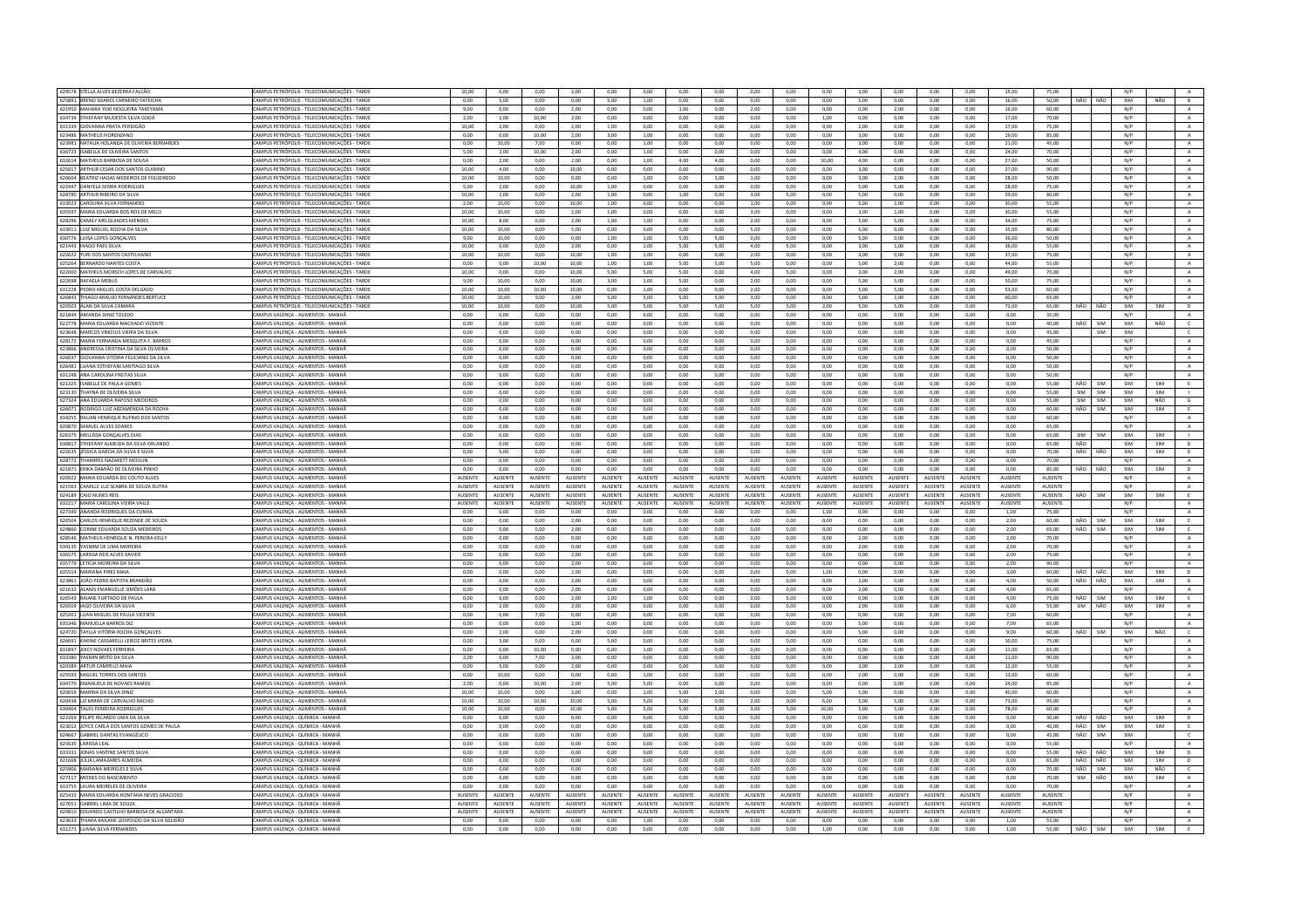| 629578 STELLA ALVES BEZERRA FALCÃO                                              | CAMPUS PETRÓPOLIS - TELECOMUNICAÇÕES - TARDE                         | 10,00          | 0,00            | 0,00           | 2,00           | 0,00           | 0,00           | 0,00            | 0,00           | 0,00            | 0,00           | 0,00           | 3,00            | 0,00           | 0,00           | 0,00           | 15,00          | 75,00          |         |            | $\rm N/P$  |            |                |
|---------------------------------------------------------------------------------|----------------------------------------------------------------------|----------------|-----------------|----------------|----------------|----------------|----------------|-----------------|----------------|-----------------|----------------|----------------|-----------------|----------------|----------------|----------------|----------------|----------------|---------|------------|------------|------------|----------------|
| 625891 BRENO SOARES CARNEIRO FATEICHA                                           | CAMPUS PETRÓPOLIS - TELECOMUNICAÇÕES - TARDE                         | 0,00           | 5.00            | 0,00           | 0,00           | 5,00           | 1,00           | 0,00            | 0,00           | 0,00            | 0,00           | 0,00           | 5,00            | 0,00           | 0,00           | 0,00           | 16.00          | 50,00          | NÃO     | NÃO        | SIM        | NÃO        | B              |
| 621950 MAHARA YUKI NOGUEIRA TAKEYAMA                                            | CAMPUS PETRÓPOLIS - TELECOMUNICAÇÕES - TARDE                         | 9.00           | 0.00            | 0.00           | 2.00           | 0.00           | 0.00           | 1.00            | 0.00           | 2.00            | 0.00           | 0.00           | 0.00            | 2.00           | 0.00           | 0.00           | 16.00          | 60.00          |         |            | N/P        |            | A              |
| 634734 STHEFANY MUDESTA SILVA GODÁ                                              | CAMPUS PETRÓPOLIS - TELECOMUNICAÇÕES - TARDE                         | 2,00           | 2,00            | 10,00          | 2,00           | 0,00           | 0,00           | 0,00            | 0,00           | 0,00            | 0,00           | 1,00           | 0,00            | 0,00           | 0,00           | 0,00           | 17,00          | 70.00          |         |            | N/P        |            | $\,$ A $\,$    |
| 631339 GIOVANNA PRATA PERDIGÃO                                                  | CAMPUS PETRÓPOLIS - TELECOMUNICACÕES - TARDE                         | 10.00          | 2.00            | 0.00           | 2.00           | 1.00           | 0.00           | 0.00            | 0.00           | 0.00            | 0.00           | 0.00           | 2.00            | 0.00           | 0.00           | 0.00           | 17.00          | 75.00          |         |            | N/P        |            | A              |
| 623486 MATHEUS FIORENZANO                                                       | CAMPUS PETRÓPOLIS - TELECOMUNICAÇÕES - TARDE                         | 0,00           | 0,00            | 10,00          | 2,00           | 3,00           | 1,00           | 0,00            | 0,00           | 0,00            | 0,00           | 0,00           | 3,00            | 0,00           | 0,00           | 0,00           | 19,00          | 85,00          |         |            | N/P        |            | $\,$ A $\,$    |
| 623981 NATALIA HOLANDA DE OLIVEIRA BERNARDES                                    | CAMPUS PETRÓPOLIS - TELECOMUNICACÕES - TARDE                         | 0.00           | 10.00           | 7.00           | 0.00           | 0.00           | 1.00           | 0.00            | 0.00           | 0.00            | 0.00           | 0.00           | 3.00            | 0.00           | 0.00           | 0.00           | 21.00          | 45.00          |         |            | N/P        |            | A              |
|                                                                                 |                                                                      |                |                 |                |                |                |                |                 |                |                 |                |                |                 |                |                |                |                |                |         |            |            |            |                |
| 636723<br>ABELLA DE OLIVEIRA SANT                                               | CAMPUS PETRÓPOLIS - TELECOMUNICACÕES - TARD                          | 5,00           | 2,00            | 10,00          | 2,00           | 0,00           | 1,00           | 0,00            | 0,00           | 0,00            | 0,00           | 0,00           | 4,00            | 0,00           | 0,00           | 0,00           | 24,00          | 70,00          |         |            | N/P        |            | $\mathbb A$    |
| 632614 MATHEUS BARBOSA DE SOUSA                                                 | CAMPUS PETRÓPOLIS - TELECOMUNICACÕES - TARDE                         | 0.00           | 2.00            | 0,00           | 2,00           | 0.00           | 1.00           | 4.00            | 4.00           | 0.00            | 0.00           | 10.00          | 4,00            | 0.00           | 0,00           | 0.00           | 27.00          | 50.00          |         |            | N/P        |            | $\mathbf{A}$   |
| 625017 ARTHUR CESAR DOS SANTOS GUIDING                                          | CAMPUS PETRÓPOUS - TELECOMUNICAÇÕES - TARDE                          | 10.00          | 4.00            | 0.00           | 10.00          | 0.00           | $0.00 -$       | 0.00            | 0.00           | 0.00            | $0.00 -$       | 0.00           | 3.00            | 0.00           | 0.00           | 0.00           | 27.00          | 90.00          |         |            | N/P        |            | A              |
| 620604 BEATRIZ HADAS MEDEIROS DE FIGUEIREDO                                     | CAMPUS PETRÓPOLIS - TELECOMUNICACÕES - TARDE                         | 10.00          | 10.00           | 0.00           | 0,00           | 0.00           | 1.00           | 0.00            | 1.00           | 1.00            | $_{0,00}$      | 0.00           | 3.00            | 2,00           | 0.00           | 0.00           | 28,00          | 50.00          |         |            | N/P        |            | $\mathbf{A}$   |
| 622447 DANYELA SENRA RODRIGUES                                                  | CAMPUS PETRÓPOUS - TELECOMUNICAÇÕES - TARDE                          | 5.00           | 2.00            | 0.00           | 10.00          | 1.00           | 0.00           | 0.00            | 0.00           | 0.00            | $0.00 -$       | 0.00           | 5.00            | 5.00           | 0.00           | 0.00           | 28.00          | 75.00          |         |            | N/P        |            | A              |
| 628780 ARTHUR RIBEIRO DA SILVA                                                  | CAMPUS PETRÓPOLIS - TELECOMUNICAÇÕES - TARDE                         | 10.00          | 2,00            | 0,00           | 2,00           | 1,00           | 0,00           | 1,00            | 0,00           | 3,00            | 5,00           | 0,00           | 5,00            | 0,00           | 0,00           | 0,00           | 29,00          | 80,00          |         |            | N/P        |            | $\mathbf{A}$   |
| 633023 CAROLINA SILVA FERNANDES                                                 | CAMPUS PETRÓPOLIS - TELECOMUNICACÕES - TARDE                         | 2.00           | 10.00           | 0.00           | 10.00          | 1.00           | 0.00           | 0.00            | 0.00           | 1.00            | 0.00           | 0.00           | 5.00            | 1.00           | 0.00           | 0.00           | 30.00          | 55.00          |         |            | N/P        |            | A              |
|                                                                                 |                                                                      |                |                 |                |                |                |                |                 |                |                 |                |                |                 |                |                |                |                |                |         |            |            |            |                |
| 635597 MARIA EDUARDA DOS REIS DE MELO                                           | CAMPUS PETRÓPOLIS - TELECOMUNICAÇÕES - TARDE                         | 10,00          | 10,00           | 0,00           | 2,00           | 1,00           | 0,00           | 0,00            | 0,00           | 3,00            | 0,00           | 0,00           | 3,00            | 1,00           | 0,00           | 0,00           | 30,00          | 55,00          |         |            | N/P        |            | $\mathbf{A}$   |
| 628296 CAMILY MELQUIADES MENDES                                                 | CAMPUS PETRÓPOLIS - TELECOMUNICACÕES - TARDE                         | 10.00          | 8.00            | 0.00           | 2.00           | 1.00           | 1.00           | 0.00            | 0.00           | 2.00            | 0.00           | 0.00           | 5.00            | 5.00           | 0.00           | 0.00           | 34.00          | 75.00          |         |            | N/P        |            | $\mathbf{A}$   |
| 633011 11117 MIGUEL ROCHA DA SILVA                                              | CAMPUS PETRÓPOUS - TELECOMUNICAÇÕES - TARDE                          | 10.00          | 10.00           | 0.00           | 5.00           | 0.00           | $0.00 -$       | 0.00            | 0.00           | 500             | $0.00 -$       | 0.00           | 5.00            | $0.00 -$       | 0.00           | 0.00           | 35.00          | 80.00          |         |            | N/P        |            | A              |
| 630776 LUÍSA LOPES GONÇALVES                                                    | CAMPUS PETRÓPOLIS - TELECOMUNICAÇÕES - TARDE                         | 9,00           | 10,00           | 0,00           | 0,00           | 1,00           | 1,00           | 5,00            | 5,00           | 0,00            | 0,00           | 0,00           | 5,00            | 0,00           | 0,00           | 0,00           | 36,00          | 50,00          |         |            | N/P        |            | $\mathbf{A}$   |
| 621443 HIAGO PAES SILVA                                                         | CAMPUS PETRÓPOLIS - TELECOMUNICAÇÕES - TARDE                         | 10.00          | 0.00            | 0.00           | 2.00           | 0.00           | 1.00           | 5.00            | 5.00           | 4.00            | 5.00           | 0.00           | 3.00            | 1.00           | 0.00           | 0.00           | 36.00          | 55.00          |         |            | N/P        |            | A.             |
| 622622 YURI DOS SANTOS CASTELHANO                                               | CAMPUS PETRÓPOLIS - TELECOMUNICAÇÕES - TARDE                         | 10.00          | 10,00           | 0,00           | 10,00          | 1,00           | 1,00           | 0,00            | 0,00           | 2,00            | 0,00           | 0,00           | 3,00            | 0,00           | 0,00           | 0,00           | 37,00          | 75,00          |         |            | N/P        |            | $\mathbf{A}$   |
|                                                                                 |                                                                      |                |                 |                |                |                |                |                 |                |                 |                |                |                 |                |                |                |                |                |         |            |            |            |                |
| 625264 BERNARDO NANTES COSTA                                                    | CAMPUS PETRÓPOLIS - TELECOMUNICAÇÕES - TARDE                         | 0,00           | 0,00            | 10,00          | 10,00          | 1,00           | 1,00           | 5,00            | 5,00           | 5,00            | 0,00           | 0,00           | 5,00            | 2,00           | 0,00           | 0,00           | 44,00          | 55,00          |         |            | N/P        |            | A              |
| 622000 MATHEUS MORSCH LOPES DE CARVALHO                                         | CAMPUS PETRÓPOLIS - TELECOMUNICAÇÕES - TARDE                         | 10,00          | 0.00            | 0,00           | 10.00          | 5.00           | 5.00           | 5.00            | 0,00           | 4,00            | 5.00           | 0,00           | 3,00            | 2,00           | 0,00           | 0.00           | 49.00          | 70.00          |         |            | N/P        |            | $\mathbf{A}$   |
| 622698 RAFAELA MEBUS                                                            | CAMPUS PETRÓPOLIS - TELECOMUNICAÇÕES - TARDE                         | 9,00           | 10,00           | 0,00           | 10,00          | 3.00           | 1,00           | 5,00            | 0,00           | 2,00            | 0,00           | 0,00           | 5,00            | 5,00           | 0,00           | 0,00           | 50.00          | 75.00          |         |            | N/P        |            | A              |
| 631228 PEDRO MIGUEL COSTA DELGADO                                               | CAMPUS PETRÓPOLIS - TELECOMUNICACÕES - TARDE                         | 10.00          | 10.00           | 10.00          | 10.00          | 0.00           | 1.00           | 0.00            | 0.00           | 2.00            | 0.00           | 0.00           | 5.00            | 5.00           | 0.00           | 0.00           | 53.00          | 60.00          |         |            | N/P        |            | A              |
| 626843 THIAGO ARAUJO FERNANDES BERTUCE                                          | CAMPUS PETRÓPOLIS - TELECOMUNICAÇÕES - TARDE                         | 10,00          | 10,00           | 9,00           | 2,00           | 5,00           | 5,00           | 5,00            | 5,00           | 3,00            | 0,00           | 0,00           | 5,00            | 1,00           | 0,00           | 0,00           | 60,00          | 65,00          |         |            | N/P        |            | $\mathbf{A}$   |
| 620503 ÁLAN DA SILVA CAMARA                                                     | CAMPUS PETRÓPOLIS - TELECOMUNICACÕES - TARDE                         | 10.00          | 10.00           | 0.00           | 10.00          | 5.00           | 5.00           | 5.00            | 5.00           | 5.00            | 5.00           | 2.00           | 5.00            | 5.00           | 0.00           | 0.00           | 72.00          | 65.00          | NÃO     | NÃO        | SIM        | SIM        | D              |
| 621844 AMANDA DINIZ TOLEDO                                                      | CAMPUS VALENÇA - ALIMENTOS - MANHÃ                                   | 0.00           | 0.00            | 0,00           | 0,00           | 0.00           | 0,00           | 0.00            | 0.00           | 0,00            | 0.00           | 0,00           | 0,00            | 0.00           | 0.00           | 0.00           | 0,00           | 35.00          |         |            | N/P        |            | $\mathbf{A}$   |
| 622778 MARIA EDUARDA MACHADO VICENTE                                            | AMPUS VALENÇA - ALIMENTOS - MANH                                     | 0,00           |                 | 0,00           | 0,00           | 0,00           |                | 0,00            | 0,00           | 0,00            | 0,00           | 0,00           | 0,00            | 0,00           | 0,00           |                | 0,00           | 40,00          | NÃO     | <b>SIM</b> | SIM        | NÃO        | $\epsilon$     |
|                                                                                 |                                                                      |                | 0,00            |                |                |                | 0,00           |                 |                |                 |                |                |                 |                |                | 0,00           |                |                |         |            |            |            |                |
| 623648 MARCOS VINICIUS VIEIRA DA SILVA                                          | CAMPUS VALENCA - ALIMENTOS - MANHÀ                                   | 0.00           | 0.00            | 0.00           | 0.00           | 0.00           | 0.00           | 0.00            | 0.00           | 0.00            | 0.00           | 0.00           | 0.00            | 0.00           | 0.00           | 0.00           | 0.00           | 45.00          |         | SIM        | SIM        |            | $\mathsf{C}$   |
| 628172 MARIA FERNANDA MESQUITA F. BARROS                                        | CAMPUS VALENÇA - ALIMENTOS - MANHÀ                                   | 0.00           | 0.00            | 0.00           | 0.00           | 0.00           | 0.00           | 0.00            | 0.00           | 0.00            | 0.00           | 0.00           | 0.00            | 0.00           | 0,00           | 0.00           | 0.00           | 45.00          |         |            | N/P        |            | $\,$ A $\,$    |
| 623866 ANDRESSA CRISTINA DA SILVA OLIVEIRA                                      | CAMPUS VALENCA - ALIMENTOS - MANHÃ                                   | 0.00           | 0.00            | 0.00           | 0.00           | 0.00           | 0.00           | 0.00            | 0.00           | 0.00            | 0.00           | 0.00           | 0.00            | 0.00           | 0.00           | 0.00           | 0.00           | 50.00          |         |            | N/P        |            | A              |
| 626037 GIOVANNA VITÓRIA FELICIANO DA SILVA                                      | CAMPUS VALENÇA - ALIMENTOS - MANHÀ                                   | 0,00           | 0,00            | 0,00           | 0,00           | 0,00           | 0,00           | 0,00            | 0,00           | 0,00            | 0,00           | 0,00           | 0,00            | 0,00           | 0,00           | 0,00           | 0,00           | 50,00          |         |            | N/P        |            | $\mathbf{A}$   |
| 626481 LUANA ESTHEFANI SANTIAGO SILVA                                           | CAMPUS VALENCA - ALIMENTOS - MANHA                                   | 0.00           | 0.00            | 0.00           | 0.00           | 0.00           | 0.00           | 0.00            | 0.00           | 0.00            | 0.00           | 0.00           | 0.00            | 0.00           | 0.00           | 0.00           | 0.00           | 50.00          |         |            | N/P        |            | A              |
| 631248 ANA CAROLINA FREITAS SILVA                                               | CAMPUS VALENÇA - ALIMENTOS - MANHÀ                                   | 0.00           | 0.00            | 0.00           | 0.00           | 0.00           | 0.00           | 0.00            | 0.00           | 0.00            | 0.00           | 0.00           | 0.00            | 0.00           | 0.00           | 0.00           | 0.00           | 50.00          |         |            | N/P        |            | A              |
|                                                                                 |                                                                      |                |                 |                |                |                |                |                 |                |                 |                |                |                 |                |                |                |                |                |         |            |            |            |                |
| 621325 ISABELLE DE PAULA GOMES                                                  | AMPUS VALENÇA - ALIMENTOS - MANH                                     | 0,00           | 0.00            | 0,00           | 0,00           | 0,00           | 0.00           | 0,00            | 0,00           | 0.00            | 0,00           | 0,00           | 0.00            | 0.00           | 0,00           | 0.00           | 0,00           | 55.00          | NÃO     | <b>SIM</b> | SIM        | SIM        | E              |
| 623130 THAYNÁ DE OLIVEIRA SILVA                                                 | CAMPUS VALENÇA - ALIMENTOS - MANHÂ                                   | 0.00           | 0.00            | 0.00           | 0.00           | 0.00           | 0.00           | 0.00            | 0.00           | 0.00            | 0.00           | 0.00           | 0.00            | 0.00           | 0.00           | 0.00           | 0.00           | 55.00          | SIM     | <b>SIM</b> | SIM        | SIM        |                |
| 627324 ANA EDUARDA RAPOSO MEDEIRO                                               | CAMPUS VALENÇA - ALIMENTOS - MANHÀ                                   | 0.00           | 0.00            | 0.00           | 0.00           | 0.00           | 0.00           | 0.00            | 0.00           | 0.00            | 0.00           | 0.00           | 0.00            | 0.00           | 0.00           | 0.00           | 0.00           | 55.00          | SIM     | <b>SIM</b> | SIM        | NÃO        | $\mathsf{G}$   |
| 626071 RODRIGO LUIZ ARZAMENDIA DA ROCHA                                         | CAMPUS VALENCA - ALIMENTOS - MANHA                                   | 0.00           | 0.00            | 0.00           | 0.00           | 0.00           | 0.00           | 0.00            | 0.00           | 0.00            | 0.00           | 0.00           | 0.00            | 0.00           | 0.00           | 0.00           | 0.00           | 60.00          | NÃO     | SIM        | SIM        | SIM        | E              |
| 634255 RAUAN HENRIQUE RUFINO DOS SANTOS                                         | CAMPUS VALENÇA - ALIMENTOS - MANH.                                   | $_{0,00}$      | 0,00            | 0,00           | 0,00           | 0,00           | 0.00           | 0,00            | $_{0,00}$      | 0.00            | $_{0,00}$      | 0,00           | 0,00            | $_{0,00}$      | $_{0,00}$      | 0,00           | $_{0,00}$      | 60.00          |         |            | N/P        |            | A              |
| 620870 SAMUEL ALVES SOARES                                                      |                                                                      | 0.00           |                 |                | 0.00           |                |                | 0.00            | 0.00           | 0.00            |                | 0.00           | 0.00            |                | 0.00           |                | 0.00           |                |         |            | N/P        |            | A              |
|                                                                                 | CAMPUS VALENCA - ALIMENTOS - MANHA                                   |                | 0.00            | 0.00           |                | 0.00           | 0.00           |                 |                |                 | 0.00           |                |                 | 0.00           |                | 0.00           |                | 65.00          |         |            |            |            |                |
| 626375 MELLISSA GONÇALVES DIAS                                                  | CAMPUS VALENÇA - ALIMENTOS - MANHÃ                                   | 0.00           | 0.00            | 0.00           | 0.00           | 0.00           | 0.00           | 0.00            | 0.00           | 0.00            | 0.00           | 0.00           | 0.00            | 0.00           | 0.00           | 0.00           | 0.00           | 65.00          | SIM     | SIM        | SIM        | SIM        | $\mathbf{L}$   |
| 630817 STHEFANY ALMEIDA DA SILVA ORLANDO                                        | CAMPUS VALENCA - ALIMENTOS - MANH                                    | $_{0,00}$      | 0.00            | $_{0,00}$      | $_{0,00}$      | 0.00           | 0.00           | $_{0,00}$       | 0.00           | 0.00            | $_{0,00}$      | $_{0,00}$      | 0.00            | 0.00           | $_{0,00}$      | 0,00           | 0.00           | 65.00          | NÃO     |            | SIM        | SIM        | $\mathsf D$    |
| 622635 IFSSICA GARCIA DA SILVA E SILVA                                          | CAMPUS VALENÇA - ALIMENTOS - MANHÂ                                   | 0.00           | 0.00            | 0.00           | 0.00           | 0.00           | 0.00           | 0.00            | 0.00           | 0.00            | 0.00           | 0.00           | 0.00            | 0.00           | 0.00           | 0.00           | 0.00           | 70.00          | NÃO     | NÃO        | SIM        | SIM        | D              |
|                                                                                 |                                                                      |                |                 |                |                |                |                |                 |                |                 |                |                |                 |                |                |                |                |                |         |            |            |            |                |
|                                                                                 |                                                                      |                |                 |                |                |                |                |                 |                |                 |                |                |                 |                |                |                |                |                |         |            |            |            |                |
| 628772 THAMIRES NAZARETT MOULIN                                                 | CAMPUS VALENÇA - ALIMENTOS - MANHÀ                                   | 0,00           | 0,00            | 0,00           | 0,00           | 0,00           | 0,00           | 0,00            | 0,00           | 0,00            | 0,00           | 0,00           | 0,00            | 0,00           | 0,00           | 0,00           | 0,00           | 70,00          |         |            | N/P        |            | A              |
| 621871 ERIKA DAMIÃO DE OLIVEIRA PINHO                                           | CAMPUS VALENÇA - ALIMENTOS - MANH.                                   | 0,00           | 0,00            | 0,00           | 0,00           | 0,00           | 0,00           | 0,00            | 0,00           | 0,00            | 0,00           | 0,00           | 0,00            | 0,00           | 0,00           | 0,00           | 0,00           | 85,00          | NÃO     | NÃO        | SIM        | SIM        | D              |
| 620922 MARIA EDUARDA DO COUTO ALVES                                             | CAMPUS VALENÇA - ALIMENTOS - MANH.                                   | AUSENTE        | <b>AUSENTE</b>  | AUSENTE        | AUSENTE        | <b>AUSENTE</b> | <b>AUSENTE</b> | <b>AUSENTE</b>  | <b>AUSENTE</b> | AUSENTE         | AUSENTE        | AUSENTE        | AUSENTE         | AUSENTE        | AUSENTE        | <b>AUSENTE</b> | AUSENTE        | AUSENTE        |         |            | N/P        |            | $\mathbb{A}$   |
| 621563 CAMILLE LUZ SEABRA DE SOUZA DUTRA                                        | CAMPUS VALENÇA - ALIMENTOS - MANH.                                   | AUSENTE        | AUSENTE         | AUSENTE        | <b>AUSENTE</b> | AUSENTE        | AUSENTE        | <b>AUSENTE</b>  | AUSENTE        | AUSENTE         | AUSENTE        | AUSENTE        | AUSENTE         | AUSENTE        | AUSENTE        | AUSENTE        | AUSENTE        | AUSENTE        |         |            | N/P        |            | $\overline{A}$ |
| 624189 CAIO NUNES REIS                                                          | CAMPUS VALENÇA - ALIMENTOS - MANHÃ                                   | <b>AUSENTE</b> | <b>ALISENTE</b> | <b>AUSENTE</b> | <b>AUSENTE</b> | <b>AUSENTE</b> | <b>AUSENTE</b> | <b>ALISENTE</b> | <b>AUSENTE</b> | <b>ALISENTE</b> | <b>AUSENTE</b> | <b>AUSENTE</b> | <b>ALISENTE</b> | <b>AUSENTE</b> | <b>AUSENTE</b> | <b>AUSENTE</b> | <b>AUSENTE</b> | <b>AUSENTE</b> | NÃO     | SIM        | SIM        | <b>SIM</b> | E              |
| 632217 MARIA CAROLINA VIEIRA VALLE                                              | CAMPUS VALENÇA - ALIMENTOS - MANH                                    | <b>AUSENTE</b> | AUSENTE         | AUSENTE        | AUSENTE        | AUSENTE        | <b>NUSENTE</b> | <b>NUSENTE</b>  | AUSENT         | AUSENTE         | <b>NUSENTE</b> | AUSENTE        | AUSENTE         | <b>NUSENTE</b> | AUSENTE        | AUSENTE        | AUSENTE        | AUSENTE        |         |            | N/P        |            | $\mathbb A$    |
| 627349 ANANDA RODRIGUES DA CUNHA                                                | CAMPUS VALENÇA - ALIMENTOS - MANHÀ                                   | 0.00           | 0.00            | 0.00           | 0.00           | 0.00           | 0.00           | 0.00            | 0.00           | 0.00            | 0.00           | 1.00           | 0.00            | 0.00           | 0.00           | 0.00           | 1.00           | 75.00          |         |            | N/P        |            | A              |
|                                                                                 |                                                                      |                |                 |                |                |                |                |                 |                |                 |                |                |                 |                |                |                |                |                |         |            |            |            |                |
| 626504 CARLOS HENRIQUE REZENDE DE SOUZA                                         | CAMPUS VALENÇA - ALIMENTOS - MANHÀ                                   | 0,00           | 0,00            | 0,00           | 2,00           | 0,00           | 0,00           | 0,00            | 0,00           | 0,00            | 0,00           | 0,00           | 0,00            | 0,00           | 0,00           | 0,00           | 2,00           | 60,00          | NÃO     | SIM        | SIM        | SIM        | E              |
| 624860 CORINE EDUARDA SOUZA MEDEIROS                                            | CAMPUS VALENCA - ALIMENTOS - MANH.                                   | 0.00           | 0.00            | 0.00           | 2.00           | 0.00           | 0.00           | 0.00            | 0.00           | 0.00            | 0.00           | 0.00           | 0.00            | 0.00           | 0.00           | 0.00           | 2.00           | 65.00          | NÃO     | SIM        | SIM        | SIM        | E              |
| 628546 MATHEUS HENRIQUE N. PEREIRA KELLY                                        | CAMPUS VALENCA - ALIMENTOS - MANH.                                   | 0.00           | 0.00            | 0.00           | 0,00           | 0.00           | 0.00           | 0.00            | 0.00           | 0.00            | 0.00           | 0,00           | 2.00            | 0.00           | 0.00           | 0.00           | 2.00           | 70.00          |         |            | N/P        |            | $\mathbf{A}$   |
| 634135 YASMIM DE LIMA MOREIRA                                                   | CAMPUS VALENÇA - ALIMENTOS - MANHÀ                                   | 0,00           | 0,00            | 0,00           | 0,00           | 0.00           | 0,00           | 0,00            | 0,00           | 0,00            | 0,00           | 0,00           | 2,00            | 0,00           | 0,00           | 0,00           | 2,00           | 70.00          |         |            | N/P        |            | $\,$ A $\,$    |
| 636575 LARISSA REIS ALVES XAVIER                                                | CAMPUS VALENÇA - ALIMENTOS - MANHÃ                                   | 0.00           | 0.00            | 0.00           | 2.00           | 0.00           | 0.00           | 0.00            | 0.00           | 0.00            | 0.00           | 0.00           | 0.00            | 0.00           | 0.00           | 0.00           | 2.00           | 75.00          |         |            | N/P        |            | A              |
| 635779 LETICIA MOREIRA DA SILVA                                                 | CAMPUS VALENÇA - ALIMENTOS - MANHÀ                                   | 0,00           | 0,00            | 0,00           | 2,00           | 0,00           | 0,00           | 0,00            | 0,00           | 0,00            | 0,00           | 0,00           | 0,00            | 0,00           | 0,00           | 0,00           | 2,00           | 90,00          |         |            | N/P        |            | $\mathbf{A}$   |
| 635514 MARIANA PIRES MAIA                                                       |                                                                      | 0.00           | 0.00            | 0.00           | 2.00           | 0.00           | 0.00           | 0.00            | 0.00           | 0.00            | 0.00           | 1.00           | 0.00            | 0.00           | 0.00           | 0.00           | 3.00           | 60.00          | NÃO NÃO |            | SIM        | SIM        | D              |
|                                                                                 | CAMPUS VALENÇA - ALIMENTOS - MANHÀ                                   |                |                 |                |                |                |                |                 |                |                 |                |                |                 |                |                |                |                |                |         |            |            |            |                |
| 623861 JOÃO PEDRO BATISTA BRANDÃO                                               | CAMPUS VALENÇA - ALIMENTOS - MANHÃ                                   | 0,00           | 0,00            | 0,00           | 2,00           | 0,00           | 0,00           | 0,00            | 0,00           | 0,00            | 0,00           | 0,00           | 2,00            | 0,00           | 0,00           | 0,00           | 4,00           | 50,00          | NÃO     | NÃO        | SIM        | SIM        | $\overline{D}$ |
| 621632 ALANIS EMANUELLE SIMÕES LARA                                             | CAMPUS VALENCA - ALIMENTOS - MANHA                                   | 0.00           | 0.00            | 0.00           | 2.00           | 0.00           | 0.00           | 0.00            | 0.00           | 0.00            | 0.00           | 0.00           | 2.00            | 0.00           | 0.00           | 0.00           | 4.00           | 65.00          |         |            | N/P        |            | $\mathbf{A}$   |
| 626543 RAIANE FURTADO DE PAULA                                                  | CAMPUS VALENCA - ALIMENTOS - MANHA                                   | 0.00           | 0.00            | 0.00           | 2,00           | 1,00           | 1.00           | 0.00            | 0.00           | 0.00            | 0.00           | 0.00           | 0.00            | 0.00           | 0.00           | 0.00           | 4.00           | 75.00          | NÃO     | <b>SIM</b> | SIM        | SIM        | E              |
| 626509 IAGO OLIVEIRA DA SILVA                                                   | CAMPUS VALENÇA - ALIMENTOS - MANHÀ                                   | 0,00           | 2.00            | 0,00           | 2,00           | 0.00           | 0.00           | 0,00            | 0,00           | 0.00            | 0.00           | 0.00           | 2,00            | 0.00           | 0,00           | 0,00           | 6,00           | 55.00          | SIM     | NÃO        | SIM        | SIM        | H              |
| 625201 LUAN MIGUEL DE PAULA VICENTE                                             | CAMPUS VALENCA - ALIMENTOS - MANHÃ                                   | 0.00           | 0.00            | 7.00           | $0.00 -$       | 0.00           | 0.00           | 0.00            | 0.00           | 0.00            | $0.00 -$       | 0.00           | 0.00            | $0.00 -$       | 0.00           | 0.00           | 7.00           | 60.00          |         |            | N/P        |            | $\Lambda$      |
| 635346 MANUELLA BARROS DI2                                                      | CAMPUS VALENÇA - ALIMENTOS - MANH.                                   | 0,00           | 0,00            | 0,00           | 2,00           | 0,00           | 0,00           | 0,00            | 0,00           | 0,00            | 0,00           | 0,00           | 5,00            | 0,00           | 0,00           | 0,00           | 7,00           | 65,00          |         |            | N/P        |            |                |
| 624720 TAYLLA VITÓRIA ROCHA GONCALVES                                           | CAMPUS VALENCA - ALIMENTOS - MANH.                                   | 0.00           | 2.00            | 0.00           | 2.00           | 0.00           | 0.00           | 0.00            | 0.00           | 0.00            | 0.00           | 0.00           | 5.00            | 0.00           | 0.00           | 0.00           | 9.00           | 60.00          | NÃO     | SIM        | SIM        | NÃO        | $\epsilon$     |
|                                                                                 |                                                                      | 0.00           |                 |                |                | 5.00           | 0.00           | 0.00            | 0.00           | 0.00            | 0.00           | 0.00           | 0.00            | 0.00           | 0.00           | 0.00           | 10.00          | 75.00          |         |            | N/P        |            | $\,$ A         |
| 626691 KARINE CASSARELLI LEIROZ BRITES VIEIRA                                   | CAMPUS VALENÇA - ALIMENTOS - MANHÃ                                   |                | 5,00            | $_{0,00}$      | 0,00           |                |                |                 |                |                 |                |                |                 |                |                |                |                |                |         |            |            |            |                |
| 631897 JOICY NOVAES FERREIRA                                                    | CAMPUS VALENCA - ALIMENTOS - MANH.                                   | 0.00           | 0.00            | 10.00          | 0.00           | 0.00           | 1.00           | 0.00            | 0.00           | 0.00            | 0.00           | 0.00           | 0.00            | 0.00           | 0.00           | 0.00           | 11.00          | 65.00          |         |            | N/P        |            | A              |
| 633380 VASMIN BRITO DA SILVA                                                    | CAMPUS VALENCA - ALIMENTOS - MANHÃ                                   | 2.00           | 0.00            | 7.00           | 2.00           | 0.00           | 0.00           | 0.00            | 0.00           | 0.00            | 0.00           | 0.00           | 0.00            | 0.00           | 0.00           | 0.00           | 11.00          | 90.00          |         |            | N/P        |            | A              |
| 620389 ARTUR CAMPELO MAM                                                        | CAMPUS VALENÇA - ALIMENTOS - MANHÀ                                   | 0.00           | 5.00            | 0.00           | 2.00           | 0.00           | 0.00           | 0.00            | 0.00           | 0.00            | 0.00           | 0.00           | 3.00            | 2.00           | 0.00           | 0.00           | 12.00          | 55.00          |         |            | N/P        |            | $\mathbf{A}$   |
| 625593 MIGUEL TORRES DOS SANTOS                                                 | CAMPUS VALENÇA - ALIMENTOS - MANHÂ                                   | 0.00           | 10.00           | 0.00           | 0.00           | 0.00           | 1.00           | 0.00            | 0.00           | 0.00            | 0.00           | 0.00           | 2.00            | 0.00           | 0.00           | 0.00           | 13.00          | 60.00          |         |            | N/P        |            | $\Lambda$      |
| 634770 EMANUELA DE NOVAES RAMOS                                                 | CAMPUS VALENÇA - ALIMENTOS - MANH.                                   | 2,00           | 0,00            | 10,00          | 2,00           | 5,00           | 5,00           | 0,00            | 0,00           | 0,00            | 0,00           | 0,00           | 0,00            | 0,00           | 0,00           | 0,00           | 24,00          | 85,00          |         |            | N/P        |            | $\,$ A $\,$    |
| 620659 MARINA DA SILVA DINIZ                                                    | CAMPUS VALENÇA - ALIMENTOS - MANHÃ                                   | 10,00          | 10,00           | 0,00           | 2,00           | 0,00           | 1,00           | 5,00            | 2,00           | 0,00            | 0,00           | 5,00           | 5,00            | 0,00           | 0,00           | 0,00           | 40,00          | 60,00          |         |            | N/P        |            | A              |
|                                                                                 |                                                                      | 10.00          |                 |                |                |                |                |                 |                |                 |                |                |                 |                |                |                |                |                |         |            | N/P        |            |                |
| 620438 LIZ MIRRA DE CARVALHO RACHID                                             | CAMPUS VALENÇA - ALIMENTOS - MANHÃ                                   |                | 10,00           | 10,00          | 10,00          | 5,00           | 5,00           | 5,00            | 0,00           | 2,00            | 0,00           | 6,00           | 5,00            | 5,00           | 0,00           | 0,00           | 73,00          | 95,00          |         |            |            |            | A              |
| 630464 TALES FERREIRA RODRIGUES                                                 | CAMPUS VALENÇA - ALIMENTOS - MANHÀ                                   | 10,00          | 10,00           | 0,00           | 10,00          | 5,00           | 5,00           | 5,00            | 5,00           | 3,00            | 5,00           | 10,00          | 5,00            | 5,00           | 0,00           | 0,00           | 78,00          | 60,00          |         |            | N/P        |            | A              |
| 622269 FELIPE RICARDO LIMA DA SILVA                                             | CAMPUS VALENCA - QUÍMICA - MANHÃ                                     | 0.00           | 0.00            | 0.00           | 0.00           | 0.00           | 0.00           | 0.00            | 0.00           | 0.00            | 0.00           | 0.00           | 0.00            | 0.00           | 0.00           | 0.00           | 0.00           | 30.00          | NÃO     | NÃO        | SIM        | SIM        | D              |
| 623012 JOYCE CARLA DOS SANTOS GOMES DE PAULA                                    | CAMPUS VALENÇA - QUÍMICA - MANHÃ                                     | 0,00           | 0,00            | 0,00           | 0,00           | 0,00           | 0,00           | 0,00            | 0,00           | 0,00            | 0,00           | 0,00           | 0,00            | 0,00           | 0,00           | 0,00           | 0,00           | 40,00          | NÃO     | SIM        | SIM        | SIM        | E              |
| 624667 GABRIEL DANTAS EVANGÉLICO                                                | CAMPUS VALENCA - QUÍMICA - MANHÃ                                     | 0.00           | 0.00            | 0.00           | 0.00           | 0.00           | 0.00           | 0.00            | 0.00           | 0.00            | 0.00           | 0.00           | 0.00            | 0.00           | 0.00           | 0.00           | 0.00           | 45.00          | NÃO     | SIM        | SIM        |            | $\epsilon$     |
| 625635 LARISSA LEAL                                                             | CAMPUS VALENÇA - QUÍMICA - MANHÀ                                     | 0,00           | 0,00            | 0,00           | 0,00           | 0,00           | 0,00           | 0,00            | 0,00           | 0,00            | 0,00           | 0,00           | 0,00            | 0,00           | 0,00           | 0,00           | 0,00           | 55,00          |         |            | N/P        |            | $\mathbb A$    |
| 633331 JONAS VANTINE SANTOS SILVA                                               | CAMPUS VALENÇA - QUÍMICA - MANHÃ                                     | 0,00           | 0,00            | 0,00           | 0,00           | 0,00           | 0,00           | 0,00            | 0,00           | 0,00            | 0,00           | 0,00           | 0,00            | 0,00           | 0,00           | 0,00           | 0,00           | 55.00          | NÃO     | NÃO        | SIM        | SIM        | D              |
|                                                                                 |                                                                      | 0.00           |                 |                |                |                |                |                 |                |                 | 0.00           |                |                 |                |                |                |                | 65.00          | NÃO     |            | SIM        |            |                |
| 621668 JÚLIA LAMAZARES ALMEIDA                                                  | CAMPUS VALENÇA - QUÍMICA - MANHÃ                                     |                | 0,00            | 0,00           | 0,00           | 0,00           | 0,00           | 0,00            | 0,00           | 0,00            |                | 0,00           | 0,00            | 0,00           | 0,00           | 0,00           | 0,00           |                |         | NÃO        |            | SIM        | $\mathsf D$    |
| 625906 MARIANA MEIRELES E SILVA                                                 | CAMPUS VALENÇA - QUÍMICA - MANHÃ                                     | 0,00           | 0,00            | 0,00           | 0,00           | 0,00           | 0,00           | 0,00            | 0,00           | 0,00            | 0,00           | 0,00           | 0,00            | 0,00           | 0,00           | 0,00           | 0,00           | 70.00          | NÃO     | SIM        | SIM        | NÃO        | $\mathsf{C}$   |
| 627117 MOISES DO NASCIMENTO                                                     | CAMPUS VALENCA - QUÍMICA - MANHÃ                                     | 0.00           | 0.00            | 0.00           | 0.00           | 0.00           | 0.00           | 0.00            | 0.00           | 0.00            | 0.00           | 0.00           | 0.00            | 0.00           | 0.00           | 0.00           | 0.00           | 70.00          | SIM     | NÃO        | SIM        | SIM        | <b>H</b>       |
| 633755 LAURA MEIRELES DE OLIVEIRA                                               | CAMPUS VALENÇA - QUÍMICA - MANHÀ                                     | 0,00           | 0,00            | 0,00           | 0,00           | 0,00           | 0,00           | 0,00            | 0,00           | 0,00            | 0,00           | 0,00           | 0,00            | 0,00           | 0,00           | 0,00           | 0,00           | 70,00          |         |            | N/P        |            | $\mathbb A$    |
| 625433 MARIA EDUARDA HONTANA NEVES GRACIOSO                                     | CAMPUS VALENCA - QUÍMICA - MANHÃ                                     | AUSENTE        | <b>AUSENTE</b>  | AUSENTE        | <b>AUSENTE</b> | <b>AUSENTE</b> | AUSENTE        | AUSENTE         | <b>AUSENTE</b> | <b>AUSENTE</b>  | <b>AUSENTE</b> | AUSENTE        | <b>AUSENTE</b>  | AUSENTE        | AUSENTE        | <b>AUSENTE</b> | <b>AUSENTE</b> | AUSENTE        |         |            | N/P        |            | A              |
| 627651 GABRIEL LIMA DE SOUZA                                                    | CAMPUS VALENÇA - QUÍMICA - MANHÀ                                     | AUSENTE        | AUSENTE         | AUSENTE        | AUSENTE        | AUSENTE        | AUSENTE        | AUSENTE         | AUSENTI        | AUSENTE         | <b>NUSENTE</b> | AUSENTE        | AUSENTE         | AUSENTE        | AUSENTE        | <b>AUSENTE</b> | AUSENTE        | AUSENTE        |         |            | N/P        |            | A              |
|                                                                                 |                                                                      | AUSENTE        | AUSENTE         | AUSENTE        | <b>AUSENTE</b> | <b>AUSENTE</b> | AUSENTE        | <b>AUSENTE</b>  | AUSENTE        | AUSENTE         | <b>AUSENTE</b> | <b>AUSENTE</b> | <b>AUSENTE</b>  | <b>AUSENTE</b> | <b>AUSENTE</b> | <b>AUSENTE</b> | <b>AUSENTE</b> | AUSENTE        |         |            | N/P        |            |                |
| 629810 EDUARDO CASTILHO BARBOSA DE ALCANTARA                                    | CAMPUS VALENÇA - QUÍMICA - MANHÃ                                     | 0.00           |                 |                | 0.00           |                |                | 0.00            |                |                 | $0.00 -$       |                |                 | 0.00           |                |                |                |                |         |            |            |            | $\overline{A}$ |
| 623633 THIARA KAILANE LEOPOLDO DA SILVA SOLIDÃO<br>631271 LUANA SILVA FERNANDES | CAMPUS VALENCA - QUÍMICA - MANHÃ<br>CAMPUS VALENCA - QUÍMICA - MANH. | 0.00           | 0.00<br>0.00    | 0.00<br>0.00   | 0.00           | 0.00<br>0.00   | 1.00<br>0.00   | 0.00            | 0.00<br>0.00   | 0.00<br>0.00    | 0.00           | 0.00<br>1.00   | 0.00<br>0.00    | 0.00           | 0.00<br>0.00   | 0.00<br>0.00   | 1.00<br>1.00   | 55.00<br>55.00 | NÃO     | SIM        | N/P<br>SIM | SIM        | A              |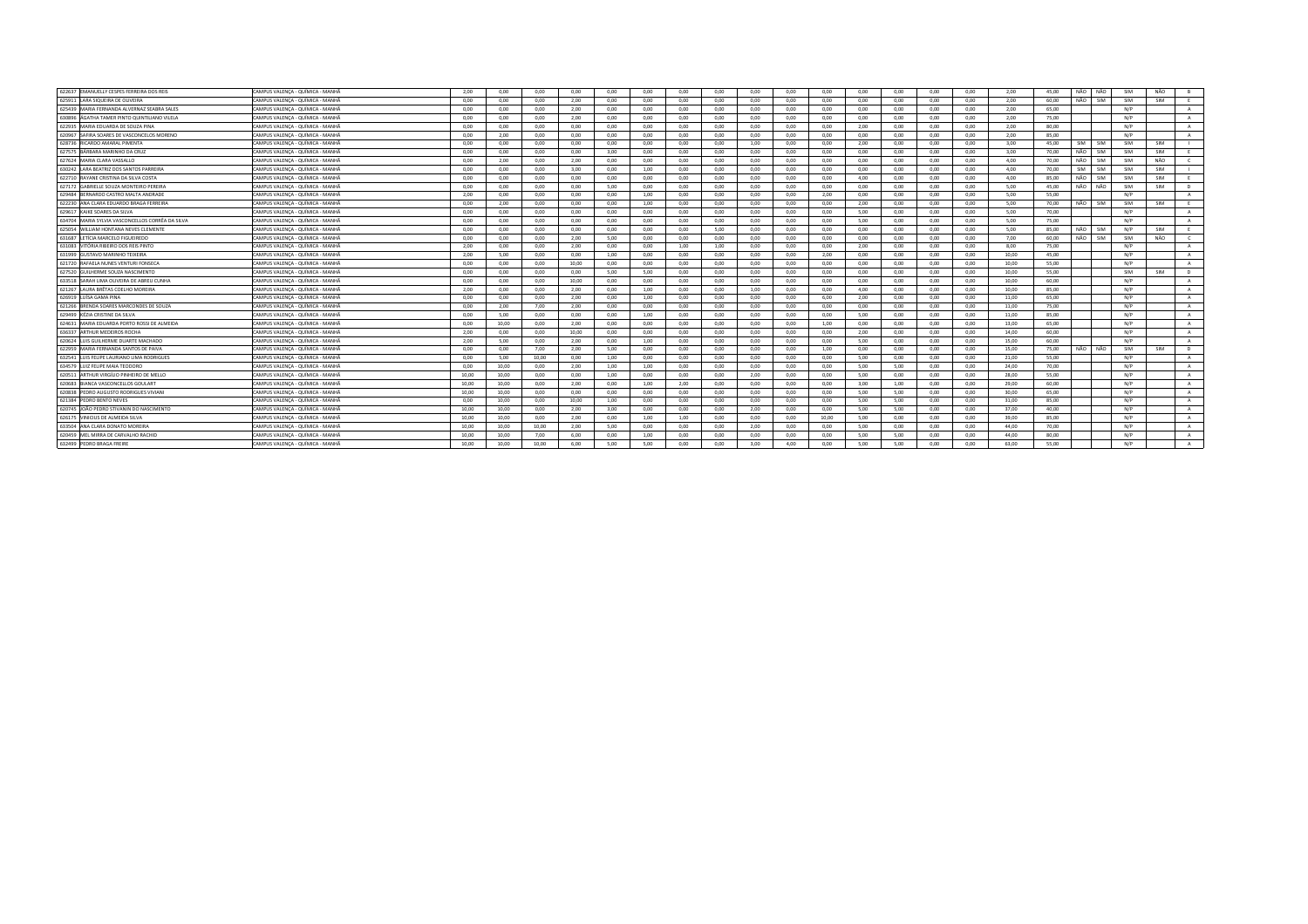| 622637 EMANUELLY CESPES FERREIRA DOS REIS        | CAMPUS VALENCA - QUÍMICA - MANHÃ | 2.00  | 0.00  | 0.00  | 0.00  | 0.00 | 0.00 | 0.00 | 0.00 | 0.00 | 0.00 | 0.00  | 0.00 | 0.00 | 0.00 | 0.00 | 2.00  | 45.00 | NÃO<br>NÃO | SIM | NÃO        | B          |
|--------------------------------------------------|----------------------------------|-------|-------|-------|-------|------|------|------|------|------|------|-------|------|------|------|------|-------|-------|------------|-----|------------|------------|
| 625911 LARA SIQUEIRA DE OLIVEIRA                 | CAMPUS VALENCA - QUÍMICA - MANHÃ | 0.00  | 0.00  | 0.00  | 2,00  | 0,00 | 0,00 | 0.00 | 0.00 | 0.00 | 0,00 | 0,00  | 0,00 | 0,00 | 0.00 | 0.00 | 2,00  | 60.00 | NÃO<br>SIM | SIM | SIM        | E          |
| 625439 MARIA FERNANDA ALVERNAZ SEABRA SALES      | CAMPUS VALENÇA - QUÍMICA - MANHÃ | 0.00  | 0.00  | 0.00  | 2.00  | 0.00 | 0.00 | 0.00 | 0.00 | 0.00 | 0.00 | 0.00  | 0.00 | 0,00 | 0.00 | 0.00 | 2.00  | 65.00 |            | N/P |            | A          |
| 630896 AGATHA TAMER PINTO QUINTILIANO VILELA     | CAMPUS VALENCA - QUÍMICA - MANHÃ | 0.00  | 0.00  | 0.00  | 2.00  | 0.00 | 0.00 | 0.00 | 0.00 | 0.00 | 0.00 | 0.00  | 0.00 | 0.00 | 0.00 | 0.00 | 2.00  | 75.00 |            | N/P |            | $\Delta$   |
| 622935 MARIA EDUARDA DE SOUZA PINA               | CAMPUS VALENÇA - QUÍMICA - MANHÃ | 0.00  | 0.00  | 0.00  | 0.00  | 0.00 | 0.00 | 0.00 | 0.00 | 0.00 | 0.00 | 0.00  | 2.00 | 0,00 | 0.00 | 0.00 | 2,00  | 80.00 |            | N/P |            | A          |
| 620967 SAFIRA SOARES DE VASCONCELOS MORENO       | CAMPUS VALENÇA - QUÍMICA - MANHÃ | 0,00  | 2,00  | 0,00  | 0.00  | 0,00 | 0,00 | 0,00 | 0,00 | 0,00 | 0,00 | 0,00  | 0,00 | 0,00 | 0,00 | 0,00 | 2,00  | 85,00 |            | N/P |            | $\Lambda$  |
| 628736 RICARDO AMARAL PIMENTA                    | CAMPUS VALENÇA - QUÍMICA - MANHÃ | 0.00  | 0.00  | 0.00  | 0.00  | 0.00 | 0.00 | 0.00 | 0.00 | 1.00 | 0.00 | 0.00  | 2.00 | 0.00 | 0.00 | 0.00 | 3.00  | 45.00 | SIM<br>SIM | SIM | SIM        |            |
| 627575 BÁRBARA MARINHO DA CRUZ                   | CAMPUS VALENÇA - QUÍMICA - MANHÃ | 0.00  | 0.00  | 0.00  | 0.00  | 3.00 | 0.00 | 0.00 | 0.00 | 0.00 | 0.00 | 0.00  | 0.00 | 0.00 | 0.00 | 0.00 | 3.00  | 70.00 | NÃO<br>SIM | SIM | SIM        | F          |
| 627624 MARIA CLARA VASSALLO                      | CAMPUS VALENCA - QUÍMICA - MANHÃ | 0.00  | 2.00  | 0.00  | 2.00  | 0.00 | 0.00 | 0.00 | 0.00 | 0.00 | 0.00 | 0.00  | 0.00 | 0.00 | 0.00 | 0.00 | 4.00  | 70.00 | NÃO<br>SIM | SIM | NÃO        | $\epsilon$ |
| 630242 LARA BEATRIZ DOS SANTOS PARREIRA          | CAMPUS VALENÇA - QUÍMICA - MANHÃ | 0.00  | 0.00  | 0.00  | 3.00  | 0.00 | 1.00 | 0.00 | 0.00 | 0.00 | 0.00 | 0.00  | 0.00 | 0.00 | 0.00 | 0.00 | 4.00  | 70.00 | SIM<br>SIM | SIM | <b>SIM</b> |            |
| 622710 RAYANE CRISTINA DA SILVA COSTA            | CAMPUS VALENÇA - QUÍMICA - MANHÃ | 0,00  | 0,00  | 0,00  | 0.00  | 0,00 | 0,00 | 0.00 | 0,00 | 0,00 | 0.00 | 0,00  | 4,00 | 0.00 | 0,00 | 0,00 | 4,00  | 85,00 | NÃO<br>SIM | SIM | SIM        | - F        |
| 627172 GABRIELLE SOUZA MONTEIRO PEREIR           | CAMPUS VALENÇA - QUÍMICA - MANHÃ | 0.00  | 0.00  | 0.00  | 0.00  | 5.00 | 0.00 | 0.00 | 0.00 | 0.00 | 0.00 | 0,00  | 0.00 | 0.00 | 0.00 | 0.00 | 5.00  | 45.00 | NÃO<br>NÃO | SIM | SIM        | D          |
| 629484 BERNARDO CASTRO MALTA ANDRADE             | CAMPUS VALENCA - QUÍMICA - MANHÃ | 2.00  | 0.00  | 0.00  | 0.00  | 0.00 | 1.00 | 0.00 | 0.00 | 0.00 | 0.00 | 2.00  | 0.00 | 0.00 | 0.00 | 0.00 | 5.00  | 55.00 |            | N/P |            | A          |
| 622230 ANA CLARA EDUARDO BRAGA FERREIRA          | CAMPUS VALENCA - QUÍMICA - MANHÃ | 0.00  | 2,00  | 0.00  | 0.00  | 0,00 | 1,00 | 0.00 | 0.00 | 0.00 | 0.00 | 0,00  | 2,00 | 0.00 | 0.00 | 0.00 | 5.00  | 70.00 | NÃO<br>SIM | SIM | SIM        | E          |
| 629617 KAIKE SOARES DA SILVA                     | CAMPUS VALENCA - QUÍMICA - MANHÃ | 0.00  | 0.00  | 0.00  | 0.00  | 0.00 | 0.00 | 0.00 | 0.00 | 0.00 | 0.00 | 0.00  | 5.00 | 0.00 | 0.00 | 0.00 | 5.00  | 70.00 |            | N/P |            | $\Delta$   |
| 634704 MARIA SYLVIA VASCONCELLOS CORRÊA DA SILVA | CAMPUS VALENÇA - QUÍMICA - MANHÃ | 0.00  | 0.00  | 0.00  | 0.00  | 0.00 | 0.00 | 0.00 | 0.00 | 0.00 | 0.00 | 0.00  | 5.00 | 0.00 | 0.00 | 0.00 | 5.00  | 75.00 |            | N/P |            | A          |
| 625054 WILLIAM HONTANA NEVES CLEMENTI            | CAMPUS VALENÇA - QUÍMICA - MANHÃ | 0,00  | 0,00  | 0,00  | 0,00  | 0,00 | 0,00 | 0,00 | 5,00 | 0,00 | 0,00 | 0,00  | 0,00 | 0,00 | 0,00 | 0,00 | 5,00  | 85,00 | NÃO SIM    | N/P | SIM        | E          |
| 631687 LETÍCIA MARCELO FIGUEIREDO                | CAMPUS VALENÇA - QUÍMICA - MANHÃ | 0.00  | 0.00  | 0.00  | 2,00  | 5,00 | 0,00 | 0.00 | 0.00 | 0.00 | 0.00 | 0.00  | 0.00 | 0,00 | 0.00 | 0.00 | 7,00  | 60.00 | NÃO SIM    | SIM | NÃO        |            |
| 631083 VITÓRIA RIBEIRO DOS REIS PINTO            | CAMPUS VALENCA - QUÍMICA - MANHÃ | 2.00  | 0.00  | 0.00  | 2.00  | 0.00 | 0.00 | 1.00 | 1.00 | 0.00 | 0.00 | 0.00  | 2.00 | 0.00 | 0.00 | 0.00 | 8.00  | 75.00 |            | N/P |            | A          |
| 631999 GUSTAVO MARINHO TEIXEIRA                  | CAMPUS VALENÇA - QUÍMICA - MANHÃ | 2.00  | 5.00  | 0.00  | 0.00  | 1.00 | 0.00 | 0.00 | 0.00 | 0.00 | 0.00 | 2,00  | 0.00 | 0.00 | 0.00 | 0.00 | 10.00 | 45.00 |            | N/P |            | A          |
| 621720 RAFAELA NUNES VENTURI FONSECA             | CAMPUS VALENCA - QUÍMICA - MANHÃ | 0.00  | 0.00  | 0.00  | 10.00 | 0.00 | 0.00 | 0.00 | 0.00 | 0.00 | 0.00 | 0.00  | 0.00 | 0.00 | 0.00 | 0.00 | 10.00 | 55.00 |            | N/P |            | A          |
| 627520 GUILHERME SOUZA NASCIMENTO                | CAMPUS VALENÇA - QUÍMICA - MANHÃ | 0.00  | 0.00  | 0.00  | 0.00  | 5.00 | 5.00 | 0.00 | 0.00 | 0.00 | 0.00 | 0.00  | 0.00 | 0.00 | 0.00 | 0.00 | 10.00 | 55.00 |            | SIM | SIM        | D          |
| 633518 SARAH LIMA OLIVEIRA DE ABREU CUNHA        | CAMPUS VALENÇA - QUÍMICA - MANHÃ | 0.00  | 0.00  | 0.00  | 10.00 | 0.00 | 0.00 | 0.00 | 0.00 | 0.00 | 0.00 | 0.00  | 0.00 | 0.00 | 0.00 | 0.00 | 10.00 | 60.00 |            | N/P |            | A          |
| 621267 LAURA BRETAS COELHO MOREIRA               | CAMPUS VALENÇA - QUÍMICA - MANHÃ | 2.00  | 0.00  | 0.00  | 2.00  | 0.00 | 1.00 | 0.00 | 0.00 | 1.00 | 0.00 | 0.00  | 4.00 | 0.00 | 0.00 | 0.00 | 10.00 | 85.00 |            | N/P |            | A          |
| 626919 LUÍSA GAMA PINA                           | CAMPUS VALENCA - QUÍMICA - MANHÃ | 0.00  | 0.00  | 0.00  | 2.00  | 0.00 | 1.00 | 0.00 | 0.00 | 0.00 | 0.00 | 6.00  | 2.00 | 0.00 | 0.00 | 0.00 | 11.00 | 65.00 |            | N/P |            | <b>A</b>   |
| 621266 BRENDA SOARES MARCONDES DE SOUZA          | CAMPUS VALENCA - QUÍMICA - MANHÃ | 0.00  | 2.00  | 7.00  | 2.00  | 0.00 | 0.00 | 0.00 | 0.00 | 0.00 | 0.00 | 0.00  | 0.00 | 0.00 | 0.00 | 0.00 | 11.00 | 75.00 |            | N/P |            | $\Delta$   |
| 629499 KÉZIA CRISTINE DA SILVA                   | CAMPUS VALENCA - QUÍMICA - MANHÃ | 0.00  | 5.00  | 0.00  | 0.00  | 0.00 | 1.00 | 0.00 | 0.00 | 0.00 | 0.00 | 0.00  | 5.00 | 0.00 | 0.00 | 0.00 | 11.00 | 85.00 |            | N/P |            | $\Delta$   |
| 624631 MARIA EDUARDA PORTO ROSSI DE ALMEIDA      | CAMPUS VALENÇA - QUÍMICA - MANHÃ | 0.00  | 10,00 | 0,00  | 2.00  | 0,00 | 0,00 | 0.00 | 0.00 | 0,00 | 0.00 | 1,00  | 0,00 | 0.00 | 0,00 | 0.00 | 13,00 | 65,00 |            | N/P |            | A          |
| 636337 ARTHUR MEDEIROS ROCHA                     | CAMPUS VALENÇA - QUÍMICA - MANHÃ | 2,00  | 0,00  | 0,00  | 10.00 | 0,00 | 0,00 | 0,00 | 0,00 | 0.00 | 0,00 | 0,00  | 2,00 | 0,00 | 0,00 | 0.00 | 14,00 | 60,00 |            | N/P |            | $\Lambda$  |
| 620624 LUIS GUILHERME DUARTE MACHADO             | CAMPUS VALENCA - QUÍMICA - MANHÃ | 2.00  | 5.00  | 0.00  | 2.00  | 0.00 | 1.00 | 0.00 | 0.00 | 0.00 | 0.00 | 0.00  | 5.00 | 0.00 | 0.00 | 0.00 | 15.00 | 60.00 |            | N/P |            | $\Delta$   |
| 622959 MARIA FERNANDA SANTOS DE PAIVA            | CAMPUS VALENÇA - QUÍMICA - MANHÃ | 0.00  | 0,00  | 7,00  | 2.00  | 5,00 | 0,00 | 0.00 | 0,00 | 0.00 | 0.00 | 1,00  | 0,00 | 0,00 | 0,00 | 0,00 | 15.00 | 75,00 | NÃO<br>NÃO | SIM | SIM        | <b>D</b>   |
| 632541 LUIS FELIPE LAURIANO LIMA RODRIGUES       | CAMPUS VALENÇA - QUÍMICA - MANHÃ | 0.00  | 5,00  | 10.00 | 0.00  | 1,00 | 0,00 | 0.00 | 0.00 | 0,00 | 0.00 | 0,00  | 5,00 | 0,00 | 0.00 | 0.00 | 21,00 | 55,00 |            | N/P |            | A          |
| 634579 LUIZ FELIPE MAIA TEODORO                  | CAMPUS VALENÇA - QUÍMICA - MANHÃ | 0.00  | 10,00 | 0,00  | 2,00  | 1,00 | 1,00 | 0.00 | 0,00 | 0.00 | 0.00 | 0,00  | 5,00 | 5,00 | 0,00 | 0.00 | 24,00 | 70,00 |            | N/P |            | A          |
| 620511 ARTHUR VIRGÍLIO PINHEIRO DE MELLO         | CAMPUS VALENÇA - QUÍMICA - MANHÃ | 10,00 | 10,00 | 0,00  | 0,00  | 1,00 | 0,00 | 0,00 | 0,00 | 2,00 | 0,00 | 0,00  | 5,00 | 0,00 | 0,00 | 0,00 | 28,00 | 55,00 |            | N/P |            | A          |
| 620683 BIANCA VASCONCELLOS GOULART               | CAMPUS VALENÇA - QUÍMICA - MANHÃ | 10.00 | 10,00 | 0,00  | 2,00  | 0.00 | 1,00 | 2,00 | 0.00 | 0.00 | 0.00 | 0.00  | 3,00 | 1,00 | 0.00 | 0.00 | 29.00 | 60.00 |            | N/P |            | A          |
| 620838 PEDRO AUGUSTO RODRIGUES VIVIANI           | CAMPUS VALENÇA - QUÍMICA - MANHÃ | 10.00 | 10.00 | 0.00  | 0.00  | 0.00 | 0.00 | 0.00 | 0.00 | 0.00 | 0.00 | 0.00  | 5.00 | 5.00 | 0.00 | 0.00 | 30.00 | 65.00 |            | N/P |            | A          |
| 621384 PEDRO BENTO NEVES                         | CAMPUS VALENCA - QUÍMICA - MANHÃ | 0.00  | 10.00 | 0.00  | 10.00 | 1.00 | 0.00 | 0.00 | 0.00 | 0.00 | 0.00 | 0.00  | 5.00 | 5.00 | 0.00 | 0.00 | 31.00 | 85.00 |            | N/P |            | A          |
| 620745 JOÃO PEDRO STIVANIN DO NASCIMENTO         | CAMPUS VALENCA - QUÍMICA - MANHÃ | 10.00 | 10.00 | 0.00  | 2.00  | 3.00 | 0.00 | 0.00 | 0.00 | 2.00 | 0.00 | 0.00  | 5.00 | 5.00 | 0.00 | 0.00 | 37.00 | 40.00 |            | N/P |            | $\Lambda$  |
| 626175 VINICIUS DE ALMEIDA SILVA                 | CAMPUS VALENÇA - QUÍMICA - MANHÃ | 10.00 | 10,00 | 0.00  | 2.00  | 0.00 | 1.00 | 1.00 | 0.00 | 0.00 | 0.00 | 10.00 | 5.00 | 0.00 | 0.00 | 0.00 | 39.00 | 85.00 |            | N/P |            | A          |
| 633504 ANA CLARA DONATO MOREIRA                  | CAMPUS VALENCA - QUÍMICA - MANHÃ | 10.00 | 10.00 | 10.00 | 2.00  | 5.00 | 0.00 | 0.00 | 0.00 | 2.00 | 0.00 | 0.00  | 5.00 | 0.00 | 0.00 | 0.00 | 44.00 | 70.00 |            | N/P |            | A          |
| 620459 MEL MIRRA DE CARVALHO RACHID              | CAMPUS VALENCA - QUÍMICA - MANHÃ | 10.00 | 10.00 | 7.00  | 6.00  | 0.00 | 1.00 | 0.00 | 0.00 | 0.00 | 0.00 | 0.00  | 5.00 | 5.00 | 0.00 | 0.00 | 44.00 | 80.00 |            | N/P |            | A          |
| 632499 PEDRO BRAGA FREIRE                        | CAMPUS VALENCA - QUÍMICA - MANHÃ | 10.00 | 10.00 | 10.00 | 6.00  | 5.00 | 5.00 | 0.00 | 0.00 | 3.00 | 4.00 | 0.00  | 5.00 | 5.00 | 0.00 | 0.00 | 63.00 | 55.00 |            | N/P |            | $\sim$     |
|                                                  |                                  |       |       |       |       |      |      |      |      |      |      |       |      |      |      |      |       |       |            |     |            |            |